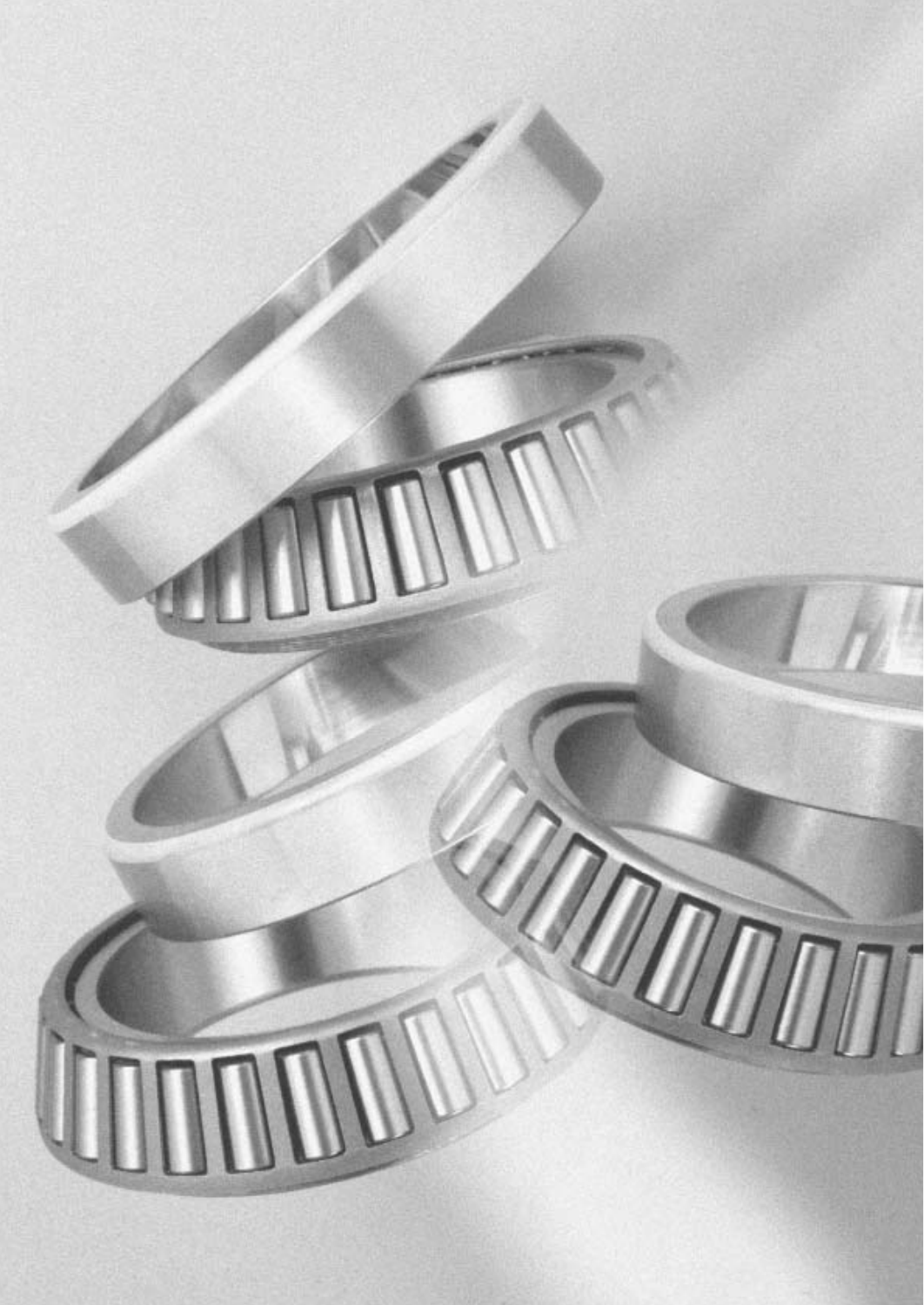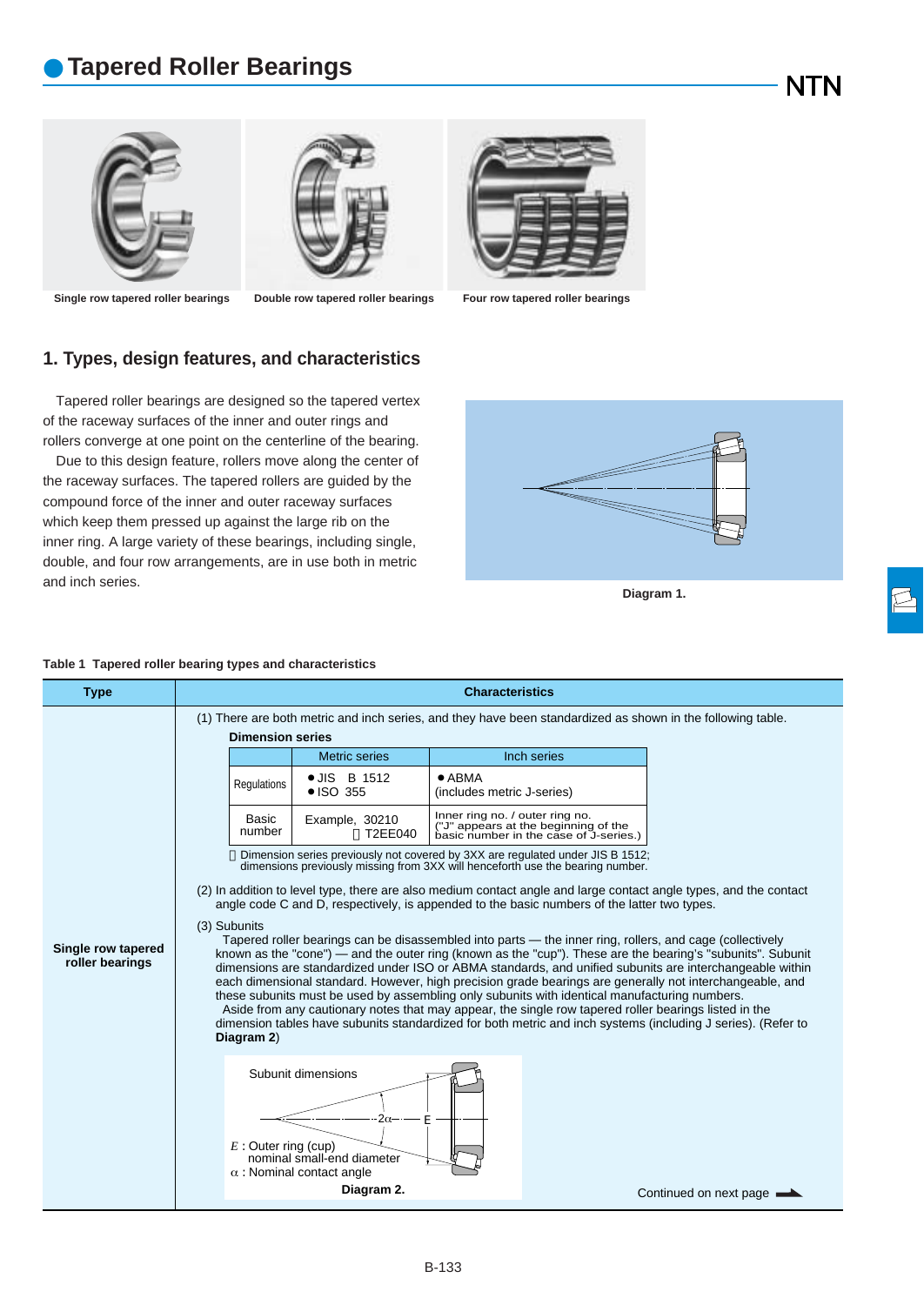# **Tapered Roller Bearings**





**Single row tapered roller bearings Double row tapered roller bearings Four row tapered roller bearings**

### **1. Types, design features, and characteristics**

Tapered roller bearings are designed so the tapered vertex of the raceway surfaces of the inner and outer rings and rollers converge at one point on the centerline of the bearing.

Due to this design feature, rollers move along the center of the raceway surfaces. The tapered rollers are guided by the compound force of the inner and outer raceway surfaces which keep them pressed up against the large rib on the inner ring. A large variety of these bearings, including single, double, and four row arrangements, are in use both in metric and inch series.



**Diagram 1.**

NTN

#### **Table 1 Tapered roller bearing types and characteristics**

| <b>Type</b>                           |                                                    |                                                                                                                                                                                                                                                                  | <b>Characteristics</b>                       |                                                                                                                                                                                                                                                                                                                                                                                                                                                                                 |                                                                                                             |  |  |  |  |  |  |
|---------------------------------------|----------------------------------------------------|------------------------------------------------------------------------------------------------------------------------------------------------------------------------------------------------------------------------------------------------------------------|----------------------------------------------|---------------------------------------------------------------------------------------------------------------------------------------------------------------------------------------------------------------------------------------------------------------------------------------------------------------------------------------------------------------------------------------------------------------------------------------------------------------------------------|-------------------------------------------------------------------------------------------------------------|--|--|--|--|--|--|
|                                       | <b>Dimension series</b>                            | <b>Metric series</b>                                                                                                                                                                                                                                             |                                              | Inch series                                                                                                                                                                                                                                                                                                                                                                                                                                                                     | (1) There are both metric and inch series, and they have been standardized as shown in the following table. |  |  |  |  |  |  |
|                                       | Regulations                                        | • JIS B 1512<br>$\bullet$ ISO 355                                                                                                                                                                                                                                | $\bullet$ ARMA<br>(includes metric J-series) |                                                                                                                                                                                                                                                                                                                                                                                                                                                                                 |                                                                                                             |  |  |  |  |  |  |
|                                       | Basic<br>number                                    | Inner ring no. / outer ring no.<br>Example, 30210<br>("J" appears at the beginning of the<br>T2EE040<br>basic number in the case of J-series.)                                                                                                                   |                                              |                                                                                                                                                                                                                                                                                                                                                                                                                                                                                 |                                                                                                             |  |  |  |  |  |  |
|                                       |                                                    | Dimension series previously not covered by 3XX are regulated under JIS B 1512;<br>dimensions previously missing from 3XX will henceforth use the bearing number.                                                                                                 |                                              |                                                                                                                                                                                                                                                                                                                                                                                                                                                                                 |                                                                                                             |  |  |  |  |  |  |
|                                       |                                                    | (2) In addition to level type, there are also medium contact angle and large contact angle types, and the contact<br>angle code C and D, respectively, is appended to the basic numbers of the latter two types.                                                 |                                              |                                                                                                                                                                                                                                                                                                                                                                                                                                                                                 |                                                                                                             |  |  |  |  |  |  |
| Single row tapered<br>roller bearings | (3) Subunits<br>known as the "cone")<br>Diagram 2) | Tapered roller bearings can be disassembled into parts<br>these subunits must be used by assembling only subunits with identical manufacturing numbers.<br>Aside from any cautionary notes that may appear, the single row tapered roller bearings listed in the |                                              | the inner ring, rollers, and cage (collectively<br>and the outer ring (known as the "cup"). These are the bearing's "subunits". Subunit<br>dimensions are standardized under ISO or ABMA standards, and unified subunits are interchangeable within<br>each dimensional standard. However, high precision grade bearings are generally not interchangeable, and<br>dimension tables have subunits standardized for both metric and inch systems (including J series). (Refer to |                                                                                                             |  |  |  |  |  |  |
|                                       | $E:$ Outer ring (cup)                              | Subunit dimensions<br>E<br>nominal small-end diameter<br>$\alpha$ : Nominal contact angle                                                                                                                                                                        |                                              |                                                                                                                                                                                                                                                                                                                                                                                                                                                                                 |                                                                                                             |  |  |  |  |  |  |
|                                       |                                                    | Diagram 2.                                                                                                                                                                                                                                                       |                                              |                                                                                                                                                                                                                                                                                                                                                                                                                                                                                 | Continued on next page                                                                                      |  |  |  |  |  |  |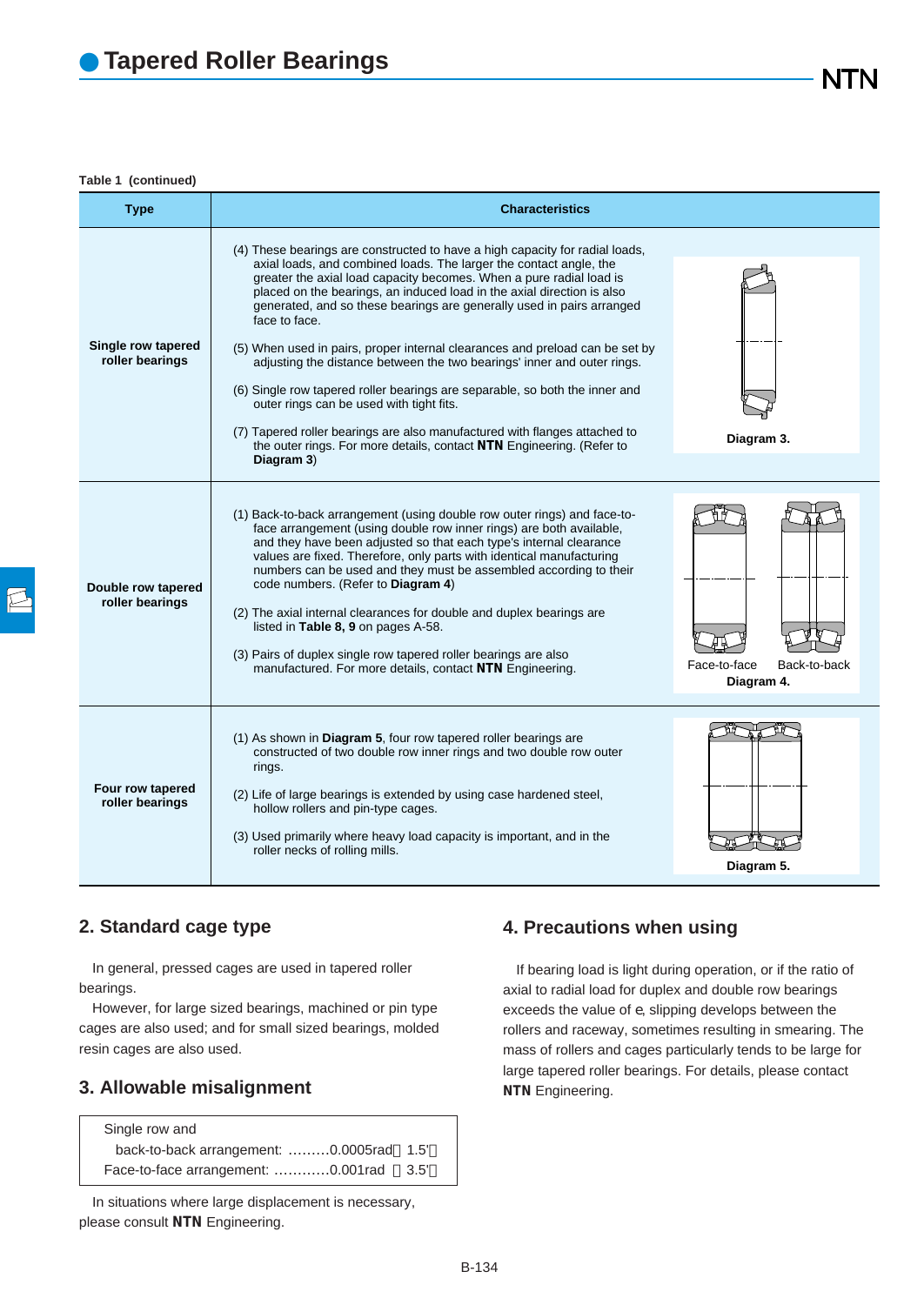**Table 1 (continued)**

| <b>Type</b>                           | <b>Characteristics</b>                                                                                                                                                                                                                                                                                                                                                                                                                                                                                                                                                                                                                                                                                                                                                                                                                                   |                                            |
|---------------------------------------|----------------------------------------------------------------------------------------------------------------------------------------------------------------------------------------------------------------------------------------------------------------------------------------------------------------------------------------------------------------------------------------------------------------------------------------------------------------------------------------------------------------------------------------------------------------------------------------------------------------------------------------------------------------------------------------------------------------------------------------------------------------------------------------------------------------------------------------------------------|--------------------------------------------|
| Single row tapered<br>roller bearings | (4) These bearings are constructed to have a high capacity for radial loads,<br>axial loads, and combined loads. The larger the contact angle, the<br>greater the axial load capacity becomes. When a pure radial load is<br>placed on the bearings, an induced load in the axial direction is also<br>generated, and so these bearings are generally used in pairs arranged<br>face to face.<br>(5) When used in pairs, proper internal clearances and preload can be set by<br>adjusting the distance between the two bearings' inner and outer rings.<br>(6) Single row tapered roller bearings are separable, so both the inner and<br>outer rings can be used with tight fits.<br>(7) Tapered roller bearings are also manufactured with flanges attached to<br>the outer rings. For more details, contact NTN Engineering. (Refer to<br>Diagram 3) | Diagram 3.                                 |
| Double row tapered<br>roller bearings | (1) Back-to-back arrangement (using double row outer rings) and face-to-<br>face arrangement (using double row inner rings) are both available,<br>and they have been adjusted so that each type's internal clearance<br>values are fixed. Therefore, only parts with identical manufacturing<br>numbers can be used and they must be assembled according to their<br>code numbers. (Refer to Diagram 4)<br>(2) The axial internal clearances for double and duplex bearings are<br>listed in Table 8, 9 on pages A-58.<br>(3) Pairs of duplex single row tapered roller bearings are also<br>manufactured. For more details, contact NTN Engineering.                                                                                                                                                                                                   | Face-to-face<br>Back-to-back<br>Diagram 4. |
| Four row tapered<br>roller bearings   | (1) As shown in Diagram 5, four row tapered roller bearings are<br>constructed of two double row inner rings and two double row outer<br>rings.<br>(2) Life of large bearings is extended by using case hardened steel,<br>hollow rollers and pin-type cages.<br>(3) Used primarily where heavy load capacity is important, and in the<br>roller necks of rolling mills.                                                                                                                                                                                                                                                                                                                                                                                                                                                                                 | Diagram 5.                                 |

### **2. Standard cage type**

In general, pressed cages are used in tapered roller bearings.

However, for large sized bearings, machined or pin type cages are also used; and for small sized bearings, molded resin cages are also used.

#### **3. Allowable misalignment**

Single row and back-to-back arrangement: ………0.0005rad 1.5' Face-to-face arrangement: …………0.001rad 3.5'

In situations where large displacement is necessary, please consult **NTN** Engineering.

### **4. Precautions when using**

If bearing load is light during operation, or if the ratio of axial to radial load for duplex and double row bearings exceeds the value of *e*, slipping develops between the rollers and raceway, sometimes resulting in smearing. The mass of rollers and cages particularly tends to be large for large tapered roller bearings. For details, please contact **NTN** Engineering.

NTN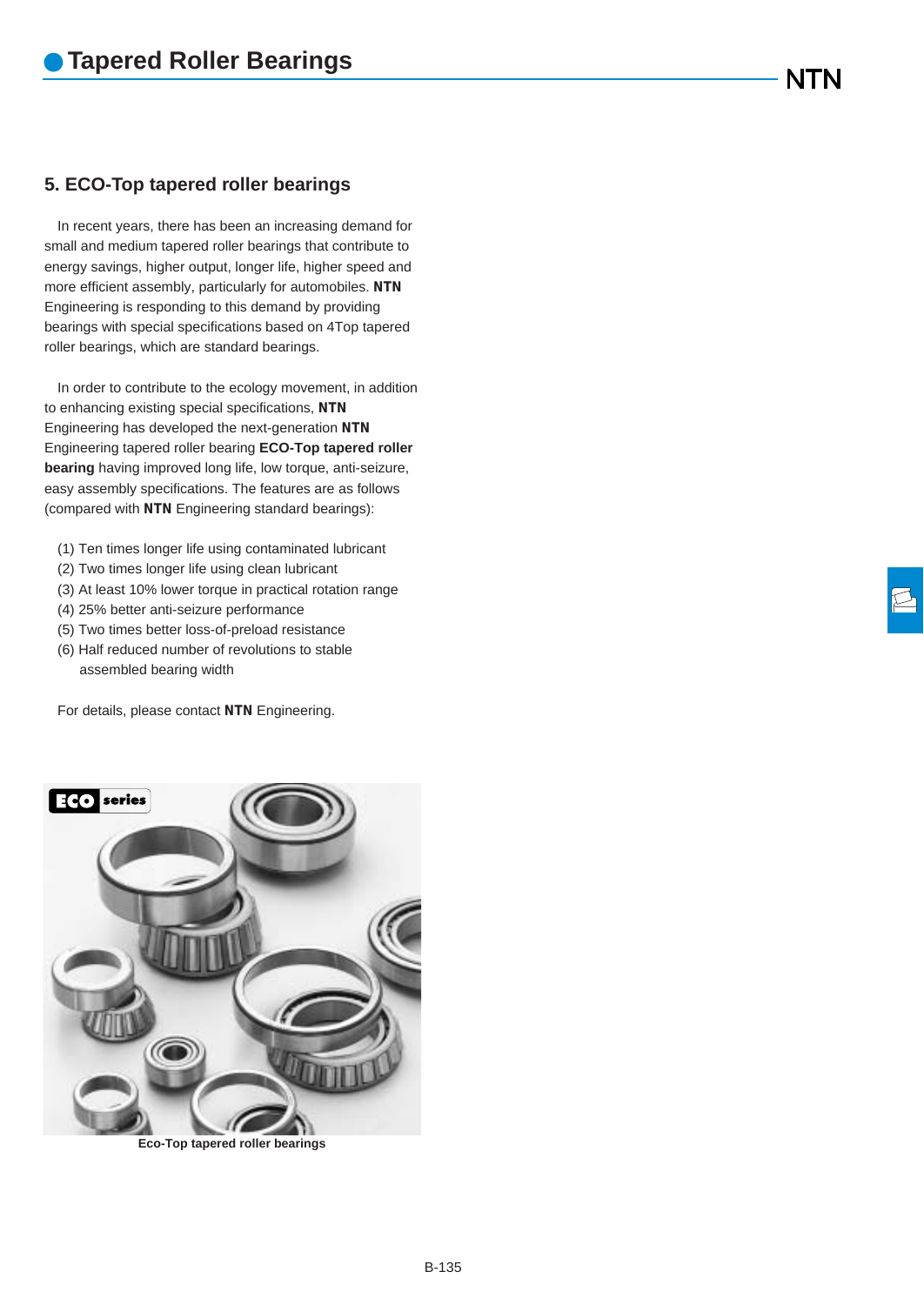#### **5. ECO-Top tapered roller bearings**

In recent years, there has been an increasing demand for small and medium tapered roller bearings that contribute to energy savings, higher output, longer life, higher speed and more efficient assembly, particularly for automobiles. **NTN** Engineering is responding to this demand by providing bearings with special specifications based on 4Top tapered roller bearings, which are standard bearings.

In order to contribute to the ecology movement, in addition to enhancing existing special specifications, **NTN** Engineering has developed the next-generation **NTN** Engineering tapered roller bearing **ECO-Top tapered roller bearing** having improved long life, low torque, anti-seizure, easy assembly specifications. The features are as follows (compared with **NTN** Engineering standard bearings):

- (1) Ten times longer life using contaminated lubricant
- (2) Two times longer life using clean lubricant
- (3) At least 10% lower torque in practical rotation range
- (4) 25% better anti-seizure performance
- (5) Two times better loss-of-preload resistance
- (6) Half reduced number of revolutions to stable assembled bearing width

For details, please contact **NTN** Engineering.



**Eco-Top tapered roller bearings**

**NTN**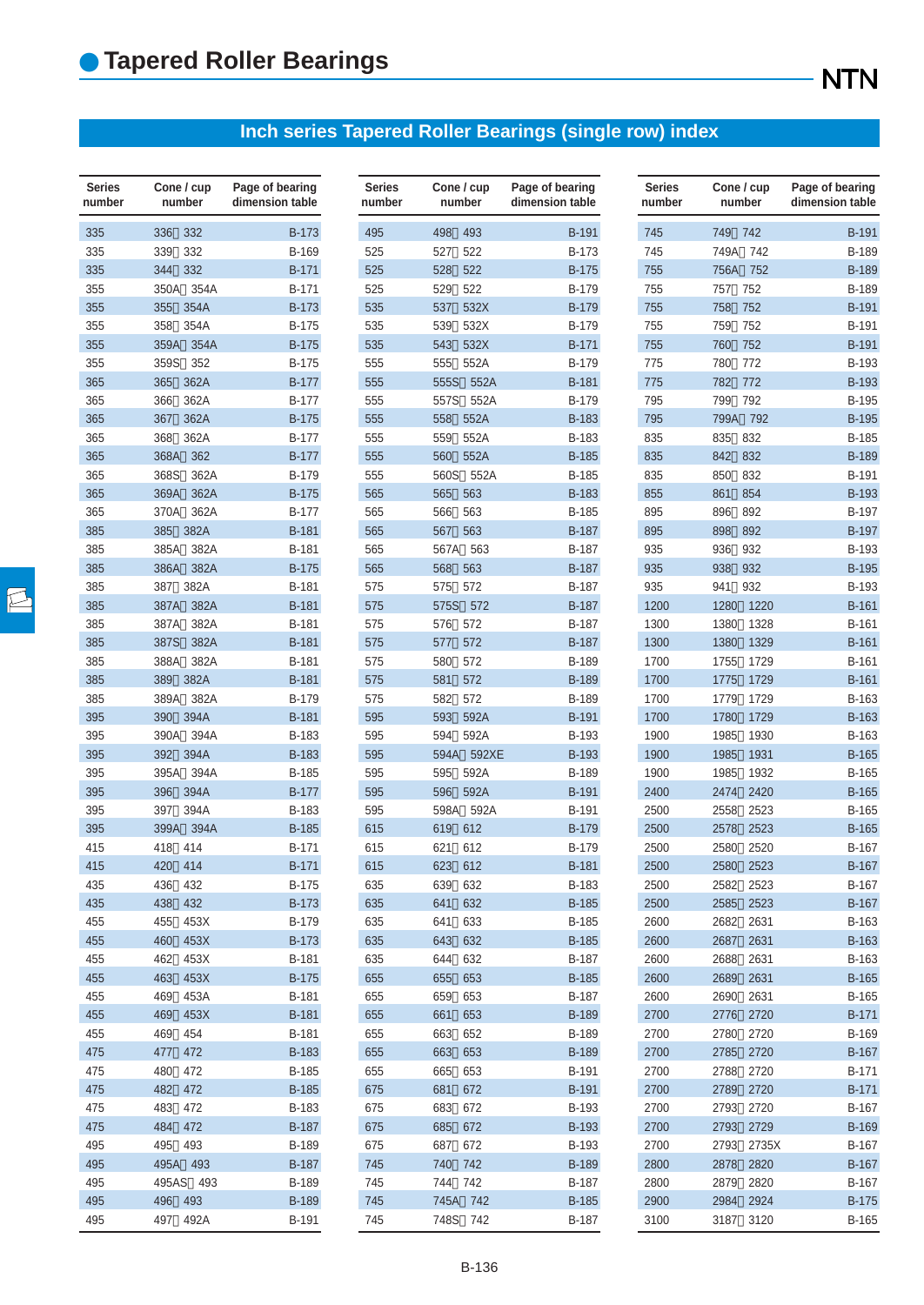# **Inch series Tapered Roller Bearings (single row) index**

| <b>Series</b><br>number | Cone / cup<br>number | Page of bearing<br>dimension table | <b>Series</b><br>number | Cone / cup<br>number      | Page of bearing<br>dimension table | <b>Series</b><br>number | Cone / cup<br>number | Page of bearing<br>dimension table |
|-------------------------|----------------------|------------------------------------|-------------------------|---------------------------|------------------------------------|-------------------------|----------------------|------------------------------------|
| 335                     | 332<br>336           | B-173                              | 495                     | 498<br>493                | <b>B-191</b>                       | 745                     | 749<br>742           | <b>B-191</b>                       |
| 335                     | 332<br>339           | B-169                              | 525                     | 522<br>527                | B-173                              | 745                     | 742<br>749A          | <b>B-189</b>                       |
| 335                     | 344<br>332           | <b>B-171</b>                       | 525                     | 522<br>528                | <b>B-175</b>                       | 755                     | 756A 752             | <b>B-189</b>                       |
| 355                     | 350A<br>354A         | B-171                              | 525                     | 522<br>529                | B-179                              | 755                     | 752<br>757           | B-189                              |
| 355                     | 354A<br>355          | <b>B-173</b>                       | 535                     | 532X<br>537               | <b>B-179</b>                       | 755                     | 758<br>752           | <b>B-191</b>                       |
| 355                     | 354A<br>358          | B-175                              | 535                     | 532X<br>539               | B-179                              | 755                     | 752<br>759           | B-191                              |
| 355                     | 354A<br>359A         | <b>B-175</b>                       | 535                     | 532X<br>543               | B-171                              | 755                     | 752<br>760           | <b>B-191</b>                       |
| 355                     | 352<br>359S          | B-175                              | 555                     | 552A<br>555               | B-179                              | 775                     | 772<br>780           | B-193                              |
| 365                     | 362A<br>365          | <b>B-177</b>                       | 555                     | 555S<br>552A              | B-181                              | 775                     | 772<br>782           | B-193                              |
| 365                     | 362A<br>366          | <b>B-177</b>                       | 555                     | 552A<br>557S              | B-179                              | 795                     | 792<br>799           | B-195                              |
| 365                     | 362A<br>367          | <b>B-175</b>                       | 555                     | 552A<br>558               | B-183                              | 795                     | 792<br>799A          | <b>B-195</b>                       |
| 365                     | 362A<br>368          | B-177                              | 555                     | 552A<br>559               | B-183                              | 835                     | 832<br>835           | B-185                              |
| 365                     | 368A<br>362          | <b>B-177</b>                       | 555                     | 552A<br>560               | B-185                              | 835                     | 842<br>832           | <b>B-189</b>                       |
| 365                     | 362A<br>368S         | B-179                              | 555                     | 552A<br>560S              | B-185                              | 835                     | 832<br>850           | B-191                              |
| 365                     | 369A<br>362A         | <b>B-175</b>                       | 565                     | 563<br>565                | B-183                              | 855                     | 854<br>861           | B-193                              |
| 365                     | 362A<br>370A         | <b>B-177</b>                       | 565                     | 563<br>566                | B-185                              | 895                     | 892<br>896           | B-197                              |
| 385                     | 382A<br>385<br>382A  | B-181                              | 565                     | 563<br>567                | <b>B-187</b>                       | 895                     | 898<br>892<br>932    | <b>B-197</b>                       |
| 385<br>385              | 385A<br>382A<br>386A | B-181<br><b>B-175</b>              | 565<br>565              | 567A<br>563<br>563<br>568 | B-187<br><b>B-187</b>              | 935<br>935              | 936<br>938<br>932    | B-193<br><b>B-195</b>              |
| 385                     | 382A<br>387          | B-181                              | 575                     | 572<br>575                | B-187                              | 935                     | 932<br>941           | B-193                              |
| 385                     | 382A<br>387A         | B-181                              | 575                     | 575S<br>572               | <b>B-187</b>                       | 1200                    | 1220<br>1280         | B-161                              |
| 385                     | 382A<br>387A         | B-181                              | 575                     | 572<br>576                | B-187                              | 1300                    | 1328<br>1380         | B-161                              |
| 385                     | 382A<br>387S         | B-181                              | 575                     | 572<br>577                | <b>B-187</b>                       | 1300                    | 1380<br>1329         | B-161                              |
| 385                     | 382A<br>388A         | B-181                              | 575                     | 572<br>580                | B-189                              | 1700                    | 1729<br>1755         | B-161                              |
| 385                     | 382A<br>389          | B-181                              | 575                     | 572<br>581                | <b>B-189</b>                       | 1700                    | 1729<br>1775         | B-161                              |
| 385                     | 382A<br>389A         | B-179                              | 575                     | 572<br>582                | B-189                              | 1700                    | 1729<br>1779         | B-163                              |
| 395                     | 394A<br>390          | <b>B-181</b>                       | 595                     | 592A<br>593               | B-191                              | 1700                    | 1729<br>1780         | B-163                              |
| 395                     | 394A<br>390A         | B-183                              | 595                     | 592A<br>594               | B-193                              | 1900                    | 1930<br>1985         | B-163                              |
| 395                     | 394A<br>392          | B-183                              | 595                     | 592XE<br>594A             | B-193                              | 1900                    | 1985<br>1931         | B-165                              |
| 395                     | 394A<br>395A         | <b>B-185</b>                       | 595                     | 592A<br>595               | B-189                              | 1900                    | 1932<br>1985         | B-165                              |
| 395                     | 394A<br>396          | <b>B-177</b>                       | 595                     | 592A<br>596               | B-191                              | 2400                    | 2420<br>2474         | B-165                              |
| 395                     | 394A<br>397          | B-183                              | 595                     | 592A<br>598A              | B-191                              | 2500                    | 2523<br>2558         | B-165                              |
| 395                     | 394A<br>399A         | <b>B-185</b>                       | 615                     | 612<br>619                | <b>B-179</b>                       | 2500                    | 2523<br>2578         | B-165                              |
| 415                     | 414<br>418           | B-171                              | 615                     | 612<br>621                | <b>B-179</b>                       | 2500                    | 2520<br>2580         | B-167                              |
| 415                     | 420 414              | B-171                              | 615                     | 623<br>612                | <b>B-181</b>                       | 2500                    | 2580<br>2523         | B-167                              |
| 435                     | 432<br>436           | <b>B-175</b>                       | 635                     | 639<br>632                | B-183                              | 2500                    | 2582<br>2523         | B-167                              |
| 435                     | 432<br>438           | <b>B-173</b>                       | 635                     | 641<br>632                | B-185                              | 2500                    | 2585<br>2523         | <b>B-167</b>                       |
| 455                     | 455<br>453X          | <b>B-179</b>                       | 635                     | 641<br>633                | B-185                              | 2600                    | 2682<br>2631         | B-163                              |
| 455                     | 460<br>453X          | <b>B-173</b>                       | 635                     | 643<br>632                | B-185                              | 2600                    | 2687<br>2631         | B-163                              |
| 455                     | 462<br>453X          | B-181                              | 635                     | 644<br>632                | B-187                              | 2600                    | 2688<br>2631         | B-163                              |
| 455                     | 463<br>453X          | <b>B-175</b>                       | 655                     | 655<br>653                | B-185                              | 2600                    | 2689<br>2631         | $B-165$                            |
| 455                     | 469<br>453A          | B-181                              | 655                     | 659<br>653                | B-187                              | 2600                    | 2690<br>2631         | $B-165$                            |
| 455                     | 469<br>453X          | B-181                              | 655                     | 661<br>653                | <b>B-189</b>                       | 2700                    | 2776 2720            | <b>B-171</b>                       |
| 455                     | 469<br>454           | B-181                              | 655                     | 663 652                   | B-189                              | 2700                    | 2780 2720            | B-169                              |
| 475                     | 477<br>472           | B-183                              | 655                     | 663 653                   | <b>B-189</b>                       | 2700                    | 2785 2720            | B-167                              |
| 475                     | 480<br>472           | B-185                              | 655                     | 665 653                   | B-191                              | 2700                    | 2788 2720            | B-171                              |
| 475                     | 482<br>472           | <b>B-185</b>                       | 675                     | 681<br>672                | B-191                              | 2700                    | 2789 2720            | B-171                              |
| 475                     | 483<br>472           | B-183                              | 675                     | 683 672                   | B-193                              | 2700                    | 2793 2720            | B-167                              |
| 475                     | 472<br>484           | <b>B-187</b>                       | 675                     | 685 672                   | B-193                              | 2700                    | 2793 2729            | B-169                              |
| 495                     | 495<br>493           | B-189                              | 675                     | 687 672                   | B-193                              | 2700                    | 2793 2735X           | B-167                              |
| 495                     | 495A 493             | <b>B-187</b>                       | 745                     | 740 742                   | B-189                              | 2800                    | 2878<br>2820         | B-167                              |
| 495                     | 495AS 493            | <b>B-189</b>                       | 745                     | 744 742                   | B-187                              | 2800                    | 2879<br>2820         | B-167                              |
| 495                     | 496 493              | B-189                              | 745                     | 745A 742                  | B-185                              | 2900                    | 2984<br>2924         | <b>B-175</b>                       |
| 495                     | 497 492A             | B-191                              | 745                     | 748S 742                  | B-187                              | 3100                    | 3187 3120            | B-165                              |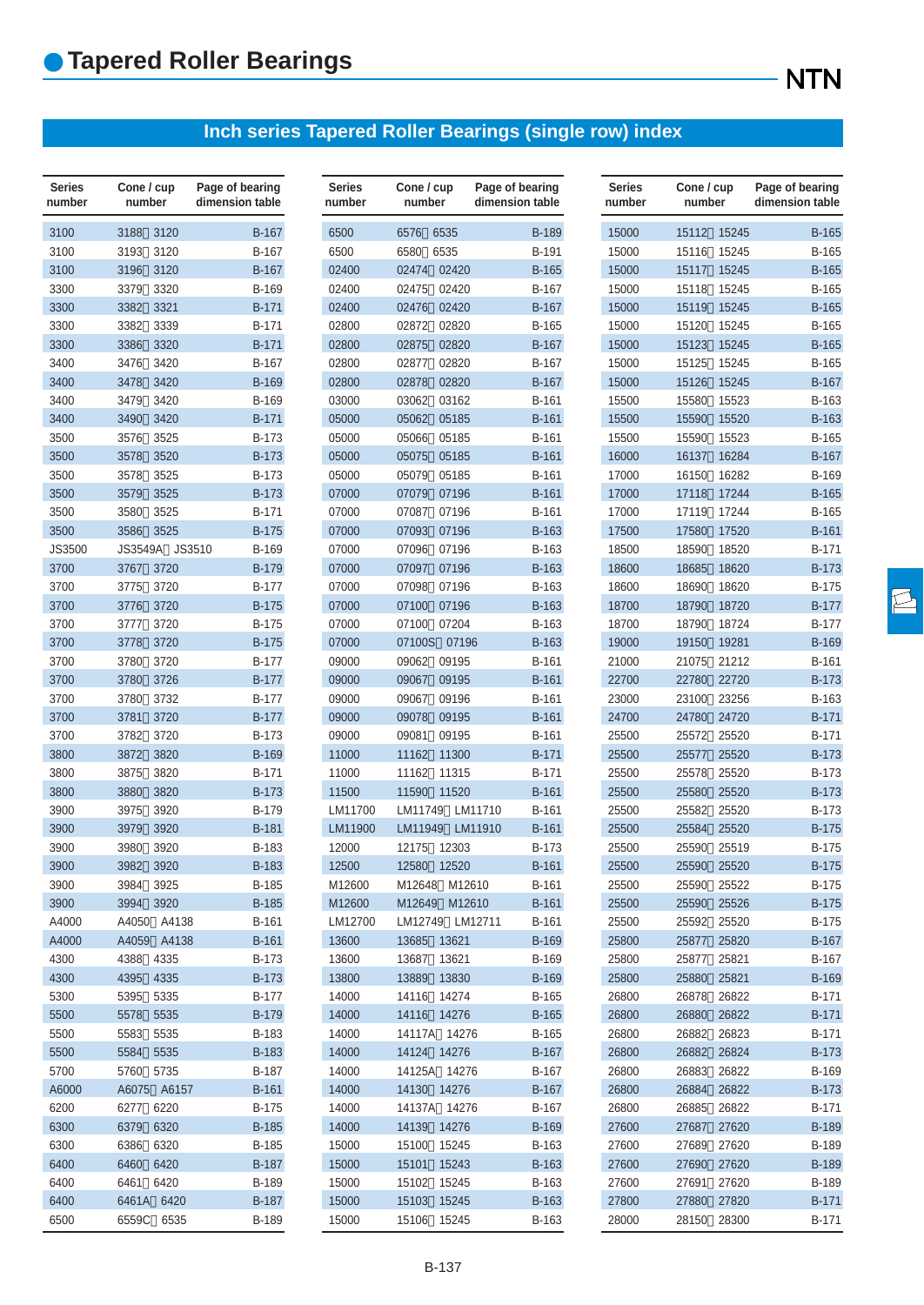# **Inch series Tapered Roller Bearings (single row) index**

| <b>Series</b><br>number | Cone / cup<br>number | Page of bearing<br>dimension table | <b>Series</b><br>number | Cone / cup<br>number | Page of bearing<br>dimension table | <b>Series</b><br>number | Cone / cup<br>number |       | Page of bearing<br>dimension table |
|-------------------------|----------------------|------------------------------------|-------------------------|----------------------|------------------------------------|-------------------------|----------------------|-------|------------------------------------|
| 3100                    | 3120<br>3188         | B-167                              | 6500                    | 6535<br>6576         | B-189                              | 15000                   | 15112 15245          |       | B-165                              |
| 3100                    | 3193<br>3120         | B-167                              | 6500                    | 6535<br>6580         | B-191                              | 15000                   | 15116                | 15245 | B-165                              |
| 3100                    | 3120<br>3196         | B-167                              | 02400                   | 02474<br>02420       | B-165                              | 15000                   | 15117                | 15245 | B-165                              |
| 3300                    | 3379<br>3320         | B-169                              | 02400                   | 02475<br>02420       | B-167                              | 15000                   | 15118                | 15245 | B-165                              |
| 3300                    | 3321<br>3382         | B-171                              | 02400                   | 02476<br>02420       | B-167                              | 15000                   | 15119                | 15245 | B-165                              |
| 3300                    | 3382<br>3339         | B-171                              | 02800                   | 02872<br>02820       | B-165                              | 15000                   | 15120                | 15245 | B-165                              |
| 3300                    | 3386<br>3320         | B-171                              | 02800                   | 02875<br>02820       | B-167                              | 15000                   | 15123                | 15245 | B-165                              |
| 3400                    | 3476<br>3420         | B-167                              | 02800                   | 02877<br>02820       | B-167                              | 15000                   | 15125                | 15245 | B-165                              |
| 3400                    | 3478<br>3420         | B-169                              | 02800                   | 02878<br>02820       | B-167                              | 15000                   | 15126                | 15245 | B-167                              |
| 3400                    | 3479<br>3420         | B-169                              | 03000                   | 03062<br>03162       | B-161                              | 15500                   | 15580                | 15523 | B-163                              |
| 3400                    | 3490<br>3420         | B-171                              | 05000                   | 05062<br>05185       | B-161                              | 15500                   | 15590                | 15520 | B-163                              |
| 3500                    | 3576<br>3525         | B-173                              | 05000                   | 05066<br>05185       | B-161                              | 15500                   | 15590                | 15523 | B-165                              |
| 3500                    | 3520<br>3578         | B-173                              | 05000                   | 05185<br>05075       | B-161                              | 16000                   | 16137                | 16284 | B-167                              |
| 3500                    | 3578<br>3525         | B-173                              | 05000                   | 05079<br>05185       | B-161                              | 17000                   | 16150                | 16282 | B-169                              |
| 3500                    | 3525<br>3579         | B-173                              | 07000                   | 07196<br>07079       | B-161                              | 17000                   | 17118                | 17244 | B-165                              |
| 3500                    | 3580<br>3525         | B-171                              | 07000                   | 07087<br>07196       | B-161                              | 17000                   | 17119                | 17244 | B-165                              |
| 3500                    | 3586<br>3525         | <b>B-175</b>                       | 07000                   | 07196<br>07093       | B-163                              | 17500                   | 17580                | 17520 | B-161                              |
| JS3500                  | JS3549A JS3510       | B-169                              | 07000                   | 07096<br>07196       | B-163                              | 18500                   | 18590                | 18520 | B-171                              |
| 3700                    | 3720<br>3767         | <b>B-179</b>                       | 07000                   | 07196<br>07097       | B-163                              | 18600                   | 18685                | 18620 | <b>B-173</b>                       |
| 3700                    | 3720<br>3775         | B-177                              | 07000                   | 07098<br>07196       | B-163                              | 18600                   | 18690                | 18620 | B-175                              |
| 3700                    | 3720<br>3776         | <b>B-175</b>                       | 07000                   | 07196<br>07100       | B-163                              | 18700                   | 18790                | 18720 | B-177                              |
| 3700                    | 3720<br>3777         | B-175                              | 07000                   | 07204<br>07100       | B-163                              | 18700                   | 18790                | 18724 | <b>B-177</b>                       |
| 3700                    | 3778<br>3720         | <b>B-175</b>                       | 07000                   | 07100S 07196         | B-163                              | 19000                   | 19150                | 19281 | B-169                              |
| 3700                    | 3720<br>3780         | B-177                              | 09000                   | 09062<br>09195       | B-161                              | 21000                   | 21075                | 21212 | B-161                              |
| 3700                    | 3780<br>3726         | B-177                              | 09000                   | 09195<br>09067       | B-161                              | 22700                   | 22780                | 22720 | B-173                              |
| 3700                    | 3780<br>3732         | B-177                              | 09000                   | 09067<br>09196       | B-161                              | 23000                   | 23100                | 23256 | B-163                              |
| 3700                    | 3781<br>3720         | B-177                              | 09000                   | 09195<br>09078       | B-161                              | 24700                   | 24780                | 24720 | B-171                              |
| 3700                    | 3720<br>3782         | B-173                              | 09000                   | 09081<br>09195       | B-161                              | 25500                   | 25572                | 25520 | B-171                              |
| 3800                    | 3872<br>3820         | B-169                              | 11000                   | 11162 11300          | B-171                              | 25500                   | 25577                | 25520 | <b>B-173</b>                       |
| 3800                    | 3875<br>3820         | B-171                              | 11000                   | 11162<br>11315       | B-171                              | 25500                   | 25578                | 25520 | B-173                              |
| 3800                    | 3880<br>3820         | B-173                              | 11500                   | 11590 11520          | B-161                              | 25500                   | 25580                | 25520 | <b>B-173</b>                       |
| 3900                    | 3975<br>3920         | B-179                              | LM11700                 | LM11749              | LM11710<br>B-161                   | 25500                   | 25582                | 25520 | B-173                              |
| 3900                    | 3979<br>3920         | <b>B-181</b>                       | LM11900                 | LM11949              | LM11910<br>B-161                   | 25500                   | 25584                | 25520 | B-175                              |
| 3900                    | 3920<br>3980         | <b>B-183</b>                       | 12000                   | 12175<br>12303       | <b>B-173</b>                       | 25500                   | 25590                | 25519 | B-175                              |
| 3900                    | 3982<br>3920         | B-183                              | 12500                   | 12580 12520          | B-161                              | 25500                   | 25590                | 25520 | B-175                              |
| 3900                    | 3925<br>3984         | <b>B-185</b>                       | M12600                  | M12648 M12610        | B-161                              | 25500                   | 25590 25522          |       | B-175                              |
| 3900                    | 3994<br>3920         | B-185                              | M12600                  | M12649 M12610        | B-161                              | 25500                   | 25590                | 25526 | <b>B-175</b>                       |
| A4000                   | A4050 A4138          | B-161                              | LM12700                 | LM12749 LM12711      | B-161                              | 25500                   | 25592 25520          |       | B-175                              |
| A4000                   | A4059 A4138          | $B-161$                            | 13600                   | 13685 13621          | B-169                              | 25800                   | 25877                | 25820 | B-167                              |
| 4300                    | 4388<br>4335         | B-173                              | 13600                   | 13687<br>13621       | B-169                              | 25800                   | 25877                | 25821 | B-167                              |
| 4300                    | 4395<br>4335         | <b>B-173</b>                       | 13800                   | 13889<br>13830       | B-169                              | 25800                   | 25880                | 25821 | <b>B-169</b>                       |
| 5300                    | 5395<br>5335         | B-177                              | 14000                   | 14116 14274          | B-165                              | 26800                   | 26878                | 26822 | B-171                              |
| 5500                    | 5578 5535            | <b>B-179</b>                       | 14000                   | 14116 14276          | <b>B-165</b>                       | 26800                   | 26880                | 26822 | B-171                              |
| 5500                    | 5583<br>5535         | B-183                              | 14000                   | 14117A 14276         | B-165                              | 26800                   | 26882                | 26823 | B-171                              |
| 5500                    | 5584<br>5535         | B-183                              | 14000                   | 14124 14276          | B-167                              | 26800                   | 26882                | 26824 | B-173                              |
| 5700                    | 5760 5735            | B-187                              | 14000                   | 14125A 14276         | B-167                              | 26800                   | 26883                | 26822 | B-169                              |
| A6000                   | A6075 A6157          | $B-161$                            | 14000                   | 14130 14276          | B-167                              | 26800                   | 26884                | 26822 | B-173                              |
| 6200                    | 6220<br>6277         | B-175                              | 14000                   | 14137A 14276         | B-167                              | 26800                   | 26885                | 26822 | B-171                              |
| 6300                    | 6379<br>6320         | B-185                              | 14000                   | 14139 14276          | B-169                              | 27600                   | 27687                | 27620 | B-189                              |
| 6300                    | 6386<br>6320         | B-185                              | 15000                   | 15100 15245          | B-163                              | 27600                   | 27689                | 27620 | B-189                              |
| 6400                    | 6460 6420            | <b>B-187</b>                       | 15000                   | 15101 15243          | B-163                              | 27600                   | 27690                | 27620 | <b>B-189</b>                       |
| 6400                    | 6461<br>6420         | <b>B-189</b>                       | 15000                   | 15102 15245          | B-163                              | 27600                   | 27691                | 27620 | B-189                              |
| 6400                    | 6461A 6420           | <b>B-187</b>                       | 15000                   | 15103 15245          | B-163                              | 27800                   | 27880 27820          |       | B-171                              |
| 6500                    | 6559C 6535           | B-189                              | 15000                   | 15106 15245          | B-163                              | 28000                   | 28150 28300          |       | B-171                              |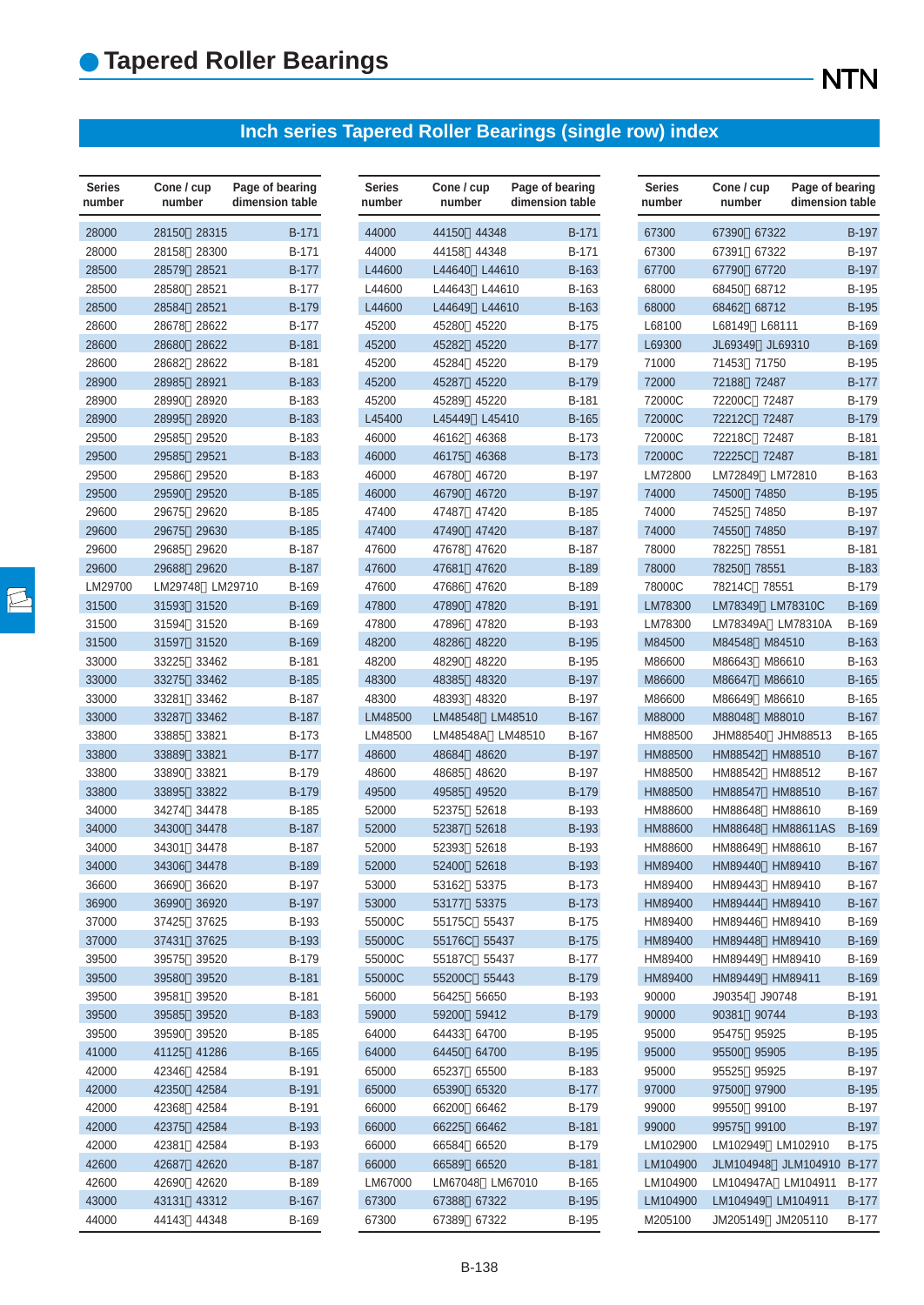# **Inch series Tapered Roller Bearings (single row) index**

| <b>Series</b><br>number | Cone / cup<br>number | Page of bearing<br>dimension table | <b>Series</b><br>number | Cone / cup<br>number | Page of bearing<br>dimension table | <b>Series</b><br>number | Cone / cup<br>number |                                        | Page of bearing<br>dimension table |  |
|-------------------------|----------------------|------------------------------------|-------------------------|----------------------|------------------------------------|-------------------------|----------------------|----------------------------------------|------------------------------------|--|
| 28000                   | 28315<br>28150       | B-171                              | 44000                   | 44348<br>44150       | B-171                              | 67300                   | 67390                | 67322                                  | B-197                              |  |
| 28000                   | 28300<br>28158       | B-171                              | 44000                   | 44158<br>44348       | B-171                              | 67300                   | 67391                | 67322                                  | B-197                              |  |
| 28500                   | 28521<br>28579       | <b>B-177</b>                       | L44600                  | L44640<br>L44610     | B-163                              | 67700                   | 67790                | 67720                                  | B-197                              |  |
| 28500                   | 28580<br>28521       | B-177                              | L44600                  | L44643<br>L44610     | B-163                              | 68000                   | 68450                | 68712                                  | B-195                              |  |
| 28500                   | 28521<br>28584       | <b>B-179</b>                       | L44600                  | L44649<br>L44610     | B-163                              | 68000                   | 68462                | 68712                                  | <b>B-195</b>                       |  |
| 28600                   | 28678<br>28622       | B-177                              | 45200                   | 45280<br>45220       | B-175                              | L68100                  | L68149               | L68111                                 | B-169                              |  |
| 28600                   | 28622<br>28680       | B-181                              | 45200                   | 45220<br>45282       | <b>B-177</b>                       | L69300                  | JL69349              | JL69310                                | <b>B-169</b>                       |  |
| 28600                   | 28682<br>28622       | B-181                              | 45200                   | 45284<br>45220       | B-179                              | 71000                   | 71453 71750          |                                        | B-195                              |  |
| 28900                   | 28921<br>28985       | B-183                              | 45200                   | 45220<br>45287       | <b>B-179</b>                       | 72000                   | 72188<br>72487       |                                        | <b>B-177</b>                       |  |
| 28900                   | 28990<br>28920       | B-183                              | 45200                   | 45289<br>45220       | B-181                              | 72000C                  | 72200C 72487         |                                        | B-179                              |  |
| 28900                   | 28995<br>28920       | B-183                              | L45400                  | L45449<br>L45410     | B-165                              | 72000C                  | 72212C               | 72487                                  | <b>B-179</b>                       |  |
| 29500                   | 29585<br>29520       | B-183                              | 46000                   | 46162<br>46368       | B-173                              | 72000C                  | 72218C               | 72487                                  | B-181                              |  |
| 29500                   | 29521<br>29585       | B-183                              | 46000                   | 46368<br>46175       | B-173                              | 72000C                  | 72225C               | 72487                                  | B-181                              |  |
| 29500                   | 29586<br>29520       | B-183                              | 46000                   | 46780<br>46720       | B-197                              | LM72800                 | LM72849              | LM72810                                | B-163                              |  |
| 29500                   | 29520<br>29590       | B-185                              | 46000                   | 46790<br>46720       | B-197                              | 74000                   | 74500 74850          |                                        | B-195                              |  |
| 29600                   | 29675<br>29620       | B-185                              | 47400                   | 47487<br>47420       | B-185                              | 74000                   | 74525                | 74850                                  | B-197                              |  |
| 29600                   | 29630<br>29675       | B-185                              | 47400                   | 47490<br>47420       | <b>B-187</b>                       | 74000                   | 74550                | 74850                                  | B-197                              |  |
|                         | 29620                |                                    |                         |                      |                                    |                         |                      |                                        | B-181                              |  |
| 29600                   | 29685                | B-187                              | 47600                   | 47678<br>47620       | B-187                              | 78000                   | 78225                | 78551                                  |                                    |  |
| 29600                   | 29688<br>29620       | B-187                              | 47600                   | 47681<br>47620       | <b>B-189</b>                       | 78000                   | 78250                | 78551                                  | B-183                              |  |
| LM29700                 | LM29748              | LM29710<br>B-169                   | 47600                   | 47686<br>47620       | B-189                              | 78000C                  | 78214C 78551         |                                        | B-179                              |  |
| 31500                   | 31593<br>31520       | B-169                              | 47800                   | 47820<br>47890       | <b>B-191</b>                       | LM78300                 | LM78349              | LM78310C                               | <b>B-169</b>                       |  |
| 31500                   | 31594<br>31520       | B-169                              | 47800                   | 47896<br>47820       | B-193                              | LM78300                 |                      | LM78349A LM78310A                      | B-169                              |  |
| 31500                   | 31597<br>31520       | B-169                              | 48200                   | 48220<br>48286       | B-195                              | M84500                  | M84548               | M84510                                 | B-163                              |  |
| 33000                   | 33225<br>33462       | B-181                              | 48200                   | 48290<br>48220       | B-195                              | M86600                  | M86643               | M86610                                 | B-163                              |  |
| 33000                   | 33275<br>33462       | B-185                              | 48300                   | 48320<br>48385       | B-197                              | M86600                  | M86647               | M86610                                 | B-165                              |  |
| 33000                   | 33281<br>33462       | B-187                              | 48300                   | 48393<br>48320       | B-197                              | M86600                  | M86649               | M86610                                 | B-165                              |  |
| 33000                   | 33287<br>33462       | B-187                              | LM48500                 | LM48548              | LM48510<br>B-167                   | M88000                  | M88048               | M88010                                 | B-167                              |  |
| 33800                   | 33885<br>33821       | B-173                              | LM48500                 | LM48548A             | B-167<br>LM48510                   | HM88500                 | JHM88540             | JHM88513                               | B-165                              |  |
| 33800                   | 33889<br>33821       | B-177                              | 48600                   | 48620<br>48684       | B-197                              | HM88500                 | HM88542              | HM88510                                | B-167                              |  |
| 33800                   | 33890<br>33821       | B-179                              | 48600                   | 48685<br>48620       | B-197                              | HM88500                 | HM88542              | HM88512                                | B-167                              |  |
| 33800                   | 33822<br>33895       | <b>B-179</b>                       | 49500                   | 49520<br>49585       | <b>B-179</b>                       | HM88500                 | HM88547              | HM88510                                | B-167                              |  |
| 34000                   | 34274<br>34478       | B-185                              | 52000                   | 52375<br>52618       | B-193                              | HM88600                 | HM88648              | HM88610                                | B-169                              |  |
| 34000                   | 34300<br>34478       | B-187                              | 52000                   | 52387<br>52618       | B-193                              | HM88600                 | HM88648              | <b>HM88611AS</b>                       | <b>B-169</b>                       |  |
| 34000                   | 34301<br>34478       | B-187                              | 52000                   | 52393<br>52618       | B-193                              | HM88600                 | HM88649              | HM88610                                | B-167                              |  |
| 34000                   | 34306<br>34478       | <b>B-189</b>                       | 52000                   | 52400<br>52618       | B-193                              | HM89400                 | HM89440              | HM89410                                | B-167                              |  |
| 36600                   | 36620<br>36690       | B-197                              | 53000                   | 53162 53375          | B-173                              | HM89400                 | HM89443 HM89410      |                                        | B-167                              |  |
| 36900                   | 36920<br>36990       | <b>B-197</b>                       | 53000                   | 53177 53375          | <b>B-173</b>                       | HM89400                 | HM89444              | HM89410                                | B-167                              |  |
| 37000                   | 37425 37625          | B-193                              | 55000C                  | 55175C 55437         | B-175                              | HM89400                 | HM89446              | HM89410                                | B-169                              |  |
| 37000                   | 37625<br>37431       | B-193                              | 55000C                  | 55176C 55437         | <b>B-175</b>                       | HM89400                 | HM89448              | HM89410                                | B-169                              |  |
| 39500                   | 39575<br>39520       | <b>B-179</b>                       | 55000C                  | 55187C 55437         | B-177                              | HM89400                 | HM89449              | HM89410                                | B-169                              |  |
| 39500                   | 39580<br>39520       | <b>B-181</b>                       | 55000C                  | 55200C 55443         | <b>B-179</b>                       | HM89400                 | HM89449              | HM89411                                | B-169                              |  |
| 39500                   | 39581<br>39520       | B-181                              | 56000                   | 56425 56650          | B-193                              | 90000                   | J90354 J90748        |                                        | B-191                              |  |
| 39500                   | 39585<br>39520       | B-183                              | 59000                   | 59200<br>59412       | <b>B-179</b>                       | 90000                   | 90381 90744          |                                        | B-193                              |  |
| 39500                   | 39590<br>39520       | B-185                              | 64000                   | 64433<br>64700       | B-195                              | 95000                   | 95475                | 95925                                  | B-195                              |  |
| 41000                   | 41125<br>41286       | B-165                              | 64000                   | 64450<br>64700       | <b>B-195</b>                       | 95000                   | 95500                | 95905                                  | <b>B-195</b>                       |  |
| 42000                   | 42346<br>42584       | B-191                              | 65000                   | 65237<br>65500       | B-183                              | 95000                   | 95525                | 95925                                  | B-197                              |  |
| 42000                   | 42350<br>42584       | B-191                              | 65000                   | 65390<br>65320       | <b>B-177</b>                       | 97000                   | 97500                | 97900                                  | <b>B-195</b>                       |  |
| 42000                   | 42368<br>42584       | B-191                              | 66000                   | 66200<br>66462       | B-179                              | 99000                   | 99550                | 99100                                  | B-197                              |  |
| 42000                   | 42375<br>42584       | B-193                              | 66000                   | 66225<br>66462       | B-181                              | 99000                   | 99575 99100          |                                        | B-197                              |  |
| 42000                   | 42381<br>42584       | B-193                              | 66000                   | 66584<br>66520       | B-179                              | LM102900                |                      | LM102949 LM102910                      | B-175                              |  |
| 42600                   | 42687<br>42620       | <b>B-187</b>                       | 66000                   | 66589 66520          | <b>B-181</b>                       | LM104900                |                      | JLM104948 JLM104910 B-177              |                                    |  |
| 42600                   | 42690<br>42620       | B-189                              | LM67000                 | LM67048 LM67010      | B-165                              | LM104900                |                      | LM104947A LM104911                     | B-177                              |  |
| 43000                   | 43131<br>43312       | B-167                              | 67300                   | 67388 67322          | <b>B-195</b>                       | LM104900                |                      |                                        |                                    |  |
| 44000                   | 44143<br>44348       | B-169                              | 67300                   | 67389 67322          | <b>B-195</b>                       | M205100                 |                      | LM104949 LM104911<br>JM205149 JM205110 | B-177<br>B-177                     |  |
|                         |                      |                                    |                         |                      |                                    |                         |                      |                                        |                                    |  |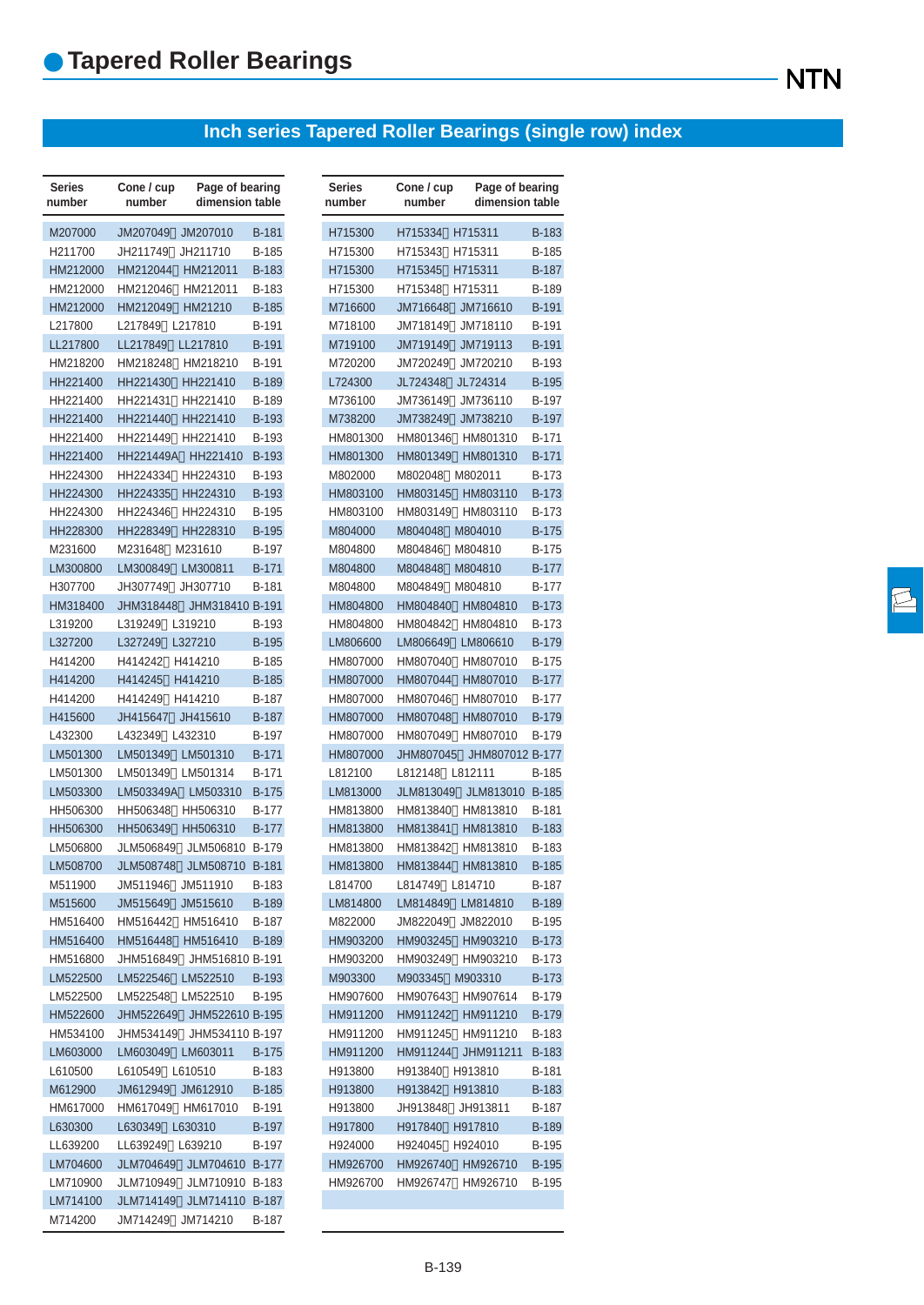| <b>Series</b><br>number | Cone / cup<br>Page of bearing<br>number<br>dimension table |                           |              | <b>Series</b><br>number | Cone / cup<br>number | Page of bearing<br>dimension table |              |
|-------------------------|------------------------------------------------------------|---------------------------|--------------|-------------------------|----------------------|------------------------------------|--------------|
| M207000                 | JM207049                                                   | JM207010                  | B-181        | H715300                 | H715334              | H715311                            | B-183        |
| H <sub>211700</sub>     | JH211749                                                   | JH211710                  | <b>B-185</b> | H715300                 | H715343              | H715311                            | <b>B-185</b> |
| HM212000                | HM212044                                                   | HM212011                  | <b>B-183</b> | H715300                 | H715345              | H715311                            | <b>B-187</b> |
| HM212000                | HM212046                                                   | HM212011                  | <b>B-183</b> | H715300                 | H715348              | H715311                            | <b>B-189</b> |
| HM212000                | HM212049                                                   | HM21210                   | <b>B-185</b> | M716600                 | JM716648             | JM716610                           | <b>B-191</b> |
| L217800                 | L217849                                                    | L217810                   | B-191        | M718100                 | JM718149             | JM718110                           | B-191        |
| LL217800                | LL217849                                                   | LL217810                  | <b>B-191</b> | M719100                 | JM719149             | JM719113                           | <b>B-191</b> |
| HM218200                | HM218248                                                   | HM218210                  | B-191        | M720200                 | JM720249             | JM720210                           | <b>B-193</b> |
| HH221400                | HH221430                                                   | HH221410                  | <b>B-189</b> | L724300                 | JL724348             | JL724314                           | <b>B-195</b> |
| HH221400                | HH221431                                                   | HH221410                  | <b>B-189</b> | M736100                 | JM736149             | JM736110                           | B-197        |
| HH221400                | HH221440                                                   | HH221410                  | <b>B-193</b> | M738200                 | JM738249             | JM738210                           | <b>B-197</b> |
| HH221400                | HH221449                                                   | HH221410                  | <b>B-193</b> | HM801300                | HM801346             | HM801310                           | B-171        |
| HH221400                | HH221449A                                                  | HH221410                  | B-193        | HM801300                | HM801349             | HM801310                           | B-171        |
| HH224300                | HH224334                                                   | HH224310                  | <b>B-193</b> | M802000                 | M802048              | M802011                            | B-173        |
| HH224300                | HH224335                                                   | HH224310                  | <b>B-193</b> | HM803100                | HM803145             | HM803110                           | <b>B-173</b> |
| HH224300                | HH224346                                                   | HH224310                  | <b>B-195</b> | HM803100                | HM803149             | HM803110                           | B-173        |
| HH228300                | HH228349                                                   | HH228310                  | <b>B-195</b> | M804000                 | M804048              | M804010                            | <b>B-175</b> |
| M231600                 | M231648                                                    | M231610                   | B-197        | M804800                 | M804846              | M804810                            | <b>B-175</b> |
| LM300800                | LM300849                                                   | LM300811                  | B-171        | M804800                 | M804848              | M804810                            | <b>B-177</b> |
| H307700                 | JH307749                                                   | JH307710                  | B-181        | M804800                 | M804849              | M804810                            | B-177        |
| HM318400                | JHM318448                                                  | JHM318410 B-191           |              | HM804800                | HM804840             | HM804810                           | <b>B-173</b> |
| L319200                 | L319249                                                    | L319210                   | <b>B-193</b> | HM804800                | HM804842             | HM804810                           | B-173        |
| L327200                 | L327249                                                    | L327210                   | <b>B-195</b> | LM806600                | LM806649             | LM806610                           | <b>B-179</b> |
| H414200                 | H414242                                                    | H414210                   | <b>B-185</b> | HM807000                | HM807040             | HM807010                           | <b>B-175</b> |
| H414200                 | H414245                                                    | H414210                   | <b>B-185</b> | HM807000                | HM807044             | HM807010                           | <b>B-177</b> |
| H414200                 | H414249                                                    | H414210                   | B-187        | HM807000                | HM807046             | HM807010                           | B-177        |
| H415600                 | JH415647                                                   | JH415610                  | <b>B-187</b> | HM807000                | HM807048             | HM807010                           | <b>B-179</b> |
| L432300                 | L432349                                                    | L432310                   | B-197        | HM807000                | HM807049             | HM807010                           | B-179        |
| LM501300                | LM501349                                                   | LM501310                  | B-171        | HM807000                | JHM807045            | JHM807012 B-177                    |              |
| LM501300                | LM501349                                                   | LM501314                  | B-171        | L812100                 | L812148              | L812111                            | <b>B-185</b> |
| LM503300                | LM503349A                                                  | LM503310                  | <b>B-175</b> | LM813000                | JLM813049            | JLM813010 B-185                    |              |
| HH506300                | HH506348                                                   | HH506310                  | B-177        | HM813800                | HM813840             | HM813810                           | B-181        |
| HH506300                | HH506349                                                   | HH506310                  | <b>B-177</b> | HM813800                | HM813841             | HM813810                           | <b>B-183</b> |
| LM506800                | JLM506849                                                  | JLM506810 B-179           |              | HM813800                | HM813842             | HM813810                           | B-183        |
| LM508700                | JLM508748                                                  | JLM508710 B-181           |              | HM813800                | HM813844             | HM813810                           | B-185        |
| M511900                 | JM511946                                                   | JM511910                  | B-183        | L814700                 | L814749 L814710      |                                    | B-187        |
| M515600                 | JM515649                                                   | JM515610                  | <b>B-189</b> | LM814800                | LM814849             | LM814810                           | <b>B-189</b> |
| HM516400                | HM516442                                                   | HM516410                  | B-187        | M822000                 | JM822049             | JM822010                           | <b>B-195</b> |
| HM516400                | HM516448                                                   | HM516410                  | <b>B-189</b> | HM903200                | HM903245             | HM903210                           | <b>B-173</b> |
| HM516800                |                                                            | JHM516849 JHM516810 B-191 |              | HM903200                | HM903249             | HM903210                           | B-173        |
| LM522500                | LM522546                                                   | LM522510                  | B-193        | M903300                 | M903345              | M903310                            | B-173        |
| LM522500                | LM522548                                                   | LM522510                  | <b>B-195</b> | HM907600                | HM907643             | HM907614                           | <b>B-179</b> |
| HM522600                |                                                            | JHM522649 JHM522610 B-195 |              | HM911200                | HM911242             | HM911210                           | <b>B-179</b> |
| HM534100                |                                                            | JHM534149 JHM534110 B-197 |              | HM911200                | HM911245             | HM911210                           | <b>B-183</b> |
| LM603000                | LM603049 LM603011                                          |                           | <b>B-175</b> | HM911200                | HM911244             | JHM911211                          | B-183        |
| L610500                 | L610549 L610510                                            |                           | B-183        | H913800                 | H913840              | H913810                            | B-181        |
| M612900                 | JM612949                                                   | JM612910                  | B-185        | H913800                 | H913842              | H913810                            | B-183        |
| HM617000                | HM617049 HM617010                                          |                           | <b>B-191</b> | H913800                 | JH913848 JH913811    |                                    | B-187        |
| L630300                 | L630349                                                    | L630310                   | <b>B-197</b> | H917800                 | H917840              | H917810                            | <b>B-189</b> |
| LL639200                | LL639249                                                   | L639210                   | B-197        | H924000                 | H924045              | H924010                            | <b>B-195</b> |
| LM704600                | JLM704649                                                  | JLM704610 B-177           |              | HM926700                |                      | HM926740 HM926710                  | <b>B-195</b> |
| LM710900                | JLM710949                                                  | JLM710910 B-183           |              | HM926700                | HM926747             | HM926710                           | B-195        |
| LM714100                | JLM714149                                                  | JLM714110 B-187           |              |                         |                      |                                    |              |
| M714200                 | JM714249                                                   | JM714210                  | B-187        |                         |                      |                                    |              |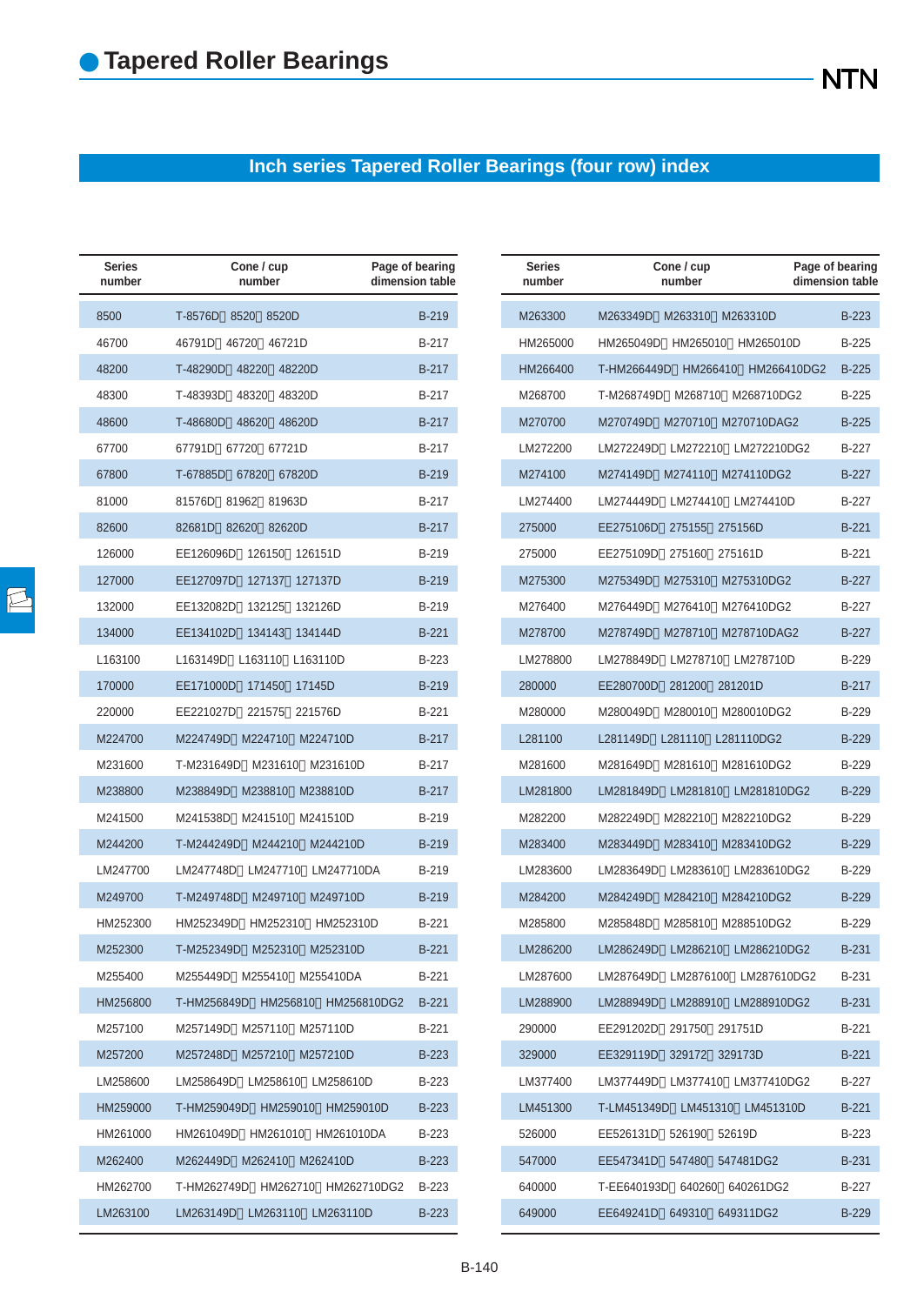# **Inch series Tapered Roller Bearings (four row) index**

| <b>Series</b><br>number | Cone / cup<br>number               | Page of bearing<br>dimension table | <b>Series</b><br>number | Cone / cup<br>Page of bearing<br>dimension table<br>number |              |
|-------------------------|------------------------------------|------------------------------------|-------------------------|------------------------------------------------------------|--------------|
| 8500                    | 8520 8520D<br>T-8576D              | <b>B-219</b>                       | M263300                 | M263349D<br>M263310 M263310D                               | B-223        |
| 46700                   | 46720<br>46721D<br>46791D          | B-217                              | HM265000                | HM265049D HM265010 HM265010D                               | $B-225$      |
| 48200                   | 48220<br>48220D<br>T-48290D        | B-217                              | HM266400                | T-HM266449D<br>HM266410 HM266410DG2                        | <b>B-225</b> |
| 48300                   | T-48393D<br>48320<br>48320D        | B-217                              | M268700                 | T-M268749D<br>M268710 M268710DG2                           | $B-225$      |
| 48600                   | 48620<br>48620D<br>T-48680D        | $B-217$                            | M270700                 | M270749D<br>M270710 M270710DAG2                            | <b>B-225</b> |
| 67700                   | 67791D<br>67720<br>67721D          | B-217                              | LM272200                | LM272249D<br>LM272210 LM272210DG2                          | B-227        |
| 67800                   | T-67885D<br>67820<br>67820D        | <b>B-219</b>                       | M274100                 | M274149D<br>M274110 M274110DG2                             | <b>B-227</b> |
| 81000                   | 81576D 81962 81963D                | B-217                              | LM274400                | LM274449D<br>LM274410 LM274410D                            | B-227        |
| 82600                   | 82620 82620D<br>82681D             | B-217                              | 275000                  | EE275106D<br>275155 275156D                                | <b>B-221</b> |
| 126000                  | EE126096D<br>126150 126151D        | B-219                              | 275000                  | EE275109D 275160 275161D                                   | B-221        |
| 127000                  | EE127097D<br>127137 127137D        | <b>B-219</b>                       | M275300                 | M275349D<br>M275310<br>M275310DG2                          | <b>B-227</b> |
| 132000                  | EE132082D<br>132125 132126D        | B-219                              | M276400                 | M276449D<br>M276410<br>M276410DG2                          | B-227        |
| 134000                  | EE134102D<br>134143 134144D        | $B-221$                            | M278700                 | M278749D<br>M278710<br>M278710DAG2                         | <b>B-227</b> |
| L163100                 | L163149D L163110 L163110D          | B-223                              | LM278800                | LM278710 LM278710D<br>LM278849D                            | B-229        |
| 170000                  | EE171000D<br>171450 17145D         | <b>B-219</b>                       | 280000                  | EE280700D<br>281200 281201D                                | $B-217$      |
| 220000                  | EE221027D<br>221575<br>221576D     | B-221                              | M280000                 | M280049D<br>M280010<br>M280010DG2                          | <b>B-229</b> |
| M224700                 | M224749D<br>M224710 M224710D       | $B-217$                            | L281100                 | L281149D<br>L281110 L281110DG2                             | <b>B-229</b> |
| M231600                 | T-M231649D<br>M231610<br>M231610D  | B-217                              | M281600                 | M281649D<br>M281610 M281610DG2                             | <b>B-229</b> |
| M238800                 | M238849D<br>M238810 M238810D       | B-217                              | LM281800                | LM281849D<br>LM281810 LM281810DG2                          | <b>B-229</b> |
| M241500                 | M241538D<br>M241510 M241510D       | B-219                              | M282200                 | M282210 M282210DG2<br>M282249D                             | B-229        |
| M244200                 | T-M244249D<br>M244210<br>M244210D  | <b>B-219</b>                       | M283400                 | M283449D<br>M283410<br>M283410DG2                          | <b>B-229</b> |
| LM247700                | LM247748D LM247710 LM247710DA      | B-219                              | LM283600                | LM283649D<br>LM283610 LM283610DG2                          | <b>B-229</b> |
| M249700                 | T-M249748D<br>M249710<br>M249710D  | <b>B-219</b>                       | M284200                 | M284249D<br>M284210<br>M284210DG2                          | <b>B-229</b> |
| HM252300                | HM252349D<br>HM252310<br>HM252310D | B-221                              | M285800                 | M285848D<br>M285810<br>M288510DG2                          | <b>B-229</b> |
| M252300                 | T-M252349D M252310 M252310D        | $B-221$                            | LM286200                | LM286249D LM286210 LM286210DG2                             | B-231        |
| M255400                 | M255449D M255410 M255410DA         | B-221                              | LM287600                | LM287649D LM2876100 LM287610DG2                            | B-231        |
| HM256800                | T-HM256849D HM256810 HM256810DG2   | B-221                              | LM288900                | LM288949D LM288910 LM288910DG2                             | <b>B-231</b> |
| M257100                 | M257149D M257110 M257110D          | B-221                              | 290000                  | EE291202D 291750 291751D                                   | B-221        |
| M257200                 | M257248D M257210 M257210D          | $B-223$                            | 329000                  | EE329119D 329172 329173D                                   | $B-221$      |
| LM258600                | LM258649D LM258610 LM258610D       | B-223                              | LM377400                | LM377449D LM377410 LM377410DG2                             | B-227        |
| HM259000                | T-HM259049D HM259010 HM259010D     | $B-223$                            | LM451300                | T-LM451349D LM451310 LM451310D                             | $B-221$      |
| HM261000                | HM261049D HM261010 HM261010DA      | B-223                              | 526000                  | EE526131D 526190 52619D                                    | B-223        |
| M262400                 | M262449D M262410 M262410D          | B-223                              | 547000                  | EE547341D 547480 547481DG2                                 | <b>B-231</b> |
| HM262700                | T-HM262749D HM262710 HM262710DG2   | B-223                              | 640000                  | T-EE640193D 640260 640261DG2                               | B-227        |
| LM263100                | LM263149D LM263110 LM263110D       | $B-223$                            | 649000                  | EE649241D 649310 649311DG2                                 | <b>B-229</b> |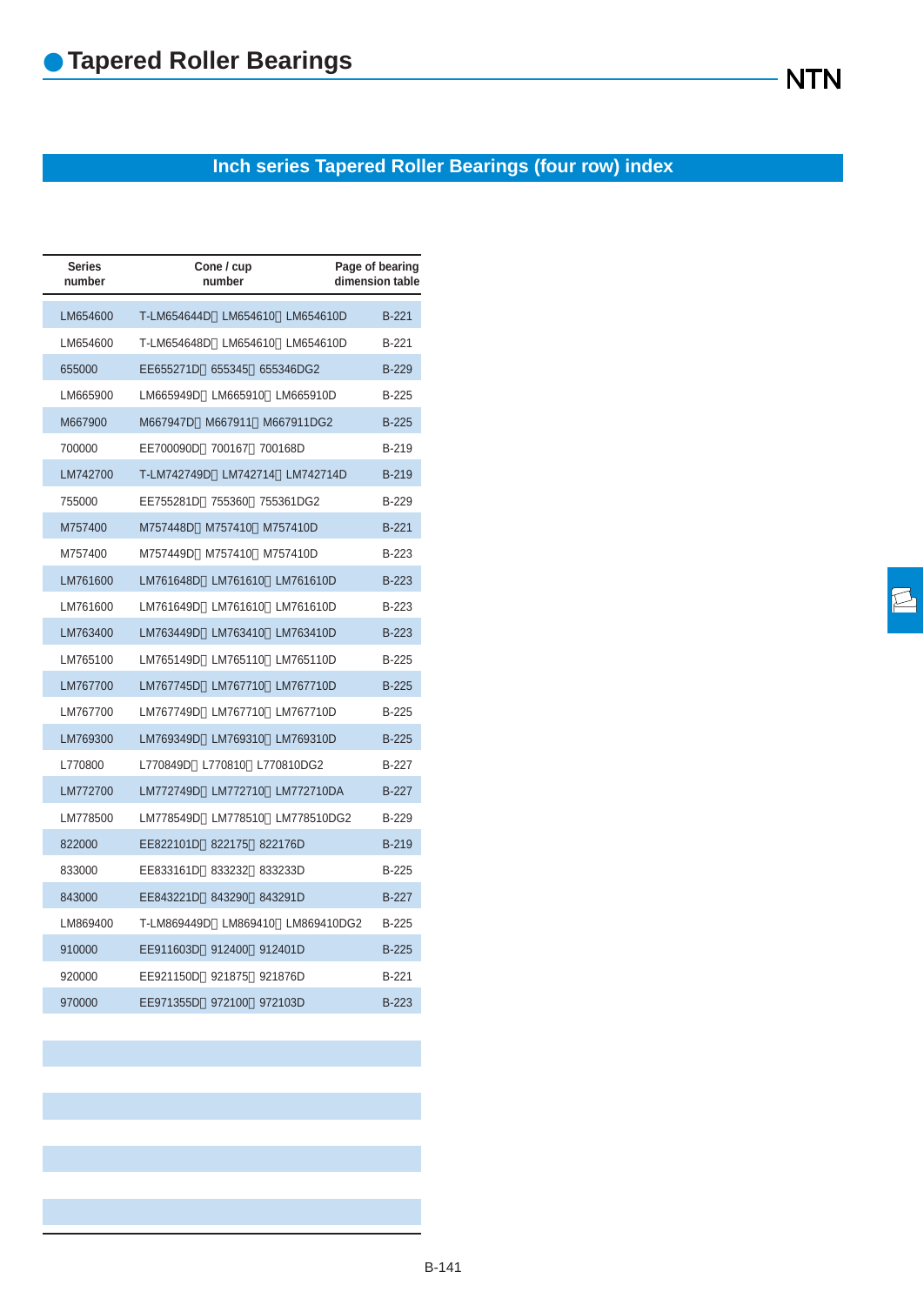# **Inch series Tapered Roller Bearings (four row) index**

| <b>Series</b><br>number | Cone / cup<br>number                   | Page of bearing<br>dimension table |
|-------------------------|----------------------------------------|------------------------------------|
| LM654600                | T-LM654644D<br>LM654610<br>LM654610D   | $B-221$                            |
| LM654600                | T-LM654648D<br>LM654610<br>LM654610D   | <b>B-221</b>                       |
| 655000                  | EE655271D<br>655346DG2<br>655345       | <b>B-229</b>                       |
| LM665900                | LM665949D<br>LM665910<br>LM665910D     | <b>B-225</b>                       |
| M667900                 | M667947D<br>M667911<br>M667911DG2      | $B-225$                            |
| 700000                  | EE700090D<br>700167<br>700168D         | B-219                              |
| LM742700                | T-LM742749D<br>LM742714<br>LM742714D   | <b>B-219</b>                       |
| 755000                  | EE755281D<br>755360<br>755361DG2       | <b>B-229</b>                       |
| M757400                 | M757448D<br>M757410<br>M757410D        | $B-221$                            |
| M757400                 | M757449D<br>M757410<br>M757410D        | B-223                              |
| LM761600                | LM761648D<br>LM761610<br>LM761610D     | $B-223$                            |
| LM761600                | LM761649D<br>LM761610<br>LM761610D     | B-223                              |
| LM763400                | LM763449D<br>LM763410<br>LM763410D     | $B-223$                            |
| LM765100                | LM765149D<br>LM765110<br>LM765110D     | $B-225$                            |
| LM767700                | LM767745D<br>LM767710<br>LM767710D     | $B-225$                            |
| LM767700                | LM767749D<br>LM767710<br>LM767710D     | <b>B-225</b>                       |
| LM769300                | LM769349D<br>LM769310<br>LM769310D     | $B-225$                            |
| L770800                 | L770849D<br>L770810<br>L770810DG2      | <b>B-227</b>                       |
| LM772700                | LM772749D<br>LM772710<br>LM772710DA    | $B-227$                            |
| LM778500                | LM778549D<br>LM778510<br>LM778510DG2   | B-229                              |
| 822000                  | EE822101D<br>822175<br>822176D         | <b>B-219</b>                       |
| 833000                  | 833232<br>EE833161D<br>833233D         | $B-225$                            |
| 843000                  | EE843221D<br>843290<br>843291D         | $B-227$                            |
| LM869400                | T-LM869449D<br>LM869410<br>LM869410DG2 | <b>B-225</b>                       |
| 910000                  | EE911603D<br>912400<br>912401D         | $B-225$                            |
| 920000                  | EE921150D<br>921875<br>921876D         | B-221                              |
| 970000                  | EE971355D<br>972100<br>972103D         | $B-223$                            |

**NTN**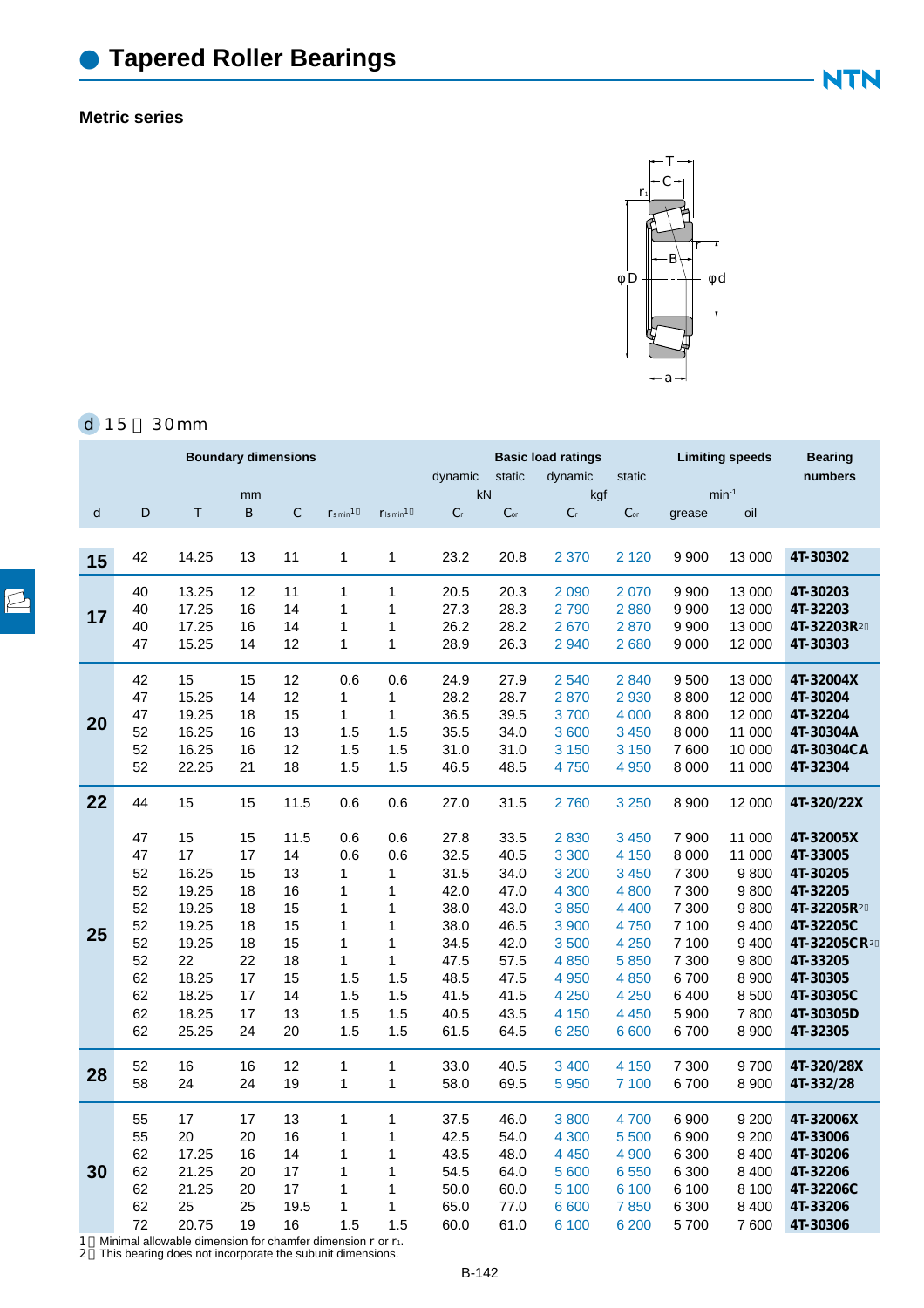

### *d* 15 ~ 30mm

|                |                                                                      |                                                                                                 |                                                                      | <b>Boundary dimensions</b>                                             |                                                                                                      |                                                                                                                 | <b>Basic load ratings</b><br><b>Limiting speeds</b><br>dynamic<br>static<br>dynamic<br>static |                                                                                              |                                                                                                              |                                                                                                                   |                                                                                                           |                                                                                                               | <b>Bearing</b><br>numbers                                                                                                                                         |
|----------------|----------------------------------------------------------------------|-------------------------------------------------------------------------------------------------|----------------------------------------------------------------------|------------------------------------------------------------------------|------------------------------------------------------------------------------------------------------|-----------------------------------------------------------------------------------------------------------------|-----------------------------------------------------------------------------------------------|----------------------------------------------------------------------------------------------|--------------------------------------------------------------------------------------------------------------|-------------------------------------------------------------------------------------------------------------------|-----------------------------------------------------------------------------------------------------------|---------------------------------------------------------------------------------------------------------------|-------------------------------------------------------------------------------------------------------------------------------------------------------------------|
|                |                                                                      |                                                                                                 | mm                                                                   |                                                                        |                                                                                                      |                                                                                                                 |                                                                                               | kN                                                                                           | kgf                                                                                                          |                                                                                                                   |                                                                                                           | $min-1$                                                                                                       |                                                                                                                                                                   |
| $\overline{d}$ | $\cal D$                                                             | $\cal T$                                                                                        | $\boldsymbol{B}$                                                     | $\mathcal{C}$                                                          | $r_{\rm s\,min}$ <sup>1</sup>                                                                        | $n s$ min <sup>1</sup>                                                                                          | $C_{\rm r}$                                                                                   | $C_{\text{or}}$                                                                              | $C_{\rm r}$                                                                                                  | $C_{\rm or}$                                                                                                      | grease                                                                                                    | oil                                                                                                           |                                                                                                                                                                   |
|                |                                                                      |                                                                                                 |                                                                      |                                                                        |                                                                                                      |                                                                                                                 |                                                                                               |                                                                                              |                                                                                                              |                                                                                                                   |                                                                                                           |                                                                                                               |                                                                                                                                                                   |
| 15             | 42                                                                   | 14.25                                                                                           | 13                                                                   | 11                                                                     | $\mathbf{1}$                                                                                         | $\mathbf{1}$                                                                                                    | 23.2                                                                                          | 20.8                                                                                         | 2 3 7 0                                                                                                      | 2 1 2 0                                                                                                           | 9 9 0 0                                                                                                   | 13 000                                                                                                        | 4T-30302                                                                                                                                                          |
| 17             | 40<br>40<br>40                                                       | 13.25<br>17.25<br>17.25                                                                         | 12<br>16<br>16                                                       | 11<br>14<br>14                                                         | 1<br>$\mathbf{1}$<br>1                                                                               | 1<br>$\mathbf{1}$<br>$\mathbf{1}$                                                                               | 20.5<br>27.3<br>26.2                                                                          | 20.3<br>28.3<br>28.2                                                                         | 2 0 9 0<br>2790<br>2670                                                                                      | 2070<br>2880<br>2870                                                                                              | 9 9 0 0<br>9 9 0 0<br>9 9 0 0                                                                             | 13 000<br>13 000<br>13 000                                                                                    | 4T-30203<br>4T-32203<br>4T-32203R <sup>2</sup>                                                                                                                    |
|                | 47                                                                   | 15.25                                                                                           | 14                                                                   | 12                                                                     | $\mathbf{1}$                                                                                         | $\mathbf{1}$                                                                                                    | 28.9                                                                                          | 26.3                                                                                         | 2940                                                                                                         | 2680                                                                                                              | 9 0 0 0                                                                                                   | 12 000                                                                                                        | 4T-30303                                                                                                                                                          |
| 20             | 42<br>47<br>47<br>52<br>52<br>52                                     | 15<br>15.25<br>19.25<br>16.25<br>16.25<br>22.25                                                 | 15<br>14<br>18<br>16<br>16<br>21                                     | 12<br>12<br>15<br>13<br>12<br>18                                       | 0.6<br>$\mathbf{1}$<br>1<br>1.5<br>1.5<br>1.5                                                        | 0.6<br>$\mathbf{1}$<br>1<br>1.5<br>1.5<br>1.5                                                                   | 24.9<br>28.2<br>36.5<br>35.5<br>31.0<br>46.5                                                  | 27.9<br>28.7<br>39.5<br>34.0<br>31.0<br>48.5                                                 | 2540<br>2870<br>3700<br>3 600<br>3 1 5 0<br>4750                                                             | 2840<br>2930<br>4 0 0 0<br>3 4 5 0<br>3 1 5 0<br>4 9 5 0                                                          | 9500<br>8 8 0 0<br>8800<br>8 0 0 0<br>7600<br>8 0 0 0                                                     | 13 000<br>12 000<br>12 000<br>11 000<br>10 000<br>11 000                                                      | 4T-32004X<br>4T-30204<br>4T-32204<br>4T-30304A<br>4T-30304CA<br>4T-32304                                                                                          |
| 22             | 44                                                                   | 15                                                                                              | 15                                                                   | 11.5                                                                   | 0.6                                                                                                  | 0.6                                                                                                             | 27.0                                                                                          | 31.5                                                                                         | 2760                                                                                                         | 3 2 5 0                                                                                                           | 8 9 0 0                                                                                                   | 12 000                                                                                                        | 4T-320/22X                                                                                                                                                        |
| 25             | 47<br>47<br>52<br>52<br>52<br>52<br>52<br>52<br>62<br>62<br>62<br>62 | 15<br>17<br>16.25<br>19.25<br>19.25<br>19.25<br>19.25<br>22<br>18.25<br>18.25<br>18.25<br>25.25 | 15<br>17<br>15<br>18<br>18<br>18<br>18<br>22<br>17<br>17<br>17<br>24 | 11.5<br>14<br>13<br>16<br>15<br>15<br>15<br>18<br>15<br>14<br>13<br>20 | 0.6<br>0.6<br>1<br>1<br>$\mathbf 1$<br>$\mathbf{1}$<br>1<br>$\mathbf{1}$<br>1.5<br>1.5<br>1.5<br>1.5 | 0.6<br>0.6<br>$\mathbf 1$<br>1<br>$\mathbf{1}$<br>$\mathbf{1}$<br>1<br>$\mathbf{1}$<br>1.5<br>1.5<br>1.5<br>1.5 | 27.8<br>32.5<br>31.5<br>42.0<br>38.0<br>38.0<br>34.5<br>47.5<br>48.5<br>41.5<br>40.5<br>61.5  | 33.5<br>40.5<br>34.0<br>47.0<br>43.0<br>46.5<br>42.0<br>57.5<br>47.5<br>41.5<br>43.5<br>64.5 | 2830<br>3 3 0 0<br>3 200<br>4 300<br>3850<br>3 900<br>3500<br>4850<br>4 9 5 0<br>4 2 5 0<br>4 150<br>6 2 5 0 | 3 4 5 0<br>4 150<br>3 4 5 0<br>4 800<br>4 4 0 0<br>4750<br>4 2 5 0<br>5850<br>4850<br>4 2 5 0<br>4 4 5 0<br>6 600 | 7 9 0 0<br>8 0 0 0<br>7 300<br>7 300<br>7 300<br>7 100<br>7 100<br>7 300<br>6700<br>6400<br>5 900<br>6700 | 11 000<br>11 000<br>9800<br>9800<br>9800<br>9 4 0 0<br>9 4 0 0<br>9800<br>8 9 0 0<br>8 500<br>7800<br>8 9 0 0 | 4T-32005X<br>4T-33005<br>4T-30205<br>4T-32205<br>4T-32205R <sup>2</sup><br>4T-32205C<br>4T-32205CR2<br>4T-33205<br>4T-30305<br>4T-30305C<br>4T-30305D<br>4T-32305 |
| 28             | 52<br>58                                                             | 16<br>24                                                                                        | 16<br>24                                                             | 12<br>19                                                               | $\mathbf 1$<br>$\mathbf{1}$                                                                          | $\mathbf 1$<br>$\mathbf{1}$                                                                                     | 33.0<br>58.0                                                                                  | 40.5<br>69.5                                                                                 | 3 4 0 0<br>5 9 5 0                                                                                           | 4 150<br>7 100                                                                                                    | 7 300<br>6700                                                                                             | 9700<br>8 9 0 0                                                                                               | 4T-320/28X<br>4T-332/28                                                                                                                                           |
| 30             | 55<br>55<br>62<br>62<br>62<br>62<br>72                               | 17<br>20<br>17.25<br>21.25<br>21.25<br>25<br>20.75                                              | 17<br>20<br>16<br>20<br>20<br>25<br>19                               | 13<br>16<br>14<br>17<br>17<br>19.5<br>16                               | 1<br>1<br>$\mathbf{1}$<br>1<br>1<br>$\mathbf 1$<br>1.5                                               | $\mathbf 1$<br>1<br>$\mathbf{1}$<br>1<br>1<br>$\mathbf 1$<br>1.5                                                | 37.5<br>42.5<br>43.5<br>54.5<br>50.0<br>65.0<br>60.0                                          | 46.0<br>54.0<br>48.0<br>64.0<br>60.0<br>77.0<br>61.0                                         | 3800<br>4 300<br>4 4 5 0<br>5 600<br>5 100<br>6 600<br>6 100                                                 | 4700<br>5 500<br>4 900<br>6 5 5 0<br>6 100<br>7850<br>6 200                                                       | 6 900<br>6 900<br>6 300<br>6 300<br>6 100<br>6 300<br>5700                                                | 9 2 0 0<br>9 2 0 0<br>8 4 0 0<br>8 4 0 0<br>8 100<br>8 4 0 0<br>7600                                          | 4T-32006X<br>4T-33006<br>4T-30206<br>4T-32206<br>4T-32206C<br>4T-33206<br>4T-30306                                                                                |

1)Minimal allowable dimension for chamfer dimension *r* or *r*1. 2)This bearing does not incorporate the subunit dimensions.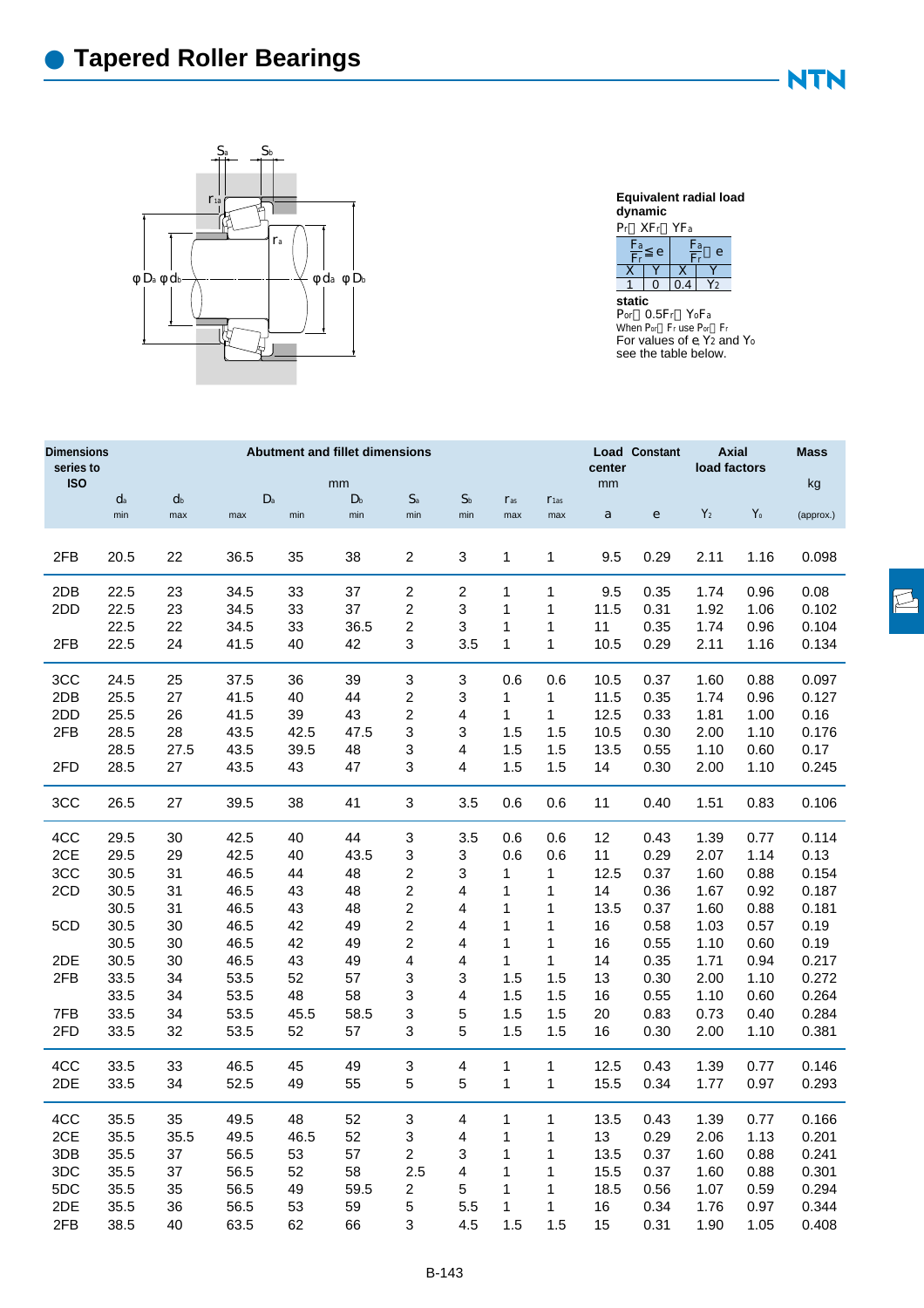





| <b>Dimensions</b><br>series to |                                        |                    |                |      | <b>Abutment and fillet dimensions</b> |                         |                    |                                 |                     | center           | Load Constant    | <b>Axial</b><br>load factors |         | <b>Mass</b> |
|--------------------------------|----------------------------------------|--------------------|----------------|------|---------------------------------------|-------------------------|--------------------|---------------------------------|---------------------|------------------|------------------|------------------------------|---------|-------------|
| <b>ISO</b>                     |                                        |                    |                |      | mm                                    |                         |                    |                                 |                     | mm               |                  |                              |         | kg          |
|                                | $d_{\scriptscriptstyle\! A}$<br>$\min$ | $d_{\rm b}$<br>max | $D_{a}$<br>max | min  | $D_{\rm b}$<br>min                    | $S_{\rm a}$<br>min      | $S_{\rm b}$<br>min | $\mathcal{T}\mathrm{as}$<br>max | $\Gamma$ las<br>max | $\boldsymbol{a}$ | $\boldsymbol{e}$ | $Y_2$                        | $Y_{o}$ | (approx.)   |
| 2FB                            | 20.5                                   | 22                 | 36.5           | 35   | 38                                    | $\overline{c}$          | 3                  | 1                               | 1                   | 9.5              | 0.29             | 2.11                         | 1.16    | 0.098       |
| 2DB                            | 22.5                                   | 23                 | 34.5           | 33   | 37                                    | $\overline{c}$          | $\overline{c}$     | $\mathbf{1}$                    | $\mathbf{1}$        | 9.5              | 0.35             | 1.74                         | 0.96    | 0.08        |
| 2DD                            | 22.5                                   | 23                 | 34.5           | 33   | 37                                    | 2                       | 3                  | $\mathbf 1$                     | 1                   | 11.5             | 0.31             | 1.92                         | 1.06    | 0.102       |
|                                | 22.5                                   | 22                 | 34.5           | 33   | 36.5                                  | 2                       | 3                  | $\mathbf{1}$                    | 1                   | 11               | 0.35             | 1.74                         | 0.96    | 0.104       |
| 2FB                            | 22.5                                   | 24                 | 41.5           | 40   | 42                                    | 3                       | 3.5                | 1                               | 1                   | 10.5             | 0.29             | 2.11                         | 1.16    | 0.134       |
| 3CC                            | 24.5                                   | 25                 | 37.5           | 36   | 39                                    | 3                       | 3                  | 0.6                             | 0.6                 | 10.5             | 0.37             | 1.60                         | 0.88    | 0.097       |
| 2DB                            | 25.5                                   | 27                 | 41.5           | 40   | 44                                    | $\overline{c}$          | 3                  | 1                               | 1                   | 11.5             | 0.35             | 1.74                         | 0.96    | 0.127       |
| 2DD                            | 25.5                                   | 26                 | 41.5           | 39   | 43                                    | $\overline{\mathbf{c}}$ | 4                  | $\mathbf{1}$                    | 1                   | 12.5             | 0.33             | 1.81                         | 1.00    | 0.16        |
| 2FB                            | 28.5                                   | 28                 | 43.5           | 42.5 | 47.5                                  | 3                       | 3                  | 1.5                             | 1.5                 | 10.5             | 0.30             | 2.00                         | 1.10    | 0.176       |
|                                | 28.5                                   | 27.5               | 43.5           | 39.5 | 48                                    | 3                       | 4                  | 1.5                             | 1.5                 | 13.5             | 0.55             | 1.10                         | 0.60    | 0.17        |
| 2FD                            | 28.5                                   | 27                 | 43.5           | 43   | 47                                    | 3                       | 4                  | 1.5                             | 1.5                 | 14               | 0.30             | 2.00                         | 1.10    | 0.245       |
| 3CC                            | 26.5                                   | 27                 | 39.5           | 38   | 41                                    | $\sqrt{3}$              | 3.5                | 0.6                             | 0.6                 | 11               | 0.40             | 1.51                         | 0.83    | 0.106       |
| 4CC                            | 29.5                                   | 30                 | 42.5           | 40   | 44                                    | 3                       | 3.5                | 0.6                             | 0.6                 | 12               | 0.43             | 1.39                         | 0.77    | 0.114       |
| 2CE                            | 29.5                                   | 29                 | 42.5           | 40   | 43.5                                  | 3                       | 3                  | 0.6                             | 0.6                 | 11               | 0.29             | 2.07                         | 1.14    | 0.13        |
| 3CC                            | 30.5                                   | 31                 | 46.5           | 44   | 48                                    | 2                       | 3                  | 1                               | 1                   | 12.5             | 0.37             | 1.60                         | 0.88    | 0.154       |
| 2CD                            | 30.5                                   | 31                 | 46.5           | 43   | 48                                    | $\overline{c}$          | 4                  | $\mathbf 1$                     | 1                   | 14               | 0.36             | 1.67                         | 0.92    | 0.187       |
|                                | 30.5                                   | 31                 | 46.5           | 43   | 48                                    | $\overline{c}$          | 4                  | $\mathbf{1}$                    | 1                   | 13.5             | 0.37             | 1.60                         | 0.88    | 0.181       |
| 5CD                            | 30.5                                   | 30                 | 46.5           | 42   | 49                                    | $\overline{c}$          | 4                  | 1                               | 1                   | 16               | 0.58             | 1.03                         | 0.57    | 0.19        |
|                                | 30.5                                   | 30                 | 46.5           | 42   | 49                                    | 2                       | 4                  | 1                               | 1                   | 16               | 0.55             | 1.10                         | 0.60    | 0.19        |
| 2DE                            | 30.5                                   | 30                 | 46.5           | 43   | 49                                    | 4                       | 4                  | 1                               | 1                   | 14               | 0.35             | 1.71                         | 0.94    | 0.217       |
| 2FB                            | 33.5                                   | 34                 | 53.5           | 52   | 57                                    | 3                       | 3                  | 1.5                             | 1.5                 | 13               | 0.30             | 2.00                         | 1.10    | 0.272       |
|                                | 33.5                                   | 34                 | 53.5           | 48   | 58                                    | 3                       | 4                  | 1.5                             | 1.5                 | 16               | 0.55             | 1.10                         | 0.60    | 0.264       |
| 7FB                            | 33.5                                   | 34                 | 53.5           | 45.5 | 58.5                                  | 3                       | 5                  | 1.5                             | 1.5                 | 20               | 0.83             | 0.73                         | 0.40    | 0.284       |
| 2FD                            | 33.5                                   | 32                 | 53.5           | 52   | 57                                    | 3                       | 5                  | 1.5                             | 1.5                 | 16               | 0.30             | 2.00                         | 1.10    | 0.381       |
| 4CC                            | 33.5                                   | 33                 | 46.5           | 45   | 49                                    | 3                       | 4                  | $\mathbf{1}$                    | 1                   | 12.5             | 0.43             | 1.39                         | 0.77    | 0.146       |
| 2DE                            | 33.5                                   | 34                 | 52.5           | 49   | 55                                    | 5                       | 5                  | 1                               | 1                   | 15.5             | 0.34             | 1.77                         | 0.97    | 0.293       |
| 4CC                            | 35.5                                   | 35                 | 49.5           | 48   | 52                                    | 3                       | 4                  | 1                               | $\mathbf{1}$        | 13.5             | 0.43             | 1.39                         | 0.77    | 0.166       |
| 2CE                            | 35.5                                   | 35.5               | 49.5           | 46.5 | 52                                    | 3                       | 4                  | 1                               | 1                   | 13               | 0.29             | 2.06                         | 1.13    | 0.201       |
| 3DB                            | 35.5                                   | 37                 | 56.5           | 53   | 57                                    | 2                       | 3                  | 1                               | 1                   | 13.5             | 0.37             | 1.60                         | 0.88    | 0.241       |
| 3DC                            | 35.5                                   | 37                 | 56.5           | 52   | 58                                    | 2.5                     | 4                  | $\mathbf 1$                     | $\mathbf{1}$        | 15.5             | 0.37             | 1.60                         | 0.88    | 0.301       |
| 5DC                            | 35.5                                   | 35                 | 56.5           | 49   | 59.5                                  | 2                       | 5                  | 1                               | 1                   | 18.5             | 0.56             | 1.07                         | 0.59    | 0.294       |
| 2DE                            | 35.5                                   | 36                 | 56.5           | 53   | 59                                    | 5                       | 5.5                | 1                               | 1                   | 16               | 0.34             | 1.76                         | 0.97    | 0.344       |
| 2FB                            | 38.5                                   | 40                 | 63.5           | 62   | 66                                    | 3                       | 4.5                | 1.5                             | 1.5                 | 15               | 0.31             | 1.90                         | 1.05    | 0.408       |
|                                |                                        |                    |                |      |                                       |                         |                    |                                 |                     |                  |                  |                              |         |             |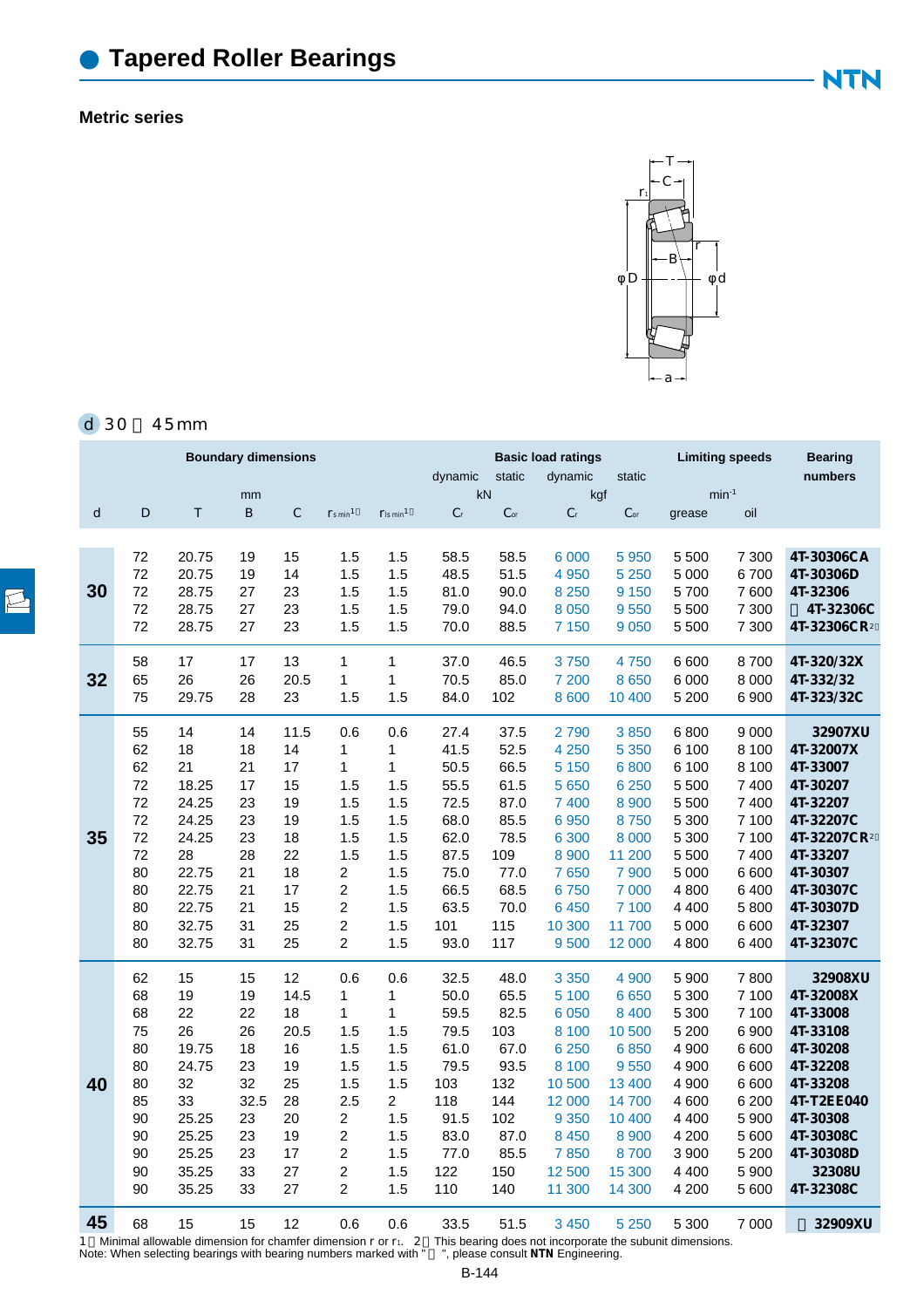

| $d$ 30 | 45 <sub>mm</sub> |
|--------|------------------|
|        |                  |

|                | <b>Boundary dimensions</b> |          |                  |               | dynamic                       | static         | <b>Basic load ratings</b><br>dynamic | static          |                  | <b>Limiting speeds</b> | <b>Bearing</b><br>numbers |         |                         |
|----------------|----------------------------|----------|------------------|---------------|-------------------------------|----------------|--------------------------------------|-----------------|------------------|------------------------|---------------------------|---------|-------------------------|
|                |                            |          | mm               |               |                               |                |                                      | kN              |                  | kgf                    |                           | $min-1$ |                         |
| $\overline{d}$ | $\cal D$                   | $\cal T$ | $\boldsymbol{B}$ | $\mathcal{C}$ | $r_{\rm s\,min}$ <sup>1</sup> | $\Gamma$ min   | $C_{\rm r}$                          | $C_{\text{or}}$ | $C_{\mathrm{r}}$ | $C_{\rm or}$           | grease                    | oil     |                         |
|                |                            |          |                  |               |                               |                |                                      |                 |                  |                        |                           |         |                         |
|                | 72                         | 20.75    | 19               | 15            | 1.5                           | 1.5            | 58.5                                 | 58.5            | 6 0 0 0          | 5950                   | 5 500                     | 7 300   | 4T-30306CA              |
|                | 72                         | 20.75    | 19               | 14            | 1.5                           | 1.5            | 48.5                                 | 51.5            | 4 9 5 0          | 5 2 5 0                | 5 0 0 0                   | 6700    | 4T-30306D               |
| 30             | 72                         | 28.75    | 27               | 23            | 1.5                           | 1.5            | 81.0                                 | 90.0            | 8 2 5 0          | 9 1 5 0                | 5700                      | 7600    | 4T-32306                |
|                | 72                         | 28.75    | 27               | 23            | 1.5                           | 1.5            | 79.0                                 | 94.0            | 8 0 5 0          | 9550                   | 5 500                     | 7 300   | 4T-32306C               |
|                | 72                         | 28.75    | 27               | 23            | 1.5                           | 1.5            | 70.0                                 | 88.5            | 7 1 5 0          | 9 0 5 0                | 5 500                     | 7 300   | 4T-32306CR <sup>2</sup> |
|                |                            |          |                  |               |                               |                |                                      |                 |                  |                        |                           |         |                         |
|                | 58                         | 17       | 17               | 13            | $\mathbf{1}$                  | 1              | 37.0                                 | 46.5            | 3750             | 4750                   | 6 600                     | 8700    | 4T-320/32X              |
| 32             | 65                         | 26       | 26               | 20.5          | 1                             | 1              | 70.5                                 | 85.0            | 7 200            | 8 6 5 0                | 6 0 0 0                   | 8 0 0 0 | 4T-332/32               |
|                | 75                         | 29.75    | 28               | 23            | 1.5                           | 1.5            | 84.0                                 | 102             | 8 600            | 10 400                 | 5 200                     | 6900    | 4T-323/32C              |
|                |                            |          |                  |               |                               |                |                                      |                 |                  |                        |                           |         |                         |
|                | 55                         | 14       | 14               | 11.5          | 0.6                           | 0.6            | 27.4                                 | 37.5            | 2790             | 3850                   | 6800                      | 9 0 0 0 | 32907XU                 |
|                | 62                         | 18       | 18               | 14            | 1                             | 1              | 41.5                                 | 52.5            | 4 2 5 0          | 5 3 5 0                | 6 100                     | 8 100   | 4T-32007X               |
|                | 62                         | 21       | 21               | 17            | 1                             | 1              | 50.5                                 | 66.5            | 5 1 5 0          | 6800                   | 6 100                     | 8 100   | 4T-33007                |
|                | 72                         | 18.25    | 17               | 15            | 1.5                           | 1.5            | 55.5                                 | 61.5            | 5 6 5 0          | 6 2 5 0                | 5 500                     | 7 400   | 4T-30207                |
|                | 72                         | 24.25    | 23               | 19            | 1.5                           | 1.5            | 72.5                                 | 87.0            | 7400             | 8 9 0 0                | 5 500                     | 7400    | 4T-32207                |
|                | 72                         | 24.25    | 23               | 19            | 1.5                           | 1.5            | 68.0                                 | 85.5            | 6950             | 8750                   | 5 300                     | 7 100   | 4T-32207C               |
| 35             | 72                         | 24.25    | 23               | 18            | 1.5                           | 1.5            | 62.0                                 | 78.5            | 6 300            | 8 0 0 0                | 5 300                     | 7 100   | 4T-32207CR2             |
|                | 72                         | 28       | 28               | 22            | 1.5                           | 1.5            | 87.5                                 | 109             | 8 9 0 0          | 11 200                 | 5 500                     | 7 4 0 0 | 4T-33207                |
|                | 80                         | 22.75    | 21               | 18            | $\boldsymbol{2}$              | 1.5            | 75.0                                 | 77.0            | 7650             | 7 900                  | 5 0 0 0                   | 6 600   | 4T-30307                |
|                | 80                         | 22.75    | 21               | 17            | $\overline{c}$                | 1.5            | 66.5                                 | 68.5            | 6750             | 7 0 0 0                | 4 800                     | 6 4 0 0 | 4T-30307C               |
|                | 80                         | 22.75    | 21               | 15            | $\overline{c}$                | 1.5            | 63.5                                 | 70.0            | 6 4 5 0          | 7 100                  | 4 4 0 0                   | 5800    | 4T-30307D               |
|                | 80                         | 32.75    | 31               | 25            | $\overline{\mathbf{c}}$       | 1.5            | 101                                  | 115             | 10 300           | 11700                  | 5 0 0 0                   | 6 600   | 4T-32307                |
|                | 80                         | 32.75    | 31               | 25            | $\overline{2}$                | 1.5            | 93.0                                 | 117             | 9500             | 12 000                 | 4 800                     | 6 4 0 0 | 4T-32307C               |
|                | 62                         | 15       | 15               | 12            | 0.6                           | 0.6            | 32.5                                 | 48.0            | 3 3 5 0          | 4 900                  | 5 900                     | 7800    | 32908XU                 |
|                | 68                         | 19       | 19               | 14.5          | 1                             | $\mathbf{1}$   | 50.0                                 | 65.5            | 5 100            | 6 6 5 0                | 5 300                     | 7 100   | 4T-32008X               |
|                | 68                         | 22       | 22               | 18            | 1                             | 1              | 59.5                                 | 82.5            | 6 0 5 0          | 8 4 0 0                | 5 300                     | 7 100   | 4T-33008                |
|                | 75                         | 26       | 26               | 20.5          | 1.5                           | 1.5            | 79.5                                 | 103             | 8 100            | 10 500                 | 5 200                     | 6900    | 4T-33108                |
|                | 80                         | 19.75    | 18               | 16            | 1.5                           | 1.5            | 61.0                                 | 67.0            | 6 2 5 0          | 6850                   | 4 9 0 0                   | 6 600   | 4T-30208                |
|                | 80                         | 24.75    | 23               | 19            | 1.5                           | 1.5            | 79.5                                 | 93.5            | 8 100            | 9550                   | 4 900                     | 6 600   | 4T-32208                |
| 40             | 80                         | 32       | 32               | 25            | 1.5                           | 1.5            | 103                                  | 132             | 10 500           | 13 400                 | 4 9 0 0                   | 6 600   | 4T-33208                |
|                | 85                         | 33       | 32.5             | 28            | 2.5                           | $\overline{2}$ | 118                                  | 144             | 12 000           | 14700                  | 4 600                     | 6 200   | 4T-T2EE040              |
|                | 90                         | 25.25    | 23               | 20            | $\overline{c}$                | 1.5            | 91.5                                 | 102             | 9 3 5 0          | 10 400                 | 4 4 0 0                   | 5 900   | 4T-30308                |
|                | 90                         | 25.25    | 23               | 19            | $\overline{c}$                | 1.5            | 83.0                                 | 87.0            | 8 4 5 0          | 8 9 0 0                | 4 200                     | 5 600   | 4T-30308C               |
|                | 90                         | 25.25    | 23               | 17            | $\overline{c}$                | 1.5            | 77.0                                 | 85.5            | 7850             | 8700                   | 3 9 0 0                   | 5 200   | 4T-30308D               |
|                | 90                         | 35.25    | 33               | 27            | $\overline{\mathbf{c}}$       | 1.5            | 122                                  | 150             | 12 500           | 15 300                 | 4 4 0 0                   | 5 900   | 32308U                  |
|                | 90                         | 35.25    | 33               | 27            | $\overline{c}$                | 1.5            | 110                                  | 140             | 11 300           | 14 300                 | 4 200                     | 5 600   | 4T-32308C               |
| 45             | 68                         | 15       | 15               | 12            | 0.6                           | 0.6            | 33.5                                 | 51.5            | 3450             | 5 2 5 0                | 5 300                     | 7 000   | 32909XU                 |

1 Minimal allowable dimension for chamfer dimension *r* or *r*.. 2 This bearing does not incorporate the subunit dimensions.<br>Note: When selecting bearings with bearing numbers marked with " ", please consult NTN Engineeri

**NTN**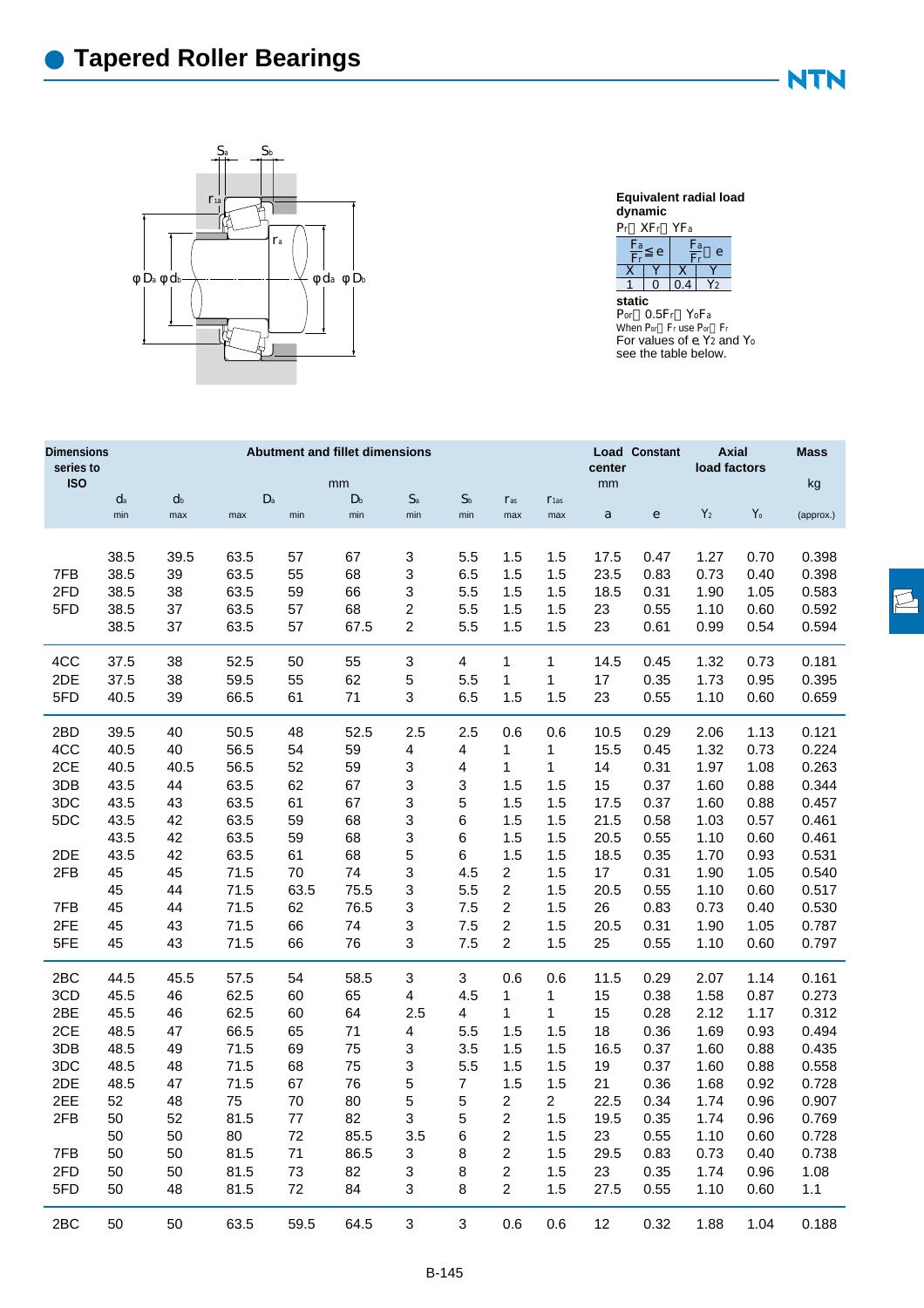





| <b>Dimensions</b><br>series to |                              |                                      |         |          | <b>Abutment and fillet dimensions</b> | center  | <b>Load Constant</b> | <b>Axial</b><br>load factors |                  | <b>Mass</b>      |                  |       |              |           |
|--------------------------------|------------------------------|--------------------------------------|---------|----------|---------------------------------------|---------|----------------------|------------------------------|------------------|------------------|------------------|-------|--------------|-----------|
| <b>ISO</b>                     |                              |                                      |         |          | mm                                    |         |                      |                              |                  | mm               |                  |       |              | kg        |
|                                | $d_{\scriptscriptstyle\! A}$ | $d_{\scriptscriptstyle{\mathsf{b}}}$ | $D_{a}$ |          | $D_{\rm b}$                           | $S_{a}$ | $S_{\rm b}$          | $r_{\rm as}$                 | $r_{\text{las}}$ |                  |                  |       |              |           |
|                                | min                          | max                                  | max     | min      | min                                   | min     | min                  | max                          | max              | $\boldsymbol{a}$ | $\boldsymbol{e}$ | $Y_2$ | $Y_{o}$      | (approx.) |
|                                | 38.5                         | 39.5                                 | 63.5    | 57       | 67                                    | 3       | 5.5                  | 1.5                          | 1.5              |                  | 0.47             | 1.27  | 0.70         | 0.398     |
| 7FB                            | 38.5                         | 39                                   | 63.5    | 55       | 68                                    | 3       | 6.5                  | 1.5                          | 1.5              | 17.5<br>23.5     | 0.83             | 0.73  | 0.40         | 0.398     |
| 2FD                            | 38.5                         | 38                                   | 63.5    |          | 66                                    | 3       | 5.5                  | 1.5                          | 1.5              | 18.5             | 0.31             | 1.90  |              | 0.583     |
| 5FD                            | 38.5                         | 37                                   | 63.5    | 59<br>57 | 68                                    | 2       | 5.5                  | 1.5                          | 1.5              | 23               | 0.55             | 1.10  | 1.05<br>0.60 | 0.592     |
|                                | 38.5                         | 37                                   | 63.5    | 57       | 67.5                                  | 2       | 5.5                  | 1.5                          | 1.5              | 23               | 0.61             | 0.99  | 0.54         | 0.594     |
|                                |                              |                                      |         |          |                                       |         |                      |                              |                  |                  |                  |       |              |           |
| 4CC                            | 37.5                         | 38                                   | 52.5    | 50       | 55                                    | 3       | 4                    | 1                            | 1                | 14.5             | 0.45             | 1.32  | 0.73         | 0.181     |
| 2DE                            | 37.5                         | 38                                   | 59.5    | 55       | 62                                    | 5       | 5.5                  | 1                            | 1                | 17               | 0.35             | 1.73  | 0.95         | 0.395     |
| 5FD                            | 40.5                         | 39                                   | 66.5    | 61       | 71                                    | 3       | 6.5                  | 1.5                          | 1.5              | 23               | 0.55             | 1.10  | 0.60         | 0.659     |
| 2BD                            | 39.5                         | 40                                   | 50.5    | 48       | 52.5                                  | 2.5     | 2.5                  | 0.6                          | 0.6              | 10.5             | 0.29             | 2.06  | 1.13         | 0.121     |
| 4CC                            | 40.5                         | 40                                   | 56.5    | 54       | 59                                    | 4       | 4                    | $\mathbf{1}$                 | 1                | 15.5             | 0.45             | 1.32  | 0.73         | 0.224     |
| 2CE                            | 40.5                         | 40.5                                 | 56.5    | 52       | 59                                    | 3       | 4                    | $\mathbf{1}$                 | 1                | 14               | 0.31             | 1.97  | 1.08         | 0.263     |
| 3DB                            | 43.5                         | 44                                   | 63.5    | 62       | 67                                    | 3       | 3                    | 1.5                          | 1.5              | 15               | 0.37             | 1.60  | 0.88         | 0.344     |
| 3DC                            | 43.5                         | 43                                   | 63.5    | 61       | 67                                    | 3       | 5                    | 1.5                          | 1.5              | 17.5             | 0.37             | 1.60  | 0.88         | 0.457     |
| 5DC                            | 43.5                         | 42                                   | 63.5    | 59       | 68                                    | 3       | 6                    | 1.5                          | 1.5              | 21.5             | 0.58             | 1.03  | 0.57         | 0.461     |
|                                | 43.5                         | 42                                   | 63.5    | 59       | 68                                    | 3       | 6                    | 1.5                          | 1.5              | 20.5             | 0.55             | 1.10  | 0.60         | 0.461     |
| 2DE                            | 43.5                         | 42                                   | 63.5    | 61       | 68                                    | 5       | 6                    | 1.5                          | 1.5              | 18.5             | 0.35             | 1.70  | 0.93         | 0.531     |
| 2FB                            | 45                           | 45                                   | 71.5    | 70       | ${\bf 74}$                            | 3       | 4.5                  | $\overline{c}$               | 1.5              | 17               | 0.31             | 1.90  | 1.05         | 0.540     |
|                                | 45                           | 44                                   | 71.5    | 63.5     | 75.5                                  | 3       | 5.5                  | $\overline{c}$               | 1.5              | 20.5             | 0.55             | 1.10  | 0.60         | 0.517     |
| 7FB                            | 45                           | 44                                   | 71.5    | 62       | 76.5                                  | 3       | 7.5                  | $\overline{c}$               | 1.5              | 26               | 0.83             | 0.73  | 0.40         | 0.530     |
| 2FE                            | 45                           | 43                                   | 71.5    | 66       | 74                                    | 3       | 7.5                  | 2                            | 1.5              | 20.5             | 0.31             | 1.90  | 1.05         | 0.787     |
| 5FE                            | 45                           | 43                                   | 71.5    | 66       | 76                                    | 3       | 7.5                  | $\overline{c}$               | 1.5              | 25               | 0.55             | 1.10  | 0.60         | 0.797     |
| 2BC                            | 44.5                         | 45.5                                 | 57.5    | 54       | 58.5                                  | 3       | 3                    | 0.6                          | 0.6              | 11.5             | 0.29             | 2.07  | 1.14         | 0.161     |
| 3CD                            | 45.5                         | 46                                   | 62.5    | 60       | 65                                    | 4       | 4.5                  | $\mathbf{1}$                 | 1                | 15               | 0.38             | 1.58  | 0.87         | 0.273     |
| 2BE                            | 45.5                         | 46                                   | 62.5    | 60       | 64                                    | 2.5     | 4                    | 1                            | 1                | 15               | 0.28             | 2.12  | 1.17         | 0.312     |
| 2CE                            | 48.5                         | 47                                   | 66.5    | 65       | 71                                    | 4       | 5.5                  | 1.5                          | 1.5              | 18               | 0.36             | 1.69  | 0.93         | 0.494     |
| 3DB                            | 48.5                         | 49                                   | 71.5    | 69       | 75                                    | 3       | 3.5                  | 1.5                          | 1.5              | 16.5             | 0.37             | 1.60  | 0.88         | 0.435     |
| 3DC                            | 48.5                         | 48                                   | 71.5    | 68       | 75                                    | 3       | 5.5                  | 1.5                          | 1.5              | 19               | 0.37             | 1.60  | 0.88         | 0.558     |
| 2DE                            | 48.5                         | 47                                   | 71.5    | 67       | 76                                    | 5       | 7                    | 1.5                          | 1.5              | 21               | 0.36             | 1.68  | 0.92         | 0.728     |
| 2EE                            | 52                           | 48                                   | 75      | 70       | 80                                    | 5       | 5                    | $\overline{c}$               | 2                | 22.5             | 0.34             | 1.74  | 0.96         | 0.907     |
| 2FB                            | 50                           | 52                                   | 81.5    | 77       | 82                                    | 3       | 5                    | $\overline{c}$               | 1.5              | 19.5             | 0.35             | 1.74  | 0.96         | 0.769     |
|                                | 50                           | 50                                   | 80      | 72       | 85.5                                  | 3.5     | 6                    | $\overline{c}$               | 1.5              | 23               | 0.55             | 1.10  | 0.60         | 0.728     |
| 7FB                            | 50                           | 50                                   | 81.5    | 71       | 86.5                                  | 3       | 8                    | $\overline{c}$               | 1.5              | 29.5             | 0.83             | 0.73  | 0.40         | 0.738     |
| 2FD                            | 50                           | 50                                   | 81.5    | 73       | 82                                    | 3       | 8                    | $\overline{\mathbf{c}}$      | 1.5              | 23               | 0.35             | 1.74  | 0.96         | 1.08      |
| 5FD                            | 50                           | 48                                   | 81.5    | 72       | 84                                    | 3       | 8                    | $\overline{2}$               | 1.5              | 27.5             | 0.55             | 1.10  | 0.60         | 1.1       |
| 2BC                            | 50                           | 50                                   | 63.5    | 59.5     | 64.5                                  | 3       | 3                    | 0.6                          | 0.6              | 12               | 0.32             | 1.88  | 1.04         | 0.188     |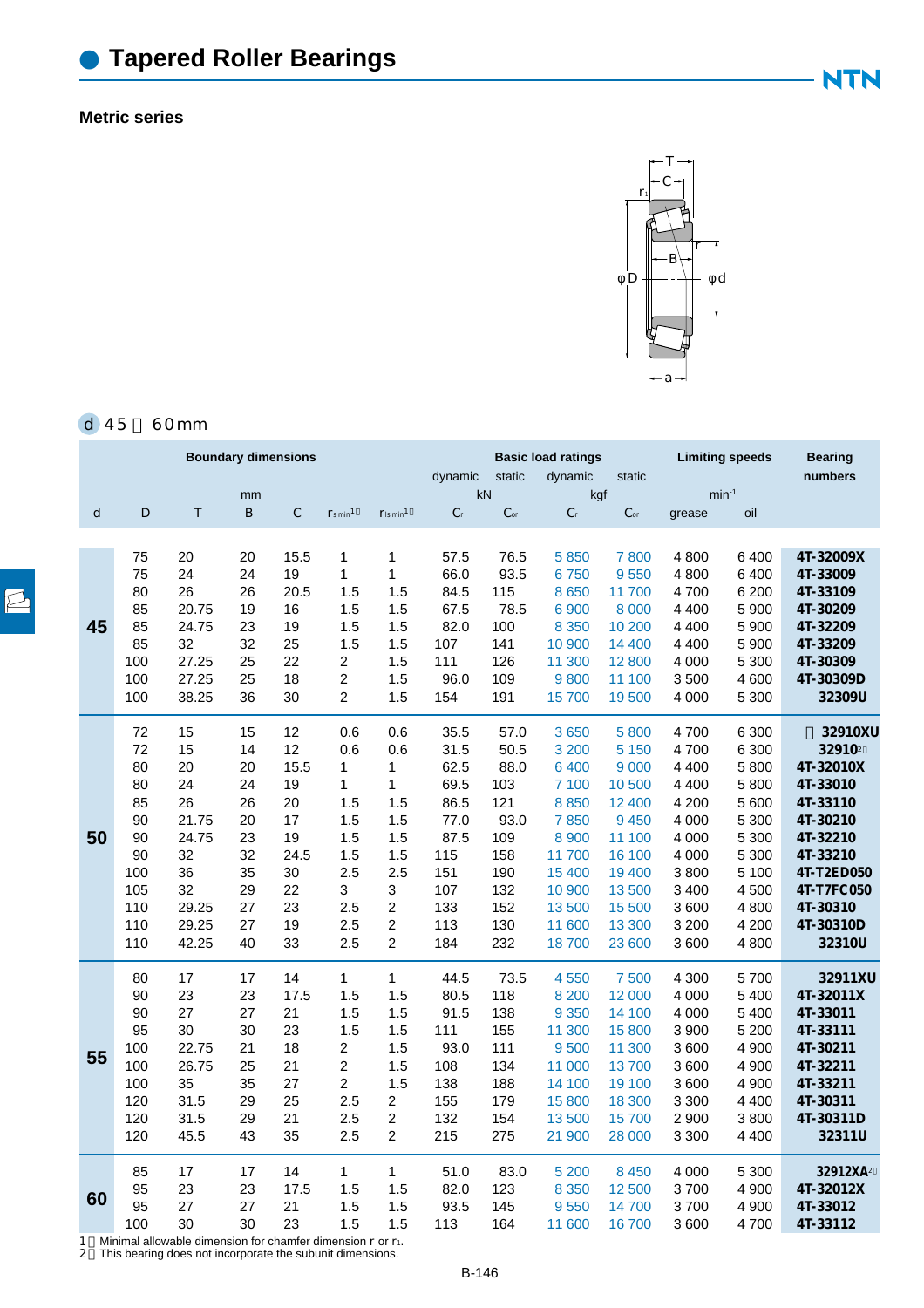

| $d$ 45 | 60 <sub>mm</sub> |
|--------|------------------|
|--------|------------------|

|                |                  |          |          | <b>Boundary dimensions</b> |                               |                        | dynamic | static          | <b>Basic load ratings</b><br>dynamic | static          | <b>Limiting speeds</b> |         | <b>Bearing</b><br>numbers |
|----------------|------------------|----------|----------|----------------------------|-------------------------------|------------------------|---------|-----------------|--------------------------------------|-----------------|------------------------|---------|---------------------------|
|                |                  |          | mm       |                            |                               |                        |         | kN              |                                      | kgf             |                        | $min-1$ |                           |
| $\overline{d}$ | $\boldsymbol{D}$ | $\cal T$ | $\cal B$ | $\mathcal{C}$              | $r_{\rm s\,min}$ <sup>1</sup> | $n s$ min <sup>1</sup> | $C_{r}$ | $C_{\text{or}}$ | $C_{\rm r}$                          | $C_{\text{or}}$ | grease                 | oil     |                           |
|                |                  |          |          |                            |                               |                        |         |                 |                                      |                 |                        |         |                           |
|                | 75               | 20       | 20       | 15.5                       | $\mathbf{1}$                  | 1                      | 57.5    | 76.5            | 5850                                 | 7800            | 4800                   | 6 400   | 4T-32009X                 |
|                | 75               | 24       | 24       | 19                         | $\mathbf{1}$                  | 1                      | 66.0    | 93.5            | 6750                                 | 9550            | 4 800                  | 6400    | 4T-33009                  |
|                | 80               | 26       | 26       | 20.5                       | 1.5                           | 1.5                    | 84.5    | 115             | 8 6 5 0                              | 11700           | 4700                   | 6 200   | 4T-33109                  |
|                | 85               | 20.75    | 19       | 16                         | 1.5                           | 1.5                    | 67.5    | 78.5            | 6 900                                | 8 0 0 0         | 4 400                  | 5 900   | 4T-30209                  |
| 45             | 85               | 24.75    | 23       | 19                         | 1.5                           | 1.5                    | 82.0    | 100             | 8 3 5 0                              | 10 200          | 4 4 0 0                | 5 900   | 4T-32209                  |
|                | 85               | 32       | 32       | 25                         | 1.5                           | 1.5                    | 107     | 141             | 10 900                               | 14 400          | 4 4 0 0                | 5 900   | 4T-33209                  |
|                | 100              | 27.25    | 25       | 22                         | $\overline{c}$                | 1.5                    | 111     | 126             | 11 300                               | 12 800          | 4 000                  | 5 300   | 4T-30309                  |
|                | 100              | 27.25    | 25       | 18                         | $\boldsymbol{2}$              | 1.5                    | 96.0    | 109             | 9800                                 | 11 100          | 3500                   | 4 600   | 4T-30309D                 |
|                | 100              | 38.25    | 36       | 30                         | $\overline{2}$                | 1.5                    | 154     | 191             | 15700                                | 19 500          | 4 0 0 0                | 5 300   | 32309U                    |
|                |                  |          |          |                            |                               |                        |         |                 |                                      |                 |                        |         |                           |
|                | 72               | 15       | 15       | 12                         | 0.6                           | 0.6                    | 35.5    | 57.0            | 3650                                 | 5 800           | 4700                   | 6 300   | 32910XU                   |
|                | 72               | 15       | 14       | 12                         | 0.6                           | 0.6                    | 31.5    | 50.5            | 3 200                                | 5 1 5 0         | 4700                   | 6 300   | 329102                    |
|                | 80               | 20       | 20       | 15.5                       | $\mathbf{1}$                  | $\mathbf{1}$           | 62.5    | 88.0            | 6 4 0 0                              | 9 0 0 0         | 4 4 0 0                | 5 800   | 4T-32010X                 |
|                | 80               | 24       | 24       | 19                         | 1                             | 1                      | 69.5    | 103             | 7 100                                | 10 500          | 4 4 0 0                | 5800    | 4T-33010                  |
|                | 85               | 26       | 26       | 20                         | 1.5                           | 1.5                    | 86.5    | 121             | 8850                                 | 12 400          | 4 200                  | 5 600   | 4T-33110                  |
|                | 90               | 21.75    | 20       | 17                         | 1.5                           | 1.5                    | 77.0    | 93.0            | 7850                                 | 9 4 5 0         | 4 000                  | 5 300   | 4T-30210                  |
| 50             | 90               | 24.75    | 23       | 19                         | 1.5                           | 1.5                    | 87.5    | 109             | 8 9 0 0                              | 11 100          | 4 000                  | 5 300   | 4T-32210                  |
|                | 90               | 32       | 32       | 24.5                       | 1.5<br>2.5                    | 1.5                    | 115     | 158             | 11700                                | 16 100          | 4 0 0 0                | 5 300   | 4T-33210                  |
|                | 100              | 36       | 35       | 30                         |                               | 2.5                    | 151     | 190             | 15 400                               | 19 400          | 3800                   | 5 100   | 4T-T2ED050                |
|                | 105              | 32       | 29       | 22                         | 3<br>2.5                      | 3                      | 107     | 132             | 10 900                               | 13 500          | 3 4 0 0                | 4 500   | 4T-T7FC050                |
|                | 110              | 29.25    | 27       | 23                         |                               | $\boldsymbol{2}$       | 133     | 152             | 13500                                | 15 500          | 3 600                  | 4 800   | 4T-30310                  |
|                | 110              | 29.25    | 27       | 19                         | 2.5                           | $\boldsymbol{2}$       | 113     | 130             | 11 600                               | 13 300          | 3 2 0 0                | 4 200   | 4T-30310D                 |
|                | 110              | 42.25    | 40       | 33                         | 2.5                           | 2                      | 184     | 232             | 18700                                | 23 600          | 3600                   | 4 800   | 32310U                    |
|                | 80               | 17       | 17       | 14                         | $\mathbf{1}$                  | $\mathbf{1}$           | 44.5    | 73.5            | 4550                                 | 7 500           | 4 300                  | 5700    | 32911XU                   |
|                | 90               | 23       | 23       | 17.5                       | 1.5                           | 1.5                    | 80.5    | 118             | 8 2 0 0                              | 12 000          | 4 000                  | 5400    | 4T-32011X                 |
|                | 90               | 27       | 27       | 21                         | 1.5                           | 1.5                    | 91.5    | 138             | 9 3 5 0                              | 14 100          | 4 000                  | 5 4 0 0 | 4T-33011                  |
|                | 95               | 30       | 30       | 23                         | 1.5                           | 1.5                    | 111     | 155             | 11 300                               | 15 800          | 3 900                  | 5 200   | 4T-33111                  |
|                | 100              | 22.75    | 21       | 18                         | $\overline{c}$                | 1.5                    | 93.0    | 111             | 9500                                 | 11 300          | 3600                   | 4 900   | 4T-30211                  |
| 55             | 100              | 26.75    | 25       | 21                         | $\mathbf 2$                   | 1.5                    | 108     | 134             | 11 000                               | 13700           | 3600                   | 4 900   | 4T-32211                  |
|                | 100              | 35       | 35       | 27                         | $\overline{c}$                | 1.5                    | 138     | 188             | 14 100                               | 19 100          | 3600                   | 4 900   | 4T-33211                  |
|                | 120              | 31.5     | 29       | 25                         | 2.5                           | $\overline{c}$         | 155     | 179             | 15 800                               | 18 300          | 3 300                  | 4 4 0 0 | 4T-30311                  |
|                | 120              | 31.5     | 29       | 21                         | 2.5                           | $\overline{c}$         | 132     | 154             | 13500                                | 15700           | 2 900                  | 3800    | 4T-30311D                 |
|                | 120              | 45.5     | 43       | 35                         | 2.5                           | $\overline{c}$         | 215     | 275             | 21 900                               | 28 000          | 3 3 0 0                | 4 4 0 0 | 32311U                    |
|                |                  |          |          | 14                         | $\mathbf{1}$                  |                        |         |                 |                                      |                 |                        |         |                           |
|                | 85               | 17       | 17       |                            |                               | $\mathbf{1}$           | 51.0    | 83.0            | 5 200                                | 8 4 5 0         | 4 0 0 0                | 5 300   | 32912XA <sup>2</sup>      |
| 60             | 95               | 23       | 23       | 17.5                       | 1.5                           | 1.5                    | 82.0    | 123             | 8 3 5 0                              | 12 500          | 3700                   | 4 900   | 4T-32012X                 |
|                | 95               | 27       | 27       | 21                         | 1.5                           | 1.5                    | 93.5    | 145             | 9550                                 | 14700           | 3700                   | 4 900   | 4T-33012                  |
|                | 100              | 30       | 30       | 23                         | 1.5                           | 1.5                    | 113     | 164             | 11 600                               | 16700           | 3600                   | 4700    | 4T-33112                  |

1)Minimal allowable dimension for chamfer dimension *r* or *r*1. 2)This bearing does not incorporate the subunit dimensions.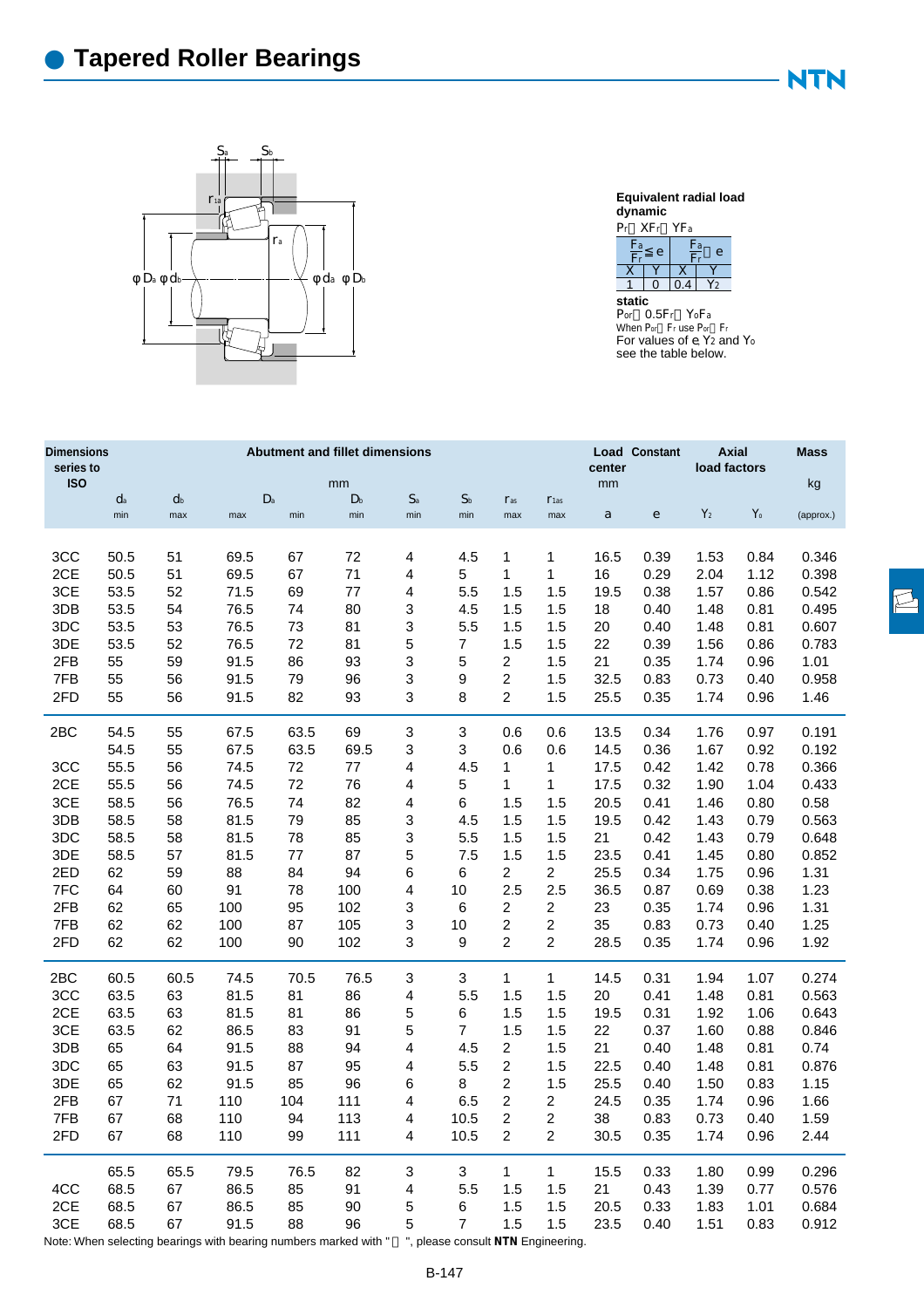





| <b>Dimensions</b><br>series to |                                      |             |      |             | <b>Abutment and fillet dimensions</b>                            | center                    | <b>Load Constant</b>               |                          | <b>Axial</b><br><b>Mass</b><br>load factors |                  |                  |       |         |           |
|--------------------------------|--------------------------------------|-------------|------|-------------|------------------------------------------------------------------|---------------------------|------------------------------------|--------------------------|---------------------------------------------|------------------|------------------|-------|---------|-----------|
| <b>ISO</b>                     |                                      |             |      |             | mm                                                               |                           |                                    |                          |                                             | mm               |                  |       |         | kg        |
|                                | $d_{\scriptscriptstyle{\mathrm{a}}}$ | $d_{\rm b}$ |      | $D_{\rm a}$ | $D_{\rm b}$                                                      | $S_{a}$                   | $S_{\rm b}$                        | $\mathcal{T}\mathrm{as}$ | $\Gamma$ las                                |                  |                  |       |         |           |
|                                | min                                  | max         | max  | min         | min                                                              | min                       | min                                | max                      | max                                         | $\boldsymbol{a}$ | $\boldsymbol{e}$ | $Y_2$ | $Y_{o}$ | (approx.) |
| 3CC                            | 50.5                                 | 51          | 69.5 | 67          | 72                                                               | 4                         | 4.5                                | 1                        | 1                                           | 16.5             | 0.39             | 1.53  | 0.84    | 0.346     |
| 2CE                            | 50.5                                 | 51          | 69.5 | 67          | 71                                                               | 4                         | 5                                  | 1                        | 1                                           | 16               | 0.29             | 2.04  | 1.12    | 0.398     |
| 3CE                            | 53.5                                 | 52          | 71.5 | 69          | 77                                                               | 4                         | 5.5                                | 1.5                      | 1.5                                         | 19.5             | 0.38             | 1.57  | 0.86    | 0.542     |
| 3DB                            | 53.5                                 | 54          | 76.5 | 74          | 80                                                               | 3                         | 4.5                                | 1.5                      | 1.5                                         | 18               | 0.40             | 1.48  | 0.81    | 0.495     |
| 3DC                            | 53.5                                 | 53          | 76.5 | 73          | 81                                                               | 3                         | 5.5                                | 1.5                      | 1.5                                         | 20               | 0.40             | 1.48  | 0.81    | 0.607     |
| 3DE                            | 53.5                                 | 52          | 76.5 | 72          | 81                                                               | 5                         | $\overline{7}$                     | 1.5                      | 1.5                                         | 22               | 0.39             | 1.56  | 0.86    | 0.783     |
| 2FB                            | 55                                   | 59          | 91.5 | 86          | 93                                                               | 3                         | 5                                  | $\overline{\mathbf{c}}$  | 1.5                                         | 21               | 0.35             | 1.74  | 0.96    | 1.01      |
| 7FB                            | 55                                   | 56          | 91.5 | 79          | 96                                                               | 3                         | 9                                  | $\overline{c}$           | 1.5                                         | 32.5             | 0.83             | 0.73  | 0.40    | 0.958     |
| 2FD                            | 55                                   | 56          | 91.5 | 82          | 93                                                               | 3                         | 8                                  | $\overline{c}$           | 1.5                                         | 25.5             | 0.35             | 1.74  | 0.96    | 1.46      |
| 2BC                            | 54.5                                 | 55          | 67.5 | 63.5        | 69                                                               | $\ensuremath{\mathsf{3}}$ | 3                                  | 0.6                      | 0.6                                         | 13.5             | 0.34             | 1.76  | 0.97    | 0.191     |
|                                | 54.5                                 | 55          | 67.5 | 63.5        | 69.5                                                             | 3                         | 3                                  | 0.6                      | 0.6                                         | 14.5             | 0.36             | 1.67  | 0.92    | 0.192     |
| 3CC                            | 55.5                                 | 56          | 74.5 | 72          | 77                                                               | 4                         | 4.5                                | 1                        | 1                                           | 17.5             | 0.42             | 1.42  | 0.78    | 0.366     |
| 2CE                            | 55.5                                 | 56          | 74.5 | 72          | 76                                                               | 4                         | 5                                  | 1                        | 1                                           | 17.5             | 0.32             | 1.90  | 1.04    | 0.433     |
| 3CE                            | 58.5                                 | 56          | 76.5 | 74          | 82                                                               | 4                         | 6                                  | 1.5                      | 1.5                                         | 20.5             | 0.41             | 1.46  | 0.80    | 0.58      |
| 3DB                            | 58.5                                 | 58          | 81.5 | 79          | 85                                                               | 3                         | 4.5                                | 1.5                      | 1.5                                         | 19.5             | 0.42             | 1.43  | 0.79    | 0.563     |
| 3DC                            | 58.5                                 | 58          | 81.5 | 78          | 85                                                               | 3                         | 5.5                                | 1.5                      | 1.5                                         | 21               | 0.42             | 1.43  | 0.79    | 0.648     |
| 3DE                            | 58.5                                 | 57          | 81.5 | 77          | 87                                                               | 5                         | 7.5                                | 1.5                      | 1.5                                         | 23.5             | 0.41             | 1.45  | 0.80    | 0.852     |
| 2ED                            | 62                                   | 59          | 88   | 84          | 94                                                               | 6                         | 6                                  | $\overline{c}$           | $\overline{2}$                              | 25.5             | 0.34             | 1.75  | 0.96    | 1.31      |
| 7FC                            | 64                                   | 60          | 91   | 78          | 100                                                              | 4                         | 10                                 | 2.5                      | 2.5                                         | 36.5             | 0.87             | 0.69  | 0.38    | 1.23      |
| 2FB                            | 62                                   | 65          | 100  | 95          | 102                                                              | 3                         | 6                                  | 2                        | 2                                           | 23               | 0.35             | 1.74  | 0.96    | 1.31      |
| 7FB                            | 62                                   | 62          | 100  | 87          | 105                                                              | 3                         | 10                                 | $\overline{\mathbf{c}}$  | $\overline{\mathbf{c}}$                     | 35               | 0.83             | 0.73  | 0.40    | 1.25      |
| 2FD                            | 62                                   | 62          | 100  | 90          | 102                                                              | 3                         | 9                                  | $\overline{2}$           | $\overline{2}$                              | 28.5             | 0.35             | 1.74  | 0.96    | 1.92      |
| 2BC                            | 60.5                                 | 60.5        | 74.5 | 70.5        | 76.5                                                             | $\ensuremath{\mathsf{3}}$ | 3                                  | 1                        | 1                                           | 14.5             | 0.31             | 1.94  | 1.07    | 0.274     |
| 3CC                            | 63.5                                 | 63          | 81.5 | 81          | 86                                                               | 4                         | 5.5                                | 1.5                      | 1.5                                         | 20               | 0.41             | 1.48  | 0.81    | 0.563     |
| 2CE                            | 63.5                                 | 63          | 81.5 | 81          | 86                                                               | 5                         | 6                                  | 1.5                      | 1.5                                         | 19.5             | 0.31             | 1.92  | 1.06    | 0.643     |
| 3CE                            | 63.5                                 | 62          | 86.5 | 83          | 91                                                               | 5                         | $\overline{7}$                     | 1.5                      | 1.5                                         | 22               | 0.37             | 1.60  | 0.88    | 0.846     |
| 3DB                            | 65                                   | 64          | 91.5 | 88          | 94                                                               | 4                         | 4.5                                | 2                        | 1.5                                         | 21               | 0.40             | 1.48  | 0.81    | 0.74      |
| 3DC                            | 65                                   | 63          | 91.5 | 87          | 95                                                               | 4                         | 5.5                                | $\overline{c}$           | 1.5                                         | 22.5             | 0.40             | 1.48  | 0.81    | 0.876     |
| 3DE                            | 65                                   | 62          | 91.5 | 85          | 96                                                               | 6                         | 8                                  | $\overline{c}$           | 1.5                                         | 25.5             | 0.40             | 1.50  | 0.83    | 1.15      |
| 2FB                            | 67                                   | 71          | 110  | 104         | 111                                                              | 4                         | 6.5                                | 2                        | 2                                           | 24.5             | 0.35             | 1.74  | 0.96    | 1.66      |
| 7FB                            | 67                                   | 68          | 110  | 94          | 113                                                              | 4                         | 10.5                               | 2                        | 2                                           | 38               | 0.83             | 0.73  | 0.40    | 1.59      |
| 2FD                            | 67                                   | 68          | 110  | 99          | 111                                                              | 4                         | 10.5                               | $\overline{2}$           | $\overline{c}$                              | 30.5             | 0.35             | 1.74  | 0.96    | 2.44      |
|                                | 65.5                                 | 65.5        | 79.5 | 76.5        | 82                                                               | 3                         | $\ensuremath{\mathsf{3}}$          | 1                        | 1                                           | 15.5             | 0.33             | 1.80  | 0.99    | 0.296     |
| 4CC                            | 68.5                                 | 67          | 86.5 | 85          | 91                                                               | 4                         | 5.5                                | 1.5                      | 1.5                                         | 21               | 0.43             | 1.39  | 0.77    | 0.576     |
| 2CE                            | 68.5                                 | 67          | 86.5 | 85          | 90                                                               | 5                         | 6                                  | 1.5                      | 1.5                                         | 20.5             | 0.33             | 1.83  | 1.01    | 0.684     |
| 3CE                            | 68.5                                 | 67          | 91.5 | 88          | 96                                                               | 5                         | $\overline{7}$                     | 1.5                      | 1.5                                         | 23.5             | 0.40             | 1.51  | 0.83    | 0.912     |
|                                |                                      |             |      |             | Note: When selecting bearings with bearing numbers marked with " |                           | ", please consult NTN Engineering. |                          |                                             |                  |                  |       |         |           |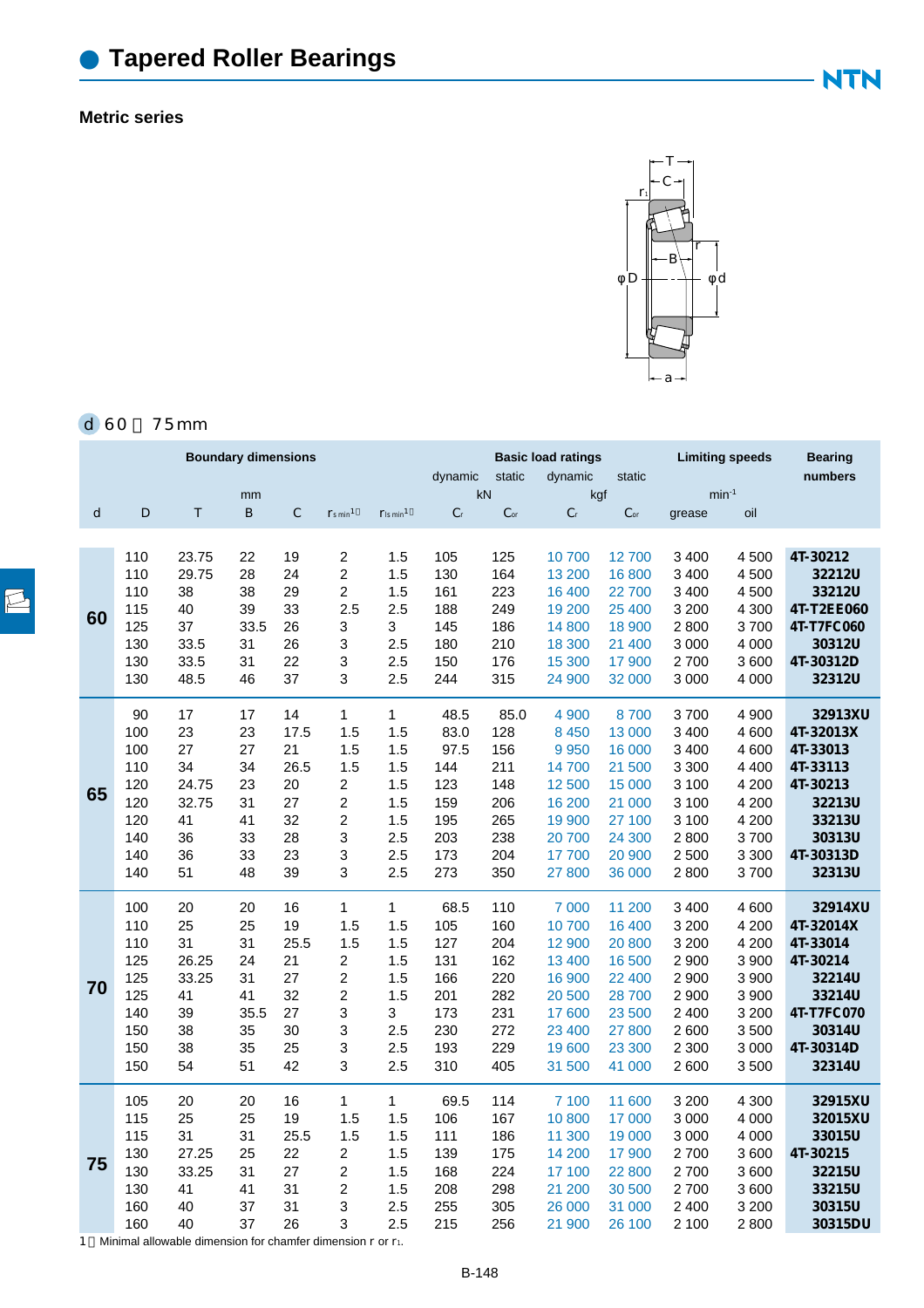

| $d$ 60 | 75mm |
|--------|------|
|        |      |

|                |                  |                                                                | <b>Boundary dimensions</b> |            |                               |                        | dynamic    | static          | <b>Basic load ratings</b><br>dynamic | static           |                  | <b>Limiting speeds</b> | <b>Bearing</b><br>numbers |
|----------------|------------------|----------------------------------------------------------------|----------------------------|------------|-------------------------------|------------------------|------------|-----------------|--------------------------------------|------------------|------------------|------------------------|---------------------------|
|                |                  |                                                                | mm                         |            |                               |                        |            | kN              | kgf                                  |                  |                  | $min-1$                |                           |
| $\overline{d}$ | $\boldsymbol{D}$ | $\cal T$                                                       | $\boldsymbol{B}$           | $\cal C$   | $r_{\rm s\,min}$ <sup>1</sup> | $n s$ min <sup>1</sup> | $C_{r}$    | $C_{\text{or}}$ | $C_{\rm r}$                          | $C_{\text{or}}$  | grease           | oil                    |                           |
|                |                  |                                                                |                            |            |                               |                        |            |                 |                                      |                  |                  |                        |                           |
|                | 110              | 23.75                                                          | 22                         | 19         | $\overline{\mathbf{c}}$       | 1.5                    | 105        | 125             | 10700                                | 12700            | 3400             | 4 500                  | 4T-30212                  |
|                | 110              | 29.75                                                          | 28                         | 24         | $\overline{c}$                | 1.5                    | 130        | 164             | 13 200                               | 16 800           | 3400             | 4500                   | 32212U                    |
|                | 110              | 38                                                             | 38                         | 29         | $\overline{c}$                | 1.5                    | 161        | 223             | 16 400                               | 22 700           | 3 400            | 4 500                  | 33212U                    |
|                | 115              | 40                                                             | 39                         | 33         | 2.5                           | 2.5                    | 188        | 249             | 19 200                               | 25 400           | 3 200            | 4 300                  | 4T-T2EE060                |
| 60             | 125              | 37                                                             | 33.5                       | 26         | 3                             | 3                      | 145        | 186             | 14 800                               | 18 900           | 2800             | 3700                   | 4T-T7FC060                |
|                | 130              | 33.5                                                           | 31                         | 26         | 3                             | 2.5                    | 180        | 210             | 18 300                               | 21 400           | 3 000            | 4 0 0 0                | 30312U                    |
|                | 130              | 33.5                                                           | 31                         | 22         | 3                             | 2.5                    | 150        | 176             | 15 300                               | 17 900           | 2700             | 3600                   | 4T-30312D                 |
|                | 130              | 48.5                                                           | 46                         | 37         | 3                             | 2.5                    | 244        | 315             | 24 900                               | 32 000           | 3 0 0 0          | 4 0 0 0                | 32312U                    |
|                |                  |                                                                |                            |            |                               |                        |            |                 |                                      |                  |                  |                        |                           |
|                | 90               | 17                                                             | 17                         | 14         | $\mathbf{1}$                  | 1                      | 48.5       | 85.0            | 4 9 0 0                              | 8700             | 3700             | 4 900                  | 32913XU                   |
|                | 100              | 23                                                             | 23                         | 17.5       | 1.5                           | 1.5                    | 83.0       | 128             | 8 4 5 0                              | 13 000           | 3 4 0 0          | 4 600                  | 4T-32013X                 |
|                | 100              | 27                                                             | 27                         | 21         | 1.5                           | 1.5                    | 97.5       | 156             | 9950                                 | 16 000           | 3 4 0 0          | 4 600                  | 4T-33013                  |
|                | 110              | 34                                                             | 34                         | 26.5       | 1.5                           | 1.5                    | 144        | 211             | 14700                                | 21 500           | 3 300            | 4 4 0 0                | 4T-33113                  |
|                | 120              | 24.75                                                          | 23                         | 20         | $\overline{2}$                | 1.5                    | 123        | 148             | 12 500                               | 15 000           | 3 100            | 4 200                  | 4T-30213                  |
| 65             | 120              | 32.75                                                          | 31                         | 27         | $\overline{\mathbf{c}}$       | 1.5                    | 159        | 206             | 16 200                               | 21 000           | 3 100            | 4 200                  | 32213U                    |
|                | 120              | 41                                                             | 41                         | 32         | $\overline{c}$                | 1.5                    | 195        | 265             | 19 900                               | 27 100           | 3 100            | 4 200                  | 33213U                    |
|                | 140              | 36                                                             | 33                         | 28         | 3                             | 2.5                    | 203        | 238             | 20700                                | 24 300           | 2800             | 3700                   | 30313U                    |
|                | 140              | 36                                                             | 33                         | 23         | 3                             | 2.5                    | 173        | 204             | 17700                                | 20 900           | 2 500            | 3 3 0 0                | 4T-30313D                 |
|                | 140              | 51                                                             | 48                         | 39         | 3                             | 2.5                    | 273        | 350             | 27 800                               | 36 000           | 2800             | 3700                   | 32313U                    |
|                |                  |                                                                |                            |            |                               |                        |            |                 |                                      |                  |                  |                        |                           |
|                | 100              | 20                                                             | 20                         | 16         | $\mathbf{1}$                  | 1                      | 68.5       | 110             | 7 0 0 0                              | 11 200           | 3 4 0 0          | 4 600                  | 32914XU                   |
|                | 110              | 25                                                             | 25                         | 19<br>25.5 | 1.5<br>1.5                    | 1.5                    | 105<br>127 | 160             | 10700<br>12 900                      | 16 400           | 3 200<br>3 2 0 0 | 4 200                  | 4T-32014X                 |
|                | 110<br>125       | 31                                                             | 31                         |            |                               | 1.5                    |            | 204             |                                      | 20 800           |                  | 4 200                  | 4T-33014                  |
|                | 125              | 26.25<br>33.25                                                 | 24<br>31                   | 21<br>27   | 2<br>$\overline{c}$           | 1.5<br>1.5             | 131<br>166 | 162<br>220      | 13 400<br>16 900                     | 16 500<br>22 400 | 2 900<br>2 9 0 0 | 3 900<br>3 900         | 4T-30214<br>32214U        |
| 70             | 125              | 41                                                             | 41                         | 32         | $\overline{c}$                | 1.5                    | 201        | 282             | 20 500                               | 28 700           | 2 900            | 3 9 0 0                | 33214U                    |
|                | 140              | 39                                                             | 35.5                       | 27         | 3                             | 3                      | 173        | 231             | 17600                                | 23 500           | 2 4 0 0          | 3 200                  | 4T-T7FC070                |
|                | 150              | 38                                                             | 35                         | 30         | 3                             | 2.5                    | 230        | 272             | 23 400                               | 27 800           | 2 600            | 3500                   | 30314U                    |
|                | 150              | 38                                                             | 35                         | 25         | 3                             | 2.5                    | 193        | 229             | 19600                                | 23 300           | 2 300            | 3 000                  | 4T-30314D                 |
|                | 150              | 54                                                             | 51                         | 42         | 3                             | 2.5                    | 310        | 405             | 31 500                               | 41 000           | 2 600            | 3500                   | 32314U                    |
|                |                  |                                                                |                            |            |                               |                        |            |                 |                                      |                  |                  |                        |                           |
|                | 105              | 20                                                             | 20                         | 16         | $\mathbf{1}$                  | 1                      | 69.5       | 114             | 7 100                                | 11 600           | 3 200            | 4 300                  | 32915XU                   |
|                | 115              | 25                                                             | 25                         | 19         | 1.5                           | 1.5                    | 106        | 167             | 10 800                               | 17 000           | 3 000            | 4 0 0 0                | 32015XU                   |
|                | 115              | 31                                                             | 31                         | 25.5       | 1.5                           | 1.5                    | 111        | 186             | 11 300                               | 19 000           | 3 0 0 0          | 4 0 0 0                | 33015U                    |
| 75             | 130              | 27.25                                                          | 25                         | 22         | 2                             | 1.5                    | 139        | 175             | 14 200                               | 17 900           | 2700             | 3600                   | 4T-30215                  |
|                | 130              | 33.25                                                          | 31                         | 27         | $\overline{c}$                | 1.5                    | 168        | 224             | 17 100                               | 22 800           | 2700             | 3600                   | 32215U                    |
|                | 130              | 41                                                             | 41                         | 31         | $\overline{c}$                | 1.5                    | 208        | 298             | 21 200                               | 30 500           | 2700             | 3600                   | 33215U                    |
|                | 160              | 40                                                             | 37                         | 31         | 3                             | 2.5                    | 255        | 305             | 26 000                               | 31 000           | 2 4 0 0          | 3 200                  | 30315U                    |
|                | 160              | 40                                                             | 37                         | 26         | 3                             | 2.5                    | 215        | 256             | 21 900                               | 26 100           | 2 100            | 2800                   | 30315DU                   |
| $\mathbf{1}$   |                  | Minimal allowable dimension for chamfer dimension $r$ or $r$ . |                            |            |                               |                        |            |                 |                                      |                  |                  |                        |                           |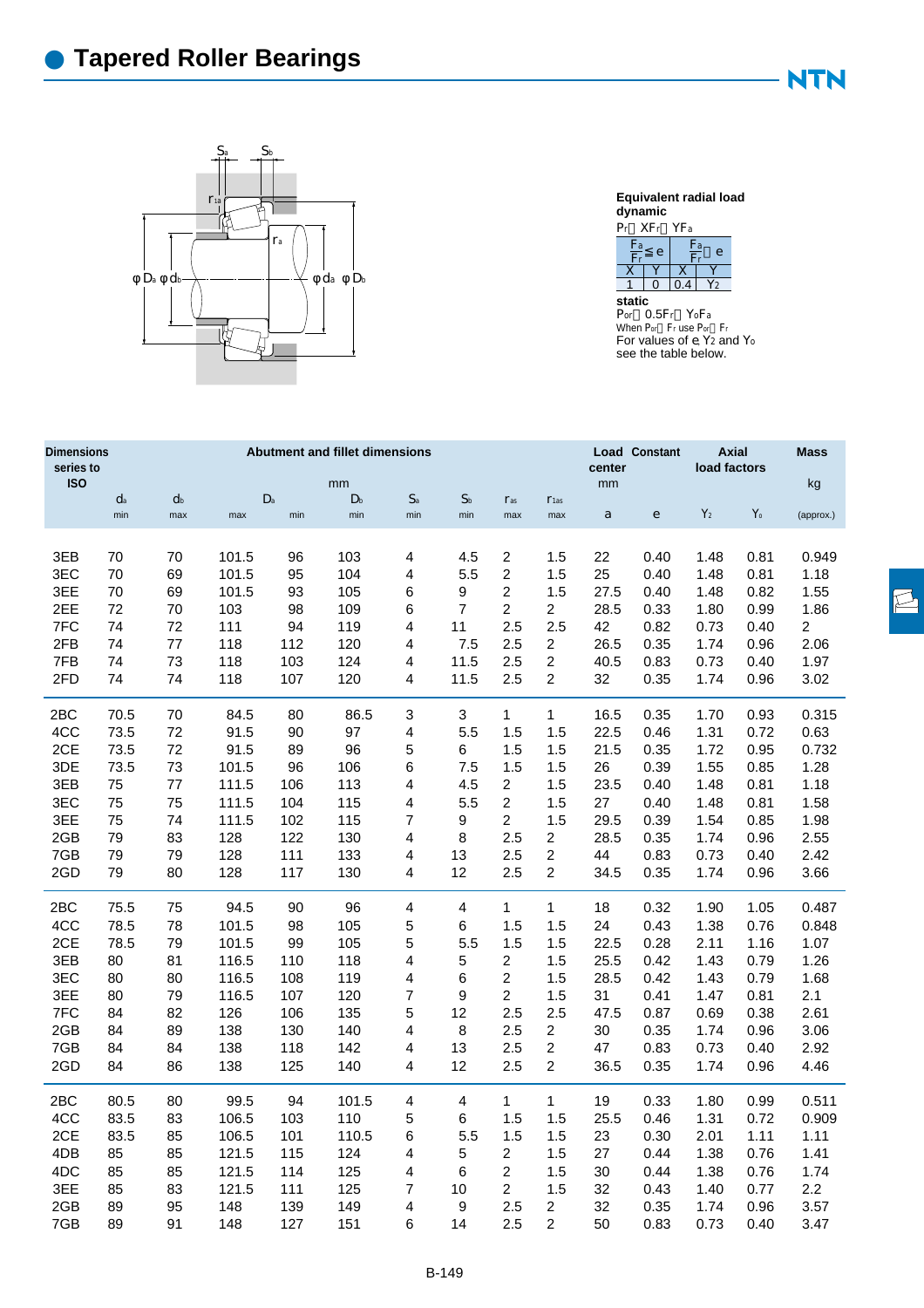





| <b>Dimensions</b><br>series to |                              |             |       |         | <b>Abutment and fillet dimensions</b> | <b>Axial</b><br><b>Load Constant</b><br>load factors<br>center |                |                          |                         | <b>Mass</b>      |                  |       |         |           |
|--------------------------------|------------------------------|-------------|-------|---------|---------------------------------------|----------------------------------------------------------------|----------------|--------------------------|-------------------------|------------------|------------------|-------|---------|-----------|
| <b>ISO</b>                     |                              |             |       |         | mm                                    |                                                                |                |                          |                         | mm               |                  |       |         | kg        |
|                                | $d_{\scriptscriptstyle\! A}$ | $d_{\rm b}$ |       | $D_{a}$ | $D_{\rm b}$                           | $S_{\!\scriptscriptstyle \alpha}$                              | $S_{\rm b}$    | $\mathcal{T}\mathrm{as}$ | $\Gamma$ las            |                  |                  | $Y_2$ | $Y_{o}$ |           |
|                                | min                          | max         | max   | min     | min                                   | min                                                            | min            | max                      | max                     | $\boldsymbol{a}$ | $\boldsymbol{e}$ |       |         | (approx.) |
| 3EB                            | 70                           | 70          | 101.5 | 96      | 103                                   | 4                                                              | 4.5            | $\overline{c}$           | 1.5                     | 22               | 0.40             | 1.48  | 0.81    | 0.949     |
| 3EC                            | 70                           | 69          | 101.5 | 95      | 104                                   | 4                                                              | 5.5            | $\overline{c}$           | 1.5                     | 25               | 0.40             | 1.48  | 0.81    | 1.18      |
| 3EE                            | 70                           | 69          | 101.5 | 93      | 105                                   | 6                                                              | 9              | $\overline{c}$           | 1.5                     | 27.5             | 0.40             | 1.48  | 0.82    | 1.55      |
| 2EE                            | 72                           | 70          | 103   | 98      | 109                                   | 6                                                              | $\overline{7}$ | $\overline{2}$           | 2                       | 28.5             | 0.33             | 1.80  | 0.99    | 1.86      |
| 7FC                            | 74                           | 72          | 111   | 94      | 119                                   | 4                                                              | 11             | 2.5                      | 2.5                     | 42               | 0.82             | 0.73  | 0.40    | 2         |
| 2FB                            | 74                           | 77          | 118   | 112     | 120                                   | 4                                                              | 7.5            | 2.5                      | $\overline{c}$          | 26.5             | 0.35             | 1.74  | 0.96    | 2.06      |
| 7FB                            | 74                           | 73          | 118   | 103     | 124                                   | 4                                                              | 11.5           | 2.5                      | 2                       | 40.5             | 0.83             | 0.73  | 0.40    | 1.97      |
| 2FD                            | 74                           | 74          | 118   | 107     | 120                                   | 4                                                              | 11.5           | 2.5                      | $\overline{c}$          | 32               | 0.35             | 1.74  | 0.96    | 3.02      |
| 2BC                            | 70.5                         | 70          | 84.5  | 80      | 86.5                                  | 3                                                              | 3              | 1                        | 1                       | 16.5             | 0.35             | 1.70  | 0.93    | 0.315     |
| 4CC                            | 73.5                         | 72          | 91.5  | 90      | 97                                    | 4                                                              | 5.5            | 1.5                      | 1.5                     | 22.5             | 0.46             | 1.31  | 0.72    | 0.63      |
| 2CE                            | 73.5                         | 72          | 91.5  | 89      | 96                                    | 5                                                              | 6              | 1.5                      | 1.5                     | 21.5             | 0.35             | 1.72  | 0.95    | 0.732     |
| 3DE                            | 73.5                         | 73          | 101.5 | 96      | 106                                   | 6                                                              | 7.5            | 1.5                      | 1.5                     | 26               | 0.39             | 1.55  | 0.85    | 1.28      |
| 3EB                            | 75                           | 77          | 111.5 | 106     | 113                                   | 4                                                              | 4.5            | 2                        | 1.5                     | 23.5             | 0.40             | 1.48  | 0.81    | 1.18      |
| 3EC                            | 75                           | 75          | 111.5 | 104     | 115                                   | 4                                                              | 5.5            | $\overline{c}$           | 1.5                     | 27               | 0.40             | 1.48  | 0.81    | 1.58      |
| 3EE                            | 75                           | 74          | 111.5 | 102     | 115                                   | 7                                                              | 9              | $\overline{c}$           | 1.5                     | 29.5             | 0.39             | 1.54  | 0.85    | 1.98      |
| 2GB                            | 79                           | 83          | 128   | 122     | 130                                   | 4                                                              | 8              | 2.5                      | 2                       | 28.5             | 0.35             | 1.74  | 0.96    | 2.55      |
| 7GB                            | 79                           | 79          | 128   | 111     | 133                                   | 4                                                              | 13             | 2.5                      | 2                       | 44               | 0.83             | 0.73  | 0.40    | 2.42      |
| 2GD                            | 79                           | 80          | 128   | 117     | 130                                   | 4                                                              | 12             | 2.5                      | 2                       | 34.5             | 0.35             | 1.74  | 0.96    | 3.66      |
| 2BC                            | 75.5                         | 75          | 94.5  | 90      | 96                                    | 4                                                              | 4              | 1                        | $\mathbf{1}$            | 18               | 0.32             | 1.90  | 1.05    | 0.487     |
| 4CC                            | 78.5                         | 78          | 101.5 | 98      | 105                                   | 5                                                              | 6              | 1.5                      | 1.5                     | 24               | 0.43             | 1.38  | 0.76    | 0.848     |
| 2CE                            | 78.5                         | 79          | 101.5 | 99      | 105                                   | 5                                                              | 5.5            | 1.5                      | 1.5                     | 22.5             | 0.28             | 2.11  | 1.16    | 1.07      |
| 3EB                            | 80                           | 81          | 116.5 | 110     | 118                                   | 4                                                              | 5              | $\overline{\mathbf{c}}$  | 1.5                     | 25.5             | 0.42             | 1.43  | 0.79    | 1.26      |
| 3EC                            | 80                           | 80          | 116.5 | 108     | 119                                   | 4                                                              | 6              | $\overline{c}$           | 1.5                     | 28.5             | 0.42             | 1.43  | 0.79    | 1.68      |
| 3EE                            | 80                           | 79          | 116.5 | 107     | 120                                   | 7                                                              | 9              | $\overline{c}$           | 1.5                     | 31               | 0.41             | 1.47  | 0.81    | 2.1       |
| 7FC                            | 84                           | 82          | 126   | 106     | 135                                   | 5                                                              | 12             | 2.5                      | 2.5                     | 47.5             | 0.87             | 0.69  | 0.38    | 2.61      |
| 2GB                            | 84                           | 89          | 138   | 130     | 140                                   | 4                                                              | 8              | 2.5                      | 2                       | 30               | 0.35             | 1.74  | 0.96    | 3.06      |
| 7GB                            | 84                           | 84          | 138   | 118     | 142                                   | 4                                                              | 13             | 2.5                      | $\overline{\mathbf{c}}$ | 47               | 0.83             | 0.73  | 0.40    | 2.92      |
| 2GD                            | 84                           | 86          | 138   | 125     | 140                                   | 4                                                              | 12             | 2.5                      | $\overline{2}$          | 36.5             | 0.35             | 1.74  | 0.96    | 4.46      |
| 2BC                            | 80.5                         | 80          | 99.5  | 94      | 101.5                                 | 4                                                              | 4              | 1                        | 1                       | 19               | 0.33             | 1.80  | 0.99    | 0.511     |
| 4CC                            | 83.5                         | 83          | 106.5 | 103     | 110                                   | 5                                                              | 6              | 1.5                      | 1.5                     | 25.5             | 0.46             | 1.31  | 0.72    | 0.909     |
| 2CE                            | 83.5                         | 85          | 106.5 | 101     | 110.5                                 | 6                                                              | 5.5            | 1.5                      | 1.5                     | 23               | 0.30             | 2.01  | 1.11    | 1.11      |
| 4DB                            | 85                           | 85          | 121.5 | 115     | 124                                   | 4                                                              | 5              | $\overline{c}$           | 1.5                     | 27               | 0.44             | 1.38  | 0.76    | 1.41      |
| 4DC                            | 85                           | 85          | 121.5 | 114     | 125                                   | 4                                                              | 6              | $\overline{c}$           | 1.5                     | 30               | 0.44             | 1.38  | 0.76    | 1.74      |
| 3EE                            | 85                           | 83          | 121.5 | 111     | 125                                   | 7                                                              | 10             | $\overline{c}$           | 1.5                     | 32               | 0.43             | 1.40  | 0.77    | 2.2       |
| 2GB                            | 89                           | 95          | 148   | 139     | 149                                   | 4                                                              | 9              | 2.5                      | 2                       | 32               | 0.35             | 1.74  | 0.96    | 3.57      |
| 7GB                            | 89                           | 91          | 148   | 127     | 151                                   | 6                                                              | 14             | 2.5                      | 2                       | 50               | 0.83             | 0.73  | 0.40    | 3.47      |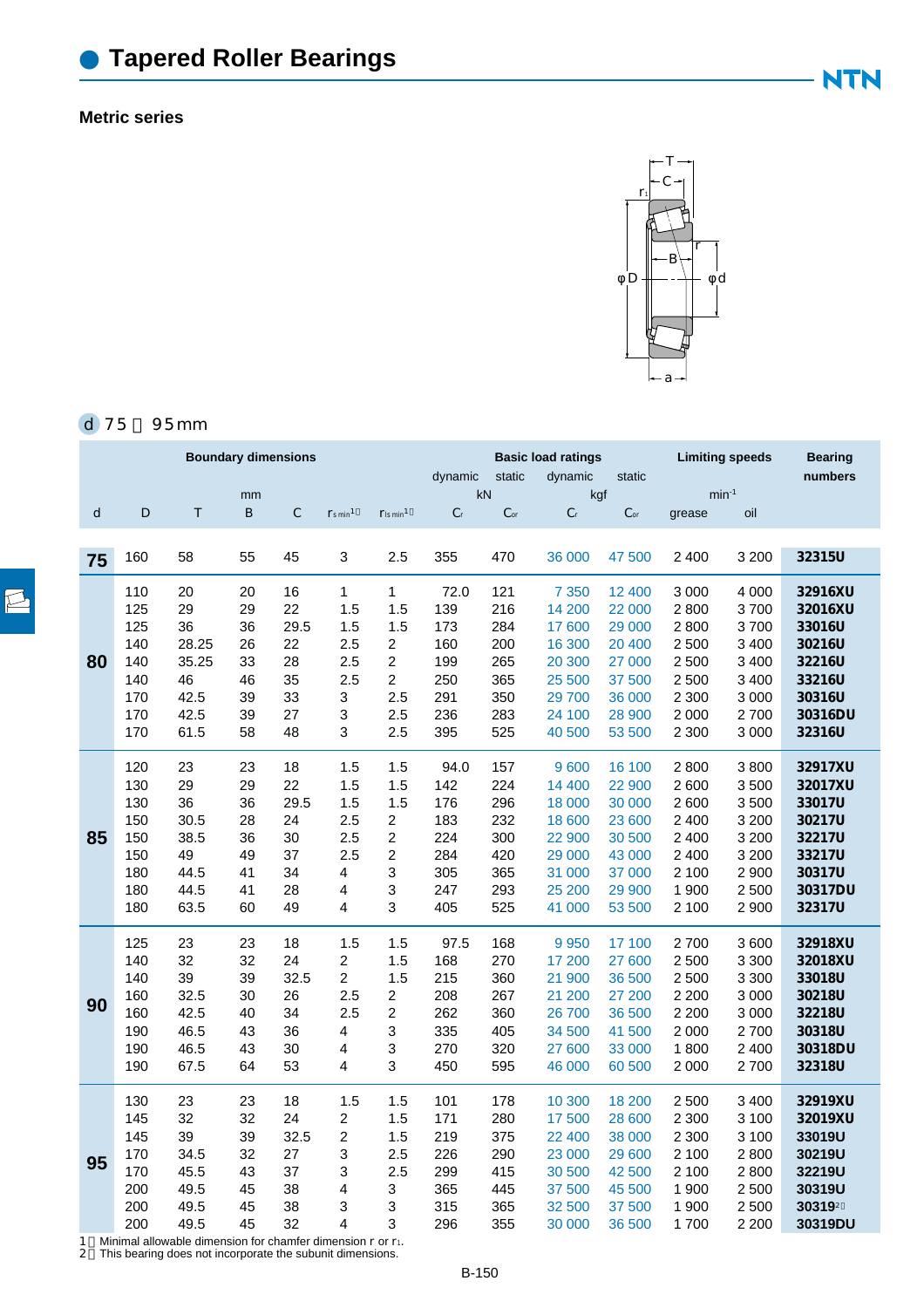

#### *d* 75 ~ 95mm

|                  |          |                                                      |                  | <b>Boundary dimensions</b> |                             |                  |             |                 | <b>Basic load ratings</b> |                 | <b>Limiting speeds</b> | <b>Bearing</b> |         |
|------------------|----------|------------------------------------------------------|------------------|----------------------------|-----------------------------|------------------|-------------|-----------------|---------------------------|-----------------|------------------------|----------------|---------|
|                  |          |                                                      |                  |                            |                             |                  | dynamic     | static          | dynamic                   | static          |                        |                | numbers |
|                  |          |                                                      | mm               |                            |                             |                  |             | kN              | kgf                       |                 |                        | $min-1$        |         |
| $\boldsymbol{d}$ | $\cal D$ | $\cal T$                                             | $\boldsymbol{B}$ | $\mathcal{C}_{0}^{0}$      | $\Gamma$ s min <sup>1</sup> | $\Gamma$ min     | $C_{\rm r}$ | $C_{\text{or}}$ | $C_{\rm r}$               | $C_{\text{or}}$ | grease                 | oil            |         |
| 75               | 160      | 58                                                   | 55               | 45                         | $\ensuremath{\mathsf{3}}$   | 2.5              | 355         | 470             | 36 000                    | 47 500          | 2 4 0 0                | 3 2 0 0        | 32315U  |
|                  |          |                                                      |                  |                            |                             |                  |             |                 |                           |                 |                        |                |         |
|                  | 110      | 20                                                   | 20               | 16                         | $\mathbf{1}$                | $\mathbf{1}$     | 72.0        | 121             | 7 3 5 0                   | 12 400          | 3 0 0 0                | 4 0 0 0        | 32916XU |
|                  | 125      | 29                                                   | 29               | 22                         | 1.5                         | 1.5              | 139         | 216             | 14 200                    | 22 000          | 2800                   | 3700           | 32016XU |
|                  | 125      | 36                                                   | 36               | 29.5                       | 1.5                         | 1.5              | 173         | 284             | 17600                     | 29 000          | 2800                   | 3700           | 33016U  |
|                  | 140      | 28.25                                                | 26               | 22                         | 2.5                         | $\overline{c}$   | 160         | 200             | 16 300                    | 20 400          | 2 500                  | 3 4 0 0        | 30216U  |
| 80               | 140      | 35.25                                                | 33               | 28                         | 2.5                         | $\mathbf 2$      | 199         | 265             | 20 300                    | 27 000          | 2 500                  | 3 4 0 0        | 32216U  |
|                  | 140      | 46                                                   | 46               | 35                         | 2.5                         | $\overline{c}$   | 250         | 365             | 25 500                    | 37 500          | 2 500                  | 3 4 0 0        | 33216U  |
|                  | 170      | 42.5                                                 | 39               | 33                         | $\ensuremath{\mathsf{3}}$   | 2.5              | 291         | 350             | 29 700                    | 36 000          | 2 300                  | 3 0 0 0        | 30316U  |
|                  | 170      | 42.5                                                 | 39               | 27                         | $\ensuremath{\mathsf{3}}$   | 2.5              | 236         | 283             | 24 100                    | 28 900          | 2 0 0 0                | 2700           | 30316DU |
|                  | 170      | 61.5                                                 | 58               | 48                         | 3                           | 2.5              | 395         | 525             | 40 500                    | 53 500          | 2 3 0 0                | 3 0 0 0        | 32316U  |
|                  | 120      | 23                                                   | 23               | 18                         | 1.5                         | 1.5              | 94.0        | 157             | 9600                      | 16 100          | 2800                   | 3800           | 32917XU |
|                  | 130      | 29                                                   | 29               | 22                         | 1.5                         | 1.5              | 142         | 224             | 14 400                    | 22 900          | 2 600                  | 3500           | 32017XU |
|                  | 130      | 36                                                   | 36               | 29.5                       | 1.5                         | 1.5              | 176         | 296             | 18 000                    | 30 000          | 2 600                  | 3 500          | 33017U  |
|                  | 150      | 30.5                                                 | 28               | 24                         | 2.5                         | $\overline{c}$   | 183         | 232             | 18 600                    | 23 600          | 2 4 0 0                | 3 200          | 30217U  |
| 85               | 150      | 38.5                                                 | 36               | 30                         | 2.5                         | $\overline{c}$   | 224         | 300             | 22 900                    | 30 500          | 2 4 0 0                | 3 200          | 32217U  |
|                  | 150      | 49                                                   | 49               | 37                         | 2.5                         | $\boldsymbol{2}$ | 284         | 420             | 29 000                    | 43 000          | 2 4 0 0                | 3 200          | 33217U  |
|                  | 180      | 44.5                                                 | 41               | 34                         | 4                           | 3                | 305         | 365             | 31 000                    | 37 000          | 2 100                  | 2 900          | 30317U  |
|                  | 180      | 44.5                                                 | 41               | 28                         | 4                           | 3                | 247         | 293             | 25 200                    | 29 900          | 1 900                  | 2 500          | 30317DU |
|                  | 180      | 63.5                                                 | 60               | 49                         | $\overline{4}$              | 3                | 405         | 525             | 41 000                    | 53 500          | 2 100                  | 2 900          | 32317U  |
|                  | 125      | 23                                                   | 23               | 18                         | 1.5                         | 1.5              | 97.5        | 168             | 9950                      | 17 100          | 2700                   | 3600           | 32918XU |
|                  | 140      | 32                                                   | 32               | 24                         | $\boldsymbol{2}$            | 1.5              | 168         | 270             | 17 200                    | 27 600          | 2 500                  | 3 3 0 0        | 32018XU |
|                  | 140      | 39                                                   | 39               | 32.5                       | $\overline{c}$              | 1.5              | 215         | 360             | 21 900                    | 36 500          | 2 500                  | 3 3 0 0        | 33018U  |
|                  | 160      | 32.5                                                 | 30               | 26                         | 2.5                         | $\boldsymbol{2}$ | 208         | 267             | 21 200                    | 27 200          | 2 2 0 0                | 3 0 0 0        | 30218U  |
| 90               | 160      | 42.5                                                 | 40               | 34                         | 2.5                         | $\mathbf 2$      | 262         | 360             | 26 700                    | 36 500          | 2 2 0 0                | 3 0 0 0        | 32218U  |
|                  | 190      | 46.5                                                 | 43               | 36                         | 4                           | 3                | 335         | 405             | 34 500                    | 41 500          | 2 0 0 0                | 2700           | 30318U  |
|                  | 190      | 46.5                                                 | 43               | 30                         | 4                           | 3                | 270         | 320             | 27 600                    | 33 000          | 1800                   | 2 4 0 0        | 30318DU |
|                  | 190      | 67.5                                                 | 64               | 53                         | 4                           | $\mathfrak{S}$   | 450         | 595             | 46 000                    | 60 500          | 2 0 0 0                | 2700           | 32318U  |
|                  | 130      | 23                                                   | 23               | 18                         | 1.5                         | 1.5              | 101         | 178             | 10 300                    | 18 200          | 2 500                  | 3 4 0 0        | 32919XU |
|                  | 145      | 32                                                   | 32               | 24                         | $\overline{c}$              | 1.5              | 171         | 280             | 17500                     | 28 600          | 2 3 0 0                | 3 100          | 32019XU |
|                  | 145      | 39                                                   | 39               | 32.5                       | $\boldsymbol{2}$            | 1.5              | 219         | 375             | 22 400                    | 38 000          | 2 3 0 0                | 3 100          | 33019U  |
|                  | 170      | 34.5                                                 | 32               | 27                         | $\ensuremath{\mathsf{3}}$   | 2.5              | 226         | 290             | 23 000                    | 29 600          | 2 100                  | 2800           | 30219U  |
| 95               | 170      | 45.5                                                 | 43               | 37                         | 3                           | 2.5              | 299         | 415             | 30 500                    | 42 500          | 2 100                  | 2800           | 32219U  |
|                  | 200      | 49.5                                                 | 45               | 38                         | 4                           | 3                | 365         | 445             | 37 500                    | 45 500          | 1 900                  | 2 500          | 30319U  |
|                  | 200      | 49.5                                                 | 45               | 38                         | 3                           | 3                | 315         | 365             | 32 500                    | 37 500          | 1 900                  | 2 500          | 303192  |
|                  | 200      | 49.5                                                 | 45               | 32                         | 4                           | 3                | 296         | 355             | 30 000                    | 36 500          | 1700                   | 2 2 0 0        | 30319DU |
|                  |          | 1. Minimal allowable dimension for epender dimension |                  |                            |                             |                  |             |                 |                           |                 |                        |                |         |

1)Minimal allowable dimension for chamfer dimension *r* or *r*1*.* 2)This bearing does not incorporate the subunit dimensions.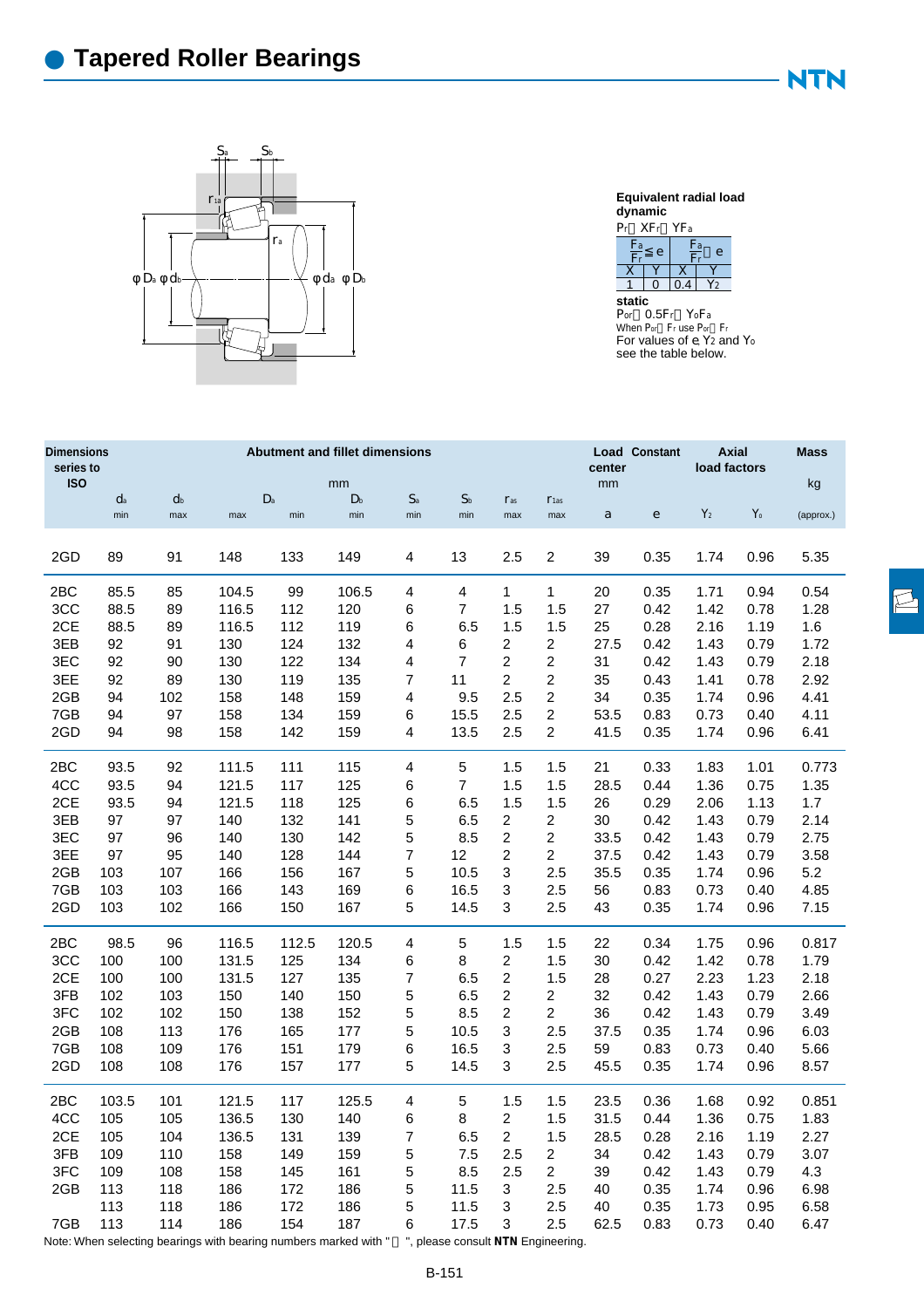





| <b>Dimensions</b><br>series to |                                     |                    |       |                | <b>Abutment and fillet dimensions</b>                            |                                          | <b>Load Constant</b><br>center  | <b>Axial</b><br>load factors    | Mass                |                  |                  |       |         |           |
|--------------------------------|-------------------------------------|--------------------|-------|----------------|------------------------------------------------------------------|------------------------------------------|---------------------------------|---------------------------------|---------------------|------------------|------------------|-------|---------|-----------|
| <b>ISO</b>                     |                                     |                    |       |                | mm                                                               |                                          |                                 |                                 |                     | mm               |                  |       |         | kg        |
|                                | $d_{\scriptscriptstyle\! A}$<br>min | $d_{\rm b}$<br>max | max   | $D_{a}$<br>min | $D_{\rm b}$<br>min                                               | $S_{\!\scriptscriptstyle \alpha}$<br>min | $S_{\rm b}$<br>min              | $\mathcal{T}\mathrm{as}$<br>max | $\Gamma$ las<br>max | $\boldsymbol{a}$ | $\boldsymbol{e}$ | $Y_2$ | $Y_{o}$ | (approx.) |
| 2GD                            | 89                                  | 91                 | 148   | 133            | 149                                                              | 4                                        | 13                              | 2.5                             | $\overline{c}$      | 39               | 0.35             | 1.74  | 0.96    | 5.35      |
| 2BC                            | 85.5                                | 85                 | 104.5 | 99             | 106.5                                                            | 4                                        | 4                               | 1                               | 1                   | 20               | 0.35             | 1.71  | 0.94    | 0.54      |
| 3CC                            | 88.5                                | 89                 | 116.5 | 112            | 120                                                              | 6                                        | 7                               | 1.5                             | 1.5                 | 27               | 0.42             | 1.42  | 0.78    | 1.28      |
| 2CE                            | 88.5                                | 89                 | 116.5 | 112            | 119                                                              | 6                                        | 6.5                             | 1.5                             | 1.5                 | 25               | 0.28             | 2.16  | 1.19    | 1.6       |
| 3EB                            | 92                                  | 91                 | 130   | 124            | 132                                                              | 4                                        | 6                               | $\overline{c}$                  | $\overline{c}$      | 27.5             | 0.42             | 1.43  | 0.79    | 1.72      |
| 3EC                            | 92                                  | 90                 | 130   | 122            | 134                                                              | 4                                        | 7                               | $\overline{c}$                  | $\overline{c}$      | 31               | 0.42             | 1.43  | 0.79    | 2.18      |
| 3EE                            | 92                                  | 89                 | 130   | 119            | 135                                                              | 7                                        | 11                              | $\overline{c}$                  | $\overline{c}$      | 35               | 0.43             | 1.41  | 0.78    | 2.92      |
| 2GB                            | 94                                  | 102                | 158   | 148            | 159                                                              | 4                                        | 9.5                             | 2.5                             | $\overline{c}$      | 34               | 0.35             | 1.74  | 0.96    | 4.41      |
| 7GB                            | 94                                  | 97                 | 158   | 134            | 159                                                              | 6                                        | 15.5                            | 2.5                             | 2                   | 53.5             | 0.83             | 0.73  | 0.40    | 4.11      |
| 2GD                            | 94                                  | 98                 | 158   | 142            | 159                                                              | 4                                        | 13.5                            | 2.5                             | $\overline{c}$      | 41.5             | 0.35             | 1.74  | 0.96    | 6.41      |
| 2BC                            | 93.5                                | 92                 | 111.5 | 111            | 115                                                              | 4                                        | 5                               | 1.5                             | 1.5                 | 21               | 0.33             | 1.83  | 1.01    | 0.773     |
| 4CC                            | 93.5                                | 94                 | 121.5 | 117            | 125                                                              | 6                                        | 7                               | 1.5                             | 1.5                 | 28.5             | 0.44             | 1.36  | 0.75    | 1.35      |
| 2CE                            | 93.5                                | 94                 | 121.5 | 118            | 125                                                              | 6                                        | 6.5                             | 1.5                             | 1.5                 | 26               | 0.29             | 2.06  | 1.13    | 1.7       |
| 3EB                            | 97                                  | 97                 | 140   | 132            | 141                                                              | 5                                        | 6.5                             | 2                               | 2                   | 30               | 0.42             | 1.43  | 0.79    | 2.14      |
| 3EC                            | 97                                  | 96                 | 140   | 130            | 142                                                              | 5                                        | 8.5                             | $\overline{c}$                  | $\overline{c}$      | 33.5             | 0.42             | 1.43  | 0.79    | 2.75      |
| 3EE                            | 97                                  | 95                 | 140   | 128            | 144                                                              | 7                                        | 12                              | $\overline{c}$                  | 2                   | 37.5             | 0.42             | 1.43  | 0.79    | 3.58      |
| 2GB                            | 103                                 | 107                | 166   | 156            | 167                                                              | 5                                        | 10.5                            | 3                               | 2.5                 | 35.5             | 0.35             | 1.74  | 0.96    | 5.2       |
| 7GB                            | 103                                 | 103                | 166   | 143            | 169                                                              | 6                                        | 16.5                            | 3                               | 2.5                 | 56               | 0.83             | 0.73  | 0.40    | 4.85      |
| 2GD                            | 103                                 | 102                | 166   | 150            | 167                                                              | 5                                        | 14.5                            | 3                               | 2.5                 | 43               | 0.35             | 1.74  | 0.96    | 7.15      |
| 2 <sub>BC</sub>                | 98.5                                | 96                 | 116.5 | 112.5          | 120.5                                                            | 4                                        | 5                               | 1.5                             | 1.5                 | 22               | 0.34             | 1.75  | 0.96    | 0.817     |
| 3CC                            | 100                                 | 100                | 131.5 | 125            | 134                                                              | 6                                        | 8                               | 2                               | 1.5                 | 30               | 0.42             | 1.42  | 0.78    | 1.79      |
| 2CE                            | 100                                 | 100                | 131.5 | 127            | 135                                                              | 7                                        | 6.5                             | $\overline{2}$                  | 1.5                 | 28               | 0.27             | 2.23  | 1.23    | 2.18      |
| 3FB                            | 102                                 | 103                | 150   | 140            | 150                                                              | 5                                        | 6.5                             | $\overline{c}$                  | 2                   | 32               | 0.42             | 1.43  | 0.79    | 2.66      |
| 3FC                            | 102                                 | 102                | 150   | 138            | 152                                                              | 5                                        | 8.5                             | $\overline{2}$                  | 2                   | 36               | 0.42             | 1.43  | 0.79    | 3.49      |
| 2GB                            | 108                                 | 113                | 176   | 165            | 177                                                              | 5                                        | 10.5                            | 3                               | 2.5                 | 37.5             | 0.35             | 1.74  | 0.96    | 6.03      |
| 7GB                            | 108                                 | 109                | 176   | 151            | 179                                                              | 6                                        | 16.5                            | 3                               | 2.5                 | 59               | 0.83             | 0.73  | 0.40    | 5.66      |
| 2GD                            | 108                                 | 108                | 176   | 157            | 177                                                              | 5                                        | 14.5                            | 3                               | 2.5                 | 45.5             | 0.35             | 1.74  | 0.96    | 8.57      |
| 2 <sub>BC</sub>                | 103.5                               | 101                | 121.5 | 117            | 125.5                                                            | 4                                        | 5                               | 1.5                             | 1.5                 | 23.5             | 0.36             | 1.68  | 0.92    | 0.851     |
| 4CC                            | 105                                 | 105                | 136.5 | 130            | 140                                                              | 6                                        | 8                               | $\overline{c}$                  | 1.5                 | 31.5             | 0.44             | 1.36  | 0.75    | 1.83      |
| 2CE                            | 105                                 | 104                | 136.5 | 131            | 139                                                              | 7                                        | 6.5                             | $\overline{c}$                  | 1.5                 | 28.5             | 0.28             | 2.16  | 1.19    | 2.27      |
| 3FB                            | 109                                 | 110                | 158   | 149            | 159                                                              | 5                                        | 7.5                             | 2.5                             | 2                   | 34               | 0.42             | 1.43  | 0.79    | 3.07      |
| 3FC                            | 109                                 | 108                | 158   | 145            | 161                                                              | 5                                        | 8.5                             | 2.5                             | 2                   | 39               | 0.42             | 1.43  | 0.79    | 4.3       |
| 2GB                            | 113                                 | 118                | 186   | 172            | 186                                                              | 5                                        | 11.5                            | $\mathfrak{S}$                  | 2.5                 | 40               | 0.35             | 1.74  | 0.96    | 6.98      |
|                                | 113                                 | 118                | 186   | 172            | 186                                                              | 5                                        | 11.5                            | 3                               | 2.5                 | 40               | 0.35             | 1.73  | 0.95    | 6.58      |
| 7GB                            | 113                                 | 114                | 186   | 154            | 187                                                              | 6                                        | 17.5                            | 3                               | 2.5                 | 62.5             | 0.83             | 0.73  | 0.40    | 6.47      |
|                                |                                     |                    |       |                | Note: When selecting bearings with bearing numbers marked with " |                                          | please consult NTN Engineering. |                                 |                     |                  |                  |       |         |           |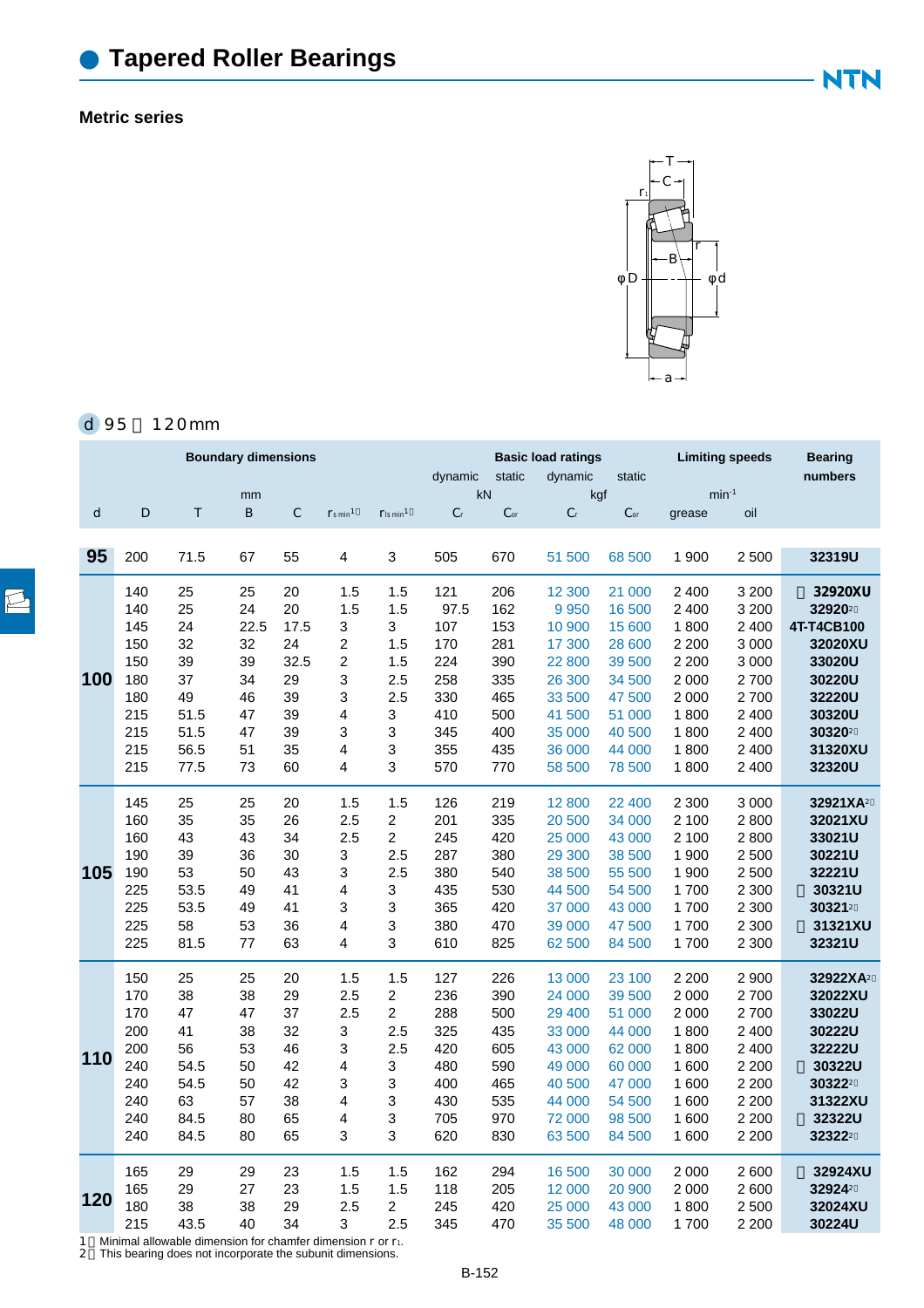

**NTN** 

| $d$ 95 | 120mm |
|--------|-------|

| <b>Boundary dimensions</b><br><b>Basic load ratings</b>                                                                                                                                                | <b>Limiting speeds</b> | <b>Bearing</b>       |
|--------------------------------------------------------------------------------------------------------------------------------------------------------------------------------------------------------|------------------------|----------------------|
| dynamic<br>static<br>static<br>dynamic                                                                                                                                                                 |                        | numbers              |
| kN<br>kgf<br>mm                                                                                                                                                                                        | $min^{-1}$             |                      |
| $\boldsymbol{D}$<br>$\cal T$<br>$\boldsymbol{B}$<br>$\mathcal{C}$<br>$C_{r}$<br>$\boldsymbol{d}$<br>$C_{\text{or}}$<br>$C_{\rm r}$<br>$C_{\text{or}}$<br>$r_{\rm s\,min}$ <sup>1</sup><br>$\Gamma$ min | oil<br>grease          |                      |
| 95<br>71.5<br>55<br>4<br>3<br>505<br>670<br>51 500<br>200<br>67<br>68 500                                                                                                                              | 1 900<br>2 500         | 32319U               |
|                                                                                                                                                                                                        |                        |                      |
| 140<br>25<br>25<br>20<br>1.5<br>1.5<br>121<br>206<br>12 300<br>21 000                                                                                                                                  | 2 4 0 0<br>3 200       | 32920XU              |
| 140<br>25<br>24<br>20<br>1.5<br>1.5<br>97.5<br>9950<br>162<br>16 500                                                                                                                                   | 3 2 0 0<br>2 4 0 0     | 329202               |
| 3<br>145<br>24<br>22.5<br>17.5<br>3<br>107<br>153<br>10 900<br>15 600                                                                                                                                  | 1800<br>2 4 0 0        | 4T-T4CB100           |
| $\overline{\mathbf{c}}$<br>32<br>32<br>24<br>170<br>281<br>17 300<br>28 600<br>150<br>1.5                                                                                                              | 2 2 0 0<br>3 0 0 0     | 32020XU              |
| $\overline{\mathbf{c}}$<br>150<br>39<br>39<br>32.5<br>1.5<br>224<br>390<br>22 800<br>39 500                                                                                                            | 3 0 0 0<br>2 2 0 0     | 33020U               |
| 100<br>3<br>180<br>37<br>34<br>29<br>2.5<br>258<br>335<br>26 300<br>34 500                                                                                                                             | 2 0 0 0<br>2700        | 30220U               |
| 3<br>180<br>49<br>46<br>39<br>2.5<br>330<br>465<br>33 500<br>47 500                                                                                                                                    | 2700<br>2 0 0 0        | 32220U               |
| 215<br>51.5<br>39<br>4<br>3<br>410<br>41 500<br>47<br>500<br>51 000                                                                                                                                    | 2 4 0 0<br>1800        | 30320U               |
| 215<br>51.5<br>39<br>3<br>3<br>400<br>35 000<br>40 500<br>47<br>345                                                                                                                                    | 2 4 0 0<br>1800        | 303202               |
| 4<br>3<br>56.5<br>35<br>355<br>215<br>51<br>435<br>36 000<br>44 000                                                                                                                                    | 2 4 0 0<br>1800        | 31320XU              |
| 4<br>3<br>215<br>77.5<br>73<br>60<br>570<br>770<br>58 500<br>78 500                                                                                                                                    | 1800<br>2 4 0 0        | 32320U               |
| 25<br>25<br>20<br>1.5<br>126<br>145<br>1.5<br>219<br>12 800<br>22 400                                                                                                                                  | 2 300<br>3 0 0 0       | 32921XA <sup>2</sup> |
| 160<br>35<br>35<br>2.5<br>201<br>335<br>26<br>2<br>20 500<br>34 000                                                                                                                                    | 2800<br>2 100          | 32021XU              |
| 34<br>2.5<br>2<br>160<br>43<br>43<br>245<br>420<br>25 000<br>43 000                                                                                                                                    | 2 100<br>2800          | 33021U               |
| 190<br>39<br>36<br>30<br>3<br>2.5<br>287<br>29 300<br>380<br>38 500                                                                                                                                    | 1 900<br>2 500         | 30221U               |
| 105<br>190<br>53<br>50<br>43<br>3<br>2.5<br>380<br>540<br>38 500<br>55 500                                                                                                                             | 1 900<br>2 500         | 32221U               |
| 53.5<br>4<br>225<br>49<br>41<br>3<br>435<br>530<br>44 500<br>54 500                                                                                                                                    | 1700<br>2 3 0 0        | 30321U               |
| 225<br>53.5<br>3<br>3<br>365<br>49<br>41<br>420<br>37 000<br>43 000                                                                                                                                    | 1700<br>2 3 0 0        | 30321 <sup>2</sup>   |
| 225<br>58<br>53<br>36<br>4<br>3<br>380<br>470<br>39 000<br>47 500                                                                                                                                      | 1700<br>2 3 0 0        | 31321XU              |
| 225<br>3<br>81.5<br>77<br>63<br>4<br>610<br>825<br>62 500<br>84 500                                                                                                                                    | 1700<br>2 3 0 0        | 32321U               |
|                                                                                                                                                                                                        |                        |                      |
| 150<br>127<br>25<br>25<br>20<br>1.5<br>1.5<br>226<br>13 000<br>23 100                                                                                                                                  | 2 2 0 0<br>2 900       | 32922XA <sup>2</sup> |
| 170<br>38<br>38<br>2.5<br>2<br>236<br>29<br>390<br>24 000<br>39 500                                                                                                                                    | 2 0 0 0<br>2700        | 32022XU              |
| 2.5<br>$\overline{c}$<br>288<br>170<br>47<br>47<br>37<br>500<br>29 400<br>51 000                                                                                                                       | 2 0 0 0<br>2700        | 33022U               |
| 200<br>41<br>32<br>3<br>2.5<br>325<br>33 000<br>38<br>435<br>44 000                                                                                                                                    | 2 4 0 0<br>1800        | 30222U               |
| 200<br>3<br>2.5<br>420<br>56<br>53<br>46<br>605<br>43 000<br>62 000<br>110                                                                                                                             | 1800<br>2 4 0 0        | 32222U               |
| 240<br>54.5<br>50<br>42<br>4<br>3<br>480<br>590<br>49 000<br>60 000                                                                                                                                    | 1 600<br>2 2 0 0       | 30322U               |
| 54.5<br>42<br>3<br>240<br>50<br>3<br>400<br>465<br>40 500<br>47 000                                                                                                                                    | 1 600<br>2 2 0 0       | 303222               |
| 63<br>38<br>4<br>3<br>240<br>57<br>430<br>535<br>44 000<br>54 500                                                                                                                                      | 1 600<br>2 2 0 0       | 31322XU              |
| 3<br>240<br>84.5<br>65<br>4<br>970<br>80<br>705<br>72 000<br>98 500                                                                                                                                    | 2 2 0 0<br>1 600       | 32322U               |
| 3<br>3<br>240<br>84.5<br>80<br>65<br>620<br>830<br>63 500<br>84 500                                                                                                                                    | 1 600<br>2 2 0 0       | 323222               |
| 165<br>29<br>29<br>23<br>1.5<br>1.5<br>162<br>294<br>16 500<br>30 000                                                                                                                                  | 2600<br>2 0 0 0        | 32924XU              |
| 29<br>27<br>1.5<br>165<br>23<br>1.5<br>118<br>205<br>12 000<br>20 900                                                                                                                                  | 2 0 0 0<br>2600        | 329242               |
| 120<br>180<br>38<br>38<br>29<br>2.5<br>2<br>245<br>420<br>25 000<br>43 000                                                                                                                             | 1800<br>2 500          | 32024XU              |
| 40<br>34<br>3<br>2.5<br>215<br>43.5<br>345<br>470<br>35 500<br>48 000                                                                                                                                  | 1700<br>2 2 0 0        | 30224U               |

1)Minimal allowable dimension for chamfer dimension *r* or *r*1. 2)This bearing does not incorporate the subunit dimensions.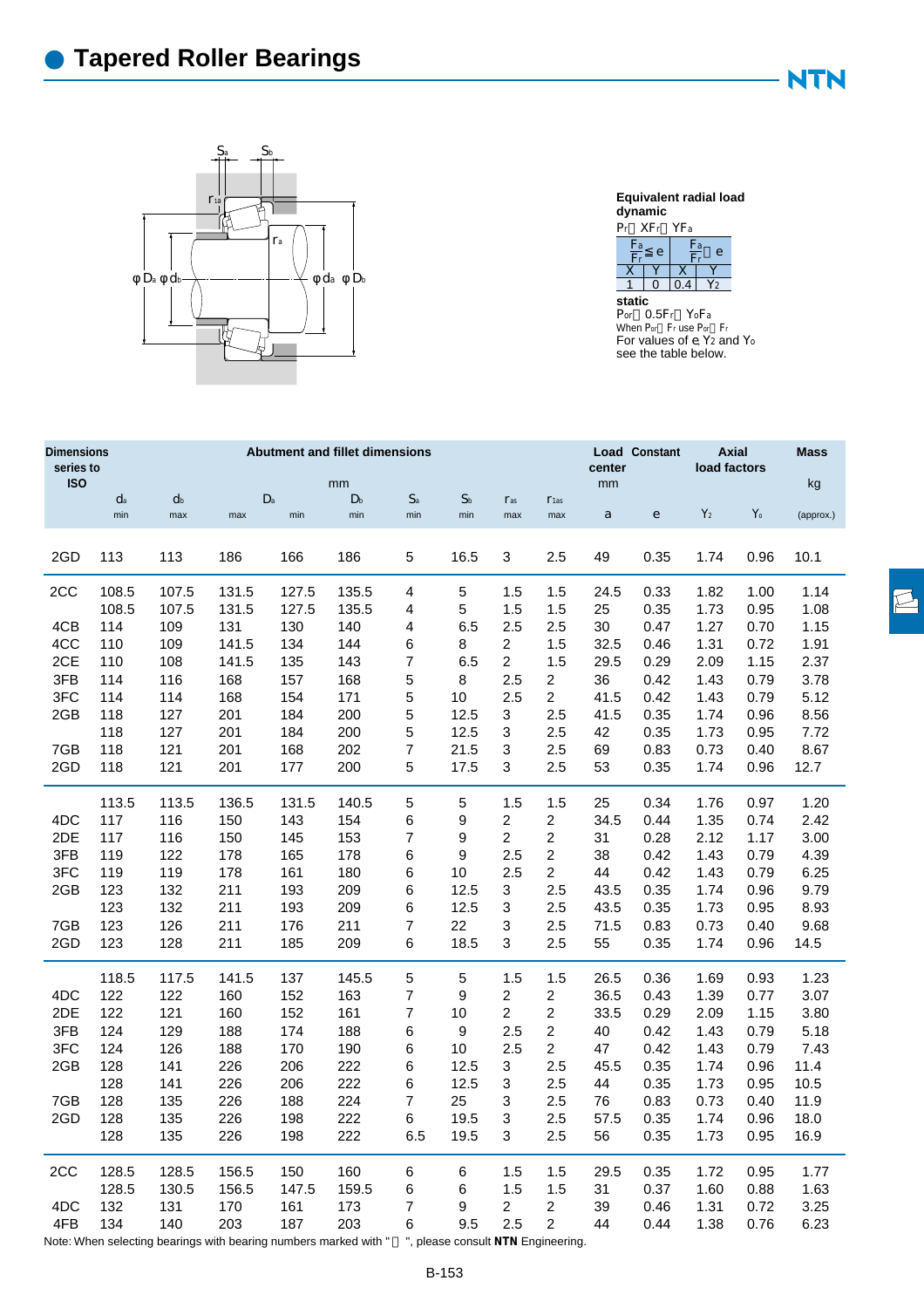





|     | <b>Dimensions</b><br><b>Abutment and fillet dimensions</b><br>series to<br><b>ISO</b><br>mm |                    |                |                                               |                                                                  |                                          |                                    |                                 |                     | center           | <b>Load Constant</b> | <b>Axial</b><br>load factors | <b>Mass</b>  |              |
|-----|---------------------------------------------------------------------------------------------|--------------------|----------------|-----------------------------------------------|------------------------------------------------------------------|------------------------------------------|------------------------------------|---------------------------------|---------------------|------------------|----------------------|------------------------------|--------------|--------------|
|     |                                                                                             |                    |                |                                               |                                                                  |                                          |                                    |                                 |                     | mm               |                      |                              |              | kg           |
|     | $d_{a}$<br>min                                                                              | $d_{\rm b}$<br>max | max            | $D_{\scriptscriptstyle{\overline{a}}}$<br>min | $D_{\rm b}$<br>min                                               | $S_{\!\scriptscriptstyle \alpha}$<br>min | $S_{\rm b}$<br>min                 | $\mathcal{T}\mathrm{as}$<br>max | $\Gamma$ las<br>max | $\boldsymbol{a}$ | $\boldsymbol{e}$     | $Y_2$                        | $Y_{o}$      | (approx.)    |
| 2GD | 113                                                                                         | 113                | 186            | 166                                           | 186                                                              | 5                                        | 16.5                               | $\mathfrak{S}$                  | 2.5                 | 49               | 0.35                 | 1.74                         | 0.96         | 10.1         |
| 2CC | 108.5<br>108.5                                                                              | 107.5<br>107.5     | 131.5<br>131.5 | 127.5<br>127.5                                | 135.5<br>135.5                                                   | 4<br>4                                   | 5<br>5                             | 1.5<br>1.5                      | 1.5<br>1.5          | 24.5<br>25       | 0.33<br>0.35         | 1.82<br>1.73                 | 1.00<br>0.95 | 1.14<br>1.08 |
| 4CB | 114                                                                                         | 109                | 131            | 130                                           | 140                                                              | 4                                        | 6.5                                | 2.5                             | 2.5                 | 30               | 0.47                 | 1.27                         | 0.70         | 1.15         |
| 4CC | 110                                                                                         | 109                | 141.5          | 134                                           | 144                                                              | 6                                        | 8                                  | $\boldsymbol{2}$                | 1.5                 | 32.5             | 0.46                 | 1.31                         | 0.72         | 1.91         |
| 2CE | 110                                                                                         |                    |                | 135                                           |                                                                  | 7                                        | 6.5                                | $\overline{2}$                  | 1.5                 |                  | 0.29                 |                              | 1.15         |              |
|     |                                                                                             | 108                | 141.5          |                                               | 143                                                              |                                          |                                    |                                 |                     | 29.5             |                      | 2.09                         |              | 2.37         |
| 3FB | 114                                                                                         | 116                | 168            | 157                                           | 168                                                              | 5                                        | 8                                  | 2.5                             | 2                   | 36               | 0.42                 | 1.43                         | 0.79         | 3.78         |
| 3FC | 114                                                                                         | 114                | 168            | 154                                           | 171                                                              | 5                                        | 10                                 | 2.5                             | $\overline{2}$      | 41.5             | 0.42                 | 1.43                         | 0.79         | 5.12         |
| 2GB | 118                                                                                         | 127                | 201            | 184                                           | 200                                                              | 5                                        | 12.5                               | 3                               | 2.5                 | 41.5             | 0.35                 | 1.74                         | 0.96         | 8.56         |
|     | 118                                                                                         | 127                | 201            | 184                                           | 200                                                              | 5                                        | 12.5                               | 3                               | 2.5                 | 42               | 0.35                 | 1.73                         | 0.95         | 7.72         |
| 7GB | 118                                                                                         | 121                | 201            | 168                                           | 202                                                              | 7                                        | 21.5                               | 3                               | 2.5                 | 69               | 0.83                 | 0.73                         | 0.40         | 8.67         |
| 2GD | 118                                                                                         | 121                | 201            | 177                                           | 200                                                              | 5                                        | 17.5                               | 3                               | 2.5                 | 53               | 0.35                 | 1.74                         | 0.96         | 12.7         |
|     | 113.5                                                                                       | 113.5              | 136.5          | 131.5                                         | 140.5                                                            | 5                                        | 5                                  | 1.5                             | 1.5                 | 25               | 0.34                 | 1.76                         | 0.97         | 1.20         |
| 4DC | 117                                                                                         | 116                | 150            | 143                                           | 154                                                              | 6                                        | 9                                  | $\overline{c}$                  | 2                   | 34.5             | 0.44                 | 1.35                         | 0.74         | 2.42         |
| 2DE | 117                                                                                         | 116                | 150            | 145                                           | 153                                                              | 7                                        | 9                                  | $\overline{2}$                  | 2                   | 31               | 0.28                 | 2.12                         | 1.17         | 3.00         |
| 3FB | 119                                                                                         | 122                | 178            | 165                                           | 178                                                              | 6                                        | $\boldsymbol{9}$                   | 2.5                             | 2                   | 38               | 0.42                 | 1.43                         | 0.79         | 4.39         |
| 3FC | 119                                                                                         | 119                | 178            | 161                                           | 180                                                              | 6                                        | 10                                 | 2.5                             | $\overline{c}$      | 44               | 0.42                 | 1.43                         | 0.79         | 6.25         |
| 2GB | 123                                                                                         | 132                | 211            | 193                                           | 209                                                              | 6                                        | 12.5                               | $\ensuremath{\mathsf{3}}$       | 2.5                 | 43.5             | 0.35                 | 1.74                         | 0.96         | 9.79         |
|     | 123                                                                                         | 132                | 211            | 193                                           | 209                                                              | 6                                        | 12.5                               | 3                               | 2.5                 | 43.5             | 0.35                 | 1.73                         | 0.95         | 8.93         |
| 7GB | 123                                                                                         | 126                | 211            | 176                                           | 211                                                              | $\overline{7}$                           | 22                                 | $\mathfrak{S}$                  | 2.5                 | 71.5             | 0.83                 | 0.73                         | 0.40         | 9.68         |
| 2GD | 123                                                                                         | 128                | 211            | 185                                           | 209                                                              | 6                                        | 18.5                               | 3                               | 2.5                 | 55               | 0.35                 | 1.74                         | 0.96         | 14.5         |
|     | 118.5                                                                                       | 117.5              | 141.5          | 137                                           | 145.5                                                            | 5                                        | 5                                  | 1.5                             | 1.5                 | 26.5             | 0.36                 | 1.69                         | 0.93         | 1.23         |
| 4DC | 122                                                                                         | 122                | 160            | 152                                           | 163                                                              | 7                                        | 9                                  | $\overline{c}$                  | 2                   | 36.5             | 0.43                 | 1.39                         | 0.77         | 3.07         |
| 2DE | 122                                                                                         | 121                | 160            | 152                                           | 161                                                              | 7                                        | 10                                 | $\overline{c}$                  | 2                   | 33.5             | 0.29                 | 2.09                         | 1.15         | 3.80         |
| 3FB | 124                                                                                         | 129                | 188            | 174                                           | 188                                                              | 6                                        | 9                                  | 2.5                             | 2                   | 40               | 0.42                 | 1.43                         | 0.79         | 5.18         |
| 3FC | 124                                                                                         | 126                | 188            | 170                                           | 190                                                              | 6                                        | 10                                 | 2.5                             | 2                   | 47               | 0.42                 | 1.43                         | 0.79         | 7.43         |
| 2GB | 128                                                                                         | 141                | 226            | 206                                           | 222                                                              | 6                                        | 12.5                               | 3                               | 2.5                 | 45.5             | 0.35                 | 1.74                         | 0.96         | 11.4         |
|     | 128                                                                                         | 141                | 226            | 206                                           | 222                                                              | 6                                        | 12.5                               | 3                               | 2.5                 | 44               | 0.35                 | 1.73                         | 0.95         | 10.5         |
| 7GB | 128                                                                                         | 135                | 226            | 188                                           | 224                                                              | 7                                        | 25                                 | 3                               | 2.5                 | 76               | 0.83                 | 0.73                         | 0.40         | 11.9         |
| 2GD | 128                                                                                         | 135                | 226            | 198                                           | 222                                                              | 6                                        | 19.5                               | 3                               | 2.5                 | 57.5             | 0.35                 | 1.74                         | 0.96         | 18.0         |
|     | 128                                                                                         | 135                | 226            | 198                                           | 222                                                              | 6.5                                      | 19.5                               | 3                               | 2.5                 | 56               | 0.35                 | 1.73                         | 0.95         | 16.9         |
|     |                                                                                             |                    |                |                                               |                                                                  |                                          |                                    |                                 |                     |                  |                      |                              |              |              |
| 2CC | 128.5                                                                                       | 128.5              | 156.5          | 150                                           | 160                                                              | 6                                        | 6                                  | 1.5                             | 1.5                 | 29.5             | 0.35                 | 1.72                         | 0.95         | 1.77         |
|     | 128.5                                                                                       | 130.5              | 156.5          | 147.5                                         | 159.5                                                            | 6                                        | 6                                  | 1.5                             | 1.5                 | 31               | 0.37                 | 1.60                         | 0.88         | 1.63         |
| 4DC | 132                                                                                         | 131                | 170            | 161                                           | 173                                                              | 7                                        | 9                                  | $\overline{c}$                  | 2                   | 39               | 0.46                 | 1.31                         | 0.72         | 3.25         |
| 4FB | 134                                                                                         | 140                | 203            | 187                                           | 203                                                              | 6                                        | 9.5                                | 2.5                             | $\overline{c}$      | 44               | 0.44                 | 1.38                         | 0.76         | 6.23         |
|     |                                                                                             |                    |                |                                               | Note: When selecting bearings with bearing numbers marked with " |                                          | ", please consult NTN Engineering. |                                 |                     |                  |                      |                              |              |              |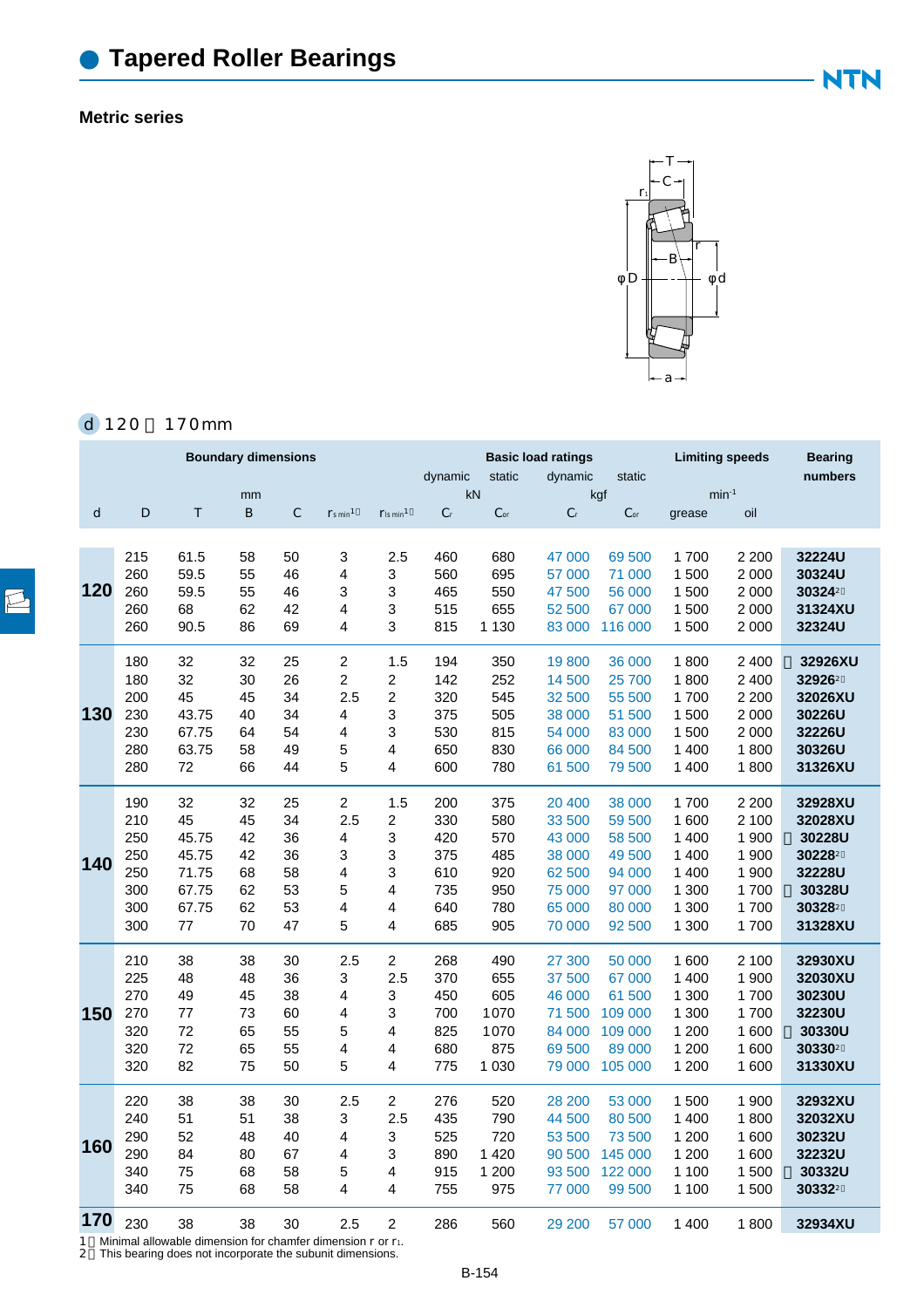

|  |  | $d$ 120 | 170mm |
|--|--|---------|-------|
|--|--|---------|-------|

|                  | <b>Boundary dimensions</b> |          |                  |               |                               |                           |             | <b>Basic load ratings</b> | <b>Limiting speeds</b> | <b>Bearing</b>  |         |         |         |
|------------------|----------------------------|----------|------------------|---------------|-------------------------------|---------------------------|-------------|---------------------------|------------------------|-----------------|---------|---------|---------|
|                  |                            |          |                  |               |                               |                           | dynamic     | static                    | dynamic                | static          |         |         | numbers |
|                  |                            |          | mm               |               |                               |                           |             | kN                        |                        | kgf             |         | $min-1$ |         |
| $\boldsymbol{d}$ | $\cal D$                   | $\cal T$ | $\boldsymbol{B}$ | $\mathcal{C}$ | $r_{\rm s\,min}$ <sup>1</sup> | $\Gamma$ min <sup>1</sup> | $C_{\rm r}$ | $C_{\text{or}}$           | $C_{\rm r}$            | $C_{\text{or}}$ | grease  | oil     |         |
|                  |                            |          |                  |               |                               |                           |             |                           |                        |                 |         |         |         |
|                  | 215                        | 61.5     | 58               | 50            | 3                             | 2.5                       | 460         | 680                       | 47 000                 | 69 500          | 1700    | 2 2 0 0 | 32224U  |
|                  | 260                        | 59.5     | 55               | 46            | 4                             | 3                         | 560         | 695                       | 57 000                 | 71 000          | 1500    | 2 0 0 0 | 30324U  |
| 120              | 260                        | 59.5     | 55               | 46            | 3                             | 3                         | 465         | 550                       | 47 500                 | 56 000          | 1500    | 2 0 0 0 | 303242  |
|                  | 260                        | 68       | 62               | 42            | 4                             | 3                         | 515         | 655                       | 52 500                 | 67 000          | 1500    | 2 0 0 0 | 31324XU |
|                  | 260                        | 90.5     | 86               | 69            | 4                             | 3                         | 815         | 1 1 3 0                   | 83 000                 | 116 000         | 1 500   | 2 0 0 0 | 32324U  |
|                  | 180                        | 32       | 32               | 25            | $\overline{c}$                | 1.5                       | 194         | 350                       | 19800                  | 36 000          | 1800    | 2 4 0 0 | 32926XU |
|                  | 180                        | 32       | 30               | 26            | $\overline{c}$                | $\overline{\mathbf{c}}$   | 142         | 252                       | 14 500                 | 25 700          | 1800    | 2 4 0 0 | 329262  |
|                  | 200                        | 45       | 45               | 34            | 2.5                           | $\overline{c}$            | 320         | 545                       | 32 500                 | 55 500          | 1700    | 2 200   | 32026XU |
| 130              | 230                        | 43.75    | 40               | 34            | 4                             | 3                         | 375         | 505                       | 38 000                 | 51 500          | 1 500   | 2 0 0 0 | 30226U  |
|                  | 230                        | 67.75    | 64               | 54            | 4                             | 3                         | 530         | 815                       | 54 000                 | 83 000          | 1500    | 2 0 0 0 | 32226U  |
|                  | 280                        | 63.75    | 58               | 49            | 5                             | 4                         | 650         | 830                       | 66 000                 | 84 500          | 1 400   | 1800    | 30326U  |
|                  | 280                        | 72       | 66               | 44            | 5                             | 4                         | 600         | 780                       | 61 500                 | 79 500          | 1 4 0 0 | 1800    | 31326XU |
|                  | 190                        | 32       | 32               | 25            | $\overline{2}$                | 1.5                       | 200         | 375                       | 20 400                 | 38 000          | 1700    | 2 2 0 0 | 32928XU |
|                  | 210                        | 45       | 45               | 34            | 2.5                           | $\overline{c}$            | 330         | 580                       | 33 500                 | 59 500          | 1 600   | 2 100   | 32028XU |
|                  | 250                        | 45.75    | 42               | 36            | 4                             | 3                         | 420         | 570                       | 43 000                 | 58 500          | 1 400   | 1 900   | 30228U  |
| 140              | 250                        | 45.75    | 42               | 36            | 3                             | 3                         | 375         | 485                       | 38 000                 | 49 500          | 1 400   | 1 900   | 302282  |
|                  | 250                        | 71.75    | 68               | 58            | 4                             | 3                         | 610         | 920                       | 62 500                 | 94 000          | 1 400   | 1 900   | 32228U  |
|                  | 300                        | 67.75    | 62               | 53            | 5                             | 4                         | 735         | 950                       | 75 000                 | 97 000          | 1 300   | 1700    | 30328U  |
|                  | 300                        | 67.75    | 62               | 53            | 4                             | 4                         | 640         | 780                       | 65 000                 | 80 000          | 1 300   | 1700    | 303282  |
|                  | 300                        | 77       | 70               | 47            | 5                             | 4                         | 685         | 905                       | 70 000                 | 92 500          | 1 300   | 1700    | 31328XU |
|                  | 210                        | 38       | 38               | 30            | 2.5                           | $\overline{c}$            | 268         | 490                       | 27 300                 | 50 000          | 1 600   | 2 100   | 32930XU |
|                  | 225                        | 48       | 48               | 36            | 3                             | 2.5                       | 370         | 655                       | 37 500                 | 67 000          | 1 400   | 1 900   | 32030XU |
|                  | 270                        | 49       | 45               | 38            | $\overline{\mathbf{4}}$       | 3                         | 450         | 605                       | 46 000                 | 61 500          | 1 300   | 1700    | 30230U  |
| 150              | 270                        | 77       | 73               | 60            | 4                             | 3                         | 700         | 1070                      | 71 500                 | 109 000         | 1 300   | 1700    | 32230U  |
|                  | 320                        | 72       | 65               | 55            | 5                             | 4                         | 825         | 1070                      | 84 000                 | 109 000         | 1 200   | 1 600   | 30330U  |
|                  | 320                        | 72       | 65               | 55            | $\overline{\mathbf{4}}$       | 4                         | 680         | 875                       | 69 500                 | 89 000          | 1 200   | 1 600   | 303302  |
|                  | 320                        | 82       | 75               | 50            | 5                             | 4                         | 775         | 1 0 3 0                   | 79 000                 | 105 000         | 1 200   | 1 600   | 31330XU |
|                  | 220                        | 38       | 38               | 30            | 2.5                           | $\overline{c}$            | 276         | 520                       | 28 200                 | 53 000          | 1500    | 1 900   | 32932XU |
|                  | 240                        | 51       | 51               | 38            | 3                             | 2.5                       | 435         | 790                       | 44 500                 | 80 500          | 1 400   | 1800    | 32032XU |
| 160              | 290                        | 52       | 48               | 40            | 4                             | 3                         | 525         | 720                       | 53 500                 | 73 500          | 1 200   | 1 600   | 30232U  |
|                  | 290                        | 84       | 80               | 67            | 4                             | 3                         | 890         | 1 4 2 0                   | 90 500                 | 145 000         | 1 200   | 1 600   | 32232U  |
|                  | 340                        | 75       | 68               | 58            | 5                             | 4                         | 915         | 1 200                     | 93 500                 | 122 000         | 1 100   | 1500    | 30332U  |
|                  | 340                        | 75       | 68               | 58            | 4                             | 4                         | 755         | 975                       | 77 000                 | 99 500          | 1 100   | 1 500   | 303322  |
| 170              | 230                        | 38       | 38               | 30            | 2.5                           | $\mathbf 2$               | 286         | 560                       | 29 200                 | 57 000          | 1 400   | 1800    | 32934XU |

1)Minimal allowable dimension for chamfer dimension *r* or *r*1. 2)This bearing does not incorporate the subunit dimensions.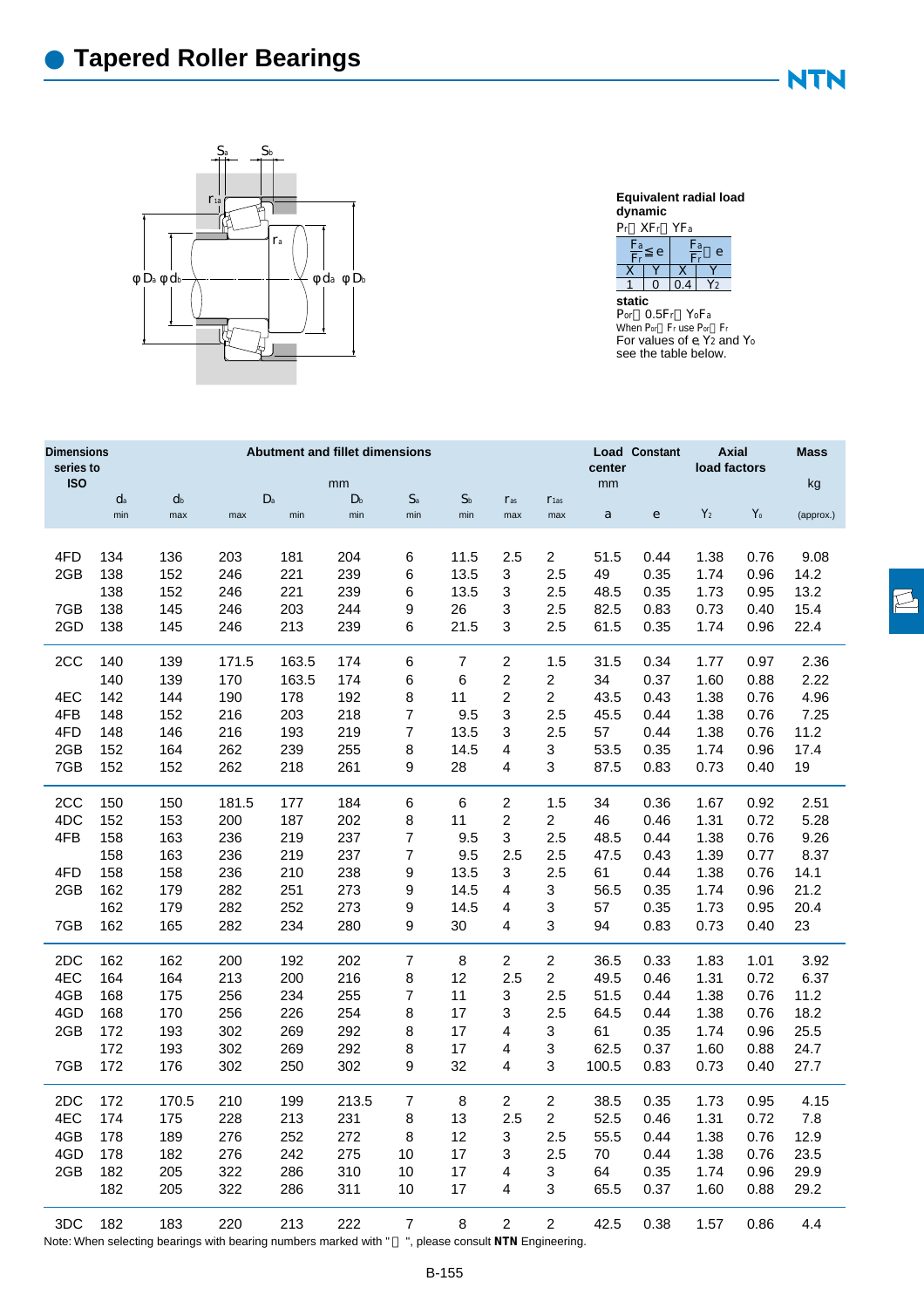





| <b>Dimensions</b><br>series to |                                    |                                                                         |       | <b>Abutment and fillet dimensions</b> |             |                                                |                                         |                          |                            | center           | <b>Load Constant</b> | <b>Axial</b><br>load factors |         | <b>Mass</b> |
|--------------------------------|------------------------------------|-------------------------------------------------------------------------|-------|---------------------------------------|-------------|------------------------------------------------|-----------------------------------------|--------------------------|----------------------------|------------------|----------------------|------------------------------|---------|-------------|
| <b>ISO</b>                     |                                    |                                                                         |       |                                       | mm          |                                                |                                         |                          |                            | mm               |                      |                              |         | kg          |
|                                | $d_{\scriptscriptstyle{\text{a}}}$ | $d_{\rm b}$                                                             |       | $D_{\rm a}$                           | $D_{\rm b}$ | $\mathcal{S}_{\!\scriptscriptstyle{\text{a}}}$ | $S_{\rm b}$                             | $\mathcal{T}\mathrm{as}$ | $\mathcal{r}_{\text{las}}$ |                  |                      | $Y_2$                        | $Y_{o}$ |             |
|                                | min                                | max                                                                     | max   | min                                   | min         | min                                            | min                                     | max                      | max                        | $\boldsymbol{a}$ | $\boldsymbol{e}$     |                              |         | (approx.)   |
| 4FD                            | 134                                | 136                                                                     | 203   | 181                                   | 204         | 6                                              | 11.5                                    | 2.5                      | 2                          | 51.5             | 0.44                 | 1.38                         | 0.76    | 9.08        |
| 2GB                            | 138                                | 152                                                                     | 246   | 221                                   | 239         | 6                                              | 13.5                                    | 3                        | 2.5                        | 49               | 0.35                 | 1.74                         | 0.96    | 14.2        |
|                                | 138                                | 152                                                                     | 246   | 221                                   | 239         | 6                                              | 13.5                                    | 3                        | 2.5                        | 48.5             | 0.35                 | 1.73                         | 0.95    | 13.2        |
| 7GB                            | 138                                | 145                                                                     | 246   | 203                                   | 244         | 9                                              | 26                                      | 3                        | 2.5                        | 82.5             | 0.83                 | 0.73                         | 0.40    | 15.4        |
| 2GD                            | 138                                | 145                                                                     | 246   | 213                                   | 239         | 6                                              | 21.5                                    | 3                        | 2.5                        | 61.5             | 0.35                 | 1.74                         | 0.96    | 22.4        |
| 2CC                            | 140                                | 139                                                                     | 171.5 | 163.5                                 | 174         | 6                                              | 7                                       | 2                        | 1.5                        | 31.5             | 0.34                 | 1.77                         | 0.97    | 2.36        |
|                                | 140                                | 139                                                                     | 170   | 163.5                                 | 174         | 6                                              | 6                                       | $\overline{c}$           | 2                          | 34               | 0.37                 | 1.60                         | 0.88    | 2.22        |
| 4EC                            | 142                                | 144                                                                     | 190   | 178                                   | 192         | 8                                              | 11                                      | $\overline{2}$           | $\overline{c}$             | 43.5             | 0.43                 | 1.38                         | 0.76    | 4.96        |
| 4FB                            | 148                                | 152                                                                     | 216   | 203                                   | 218         | 7                                              | 9.5                                     | 3                        | 2.5                        | 45.5             | 0.44                 | 1.38                         | 0.76    | 7.25        |
| 4FD                            | 148                                | 146                                                                     | 216   | 193                                   | 219         | 7                                              | 13.5                                    | 3                        | 2.5                        | 57               | 0.44                 | 1.38                         | 0.76    | 11.2        |
| 2GB                            | 152                                | 164                                                                     | 262   | 239                                   | 255         | 8                                              | 14.5                                    | 4                        | 3                          | 53.5             | 0.35                 | 1.74                         | 0.96    | 17.4        |
| 7GB                            | 152                                | 152                                                                     | 262   | 218                                   | 261         | 9                                              | 28                                      | 4                        | 3                          | 87.5             | 0.83                 | 0.73                         | 0.40    | 19          |
| 2CC                            | 150                                | 150                                                                     | 181.5 | 177                                   | 184         | 6                                              | 6                                       | 2                        | 1.5                        | 34               | 0.36                 | 1.67                         | 0.92    | 2.51        |
| 4DC                            | 152                                | 153                                                                     | 200   | 187                                   | 202         | 8                                              | 11                                      | $\overline{c}$           | $\overline{c}$             | 46               | 0.46                 | 1.31                         | 0.72    | 5.28        |
| 4FB                            | 158                                | 163                                                                     | 236   | 219                                   | 237         | 7                                              | 9.5                                     | 3                        | 2.5                        | 48.5             | 0.44                 | 1.38                         | 0.76    | 9.26        |
|                                | 158                                | 163                                                                     | 236   | 219                                   | 237         | 7                                              | 9.5                                     | 2.5                      | 2.5                        | 47.5             | 0.43                 | 1.39                         | 0.77    | 8.37        |
| 4FD                            | 158                                | 158                                                                     | 236   | 210                                   | 238         | 9                                              | 13.5                                    | 3                        | 2.5                        | 61               | 0.44                 | 1.38                         | 0.76    | 14.1        |
| 2GB                            | 162                                | 179                                                                     | 282   | 251                                   | 273         | 9                                              | 14.5                                    | 4                        | 3                          | 56.5             | 0.35                 | 1.74                         | 0.96    | 21.2        |
|                                | 162                                | 179                                                                     | 282   | 252                                   | 273         | 9                                              | 14.5                                    | 4                        | 3                          | 57               | 0.35                 | 1.73                         | 0.95    | 20.4        |
| 7GB                            | 162                                | 165                                                                     | 282   | 234                                   | 280         | 9                                              | 30                                      | 4                        | 3                          | 94               | 0.83                 | 0.73                         | 0.40    | 23          |
| 2DC                            | 162                                | 162                                                                     | 200   | 192                                   | 202         | 7                                              | 8                                       | 2                        | $\overline{c}$             | 36.5             | 0.33                 | 1.83                         | 1.01    | 3.92        |
| 4EC                            | 164                                | 164                                                                     | 213   | 200                                   | 216         | 8                                              | 12                                      | 2.5                      | $\overline{2}$             | 49.5             | 0.46                 | 1.31                         | 0.72    | 6.37        |
| 4GB                            | 168                                | 175                                                                     | 256   | 234                                   | 255         | 7                                              | 11                                      | 3                        | 2.5                        | 51.5             | 0.44                 | 1.38                         | 0.76    | 11.2        |
| 4GD                            | 168                                | 170                                                                     | 256   | 226                                   | 254         | 8                                              | 17                                      | 3                        | 2.5                        | 64.5             | 0.44                 | 1.38                         | 0.76    | 18.2        |
| 2GB                            | 172                                | 193                                                                     | 302   | 269                                   | 292         | 8                                              | 17                                      | 4                        | 3                          | 61               | 0.35                 | 1.74                         | 0.96    | 25.5        |
|                                | 172                                | 193                                                                     | 302   | 269                                   | 292         | 8                                              | 17                                      | 4                        | 3                          | 62.5             | 0.37                 | 1.60                         | 0.88    | 24.7        |
| 7GB                            | 172                                | 176                                                                     | 302   | 250                                   | 302         | 9                                              | 32                                      | 4                        | 3                          | 100.5            | 0.83                 | 0.73                         | 0.40    | 27.7        |
| 2DC                            | 172                                | 170.5                                                                   | 210   | 199                                   | 213.5       | 7                                              | 8                                       | $\overline{c}$           | $\overline{c}$             | 38.5             | 0.35                 | 1.73                         | 0.95    | 4.15        |
| 4EC                            | 174                                | 175                                                                     | 228   | 213                                   | 231         | 8                                              | 13                                      | 2.5                      | $\overline{c}$             | 52.5             | 0.46                 | 1.31                         | 0.72    | 7.8         |
| 4GB                            | 178                                | 189                                                                     | 276   | 252                                   | 272         | 8                                              | 12                                      | 3                        | 2.5                        | 55.5             | 0.44                 | 1.38                         | 0.76    | 12.9        |
| 4GD                            | 178                                | 182                                                                     | 276   | 242                                   | 275         | 10                                             | 17                                      | 3                        | 2.5                        | 70               | 0.44                 | 1.38                         | 0.76    | 23.5        |
| 2GB                            | 182                                | 205                                                                     | 322   | 286                                   | 310         | 10                                             | 17                                      | 4                        | 3                          | 64               | 0.35                 | 1.74                         | 0.96    | 29.9        |
|                                | 182                                | 205                                                                     | 322   | 286                                   | 311         | 10                                             | 17                                      | 4                        | 3                          | 65.5             | 0.37                 | 1.60                         | 0.88    | 29.2        |
| 3DC                            | 182                                | 183<br>Note: When selecting bearings with bearing numbers marked with " | 220   | 213                                   | 222         | $\overline{7}$                                 | 8<br>", please consult NTN Engineering. | $\overline{a}$           | $\overline{c}$             | 42.5             | 0.38                 | 1.57                         | 0.86    | 4.4         |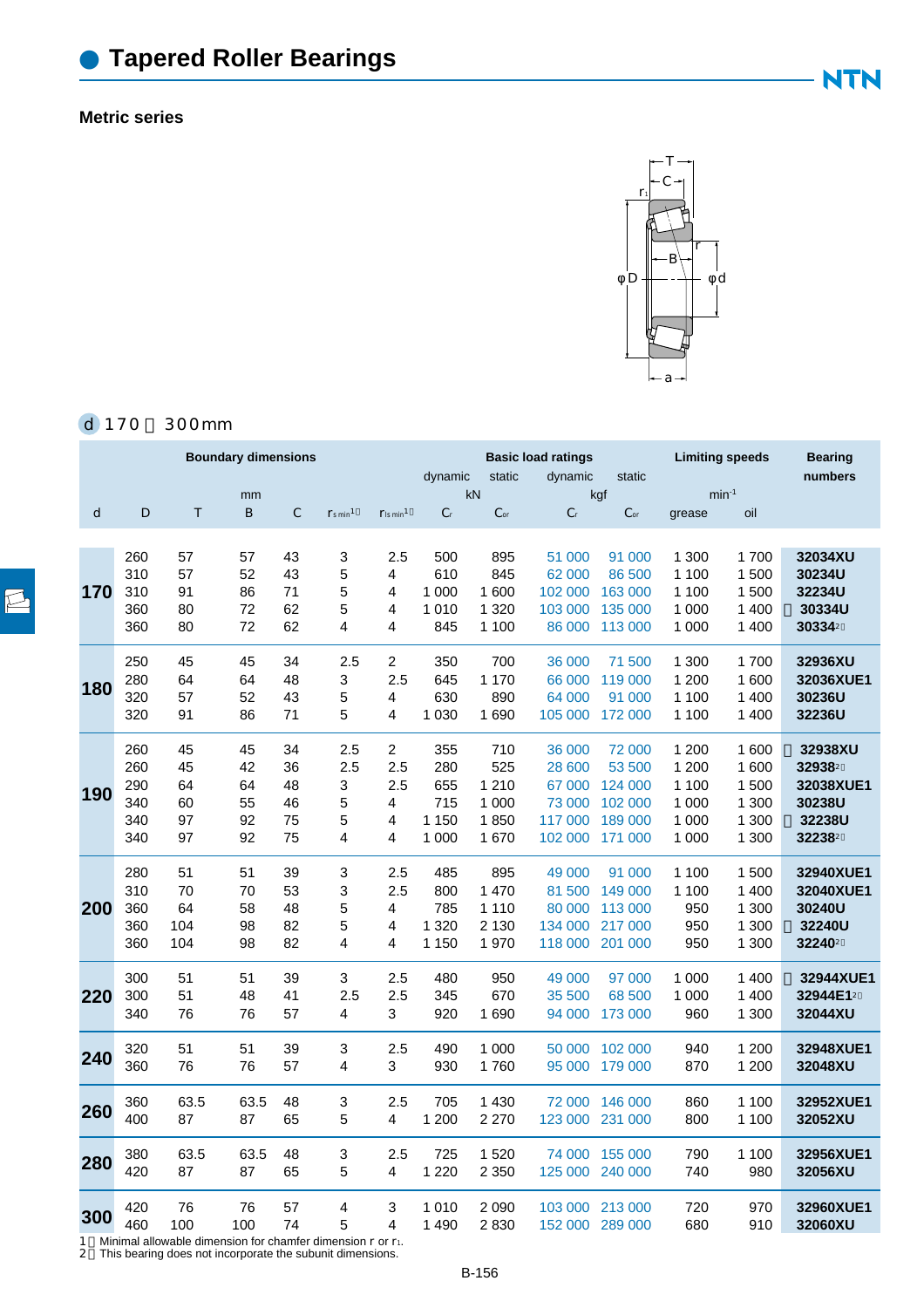

| $d$ 170 | 300mm |
|---------|-------|

| <b>Boundary dimensions</b> |                  |          |          |               |                               |                        | dynamic       | static                      | <b>Basic load ratings</b><br>dynamic | <b>Limiting speeds</b> |                | <b>Bearing</b><br>numbers |                    |
|----------------------------|------------------|----------|----------|---------------|-------------------------------|------------------------|---------------|-----------------------------|--------------------------------------|------------------------|----------------|---------------------------|--------------------|
|                            |                  |          | mm       |               |                               |                        |               | kN                          |                                      | static<br>kgf          |                | $min-1$                   |                    |
| $\boldsymbol{d}$           | $\boldsymbol{D}$ | $\cal T$ | $\cal B$ | $\mathcal{C}$ | $r_{\rm s\,min}$ <sup>1</sup> | $n s$ min <sup>1</sup> | $\mathcal{C}$ | $C_{\hbox{\scriptsize or}}$ | $C_{\rm r}$                          | $C_{\text{or}}$        | grease         | oil                       |                    |
|                            |                  |          |          |               |                               |                        |               |                             |                                      |                        |                |                           |                    |
|                            |                  |          |          |               |                               |                        |               |                             |                                      |                        |                |                           |                    |
|                            | 260<br>310       | 57<br>57 | 57<br>52 | 43<br>43      | 3<br>5                        | 2.5<br>4               | 500<br>610    | 895<br>845                  | 51 000<br>62 000                     | 91 000<br>86 500       | 1 300<br>1 100 | 1700<br>1500              | 32034XU<br>30234U  |
| 170                        | 310              | 91       | 86       | 71            | 5                             | 4                      | 1 0 0 0       | 1 600                       | 102 000                              | 163 000                | 1 100          | 1500                      | 32234U             |
|                            | 360              | 80       | 72       | 62            | 5                             | 4                      | 1 0 1 0       | 1 3 2 0                     | 103 000                              | 135 000                | 1 000          | 1 400                     | 30334U             |
|                            | 360              | 80       | 72       | 62            | 4                             | 4                      | 845           | 1 100                       | 86 000                               | 113 000                | 1 0 0 0        | 1 400                     | 303342             |
|                            |                  |          |          |               |                               |                        |               |                             |                                      |                        |                |                           |                    |
|                            | 250              | 45       | 45       | 34            | 2.5                           | $\overline{c}$         | 350           | 700                         | 36 000                               | 71 500                 | 1 300          | 1700                      | 32936XU            |
|                            | 280              | 64       | 64       | 48            | 3                             | 2.5                    | 645           | 1 170                       | 66 000                               | 119 000                | 1 200          | 1 600                     | 32036XUE1          |
| 180                        | 320              | 57       | 52       | 43            | 5                             | 4                      | 630           | 890                         | 64 000                               | 91 000                 | 1 100          | 1 400                     | 30236U             |
|                            | 320              | 91       | 86       | 71            | 5                             | 4                      | 1 0 3 0       | 1690                        | 105 000                              | 172 000                | 1 100          | 1 400                     | 32236U             |
|                            |                  |          |          |               |                               |                        |               |                             |                                      |                        |                |                           |                    |
|                            | 260              | 45       | 45       | 34            | 2.5                           | $\overline{c}$         | 355           | 710                         | 36 000                               | 72 000                 | 1 200          | 1 600                     | 32938XU            |
|                            | 260              | 45       | 42       | 36            | 2.5                           | 2.5                    | 280           | 525                         | 28 600                               | 53 500                 | 1 200          | 1 600                     | 329382             |
| 190                        | 290              | 64       | 64       | 48            | 3                             | 2.5                    | 655           | 1 2 1 0                     | 67 000                               | 124 000                | 1 100          | 1 500                     | 32038XUE1          |
|                            | 340              | 60       | 55       | 46            | 5                             | 4                      | 715           | 1 0 0 0                     | 73 000                               | 102 000                | 1 000          | 1 300                     | 30238U             |
|                            | 340              | 97       | 92       | 75            | 5                             | 4                      | 1 1 5 0       | 1850                        | 117 000                              | 189 000                | 1 0 0 0        | 1 300                     | 32238U             |
|                            | 340              | 97       | 92       | 75            | 4                             | 4                      | 1 0 0 0       | 1670                        | 102 000                              | 171 000                | 1 0 0 0        | 1 300                     | 322382             |
|                            |                  |          |          |               |                               |                        |               |                             |                                      |                        |                |                           |                    |
|                            | 280              | 51       | 51       | 39            | 3                             | 2.5                    | 485           | 895                         | 49 000                               | 91 000                 | 1 100          | 1500                      | 32940XUE1          |
|                            | 310              | 70       | 70       | 53            | 3                             | 2.5                    | 800           | 1 4 7 0                     | 81 500                               | 149 000                | 1 100          | 1 400                     | 32040XUE1          |
| 200                        | 360              | 64       | 58       | 48            | 5                             | 4                      | 785           | 1 1 1 0                     | 80 000                               | 113 000                | 950            | 1 300                     | 30240U             |
|                            | 360              | 104      | 98       | 82            | 5                             | 4                      | 1 3 2 0       | 2 1 3 0                     | 134 000                              | 217 000                | 950            | 1 300                     | 32240U             |
|                            | 360              | 104      | 98       | 82            | 4                             | 4                      | 1 1 5 0       | 1970                        |                                      | 118 000 201 000        | 950            | 1 300                     | 32240 <sup>2</sup> |
|                            | 300              | 51       | 51       | 39            | 3                             | 2.5                    | 480           | 950                         | 49 000                               | 97 000                 | 1 000          | 1 400                     | 32944XUE1          |
| 220                        | 300              | 51       | 48       | 41            | 2.5                           | 2.5                    | 345           | 670                         | 35 500                               | 68 500                 | 1 0 0 0        | 1 400                     | 32944E12           |
|                            | 340              | 76       | 76       | 57            | 4                             | 3                      | 920           | 1690                        | 94 000                               | 173 000                | 960            | 1 300                     | 32044XU            |
|                            |                  |          |          |               |                               |                        |               |                             |                                      |                        |                |                           |                    |
|                            | 320              | 51       | 51       | 39            | 3                             | 2.5                    | 490           | 1 0 0 0                     | 50 000                               | 102 000                | 940            | 1 200                     | 32948XUE1          |
| 240                        | 360              | 76       | 76       | 57            | 4                             | 3                      | 930           | 1760                        | 95 000                               | 179 000                | 870            | 1 200                     | 32048XU            |
|                            |                  |          |          |               |                               |                        |               |                             |                                      |                        |                |                           |                    |
|                            | 360              | 63.5     | 63.5     | 48            | 3                             | 2.5                    | 705           | 1 4 3 0                     | 72 000                               | 146 000                | 860            | 1 100                     | 32952XUE1          |
| 260                        | 400              | 87       | 87       | 65            | 5                             | 4                      | 1 200         | 2 2 7 0                     | 123 000                              | 231 000                | 800            | 1 100                     | 32052XU            |
|                            |                  |          |          |               |                               |                        |               |                             |                                      |                        |                |                           |                    |
| 280                        | 380              | 63.5     | 63.5     | 48            | 3                             | 2.5                    | 725           | 1520                        | 74 000                               | 155 000                | 790            | 1 100                     | 32956XUE1          |
|                            | 420              | 87       | 87       | 65            | 5                             | 4                      | 1 2 2 0       | 2 3 5 0                     | 125 000                              | 240 000                | 740            | 980                       | 32056XU            |
|                            |                  |          |          |               |                               |                        |               |                             |                                      |                        |                |                           |                    |
| 300                        | 420              | 76       | 76       | 57            | 4                             | 3                      | 1 0 1 0       | 2 0 9 0                     | 103 000                              | 213 000                | 720            | 970                       | 32960XUE1          |
|                            | 460              | 100      | 100      | 74            | 5                             | 4                      | 1490          | 2830                        |                                      | 152 000 289 000        | 680            | 910                       | 32060XU            |

1)Minimal allowable dimension for chamfer dimension *r* or *r*1. 2)This bearing does not incorporate the subunit dimensions.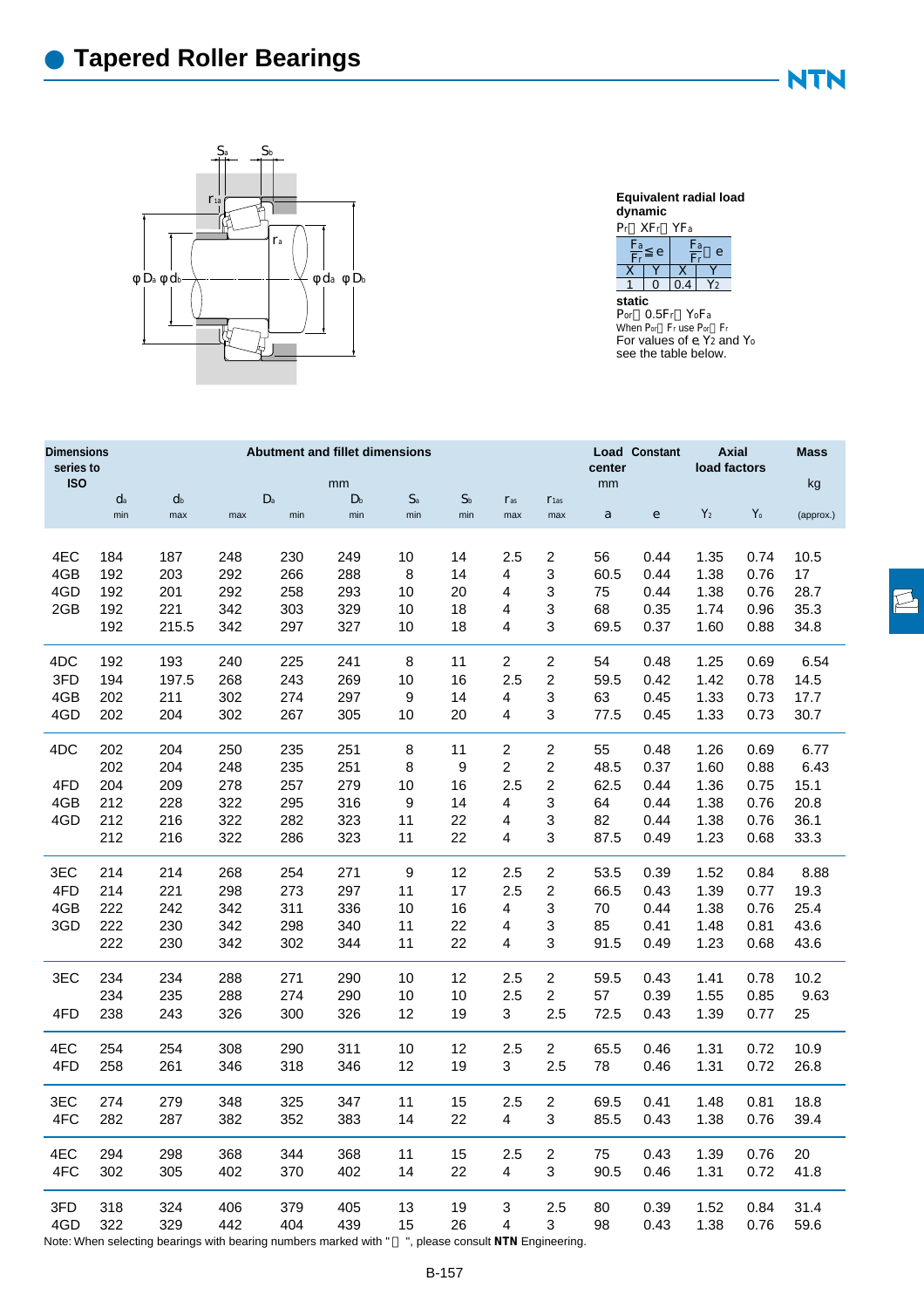





| <b>Dimensions</b><br>series to |                                     |                                                                  |     | Abutment and fillet dimensions                |                    |                                          |                                    |                                 |                                   | center           | <b>Load Constant</b> | <b>Axial</b><br>load factors |         | <b>Mass</b> |
|--------------------------------|-------------------------------------|------------------------------------------------------------------|-----|-----------------------------------------------|--------------------|------------------------------------------|------------------------------------|---------------------------------|-----------------------------------|------------------|----------------------|------------------------------|---------|-------------|
| <b>ISO</b>                     |                                     |                                                                  |     |                                               | mm                 |                                          |                                    |                                 |                                   | mm               |                      |                              |         | kg          |
|                                | $d_{\scriptscriptstyle\! A}$<br>min | $d_{\scriptscriptstyle{\mathsf{b}}}$<br>max                      | max | $D_{\scriptscriptstyle{\overline{a}}}$<br>min | $D_{\rm b}$<br>min | $S_{\!\scriptscriptstyle \alpha}$<br>min | $S_{\rm b}$<br>min                 | $\mathcal{T}\mathrm{as}$<br>max | $\mathcal{r}_{\text{las}}$<br>max | $\boldsymbol{a}$ | $\boldsymbol{e}$     | $Y_2$                        | $Y_{o}$ | (approx.)   |
|                                |                                     |                                                                  |     |                                               |                    |                                          |                                    |                                 |                                   |                  |                      |                              |         |             |
| 4EC                            | 184                                 | 187                                                              | 248 | 230                                           | 249                | 10                                       | 14                                 | 2.5                             | 2                                 | 56               | 0.44                 | 1.35                         | 0.74    | 10.5        |
| 4GB                            | 192                                 | 203                                                              | 292 | 266                                           | 288                | 8                                        | 14                                 | 4                               | 3                                 | 60.5             | 0.44                 | 1.38                         | 0.76    | 17          |
| 4GD                            | 192                                 | 201                                                              | 292 | 258                                           | 293                | 10                                       | 20                                 | 4                               | 3                                 | 75               | 0.44                 | 1.38                         | 0.76    | 28.7        |
| 2GB                            | 192                                 | 221                                                              | 342 | 303                                           | 329                | 10                                       | 18                                 | 4                               | 3                                 | 68               | 0.35                 | 1.74                         | 0.96    | 35.3        |
|                                | 192                                 | 215.5                                                            | 342 | 297                                           | 327                | 10                                       | 18                                 | 4                               | 3                                 | 69.5             | 0.37                 | 1.60                         | 0.88    | 34.8        |
| 4DC                            | 192                                 | 193                                                              | 240 | 225                                           | 241                | 8                                        | 11                                 | $\overline{c}$                  | 2                                 | 54               | 0.48                 | 1.25                         | 0.69    | 6.54        |
| 3FD                            | 194                                 | 197.5                                                            | 268 | 243                                           | 269                | 10                                       | 16                                 | 2.5                             | 2                                 | 59.5             | 0.42                 | 1.42                         | 0.78    | 14.5        |
| 4GB                            |                                     |                                                                  | 302 | 274                                           | 297                | 9                                        | 14                                 | 4                               | 3                                 |                  |                      | 1.33                         |         |             |
|                                | 202                                 | 211                                                              |     |                                               |                    |                                          |                                    |                                 |                                   | 63               | 0.45                 |                              | 0.73    | 17.7        |
| 4GD                            | 202                                 | 204                                                              | 302 | 267                                           | 305                | 10                                       | 20                                 | 4                               | 3                                 | 77.5             | 0.45                 | 1.33                         | 0.73    | 30.7        |
| 4DC                            | 202                                 | 204                                                              | 250 | 235                                           | 251                | 8                                        | 11                                 | $\overline{2}$                  | $\overline{2}$                    | 55               | 0.48                 | 1.26                         | 0.69    | 6.77        |
|                                | 202                                 | 204                                                              | 248 | 235                                           | 251                | 8                                        | 9                                  | $\overline{c}$                  | 2                                 | 48.5             | 0.37                 | 1.60                         | 0.88    | 6.43        |
| 4FD                            | 204                                 | 209                                                              | 278 | 257                                           | 279                | 10                                       | 16                                 | 2.5                             | $\overline{c}$                    | 62.5             | 0.44                 | 1.36                         | 0.75    | 15.1        |
| 4GB                            | 212                                 | 228                                                              | 322 | 295                                           | 316                | 9                                        | 14                                 | 4                               | 3                                 | 64               | 0.44                 | 1.38                         | 0.76    | 20.8        |
| 4GD                            | 212                                 | 216                                                              | 322 | 282                                           | 323                | 11                                       | 22                                 | 4                               | 3                                 | 82               | 0.44                 | 1.38                         | 0.76    | 36.1        |
|                                | 212                                 | 216                                                              | 322 | 286                                           | 323                | 11                                       | 22                                 | 4                               | 3                                 | 87.5             | 0.49                 | 1.23                         | 0.68    | 33.3        |
| 3EC                            | 214                                 | 214                                                              | 268 | 254                                           | 271                | 9                                        | 12                                 | 2.5                             | $\overline{c}$                    | 53.5             | 0.39                 | 1.52                         | 0.84    | 8.88        |
| 4FD                            | 214                                 | 221                                                              | 298 | 273                                           | 297                | 11                                       | 17                                 | 2.5                             | $\overline{c}$                    | 66.5             | 0.43                 | 1.39                         | 0.77    | 19.3        |
| 4GB                            | 222                                 | 242                                                              | 342 | 311                                           | 336                | 10                                       | 16                                 | 4                               | 3                                 | 70               | 0.44                 | 1.38                         | 0.76    | 25.4        |
| 3GD                            | 222                                 | 230                                                              | 342 | 298                                           | 340                | 11                                       | 22                                 | 4                               | 3                                 | 85               | 0.41                 | 1.48                         | 0.81    | 43.6        |
|                                | 222                                 | 230                                                              | 342 | 302                                           | 344                | 11                                       | 22                                 | 4                               | 3                                 | 91.5             | 0.49                 | 1.23                         | 0.68    | 43.6        |
|                                |                                     |                                                                  |     |                                               |                    |                                          |                                    |                                 |                                   |                  |                      |                              |         |             |
| 3EC                            | 234                                 | 234                                                              | 288 | 271                                           | 290                | 10                                       | 12                                 | 2.5                             | $\overline{c}$                    | 59.5             | 0.43                 | 1.41                         | 0.78    | 10.2        |
|                                | 234                                 | 235                                                              | 288 | 274                                           | 290                | 10                                       | 10                                 | 2.5                             | $\overline{c}$                    | 57               | 0.39                 | 1.55                         | 0.85    | 9.63        |
| 4FD                            | 238                                 | 243                                                              | 326 | 300                                           | 326                | 12                                       | 19                                 | 3                               | 2.5                               | 72.5             | 0.43                 | 1.39                         | 0.77    | 25          |
| 4EC                            | 254                                 | 254                                                              | 308 | 290                                           | 311                | 10                                       | 12                                 | 2.5                             | 2                                 | 65.5             | 0.46                 | 1.31                         | 0.72    | 10.9        |
| 4FD                            | 258                                 | 261                                                              | 346 | 318                                           | 346                | 12                                       | 19                                 | 3                               | 2.5                               | 78               | 0.46                 | 1.31                         | 0.72    | 26.8        |
| 3EC                            | 274                                 | 279                                                              | 348 | 325                                           | 347                | 11                                       | 15                                 | 2.5                             | 2                                 | 69.5             | 0.41                 | 1.48                         | 0.81    | 18.8        |
| 4FC                            | 282                                 | 287                                                              | 382 | 352                                           | 383                | 14                                       | 22                                 | 4                               | 3                                 | 85.5             | 0.43                 | 1.38                         | 0.76    | 39.4        |
| 4EC                            | 294                                 | 298                                                              | 368 | 344                                           | 368                | 11                                       | 15                                 | 2.5                             | 2                                 | 75               | 0.43                 | 1.39                         | 0.76    | 20          |
| 4FC                            | 302                                 | 305                                                              | 402 | 370                                           | 402                | 14                                       | 22                                 | 4                               | 3                                 | 90.5             | 0.46                 | 1.31                         | 0.72    | 41.8        |
|                                |                                     |                                                                  |     |                                               |                    |                                          |                                    |                                 |                                   |                  |                      |                              |         |             |
| 3FD                            | 318                                 | 324                                                              | 406 | 379                                           | 405                | 13                                       | 19                                 | 3                               | 2.5                               | 80               | 0.39                 | 1.52                         | 0.84    | 31.4        |
| 4GD                            | 322                                 | 329                                                              | 442 | 404                                           | 439                | 15                                       | 26                                 | 4                               | 3                                 | 98               | 0.43                 | 1.38                         | 0.76    | 59.6        |
|                                |                                     | Note: When selecting bearings with bearing numbers marked with " |     |                                               |                    | H                                        | ", please consult NTN Engineering. |                                 |                                   |                  |                      |                              |         |             |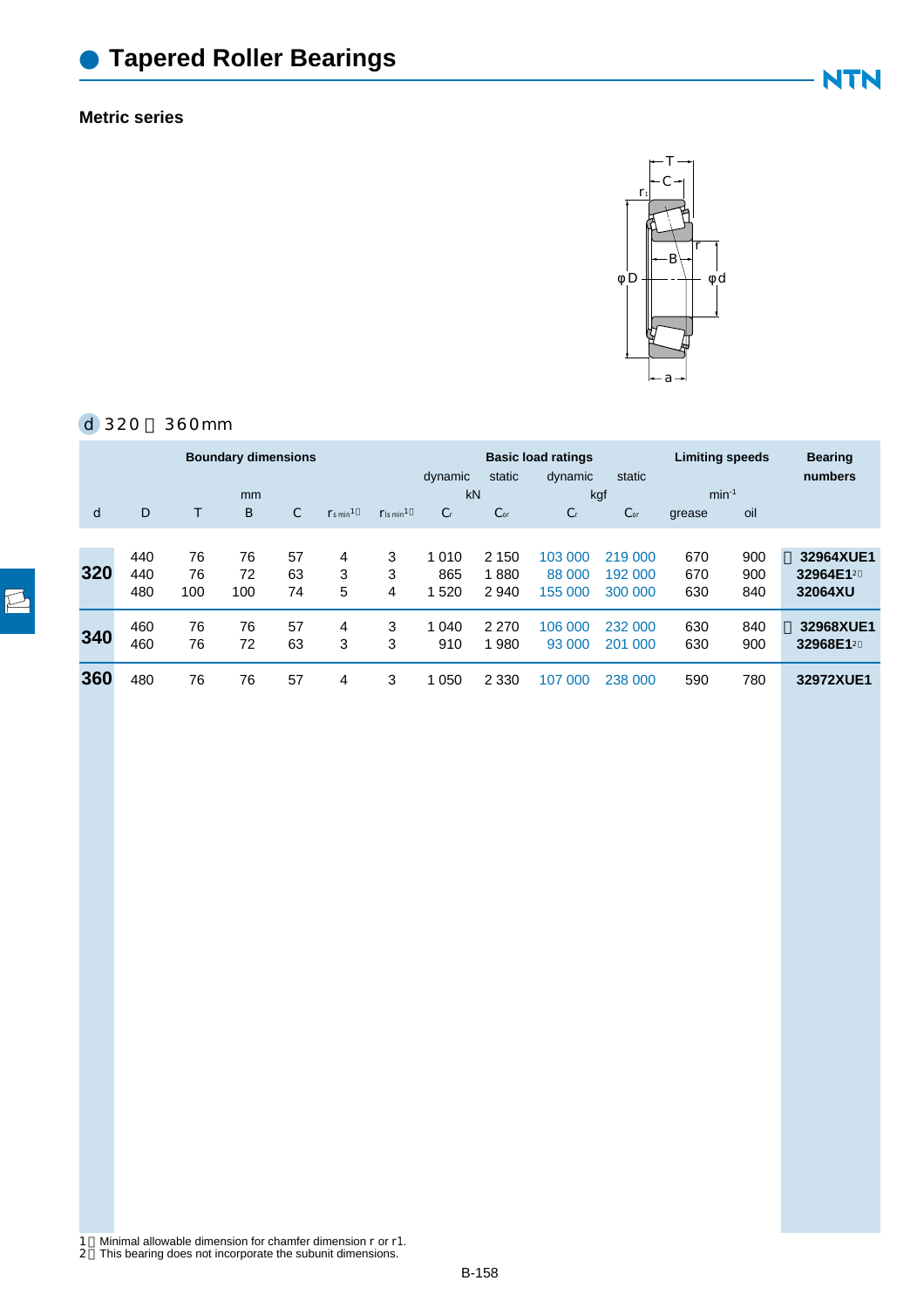

**NTN** 

| $d$ 320 | 360mm |
|---------|-------|
|         |       |

|                |                   |                 | <b>Boundary dimensions</b> |                |                |              | dynamic                   | static                     | <b>Basic load ratings</b><br>dynamic | static                        | <b>Limiting speeds</b> |                   | <b>Bearing</b><br>numbers        |
|----------------|-------------------|-----------------|----------------------------|----------------|----------------|--------------|---------------------------|----------------------------|--------------------------------------|-------------------------------|------------------------|-------------------|----------------------------------|
| $\overline{d}$ | $\overline{D}$    | T               | mm<br>$\boldsymbol{B}$     | $\mathcal{C}$  | $\Gamma$ s min | $\Gamma$ min | kN<br>$\mathcal{C}_{r}$   | $C_{\alpha r}$             | $C_{r}$                              | kgf<br>$C_{\rm or}$           | $min^{-1}$<br>grease   | oil               |                                  |
| 320            | 440<br>440<br>480 | 76<br>76<br>100 | 76<br>72<br>100            | 57<br>63<br>74 | 4<br>3<br>5    | 3<br>3<br>4  | 1 0 1 0<br>865<br>1 5 2 0 | 2 1 5 0<br>1880<br>2 9 4 0 | 103 000<br>88 000<br>155 000         | 219 000<br>192 000<br>300 000 | 670<br>670<br>630      | 900<br>900<br>840 | 32964XUE1<br>32964E12<br>32064XU |
| 340            | 460<br>460        | 76<br>76        | 76<br>72                   | 57<br>63       | 4<br>3         | 3<br>3       | 1 040<br>910              | 2 2 7 0<br>980             | 106 000<br>93 000                    | 232 000<br>201 000            | 630<br>630             | 840<br>900        | 32968XUE1<br>32968E12            |
| 360            | 480               | 76              | 76                         | 57             | 4              | 3            | 1 0 5 0                   | 2 3 3 0                    | 000<br>107                           | 238 000                       | 590                    | 780               | 32972XUE1                        |

E

1 Minimal allowable dimension for chamfer dimension *r* or *r*1.<br>2 This bearing does not incorporate the subunit dimensions.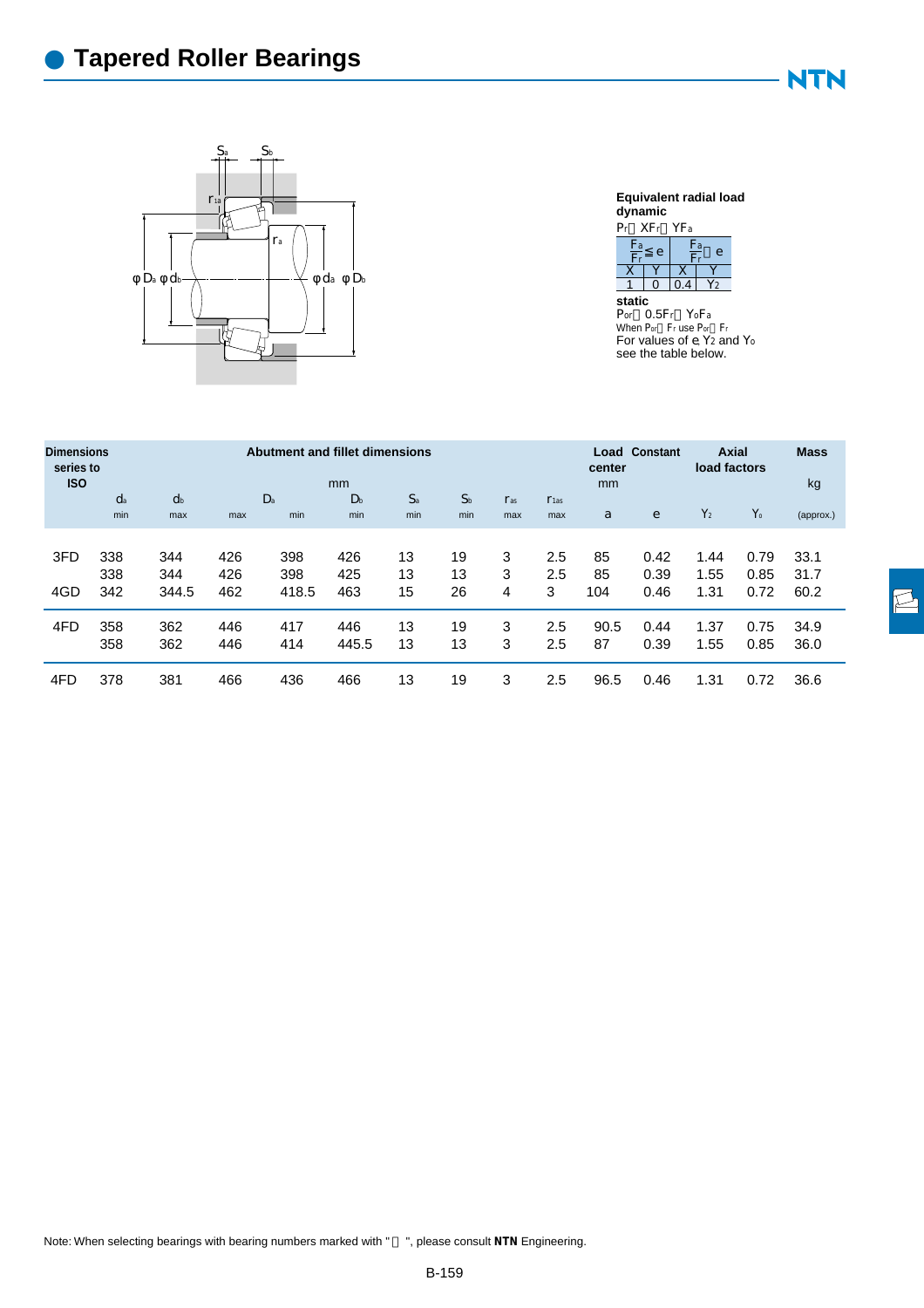





| <b>Dimensions</b><br>series to |                                    |             |     | Abutment and fillet dimensions |               |         |         | Load<br>center | <b>Constant</b> | <b>Axial</b><br>load factors |                  | <b>Mass</b> |       |           |
|--------------------------------|------------------------------------|-------------|-----|--------------------------------|---------------|---------|---------|----------------|-----------------|------------------------------|------------------|-------------|-------|-----------|
| <b>ISO</b>                     |                                    |             |     |                                | <sub>mm</sub> |         |         |                |                 | mm                           |                  |             |       | kg        |
|                                | $d_{\scriptscriptstyle{\text{a}}}$ | $d_{\rm b}$ |     | $D_{\rm a}$                    | $D_{\rm b}$   | $S_{a}$ | $S_{b}$ | $r_{\rm as}$   | $\Gamma$ las    |                              |                  |             |       |           |
|                                | min                                | max         | max | min                            | min           | min     | min     | max            | max             | a                            | $\boldsymbol{e}$ | $Y_2$       | $Y_0$ | (approx.) |
|                                |                                    |             |     |                                |               |         |         |                |                 |                              |                  |             |       |           |
| 3FD                            | 338                                | 344         | 426 | 398                            | 426           | 13      | 19      | 3              | 2.5             | 85                           | 0.42             | 1.44        | 0.79  | 33.1      |
|                                | 338                                | 344         | 426 | 398                            | 425           | 13      | 13      | 3              | 2.5             | 85                           | 0.39             | 1.55        | 0.85  | 31.7      |
| 4GD                            | 342                                | 344.5       | 462 | 418.5                          | 463           | 15      | 26      | 4              | 3               | 104                          | 0.46             | 1.31        | 0.72  | 60.2      |
| 4FD                            | 358                                | 362         | 446 | 417                            | 446           | 13      | 19      | 3              | 2.5             | 90.5                         | 0.44             | 1.37        | 0.75  | 34.9      |
|                                | 358                                | 362         | 446 | 414                            | 445.5         | 13      | 13      | 3              | 2.5             | 87                           | 0.39             | 1.55        | 0.85  | 36.0      |
| 4FD                            | 378                                | 381         | 466 | 436                            | 466           | 13      | 19      | 3              | 2.5             | 96.5                         | 0.46             | 1.31        | 0.72  | 36.6      |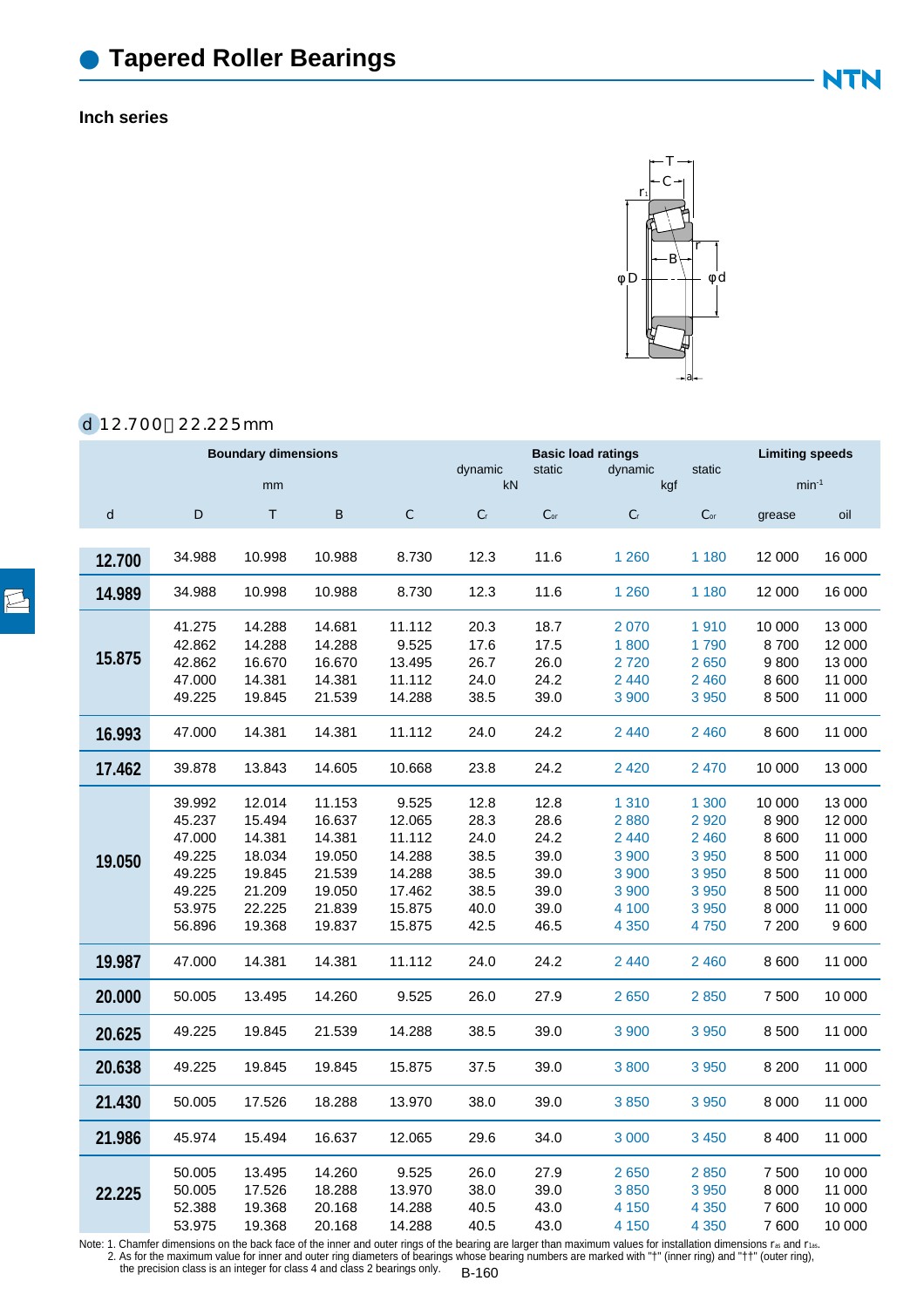#### **Inch series**



#### *d* 12.700~22.225mm

|                  |                                                                              | <b>Boundary dimensions</b>                                                   |                                                                              |                                                                             |                                                              |                                                              | <b>Basic load ratings</b>                                                 |                                                                                 | <b>Limiting speeds</b>                                                  |                                                                            |
|------------------|------------------------------------------------------------------------------|------------------------------------------------------------------------------|------------------------------------------------------------------------------|-----------------------------------------------------------------------------|--------------------------------------------------------------|--------------------------------------------------------------|---------------------------------------------------------------------------|---------------------------------------------------------------------------------|-------------------------------------------------------------------------|----------------------------------------------------------------------------|
|                  |                                                                              | mm                                                                           |                                                                              |                                                                             | dynamic<br>kN                                                | static                                                       | dynamic<br>kgf                                                            | static                                                                          | $min-1$                                                                 |                                                                            |
| $\boldsymbol{d}$ | $\boldsymbol{D}$                                                             | $\cal T$                                                                     | $\boldsymbol{B}$                                                             | $\cal C$                                                                    | $C_{\rm r}$                                                  | $C_{\text{or}}$                                              | $C_{\rm r}$                                                               | $C_{\text{or}}$                                                                 | grease                                                                  | oil                                                                        |
| 12.700           | 34.988                                                                       | 10.998                                                                       | 10.988                                                                       | 8.730                                                                       | 12.3                                                         | 11.6                                                         | 1 2 6 0                                                                   | 1 1 8 0                                                                         | 12 000                                                                  | 16 000                                                                     |
| 14.989           | 34.988                                                                       | 10.998                                                                       | 10.988                                                                       | 8.730                                                                       | 12.3                                                         | 11.6                                                         | 1 2 6 0                                                                   | 1 1 8 0                                                                         | 12 000                                                                  | 16 000                                                                     |
| 15.875           | 41.275<br>42.862<br>42.862<br>47.000<br>49.225                               | 14.288<br>14.288<br>16.670<br>14.381<br>19.845                               | 14.681<br>14.288<br>16.670<br>14.381<br>21.539                               | 11.112<br>9.525<br>13.495<br>11.112<br>14.288                               | 20.3<br>17.6<br>26.7<br>24.0<br>38.5                         | 18.7<br>17.5<br>26.0<br>24.2<br>39.0                         | 2 0 7 0<br>1800<br>2720<br>2 4 4 0<br>3 900                               | 1910<br>1790<br>2650<br>2 4 6 0<br>3 9 5 0                                      | 10 000<br>8700<br>9800<br>8 600<br>8500                                 | 13 000<br>12 000<br>13 000<br>11 000<br>11 000                             |
| 16.993           | 47.000                                                                       | 14.381                                                                       | 14.381                                                                       | 11.112                                                                      | 24.0                                                         | 24.2                                                         | 2 4 4 0                                                                   | 2 4 6 0                                                                         | 8 600                                                                   | 11 000                                                                     |
| 17.462           | 39.878                                                                       | 13.843                                                                       | 14.605                                                                       | 10.668                                                                      | 23.8                                                         | 24.2                                                         | 2 4 2 0                                                                   | 2 4 7 0                                                                         | 10 000                                                                  | 13 000                                                                     |
| 19.050           | 39.992<br>45.237<br>47.000<br>49.225<br>49.225<br>49.225<br>53.975<br>56.896 | 12.014<br>15.494<br>14.381<br>18.034<br>19.845<br>21.209<br>22.225<br>19.368 | 11.153<br>16.637<br>14.381<br>19.050<br>21.539<br>19.050<br>21.839<br>19.837 | 9.525<br>12.065<br>11.112<br>14.288<br>14.288<br>17.462<br>15.875<br>15.875 | 12.8<br>28.3<br>24.0<br>38.5<br>38.5<br>38.5<br>40.0<br>42.5 | 12.8<br>28.6<br>24.2<br>39.0<br>39.0<br>39.0<br>39.0<br>46.5 | 1 3 1 0<br>2880<br>2 4 4 0<br>3 900<br>3 900<br>3 900<br>4 100<br>4 3 5 0 | 1 300<br>2 9 2 0<br>2 4 6 0<br>3 9 5 0<br>3 9 5 0<br>3 9 5 0<br>3 9 5 0<br>4750 | 10 000<br>8 9 0 0<br>8 600<br>8500<br>8500<br>8 500<br>8 0 0 0<br>7 200 | 13 000<br>12 000<br>11 000<br>11 000<br>11 000<br>11 000<br>11 000<br>9600 |
| 19.987           | 47.000                                                                       | 14.381                                                                       | 14.381                                                                       | 11.112                                                                      | 24.0                                                         | 24.2                                                         | 2 4 4 0                                                                   | 2 4 6 0                                                                         | 8 600                                                                   | 11 000                                                                     |
| 20.000           | 50.005                                                                       | 13.495                                                                       | 14.260                                                                       | 9.525                                                                       | 26.0                                                         | 27.9                                                         | 2650                                                                      | 2850                                                                            | 7500                                                                    | 10 000                                                                     |
| 20.625           | 49.225                                                                       | 19.845                                                                       | 21.539                                                                       | 14.288                                                                      | 38.5                                                         | 39.0                                                         | 3 900                                                                     | 3 9 5 0                                                                         | 8500                                                                    | 11 000                                                                     |
| 20.638           | 49.225                                                                       | 19.845                                                                       | 19.845                                                                       | 15.875                                                                      | 37.5                                                         | 39.0                                                         | 3800                                                                      | 3 9 5 0                                                                         | 8 2 0 0                                                                 | 11 000                                                                     |
| 21.430           | 50.005                                                                       | 17.526                                                                       | 18.288                                                                       | 13.970                                                                      | 38.0                                                         | 39.0                                                         | 3850                                                                      | 3 9 5 0                                                                         | 8 0 0 0                                                                 | 11 000                                                                     |
| 21.986           | 45.974                                                                       | 15.494                                                                       | 16.637                                                                       | 12.065                                                                      | 29.6                                                         | 34.0                                                         | 3 0 0 0                                                                   | 3 4 5 0                                                                         | 8 4 0 0                                                                 | 11 000                                                                     |
| 22.225           | 50.005<br>50.005<br>52.388<br>53.975                                         | 13.495<br>17.526<br>19.368<br>19.368                                         | 14.260<br>18.288<br>20.168<br>20.168                                         | 9.525<br>13.970<br>14.288<br>14.288                                         | 26.0<br>38.0<br>40.5<br>40.5                                 | 27.9<br>39.0<br>43.0<br>43.0                                 | 2650<br>3850<br>4 150<br>4 150                                            | 2850<br>3 9 5 0<br>4 3 5 0<br>4 3 5 0                                           | 7500<br>8 0 0 0<br>7600<br>7600                                         | 10 000<br>11 000<br>10 000<br>10 000                                       |

Mote: 1. Chamfer dimensions on the back face of the inner and outer rings of the bearing are larger than maximum values for installation dimensions  $r_{\text{as}}$  and  $r_{\text{as}}$ .<br>2. As for the maximum value for inner and outer r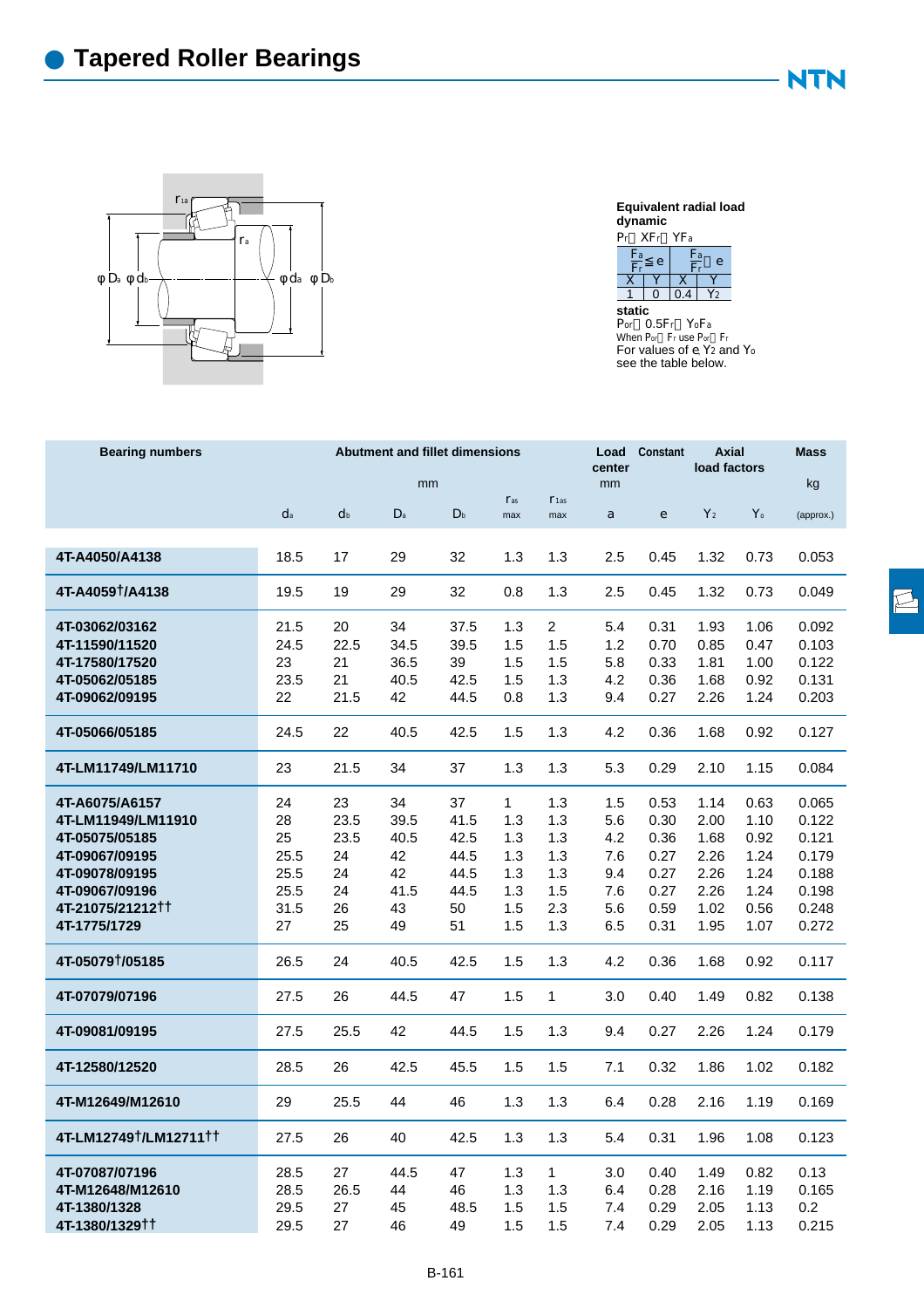





| <b>Bearing numbers</b>                                                                                                                           | <b>Abutment and fillet dimensions</b><br><b>Constant</b><br><b>Axial</b><br>Load<br>center<br>load factors |                                                  |                                                    |                                                        |                                                    |                                                      |                                                      | <b>Mass</b>                                                  |                                                              |                                                              |                                                                      |
|--------------------------------------------------------------------------------------------------------------------------------------------------|------------------------------------------------------------------------------------------------------------|--------------------------------------------------|----------------------------------------------------|--------------------------------------------------------|----------------------------------------------------|------------------------------------------------------|------------------------------------------------------|--------------------------------------------------------------|--------------------------------------------------------------|--------------------------------------------------------------|----------------------------------------------------------------------|
|                                                                                                                                                  |                                                                                                            |                                                  | mm                                                 |                                                        |                                                    |                                                      | mm                                                   |                                                              |                                                              |                                                              | kg                                                                   |
|                                                                                                                                                  | $d_{\rm a}$                                                                                                | $d_{\rm b}$                                      | D <sub>a</sub>                                     | $D_{\rm b}$                                            | $r_{\rm as}$<br>max                                | $\mathcal{T}$ l as<br>max                            | a                                                    | $\epsilon$                                                   | $Y_2$                                                        | $Y_{o}$                                                      | (approx.)                                                            |
| 4T-A4050/A4138                                                                                                                                   | 18.5                                                                                                       | 17                                               | 29                                                 | 32                                                     | 1.3                                                | 1.3                                                  | 2.5                                                  | 0.45                                                         | 1.32                                                         | 0.73                                                         | 0.053                                                                |
| 4T-A40597/A4138                                                                                                                                  | 19.5                                                                                                       | 19                                               | 29                                                 | 32                                                     | 0.8                                                | 1.3                                                  | 2.5                                                  | 0.45                                                         | 1.32                                                         | 0.73                                                         | 0.049                                                                |
| 4T-03062/03162<br>4T-11590/11520<br>4T-17580/17520<br>4T-05062/05185<br>4T-09062/09195                                                           | 21.5<br>24.5<br>23<br>23.5<br>22                                                                           | 20<br>22.5<br>21<br>21<br>21.5                   | 34<br>34.5<br>36.5<br>40.5<br>42                   | 37.5<br>39.5<br>39<br>42.5<br>44.5                     | 1.3<br>1.5<br>1.5<br>1.5<br>0.8                    | $\overline{2}$<br>1.5<br>1.5<br>1.3<br>1.3           | 5.4<br>1.2<br>5.8<br>4.2<br>9.4                      | 0.31<br>0.70<br>0.33<br>0.36<br>0.27                         | 1.93<br>0.85<br>1.81<br>1.68<br>2.26                         | 1.06<br>0.47<br>1.00<br>0.92<br>1.24                         | 0.092<br>0.103<br>0.122<br>0.131<br>0.203                            |
| 4T-05066/05185                                                                                                                                   | 24.5                                                                                                       | 22                                               | 40.5                                               | 42.5                                                   | 1.5                                                | 1.3                                                  | 4.2                                                  | 0.36                                                         | 1.68                                                         | 0.92                                                         | 0.127                                                                |
| 4T-LM11749/LM11710                                                                                                                               | 23                                                                                                         | 21.5                                             | 34                                                 | 37                                                     | 1.3                                                | 1.3                                                  | 5.3                                                  | 0.29                                                         | 2.10                                                         | 1.15                                                         | 0.084                                                                |
| 4T-A6075/A6157<br>4T-LM11949/LM11910<br>4T-05075/05185<br>4T-09067/09195<br>4T-09078/09195<br>4T-09067/09196<br>4T-21075/2121211<br>4T-1775/1729 | 24<br>28<br>25<br>25.5<br>25.5<br>25.5<br>31.5<br>27                                                       | 23<br>23.5<br>23.5<br>24<br>24<br>24<br>26<br>25 | 34<br>39.5<br>40.5<br>42<br>42<br>41.5<br>43<br>49 | 37<br>41.5<br>42.5<br>44.5<br>44.5<br>44.5<br>50<br>51 | 1<br>1.3<br>1.3<br>1.3<br>1.3<br>1.3<br>1.5<br>1.5 | 1.3<br>1.3<br>1.3<br>1.3<br>1.3<br>1.5<br>2.3<br>1.3 | 1.5<br>5.6<br>4.2<br>7.6<br>9.4<br>7.6<br>5.6<br>6.5 | 0.53<br>0.30<br>0.36<br>0.27<br>0.27<br>0.27<br>0.59<br>0.31 | 1.14<br>2.00<br>1.68<br>2.26<br>2.26<br>2.26<br>1.02<br>1.95 | 0.63<br>1.10<br>0.92<br>1.24<br>1.24<br>1.24<br>0.56<br>1.07 | 0.065<br>0.122<br>0.121<br>0.179<br>0.188<br>0.198<br>0.248<br>0.272 |
| 4T-05079†/05185                                                                                                                                  | 26.5                                                                                                       | 24                                               | 40.5                                               | 42.5                                                   | 1.5                                                | 1.3                                                  | 4.2                                                  | 0.36                                                         | 1.68                                                         | 0.92                                                         | 0.117                                                                |
| 4T-07079/07196                                                                                                                                   | 27.5                                                                                                       | 26                                               | 44.5                                               | 47                                                     | 1.5                                                | $\mathbf{1}$                                         | 3.0                                                  | 0.40                                                         | 1.49                                                         | 0.82                                                         | 0.138                                                                |
| 4T-09081/09195                                                                                                                                   | 27.5                                                                                                       | 25.5                                             | 42                                                 | 44.5                                                   | 1.5                                                | 1.3                                                  | 9.4                                                  | 0.27                                                         | 2.26                                                         | 1.24                                                         | 0.179                                                                |
| 4T-12580/12520                                                                                                                                   | 28.5                                                                                                       | 26                                               | 42.5                                               | 45.5                                                   | 1.5                                                | 1.5                                                  | 7.1                                                  | 0.32                                                         | 1.86                                                         | 1.02                                                         | 0.182                                                                |
| 4T-M12649/M12610                                                                                                                                 | 29                                                                                                         | 25.5                                             | 44                                                 | 46                                                     | 1.3                                                | 1.3                                                  | 6.4                                                  | 0.28                                                         | 2.16                                                         | 1.19                                                         | 0.169                                                                |
| 4T-LM12749†/LM12711††                                                                                                                            | 27.5                                                                                                       | 26                                               | 40                                                 | 42.5                                                   | 1.3                                                | 1.3                                                  | 5.4                                                  | 0.31                                                         | 1.96                                                         | 1.08                                                         | 0.123                                                                |
| 4T-07087/07196<br>4T-M12648/M12610<br>4T-1380/1328<br>4T-1380/1329††                                                                             | 28.5<br>28.5<br>29.5<br>29.5                                                                               | 27<br>26.5<br>27<br>27                           | 44.5<br>44<br>45<br>46                             | 47<br>46<br>48.5<br>49                                 | 1.3<br>1.3<br>1.5<br>1.5                           | 1<br>1.3<br>1.5<br>1.5                               | 3.0<br>6.4<br>7.4<br>7.4                             | 0.40<br>0.28<br>0.29<br>0.29                                 | 1.49<br>2.16<br>2.05<br>2.05                                 | 0.82<br>1.19<br>1.13<br>1.13                                 | 0.13<br>0.165<br>0.2<br>0.215                                        |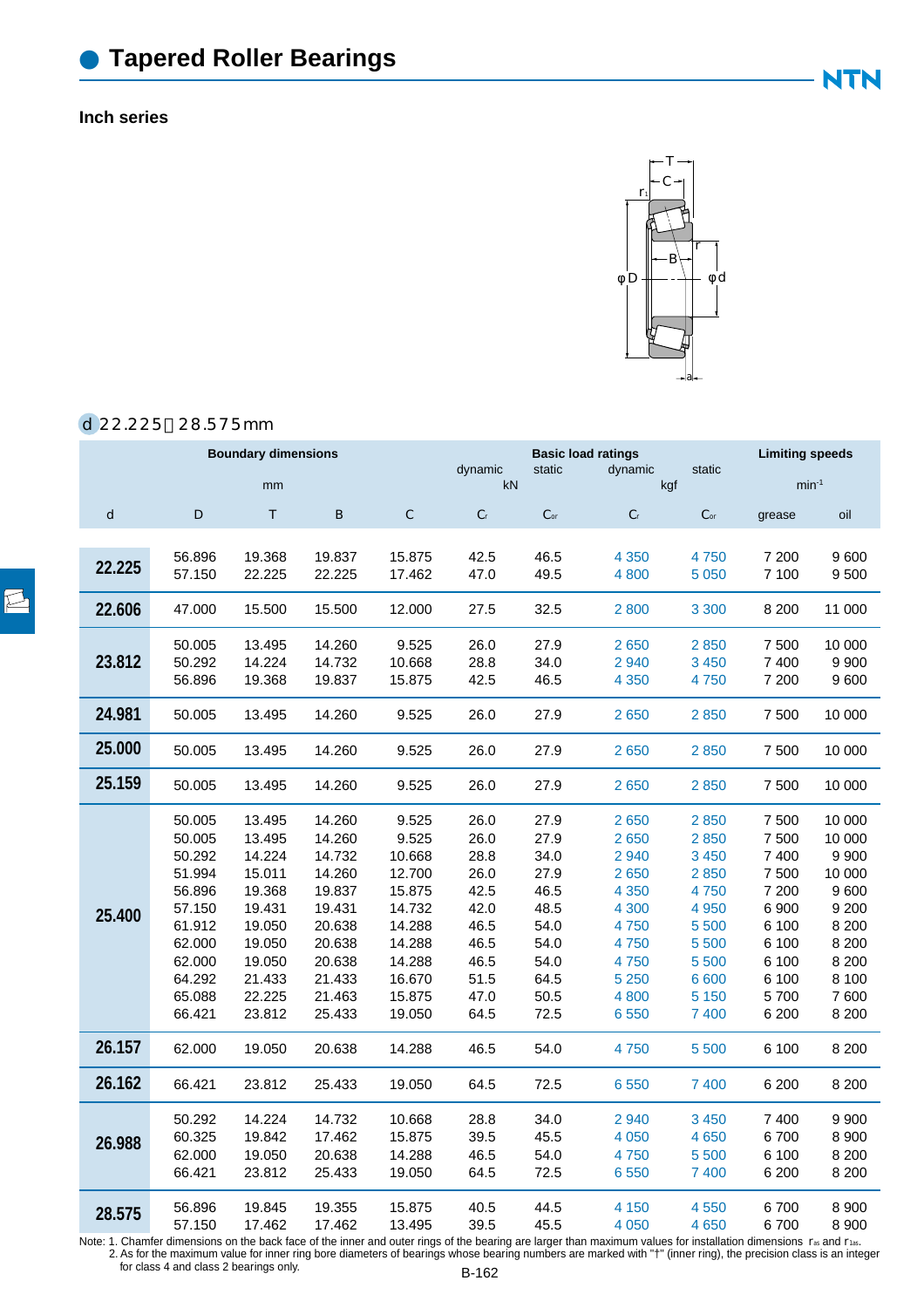#### **Inch series**



NTN

|                  |                                                                                                                      | <b>Boundary dimensions</b>                                                                                           |                                                                                                                      |                                                                                                                    |                                                                                              |                                                                                              | <b>Basic load ratings</b>                                                                                  |                                                                                                            |                                                                                                       | <b>Limiting speeds</b>                                                                                                |  |  |
|------------------|----------------------------------------------------------------------------------------------------------------------|----------------------------------------------------------------------------------------------------------------------|----------------------------------------------------------------------------------------------------------------------|--------------------------------------------------------------------------------------------------------------------|----------------------------------------------------------------------------------------------|----------------------------------------------------------------------------------------------|------------------------------------------------------------------------------------------------------------|------------------------------------------------------------------------------------------------------------|-------------------------------------------------------------------------------------------------------|-----------------------------------------------------------------------------------------------------------------------|--|--|
|                  |                                                                                                                      | mm                                                                                                                   |                                                                                                                      |                                                                                                                    | dynamic<br>kN                                                                                | static                                                                                       | dynamic<br>kgf                                                                                             | static                                                                                                     | $min^{-1}$                                                                                            |                                                                                                                       |  |  |
| $\boldsymbol{d}$ | $\boldsymbol{D}$                                                                                                     | $\cal T$                                                                                                             | $\boldsymbol{B}$                                                                                                     | $\cal C$                                                                                                           | $C_{\rm r}$                                                                                  | $C_{\hbox{\scriptsize or}}$                                                                  | $\mathcal{C}$                                                                                              | $C_{\text{or}}$                                                                                            | grease                                                                                                | oil                                                                                                                   |  |  |
| 22.225           | 56.896<br>57.150                                                                                                     | 19.368<br>22.225                                                                                                     | 19.837<br>22.225                                                                                                     | 15.875<br>17.462                                                                                                   | 42.5<br>47.0                                                                                 | 46.5<br>49.5                                                                                 | 4 3 5 0<br>4 800                                                                                           | 4750<br>5 0 5 0                                                                                            | 7 200<br>7 100                                                                                        | 9600<br>9500                                                                                                          |  |  |
| 22.606           | 47.000                                                                                                               | 15.500                                                                                                               | 15.500                                                                                                               | 12.000                                                                                                             | 27.5                                                                                         | 32.5                                                                                         | 2800                                                                                                       | 3 3 0 0                                                                                                    | 8 2 0 0                                                                                               | 11 000                                                                                                                |  |  |
| 23.812           | 50.005<br>50.292<br>56.896                                                                                           | 13.495<br>14.224<br>19.368                                                                                           | 14.260<br>14.732<br>19.837                                                                                           | 9.525<br>10.668<br>15.875                                                                                          | 26.0<br>28.8<br>42.5                                                                         | 27.9<br>34.0<br>46.5                                                                         | 2650<br>2 9 4 0<br>4 3 5 0                                                                                 | 2850<br>3 4 5 0<br>4750                                                                                    | 7500<br>7 400<br>7 200                                                                                | 10 000<br>9 9 0 0<br>9600                                                                                             |  |  |
| 24.981           | 50.005                                                                                                               | 13.495                                                                                                               | 14.260                                                                                                               | 9.525                                                                                                              | 26.0                                                                                         | 27.9                                                                                         | 2650                                                                                                       | 2850                                                                                                       | 7 500                                                                                                 | 10 000                                                                                                                |  |  |
| 25.000           | 50.005                                                                                                               | 13.495                                                                                                               | 14.260                                                                                                               | 9.525                                                                                                              | 26.0                                                                                         | 27.9                                                                                         | 2650                                                                                                       | 2850                                                                                                       | 7 500                                                                                                 | 10 000                                                                                                                |  |  |
| 25.159           | 50.005                                                                                                               | 13.495                                                                                                               | 14.260                                                                                                               | 9.525                                                                                                              | 26.0                                                                                         | 27.9                                                                                         | 2650                                                                                                       | 2850                                                                                                       | 7500                                                                                                  | 10 000                                                                                                                |  |  |
| 25.400           | 50.005<br>50.005<br>50.292<br>51.994<br>56.896<br>57.150<br>61.912<br>62.000<br>62.000<br>64.292<br>65.088<br>66.421 | 13.495<br>13.495<br>14.224<br>15.011<br>19.368<br>19.431<br>19.050<br>19.050<br>19.050<br>21.433<br>22.225<br>23.812 | 14.260<br>14.260<br>14.732<br>14.260<br>19.837<br>19.431<br>20.638<br>20.638<br>20.638<br>21.433<br>21.463<br>25.433 | 9.525<br>9.525<br>10.668<br>12.700<br>15.875<br>14.732<br>14.288<br>14.288<br>14.288<br>16.670<br>15.875<br>19.050 | 26.0<br>26.0<br>28.8<br>26.0<br>42.5<br>42.0<br>46.5<br>46.5<br>46.5<br>51.5<br>47.0<br>64.5 | 27.9<br>27.9<br>34.0<br>27.9<br>46.5<br>48.5<br>54.0<br>54.0<br>54.0<br>64.5<br>50.5<br>72.5 | 2650<br>2650<br>2 9 4 0<br>2650<br>4 3 5 0<br>4 300<br>4750<br>4750<br>4750<br>5 2 5 0<br>4 800<br>6 5 5 0 | 2850<br>2850<br>3 4 5 0<br>2850<br>4750<br>4 9 5 0<br>5 500<br>5 500<br>5 500<br>6 600<br>5 1 5 0<br>7 400 | 7 500<br>7500<br>7400<br>7 500<br>7 200<br>6 900<br>6 100<br>6 100<br>6 100<br>6 100<br>5700<br>6 200 | 10 000<br>10 000<br>9 9 0 0<br>10 000<br>9600<br>9 2 0 0<br>8 2 0 0<br>8 2 0 0<br>8 2 0 0<br>8 100<br>7600<br>8 2 0 0 |  |  |
| 26.157           | 62.000                                                                                                               | 19.050                                                                                                               | 20.638                                                                                                               | 14.288                                                                                                             | 46.5                                                                                         | 54.0                                                                                         | 4750                                                                                                       | 5 500                                                                                                      | 6 100                                                                                                 | 8 2 0 0                                                                                                               |  |  |
| 26.162           | 66.421                                                                                                               | 23.812                                                                                                               | 25.433                                                                                                               | 19.050                                                                                                             | 64.5                                                                                         | 72.5                                                                                         | 6 5 5 0                                                                                                    | 7 400                                                                                                      | 6 200                                                                                                 | 8 2 0 0                                                                                                               |  |  |
| 26.988           | 50.292<br>60.325<br>62.000<br>66.421                                                                                 | 14.224<br>19.842<br>19.050<br>23.812                                                                                 | 14.732<br>17.462<br>20.638<br>25.433                                                                                 | 10.668<br>15.875<br>14.288<br>19.050                                                                               | 28.8<br>39.5<br>46.5<br>64.5                                                                 | 34.0<br>45.5<br>54.0<br>72.5                                                                 | 2 9 4 0<br>4 0 5 0<br>4750<br>6 5 5 0                                                                      | 3 4 5 0<br>4650<br>5 500<br>7 400                                                                          | 7400<br>6700<br>6 100<br>6 200                                                                        | 9 9 0 0<br>8 900<br>8 2 0 0<br>8 2 0 0                                                                                |  |  |
| 28.575           | 56.896<br>57.150                                                                                                     | 19.845<br>17.462                                                                                                     | 19.355<br>17.462                                                                                                     | 15.875<br>13.495                                                                                                   | 40.5<br>39.5                                                                                 | 44.5<br>45.5                                                                                 | 4 150<br>4 0 5 0                                                                                           | 4 5 5 0<br>4 6 5 0                                                                                         | 6700<br>6700                                                                                          | 8 9 0 0<br>8 900                                                                                                      |  |  |

Note: 1. Chamfer dimensions on the back face of the inner and outer rings of the bearing are larger than maximum values for installation dimensions *r*as and *r*has.<br>2. As for the maximum value for inner ring bore diameter for class 4 and class 2 bearings only.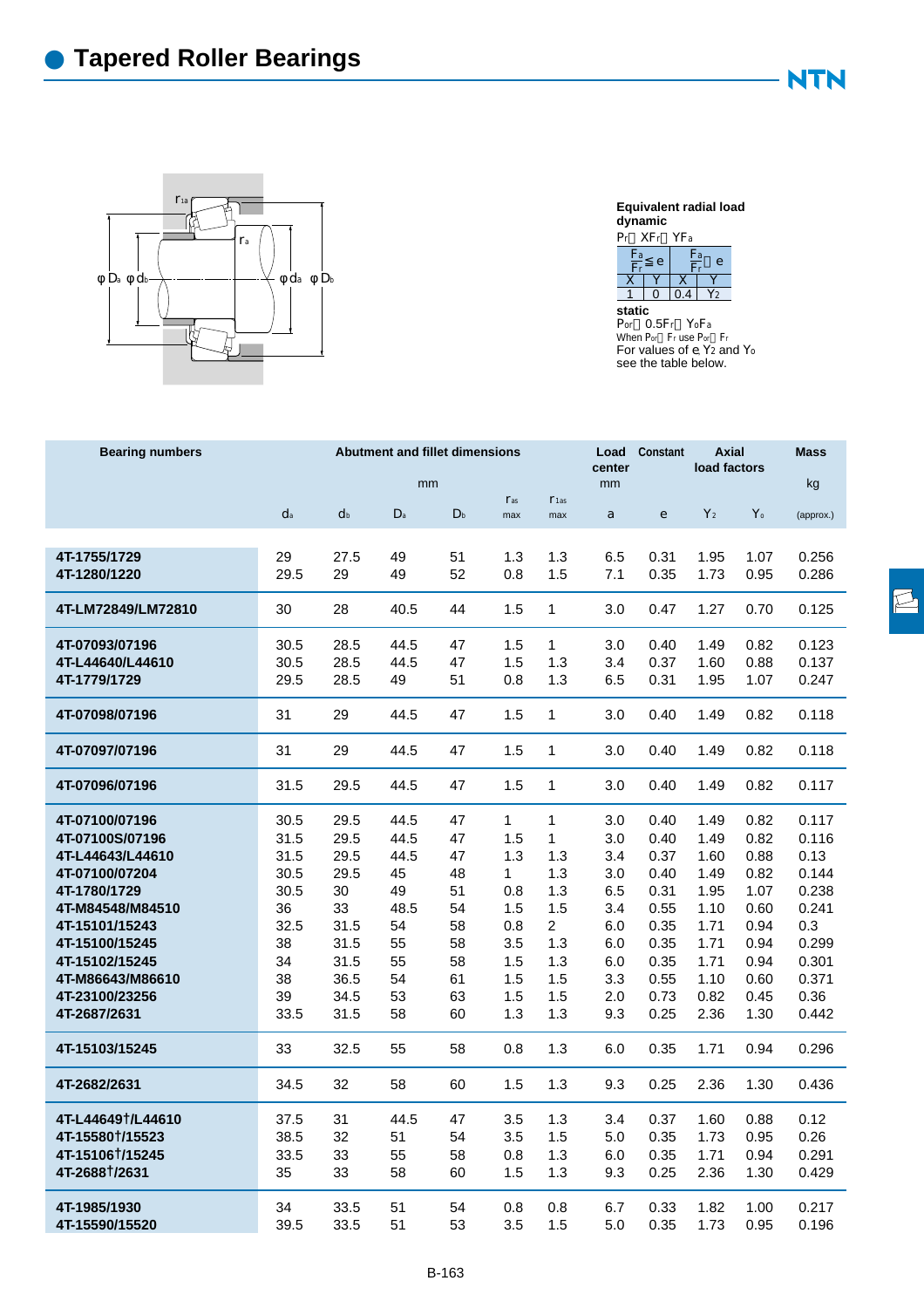





| <b>Bearing numbers</b>             |                               |             | <b>Abutment and fillet dimensions</b> |             | Load<br>center      | <b>Constant</b>       | <b>Axial</b><br>load factors |                  | <b>Mass</b>  |              |              |
|------------------------------------|-------------------------------|-------------|---------------------------------------|-------------|---------------------|-----------------------|------------------------------|------------------|--------------|--------------|--------------|
|                                    | mm                            |             |                                       |             |                     |                       | mm                           |                  |              |              | kg           |
|                                    | $d_{\scriptscriptstyle\rm a}$ | $d_{\rm b}$ | $D_{\rm a}$                           | $D_{\rm b}$ | $r_{\rm as}$<br>max | $r_{\rm las}$<br>max  | $\boldsymbol{a}$             | $\boldsymbol{e}$ | $Y_2$        | $Y_{o}$      | (approx.)    |
| 4T-1755/1729                       | 29                            | 27.5        | 49                                    | 51          | 1.3                 | 1.3                   | 6.5                          | 0.31             | 1.95         | 1.07         | 0.256        |
| 4T-1280/1220                       | 29.5                          | 29          | 49                                    | 52          | 0.8                 | 1.5                   | 7.1                          | 0.35             | 1.73         | 0.95         | 0.286        |
| 4T-LM72849/LM72810                 | 30                            | 28          | 40.5                                  | 44          | 1.5                 | $\mathbf{1}$          | 3.0                          | 0.47             | 1.27         | 0.70         | 0.125        |
| 4T-07093/07196                     | 30.5                          | 28.5        | 44.5                                  | 47          | 1.5                 | $\mathbf{1}$          | 3.0                          | 0.40             | 1.49         | 0.82         | 0.123        |
| 4T-L44640/L44610                   | 30.5                          | 28.5        | 44.5                                  | 47          | 1.5                 | 1.3                   | 3.4                          | 0.37             | 1.60         | 0.88         | 0.137        |
| 4T-1779/1729                       | 29.5                          | 28.5        | 49                                    | 51          | 0.8                 | 1.3                   | 6.5                          | 0.31             | 1.95         | 1.07         | 0.247        |
| 4T-07098/07196                     | 31                            | 29          | 44.5                                  | 47          | 1.5                 | $\mathbf{1}$          | 3.0                          | 0.40             | 1.49         | 0.82         | 0.118        |
| 4T-07097/07196                     | 31                            | 29          | 44.5                                  | 47          | 1.5                 | $\mathbf{1}$          | 3.0                          | 0.40             | 1.49         | 0.82         | 0.118        |
| 4T-07096/07196                     | 31.5                          | 29.5        | 44.5                                  | 47          | 1.5                 | 1                     | 3.0                          | 0.40             | 1.49         | 0.82         | 0.117        |
| 4T-07100/07196                     | 30.5                          | 29.5        | 44.5                                  | 47          | $\mathbf{1}$        | $\mathbf{1}$          | 3.0                          | 0.40             | 1.49         | 0.82         | 0.117        |
| 4T-07100S/07196                    | 31.5                          | 29.5        | 44.5                                  | 47          | 1.5                 | $\mathbf{1}$          | 3.0                          | 0.40             | 1.49         | 0.82         | 0.116        |
| 4T-L44643/L44610                   | 31.5                          | 29.5        | 44.5                                  | 47          | 1.3                 | 1.3                   | 3.4                          | 0.37             | 1.60         | 0.88         | 0.13         |
| 4T-07100/07204                     | 30.5                          | 29.5        | 45                                    | 48          | $\mathbf{1}$        | 1.3                   | 3.0                          | 0.40             | 1.49         | 0.82         | 0.144        |
| 4T-1780/1729                       | 30.5                          | 30          | 49                                    | 51          | 0.8                 | 1.3                   | 6.5                          | 0.31             | 1.95         | 1.07         | 0.238        |
| 4T-M84548/M84510<br>4T-15101/15243 | 36<br>32.5                    | 33<br>31.5  | 48.5<br>54                            | 54<br>58    | 1.5<br>0.8          | 1.5<br>$\overline{c}$ | 3.4<br>6.0                   | 0.55<br>0.35     | 1.10<br>1.71 | 0.60<br>0.94 | 0.241<br>0.3 |
| 4T-15100/15245                     | 38                            | 31.5        | 55                                    | 58          | 3.5                 | 1.3                   | 6.0                          | 0.35             | 1.71         | 0.94         | 0.299        |
| 4T-15102/15245                     | 34                            | 31.5        | 55                                    | 58          | 1.5                 | 1.3                   | 6.0                          | 0.35             | 1.71         | 0.94         | 0.301        |
| 4T-M86643/M86610                   | 38                            | 36.5        | 54                                    | 61          | 1.5                 | 1.5                   | 3.3                          | 0.55             | 1.10         | 0.60         | 0.371        |
| 4T-23100/23256                     | 39                            | 34.5        | 53                                    | 63          | 1.5                 | 1.5                   | 2.0                          | 0.73             | 0.82         | 0.45         | 0.36         |
| 4T-2687/2631                       | 33.5                          | 31.5        | 58                                    | 60          | 1.3                 | 1.3                   | 9.3                          | 0.25             | 2.36         | 1.30         | 0.442        |
| 4T-15103/15245                     | 33                            | 32.5        | 55                                    | 58          | 0.8                 | 1.3                   | 6.0                          | 0.35             | 1.71         | 0.94         | 0.296        |
| 4T-2682/2631                       | 34.5                          | 32          | 58                                    | 60          | 1.5                 | 1.3                   | 9.3                          | 0.25             | 2.36         | 1.30         | 0.436        |
| 4T-L44649†/L44610                  | 37.5                          | 31          | 44.5                                  | 47          | 3.5                 | 1.3                   | 3.4                          | 0.37             | 1.60         | 0.88         | 0.12         |
| 4T-15580†/15523                    | 38.5                          | 32          | 51                                    | 54          | 3.5                 | 1.5                   | 5.0                          | 0.35             | 1.73         | 0.95         | 0.26         |
| 4T-15106 1/15245                   | 33.5                          | 33          | 55                                    | 58          | 0.8                 | 1.3                   | 6.0                          | 0.35             | 1.71         | 0.94         | 0.291        |
| 4T-2688†/2631                      | 35                            | 33          | 58                                    | 60          | 1.5                 | 1.3                   | 9.3                          | 0.25             | 2.36         | 1.30         | 0.429        |
| 4T-1985/1930                       | 34                            | 33.5        | 51                                    | 54          | 0.8                 | 0.8                   | 6.7                          | 0.33             | 1.82         | 1.00         | 0.217        |
| 4T-15590/15520                     | 39.5                          | 33.5        | 51                                    | 53          | 3.5                 | 1.5                   | 5.0                          | 0.35             | 1.73         | 0.95         | 0.196        |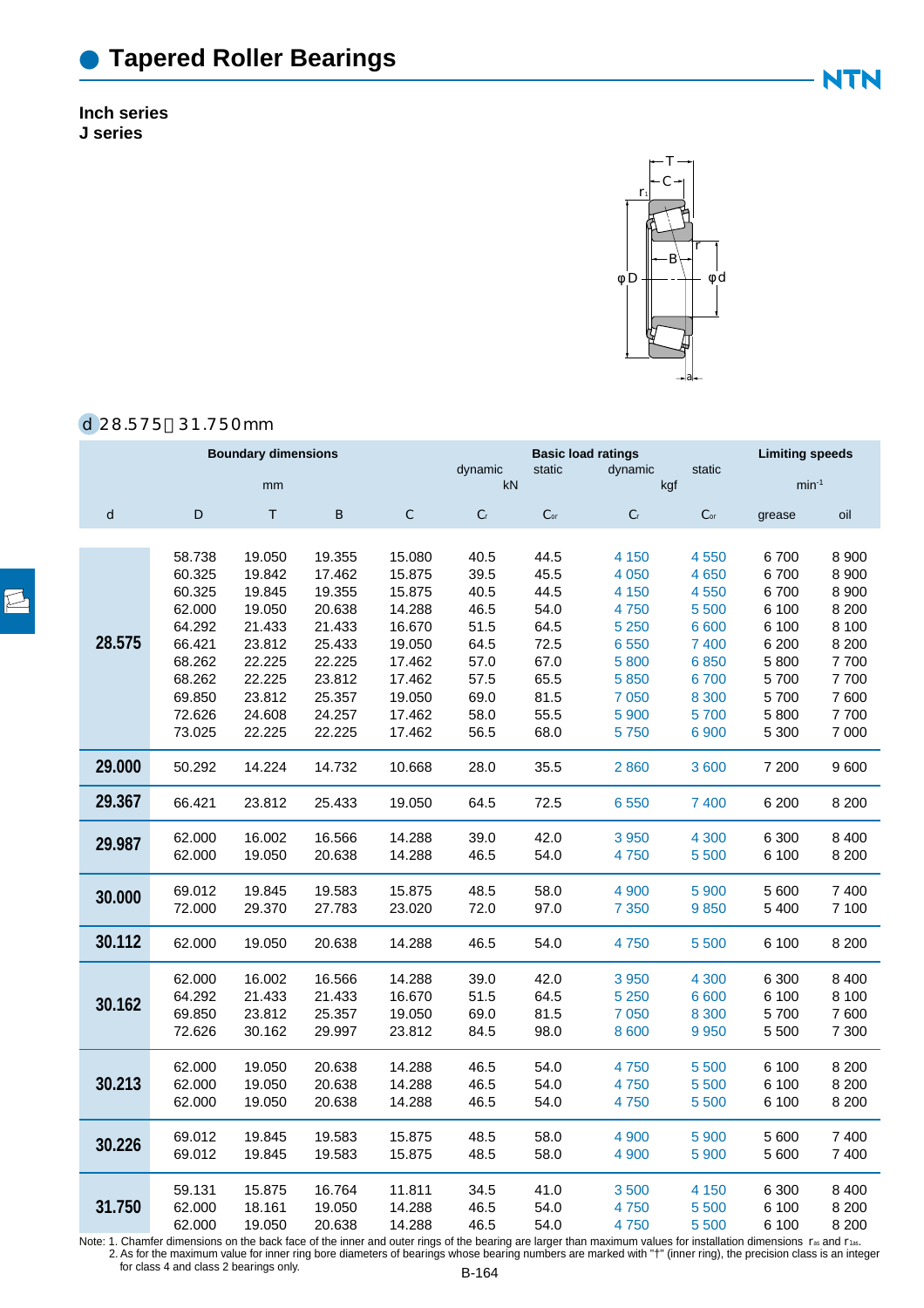**Inch series J series**



NTN

#### *d* 28.575~31.750mm

| <b>Boundary dimensions</b> |                  |          |                  |               |               |                 | <b>Basic load ratings</b> |                 | <b>Limiting speeds</b> |         |  |
|----------------------------|------------------|----------|------------------|---------------|---------------|-----------------|---------------------------|-----------------|------------------------|---------|--|
|                            |                  | mm       |                  |               | dynamic<br>kN | static          | dynamic<br>kgf            | static          | $min-1$                |         |  |
| $\boldsymbol{d}$           | $\boldsymbol{D}$ | $\cal T$ | $\boldsymbol{B}$ | $\mathcal{C}$ | $C_{\rm r}$   | $C_{\text{or}}$ | $C_{\rm r}$               | $C_{\text{or}}$ | grease                 | oil     |  |
|                            | 58.738           | 19.050   | 19.355           | 15.080        | 40.5          | 44.5            | 4 150                     | 4 5 5 0         | 6700                   | 8 9 0 0 |  |
|                            | 60.325           | 19.842   | 17.462           | 15.875        | 39.5          | 45.5            | 4 0 5 0                   | 4650            | 6700                   | 8 9 0 0 |  |
|                            | 60.325           | 19.845   | 19.355           | 15.875        | 40.5          | 44.5            | 4 150                     | 4 5 5 0         | 6700                   | 8 9 0 0 |  |
|                            | 62.000           | 19.050   | 20.638           | 14.288        | 46.5          | 54.0            | 4750                      | 5 500           | 6 100                  | 8 2 0 0 |  |
|                            | 64.292           | 21.433   | 21.433           | 16.670        | 51.5          | 64.5            | 5 2 5 0                   | 6 600           | 6 100                  | 8 100   |  |
| 28.575                     | 66.421           | 23.812   | 25.433           | 19.050        | 64.5          | 72.5            | 6 5 5 0                   | 7 400           | 6 200                  | 8 2 0 0 |  |
|                            | 68.262           | 22.225   | 22.225           | 17.462        | 57.0          | 67.0            | 5 800                     | 6850            | 5800                   | 7700    |  |
|                            | 68.262           | 22.225   | 23.812           | 17.462        | 57.5          | 65.5            | 5850                      | 6700            | 5700                   | 7700    |  |
|                            | 69.850           | 23.812   | 25.357           | 19.050        | 69.0          | 81.5            | 7 0 5 0                   | 8 3 0 0         | 5700                   | 7600    |  |
|                            | 72.626           | 24.608   | 24.257           | 17.462        | 58.0          | 55.5            | 5 900                     | 5700            | 5 800                  | 7700    |  |
|                            | 73.025           | 22.225   | 22.225           | 17.462        | 56.5          | 68.0            | 5750                      | 6 900           | 5 300                  | 7 0 0 0 |  |
| 29.000                     | 50.292           | 14.224   | 14.732           | 10.668        | 28.0          | 35.5            | 2860                      | 3600            | 7 200                  | 9600    |  |
| 29.367                     | 66.421           | 23.812   | 25.433           | 19.050        | 64.5          | 72.5            | 6 5 5 0                   | 7 400           | 6 200                  | 8 2 0 0 |  |
| 29.987                     | 62.000           | 16.002   | 16.566           | 14.288        | 39.0          | 42.0            | 3 9 5 0                   | 4 300           | 6 300                  | 8 4 0 0 |  |
|                            | 62.000           | 19.050   | 20.638           | 14.288        | 46.5          | 54.0            | 4750                      | 5 500           | 6 100                  | 8 2 0 0 |  |
| 30.000                     | 69.012           | 19.845   | 19.583           | 15.875        | 48.5          | 58.0            | 4 900                     | 5 900           | 5 600                  | 7 400   |  |
|                            | 72.000           | 29.370   | 27.783           | 23.020        | 72.0          | 97.0            | 7 3 5 0                   | 9850            | 5 400                  | 7 100   |  |
| 30.112                     | 62.000           | 19.050   | 20.638           | 14.288        | 46.5          | 54.0            | 4750                      | 5 500           | 6 100                  | 8 2 0 0 |  |
|                            | 62.000           | 16.002   | 16.566           | 14.288        | 39.0          | 42.0            | 3 9 5 0                   | 4 300           | 6 300                  | 8 4 0 0 |  |
| 30.162                     | 64.292           | 21.433   | 21.433           | 16.670        | 51.5          | 64.5            | 5 2 5 0                   | 6 600           | 6 100                  | 8 100   |  |
|                            | 69.850           | 23.812   | 25.357           | 19.050        | 69.0          | 81.5            | 7 0 5 0                   | 8 3 0 0         | 5700                   | 7600    |  |
|                            | 72.626           | 30.162   | 29.997           | 23.812        | 84.5          | 98.0            | 8 600                     | 9950            | 5 500                  | 7 300   |  |
|                            | 62.000           | 19.050   | 20.638           | 14.288        | 46.5          | 54.0            | 4750                      | 5 500           | 6 100                  | 8 2 0 0 |  |
| 30.213                     | 62.000           | 19.050   | 20.638           | 14.288        | 46.5          | 54.0            | 4750                      | 5 500           | 6 100                  | 8 2 0 0 |  |
|                            | 62.000           | 19.050   | 20.638           | 14.288        | 46.5          | 54.0            | 4750                      | 5 500           | 6 100                  | 8 2 0 0 |  |
| 30.226                     | 69.012           | 19.845   | 19.583           | 15.875        | 48.5          | 58.0            | 4 900                     | 5 900           | 5 600                  | 7 400   |  |
|                            | 69.012           | 19.845   | 19.583           | 15.875        | 48.5          | 58.0            | 4 900                     | 5 900           | 5 600                  | 7 4 0 0 |  |
|                            | 59.131           | 15.875   | 16.764           | 11.811        | 34.5          | 41.0            | 3500                      | 4 150           | 6 300                  | 8 4 0 0 |  |
| 31.750                     | 62.000           | 18.161   | 19.050           | 14.288        | 46.5          | 54.0            | 4750                      | 5 500           | 6 100                  | 8 2 0 0 |  |
|                            | 62.000           | 19.050   | 20.638           | 14.288        | 46.5          | 54.0            | 4750                      | 5 500           | 6 100                  | 8 2 0 0 |  |

Note: 1. Chamfer dimensions on the back face of the inner and outer rings of the bearing are larger than maximum values for installation dimensions *r*as and *r*has.<br>2. As for the maximum value for inner ring bore diameter for class 4 and class 2 bearings only.

 $\sum_{i=1}^{n}$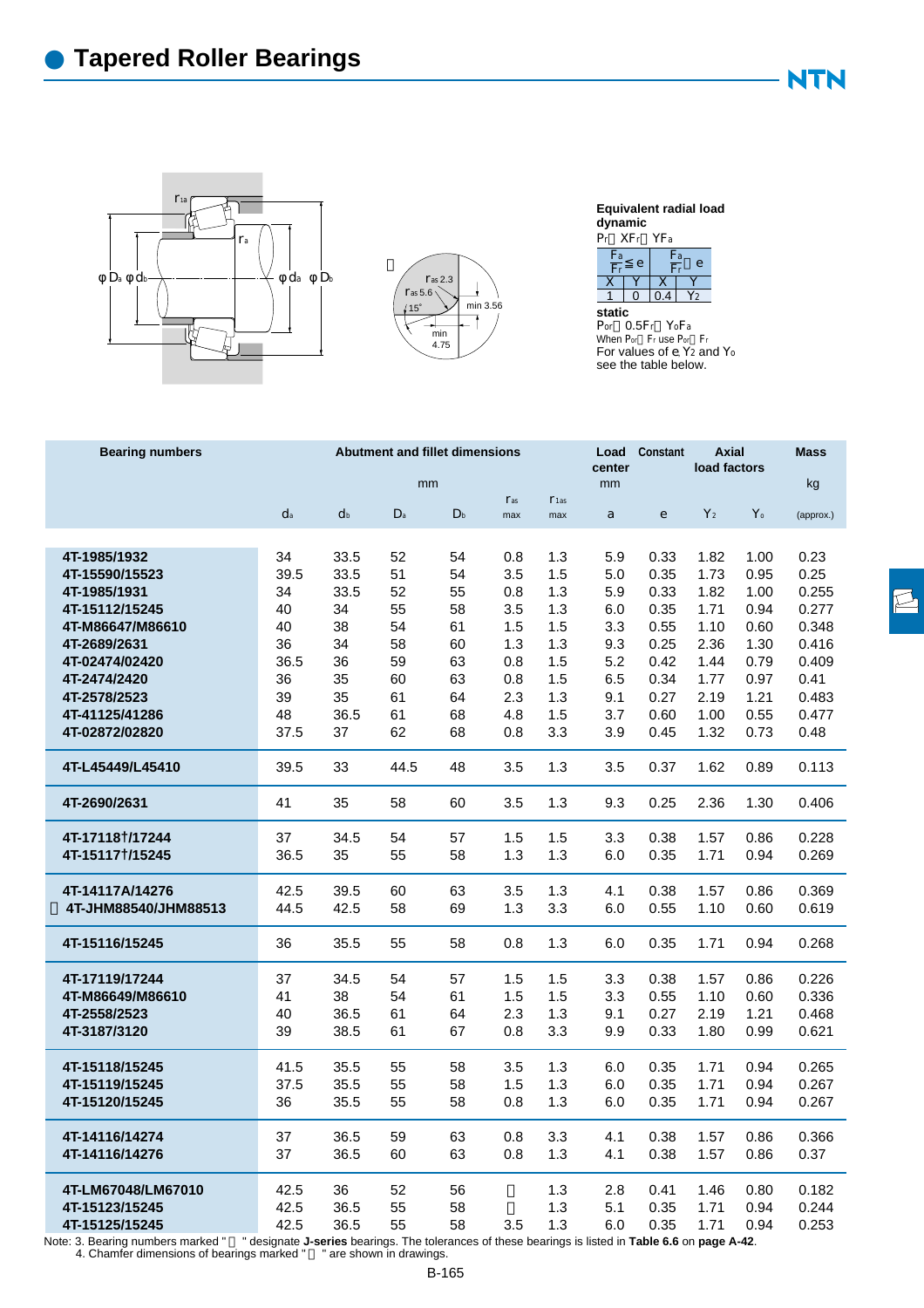



*F*a **Equivalent radial load dynamic** *P*r *XF*r *YF*a



| <b>Bearing numbers</b>                                                                                                                                                                                           |                                    | <b>Abutment and fillet dimensions</b><br>mm |             | Load<br>center<br>mm | <b>Constant</b> | <b>Axial</b><br>load factors | <b>Mass</b><br>kg |                  |       |             |           |
|------------------------------------------------------------------------------------------------------------------------------------------------------------------------------------------------------------------|------------------------------------|---------------------------------------------|-------------|----------------------|-----------------|------------------------------|-------------------|------------------|-------|-------------|-----------|
|                                                                                                                                                                                                                  |                                    |                                             |             |                      | $r_{\rm as}$    | $T$ las                      |                   |                  |       |             |           |
|                                                                                                                                                                                                                  | $d_{\scriptscriptstyle{\text{a}}}$ | $d_{\rm b}$                                 | $D_{\rm a}$ | $D_{\rm b}$          | max             | max                          | $\boldsymbol{a}$  | $\boldsymbol{e}$ | $Y_2$ | $Y_{\circ}$ | (approx.) |
| 4T-1985/1932                                                                                                                                                                                                     | 34                                 | 33.5                                        | 52          | 54                   | 0.8             | 1.3                          | 5.9               | 0.33             | 1.82  | 1.00        | 0.23      |
| 4T-15590/15523                                                                                                                                                                                                   | 39.5                               | 33.5                                        | 51          | 54                   | 3.5             | 1.5                          | 5.0               | 0.35             | 1.73  | 0.95        | 0.25      |
| 4T-1985/1931                                                                                                                                                                                                     | 34                                 | 33.5                                        | 52          | 55                   | 0.8             | 1.3                          | 5.9               | 0.33             | 1.82  | 1.00        | 0.255     |
| 4T-15112/15245                                                                                                                                                                                                   | 40                                 | 34                                          | 55          | 58                   | 3.5             | 1.3                          | 6.0               | 0.35             | 1.71  | 0.94        | 0.277     |
| 4T-M86647/M86610                                                                                                                                                                                                 | 40                                 | 38                                          | 54          | 61                   | 1.5             | 1.5                          | 3.3               | 0.55             | 1.10  | 0.60        | 0.348     |
| 4T-2689/2631                                                                                                                                                                                                     | 36                                 | 34                                          | 58          | 60                   | 1.3             | 1.3                          | 9.3               | 0.25             | 2.36  | 1.30        | 0.416     |
| 4T-02474/02420                                                                                                                                                                                                   | 36.5                               | 36                                          | 59          | 63                   | 0.8             | 1.5                          | 5.2               | 0.42             | 1.44  | 0.79        | 0.409     |
| 4T-2474/2420                                                                                                                                                                                                     | 36                                 | 35                                          | 60          | 63                   | 0.8             | 1.5                          | 6.5               | 0.34             | 1.77  | 0.97        | 0.41      |
| 4T-2578/2523                                                                                                                                                                                                     | 39                                 | 35                                          | 61          | 64                   | 2.3             | 1.3                          | 9.1               | 0.27             | 2.19  | 1.21        | 0.483     |
| 4T-41125/41286                                                                                                                                                                                                   | 48                                 | 36.5                                        | 61          | 68                   | 4.8             | 1.5                          | 3.7               | 0.60             | 1.00  | 0.55        | 0.477     |
| 4T-02872/02820                                                                                                                                                                                                   | 37.5                               | 37                                          | 62          | 68                   | 0.8             | 3.3                          | 3.9               | 0.45             | 1.32  | 0.73        | 0.48      |
| 4T-L45449/L45410                                                                                                                                                                                                 | 39.5                               | 33                                          | 44.5        | 48                   | 3.5             | 1.3                          | 3.5               | 0.37             | 1.62  | 0.89        | 0.113     |
| 4T-2690/2631                                                                                                                                                                                                     | 41                                 | 35                                          | 58          | 60                   | 3.5             | 1.3                          | 9.3               | 0.25             | 2.36  | 1.30        | 0.406     |
| 4T-17118†/17244                                                                                                                                                                                                  | 37                                 | 34.5                                        | 54          | 57                   | 1.5             | 1.5                          | 3.3               | 0.38             | 1.57  | 0.86        | 0.228     |
| 4T-151171/15245                                                                                                                                                                                                  | 36.5                               | 35                                          | 55          | 58                   | 1.3             | 1.3                          | 6.0               | 0.35             | 1.71  | 0.94        | 0.269     |
| 4T-14117A/14276                                                                                                                                                                                                  | 42.5                               | 39.5                                        | 60          | 63                   | 3.5             | 1.3                          | 4.1               | 0.38             | 1.57  | 0.86        | 0.369     |
| 4T-JHM88540/JHM88513                                                                                                                                                                                             | 44.5                               | 42.5                                        | 58          | 69                   | 1.3             | 3.3                          | 6.0               | 0.55             | 1.10  | 0.60        | 0.619     |
| 4T-15116/15245                                                                                                                                                                                                   | 36                                 | 35.5                                        | 55          | 58                   | 0.8             | 1.3                          | 6.0               | 0.35             | 1.71  | 0.94        | 0.268     |
| 4T-17119/17244                                                                                                                                                                                                   | 37                                 | 34.5                                        | 54          | 57                   | 1.5             | 1.5                          | 3.3               | 0.38             | 1.57  | 0.86        | 0.226     |
| 4T-M86649/M86610                                                                                                                                                                                                 | 41                                 | 38                                          | 54          | 61                   | 1.5             | 1.5                          | 3.3               | 0.55             | 1.10  | 0.60        | 0.336     |
| 4T-2558/2523                                                                                                                                                                                                     | 40                                 | 36.5                                        | 61          | 64                   | 2.3             | 1.3                          | 9.1               | 0.27             | 2.19  | 1.21        | 0.468     |
| 4T-3187/3120                                                                                                                                                                                                     | 39                                 | 38.5                                        | 61          | 67                   | 0.8             | 3.3                          | 9.9               | 0.33             | 1.80  | 0.99        | 0.621     |
| 4T-15118/15245                                                                                                                                                                                                   | 41.5                               | 35.5                                        | 55          | 58                   | 3.5             | 1.3                          | 6.0               | 0.35             | 1.71  | 0.94        | 0.265     |
| 4T-15119/15245                                                                                                                                                                                                   | 37.5                               | 35.5                                        | 55          | 58                   | 1.5             | 1.3                          | 6.0               | 0.35             | 1.71  | 0.94        | 0.267     |
| 4T-15120/15245                                                                                                                                                                                                   | 36                                 | 35.5                                        | 55          | 58                   | 0.8             | 1.3                          | 6.0               | 0.35             | 1.71  | 0.94        | 0.267     |
| 4T-14116/14274                                                                                                                                                                                                   | 37                                 | 36.5                                        | 59          | 63                   | 0.8             | 3.3                          | 4.1               | 0.38             | 1.57  | 0.86        | 0.366     |
| 4T-14116/14276                                                                                                                                                                                                   | 37                                 | 36.5                                        | 60          | 63                   | 0.8             | 1.3                          | 4.1               | 0.38             | 1.57  | 0.86        | 0.37      |
| 4T-LM67048/LM67010                                                                                                                                                                                               | 42.5                               | 36                                          | 52          | 56                   |                 | 1.3                          | 2.8               | 0.41             | 1.46  | 0.80        | 0.182     |
| 4T-15123/15245                                                                                                                                                                                                   | 42.5                               | 36.5                                        | 55          | 58                   |                 | 1.3                          | 5.1               | 0.35             | 1.71  | 0.94        | 0.244     |
| 4T-15125/15245                                                                                                                                                                                                   | 42.5                               | 36.5                                        | 55          | 58                   | 3.5             | 1.3                          | 6.0               | 0.35             | 1.71  | 0.94        | 0.253     |
| Note: 3. Bearing numbers marked "<br>" designate J-series bearings. The tolerances of these bearings is listed in Table 6.6 on page A-42.<br>4. Chamfer dimensions of bearings marked " " are shown in drawings. |                                    |                                             |             |                      |                 |                              |                   |                  |       |             |           |

B-165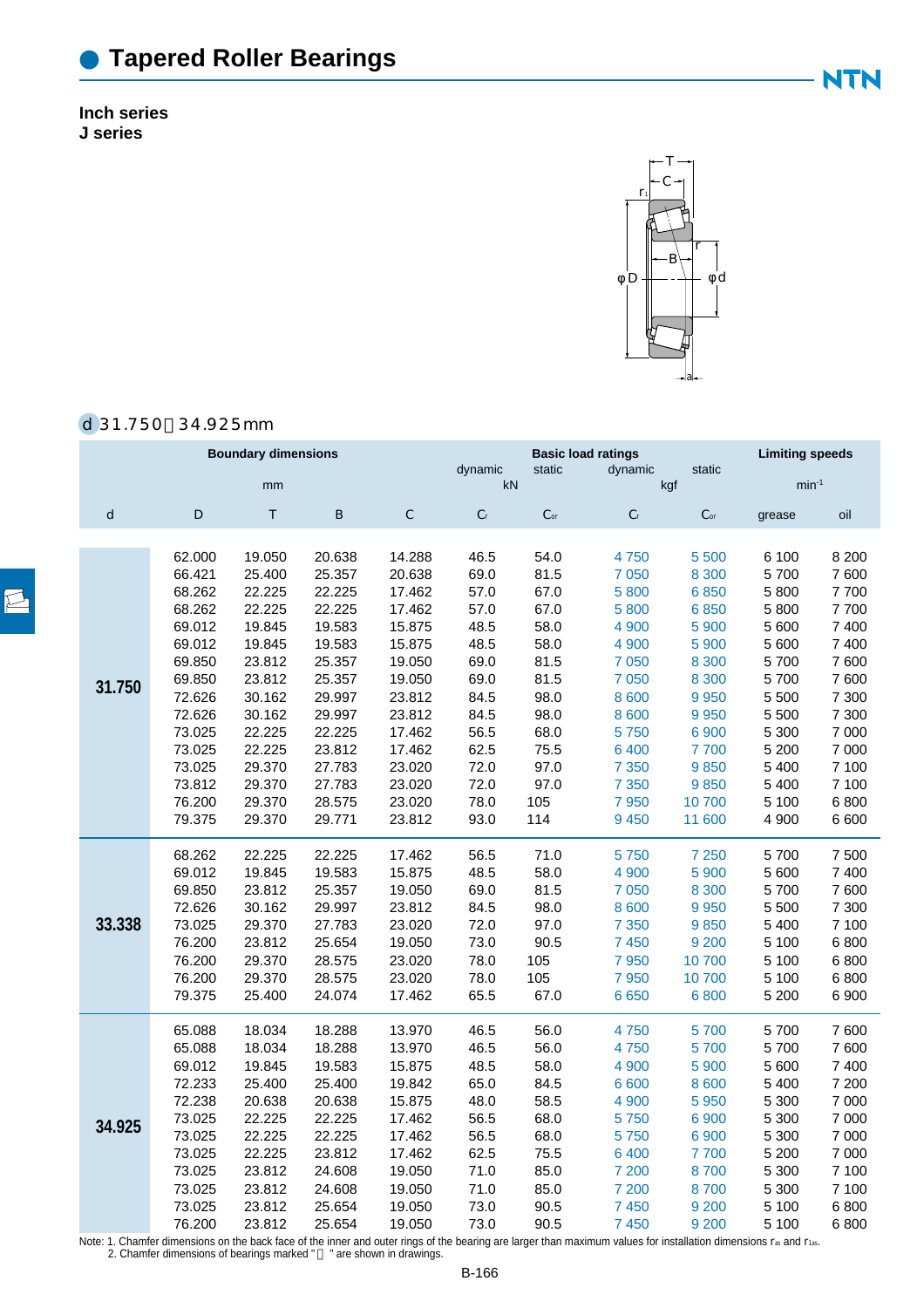**Inch series J series**



**NTN** 

## *d* 31.750~34.925mm

| <b>Boundary dimensions</b> |                  |                  |                  |                  |              |                | <b>Basic load ratings</b> |                    | <b>Limiting speeds</b> |                |
|----------------------------|------------------|------------------|------------------|------------------|--------------|----------------|---------------------------|--------------------|------------------------|----------------|
|                            | mm               |                  |                  | dynamic<br>kN    | static       | dynamic<br>kgf | static                    | $min-1$            |                        |                |
| $\boldsymbol{d}$           | $\boldsymbol{D}$ | $\cal T$         | $\boldsymbol{B}$ | $\mathcal{C}$    | $C_{r}$      | $C_{\rm or}$   | $C_{\rm r}$               | $C_{\text{or}}$    | grease                 | oil            |
|                            | 62.000           | 19.050           | 20.638           | 14.288           | 46.5         | 54.0           | 4750                      | 5 500              | 6 100                  | 8 2 0 0        |
|                            | 66.421           | 25.400           | 25.357           | 20.638           | 69.0         | 81.5           | 7 0 5 0                   | 8 3 0 0            | 5700                   | 7600           |
|                            | 68.262           | 22.225           | 22.225           | 17.462           | 57.0         | 67.0           | 5 800                     | 6850               | 5 800                  | 7700           |
|                            | 68.262           | 22.225           | 22.225           | 17.462           | 57.0         | 67.0           | 5800                      | 6850               | 5 800                  | 7700           |
|                            | 69.012           | 19.845           | 19.583           | 15.875           | 48.5         | 58.0           | 4 900                     | 5 900              | 5 600                  | 7400<br>7 400  |
|                            | 69.012           | 19.845           | 19.583           | 15.875           | 48.5         | 58.0           | 4 900                     | 5 900              | 5 600                  | 7600           |
|                            | 69.850<br>69.850 | 23.812<br>23.812 | 25.357<br>25.357 | 19.050<br>19.050 | 69.0<br>69.0 | 81.5<br>81.5   | 7 0 5 0<br>7 0 5 0        | 8 3 0 0<br>8 3 0 0 | 5700<br>5700           | 7600           |
| 31.750                     | 72.626           | 30.162           | 29.997           | 23.812           | 84.5         | 98.0           | 8 600                     | 9950               | 5 500                  | 7 300          |
|                            | 72.626           | 30.162           | 29.997           | 23.812           | 84.5         | 98.0           | 8 600                     | 9950               | 5 500                  | 7 300          |
|                            | 73.025           | 22.225           | 22.225           | 17.462           | 56.5         | 68.0           | 5750                      | 6900               | 5 300                  | 7 000          |
|                            | 73.025           | 22.225           | 23.812           | 17.462           | 62.5         | 75.5           | 6 400                     | 7700               | 5 200                  | 7 0 0 0        |
|                            | 73.025           | 29.370           | 27.783           | 23.020           | 72.0         | 97.0           | 7 3 5 0                   | 9850               | 5 400                  | 7 100          |
|                            | 73.812           | 29.370           | 27.783           | 23.020           | 72.0         | 97.0           | 7 3 5 0                   | 9850               | 5 4 0 0                | 7 100          |
|                            | 76.200           | 29.370           | 28.575           | 23.020           | 78.0         | 105            | 7950                      | 10700              | 5 100                  | 6800           |
|                            | 79.375           | 29.370           | 29.771           | 23.812           | 93.0         | 114            | 9 4 5 0                   | 11 600             | 4 900                  | 6 600          |
|                            | 68.262           | 22.225           | 22.225           | 17.462           | 56.5         | 71.0           | 5750                      | 7 250              | 5700                   | 7 500          |
|                            | 69.012           | 19.845           | 19.583           | 15.875           | 48.5         | 58.0           | 4 900                     | 5 900              | 5 600                  | 7 400          |
|                            | 69.850           | 23.812           | 25.357           | 19.050           | 69.0         | 81.5           | 7 0 5 0                   | 8 3 0 0            | 5700                   | 7600           |
|                            | 72.626           | 30.162           | 29.997           | 23.812           | 84.5         | 98.0           | 8 600                     | 9950               | 5 500                  | 7 300          |
| 33.338                     | 73.025           | 29.370           | 27.783           | 23.020           | 72.0         | 97.0           | 7 3 5 0                   | 9850               | 5 4 0 0                | 7 100          |
|                            | 76.200           | 23.812           | 25.654           | 19.050           | 73.0         | 90.5           | 7 4 5 0                   | 9 2 0 0            | 5 100                  | 6800           |
|                            | 76.200           | 29.370           | 28.575           | 23.020           | 78.0         | 105            | 7950                      | 10700              | 5 100                  | 6800           |
|                            | 76.200           | 29.370           | 28.575           | 23.020           | 78.0         | 105            | 7950                      | 10700              | 5 100                  | 6800           |
|                            | 79.375           | 25.400           | 24.074           | 17.462           | 65.5         | 67.0           | 6650                      | 6800               | 5 200                  | 6 900          |
|                            | 65.088           | 18.034           | 18.288           | 13.970           | 46.5         | 56.0           | 4750                      | 5700               | 5700                   | 7600           |
|                            | 65.088           | 18.034           | 18.288           | 13.970           | 46.5         | 56.0           | 4750                      | 5700               | 5700                   | 7600           |
|                            | 69.012           | 19.845           | 19.583           | 15.875           | 48.5         | 58.0           | 4 900                     | 5 900              | 5 600                  | 7 400          |
|                            | 72.233           | 25.400           | 25.400           | 19.842           | 65.0         | 84.5           | 6 600                     | 8 600              | 5 4 0 0                | 7 200          |
|                            | 72.238           | 20.638           | 20.638           | 15.875           | 48.0         | 58.5           | 4 900                     | 5 9 5 0            | 5 300                  | 7 000          |
| 34.925                     | 73.025           | 22.225           | 22.225           | 17.462           | 56.5         | 68.0           | 5750                      | 6 900              | 5 300                  | 7 000          |
|                            | 73.025           | 22.225           | 22.225           | 17.462           | 56.5         | 68.0           | 5750                      | 6 900              | 5 300                  | 7 000          |
|                            | 73.025           | 22.225           | 23.812           | 17.462           | 62.5<br>71.0 | 75.5           | 6 4 0 0                   | 7700               | 5 200<br>5 300         | 7 000<br>7 100 |
|                            | 73.025<br>73.025 | 23.812<br>23.812 | 24.608<br>24.608 | 19.050<br>19.050 | 71.0         | 85.0<br>85.0   | 7 200<br>7 200            | 8700<br>8700       | 5 300                  | 7 100          |
|                            | 73.025           | 23.812           | 25.654           | 19.050           | 73.0         | 90.5           | 7 4 5 0                   | 9 200              | 5 100                  | 6800           |
|                            |                  |                  |                  |                  |              |                |                           |                    |                        |                |
|                            | 76.200           | 23.812           | 25.654           | 19.050           | 73.0         | 90.5           | 7 4 5 0                   | 9 200              | 5 100                  | 6800           |

Note: 1. Chamfer dimensions on the back face of the inner and outer rings of the bearing are larger than maximum values for installation dimensions *r*<sub>as</sub> and *r*has.<br>2. Chamfer dimensions of bearings marked " " are show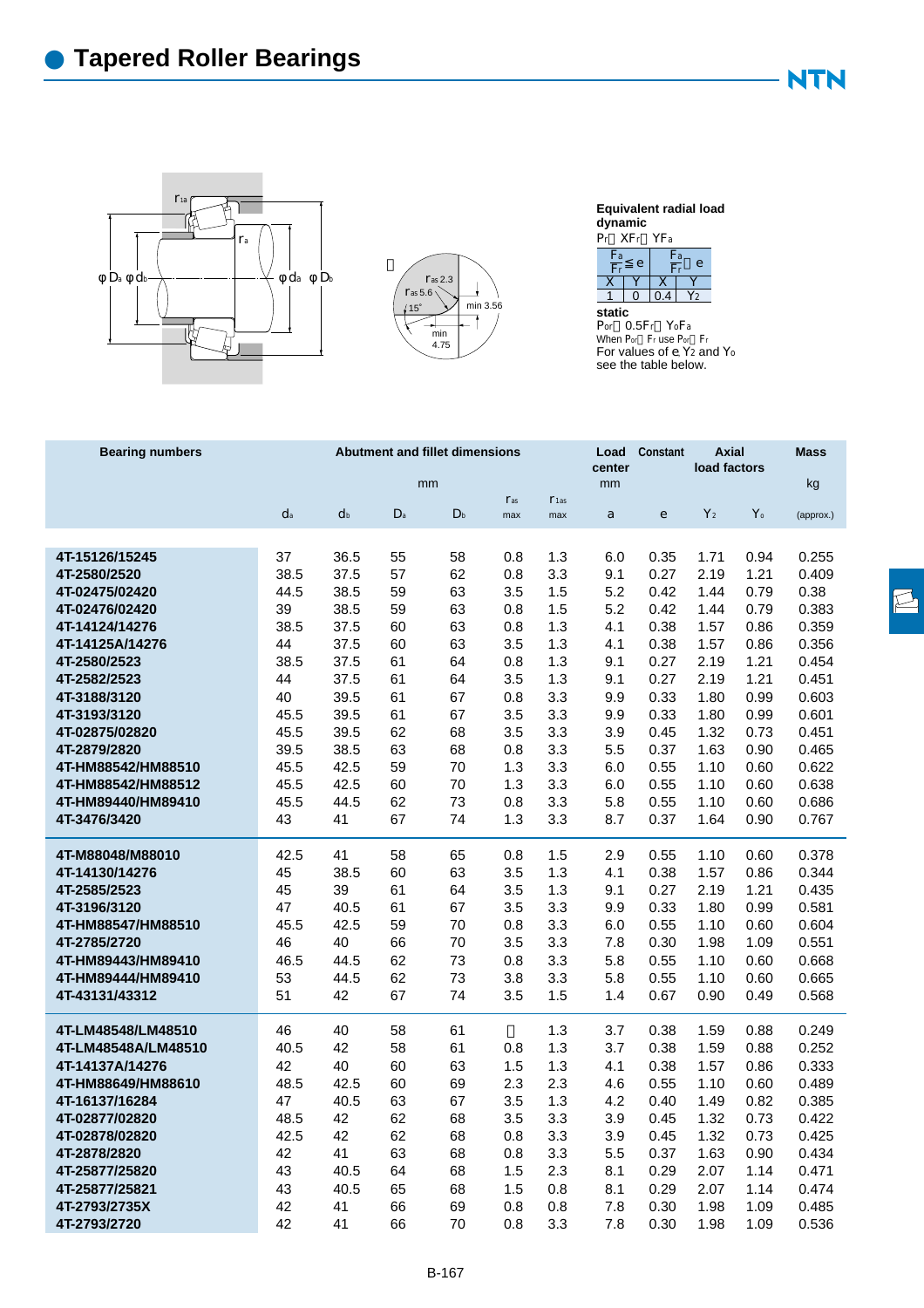



**Equivalent radial load dynamic** *P*r *XF*r *YF*a



| <b>Bearing numbers</b> | <b>Abutment and fillet dimensions</b> |             |             |             |                                 |                      | <b>Constant</b>  | <b>Axial</b><br>load factors | <b>Mass</b> |             |           |
|------------------------|---------------------------------------|-------------|-------------|-------------|---------------------------------|----------------------|------------------|------------------------------|-------------|-------------|-----------|
|                        |                                       | mm          |             |             |                                 | mm                   |                  |                              |             | kg          |           |
|                        | $d_{\scriptscriptstyle{\mathrm{a}}}$  | $d_{\rm b}$ | $D_{\rm a}$ | $D_{\rm b}$ | $\mathcal{T}\mathrm{as}$<br>max | $r_{\rm las}$<br>max | $\boldsymbol{a}$ | $\boldsymbol{e}$             | $Y_2$       | $Y_{\rm o}$ | (approx.) |
|                        |                                       |             |             |             |                                 |                      |                  |                              |             |             |           |
| 4T-15126/15245         | 37                                    | 36.5        | 55          | 58          | 0.8                             | 1.3                  | 6.0              | 0.35                         | 1.71        | 0.94        | 0.255     |
| 4T-2580/2520           | 38.5                                  | 37.5        | 57          | 62          | 0.8                             | 3.3                  | 9.1              | 0.27                         | 2.19        | 1.21        | 0.409     |
| 4T-02475/02420         | 44.5                                  | 38.5        | 59          | 63          | 3.5                             | 1.5                  | 5.2              | 0.42                         | 1.44        | 0.79        | 0.38      |
| 4T-02476/02420         | 39                                    | 38.5        | 59          | 63          | 0.8                             | 1.5                  | 5.2              | 0.42                         | 1.44        | 0.79        | 0.383     |
| 4T-14124/14276         | 38.5                                  | 37.5        | 60          | 63          | 0.8                             | 1.3                  | 4.1              | 0.38                         | 1.57        | 0.86        | 0.359     |
| 4T-14125A/14276        | 44                                    | 37.5        | 60          | 63          | 3.5                             | 1.3                  | 4.1              | 0.38                         | 1.57        | 0.86        | 0.356     |
| 4T-2580/2523           | 38.5                                  | 37.5        | 61          | 64          | 0.8                             | 1.3                  | 9.1              | 0.27                         | 2.19        | 1.21        | 0.454     |
| 4T-2582/2523           | 44                                    | 37.5        | 61          | 64          | 3.5                             | 1.3                  | 9.1              | 0.27                         | 2.19        | 1.21        | 0.451     |
| 4T-3188/3120           | 40                                    | 39.5        | 61          | 67          | 0.8                             | 3.3                  | 9.9              | 0.33                         | 1.80        | 0.99        | 0.603     |
| 4T-3193/3120           | 45.5                                  | 39.5        | 61          | 67          | 3.5                             | 3.3                  | 9.9              | 0.33                         | 1.80        | 0.99        | 0.601     |
| 4T-02875/02820         | 45.5                                  | 39.5        | 62          | 68          | 3.5                             | 3.3                  | 3.9              | 0.45                         | 1.32        | 0.73        | 0.451     |
| 4T-2879/2820           | 39.5                                  | 38.5        | 63          | 68          | 0.8                             | 3.3                  | 5.5              | 0.37                         | 1.63        | 0.90        | 0.465     |
| 4T-HM88542/HM88510     | 45.5                                  | 42.5        | 59          | 70          | 1.3                             | 3.3                  | 6.0              | 0.55                         | 1.10        | 0.60        | 0.622     |
| 4T-HM88542/HM88512     | 45.5                                  | 42.5        | 60          | 70          | 1.3                             | 3.3                  | 6.0              | 0.55                         | 1.10        | 0.60        | 0.638     |
| 4T-HM89440/HM89410     | 45.5                                  | 44.5        | 62          | 73          | 0.8                             | 3.3                  | 5.8              | 0.55                         | 1.10        | 0.60        | 0.686     |
| 4T-3476/3420           | 43                                    | 41          | 67          | 74          | 1.3                             | 3.3                  | 8.7              | 0.37                         | 1.64        | 0.90        | 0.767     |
| 4T-M88048/M88010       | 42.5                                  | 41          | 58          | 65          | 0.8                             | 1.5                  | 2.9              | 0.55                         | 1.10        | 0.60        | 0.378     |
| 4T-14130/14276         | 45                                    | 38.5        | 60          | 63          | 3.5                             | 1.3                  | 4.1              | 0.38                         | 1.57        | 0.86        | 0.344     |
| 4T-2585/2523           | 45                                    | 39          | 61          | 64          | 3.5                             | 1.3                  | 9.1              | 0.27                         | 2.19        | 1.21        | 0.435     |
| 4T-3196/3120           | 47                                    | 40.5        | 61          | 67          | 3.5                             | 3.3                  | 9.9              | 0.33                         | 1.80        | 0.99        | 0.581     |
| 4T-HM88547/HM88510     | 45.5                                  | 42.5        | 59          | 70          | 0.8                             | 3.3                  | 6.0              | 0.55                         | 1.10        | 0.60        | 0.604     |
| 4T-2785/2720           | 46                                    | 40          | 66          | 70          | 3.5                             | 3.3                  | 7.8              | 0.30                         | 1.98        | 1.09        | 0.551     |
| 4T-HM89443/HM89410     | 46.5                                  | 44.5        | 62          | 73          | 0.8                             | 3.3                  | 5.8              | 0.55                         | 1.10        | 0.60        | 0.668     |
| 4T-HM89444/HM89410     | 53                                    | 44.5        | 62          | 73          | 3.8                             | 3.3                  | 5.8              | 0.55                         | 1.10        | 0.60        | 0.665     |
| 4T-43131/43312         | 51                                    | 42          | 67          | 74          | 3.5                             | 1.5                  | 1.4              | 0.67                         | 0.90        | 0.49        | 0.568     |
| 4T-LM48548/LM48510     | 46                                    | 40          | 58          | 61          |                                 | 1.3                  | 3.7              | 0.38                         | 1.59        | 0.88        | 0.249     |
| 4T-LM48548A/LM48510    | 40.5                                  | 42          | 58          | 61          | 0.8                             | 1.3                  | 3.7              | 0.38                         | 1.59        | 0.88        | 0.252     |
| 4T-14137A/14276        | 42                                    | 40          | 60          | 63          | 1.5                             | 1.3                  | 4.1              | 0.38                         | 1.57        | 0.86        | 0.333     |
| 4T-HM88649/HM88610     | 48.5                                  | 42.5        | 60          | 69          | 2.3                             | 2.3                  | 4.6              | 0.55                         | 1.10        | 0.60        | 0.489     |
| 4T-16137/16284         | 47                                    | 40.5        | 63          | 67          | 3.5                             | 1.3                  | 4.2              | 0.40                         | 1.49        | 0.82        | 0.385     |
| 4T-02877/02820         | 48.5                                  | 42          | 62          | 68          | 3.5                             | 3.3                  | 3.9              | 0.45                         | 1.32        | 0.73        | 0.422     |
| 4T-02878/02820         | 42.5                                  | 42          | 62          | 68          | 0.8                             | 3.3                  | 3.9              | 0.45                         | 1.32        | 0.73        | 0.425     |
| 4T-2878/2820           | 42                                    | 41          | 63          | 68          | 0.8                             | 3.3                  | 5.5              | 0.37                         | 1.63        | 0.90        | 0.434     |
| 4T-25877/25820         | 43                                    | 40.5        | 64          | 68          | 1.5                             | 2.3                  | 8.1              | 0.29                         | 2.07        | 1.14        | 0.471     |
| 4T-25877/25821         | 43                                    | 40.5        | 65          | 68          | 1.5                             | 0.8                  | 8.1              | 0.29                         | 2.07        | 1.14        | 0.474     |
| 4T-2793/2735X          | 42                                    | 41          | 66          | 69          | 0.8                             | 0.8                  | 7.8              | 0.30                         | 1.98        | 1.09        | 0.485     |
| 4T-2793/2720           | 42                                    | 41          | 66          | 70          | 0.8                             | 3.3                  | 7.8              | 0.30                         | 1.98        | 1.09        | 0.536     |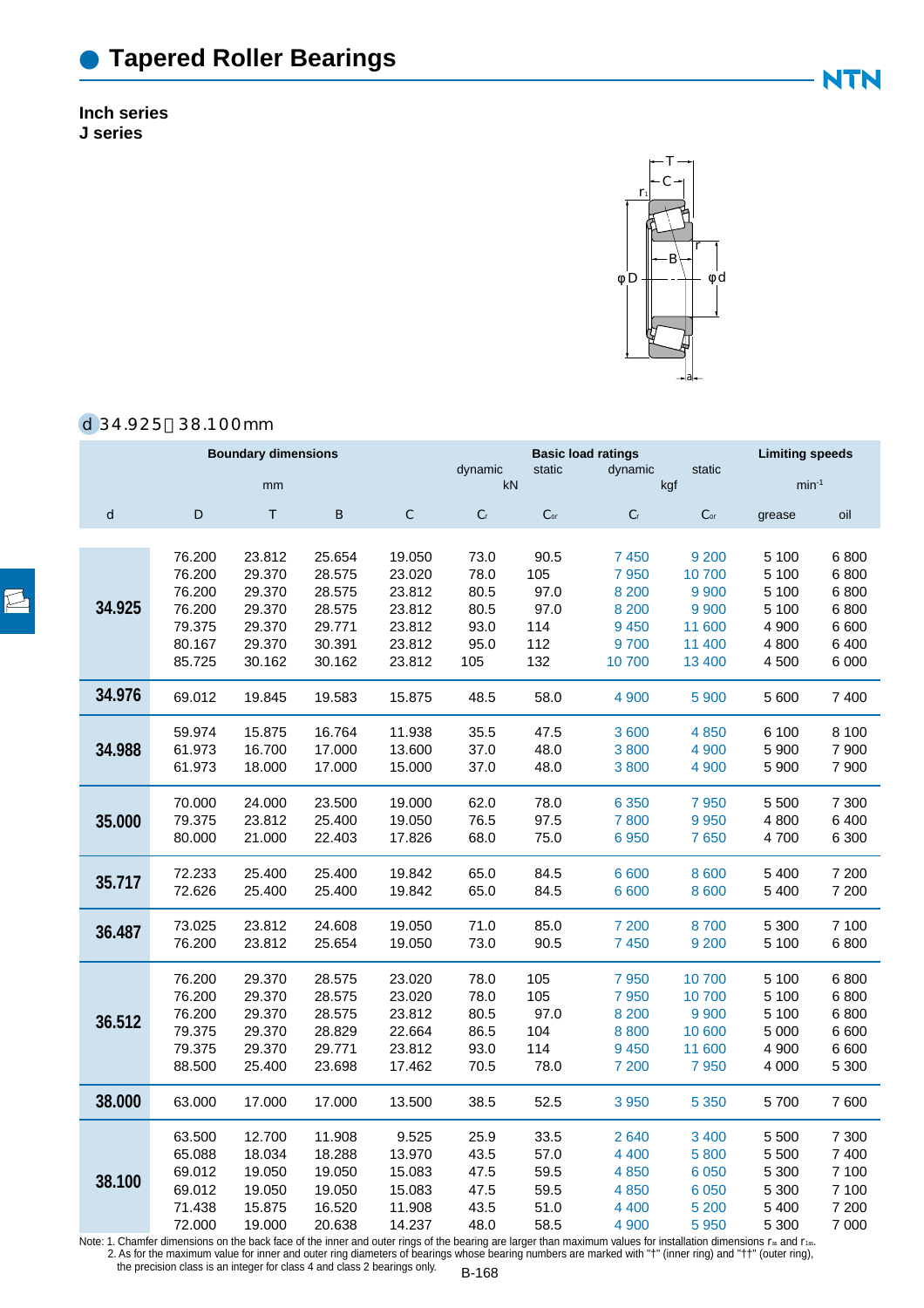

## *d* 34.925~38.100mm

|                  |          | <b>Boundary dimensions</b> |          |          |               |                 | <b>Basic load ratings</b> |                 | <b>Limiting speeds</b> |         |
|------------------|----------|----------------------------|----------|----------|---------------|-----------------|---------------------------|-----------------|------------------------|---------|
|                  |          | mm                         |          |          | dynamic<br>kN | static          | dynamic<br>kgf            | static          | $min-1$                |         |
| $\boldsymbol{d}$ | $\cal D$ | $\cal T$                   | $\cal B$ | $\cal C$ | $C_{\rm r}$   | $C_{\text{or}}$ | $C_{\rm r}$               | $C_{\text{or}}$ | grease                 | oil     |
|                  | 76.200   | 23.812                     | 25.654   | 19.050   | 73.0          | 90.5            | 7 4 5 0                   | 9 2 0 0         | 5 100                  | 6800    |
|                  | 76.200   | 29.370                     | 28.575   | 23.020   | 78.0          | 105             | 7950                      | 10700           | 5 100                  | 6800    |
|                  | 76.200   | 29.370                     | 28.575   | 23.812   | 80.5          | 97.0            | 8 2 0 0                   | 9 9 0 0         | 5 100                  | 6800    |
| 34.925           | 76.200   | 29.370                     | 28.575   | 23.812   | 80.5          | 97.0            | 8 200                     | 9 9 0 0         | 5 100                  | 6800    |
|                  | 79.375   | 29.370                     | 29.771   | 23.812   | 93.0          | 114             | 9 4 5 0                   | 11 600          | 4 900                  | 6 600   |
|                  | 80.167   | 29.370                     | 30.391   | 23.812   | 95.0          | 112             | 9700                      | 11 400          | 4 800                  | 6 400   |
|                  | 85.725   | 30.162                     | 30.162   | 23.812   | 105           | 132             | 10700                     | 13 400          | 4500                   | 6 0 0 0 |
| 34.976           | 69.012   | 19.845                     | 19.583   | 15.875   | 48.5          | 58.0            | 4 900                     | 5 900           | 5 600                  | 7400    |
|                  | 59.974   | 15.875                     | 16.764   | 11.938   | 35.5          | 47.5            | 3600                      | 4 8 5 0         | 6 100                  | 8 100   |
| 34.988           | 61.973   | 16.700                     | 17.000   | 13.600   | 37.0          | 48.0            | 3800                      | 4 900           | 5 900                  | 7 900   |
|                  | 61.973   | 18.000                     | 17.000   | 15.000   | 37.0          | 48.0            | 3800                      | 4 900           | 5 900                  | 7 900   |
|                  | 70.000   | 24.000                     | 23.500   | 19.000   | 62.0          | 78.0            | 6 3 5 0                   | 7950            | 5 500                  | 7 300   |
| 35.000           | 79.375   | 23.812                     | 25.400   | 19.050   | 76.5          | 97.5            | 7800                      | 9950            | 4800                   | 6 4 0 0 |
|                  | 80.000   | 21.000                     | 22.403   | 17.826   | 68.0          | 75.0            | 6950                      | 7650            | 4700                   | 6 300   |
| 35.717           | 72.233   | 25.400                     | 25.400   | 19.842   | 65.0          | 84.5            | 6 600                     | 8 600           | 5 4 0 0                | 7 200   |
|                  | 72.626   | 25.400                     | 25.400   | 19.842   | 65.0          | 84.5            | 6 600                     | 8 600           | 5 400                  | 7 200   |
| 36.487           | 73.025   | 23.812                     | 24.608   | 19.050   | 71.0          | 85.0            | 7 200                     | 8700            | 5 300                  | 7 100   |
|                  | 76.200   | 23.812                     | 25.654   | 19.050   | 73.0          | 90.5            | 7 4 5 0                   | 9 2 0 0         | 5 100                  | 6800    |
|                  | 76.200   | 29.370                     | 28.575   | 23.020   | 78.0          | 105             | 7950                      | 10700           | 5 100                  | 6800    |
|                  | 76.200   | 29.370                     | 28.575   | 23.020   | 78.0          | 105             | 7950                      | 10700           | 5 100                  | 6800    |
| 36.512           | 76.200   | 29.370                     | 28.575   | 23.812   | 80.5          | 97.0            | 8 200                     | 9 9 0 0         | 5 100                  | 6800    |
|                  | 79.375   | 29.370                     | 28.829   | 22.664   | 86.5          | 104             | 8800                      | 10 600          | 5 0 0 0                | 6 600   |
|                  | 79.375   | 29.370                     | 29.771   | 23.812   | 93.0          | 114             | 9 4 5 0                   | 11 600          | 4 900                  | 6 600   |
|                  | 88.500   | 25.400                     | 23.698   | 17.462   | 70.5          | 78.0            | 7 200                     | 7950            | 4 0 0 0                | 5 300   |
| 38.000           | 63.000   | 17.000                     | 17.000   | 13.500   | 38.5          | 52.5            | 3 9 5 0                   | 5 3 5 0         | 5700                   | 7600    |
|                  | 63.500   | 12.700                     | 11.908   | 9.525    | 25.9          | 33.5            | 2640                      | 3 4 0 0         | 5 500                  | 7 300   |
|                  | 65.088   | 18.034                     | 18.288   | 13.970   | 43.5          | 57.0            | 4 4 0 0                   | 5 800           | 5 500                  | 7 400   |
| 38.100           | 69.012   | 19.050                     | 19.050   | 15.083   | 47.5          | 59.5            | 4850                      | 6 0 5 0         | 5 300                  | 7 100   |
|                  | 69.012   | 19.050                     | 19.050   | 15.083   | 47.5          | 59.5            | 4850                      | 6 0 5 0         | 5 300                  | 7 100   |
|                  | 71.438   | 15.875                     | 16.520   | 11.908   | 43.5          | 51.0            | 4 4 0 0                   | 5 200           | 5 4 0 0                | 7 200   |
|                  | 72.000   | 19.000                     | 20.638   | 14.237   | 48.0          | 58.5            | 4 900                     | 5 9 5 0         | 5 300                  | 7 000   |

B-168 Mote: 1. Chamfer dimensions on the back face of the inner and outer rings of the bearing are larger than maximum values for installation dimensions *r*.sand *r*.s.<br>,(2. As for the maximum value for inner and outer ring di the precision class is an integer for class 4 and class 2 bearings only.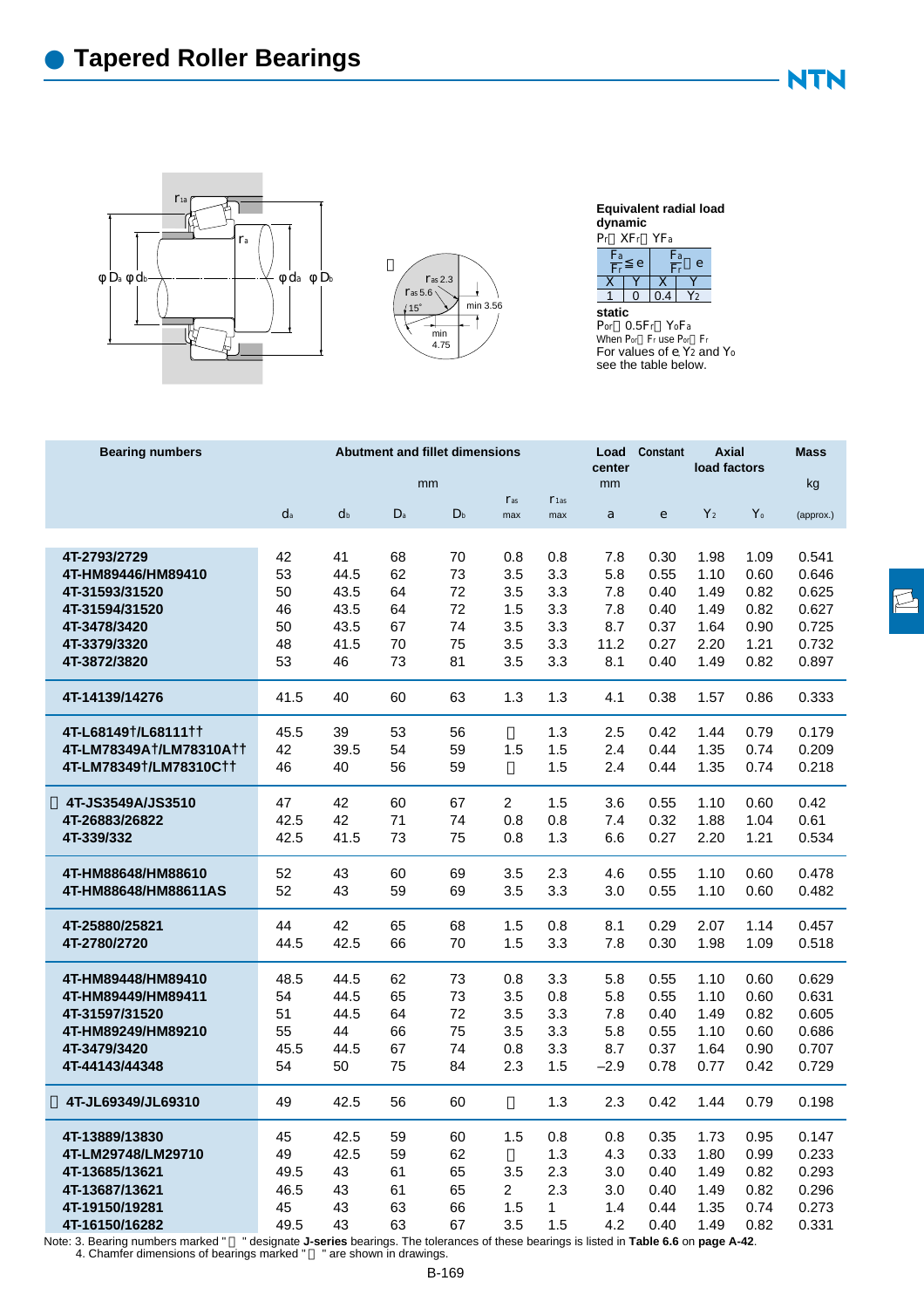



*F*a  $e^{\frac{F_a}{F_a}}$ *<sup>F</sup>*<sup>r</sup> *<sup>e</sup>* **Equivalent radial load dynamic** *P*r *XF*r *YF*a

 $\overline{1}$  0  $\frac{\overline{F_1}}{X}$  $X$  | *Y* | *X* | *Y* **static** *P*or 0.5*F*r *Y*o*F*a When *P*or *F*<sup>r</sup> use *P*or *F*<sup>r</sup> For values of *e*, *Y*2 and *Y*o see the table below.

| <b>Bearing numbers</b>                                                                                                                                                                                       |                                    |             |             | <b>Abutment and fillet dimensions</b> |                     |                      | Load<br>center   | <b>Constant</b>  | <b>Axial</b><br>load factors |             | <b>Mass</b> |
|--------------------------------------------------------------------------------------------------------------------------------------------------------------------------------------------------------------|------------------------------------|-------------|-------------|---------------------------------------|---------------------|----------------------|------------------|------------------|------------------------------|-------------|-------------|
|                                                                                                                                                                                                              |                                    |             |             | mm                                    |                     |                      | mm               |                  |                              |             | kg          |
|                                                                                                                                                                                                              | $d_{\scriptscriptstyle{\text{a}}}$ | $d_{\rm b}$ | $D_{\rm a}$ | $D_{\rm b}$                           | $r_{\rm as}$<br>max | $r_{\rm las}$<br>max | $\boldsymbol{a}$ | $\boldsymbol{e}$ | $Y_2$                        | $Y_{\circ}$ | (approx.)   |
|                                                                                                                                                                                                              |                                    |             |             |                                       |                     |                      |                  |                  |                              |             |             |
| 4T-2793/2729                                                                                                                                                                                                 | 42                                 | 41          | 68          | 70                                    | 0.8                 | 0.8                  | 7.8              | 0.30             | 1.98                         | 1.09        | 0.541       |
| 4T-HM89446/HM89410                                                                                                                                                                                           | 53                                 | 44.5        | 62          | 73                                    | 3.5                 | 3.3                  | 5.8              | 0.55             | 1.10                         | 0.60        | 0.646       |
| 4T-31593/31520                                                                                                                                                                                               | 50                                 | 43.5        | 64          | 72                                    | 3.5                 | 3.3                  | 7.8              | 0.40             | 1.49                         | 0.82        | 0.625       |
| 4T-31594/31520                                                                                                                                                                                               | 46                                 | 43.5        | 64          | 72                                    | 1.5                 | 3.3                  | 7.8              | 0.40             | 1.49                         | 0.82        | 0.627       |
| 4T-3478/3420                                                                                                                                                                                                 | 50                                 | 43.5        | 67          | 74                                    | 3.5                 | 3.3                  | 8.7              | 0.37             | 1.64                         | 0.90        | 0.725       |
| 4T-3379/3320                                                                                                                                                                                                 | 48                                 | 41.5        | 70          | 75                                    | 3.5                 | 3.3                  | 11.2             | 0.27             | 2.20                         | 1.21        | 0.732       |
| 4T-3872/3820                                                                                                                                                                                                 | 53                                 | 46          | 73          | 81                                    | 3.5                 | 3.3                  | 8.1              | 0.40             | 1.49                         | 0.82        | 0.897       |
| 4T-14139/14276                                                                                                                                                                                               | 41.5                               | 40          | 60          | 63                                    | 1.3                 | 1.3                  | 4.1              | 0.38             | 1.57                         | 0.86        | 0.333       |
| 4T-L68149†/L68111††                                                                                                                                                                                          | 45.5                               | 39          | 53          | 56                                    |                     | 1.3                  | 2.5              | 0.42             | 1.44                         | 0.79        | 0.179       |
| 4T-LM78349At/LM78310Att                                                                                                                                                                                      | 42                                 | 39.5        | 54          | 59                                    | 1.5                 | 1.5                  | 2.4              | 0.44             | 1.35                         | 0.74        | 0.209       |
| 4T-LM78349†/LM78310C††                                                                                                                                                                                       | 46                                 | 40          | 56          | 59                                    |                     | 1.5                  | 2.4              | 0.44             | 1.35                         | 0.74        | 0.218       |
| 4T-JS3549A/JS3510                                                                                                                                                                                            | 47                                 | 42          | 60          | 67                                    | $\overline{2}$      | 1.5                  | 3.6              | 0.55             | 1.10                         | 0.60        | 0.42        |
| 4T-26883/26822                                                                                                                                                                                               | 42.5                               | 42          | 71          | 74                                    | 0.8                 | 0.8                  | 7.4              | 0.32             | 1.88                         | 1.04        | 0.61        |
| 4T-339/332                                                                                                                                                                                                   | 42.5                               | 41.5        | 73          | 75                                    | 0.8                 | 1.3                  | 6.6              | 0.27             | 2.20                         | 1.21        | 0.534       |
| 4T-HM88648/HM88610                                                                                                                                                                                           | 52                                 | 43          | 60          | 69                                    | 3.5                 | 2.3                  | 4.6              | 0.55             | 1.10                         | 0.60        | 0.478       |
| 4T-HM88648/HM88611AS                                                                                                                                                                                         | 52                                 | 43          | 59          | 69                                    | 3.5                 | 3.3                  | 3.0              | 0.55             | 1.10                         | 0.60        | 0.482       |
| 4T-25880/25821                                                                                                                                                                                               | 44                                 | 42          | 65          | 68                                    | 1.5                 | 0.8                  | 8.1              | 0.29             | 2.07                         | 1.14        | 0.457       |
| 4T-2780/2720                                                                                                                                                                                                 | 44.5                               | 42.5        | 66          | 70                                    | 1.5                 | 3.3                  | 7.8              | 0.30             | 1.98                         | 1.09        | 0.518       |
| 4T-HM89448/HM89410                                                                                                                                                                                           | 48.5                               | 44.5        | 62          | 73                                    | 0.8                 | 3.3                  | 5.8              | 0.55             | 1.10                         | 0.60        | 0.629       |
| 4T-HM89449/HM89411                                                                                                                                                                                           | 54                                 | 44.5        | 65          | 73                                    | 3.5                 | 0.8                  | 5.8              | 0.55             | 1.10                         | 0.60        | 0.631       |
| 4T-31597/31520                                                                                                                                                                                               | 51                                 | 44.5        | 64          | 72                                    | 3.5                 | 3.3                  | 7.8              | 0.40             | 1.49                         | 0.82        | 0.605       |
| 4T-HM89249/HM89210                                                                                                                                                                                           | 55                                 | 44          | 66          | 75                                    | 3.5                 | 3.3                  | 5.8              | 0.55             | 1.10                         | 0.60        | 0.686       |
| 4T-3479/3420                                                                                                                                                                                                 | 45.5                               | 44.5        | 67          | 74                                    | 0.8                 | 3.3                  | 8.7              | 0.37             | 1.64                         | 0.90        | 0.707       |
| 4T-44143/44348                                                                                                                                                                                               | 54                                 | 50          | 75          | 84                                    | 2.3                 | 1.5                  | $-2.9$           | 0.78             | 0.77                         | 0.42        | 0.729       |
| 4T-JL69349/JL69310                                                                                                                                                                                           | 49                                 | 42.5        | 56          | 60                                    |                     | 1.3                  | 2.3              | 0.42             | 1.44                         | 0.79        | 0.198       |
| 4T-13889/13830                                                                                                                                                                                               | 45                                 | 42.5        | 59          | 60                                    | 1.5                 | 0.8                  | 0.8              | 0.35             | 1.73                         | 0.95        | 0.147       |
| 4T-LM29748/LM29710                                                                                                                                                                                           | 49                                 | 42.5        | 59          | 62                                    |                     | 1.3                  | 4.3              | 0.33             | 1.80                         | 0.99        | 0.233       |
| 4T-13685/13621                                                                                                                                                                                               | 49.5                               | 43          | 61          | 65                                    | 3.5                 | 2.3                  | 3.0              | 0.40             | 1.49                         | 0.82        | 0.293       |
| 4T-13687/13621                                                                                                                                                                                               | 46.5                               | 43          | 61          | 65                                    | $\mathbf{2}^-$      | 2.3                  | 3.0              | 0.40             | 1.49                         | 0.82        | 0.296       |
| 4T-19150/19281                                                                                                                                                                                               | 45                                 | 43          | 63          | 66                                    | 1.5                 | 1                    | 1.4              | 0.44             | 1.35                         | 0.74        | 0.273       |
| 4T-16150/16282                                                                                                                                                                                               | 49.5                               | 43          | 63          | 67                                    | 3.5                 | 1.5                  | 4.2              | 0.40             | 1.49                         | 0.82        | 0.331       |
| Note: 3. Bearing numbers marked " "designate J-series bearings. The tolerances of these bearings is listed in Table 6.6 on page A-42.<br>4. Chamfer dimensions of bearings marked " " are shown in drawings. |                                    |             |             |                                       |                     |                      |                  |                  |                              |             |             |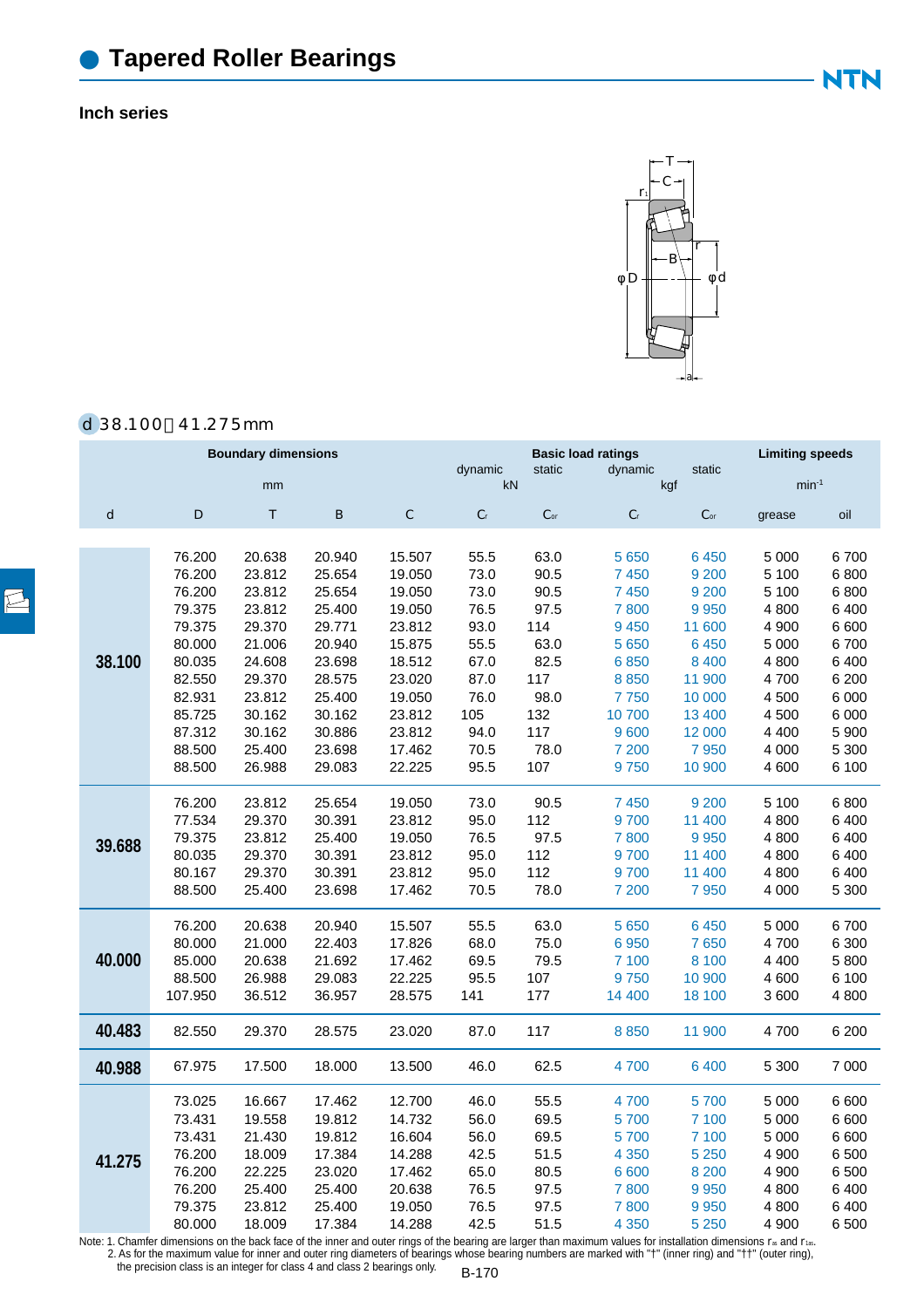# **Inch series**



# *d* 38.100~41.275mm

|                  |          | <b>Boundary dimensions</b> |                  |               |               |                 | <b>Basic load ratings</b> |                             | <b>Limiting speeds</b> |         |
|------------------|----------|----------------------------|------------------|---------------|---------------|-----------------|---------------------------|-----------------------------|------------------------|---------|
|                  |          | mm                         |                  |               | dynamic<br>kN | static          | dynamic<br>kgf            | static                      | $min-1$                |         |
| $\boldsymbol{d}$ | $\cal D$ | $\cal T$                   | $\boldsymbol{B}$ | $\mathcal{C}$ | $C_{\rm r}$   | $C_{\text{or}}$ | $C_{\rm r}$               | $C_{\hbox{\scriptsize or}}$ | grease                 | oil     |
|                  | 76.200   | 20.638                     | 20.940           | 15.507        | 55.5          | 63.0            | 5 6 5 0                   | 6 4 5 0                     | 5 0 0 0                | 6700    |
|                  | 76.200   | 23.812                     | 25.654           | 19.050        | 73.0          | 90.5            | 7 4 5 0                   | 9 200                       | 5 100                  | 6800    |
|                  | 76.200   | 23.812                     | 25.654           | 19.050        | 73.0          | 90.5            | 7 4 5 0                   | 9 200                       | 5 100                  | 6800    |
|                  | 79.375   | 23.812                     | 25.400           | 19.050        | 76.5          | 97.5            | 7800                      | 9950                        | 4 800                  | 6 4 0 0 |
|                  | 79.375   | 29.370                     | 29.771           | 23.812        | 93.0          | 114             | 9 4 5 0                   | 11 600                      | 4 900                  | 6 600   |
|                  | 80.000   | 21.006                     | 20.940           | 15.875        | 55.5          | 63.0            | 5 6 5 0                   | 6 4 5 0                     | 5 0 0 0                | 6700    |
| 38.100           | 80.035   | 24.608                     | 23.698           | 18.512        | 67.0          | 82.5            | 6850                      | 8 4 0 0                     | 4 800                  | 6 4 0 0 |
|                  | 82.550   | 29.370                     | 28.575           | 23.020        | 87.0          | 117             | 8850                      | 11 900                      | 4700                   | 6 200   |
|                  | 82.931   | 23.812                     | 25.400           | 19.050        | 76.0          | 98.0            | 7750                      | 10 000                      | 4 500                  | 6 0 0 0 |
|                  | 85.725   | 30.162                     | 30.162           | 23.812        | 105           | 132             | 10700                     | 13 400                      | 4 500                  | 6 0 0 0 |
|                  | 87.312   | 30.162                     | 30.886           | 23.812        | 94.0          | 117             | 9600                      | 12 000                      | 4 4 0 0                | 5 900   |
|                  | 88.500   | 25.400                     | 23.698           | 17.462        | 70.5          | 78.0            | 7 200                     | 7950                        | 4 0 0 0                | 5 300   |
|                  | 88.500   | 26.988                     | 29.083           | 22.225        | 95.5          | 107             | 9750                      | 10 900                      | 4 600                  | 6 100   |
|                  | 76.200   | 23.812                     | 25.654           | 19.050        | 73.0          | 90.5            | 7 4 5 0                   | 9 200                       | 5 100                  | 6800    |
|                  | 77.534   | 29.370                     | 30.391           | 23.812        | 95.0          | 112             | 9700                      | 11 400                      | 4 800                  | 6 4 0 0 |
| 39.688           | 79.375   | 23.812                     | 25.400           | 19.050        | 76.5          | 97.5            | 7800                      | 9950                        | 4 800                  | 6 4 0 0 |
|                  | 80.035   | 29.370                     | 30.391           | 23.812        | 95.0          | 112             | 9700                      | 11 400                      | 4 800                  | 6 4 0 0 |
|                  | 80.167   | 29.370                     | 30.391           | 23.812        | 95.0          | 112             | 9700                      | 11 400                      | 4 800                  | 6 4 0 0 |
|                  | 88.500   | 25.400                     | 23.698           | 17.462        | 70.5          | 78.0            | 7 200                     | 7950                        | 4 0 0 0                | 5 300   |
|                  | 76.200   | 20.638                     | 20.940           | 15.507        | 55.5          | 63.0            | 5 6 5 0                   | 6450                        | 5 0 0 0                | 6700    |
|                  | 80.000   | 21.000                     | 22.403           | 17.826        | 68.0          | 75.0            | 6950                      | 7650                        | 4700                   | 6 300   |
| 40.000           | 85.000   | 20.638                     | 21.692           | 17.462        | 69.5          | 79.5            | 7 100                     | 8 100                       | 4 4 0 0                | 5 800   |
|                  | 88.500   | 26.988                     | 29.083           | 22.225        | 95.5          | 107             | 9750                      | 10 900                      | 4 600                  | 6 100   |
|                  | 107.950  | 36.512                     | 36.957           | 28.575        | 141           | 177             | 14 400                    | 18 100                      | 3600                   | 4 800   |
| 40.483           | 82.550   | 29.370                     | 28.575           | 23.020        | 87.0          | 117             | 8850                      | 11 900                      | 4700                   | 6 200   |
| 40.988           | 67.975   | 17.500                     | 18.000           | 13.500        | 46.0          | 62.5            | 4700                      | 6 4 0 0                     | 5 300                  | 7 0 0 0 |
|                  | 73.025   | 16.667                     | 17.462           | 12.700        | 46.0          | 55.5            | 4700                      | 5700                        | 5 0 0 0                | 6 600   |
|                  | 73.431   | 19.558                     | 19.812           | 14.732        | 56.0          | 69.5            | 5700                      | 7 100                       | 5 0 0 0                | 6 600   |
|                  | 73.431   | 21.430                     | 19.812           | 16.604        | 56.0          | 69.5            | 5700                      | 7 100                       | 5 0 0 0                | 6 600   |
| 41.275           | 76.200   | 18.009                     | 17.384           | 14.288        | 42.5          | 51.5            | 4 3 5 0                   | 5 2 5 0                     | 4 900                  | 6 500   |
|                  | 76.200   | 22.225                     | 23.020           | 17.462        | 65.0          | 80.5            | 6 600                     | 8 2 0 0                     | 4 900                  | 6 500   |
|                  | 76.200   | 25.400                     | 25.400           | 20.638        | 76.5          | 97.5            | 7800                      | 9950                        | 4 800                  | 6 4 0 0 |
|                  | 79.375   | 23.812                     | 25.400           | 19.050        | 76.5          | 97.5            | 7800                      | 9950                        | 4800                   | 6 400   |
|                  | 80.000   | 18.009                     | 17.384           | 14.288        | 42.5          | 51.5            | 4 3 5 0                   | 5 2 5 0                     | 4 900                  | 6 500   |

B-170 Mote: 1. Chamfer dimensions on the back face of the inner and outer rings of the bearing are larger than maximum values for installation dimensions *r*.sand *r*.s.<br>,(2. As for the maximum value for inner and outer ring di the precision class is an integer for class 4 and class 2 bearings only.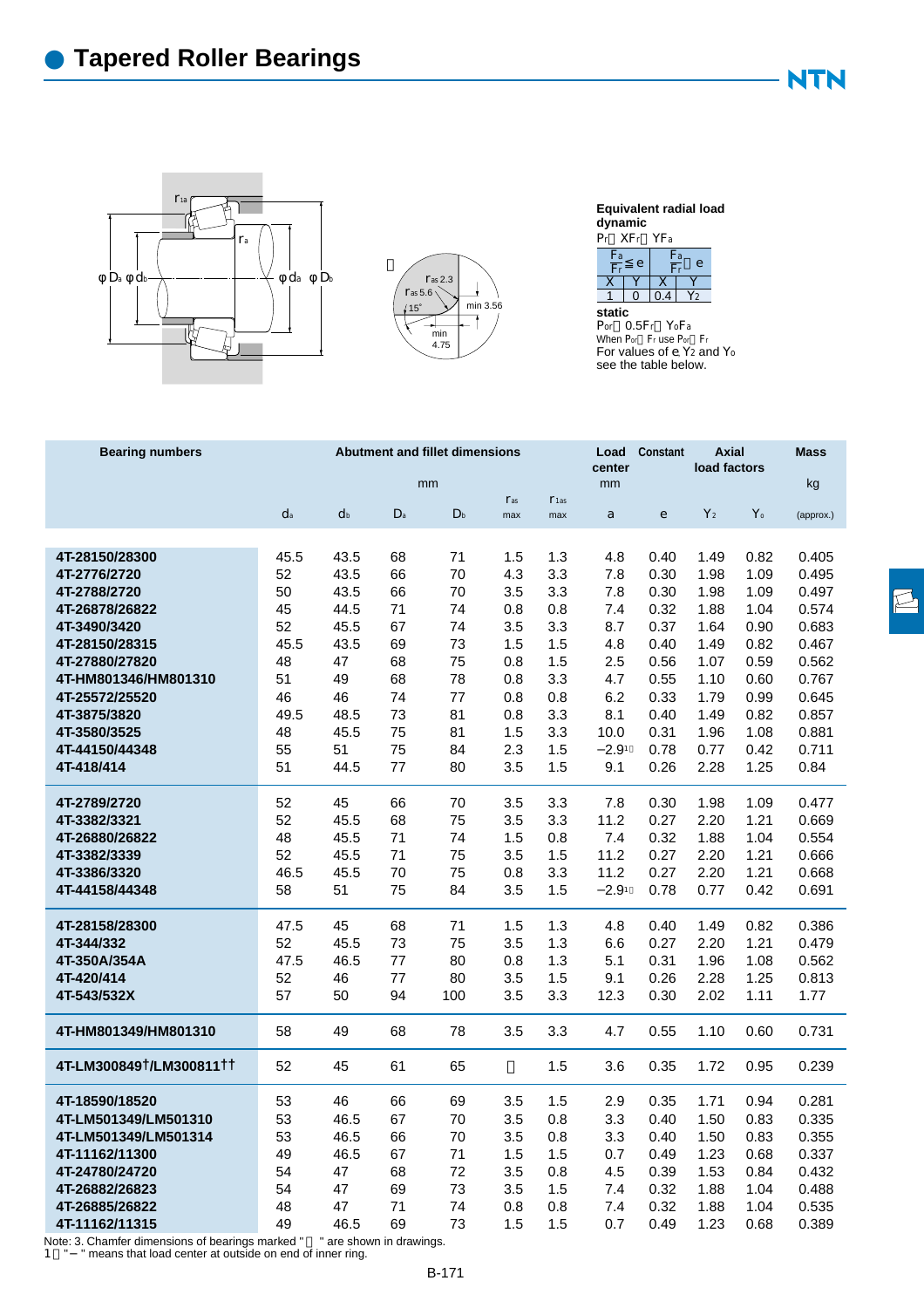



**Equivalent radial load dynamic** *P*r *XF*r *YF*a



| <b>Bearing numbers</b>  |                                      |             |             | <b>Abutment and fillet dimensions</b> |                          |                     | Load<br>center   | <b>Constant</b>  | <b>Axial</b><br>load factors |             | <b>Mass</b> |
|-------------------------|--------------------------------------|-------------|-------------|---------------------------------------|--------------------------|---------------------|------------------|------------------|------------------------------|-------------|-------------|
|                         |                                      |             |             | mm                                    |                          |                     | mm               |                  |                              |             | kg          |
|                         |                                      |             |             |                                       | $\mathcal{T}\mathrm{as}$ | $T$ <sup>1</sup> as |                  |                  |                              |             |             |
|                         | $d_{\scriptscriptstyle{\mathrm{a}}}$ | $d_{\rm b}$ | $D_{\rm a}$ | $D_{\rm b}$                           | max                      | max                 | $\boldsymbol{a}$ | $\boldsymbol{e}$ | $Y_2$                        | $Y_{\circ}$ | (approx.)   |
| 4T-28150/28300          | 45.5                                 | 43.5        |             | 71                                    | 1.5                      |                     |                  | 0.40             | 1.49                         | 0.82        | 0.405       |
| 4T-2776/2720            | 52                                   | 43.5        | 68<br>66    | 70                                    | 4.3                      | 1.3<br>3.3          | 4.8<br>7.8       | 0.30             | 1.98                         | 1.09        | 0.495       |
| 4T-2788/2720            | 50                                   | 43.5        | 66          | 70                                    | 3.5                      | 3.3                 | 7.8              | 0.30             | 1.98                         | 1.09        | 0.497       |
| 4T-26878/26822          | 45                                   | 44.5        | 71          | 74                                    | 0.8                      | 0.8                 | 7.4              | 0.32             | 1.88                         | 1.04        | 0.574       |
| 4T-3490/3420            | 52                                   | 45.5        | 67          | 74                                    | 3.5                      | 3.3                 | 8.7              | 0.37             | 1.64                         | 0.90        | 0.683       |
| 4T-28150/28315          | 45.5                                 | 43.5        | 69          | 73                                    | 1.5                      | 1.5                 | 4.8              | 0.40             | 1.49                         | 0.82        | 0.467       |
| 4T-27880/27820          | 48                                   | 47          | 68          | 75                                    | 0.8                      | 1.5                 | 2.5              | 0.56             | 1.07                         | 0.59        | 0.562       |
| 4T-HM801346/HM801310    | 51                                   | 49          | 68          | 78                                    | 0.8                      | 3.3                 | 4.7              | 0.55             | 1.10                         | 0.60        | 0.767       |
| 4T-25572/25520          | 46                                   | 46          | 74          | 77                                    | 0.8                      | 0.8                 | 6.2              | 0.33             | 1.79                         | 0.99        | 0.645       |
| 4T-3875/3820            | 49.5                                 | 48.5        | 73          | 81                                    | 0.8                      | 3.3                 | 8.1              | 0.40             | 1.49                         | 0.82        | 0.857       |
| 4T-3580/3525            | 48                                   | 45.5        | 75          | 81                                    | 1.5                      | 3.3                 | 10.0             | 0.31             | 1.96                         | 1.08        | 0.881       |
| 4T-44150/44348          | 55                                   | 51          | 75          | 84                                    | 2.3                      | 1.5                 | $-2.91$          | 0.78             | 0.77                         | 0.42        | 0.711       |
| 4T-418/414              | 51                                   | 44.5        | 77          | 80                                    | 3.5                      | 1.5                 | 9.1              | 0.26             | 2.28                         | 1.25        | 0.84        |
| 4T-2789/2720            | 52                                   | 45          | 66          | 70                                    | 3.5                      | 3.3                 | 7.8              | 0.30             | 1.98                         | 1.09        | 0.477       |
| 4T-3382/3321            | 52                                   | 45.5        | 68          | 75                                    | 3.5                      | 3.3                 | 11.2             | 0.27             | 2.20                         | 1.21        | 0.669       |
| 4T-26880/26822          | 48                                   | 45.5        | 71          | 74                                    | 1.5                      | 0.8                 | 7.4              | 0.32             | 1.88                         | 1.04        | 0.554       |
| 4T-3382/3339            | 52                                   | 45.5        | 71          | 75                                    | 3.5                      | 1.5                 | 11.2             | 0.27             | 2.20                         | 1.21        | 0.666       |
| 4T-3386/3320            | 46.5                                 | 45.5        | 70          | 75                                    | 0.8                      | 3.3                 | 11.2             | 0.27             | 2.20                         | 1.21        | 0.668       |
| 4T-44158/44348          | 58                                   | 51          | 75          | 84                                    | 3.5                      | 1.5                 | $-2.91$          | 0.78             | 0.77                         | 0.42        | 0.691       |
| 4T-28158/28300          | 47.5                                 | 45          | 68          | 71                                    | 1.5                      | 1.3                 | 4.8              | 0.40             | 1.49                         | 0.82        | 0.386       |
| 4T-344/332              | 52                                   | 45.5        | 73          | 75                                    | 3.5                      | 1.3                 | 6.6              | 0.27             | 2.20                         | 1.21        | 0.479       |
| 4T-350A/354A            | 47.5                                 | 46.5        | 77          | 80                                    | 0.8                      | 1.3                 | 5.1              | 0.31             | 1.96                         | 1.08        | 0.562       |
| 4T-420/414              | 52                                   | 46          | 77          | 80                                    | 3.5                      | 1.5                 | 9.1              | 0.26             | 2.28                         | 1.25        | 0.813       |
| 4T-543/532X             | 57                                   | 50          | 94          | 100                                   | 3.5                      | 3.3                 | 12.3             | 0.30             | 2.02                         | 1.11        | 1.77        |
| 4T-HM801349/HM801310    | 58                                   | 49          | 68          | 78                                    | 3.5                      | 3.3                 | 4.7              | 0.55             | 1.10                         | 0.60        | 0.731       |
| 4T-LM300849†/LM300811†† | 52                                   | 45          | 61          | 65                                    |                          | 1.5                 | 3.6              | 0.35             | 1.72                         | 0.95        | 0.239       |
| 4T-18590/18520          | 53                                   | 46          | 66          | 69                                    | 3.5                      | 1.5                 | 2.9              | 0.35             | 1.71                         | 0.94        | 0.281       |
| 4T-LM501349/LM501310    | 53                                   | 46.5        | 67          | 70                                    | 3.5                      | 0.8                 | 3.3              | 0.40             | 1.50                         | 0.83        | 0.335       |
| 4T-LM501349/LM501314    | 53                                   | 46.5        | 66          | 70                                    | 3.5                      | 0.8                 | 3.3              | 0.40             | 1.50                         | 0.83        | 0.355       |
| 4T-11162/11300          | 49                                   | 46.5        | 67          | 71                                    | 1.5                      | 1.5                 | 0.7              | 0.49             | 1.23                         | 0.68        | 0.337       |
| 4T-24780/24720          | 54                                   | 47          | 68          | 72                                    | 3.5                      | 0.8                 | 4.5              | 0.39             | 1.53                         | 0.84        | 0.432       |
| 4T-26882/26823          | 54                                   | 47          | 69          | 73                                    | 3.5                      | 1.5                 | 7.4              | 0.32             | 1.88                         | 1.04        | 0.488       |
| 4T-26885/26822          | 48                                   | 47          | 71          | 74                                    | 0.8                      | 0.8                 | 7.4              | 0.32             | 1.88                         | 1.04        | 0.535       |
| 4T-11162/11315          | 49                                   | 46.5        | 69          | 73                                    | 1.5                      | 1.5                 | 0.7              | 0.49             | 1.23                         | 0.68        | 0.389       |

Note: 3. Chamfer dimensions of bearings marked " " are shown in drawings.<br>1 " " means that load center at outside on end of inner ring.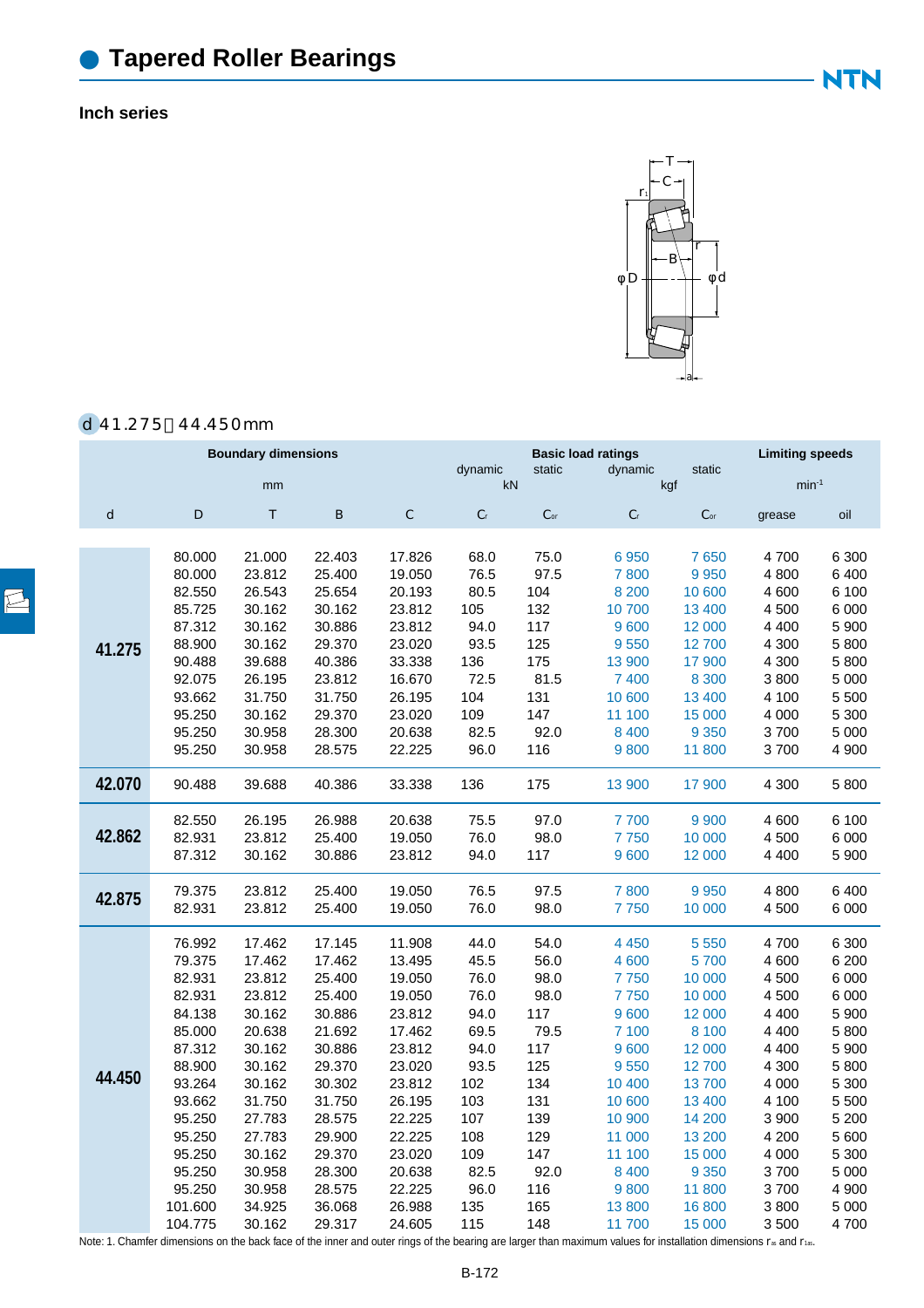# **Inch series**



**NTN** 

# *d* 41.275~44.450mm

|                  |                  | <b>Boundary dimensions</b> |                  |               |               |                             | <b>Basic load ratings</b> |                 | <b>Limiting speeds</b> |         |
|------------------|------------------|----------------------------|------------------|---------------|---------------|-----------------------------|---------------------------|-----------------|------------------------|---------|
|                  |                  | mm                         |                  |               | dynamic<br>kN | static                      | dynamic<br>kgf            | static          | $min-1$                |         |
| $\boldsymbol{d}$ | $\boldsymbol{D}$ | $\cal T$                   | $\boldsymbol{B}$ | $\mathcal{C}$ | $C_{\rm r}$   | $C_{\hbox{\scriptsize or}}$ | $C_{\rm r}$               | $C_{\text{or}}$ | grease                 | oil     |
|                  | 80.000           | 21.000                     | 22.403           | 17.826        | 68.0          | 75.0                        | 6950                      | 7650            | 4700                   | 6 300   |
|                  | 80.000           | 23.812                     | 25.400           | 19.050        | 76.5          | 97.5                        | 7800                      | 9950            | 4 800                  | 6 4 0 0 |
|                  | 82.550           | 26.543                     | 25.654           | 20.193        | 80.5          | 104                         | 8 200                     | 10 600          | 4 600                  | 6 100   |
|                  | 85.725           | 30.162                     | 30.162           | 23.812        | 105           | 132                         | 10700                     | 13 400          | 4 500                  | 6 0 0 0 |
|                  | 87.312           | 30.162                     | 30.886           | 23.812        | 94.0          | 117                         | 9600                      | 12 000          | 4 4 0 0                | 5 900   |
| 41.275           | 88.900           | 30.162                     | 29.370           | 23.020        | 93.5          | 125                         | 9550                      | 12700           | 4 300                  | 5 800   |
|                  | 90.488           | 39.688                     | 40.386           | 33.338        | 136           | 175                         | 13 900                    | 17 900          | 4 300                  | 5 800   |
|                  | 92.075           | 26.195                     | 23.812           | 16.670        | 72.5          | 81.5                        | 7 400                     | 8 3 0 0         | 3800                   | 5 0 0 0 |
|                  | 93.662           | 31.750                     | 31.750           | 26.195        | 104           | 131                         | 10 600                    | 13 400          | 4 100                  | 5 500   |
|                  | 95.250           | 30.162                     | 29.370           | 23.020        | 109           | 147                         | 11 100                    | 15 000          | 4 0 0 0                | 5 300   |
|                  | 95.250           | 30.958                     | 28.300           | 20.638        | 82.5          | 92.0                        | 8 4 0 0                   | 9 3 5 0         | 3700                   | 5 0 0 0 |
|                  | 95.250           | 30.958                     | 28.575           | 22.225        | 96.0          | 116                         | 9800                      | 11 800          | 3700                   | 4 900   |
| 42.070           | 90.488           | 39.688                     | 40.386           | 33.338        | 136           | 175                         | 13 900                    | 17 900          | 4 300                  | 5 800   |
|                  | 82.550           | 26.195                     | 26.988           | 20.638        | 75.5          | 97.0                        | 7700                      | 9 9 0 0         | 4 600                  | 6 100   |
| 42.862           | 82.931           | 23.812                     | 25.400           | 19.050        | 76.0          | 98.0                        | 7750                      | 10 000          | 4 500                  | 6 0 0 0 |
|                  | 87.312           | 30.162                     | 30.886           | 23.812        | 94.0          | 117                         | 9600                      | 12 000          | 4 4 0 0                | 5 900   |
| 42.875           | 79.375           | 23.812                     | 25.400           | 19.050        | 76.5          | 97.5                        | 7800                      | 9950            | 4 800                  | 6 4 0 0 |
|                  | 82.931           | 23.812                     | 25.400           | 19.050        | 76.0          | 98.0                        | 7750                      | 10 000          | 4 500                  | 6 0 0 0 |
|                  | 76.992           | 17.462                     | 17.145           | 11.908        | 44.0          | 54.0                        | 4 4 5 0                   | 5 5 5 0         | 4700                   | 6 300   |
|                  | 79.375           | 17.462                     | 17.462           | 13.495        | 45.5          | 56.0                        | 4 600                     | 5700            | 4 600                  | 6 200   |
|                  | 82.931           | 23.812                     | 25.400           | 19.050        | 76.0          | 98.0                        | 7750                      | 10 000          | 4 500                  | 6 0 0 0 |
|                  | 82.931           | 23.812                     | 25.400           | 19.050        | 76.0          | 98.0                        | 7750                      | 10 000          | 4 500                  | 6 0 0 0 |
|                  | 84.138           | 30.162                     | 30.886           | 23.812        | 94.0          | 117                         | 9600                      | 12 000          | 4 4 0 0                | 5 900   |
|                  | 85.000           | 20.638                     | 21.692           | 17.462        | 69.5          | 79.5                        | 7 100                     | 8 100           | 4 4 0 0                | 5 800   |
|                  | 87.312           | 30.162                     | 30.886           | 23.812        | 94.0          | 117                         | 9600                      | 12 000          | 4 4 0 0                | 5 900   |
|                  | 88.900           | 30.162                     | 29.370           | 23.020        | 93.5          | 125                         | 9550                      | 12700           | 4 300                  | 5 800   |
| 44.450           | 93.264           | 30.162                     | 30.302           | 23.812        | 102           | 134                         | 10 400                    | 13700           | 4 0 0 0                | 5 300   |
|                  | 93.662           | 31.750                     | 31.750           | 26.195        | 103           | 131                         | 10 600                    | 13 400          | 4 100                  | 5 500   |
|                  | 95.250           | 27.783                     | 28.575           | 22.225        | 107           | 139                         | 10 900                    | 14 200          | 3 900                  | 5 200   |
|                  | 95.250           | 27.783                     | 29.900           | 22.225        | 108           | 129                         | 11 000                    | 13 200          | 4 200                  | 5 600   |
|                  | 95.250           | 30.162                     | 29.370           | 23.020        | 109           | 147                         | 11 100                    | 15 000          | 4 0 0 0                | 5 300   |
|                  | 95.250           | 30.958                     | 28.300           | 20.638        | 82.5          | 92.0                        | 8 4 0 0                   | 9 3 5 0         | 3700                   | 5 0 0 0 |
|                  | 95.250           | 30.958                     | 28.575           | 22.225        | 96.0          | 116                         | 9800                      | 11 800          | 3700                   | 4 900   |
|                  | 101.600          | 34.925                     | 36.068           | 26.988        | 135           | 165                         | 13 800                    | 16 800          | 3800                   | 5 0 0 0 |
|                  | 104.775          | 30.162                     | 29.317           | 24.605        | 115           | 148                         | 11700                     | 15 000          | 3 500                  | 4700    |

Note: 1. Chamfer dimensions on the back face of the inner and outer rings of the bearing are larger than maximum values for installation dimensions  $r_{\text{as}}$  and  $r_{\text{las}}$ .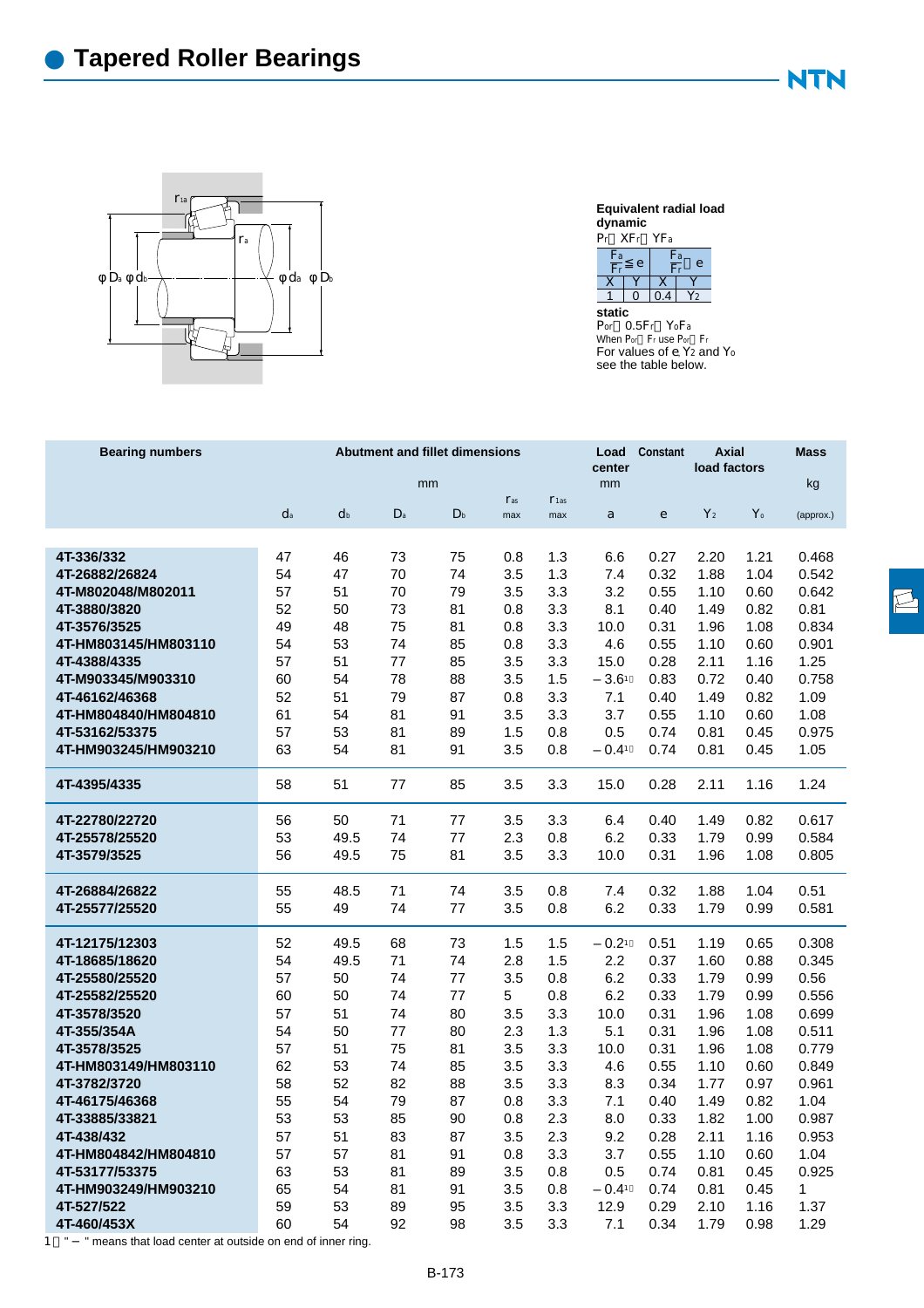

#### **Equivalent radial load dynamic** *P*r *XF*r *YF*a



| <b>Bearing numbers</b> | <b>Abutment and fillet dimensions</b><br>mm |             |             |             |              |         | Load<br>center   | <b>Constant</b>  | <b>Axial</b><br>load factors |             | <b>Mass</b> |
|------------------------|---------------------------------------------|-------------|-------------|-------------|--------------|---------|------------------|------------------|------------------------------|-------------|-------------|
|                        |                                             |             |             |             |              |         | mm               |                  |                              |             | kg          |
|                        |                                             |             |             |             | $r_{\rm as}$ | $T$ las |                  |                  |                              |             |             |
|                        | $d_{\scriptscriptstyle{\text{a}}}$          | $d_{\rm b}$ | $D_{\rm a}$ | $D_{\rm b}$ | max          | max     | $\boldsymbol{a}$ | $\boldsymbol{e}$ | $Y_2$                        | $Y_{\circ}$ | (approx.)   |
|                        |                                             |             |             |             |              |         |                  |                  |                              |             |             |
| 4T-336/332             | 47                                          | 46          | 73          | 75          | 0.8          | 1.3     | 6.6              | 0.27             | 2.20                         | 1.21        | 0.468       |
| 4T-26882/26824         | 54                                          | 47          | 70          | 74          | 3.5          | 1.3     | 7.4              | 0.32             | 1.88                         | 1.04        | 0.542       |
| 4T-M802048/M802011     | 57                                          | 51          | 70          | 79          | 3.5          | 3.3     | 3.2              | 0.55             | 1.10                         | 0.60        | 0.642       |
| 4T-3880/3820           | 52                                          | 50          | 73          | 81          | 0.8          | 3.3     | 8.1              | 0.40             | 1.49                         | 0.82        | 0.81        |
| 4T-3576/3525           | 49                                          | 48          | 75          | 81          | 0.8          | 3.3     | 10.0             | 0.31             | 1.96                         | 1.08        | 0.834       |
| 4T-HM803145/HM803110   | 54                                          | 53          | 74          | 85          | 0.8          | 3.3     | 4.6              | 0.55             | 1.10                         | 0.60        | 0.901       |
| 4T-4388/4335           | 57                                          | 51          | 77          | 85          | 3.5          | 3.3     | 15.0             | 0.28             | 2.11                         | 1.16        | 1.25        |
| 4T-M903345/M903310     | 60                                          | 54          | 78          | 88          | 3.5          | 1.5     | $-3.61$          | 0.83             | 0.72                         | 0.40        | 0.758       |
| 4T-46162/46368         | 52                                          | 51          | 79          | 87          | 0.8          | 3.3     | 7.1              | 0.40             | 1.49                         | 0.82        | 1.09        |
| 4T-HM804840/HM804810   | 61                                          | 54          | 81          | 91          | 3.5          | 3.3     | 3.7              | 0.55             | 1.10                         | 0.60        | 1.08        |
| 4T-53162/53375         | 57                                          | 53          | 81          | 89          | 1.5          | 0.8     | 0.5              | 0.74             | 0.81                         | 0.45        | 0.975       |
| 4T-HM903245/HM903210   | 63                                          | 54          | 81          | 91          | 3.5          | 0.8     | $-0.41$          | 0.74             | 0.81                         | 0.45        | 1.05        |
| 4T-4395/4335           | 58                                          | 51          | 77          | 85          | 3.5          | 3.3     | 15.0             | 0.28             | 2.11                         | 1.16        | 1.24        |
| 4T-22780/22720         | 56                                          | 50          | 71          | 77          | 3.5          | 3.3     | 6.4              | 0.40             | 1.49                         | 0.82        | 0.617       |
| 4T-25578/25520         | 53                                          | 49.5        | 74          | 77          | 2.3          | 0.8     | 6.2              | 0.33             | 1.79                         | 0.99        | 0.584       |
| 4T-3579/3525           | 56                                          | 49.5        | 75          | 81          | 3.5          | 3.3     | 10.0             | 0.31             | 1.96                         | 1.08        | 0.805       |
| 4T-26884/26822         | 55                                          | 48.5        | 71          | 74          | 3.5          | 0.8     | 7.4              | 0.32             | 1.88                         | 1.04        | 0.51        |
| 4T-25577/25520         | 55                                          | 49          | 74          | 77          | 3.5          | 0.8     | 6.2              | 0.33             | 1.79                         | 0.99        | 0.581       |
| 4T-12175/12303         | 52                                          | 49.5        | 68          | 73          | 1.5          | 1.5     | $-0.21$          | 0.51             | 1.19                         | 0.65        | 0.308       |
| 4T-18685/18620         | 54                                          | 49.5        | 71          | 74          | 2.8          | 1.5     | 2.2              | 0.37             | 1.60                         | 0.88        | 0.345       |
| 4T-25580/25520         | 57                                          | 50          | 74          | 77          | 3.5          | 0.8     | 6.2              | 0.33             | 1.79                         | 0.99        | 0.56        |
| 4T-25582/25520         | 60                                          | 50          | 74          | 77          | 5            | 0.8     | 6.2              | 0.33             | 1.79                         | 0.99        | 0.556       |
| 4T-3578/3520           | 57                                          | 51          | 74          | 80          | 3.5          | 3.3     | 10.0             | 0.31             | 1.96                         | 1.08        | 0.699       |
| 4T-355/354A            | 54                                          | 50          | 77          | 80          | 2.3          | 1.3     | 5.1              | 0.31             | 1.96                         | 1.08        | 0.511       |
| 4T-3578/3525           | 57                                          | 51          | 75          | 81          | 3.5          | 3.3     | 10.0             | 0.31             | 1.96                         | 1.08        | 0.779       |
| 4T-HM803149/HM803110   | 62                                          | 53          | 74          | 85          | 3.5          | 3.3     | 4.6              | 0.55             | 1.10                         | 0.60        | 0.849       |
| 4T-3782/3720           | 58                                          | 52          | 82          | 88          | 3.5          | 3.3     | 8.3              | 0.34             | 1.77                         | 0.97        | 0.961       |
| 4T-46175/46368         | 55                                          | 54          | 79          | 87          | 0.8          | 3.3     | 7.1              | 0.40             | 1.49                         | 0.82        | 1.04        |
| 4T-33885/33821         | 53                                          | 53          | 85          | 90          | 0.8          | 2.3     | 8.0              | 0.33             | 1.82                         | 1.00        | 0.987       |
| 4T-438/432             | 57                                          | 51          | 83          | 87          | 3.5          | 2.3     | 9.2              | 0.28             | 2.11                         | 1.16        | 0.953       |
| 4T-HM804842/HM804810   | 57                                          | 57          | 81          | 91          | 0.8          | 3.3     | 3.7              | 0.55             | 1.10                         | 0.60        | 1.04        |
| 4T-53177/53375         | 63                                          | 53          | 81          | 89          | 3.5          | 0.8     | 0.5              | 0.74             | 0.81                         | 0.45        | 0.925       |
| 4T-HM903249/HM903210   | 65                                          | 54          | 81          | 91          | 3.5          | 0.8     | $-0.41$          | 0.74             | 0.81                         | 0.45        | 1           |
| 4T-527/522             | 59                                          | 53          | 89          | 95          | 3.5          | 3.3     | 12.9             | 0.29             | 2.10                         | 1.16        | 1.37        |
| 4T-460/453X            | 60                                          | 54          | 92          | 98          | 3.5          | 3.3     | 7.1              | 0.34             | 1.79                         | 0.98        | 1.29        |

1 " " means that load center at outside on end of inner ring.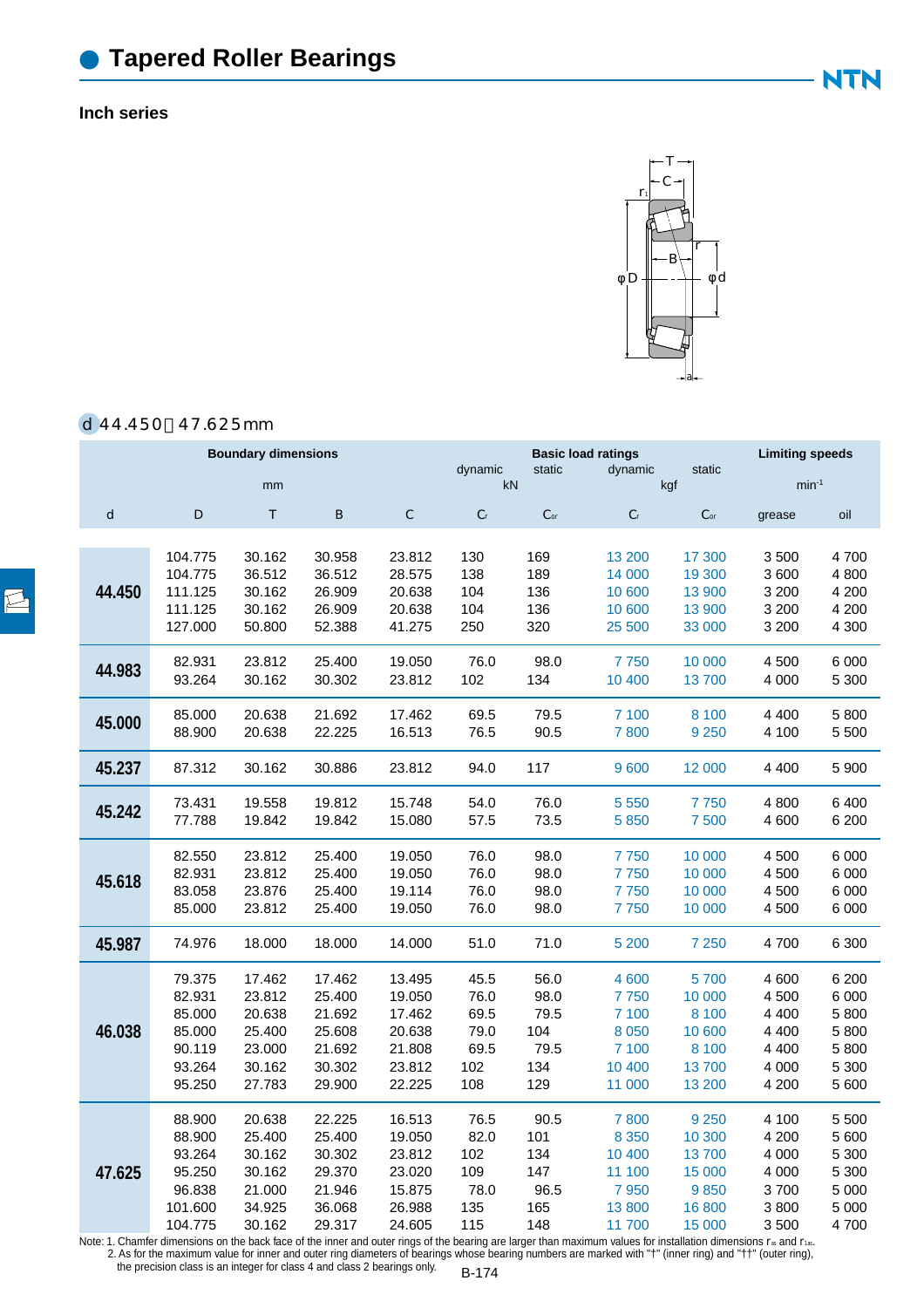# **Inch series**



## *d* 44.450~47.625mm

|                  |          | <b>Boundary dimensions</b> |                  |          |               |                 | <b>Basic load ratings</b> |                 | <b>Limiting speeds</b> |         |
|------------------|----------|----------------------------|------------------|----------|---------------|-----------------|---------------------------|-----------------|------------------------|---------|
|                  |          | mm                         |                  |          | dynamic<br>kN | static          | dynamic<br>kgf            | static          | $min-1$                |         |
| $\boldsymbol{d}$ | $\cal D$ | $\cal T$                   | $\boldsymbol{B}$ | $\cal C$ | $C_{\rm r}$   | $C_{\text{or}}$ | $C_{\rm r}$               | $C_{\text{or}}$ | grease                 | oil     |
| 44.450           | 104.775  | 30.162                     | 30.958           | 23.812   | 130           | 169             | 13 200                    | 17 300          | 3500                   | 4700    |
|                  | 104.775  | 36.512                     | 36.512           | 28.575   | 138           | 189             | 14 000                    | 19 300          | 3600                   | 4800    |
|                  | 111.125  | 30.162                     | 26.909           | 20.638   | 104           | 136             | 10 600                    | 13 900          | 3 200                  | 4 200   |
|                  | 111.125  | 30.162                     | 26.909           | 20.638   | 104           | 136             | 10 600                    | 13 900          | 3 2 0 0                | 4 200   |
|                  | 127.000  | 50.800                     | 52.388           | 41.275   | 250           | 320             | 25 500                    | 33 000          | 3 2 0 0                | 4 300   |
| 44.983           | 82.931   | 23.812                     | 25.400           | 19.050   | 76.0          | 98.0            | 7750                      | 10 000          | 4 500                  | 6 0 0 0 |
|                  | 93.264   | 30.162                     | 30.302           | 23.812   | 102           | 134             | 10 400                    | 13700           | 4 0 0 0                | 5 300   |
| 45.000           | 85.000   | 20.638                     | 21.692           | 17.462   | 69.5          | 79.5            | 7 100                     | 8 100           | 4 4 0 0                | 5800    |
|                  | 88.900   | 20.638                     | 22.225           | 16.513   | 76.5          | 90.5            | 7800                      | 9 2 5 0         | 4 100                  | 5 500   |
| 45.237           | 87.312   | 30.162                     | 30.886           | 23.812   | 94.0          | 117             | 9600                      | 12 000          | 4 4 0 0                | 5 900   |
| 45.242           | 73.431   | 19.558                     | 19.812           | 15.748   | 54.0          | 76.0            | 5 5 5 0                   | 7750            | 4 800                  | 6400    |
|                  | 77.788   | 19.842                     | 19.842           | 15.080   | 57.5          | 73.5            | 5850                      | 7500            | 4 600                  | 6 200   |
| 45.618           | 82.550   | 23.812                     | 25.400           | 19.050   | 76.0          | 98.0            | 7750                      | 10 000          | 4 500                  | 6 0 0 0 |
|                  | 82.931   | 23.812                     | 25.400           | 19.050   | 76.0          | 98.0            | 7750                      | 10 000          | 4500                   | 6 0 0 0 |
|                  | 83.058   | 23.876                     | 25.400           | 19.114   | 76.0          | 98.0            | 7750                      | 10 000          | 4 500                  | 6 0 0 0 |
|                  | 85.000   | 23.812                     | 25.400           | 19.050   | 76.0          | 98.0            | 7750                      | 10 000          | 4 500                  | 6 0 0 0 |
| 45.987           | 74.976   | 18.000                     | 18.000           | 14.000   | 51.0          | 71.0            | 5 200                     | 7 2 5 0         | 4700                   | 6 300   |
| 46.038           | 79.375   | 17.462                     | 17.462           | 13.495   | 45.5          | 56.0            | 4 600                     | 5700            | 4 600                  | 6 200   |
|                  | 82.931   | 23.812                     | 25.400           | 19.050   | 76.0          | 98.0            | 7750                      | 10 000          | 4 500                  | 6 0 0 0 |
|                  | 85.000   | 20.638                     | 21.692           | 17.462   | 69.5          | 79.5            | 7 100                     | 8 1 0 0         | 4 4 0 0                | 5800    |
|                  | 85.000   | 25.400                     | 25.608           | 20.638   | 79.0          | 104             | 8 0 5 0                   | 10 600          | 4 4 0 0                | 5800    |
|                  | 90.119   | 23.000                     | 21.692           | 21.808   | 69.5          | 79.5            | 7 100                     | 8 100           | 4 4 0 0                | 5 800   |
|                  | 93.264   | 30.162                     | 30.302           | 23.812   | 102           | 134             | 10 400                    | 13700           | 4 0 0 0                | 5 300   |
|                  | 95.250   | 27.783                     | 29.900           | 22.225   | 108           | 129             | 11 000                    | 13 200          | 4 200                  | 5 600   |
| 47.625           | 88.900   | 20.638                     | 22.225           | 16.513   | 76.5          | 90.5            | 7800                      | 9 2 5 0         | 4 100                  | 5 500   |
|                  | 88.900   | 25.400                     | 25.400           | 19.050   | 82.0          | 101             | 8 3 5 0                   | 10 300          | 4 200                  | 5 600   |
|                  | 93.264   | 30.162                     | 30.302           | 23.812   | 102           | 134             | 10 400                    | 13700           | 4 0 0 0                | 5 300   |
|                  | 95.250   | 30.162                     | 29.370           | 23.020   | 109           | 147             | 11 100                    | 15 000          | 4 0 0 0                | 5 300   |
|                  | 96.838   | 21.000                     | 21.946           | 15.875   | 78.0          | 96.5            | 7950                      | 9850            | 3700                   | 5 0 0 0 |
|                  | 101.600  | 34.925                     | 36.068           | 26.988   | 135           | 165             | 13 800                    | 16 800          | 3800                   | 5 000   |
|                  | 104.775  | 30.162                     | 29.317           | 24.605   | 115           | 148             | 11700                     | 15 000          | 3500                   | 4700    |

Mote: 1. Chamfer dimensions on the back face of the inner and outer rings of the bearing are larger than maximum values for installation dimensions *r*⊛ and *r*.‱<br>, 2. As for the maximum value for inner and outer ring dia the precision class is an integer for class 4 and class 2 bearings only.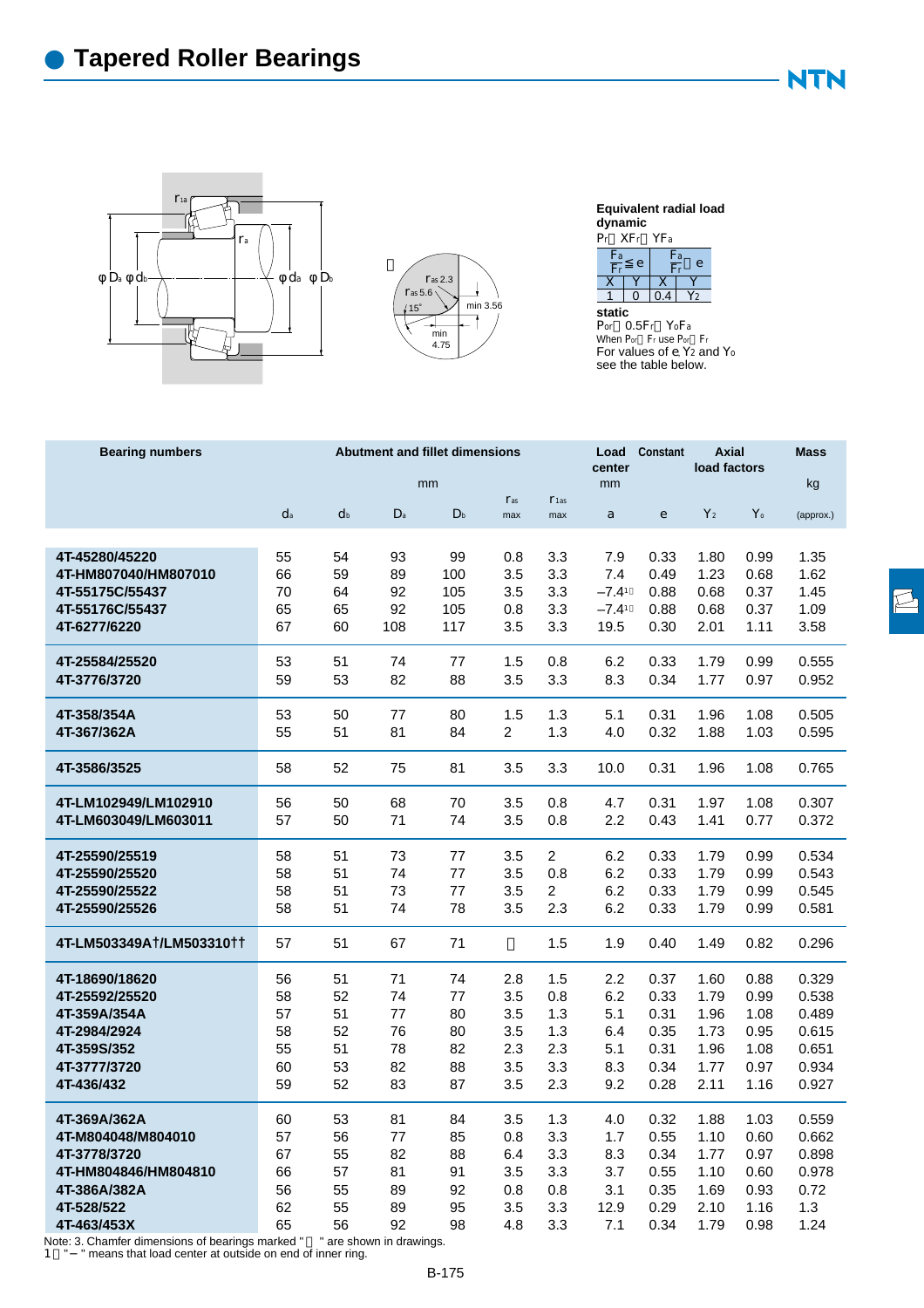



*F*a  $\frac{\overline{F_1}}{X}$  $e^{\frac{F_a}{F_a}}$ *<sup>F</sup>*<sup>r</sup> *<sup>e</sup>* **Equivalent radial load dynamic** *P*r *XF*r *YF*a

1 0 0.4 *Y*2  $X$  | *Y* | *X* | *Y* **static** *P*or 0.5*F*r *Y*o*F*a When *P*or *F*<sup>r</sup> use *P*or *F*<sup>r</sup> For values of *e*, *Y*2 and *Y*o see the table below.

| <b>Bearing numbers</b>                                             |                               |             |                                | <b>Abutment and fillet dimensions</b> |                     |                      | Load<br>center   | <b>Constant</b>  | <b>Axial</b><br>load factors |         | <b>Mass</b> |
|--------------------------------------------------------------------|-------------------------------|-------------|--------------------------------|---------------------------------------|---------------------|----------------------|------------------|------------------|------------------------------|---------|-------------|
|                                                                    |                               |             |                                | mm                                    |                     |                      | mm               |                  |                              |         | kg          |
|                                                                    | $d_{\scriptscriptstyle\rm a}$ | $d_{\rm b}$ | $D_{\rm a}$                    | $D_{\rm b}$                           | $r_{\rm as}$<br>max | $r_{\rm las}$<br>max | $\boldsymbol{a}$ | $\boldsymbol{e}$ | $Y_2$                        | $Y_{o}$ | (approx.)   |
|                                                                    |                               |             |                                |                                       |                     |                      |                  |                  |                              |         |             |
| 4T-45280/45220                                                     | 55                            | 54          | 93                             | 99                                    | 0.8                 | 3.3                  | 7.9              | 0.33             | 1.80                         | 0.99    | 1.35        |
| 4T-HM807040/HM807010                                               | 66                            | 59          | 89                             | 100                                   | 3.5                 | 3.3                  | 7.4              | 0.49             | 1.23                         | 0.68    | 1.62        |
| 4T-55175C/55437                                                    | 70                            | 64          | 92                             | 105                                   | 3.5                 | 3.3                  | $-7.4^{\circ}$   | 0.88             | 0.68                         | 0.37    | 1.45        |
| 4T-55176C/55437                                                    | 65                            | 65          | 92                             | 105                                   | 0.8                 | 3.3                  | $-7.4^{\circ}$   | 0.88             | 0.68                         | 0.37    | 1.09        |
| 4T-6277/6220                                                       | 67                            | 60          | 108                            | 117                                   | 3.5                 | 3.3                  | 19.5             | 0.30             | 2.01                         | 1.11    | 3.58        |
| 4T-25584/25520                                                     | 53                            | 51          | 74                             | 77                                    | 1.5                 | 0.8                  | 6.2              | 0.33             | 1.79                         | 0.99    | 0.555       |
| 4T-3776/3720                                                       | 59                            | 53          | 82                             | 88                                    | 3.5                 | 3.3                  | 8.3              | 0.34             | 1.77                         | 0.97    | 0.952       |
| 4T-358/354A                                                        | 53                            | 50          | 77                             | 80                                    | 1.5                 | 1.3                  | 5.1              | 0.31             | 1.96                         | 1.08    | 0.505       |
| 4T-367/362A                                                        | 55                            | 51          | 81                             | 84                                    | $\overline{2}$      | 1.3                  | 4.0              | 0.32             | 1.88                         | 1.03    | 0.595       |
| 4T-3586/3525                                                       | 58                            | 52          | 75                             | 81                                    | 3.5                 | 3.3                  | 10.0             | 0.31             | 1.96                         | 1.08    | 0.765       |
| 4T-LM102949/LM102910                                               | 56                            | 50          | 68                             | 70                                    | 3.5                 | 0.8                  | 4.7              | 0.31             | 1.97                         | 1.08    | 0.307       |
| 4T-LM603049/LM603011                                               | 57                            | 50          | 71                             | 74                                    | 3.5                 | 0.8                  | 2.2              | 0.43             | 1.41                         | 0.77    | 0.372       |
| 4T-25590/25519                                                     | 58                            | 51          | 73                             | 77                                    | 3.5                 | $\overline{2}$       | 6.2              | 0.33             | 1.79                         | 0.99    | 0.534       |
| 4T-25590/25520                                                     | 58                            | 51          | 74                             | 77                                    | 3.5                 | 0.8                  | 6.2              | 0.33             | 1.79                         | 0.99    | 0.543       |
| 4T-25590/25522                                                     | 58                            | 51          | 73                             | 77                                    | 3.5                 | 2                    | 6.2              | 0.33             | 1.79                         | 0.99    | 0.545       |
| 4T-25590/25526                                                     | 58                            | 51          | 74                             | 78                                    | 3.5                 | 2.3                  | 6.2              | 0.33             | 1.79                         | 0.99    | 0.581       |
| 4T-LM503349A†/LM503310††                                           | 57                            | 51          | 67                             | 71                                    |                     | 1.5                  | 1.9              | 0.40             | 1.49                         | 0.82    | 0.296       |
| 4T-18690/18620                                                     | 56                            | 51          | 71                             | 74                                    | 2.8                 | 1.5                  | 2.2              | 0.37             | 1.60                         | 0.88    | 0.329       |
| 4T-25592/25520                                                     | 58                            | 52          | 74                             | 77                                    | 3.5                 | 0.8                  | 6.2              | 0.33             | 1.79                         | 0.99    | 0.538       |
| 4T-359A/354A                                                       | 57                            | 51          | 77                             | 80                                    | 3.5                 | 1.3                  | 5.1              | 0.31             | 1.96                         | 1.08    | 0.489       |
| 4T-2984/2924                                                       | 58                            | 52          | 76                             | 80                                    | 3.5                 | 1.3                  | 6.4              | 0.35             | 1.73                         | 0.95    | 0.615       |
| 4T-359S/352                                                        | 55                            | 51          | 78                             | 82                                    | 2.3                 | 2.3                  | 5.1              | 0.31             | 1.96                         | 1.08    | 0.651       |
| 4T-3777/3720                                                       | 60                            | 53          | 82                             | 88                                    | 3.5                 | 3.3                  | 8.3              | 0.34             | 1.77                         | 0.97    | 0.934       |
| 4T-436/432                                                         | 59                            | 52          | 83                             | 87                                    | 3.5                 | 2.3                  | 9.2              | 0.28             | 2.11                         | 1.16    | 0.927       |
| 4T-369A/362A                                                       | 60                            | 53          | 81                             | 84                                    | 3.5                 | 1.3                  | 4.0              | 0.32             | 1.88                         | 1.03    | 0.559       |
| 4T-M804048/M804010                                                 | 57                            | 56          | 77                             | 85                                    | 0.8                 | 3.3                  | 1.7              | 0.55             | 1.10                         | 0.60    | 0.662       |
| 4T-3778/3720                                                       | 67                            | 55          | 82                             | 88                                    | 6.4                 | 3.3                  | 8.3              | 0.34             | 1.77                         | 0.97    | 0.898       |
| 4T-HM804846/HM804810                                               | 66                            | 57          | 81                             | 91                                    | 3.5                 | 3.3                  | 3.7              | 0.55             | 1.10                         | 0.60    | 0.978       |
| 4T-386A/382A                                                       | 56                            | 55          | 89                             | 92                                    | 0.8                 | 0.8                  | 3.1              | 0.35             | 1.69                         | 0.93    | 0.72        |
| 4T-528/522                                                         | 62                            | 55          | 89                             | 95                                    | 3.5                 | 3.3                  | 12.9             | 0.29             | 2.10                         | 1.16    | 1.3         |
| 4T-463/453X<br>Note: $2$ Chamfor dimensions of bearings marked $"$ | 65                            | 56          | 92<br>" are chours in drawings | 98                                    | 4.8                 | 3.3                  | 7.1              | 0.34             | 1.79                         | 0.98    | 1.24        |

Note: 3. Chamfer dimensions of bearings marked " " are shown in drawings.<br>1 " " means that load center at outside on end of inner ring.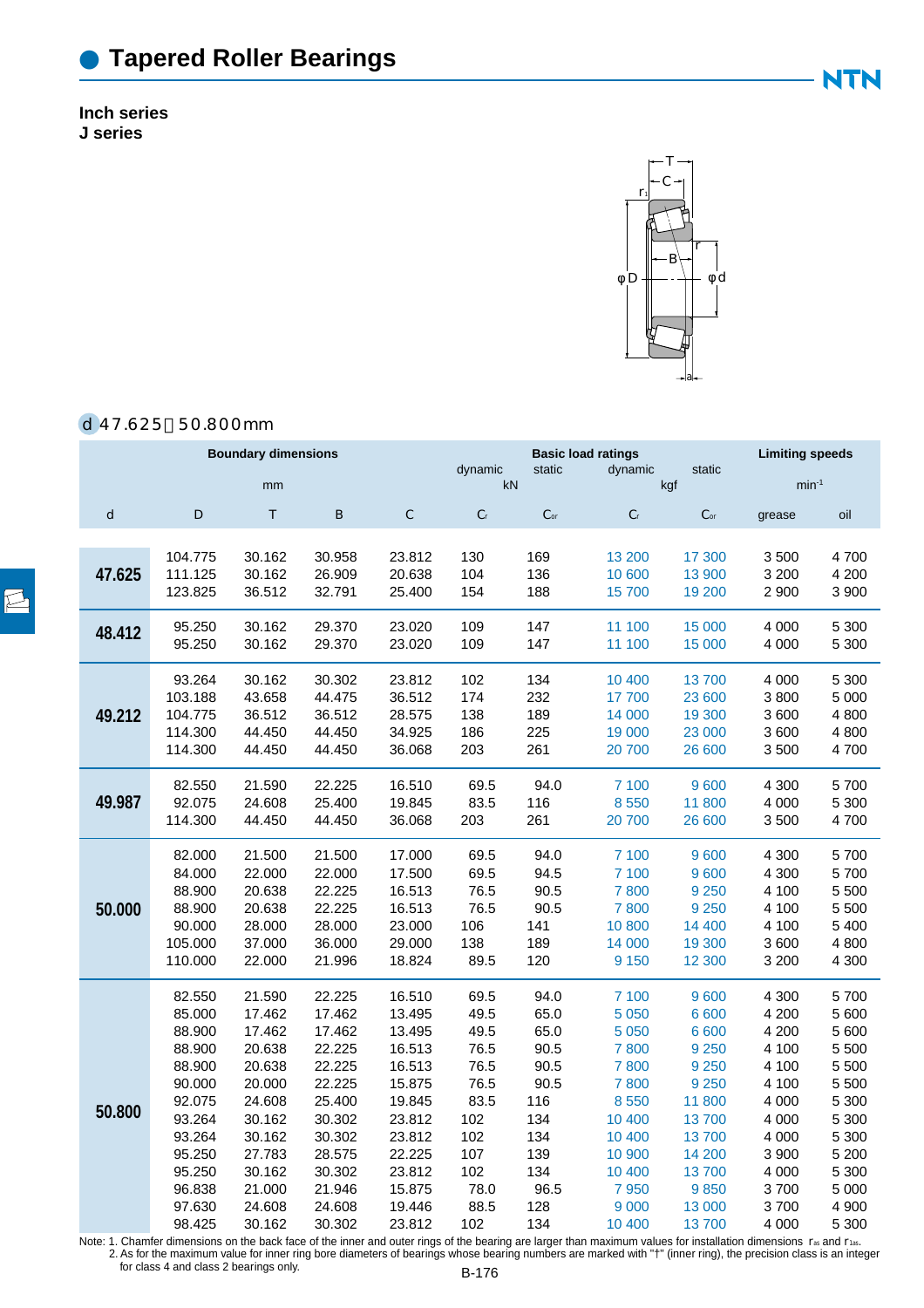

## *d* 47.625~50.800mm

|                  |                    | <b>Boundary dimensions</b> |                  |                  |               |                 | <b>Basic load ratings</b> |                             | <b>Limiting speeds</b> |                |
|------------------|--------------------|----------------------------|------------------|------------------|---------------|-----------------|---------------------------|-----------------------------|------------------------|----------------|
|                  |                    | mm                         |                  |                  | dynamic<br>kN | static          | dynamic<br>kgf            | static                      | $min-1$                |                |
| $\boldsymbol{d}$ | $\cal D$           | $\cal T$                   | $\cal B$         | $\cal C$         | $C_{\rm r}$   | $C_{\text{or}}$ | $\mathcal{C}$             | $C_{\hbox{\scriptsize or}}$ | grease                 | oil            |
|                  | 104.775            | 30.162                     | 30.958           | 23.812           | 130           | 169             | 13 200                    | 17 300                      | 3500                   | 4700           |
| 47.625           | 111.125<br>123.825 | 30.162<br>36.512           | 26.909<br>32.791 | 20.638<br>25.400 | 104<br>154    | 136<br>188      | 10 600<br>15700           | 13 900<br>19 200            | 3 200<br>2 900         | 4 200<br>3 900 |
|                  | 95.250             | 30.162                     | 29.370           | 23.020           | 109           | 147             | 11 100                    | 15 000                      | 4 0 0 0                | 5 300          |
| 48.412           | 95.250             | 30.162                     | 29.370           | 23.020           | 109           | 147             | 11 100                    | 15 000                      | 4 0 0 0                | 5 300          |
|                  | 93.264             | 30.162                     | 30.302           | 23.812           | 102           | 134             | 10 400                    | 13700                       | 4 0 0 0                | 5 300          |
|                  | 103.188            | 43.658                     | 44.475           | 36.512           | 174           | 232             | 17700                     | 23 600                      | 3800                   | 5 0 0 0        |
| 49.212           | 104.775            | 36.512                     | 36.512           | 28.575           | 138           | 189             | 14 000                    | 19 300                      | 3 600                  | 4 800          |
|                  | 114.300            | 44.450                     | 44.450           | 34.925           | 186           | 225             | 19 000                    | 23 000                      | 3 600                  | 4 800          |
|                  | 114.300            | 44.450                     | 44.450           | 36.068           | 203           | 261             | 20700                     | 26 600                      | 3500                   | 4700           |
|                  | 82.550             | 21.590                     | 22.225           | 16.510           | 69.5          | 94.0            | 7 100                     | 9600                        | 4 300                  | 5700           |
| 49.987           | 92.075             | 24.608                     | 25.400           | 19.845           | 83.5          | 116             | 8 5 5 0                   | 11 800                      | 4 0 0 0                | 5 300          |
|                  | 114.300            | 44.450                     | 44.450           | 36.068           | 203           | 261             | 20700                     | 26 600                      | 3500                   | 4700           |
|                  | 82.000             | 21.500                     | 21.500           | 17.000           | 69.5          | 94.0            | 7 100                     | 9600                        | 4 300                  | 5700           |
|                  | 84.000             | 22.000                     | 22.000           | 17.500           | 69.5          | 94.5            | 7 100                     | 9600                        | 4 300                  | 5700           |
|                  | 88.900             | 20.638                     | 22.225           | 16.513           | 76.5          | 90.5            | 7800                      | 9 2 5 0                     | 4 100                  | 5 500          |
| 50.000           | 88.900             | 20.638                     | 22.225           | 16.513           | 76.5          | 90.5            | 7800                      | 9 2 5 0                     | 4 100                  | 5 500          |
|                  | 90.000             | 28.000                     | 28.000           | 23.000           | 106           | 141             | 10 800                    | 14 400                      | 4 100                  | 5 4 0 0        |
|                  | 105.000            | 37.000                     | 36.000           | 29.000           | 138           | 189             | 14 000                    | 19 300                      | 3 600                  | 4 800          |
|                  | 110.000            | 22.000                     | 21.996           | 18.824           | 89.5          | 120             | 9 1 5 0                   | 12 300                      | 3 200                  | 4 3 0 0        |
|                  | 82.550             | 21.590                     | 22.225           | 16.510           | 69.5          | 94.0            | 7 100                     | 9600                        | 4 300                  | 5700           |
|                  | 85.000             | 17.462                     | 17.462           | 13.495           | 49.5          | 65.0            | 5 0 5 0                   | 6 600                       | 4 200                  | 5 600          |
|                  | 88.900             | 17.462                     | 17.462           | 13.495           | 49.5          | 65.0            | 5 0 5 0                   | 6 600                       | 4 200                  | 5 600          |
|                  | 88.900             | 20.638                     | 22.225           | 16.513           | 76.5          | 90.5            | 7800                      | 9 2 5 0                     | 4 100                  | 5 500          |
|                  | 88.900             | 20.638                     | 22.225           | 16.513           | 76.5          | 90.5            | 7800                      | 9 2 5 0                     | 4 100                  | 5 500          |
|                  | 90.000             | 20.000                     | 22.225           | 15.875           | 76.5          | 90.5            | 7800                      | 9 2 5 0                     | 4 100                  | 5 500          |
| 50.800           | 92.075             | 24.608                     | 25.400           | 19.845           | 83.5          | 116             | 8 5 5 0                   | 11 800                      | 4 0 0 0                | 5 300          |
|                  | 93.264             | 30.162                     | 30.302           | 23.812           | 102           | 134             | 10 400                    | 13700                       | 4 0 0 0                | 5 300          |
|                  | 93.264             | 30.162                     | 30.302           | 23.812           | 102           | 134             | 10 400                    | 13700                       | 4 0 0 0                | 5 300          |
|                  | 95.250             | 27.783                     | 28.575           | 22.225           | 107           | 139             | 10 900                    | 14 200                      | 3 900                  | 5 200          |
|                  | 95.250             | 30.162                     | 30.302           | 23.812           | 102           | 134             | 10 400                    | 13700                       | 4 0 0 0                | 5 300          |
|                  | 96.838             | 21.000                     | 21.946           | 15.875           | 78.0          | 96.5            | 7950                      | 9850                        | 3700                   | 5 0 0 0        |
|                  | 97.630             | 24.608                     | 24.608           | 19.446           | 88.5          | 128             | 9 0 0 0                   | 13 000                      | 3700                   | 4 900          |
|                  | 98.425             | 30.162                     | 30.302           | 23.812           | 102           | 134             | 10 400                    | 13700                       | 4 0 0 0                | 5 300          |

Note: 1. Chamfer dimensions on the back face of the inner and outer rings of the bearing are larger than maximum values for installation dimensions *r*as and *r*has.<br>2. As for the maximum value for inner ring bore diameter for class 4 and class 2 bearings only.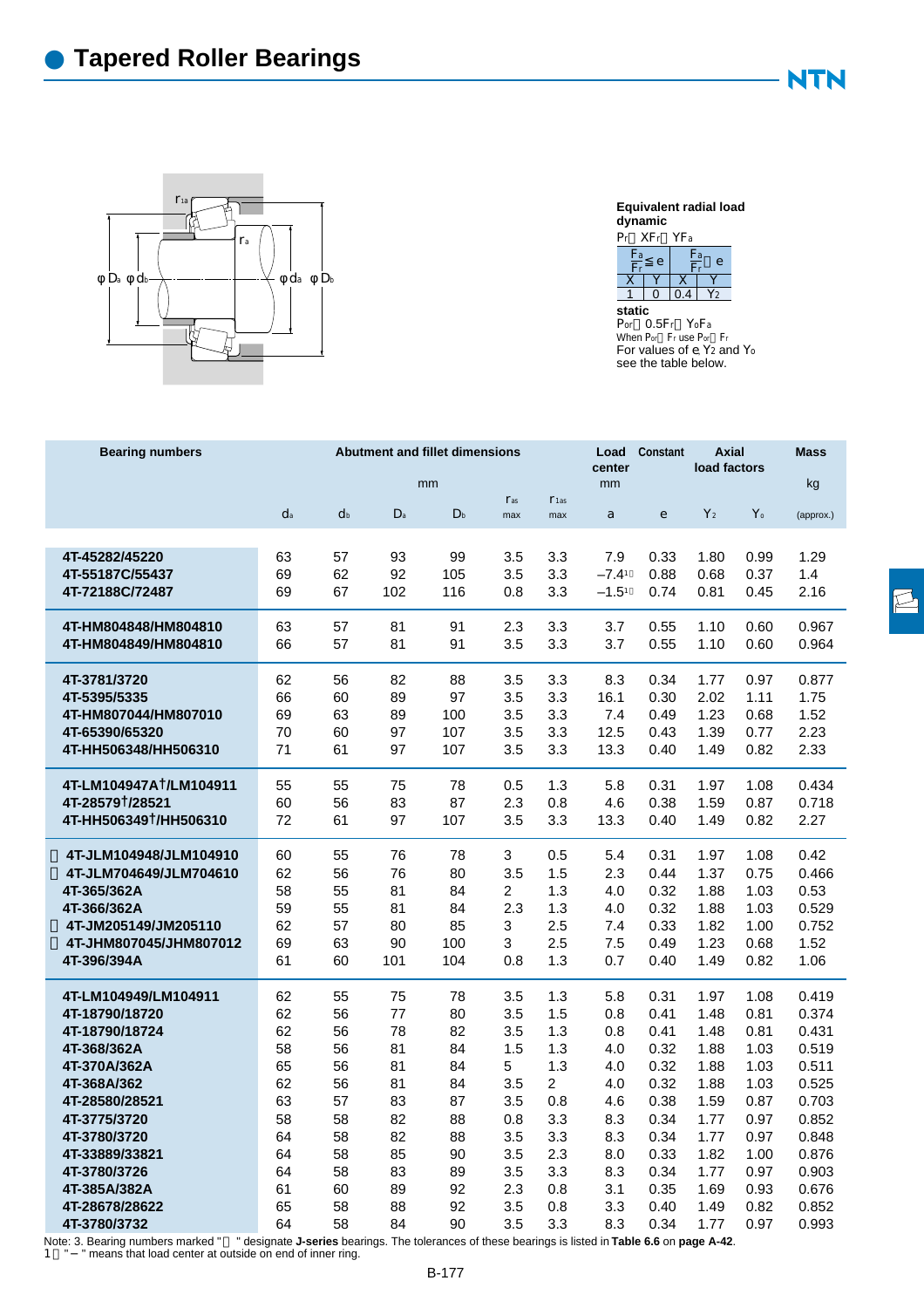





| <b>Bearing numbers</b> |         |             |             | <b>Abutment and fillet dimensions</b> |                     |                | Load<br>center | <b>Constant</b>  | <b>Axial</b><br>load factors |             | <b>Mass</b> |
|------------------------|---------|-------------|-------------|---------------------------------------|---------------------|----------------|----------------|------------------|------------------------------|-------------|-------------|
|                        |         |             |             | mm                                    |                     |                | mm             |                  |                              |             | kg          |
|                        | $d_{a}$ | $d_{\rm b}$ | $D_{\rm a}$ | $D_{\rm b}$                           | $r_{\rm as}$<br>max | $T$ las<br>max | a              | $\boldsymbol{e}$ | $Y_2$                        | $Y_{\rm o}$ | (approx.)   |
|                        |         |             |             |                                       |                     |                |                |                  |                              |             |             |
| 4T-45282/45220         | 63      | 57          | 93          | 99                                    | 3.5                 | 3.3            | 7.9            | 0.33             | 1.80                         | 0.99        | 1.29        |
| 4T-55187C/55437        | 69      | 62          | 92          | 105                                   | 3.5                 | 3.3            | $-7.41$        | 0.88             | 0.68                         | 0.37        | 1.4         |
| 4T-72188C/72487        | 69      | 67          | 102         | 116                                   | 0.8                 | 3.3            | $-1.5^{\circ}$ | 0.74             | 0.81                         | 0.45        | 2.16        |
|                        |         |             |             |                                       |                     |                |                |                  |                              |             |             |
| 4T-HM804848/HM804810   | 63      | 57          | 81          | 91                                    | 2.3                 | 3.3            | 3.7            | 0.55             | 1.10                         | 0.60        | 0.967       |
| 4T-HM804849/HM804810   | 66      | 57          | 81          | 91                                    | 3.5                 | 3.3            | 3.7            | 0.55             | 1.10                         | 0.60        | 0.964       |
| 4T-3781/3720           | 62      | 56          | 82          | 88                                    | 3.5                 | 3.3            | 8.3            | 0.34             | 1.77                         | 0.97        | 0.877       |
| 4T-5395/5335           | 66      | 60          | 89          | 97                                    | 3.5                 | 3.3            | 16.1           | 0.30             | 2.02                         | 1.11        | 1.75        |
| 4T-HM807044/HM807010   | 69      | 63          | 89          | 100                                   | 3.5                 | 3.3            | 7.4            | 0.49             | 1.23                         | 0.68        | 1.52        |
| 4T-65390/65320         | 70      | 60          | 97          | 107                                   | 3.5                 | 3.3            | 12.5           | 0.43             | 1.39                         | 0.77        | 2.23        |
| 4T-HH506348/HH506310   | 71      | 61          | 97          | 107                                   | 3.5                 | 3.3            | 13.3           | 0.40             | 1.49                         | 0.82        | 2.33        |
| 4T-LM104947AT/LM104911 | 55      | 55          | 75          | 78                                    | 0.5                 | 1.3            | 5.8            | 0.31             | 1.97                         | 1.08        | 0.434       |
| 4T-28579†/28521        | 60      | 56          | 83          | 87                                    | 2.3                 | 0.8            | 4.6            | 0.38             | 1.59                         | 0.87        | 0.718       |
| 4T-HH506349†/HH506310  | 72      | 61          | 97          | 107                                   | 3.5                 | 3.3            | 13.3           | 0.40             | 1.49                         | 0.82        | 2.27        |
| 4T-JLM104948/JLM104910 | 60      | 55          | 76          | 78                                    | 3                   | 0.5            | 5.4            | 0.31             | 1.97                         | 1.08        | 0.42        |
| 4T-JLM704649/JLM704610 | 62      | 56          | 76          | 80                                    | 3.5                 | 1.5            | 2.3            | 0.44             | 1.37                         | 0.75        | 0.466       |
| 4T-365/362A            | 58      | 55          | 81          | 84                                    | $\overline{c}$      | 1.3            | 4.0            | 0.32             | 1.88                         | 1.03        | 0.53        |
| 4T-366/362A            | 59      | 55          | 81          | 84                                    | 2.3                 | 1.3            | 4.0            | 0.32             | 1.88                         | 1.03        | 0.529       |
| 4T-JM205149/JM205110   | 62      | 57          | 80          | 85                                    | 3                   | 2.5            | 7.4            | 0.33             | 1.82                         | 1.00        | 0.752       |
| 4T-JHM807045/JHM807012 | 69      | 63          | 90          | 100                                   | 3                   | 2.5            | 7.5            | 0.49             | 1.23                         | 0.68        | 1.52        |
| 4T-396/394A            | 61      | 60          | 101         | 104                                   | 0.8                 | 1.3            | 0.7            | 0.40             | 1.49                         | 0.82        | 1.06        |
| 4T-LM104949/LM104911   | 62      | 55          | 75          | 78                                    | 3.5                 | 1.3            | 5.8            | 0.31             | 1.97                         | 1.08        | 0.419       |
| 4T-18790/18720         | 62      | 56          | 77          | 80                                    | 3.5                 | 1.5            | 0.8            | 0.41             | 1.48                         | 0.81        | 0.374       |
| 4T-18790/18724         | 62      | 56          | 78          | 82                                    | 3.5                 | 1.3            | 0.8            | 0.41             | 1.48                         | 0.81        | 0.431       |
| 4T-368/362A            | 58      | 56          | 81          | 84                                    | 1.5                 | 1.3            | 4.0            | 0.32             | 1.88                         | 1.03        | 0.519       |
| 4T-370A/362A           | 65      | 56          | 81          | 84                                    | 5                   | 1.3            | 4.0            | 0.32             | 1.88                         | 1.03        | 0.511       |
| 4T-368A/362            | 62      | 56          | 81          | 84                                    | 3.5                 | $\overline{2}$ | 4.0            | 0.32             | 1.88                         | 1.03        | 0.525       |
| 4T-28580/28521         | 63      | 57          | 83          | 87                                    | 3.5                 | 0.8            | 4.6            | 0.38             | 1.59                         | 0.87        | 0.703       |
| 4T-3775/3720           | 58      | 58          | 82          | 88                                    | 0.8                 | 3.3            | 8.3            | 0.34             | 1.77                         | 0.97        | 0.852       |
| 4T-3780/3720           | 64      | 58          | 82          | 88                                    | 3.5                 | 3.3            | 8.3            | 0.34             | 1.77                         | 0.97        | 0.848       |
| 4T-33889/33821         | 64      | 58          | 85          | 90                                    | 3.5                 | 2.3            | 8.0            | 0.33             | 1.82                         | 1.00        | 0.876       |
| 4T-3780/3726           | 64      | 58          | 83          | 89                                    | 3.5                 | 3.3            | 8.3            | 0.34             | 1.77                         | 0.97        | 0.903       |
| 4T-385A/382A           | 61      | 60          | 89          | 92                                    | 2.3                 | 0.8            | 3.1            | 0.35             | 1.69                         | 0.93        | 0.676       |
| 4T-28678/28622         | 65      | 58          | 88          | 92                                    | 3.5                 | 0.8            | 3.3            | 0.40             | 1.49                         | 0.82        | 0.852       |
| 4T-3780/3732           | 64      | 58          | 84          | 90                                    | 3.5                 | 3.3            | 8.3            | 0.34             | 1.77                         | 0.97        | 0.993       |

Note: 3. Bearing numbers marked " " designate **J-series** bearings. The tolerances of these bearings is listed in **Table 6.6** on **page A-42**. 1)" " means that load center at outside on end of inner ring.

 $\overline{\mathcal{D}}$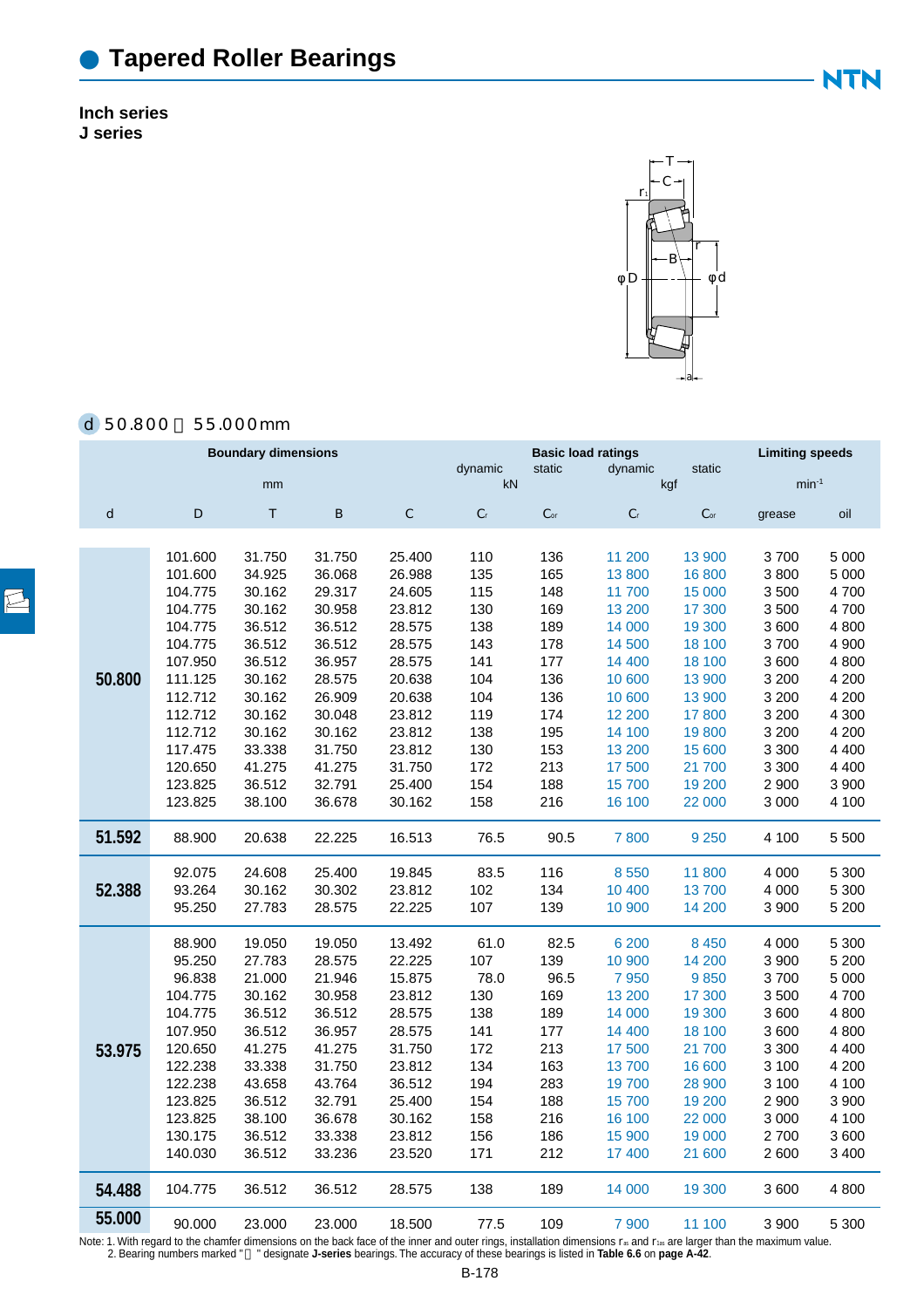

**NTN** 

## *d* 50.800 ~ 55.000mm

|                |                  | <b>Boundary dimensions</b> |                                   |               |               | <b>Basic load ratings</b> |             |                 | <b>Limiting speeds</b> |         |
|----------------|------------------|----------------------------|-----------------------------------|---------------|---------------|---------------------------|-------------|-----------------|------------------------|---------|
|                |                  | mm                         |                                   |               | dynamic<br>kN | static                    | dynamic     | static<br>kgf   | $min-1$                |         |
| $\overline{d}$ | $\boldsymbol{D}$ | $\cal T$                   | $\boldsymbol{B}$                  | $\mathcal{C}$ | $C_{\rm r}$   | $C_{\text{or}}$           | $C_{\rm r}$ | $C_{\rm or}$    | grease                 | oil     |
|                | 101.600          | 31.750                     | 31.750                            | 25.400        | 110           | 136                       | 11 200      | 13 900          | 3700                   | 5 0 0 0 |
|                | 101.600          | 34.925                     | 36.068                            | 26.988        | 135           | 165                       | 13 800      | 16 800          | 3800                   | 5 0 0 0 |
|                | 104.775          | 30.162                     | 29.317                            | 24.605        | 115           | 148                       | 11700       | 15 000          | 3500                   | 4700    |
|                | 104.775          | 30.162                     | 30.958                            | 23.812        | 130           | 169                       | 13 200      | 17 300          | 3500                   | 4700    |
|                | 104.775          | 36.512                     | 36.512                            | 28.575        | 138           | 189                       | 14 000      | 19 300          | 3600                   | 4 800   |
|                | 104.775          | 36.512                     | 36.512                            | 28.575        | 143           | 178                       | 14 500      | 18 100          | 3700                   | 4 900   |
|                | 107.950          | 36.512                     | 36.957                            | 28.575        | 141           | 177                       | 14 400      | 18 100          | 3 600                  | 4 800   |
| 50.800         | 111.125          | 30.162                     | 28.575                            | 20.638        | 104           | 136                       | 10 600      | 13 900          | 3 200                  | 4 200   |
|                | 112.712          | 30.162                     | 26.909                            | 20.638        | 104           | 136                       | 10 600      | 13 900          | 3 200                  | 4 200   |
|                | 112.712          | 30.162                     | 30.048                            | 23.812        | 119           | 174                       | 12 200      | 17800           | 3 200                  | 4 300   |
|                | 112.712          | 30.162                     | 30.162                            | 23.812        | 138           | 195                       | 14 100      | 19800           | 3 2 0 0                | 4 200   |
|                | 117.475          | 33.338                     | 31.750                            | 23.812        | 130           | 153                       | 13 200      | 15 600          | 3 3 0 0                | 4 4 0 0 |
|                | 120.650          | 41.275                     | 41.275                            | 31.750        | 172           | 213                       | 17 500      | 21 700          | 3 3 0 0                | 4 4 0 0 |
|                | 123.825          | 36.512                     | 32.791                            | 25.400        | 154           | 188                       | 15700       | 19 200          | 2 900                  | 3 900   |
|                | 123.825          | 38.100                     | 36.678                            | 30.162        | 158           | 216                       | 16 100      | 22 000          | 3 0 0 0                | 4 100   |
| 51.592         | 88.900           | 20.638                     | 22.225                            | 16.513        | 76.5          | 90.5                      | 7800        | 9 2 5 0         | 4 100                  | 5 500   |
|                | 92.075           | 24.608                     | 25.400                            | 19.845        | 83.5          | 116                       | 8 5 5 0     | 11 800          | 4 0 0 0                | 5 300   |
| 52.388         | 93.264           | 30.162                     | 30.302                            | 23.812        | 102           | 134                       | 10 400      | 13700           | 4 0 0 0                | 5 300   |
|                | 95.250           | 27.783                     | 28.575                            | 22.225        | 107           | 139                       | 10 900      | 14 200          | 3 900                  | 5 200   |
|                | 88.900           | 19.050                     | 19.050                            | 13.492        | 61.0          | 82.5                      | 6 200       | 8 4 5 0         | 4 0 0 0                | 5 300   |
|                | 95.250           | 27.783                     | 28.575                            | 22.225        | 107           | 139                       | 10 900      | 14 200          | 3 900                  | 5 200   |
|                | 96.838           | 21.000                     | 21.946                            | 15.875        | 78.0          | 96.5                      | 7950        | 9850            | 3700                   | 5 0 0 0 |
|                | 104.775          | 30.162                     | 30.958                            | 23.812        | 130           | 169                       | 13 200      | 17 300          | 3500                   | 4700    |
|                | 104.775          | 36.512                     | 36.512                            | 28.575        | 138           | 189                       | 14 000      | 19 300          | 3600                   | 4 800   |
|                | 107.950          | 36.512                     | 36.957                            | 28.575        | 141           | 177                       | 14 400      | 18 100          | 3 600                  | 4 800   |
| 53.975         | 120.650          | 41.275                     | 41.275                            | 31.750        | 172           | 213                       | 17 500      | 21 700          | 3 3 0 0                | 4 4 0 0 |
|                | 122.238          | 33.338                     | 31.750                            | 23.812        | 134           | 163                       | 13700       | 16 600          | 3 100                  | 4 200   |
|                | 122.238          | 43.658                     | 43.764                            | 36.512        | 194           | 283                       | 19700       | 28 900          | 3 100                  | 4 100   |
|                | 123.825          | 36.512                     | 32.791                            | 25.400        | 154           | 188                       | 15700       | 19 200          | 2 900                  | 3 900   |
|                | 123.825          | 38.100                     | 36.678                            | 30.162        | 158           | 216                       | 16 100      | 22 000          | 3 0 0 0                | 4 100   |
|                | 130.175          | 36.512                     | 33.338                            | 23.812        | 156           | 186                       | 15 900      | 19 000          | 2700                   | 3600    |
|                | 140.030          | 36.512                     | 33.236                            | 23.520        | 171           | 212                       | 17 400      | 21 600          | 2 600                  | 3 4 0 0 |
| 54.488         | 104.775          | 36.512                     | 36.512                            | 28.575        | 138           | 189                       | 14 000      | 19 300          | 3600                   | 4 800   |
| 55.000         | 90.000           | 23.000<br>ناام مصالحہ دیا۔ | 23.000<br>لممتعان المتمتع المتعاط | 18.500        | 77.5          | 109<br>فحالجه حن          | 7 900       | 11 100<br>حاحقت | 3 900                  | 5 300   |

Note: 1. With regard to the chamfer dimensions on the back face of the inner and outer rings, installation dimensions *r*sand *n*a are larger than the maximum value.<br>2. Bearing numbers marked " " designate **J-series** bear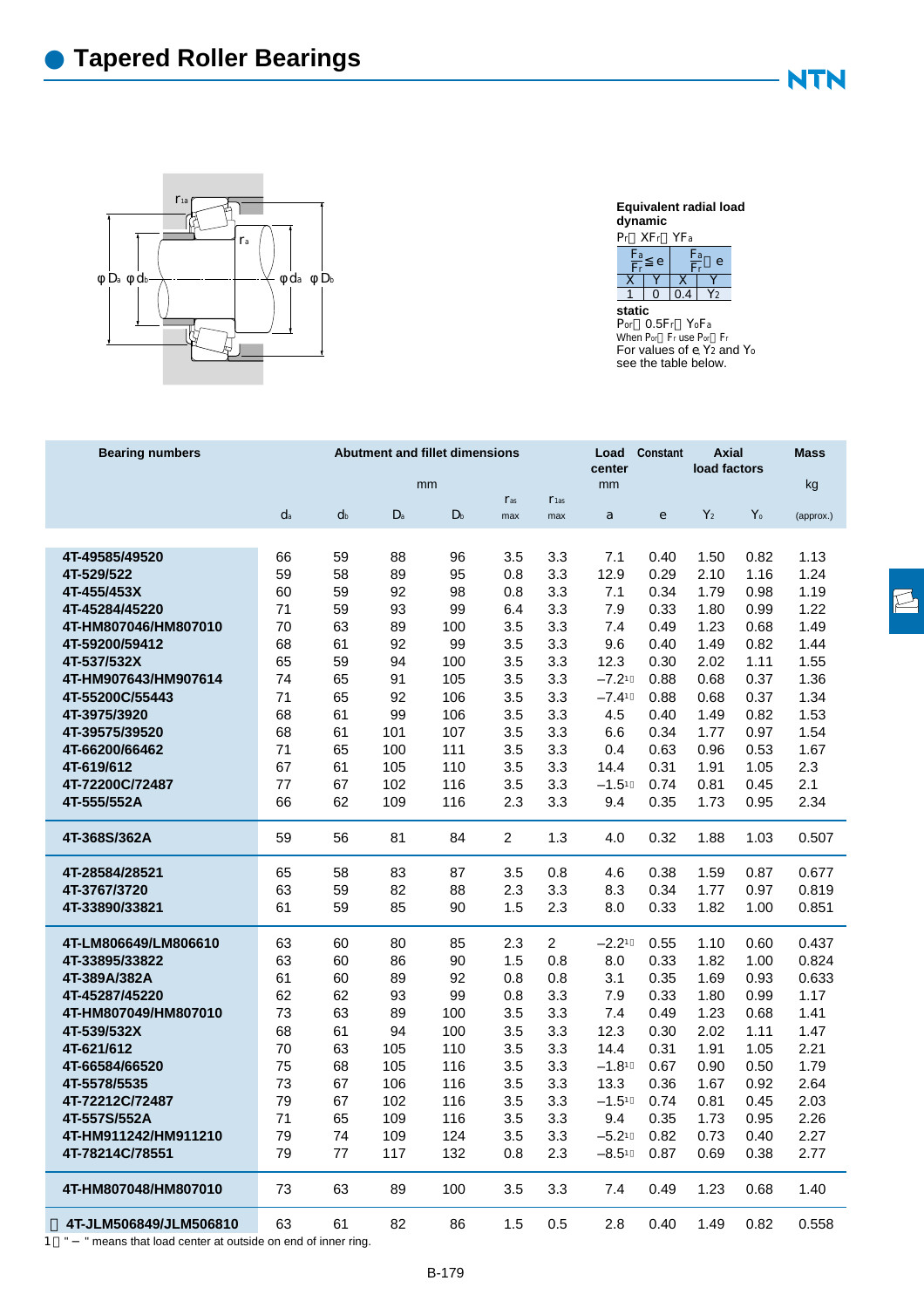





| <b>Bearing numbers</b>                                                    |                              |             |         | <b>Abutment and fillet dimensions</b> |                |                  | Load<br>center   | <b>Constant</b>  | <b>Axial</b><br>load factors |         | <b>Mass</b> |
|---------------------------------------------------------------------------|------------------------------|-------------|---------|---------------------------------------|----------------|------------------|------------------|------------------|------------------------------|---------|-------------|
|                                                                           |                              |             |         | mm                                    |                |                  | mm               |                  |                              |         | kg          |
|                                                                           |                              |             |         |                                       | $r_{\rm as}$   | $r_{\text{las}}$ |                  |                  |                              |         |             |
|                                                                           | $d_{\scriptscriptstyle\! A}$ | $d_{\rm b}$ | $D_{a}$ | $D_{\rm b}$                           | max            | max              | $\boldsymbol{a}$ | $\boldsymbol{e}$ | $Y_2$                        | $Y_{o}$ | (approx.)   |
|                                                                           |                              |             |         |                                       |                |                  |                  |                  |                              |         |             |
| 4T-49585/49520                                                            | 66                           | 59          | 88      | 96                                    | 3.5            | 3.3              | 7.1              | 0.40             | 1.50                         | 0.82    | 1.13        |
| 4T-529/522                                                                | 59                           | 58          | 89      | 95                                    | 0.8            | 3.3              | 12.9             | 0.29             | 2.10                         | 1.16    | 1.24        |
| 4T-455/453X                                                               | 60                           | 59          | 92      | 98                                    | 0.8            | 3.3              | 7.1              | 0.34             | 1.79                         | 0.98    | 1.19        |
| 4T-45284/45220                                                            | 71                           | 59          | 93      | 99                                    | 6.4            | 3.3              | 7.9              | 0.33             | 1.80                         | 0.99    | 1.22        |
| 4T-HM807046/HM807010                                                      | 70                           | 63          | 89      | 100                                   | 3.5            | 3.3              | 7.4              | 0.49             | 1.23                         | 0.68    | 1.49        |
| 4T-59200/59412                                                            | 68                           | 61          | 92      | 99                                    | 3.5            | 3.3              | 9.6              | 0.40             | 1.49                         | 0.82    | 1.44        |
| 4T-537/532X                                                               | 65                           | 59          | 94      | 100                                   | 3.5            | 3.3              | 12.3             | 0.30             | 2.02                         | 1.11    | 1.55        |
| 4T-HM907643/HM907614                                                      | 74                           | 65          | 91      | 105                                   | 3.5            | 3.3              | $-7.21$          | 0.88             | 0.68                         | 0.37    | 1.36        |
| 4T-55200C/55443                                                           | 71                           | 65          | 92      | 106                                   | 3.5            | 3.3              | $-7.41$          | 0.88             | 0.68                         | 0.37    | 1.34        |
| 4T-3975/3920                                                              | 68                           | 61          | 99      | 106                                   | 3.5            | 3.3              | 4.5              | 0.40             | 1.49                         | 0.82    | 1.53        |
| 4T-39575/39520                                                            | 68                           | 61          | 101     | 107                                   | 3.5            | 3.3              | 6.6              | 0.34             | 1.77                         | 0.97    | 1.54        |
| 4T-66200/66462                                                            | 71                           | 65          | 100     | 111                                   | 3.5            | 3.3              | 0.4              | 0.63             | 0.96                         | 0.53    | 1.67        |
| 4T-619/612                                                                | 67                           | 61          | 105     | 110                                   | 3.5            | 3.3              | 14.4             | 0.31             | 1.91                         | 1.05    | 2.3         |
| 4T-72200C/72487                                                           | 77                           | 67          | 102     | 116                                   | 3.5            | 3.3              | $-1.5^{\circ}$   | 0.74             | 0.81                         | 0.45    | 2.1         |
| 4T-555/552A                                                               | 66                           | 62          | 109     | 116                                   | 2.3            | 3.3              | 9.4              | 0.35             | 1.73                         | 0.95    | 2.34        |
| 4T-368S/362A                                                              | 59                           | 56          | 81      | 84                                    | $\overline{2}$ | 1.3              | 4.0              | 0.32             | 1.88                         | 1.03    | 0.507       |
| 4T-28584/28521                                                            | 65                           | 58          | 83      | 87                                    | 3.5            | 0.8              | 4.6              | 0.38             | 1.59                         | 0.87    | 0.677       |
| 4T-3767/3720                                                              | 63                           | 59          | 82      | 88                                    | 2.3            | 3.3              | 8.3              | 0.34             | 1.77                         | 0.97    | 0.819       |
| 4T-33890/33821                                                            | 61                           | 59          | 85      | 90                                    | 1.5            | 2.3              | 8.0              | 0.33             | 1.82                         | 1.00    | 0.851       |
| 4T-LM806649/LM806610                                                      | 63                           | 60          | 80      | 85                                    | 2.3            | $\overline{2}$   | $-2.21$          | 0.55             | 1.10                         | 0.60    | 0.437       |
| 4T-33895/33822                                                            | 63                           | 60          | 86      | 90                                    | 1.5            | 0.8              | 8.0              | 0.33             | 1.82                         | 1.00    | 0.824       |
| 4T-389A/382A                                                              | 61                           | 60          | 89      | 92                                    | 0.8            | 0.8              | 3.1              | 0.35             | 1.69                         | 0.93    | 0.633       |
| 4T-45287/45220                                                            | 62                           | 62          | 93      | 99                                    | 0.8            | 3.3              | 7.9              | 0.33             | 1.80                         | 0.99    | 1.17        |
| 4T-HM807049/HM807010                                                      | 73                           | 63          | 89      | 100                                   | 3.5            | 3.3              | 7.4              | 0.49             | 1.23                         | 0.68    | 1.41        |
| 4T-539/532X                                                               | 68                           | 61          | 94      | 100                                   | 3.5            | 3.3              | 12.3             | 0.30             | 2.02                         | 1.11    | 1.47        |
| 4T-621/612                                                                | 70                           | 63          | 105     | 110                                   | 3.5            | 3.3              | 14.4             | 0.31             | 1.91                         | 1.05    | 2.21        |
| 4T-66584/66520                                                            | 75                           | 68          | 105     | 116                                   | 3.5            | 3.3              | $-1.81$          | 0.67             | 0.90                         | 0.50    | 1.79        |
| 4T-5578/5535                                                              | 73                           | 67          | 106     | 116                                   | 3.5            | 3.3              | 13.3             | 0.36             | 1.67                         | 0.92    | 2.64        |
| 4T-72212C/72487                                                           | 79                           | 67          | 102     | 116                                   | 3.5            | 3.3              | $-1.5^{\circ}$   | 0.74             | 0.81                         | 0.45    | 2.03        |
| 4T-557S/552A                                                              | 71                           | 65          | 109     | 116                                   | 3.5            | 3.3              | 9.4              | 0.35             | 1.73                         | 0.95    | 2.26        |
| 4T-HM911242/HM911210                                                      | 79                           | 74          | 109     | 124                                   | 3.5            | 3.3              | $-5.21$          | 0.82             | 0.73                         | 0.40    | 2.27        |
| 4T-78214C/78551                                                           | 79                           | 77          | 117     | 132                                   | 0.8            | 2.3              | $-8.5^{\circ}$   | 0.87             | 0.69                         | 0.38    | 2.77        |
| 4T-HM807048/HM807010                                                      | 73                           | 63          | 89      | 100                                   | 3.5            | 3.3              | 7.4              | 0.49             | 1.23                         | 0.68    | 1.40        |
| 4T-JLM506849/JLM506810                                                    | 63                           | 61          | 82      | 86                                    | 1.5            | 0.5              | 2.8              | 0.40             | 1.49                         | 0.82    | 0.558       |
| " means that load center at outside on end of inner ring.<br>$\mathbf{1}$ |                              |             |         |                                       |                |                  |                  |                  |                              |         |             |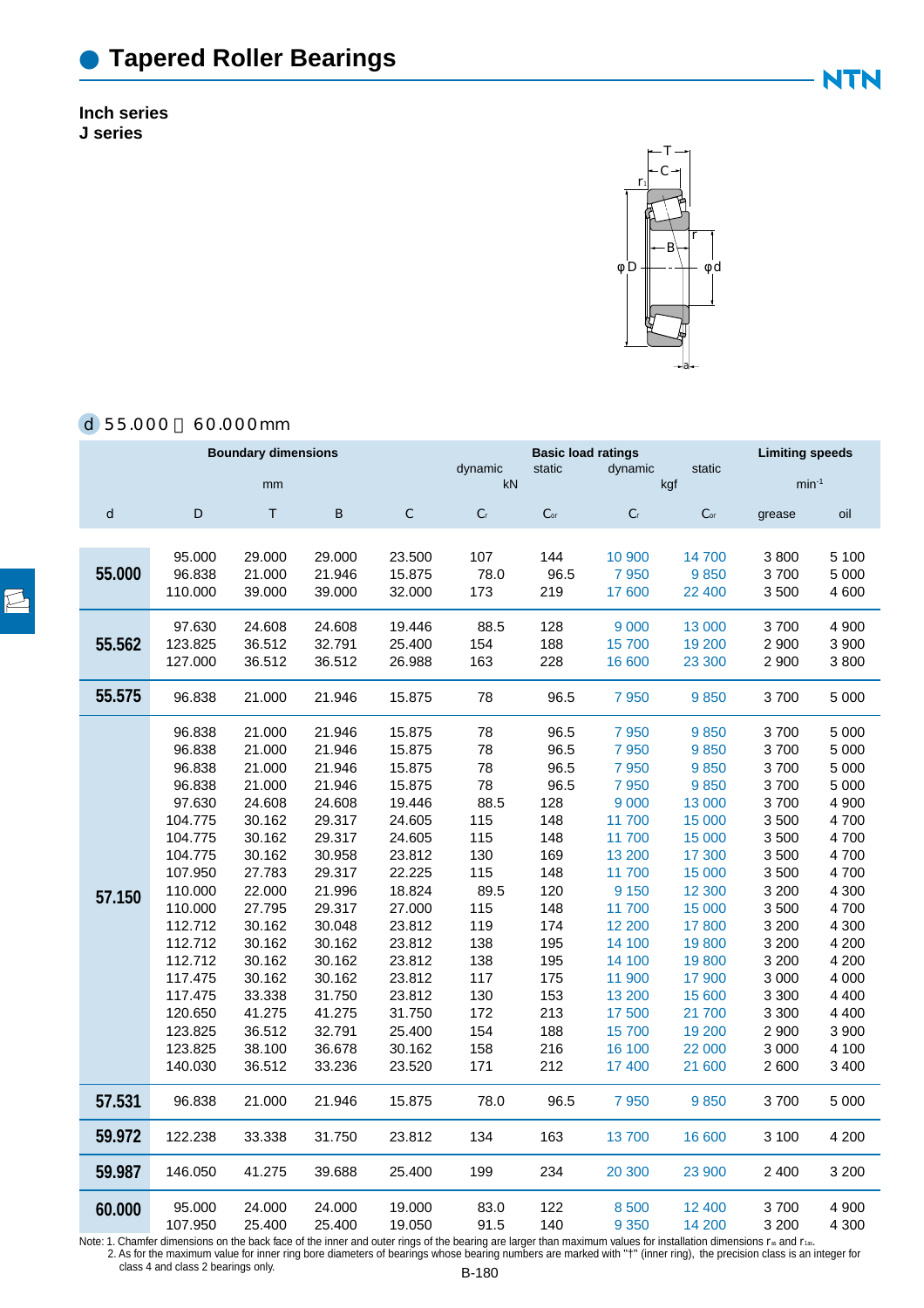

E

 *d* 55.000 ~ 60.000mm

|                  |                  | <b>Boundary dimensions</b> |                  |               | <b>Basic load ratings</b> |                 |             | <b>Limiting speeds</b> |            |         |
|------------------|------------------|----------------------------|------------------|---------------|---------------------------|-----------------|-------------|------------------------|------------|---------|
|                  |                  | mm                         |                  |               | dynamic<br>kN             | static          | dynamic     | static<br>kgf          | $min^{-1}$ |         |
| $\boldsymbol{d}$ | $\boldsymbol{D}$ | $\cal T$                   | $\boldsymbol{B}$ | $\mathcal{C}$ | $C_{\rm r}$               | $C_{\text{or}}$ | $C_{\rm r}$ | $C_{\text{or}}$        | grease     | oil     |
|                  | 95.000           | 29.000                     | 29.000           | 23.500        | 107                       | 144             | 10 900      | 14700                  | 3800       | 5 100   |
| 55.000           | 96.838           | 21.000                     | 21.946           | 15.875        | 78.0                      | 96.5            | 7950        | 9850                   | 3700       | 5 0 0 0 |
|                  | 110.000          | 39.000                     | 39.000           | 32.000        | 173                       | 219             | 17 600      | 22 400                 | 3500       | 4 600   |
|                  | 97.630           | 24.608                     | 24.608           | 19.446        | 88.5                      | 128             | 9 0 0 0     | 13 000                 | 3700       | 4 900   |
| 55.562           | 123.825          | 36.512                     | 32.791           | 25.400        | 154                       | 188             | 15700       | 19 200                 | 2 900      | 3 900   |
|                  | 127.000          | 36.512                     | 36.512           | 26.988        | 163                       | 228             | 16 600      | 23 300                 | 2 900      | 3800    |
| 55.575           | 96.838           | 21.000                     | 21.946           | 15.875        | 78                        | 96.5            | 7950        | 9850                   | 3700       | 5 0 0 0 |
|                  | 96.838           | 21.000                     | 21.946           | 15.875        | 78                        | 96.5            | 7950        | 9850                   | 3700       | 5 0 0 0 |
|                  | 96.838           | 21.000                     | 21.946           | 15.875        | 78                        | 96.5            | 7950        | 9850                   | 3700       | 5 0 0 0 |
|                  | 96.838           | 21.000                     | 21.946           | 15.875        | 78                        | 96.5            | 7950        | 9850                   | 3700       | 5 0 0 0 |
|                  | 96.838           | 21.000                     | 21.946           | 15.875        | 78                        | 96.5            | 7950        | 9850                   | 3700       | 5 0 0 0 |
|                  | 97.630           | 24.608                     | 24.608           | 19.446        | 88.5                      | 128             | 9 0 0 0     | 13 000                 | 3700       | 4 900   |
|                  | 104.775          | 30.162                     | 29.317           | 24.605        | 115                       | 148             | 11700       | 15 000                 | 3500       | 4700    |
|                  | 104.775          | 30.162                     | 29.317           | 24.605        | 115                       | 148             | 11700       | 15 000                 | 3500       | 4700    |
|                  | 104.775          | 30.162                     | 30.958           | 23.812        | 130                       | 169             | 13 200      | 17 300                 | 3500       | 4700    |
|                  | 107.950          | 27.783                     | 29.317           | 22.225        | 115                       | 148             | 11700       | 15 000                 | 3500       | 4700    |
| 57.150           | 110.000          | 22.000                     | 21.996           | 18.824        | 89.5                      | 120             | 9 1 5 0     | 12 300                 | 3 200      | 4 300   |
|                  | 110.000          | 27.795                     | 29.317           | 27.000        | 115                       | 148             | 11700       | 15 000                 | 3500       | 4700    |
|                  | 112.712          | 30.162                     | 30.048           | 23.812        | 119                       | 174             | 12 200      | 17800                  | 3 2 0 0    | 4 300   |
|                  | 112.712          | 30.162                     | 30.162           | 23.812        | 138                       | 195             | 14 100      | 19 800                 | 3 200      | 4 200   |
|                  | 112.712          | 30.162                     | 30.162           | 23.812        | 138                       | 195             | 14 100      | 19 800                 | 3 200      | 4 200   |
|                  | 117.475          | 30.162                     | 30.162           | 23.812        | 117                       | 175             | 11 900      | 17 900                 | 3 0 0 0    | 4 0 0 0 |
|                  | 117.475          | 33.338                     | 31.750           | 23.812        | 130                       | 153             | 13 200      | 15 600                 | 3 3 0 0    | 4 4 0 0 |
|                  | 120.650          | 41.275                     | 41.275           | 31.750        | 172                       | 213             | 17 500      | 21 700                 | 3 3 0 0    | 4 4 0 0 |
|                  | 123.825          | 36.512                     | 32.791           | 25.400        | 154                       | 188             | 15700       | 19 200                 | 2 900      | 3 900   |
|                  | 123.825          | 38.100                     | 36.678           | 30.162        | 158                       | 216             | 16 100      | 22 000                 | 3 0 0 0    | 4 100   |
|                  | 140.030          | 36.512                     | 33.236           | 23.520        | 171                       | 212             | 17 400      | 21 600                 | 2 600      | 3 4 0 0 |
| 57.531           | 96.838           | 21.000                     | 21.946           | 15.875        | 78.0                      | 96.5            | 7950        | 9850                   | 3700       | 5 0 0 0 |
| 59.972           | 122.238          | 33.338                     | 31.750           | 23.812        | 134                       | 163             | 13700       | 16 600                 | 3 100      | 4 200   |
| 59.987           | 146.050          | 41.275                     | 39.688           | 25.400        | 199                       | 234             | 20 300      | 23 900                 | 2 4 0 0    | 3 200   |
| 60.000           | 95.000           | 24.000                     | 24.000           | 19.000        | 83.0                      | 122             | 8500        | 12 400                 | 3700       | 4 900   |
|                  | 107.950          | 25.400                     | 25.400           | 19.050        | 91.5                      | 140             | 9 3 5 0     | 14 200                 | 3 200      | 4 300   |

Note: 1. Chamfer dimensions on the back face of the inner and outer rings of the bearing are larger than maximum values for installation dimensions *r*<sub>s</sub> and *n*<sub>ss</sub>.<br>2. As for the maximum value for inner ring bore diame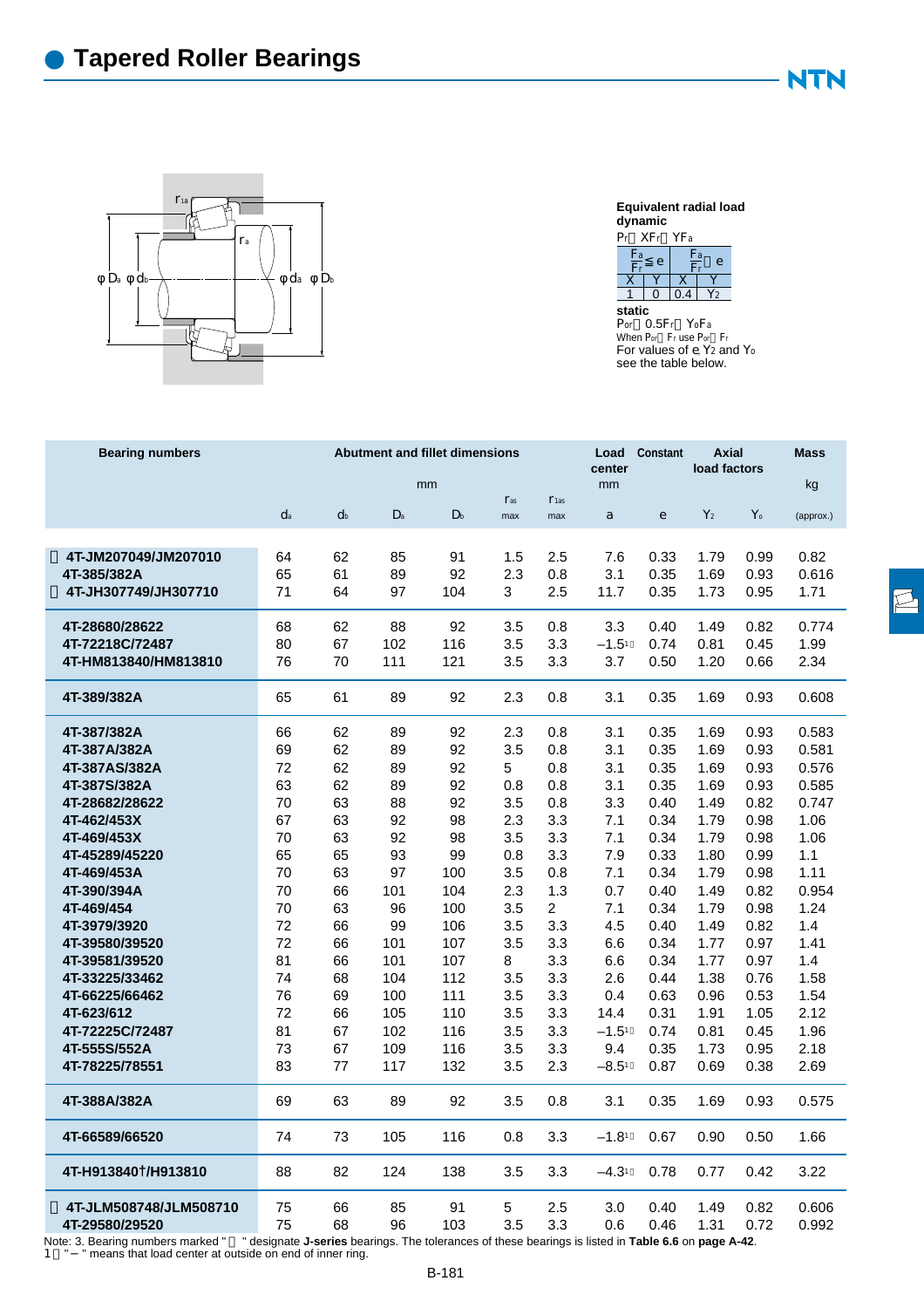





| <b>Bearing numbers</b>                   |                                      |                |            | <b>Abutment and fillet dimensions</b> |                     |                         | Load<br>center | <b>Constant</b>  | <b>Axial</b><br>load factors |              | <b>Mass</b>   |
|------------------------------------------|--------------------------------------|----------------|------------|---------------------------------------|---------------------|-------------------------|----------------|------------------|------------------------------|--------------|---------------|
|                                          |                                      |                |            | mm                                    |                     |                         | mm             |                  |                              |              | kg            |
|                                          | $d_{\scriptscriptstyle{\theta}}$     | $\mathfrak{a}$ | $D_{a}$    | $D_{\rm b}$                           | $r_{\rm as}$<br>max | $r_{\text{las}}$<br>max | a              | $\boldsymbol{e}$ | $Y_2$                        | $Y_0$        | (approx.)     |
|                                          |                                      |                |            |                                       |                     |                         |                |                  |                              |              |               |
| 4T-JM207049/JM207010                     | 64                                   | 62             | 85         | 91                                    | 1.5                 | 2.5                     | 7.6            | 0.33             | 1.79                         | 0.99         | 0.82          |
| 4T-385/382A                              | 65                                   | 61             | 89         | 92                                    | 2.3                 | 0.8                     | 3.1            | 0.35             | 1.69                         | 0.93         | 0.616         |
| 4T-JH307749/JH307710                     | 71                                   | 64             | 97         | 104                                   | 3                   | 2.5                     | 11.7           | 0.35             | 1.73                         | 0.95         | 1.71          |
|                                          |                                      |                |            |                                       |                     |                         |                |                  |                              |              |               |
| 4T-28680/28622                           | 68                                   | 62             | 88         | 92                                    | 3.5                 | 0.8                     | 3.3            | 0.40             | 1.49                         | 0.82         | 0.774         |
| 4T-72218C/72487                          | 80                                   | 67             | 102        | 116                                   | 3.5                 | 3.3                     | $-1.51$        | 0.74             | 0.81                         | 0.45         | 1.99          |
| 4T-HM813840/HM813810                     | 76                                   | 70             | 111        | 121                                   | 3.5                 | 3.3                     | 3.7            | 0.50             | 1.20                         | 0.66         | 2.34          |
| 4T-389/382A                              | 65                                   | 61             | 89         | 92                                    | 2.3                 | 0.8                     | 3.1            | 0.35             | 1.69                         | 0.93         | 0.608         |
| 4T-387/382A                              | 66                                   | 62             | 89         | 92                                    | 2.3                 | 0.8                     | 3.1            | 0.35             | 1.69                         | 0.93         | 0.583         |
| 4T-387A/382A                             | 69                                   | 62             | 89         | 92                                    | 3.5                 | 0.8                     | 3.1            | 0.35             | 1.69                         | 0.93         | 0.581         |
| 4T-387AS/382A                            | 72                                   | 62             | 89         | 92                                    | 5                   | 0.8                     | 3.1            | 0.35             | 1.69                         | 0.93         | 0.576         |
| 4T-387S/382A                             | 63                                   | 62             | 89         | 92                                    | 0.8                 | 0.8                     | 3.1            | 0.35             | 1.69                         | 0.93         | 0.585         |
| 4T-28682/28622                           | 70                                   | 63             | 88         | 92                                    | 3.5                 | 0.8                     | 3.3            | 0.40             | 1.49                         | 0.82         | 0.747         |
| 4T-462/453X                              | 67                                   | 63             | 92         | 98                                    | 2.3                 | 3.3                     | 7.1            | 0.34             | 1.79                         | 0.98         | 1.06          |
| 4T-469/453X                              | 70                                   | 63             | 92         | 98                                    | 3.5                 | 3.3                     | 7.1            | 0.34             | 1.79                         | 0.98         | 1.06          |
| 4T-45289/45220                           | 65                                   | 65             | 93         | 99                                    | 0.8                 | 3.3                     | 7.9            | 0.33             | 1.80                         | 0.99         | 1.1           |
| 4T-469/453A                              | 70                                   | 63             | 97         | 100                                   | 3.5                 | 0.8                     | 7.1            | 0.34             | 1.79                         | 0.98         | 1.11          |
| 4T-390/394A<br>4T-469/454                | 70                                   | 66             | 101<br>96  | 104                                   | 2.3                 | 1.3<br>$\overline{2}$   | 0.7<br>7.1     | 0.40             | 1.49                         | 0.82         | 0.954<br>1.24 |
| 4T-3979/3920                             | 70<br>72                             | 63<br>66       | 99         | 100<br>106                            | 3.5<br>3.5          | 3.3                     | 4.5            | 0.34<br>0.40     | 1.79<br>1.49                 | 0.98<br>0.82 | 1.4           |
| 4T-39580/39520                           | 72                                   | 66             | 101        | 107                                   | 3.5                 | 3.3                     | 6.6            | 0.34             | 1.77                         | 0.97         | 1.41          |
| 4T-39581/39520                           | 81                                   | 66             | 101        | 107                                   | 8                   | 3.3                     | 6.6            | 0.34             | 1.77                         | 0.97         | 1.4           |
| 4T-33225/33462                           | 74                                   | 68             | 104        | 112                                   | 3.5                 | 3.3                     | 2.6            | 0.44             | 1.38                         | 0.76         | 1.58          |
| 4T-66225/66462                           | 76                                   | 69             | 100        | 111                                   | 3.5                 | 3.3                     | 0.4            | 0.63             | 0.96                         | 0.53         | 1.54          |
| 4T-623/612                               | 72                                   | 66             | 105        | 110                                   | 3.5                 | 3.3                     | 14.4           | 0.31             | 1.91                         | 1.05         | 2.12          |
| 4T-72225C/72487                          | 81                                   | 67             | 102        | 116                                   | 3.5                 | 3.3                     | $-1.5^{\circ}$ | 0.74             | 0.81                         | 0.45         | 1.96          |
| 4T-555S/552A                             | 73                                   | 67             | 109        | 116                                   | 3.5                 | 3.3                     | 9.4            | 0.35             | 1.73                         | 0.95         | 2.18          |
| 4T-78225/78551                           | 83                                   | 77             | 117        | 132                                   | 3.5                 | 2.3                     | $-8.5^{\circ}$ | 0.87             | 0.69                         | 0.38         | 2.69          |
| 4T-388A/382A                             | 69                                   | 63             | 89         | 92                                    | 3.5                 | 0.8                     | 3.1            | 0.35             | 1.69                         | 0.93         | 0.575         |
| 4T-66589/66520                           | 74                                   | 73             | 105        | 116                                   | 0.8                 | 3.3                     | $-1.81$        | 0.67             | 0.90                         | 0.50         | 1.66          |
| 4T-H9138407/H913810                      | 88<br>82<br>124<br>138<br>3.5<br>3.3 |                |            |                                       |                     | $-4.3^{\circ}$          | 0.78           | 0.77             | 0.42                         | 3.22         |               |
| 4T-JLM508748/JLM508710<br>4T-29580/29520 | 75<br>75                             | 66<br>68       | 3.0<br>0.6 | 0.40<br>0.46                          | 1.49<br>1.31        | 0.82<br>0.72            | 0.606<br>0.992 |                  |                              |              |               |

Note: 3. Bearing numbers marked " " designate **J-series** bearings. The tolerances of these bearings is listed in **Table 6.6** on **page A-42**. 1) " " means that load center at outside on end of inner ring.

 $\overline{\triangle}$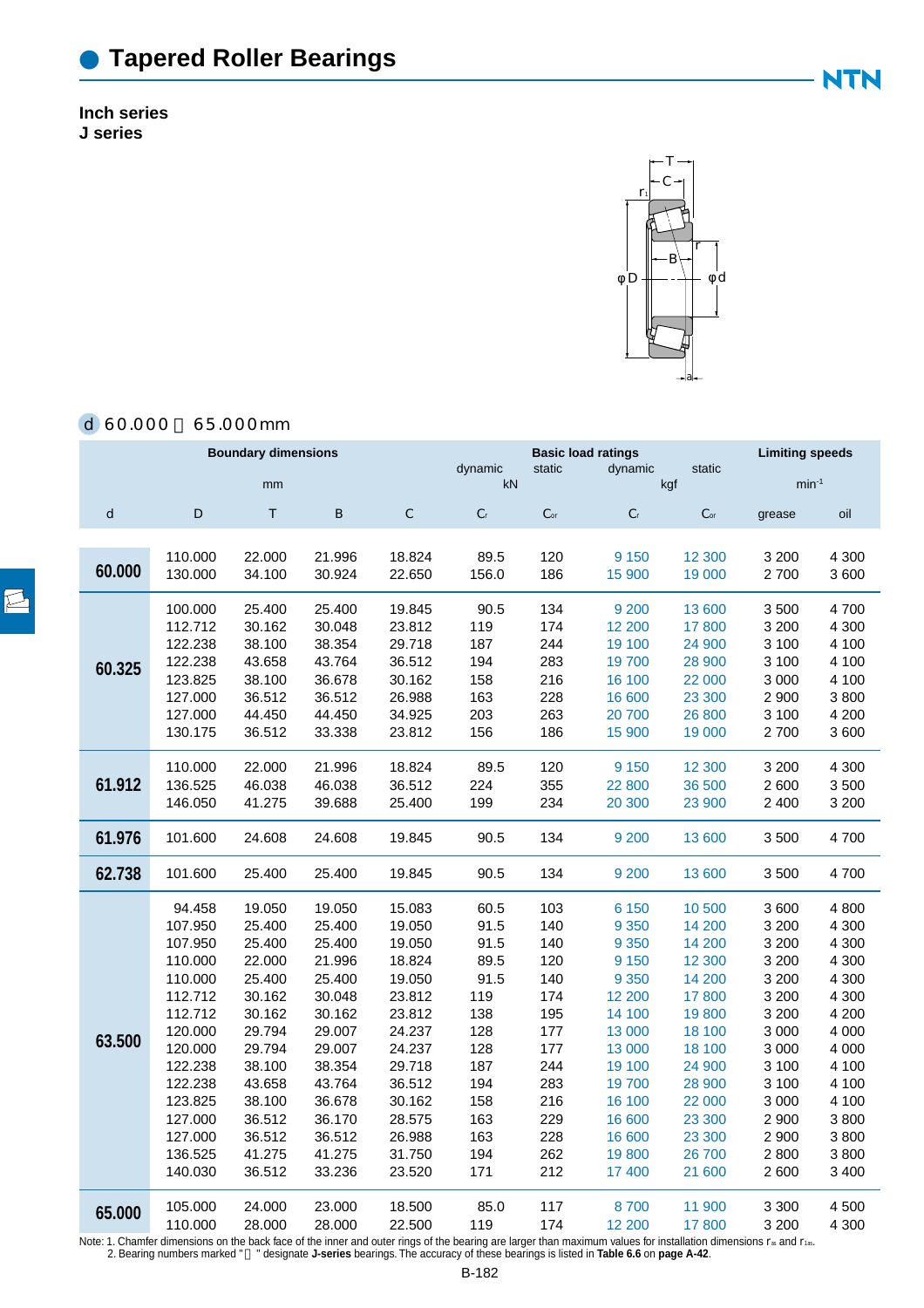

**NTN** 

P

 *d* 60.000 ~ 65.000mm

|                | <b>Boundary dimensions</b><br>mm |                  |                  |                  |               |                             | <b>Basic load ratings</b> |                  | <b>Limiting speeds</b> |                 |
|----------------|----------------------------------|------------------|------------------|------------------|---------------|-----------------------------|---------------------------|------------------|------------------------|-----------------|
|                |                                  |                  |                  |                  | dynamic<br>kN | static                      | dynamic                   | static<br>kgf    | $min^{-1}$             |                 |
| $\overline{d}$ | $\boldsymbol{D}$                 | $\cal T$         | $\boldsymbol{B}$ | $\mathcal{C}$    | $C_{\rm r}$   | $C_{\hbox{\scriptsize or}}$ | $C_{\rm r}$               | $C_{\rm or}$     | grease                 | oil             |
|                | 110.000                          | 22.000           | 21.996           | 18.824           | 89.5          | 120                         | 9 1 5 0                   | 12 300           | 3 200                  | 4 300           |
| 60.000         | 130.000                          | 34.100           | 30.924           | 22.650           | 156.0         | 186                         | 15 900                    | 19 000           | 2700                   | 3 600           |
|                | 100.000                          | 25.400           | 25.400           | 19.845           | 90.5          | 134                         | 9 200                     | 13 600           | 3500                   | 4700            |
|                | 112.712                          | 30.162           | 30.048           | 23.812           | 119           | 174                         | 12 200                    | 17800            | 3 200                  | 4 300           |
|                | 122.238                          | 38.100           | 38.354           | 29.718           | 187           | 244                         | 19 100                    | 24 900           | 3 100                  | 4 100           |
| 60.325         | 122.238                          | 43.658           | 43.764           | 36.512           | 194           | 283                         | 19700                     | 28 900           | 3 100                  | 4 100           |
|                | 123.825                          | 38.100           | 36.678           | 30.162           | 158           | 216                         | 16 100                    | 22 000           | 3 0 0 0                | 4 100           |
|                | 127.000                          | 36.512           | 36.512           | 26.988           | 163           | 228                         | 16 600                    | 23 300           | 2 900                  | 3800            |
|                | 127.000                          | 44.450           | 44.450           | 34.925           | 203           | 263                         | 20 700                    | 26 800           | 3 100                  | 4 200           |
|                | 130.175                          | 36.512           | 33.338           | 23.812           | 156           | 186                         | 15 900                    | 19 000           | 2700                   | 3600            |
|                | 110.000                          | 22.000           | 21.996           | 18.824           | 89.5          | 120                         | 9 1 5 0                   | 12 300           | 3 200                  | 4 300           |
| 61.912         | 136.525                          | 46.038           | 46.038           | 36.512           | 224           | 355                         | 22 800                    | 36 500           | 2 600                  | 3500            |
|                | 146.050                          | 41.275           | 39.688           | 25.400           | 199           | 234                         | 20 300                    | 23 900           | 2 4 0 0                | 3 200           |
| 61.976         | 101.600                          | 24.608           | 24.608           | 19.845           | 90.5          | 134                         | 9 200                     | 13 600           | 3500                   | 4700            |
| 62.738         | 101.600                          | 25.400           | 25.400           | 19.845           | 90.5          | 134                         | 9 200                     | 13 600           | 3500                   | 4700            |
|                | 94.458                           | 19.050           | 19.050           | 15.083           | 60.5          | 103                         | 6 150                     | 10 500           | 3600                   | 4 800           |
|                | 107.950                          | 25.400           | 25.400           | 19.050           | 91.5          | 140                         | 9 3 5 0                   | 14 200           | 3 200                  | 4 300           |
|                | 107.950                          | 25.400           | 25.400           | 19.050           | 91.5          | 140                         | 9 3 5 0                   | 14 200           | 3 2 0 0                | 4 300           |
|                | 110.000                          | 22.000           | 21.996           | 18.824           | 89.5          | 120                         | 9 1 5 0                   | 12 300           | 3 2 0 0                | 4 300           |
|                | 110.000                          | 25.400           | 25.400           | 19.050           | 91.5          | 140                         | 9 3 5 0                   | 14 200           | 3 2 0 0                | 4 300           |
|                | 112.712                          | 30.162           | 30.048           | 23.812           | 119           | 174                         | 12 200                    | 17800            | 3 200                  | 4 300           |
|                | 112.712                          | 30.162           | 30.162           | 23.812           | 138           | 195                         | 14 100                    | 19 800           | 3 2 0 0                | 4 200           |
| 63.500         | 120.000                          | 29.794           | 29.007           | 24.237           | 128           | 177                         | 13 000                    | 18 100           | 3 0 0 0                | 4 0 0 0         |
|                | 120.000                          | 29.794           | 29.007           | 24.237           | 128           | 177                         | 13 000                    | 18 100           | 3 0 0 0                | 4 0 0 0         |
|                | 122.238                          | 38.100           | 38.354           | 29.718           | 187           | 244                         | 19 100                    | 24 900           | 3 100                  | 4 100           |
|                | 122.238                          | 43.658           | 43.764           | 36.512           | 194           | 283                         | 19700                     | 28 900           | 3 100                  | 4 100           |
|                | 123.825                          | 38.100           | 36.678           | 30.162           | 158           | 216                         | 16 100                    | 22 000           | 3 0 0 0                | 4 100           |
|                | 127.000                          | 36.512           | 36.170           | 28.575           | 163           | 229                         | 16 600                    | 23 300           | 2 9 0 0                | 3800            |
|                | 127.000                          | 36.512           | 36.512           | 26.988           | 163           | 228                         | 16 600                    | 23 300           | 2 900                  | 3800            |
|                | 136.525<br>140.030               | 41.275<br>36.512 | 41.275<br>33.236 | 31.750<br>23.520 | 194<br>171    | 262<br>212                  | 19800<br>17 400           | 26 700<br>21 600 | 2800<br>2 600          | 3800<br>3 4 0 0 |
|                |                                  |                  |                  |                  |               |                             |                           |                  |                        |                 |
| 65,000         | 105.000                          | 24.000           | 23.000           | 18.500           | 85.0          | 117                         | 8700                      | 11 900           | 3 3 0 0                | 4 500           |
|                | 110.000                          | 28.000           | 28.000           | 22.500           | 119           | 174                         | 12 200                    | 17800            | 3 2 0 0                | 4 300           |

Note: 1. Chamfer dimensions on the back face of the inner and outer rings of the bearing are larger than maximum values for installation dimensions *r*<sub>®</sub> and *r*ı‱.<br>2. Bearing numbers marked " = " designate **J-series** be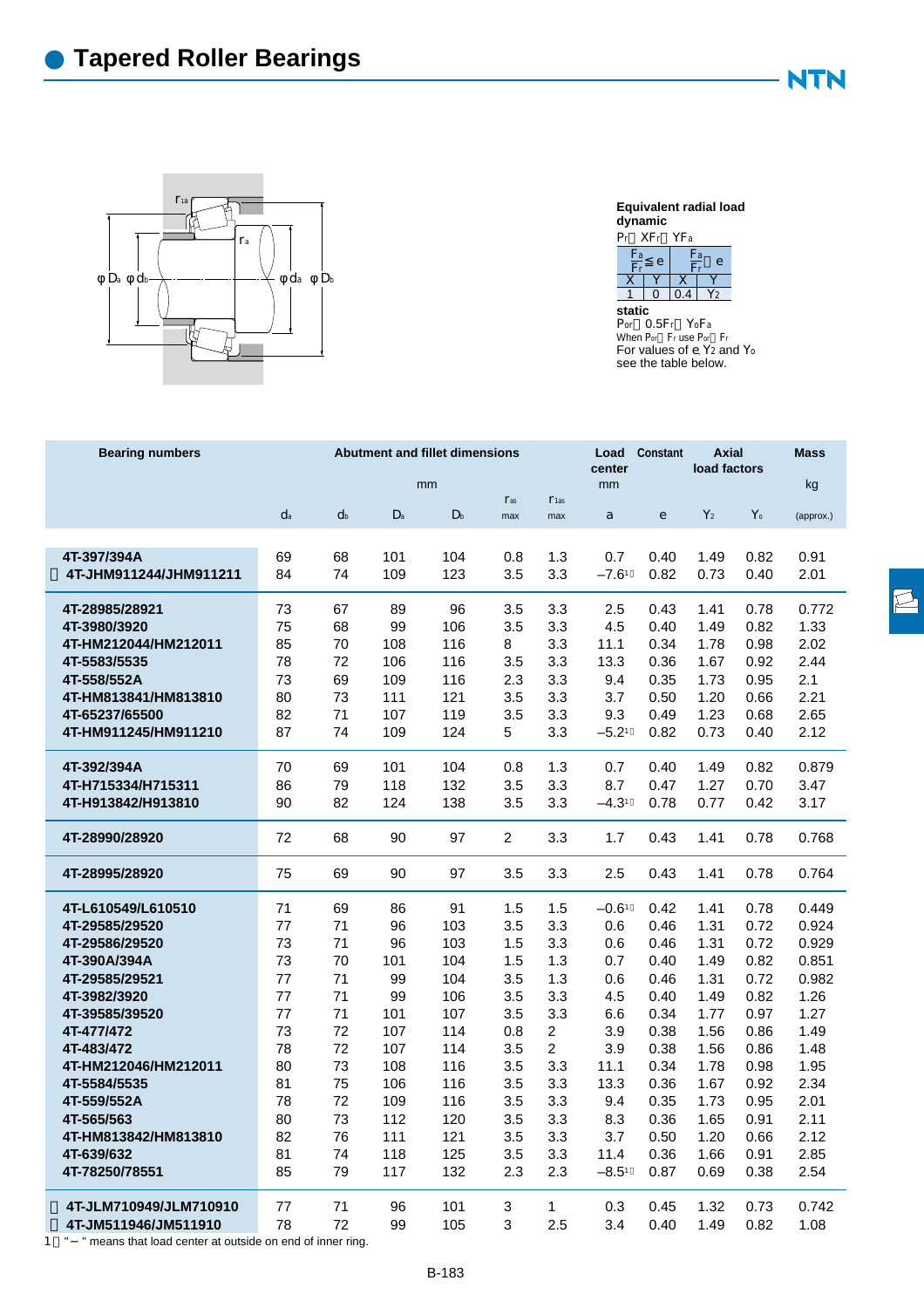





| <b>Bearing numbers</b>                                         |                                  |                                      |         | <b>Abutment and fillet dimensions</b> |                          |                | Load<br>center         | <b>Constant</b>  | <b>Axial</b><br>load factors |              | <b>Mass</b>  |
|----------------------------------------------------------------|----------------------------------|--------------------------------------|---------|---------------------------------------|--------------------------|----------------|------------------------|------------------|------------------------------|--------------|--------------|
|                                                                |                                  |                                      |         | mm                                    |                          |                | mm                     |                  |                              |              | kg           |
|                                                                |                                  |                                      |         |                                       | $\mathcal{T}\mathrm{as}$ | $\Gamma$ las   |                        |                  |                              |              |              |
|                                                                | $d_{\scriptscriptstyle{\theta}}$ | $d_{\rm b}$                          | $D_{a}$ | $D_{\rm b}$                           | max                      | max            | $\boldsymbol{a}$       | $\boldsymbol{e}$ | $Y_2$                        | $Y_{\circ}$  | (approx.)    |
|                                                                |                                  |                                      |         |                                       |                          |                |                        |                  |                              |              |              |
| 4T-397/394A                                                    | 69                               | 68                                   | 101     | 104                                   | 0.8                      | 1.3            | 0.7                    | 0.40             | 1.49                         | 0.82         | 0.91         |
| 4T-JHM911244/JHM911211                                         | 84                               | 74                                   | 109     | 123                                   | 3.5                      | 3.3            | $-7.61$                | 0.82             | 0.73                         | 0.40         | 2.01         |
| 4T-28985/28921                                                 | 73                               | 67                                   | 89      | 96                                    | 3.5                      | 3.3            | 2.5                    | 0.43             | 1.41                         | 0.78         | 0.772        |
| 4T-3980/3920                                                   | 75                               | 68                                   | 99      | 106                                   | 3.5                      | 3.3            | 4.5                    | 0.40             | 1.49                         | 0.82         | 1.33         |
| 4T-HM212044/HM212011                                           | 85                               | 70                                   | 108     | 116                                   | 8                        | 3.3            | 11.1                   | 0.34             | 1.78                         | 0.98         | 2.02         |
| 4T-5583/5535                                                   | 78                               | 72                                   | 106     | 116                                   | 3.5                      | 3.3            | 13.3                   | 0.36             | 1.67                         | 0.92         | 2.44         |
| 4T-558/552A                                                    | 73                               | 69                                   | 109     | 116                                   | 2.3                      | 3.3            | 9.4                    | 0.35             | 1.73                         | 0.95         | 2.1          |
| 4T-HM813841/HM813810                                           | 80                               | 73                                   | 111     | 121                                   | 3.5                      | 3.3            | 3.7                    | 0.50             | 1.20                         | 0.66         | 2.21         |
| 4T-65237/65500                                                 | 82                               | 71                                   | 107     | 119                                   | 3.5                      | 3.3            | 9.3                    | 0.49             | 1.23                         | 0.68         | 2.65         |
| 4T-HM911245/HM911210                                           | 87                               | 74                                   | 109     | 124                                   | 5                        | 3.3            | $-5.2^{\circ}$         | 0.82             | 0.73                         | 0.40         | 2.12         |
|                                                                |                                  |                                      |         |                                       |                          |                |                        |                  |                              |              |              |
| 4T-392/394A                                                    | 70                               | 69                                   | 101     | 104                                   | 0.8                      | 1.3            | 0.7                    | 0.40             | 1.49                         | 0.82         | 0.879        |
| 4T-H715334/H715311                                             | 86                               | 79                                   | 118     | 132                                   | 3.5                      | 3.3            | 8.7                    | 0.47             | 1.27                         | 0.70         | 3.47         |
| 4T-H913842/H913810                                             | 90                               | 82                                   | 124     | 138                                   | 3.5                      | 3.3            | $-4.3^{\circ}$         | 0.78             | 0.77                         | 0.42         | 3.17         |
| 4T-28990/28920                                                 | 72                               | 68                                   | 90      | 97                                    | $\overline{2}$           | 3.3            | 1.7                    | 0.43             | 1.41                         | 0.78         | 0.768        |
| 4T-28995/28920                                                 | 75                               | 69                                   | 90      | 97                                    | 3.5                      | 3.3            | 2.5                    | 0.43             | 1.41                         | 0.78         | 0.764        |
|                                                                |                                  |                                      |         |                                       |                          |                |                        |                  |                              |              |              |
| 4T-L610549/L610510                                             | 71                               | 69                                   | 86      | 91                                    | 1.5                      | 1.5            | $-0.61$                | 0.42             | 1.41                         | 0.78         | 0.449        |
| 4T-29585/29520                                                 | 77                               | 71                                   | 96      | 103                                   | 3.5                      | 3.3            | 0.6                    | 0.46             | 1.31                         | 0.72         | 0.924        |
| 4T-29586/29520                                                 | 73                               | 71                                   | 96      | 103                                   | 1.5                      | 3.3            | 0.6                    | 0.46             | 1.31                         | 0.72         | 0.929        |
| 4T-390A/394A                                                   | 73                               | 70                                   | 101     | 104                                   | 1.5                      | 1.3            | 0.7                    | 0.40             | 1.49                         | 0.82         | 0.851        |
| 4T-29585/29521                                                 | 77                               | 71                                   | 99      | 104                                   | 3.5                      | 1.3            | 0.6                    | 0.46             | 1.31                         | 0.72         | 0.982        |
| 4T-3982/3920                                                   | 77                               | 71                                   | 99      | 106                                   | 3.5                      | 3.3            | 4.5                    | 0.40             | 1.49                         | 0.82         | 1.26         |
| 4T-39585/39520                                                 | 77                               | 71                                   | 101     | 107                                   | 3.5                      | 3.3            | 6.6                    | 0.34             | 1.77                         | 0.97         | 1.27         |
| 4T-477/472                                                     | 73                               | 72                                   | 107     | 114                                   | 0.8                      | $\overline{2}$ | 3.9                    | 0.38             | 1.56                         | 0.86         | 1.49         |
| 4T-483/472                                                     | 78                               | 72                                   | 107     | 114                                   | 3.5                      | $\overline{2}$ | 3.9                    | 0.38             | 1.56                         | 0.86         | 1.48         |
| 4T-HM212046/HM212011                                           | 80                               | 73                                   | 108     | 116                                   | 3.5                      | 3.3            | 11.1                   | 0.34             | 1.78                         | 0.98         | 1.95         |
| 4T-5584/5535                                                   | 81                               | 75                                   | 106     | 116                                   | 3.5                      | 3.3            | 13.3                   | 0.36             | 1.67                         | 0.92         | 2.34         |
| 4T-559/552A                                                    | 78                               | 72                                   | 109     | 116                                   | 3.5                      | 3.3            | 9.4                    | 0.35             | 1.73                         | 0.95         | 2.01         |
| 4T-565/563                                                     | 80                               | 73                                   | 112     | 120                                   | 3.5                      | 3.3            | 8.3                    | 0.36             | 1.65                         | 0.91         | 2.11         |
| 4T-HM813842/HM813810                                           |                                  | 82<br>76<br>111<br>121<br>3.5<br>3.3 |         |                                       |                          |                | 3.7                    | 0.50             | 1.20                         | 0.66         | 2.12         |
| 4T-639/632<br>4T-78250/78551                                   |                                  | 81<br>74<br>118<br>125<br>3.5<br>3.3 |         |                                       |                          |                | 11.4<br>$-8.5^{\circ}$ | 0.36<br>0.87     | 1.66<br>0.69                 | 0.91<br>0.38 | 2.85<br>2.54 |
|                                                                |                                  | 85<br>79<br>117<br>132<br>2.3<br>2.3 |         |                                       |                          |                |                        |                  |                              |              |              |
| 4T-JLM710949/JLM710910                                         | 77                               | 71                                   | 96      | 101                                   | 3                        | 0.3            | 0.45                   | 1.32             | 0.73                         | 0.742        |              |
| 4T-JM511946/JM511910                                           | 78                               | 72                                   | 99      | 105                                   | 3                        | 2.5            | 3.4                    | 0.40             | 1.49                         | 0.82         | 1.08         |
| " means that load center at outside on end of inner ring.<br>1 |                                  |                                      |         |                                       |                          |                |                        |                  |                              |              |              |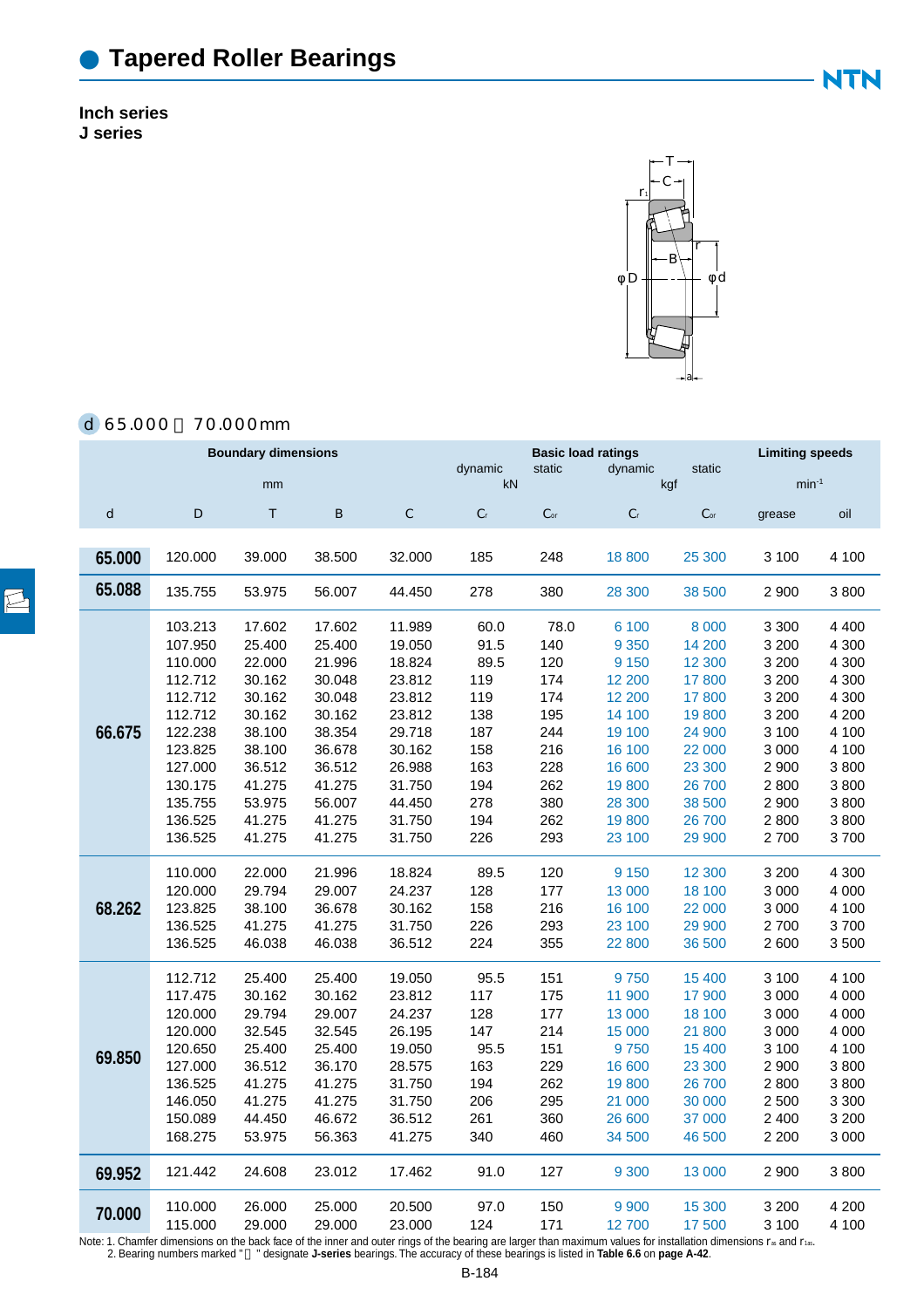

| $d$ 65.000 | 70.000mm |
|------------|----------|
|            |          |

|                |                    | <b>Boundary dimensions</b> |                  |                  |               | <b>Basic load ratings</b> |                  |                   | <b>Limiting speeds</b> |                  |
|----------------|--------------------|----------------------------|------------------|------------------|---------------|---------------------------|------------------|-------------------|------------------------|------------------|
|                |                    | mm                         |                  |                  | dynamic<br>kN | static                    | dynamic          | static<br>kgf     | $min-1$                |                  |
| $\overline{d}$ | $\boldsymbol{D}$   | $\cal T$                   | $\boldsymbol{B}$ | $\mathcal{C}$    | $C_{\rm r}$   | $C_{\text{or}}$           | $C_{\rm r}$      | $C_{or}$          | grease                 | oil              |
| 65.000         | 120.000            | 39.000                     | 38.500           | 32.000           | 185           | 248                       | 18 800           | 25 300            | 3 100                  | 4 100            |
| 65.088         | 135.755            | 53.975                     | 56.007           | 44.450           | 278           | 380                       | 28 300           | 38 500            | 2 900                  | 3800             |
|                | 103.213<br>107.950 | 17.602<br>25.400           | 17.602<br>25.400 | 11.989<br>19.050 | 60.0<br>91.5  | 78.0<br>140               | 6 100<br>9 3 5 0 | 8 0 0 0<br>14 200 | 3 300<br>3 200         | 4 4 0 0<br>4 300 |
|                | 110.000            | 22.000                     | 21.996           | 18.824           | 89.5          | 120                       | 9 1 5 0          | 12 300            | 3 200                  | 4 300            |
|                | 112.712            | 30.162                     | 30.048           | 23.812           | 119           | 174                       | 12 200           | 17800             | 3 200                  | 4 300            |
|                | 112.712            | 30.162                     | 30.048           | 23.812           | 119           | 174                       | 12 200           | 17800             | 3 200                  | 4 300            |
|                | 112.712            | 30.162                     | 30.162           | 23.812           | 138           | 195                       | 14 100           | 19800             | 3 200                  | 4 200            |
| 66.675         | 122.238            | 38.100                     | 38.354           | 29.718           | 187           | 244                       | 19 100           | 24 900            | 3 100                  | 4 100            |
|                | 123.825            | 38.100                     | 36.678           | 30.162           | 158           | 216                       | 16 100           | 22 000            | 3 000                  | 4 100            |
|                | 127.000            | 36.512                     | 36.512           | 26.988           | 163           | 228                       | 16 600           | 23 300            | 2 900                  | 3800             |
|                | 130.175            | 41.275                     | 41.275           | 31.750           | 194           | 262                       | 19800            | 26 700            | 2800                   | 3800             |
|                | 135.755            | 53.975                     | 56.007           | 44.450           | 278           | 380                       | 28 300           | 38 500            | 2 900                  | 3800             |
|                | 136.525            | 41.275                     | 41.275           | 31.750           | 194           | 262                       | 19 800           | 26700             | 2800                   | 3800             |
|                | 136.525            | 41.275                     | 41.275           | 31.750           | 226           | 293                       | 23 100           | 29 900            | 2700                   | 3700             |
|                | 110.000            | 22.000                     | 21.996           | 18.824           | 89.5          | 120                       | 9 1 5 0          | 12 300            | 3 200                  | 4 300            |
|                | 120.000            | 29.794                     | 29.007           | 24.237           | 128           | 177                       | 13 000           | 18 100            | 3 0 0 0                | 4 0 0 0          |
| 68.262         | 123.825            | 38.100                     | 36.678           | 30.162           | 158           | 216                       | 16 100           | 22 000            | 3 000                  | 4 100            |
|                | 136.525            | 41.275                     | 41.275           | 31.750           | 226           | 293                       | 23 100           | 29 900            | 2700                   | 3700             |
|                | 136.525            | 46.038                     | 46.038           | 36.512           | 224           | 355                       | 22 800           | 36 500            | 2 600                  | 3500             |
|                | 112.712            | 25.400                     | 25.400           | 19.050           | 95.5          | 151                       | 9750             | 15 400            | 3 100                  | 4 100            |
|                | 117.475            | 30.162                     | 30.162           | 23.812           | 117           | 175                       | 11 900           | 17 900            | 3 000                  | 4 0 0 0          |
|                | 120.000            | 29.794                     | 29.007           | 24.237           | 128           | 177                       | 13 000           | 18 100            | 3 0 0 0                | 4 0 0 0          |
|                | 120.000<br>120.650 | 32.545<br>25.400           | 32.545<br>25.400 | 26.195<br>19.050 | 147<br>95.5   | 214<br>151                | 15 000<br>9750   | 21 800<br>15 400  | 3 0 0 0<br>3 100       | 4 0 0 0<br>4 100 |
| 69.850         | 127.000            | 36.512                     | 36.170           | 28.575           | 163           | 229                       | 16 600           | 23 300            | 2 900                  | 3800             |
|                | 136.525            | 41.275                     | 41.275           | 31.750           | 194           | 262                       | 19800            | 26 700            | 2800                   | 3800             |
|                | 146.050            | 41.275                     | 41.275           | 31.750           | 206           | 295                       | 21 000           | 30 000            | 2 500                  | 3 3 0 0          |
|                | 150.089            | 44.450                     | 46.672           | 36.512           | 261           | 360                       | 26 600           | 37 000            | 2 400                  | 3 200            |
|                | 168.275            | 53.975                     | 56.363           | 41.275           | 340           | 460                       | 34 500           | 46 500            | 2 2 0 0                | 3 0 0 0          |
| 69.952         | 121.442            | 24.608                     | 23.012           | 17.462           | 91.0          | 127                       | 9 300            | 13 000            | 2 900                  | 3800             |
| 70.000         | 110.000            | 26.000                     | 25.000           | 20.500           | 97.0          | 150                       | 9 9 0 0          | 15 300            | 3 200                  | 4 200            |
|                | 115.000            | 29.000                     | 29.000           | 23.000           | 124           | 171                       | 12700            | 17 500            | 3 100                  | 4 100            |

Note: 1. Chamfer dimensions on the back face of the inner and outer rings of the bearing are larger than maximum values for installation dimensions *r*<sub>®</sub> and *r*ı‱.<br>2. Bearing numbers marked " = " designate **J-series** be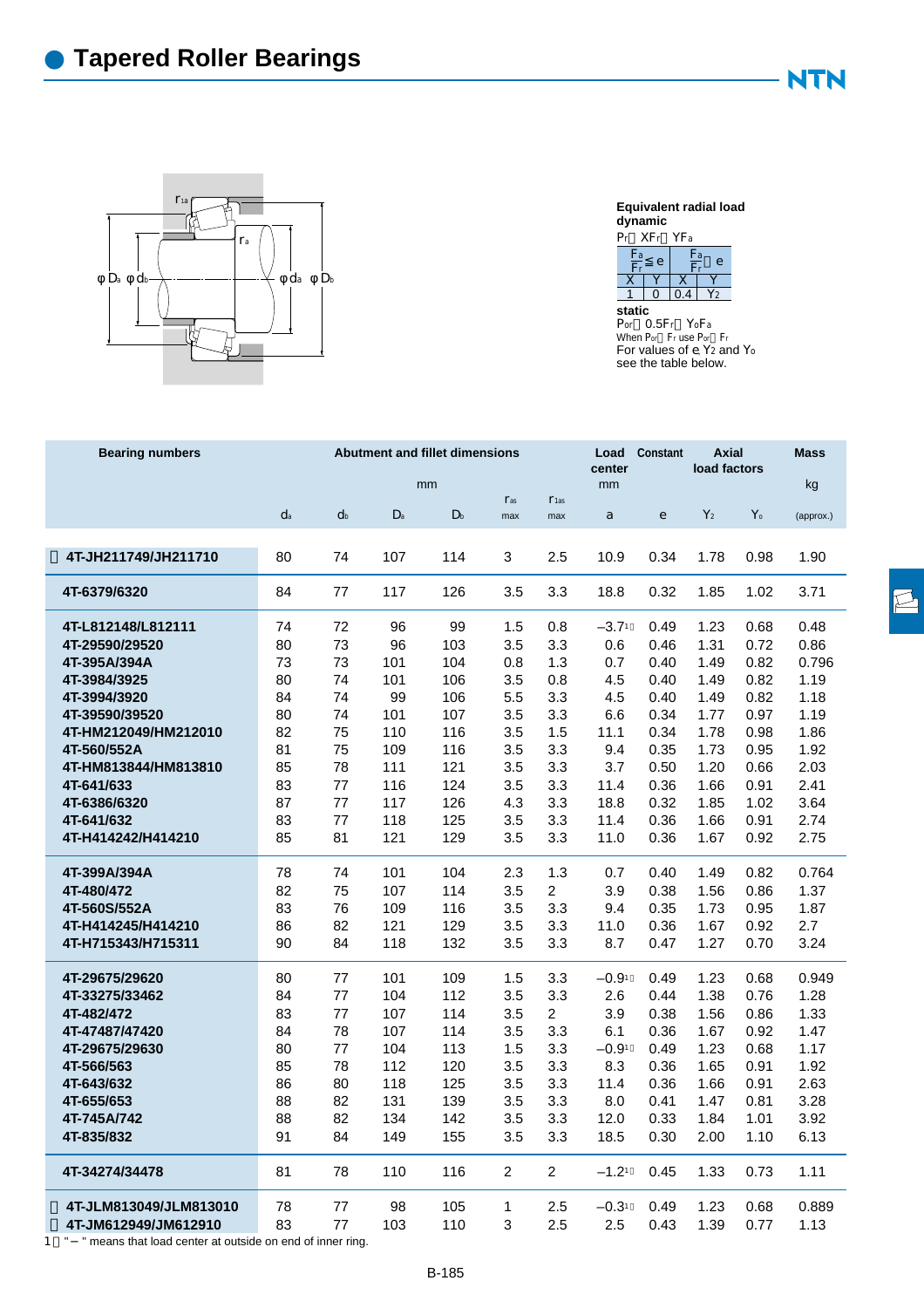

#### **Equivalent radial load dynamic**



**static** *P*or 0.5*F*r *Y*o*F*a When *P*or *F*<sup>r</sup> use *P*or *F*<sup>r</sup> For values of *e*, *Y*2 and *Y*o see the table below.

| <b>Bearing numbers</b>                                    |                                  |                                    |         | <b>Abutment and fillet dimensions</b> |                                 |                     | Load<br>center | Constant         | <b>Axial</b><br>load factors |         | <b>Mass</b> |
|-----------------------------------------------------------|----------------------------------|------------------------------------|---------|---------------------------------------|---------------------------------|---------------------|----------------|------------------|------------------------------|---------|-------------|
|                                                           |                                  |                                    |         | mm                                    |                                 |                     | mm             |                  |                              |         | kg          |
|                                                           | $d_{\scriptscriptstyle{\theta}}$ | $\mathfrak{a}$                     | $D_{a}$ | $D_{\rm b}$                           | $\mathcal{T}\mathrm{as}$<br>max | $\Gamma$ las<br>max | a              | $\boldsymbol{e}$ | $Y_2$                        | $Y_{o}$ | (approx.)   |
|                                                           |                                  |                                    |         |                                       |                                 |                     |                |                  |                              |         |             |
| 4T-JH211749/JH211710                                      | 80                               | 74                                 | 107     | 114                                   | 3                               | 2.5                 | 10.9           | 0.34             | 1.78                         | 0.98    | 1.90        |
| 4T-6379/6320                                              | 84                               | 77                                 | 117     | 126                                   | 3.5                             | 3.3                 | 18.8           | 0.32             | 1.85                         | 1.02    | 3.71        |
| 4T-L812148/L812111                                        | 74                               | 72                                 | 96      | 99                                    | 1.5                             | 0.8                 | $-3.7^{\circ}$ | 0.49             | 1.23                         | 0.68    | 0.48        |
| 4T-29590/29520                                            | 80                               | 73                                 | 96      | 103                                   | 3.5                             | 3.3                 | 0.6            | 0.46             | 1.31                         | 0.72    | 0.86        |
| 4T-395A/394A                                              | 73                               | 73                                 | 101     | 104                                   | 0.8                             | 1.3                 | 0.7            | 0.40             | 1.49                         | 0.82    | 0.796       |
| 4T-3984/3925                                              | 80                               | 74                                 | 101     | 106                                   | 3.5                             | 0.8                 | 4.5            | 0.40             | 1.49                         | 0.82    | 1.19        |
| 4T-3994/3920                                              | 84                               | 74                                 | 99      | 106                                   | 5.5                             | 3.3                 | 4.5            | 0.40             | 1.49                         | 0.82    | 1.18        |
| 4T-39590/39520                                            | 80                               | 74                                 | 101     | 107                                   | 3.5                             | 3.3                 | 6.6            | 0.34             | 1.77                         | 0.97    | 1.19        |
| 4T-HM212049/HM212010                                      | 82                               | 75                                 | 110     | 116                                   | 3.5                             | 1.5                 | 11.1           | 0.34             | 1.78                         | 0.98    | 1.86        |
| 4T-560/552A                                               | 81                               | 75                                 | 109     | 116                                   | 3.5                             | 3.3                 | 9.4            | 0.35             | 1.73                         | 0.95    | 1.92        |
| 4T-HM813844/HM813810                                      | 85                               | 78                                 | 111     | 121                                   | 3.5                             | 3.3                 | 3.7            | 0.50             | 1.20                         | 0.66    | 2.03        |
| 4T-641/633                                                | 83                               | 77                                 | 116     | 124                                   | 3.5                             | 3.3                 | 11.4           | 0.36             | 1.66                         | 0.91    | 2.41        |
| 4T-6386/6320                                              | 87                               | 77                                 | 117     | 126                                   | 4.3                             | 3.3                 | 18.8           | 0.32             | 1.85                         | 1.02    | 3.64        |
| 4T-641/632                                                | 83                               | 77                                 | 118     | 125                                   | 3.5                             | 3.3                 | 11.4           | 0.36             | 1.66                         | 0.91    | 2.74        |
| 4T-H414242/H414210                                        | 85                               | 81                                 | 121     | 129                                   | 3.5                             | 3.3                 | 11.0           | 0.36             | 1.67                         | 0.92    | 2.75        |
| 4T-399A/394A                                              | 78                               | 74                                 | 101     | 104                                   | 2.3                             | 1.3                 | 0.7            | 0.40             | 1.49                         | 0.82    | 0.764       |
| 4T-480/472                                                | 82                               | 75                                 | 107     | 114                                   | 3.5                             | $\overline{2}$      | 3.9            | 0.38             | 1.56                         | 0.86    | 1.37        |
| 4T-560S/552A                                              | 83                               | 76                                 | 109     | 116                                   | 3.5                             | 3.3                 | 9.4            | 0.35             | 1.73                         | 0.95    | 1.87        |
| 4T-H414245/H414210                                        | 86                               | 82                                 | 121     | 129                                   | 3.5                             | 3.3                 | 11.0           | 0.36             | 1.67                         | 0.92    | 2.7         |
| 4T-H715343/H715311                                        | 90                               | 84                                 | 118     | 132                                   | 3.5                             | 3.3                 | 8.7            | 0.47             | 1.27                         | 0.70    | 3.24        |
| 4T-29675/29620                                            | 80                               | 77                                 | 101     | 109                                   | 1.5                             | 3.3                 | $-0.91$        | 0.49             | 1.23                         | 0.68    | 0.949       |
| 4T-33275/33462                                            | 84                               | 77                                 | 104     | 112                                   | 3.5                             | 3.3                 | 2.6            | 0.44             | 1.38                         | 0.76    | 1.28        |
| 4T-482/472                                                | 83                               | 77                                 | 107     | 114                                   | 3.5                             | $\overline{2}$      | 3.9            | 0.38             | 1.56                         | 0.86    | 1.33        |
| 4T-47487/47420                                            | 84                               | 78                                 | 107     | 114                                   | 3.5                             | 3.3                 | 6.1            | 0.36             | 1.67                         | 0.92    | 1.47        |
| 4T-29675/29630                                            | 80                               | 77                                 | 104     | 113                                   | 1.5                             | 3.3                 | $-0.91$        | 0.49             | 1.23                         | 0.68    | 1.17        |
| 4T-566/563                                                | 85                               | 78                                 | 112     | 120                                   | 3.5                             | 3.3                 | 8.3            | 0.36             | 1.65                         | 0.91    | 1.92        |
| 4T-643/632                                                | 86                               | 80                                 | 118     | 125                                   | 3.5                             | 3.3                 | 11.4           | 0.36             | 1.66                         | 0.91    | 2.63        |
| 4T-655/653                                                | 88                               | 82                                 | 131     | 139                                   | 3.5                             | 3.3                 | 8.0            | 0.41             | 1.47                         | 0.81    | 3.28        |
| 4T-745A/742                                               | 88                               | 82                                 | 134     | 142                                   | 3.5                             | 3.3                 | 12.0           | 0.33             | 1.84                         | 1.01    | 3.92        |
| 4T-835/832                                                | 91                               | 84                                 | 149     | 155                                   | 3.5                             | 3.3                 | 18.5           | 0.30             | 2.00                         | 1.10    | 6.13        |
| 4T-34274/34478                                            | 81                               | 78                                 | 110     | 116                                   | $\overline{c}$                  | 2                   | $-1.2^1$       | 0.45             | 1.33                         | 0.73    | 1.11        |
| 4T-JLM813049/JLM813010                                    | 78                               | 77<br>98<br>105<br>1<br>2.5<br>2.5 |         |                                       |                                 |                     | $-0.3^{\circ}$ | 0.49             | 1.23                         | 0.68    | 0.889       |
| 4T-JM612949/JM612910                                      | 83                               | 77                                 | 103     | 2.5                                   | 0.43                            | 1.39                | 0.77           | 1.13             |                              |         |             |
| " means that load center at outside on end of inner ring. |                                  |                                    |         |                                       |                                 |                     |                |                  |                              |         |             |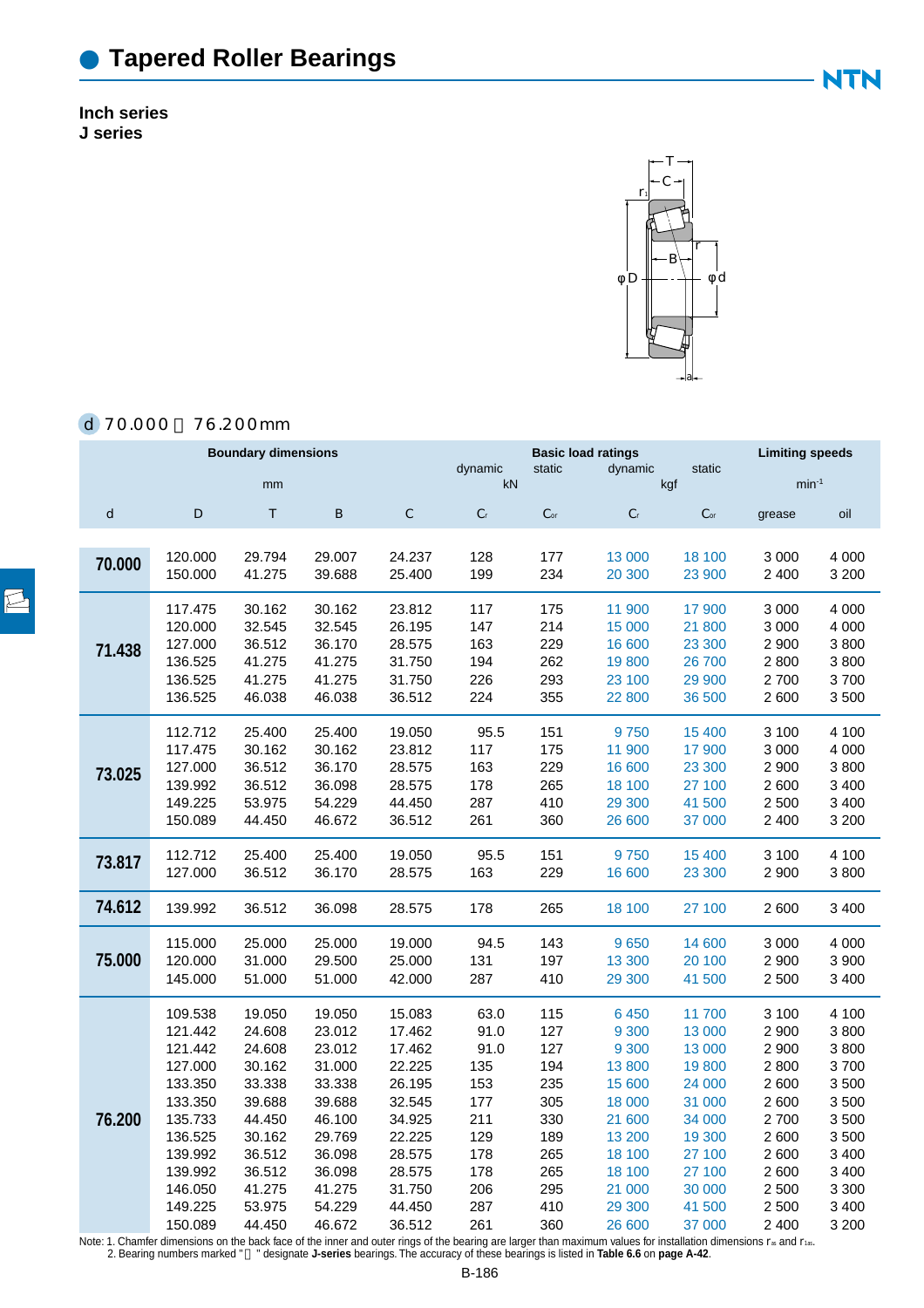

**NTN** 

P

 *d* 70.000 ~ 76.200mm

|                  | <b>Boundary dimensions</b> |          |          |               |               |                 | <b>Basic load ratings</b> |                 | <b>Limiting speeds</b> |         |
|------------------|----------------------------|----------|----------|---------------|---------------|-----------------|---------------------------|-----------------|------------------------|---------|
|                  |                            | mm       |          |               | dynamic<br>kN | static          | dynamic<br>kgf            | static          | $min-1$                |         |
| $\boldsymbol{d}$ | $\cal D$                   | $\cal T$ | $\cal B$ | $\mathcal{C}$ | $C_{\rm r}$   | $C_{\text{or}}$ | $C_{\rm r}$               | $C_{\text{or}}$ | grease                 | oil     |
|                  | 120.000                    | 29.794   | 29.007   | 24.237        | 128           | 177             | 13 000                    | 18 100          | 3 0 0 0                | 4 0 0 0 |
| 70.000           | 150.000                    | 41.275   | 39.688   | 25.400        | 199           | 234             | 20 300                    | 23 900          | 2 4 0 0                | 3 200   |
|                  | 117.475                    | 30.162   | 30.162   | 23.812        | 117           | 175             | 11 900                    | 17 900          | 3 0 0 0                | 4 0 0 0 |
|                  | 120.000                    | 32.545   | 32.545   | 26.195        | 147           | 214             | 15 000                    | 21 800          | 3 0 0 0                | 4 0 0 0 |
| 71.438           | 127.000                    | 36.512   | 36.170   | 28.575        | 163           | 229             | 16 600                    | 23 300          | 2 900                  | 3800    |
|                  | 136.525                    | 41.275   | 41.275   | 31.750        | 194           | 262             | 19800                     | 26 700          | 2800                   | 3800    |
|                  | 136.525                    | 41.275   | 41.275   | 31.750        | 226           | 293             | 23 100                    | 29 900          | 2700                   | 3700    |
|                  | 136.525                    | 46.038   | 46.038   | 36.512        | 224           | 355             | 22 800                    | 36 500          | 2600                   | 3500    |
|                  | 112.712                    | 25.400   | 25.400   | 19.050        | 95.5          | 151             | 9750                      | 15 400          | 3 100                  | 4 100   |
|                  | 117.475                    | 30.162   | 30.162   | 23.812        | 117           | 175             | 11 900                    | 17 900          | 3 0 0 0                | 4 0 0 0 |
| 73.025           | 127.000                    | 36.512   | 36.170   | 28.575        | 163           | 229             | 16 600                    | 23 300          | 2 900                  | 3800    |
|                  | 139.992                    | 36.512   | 36.098   | 28.575        | 178           | 265             | 18 100                    | 27 100          | 2 600                  | 3 4 0 0 |
|                  | 149.225                    | 53.975   | 54.229   | 44.450        | 287           | 410             | 29 300                    | 41 500          | 2 500                  | 3 4 0 0 |
|                  | 150.089                    | 44.450   | 46.672   | 36.512        | 261           | 360             | 26 600                    | 37 000          | 2 4 0 0                | 3 200   |
| 73.817           | 112.712                    | 25.400   | 25.400   | 19.050        | 95.5          | 151             | 9750                      | 15 400          | 3 100                  | 4 100   |
|                  | 127.000                    | 36.512   | 36.170   | 28.575        | 163           | 229             | 16 600                    | 23 300          | 2 900                  | 3800    |
| 74.612           | 139.992                    | 36.512   | 36.098   | 28.575        | 178           | 265             | 18 100                    | 27 100          | 2 600                  | 3 4 0 0 |
|                  | 115.000                    | 25.000   | 25.000   | 19.000        | 94.5          | 143             | 9650                      | 14 600          | 3 0 0 0                | 4 0 0 0 |
| 75.000           | 120.000                    | 31.000   | 29.500   | 25.000        | 131           | 197             | 13 300                    | 20 100          | 2 900                  | 3 900   |
|                  | 145.000                    | 51.000   | 51.000   | 42.000        | 287           | 410             | 29 300                    | 41 500          | 2 500                  | 3 4 0 0 |
|                  | 109.538                    | 19.050   | 19.050   | 15.083        | 63.0          | 115             | 6450                      | 11700           | 3 100                  | 4 100   |
|                  | 121.442                    | 24.608   | 23.012   | 17.462        | 91.0          | 127             | 9 300                     | 13 000          | 2 900                  | 3800    |
|                  | 121.442                    | 24.608   | 23.012   | 17.462        | 91.0          | 127             | 9 300                     | 13 000          | 2 900                  | 3800    |
|                  | 127.000                    | 30.162   | 31.000   | 22.225        | 135           | 194             | 13 800                    | 19800           | 2800                   | 3700    |
|                  | 133.350                    | 33.338   | 33.338   | 26.195        | 153           | 235             | 15 600                    | 24 000          | 2 600                  | 3500    |
|                  | 133.350                    | 39.688   | 39.688   | 32.545        | 177           | 305             | 18 000                    | 31 000          | 2600                   | 3500    |
| 76.200           | 135.733                    | 44.450   | 46.100   | 34.925        | 211           | 330             | 21 600                    | 34 000          | 2700                   | 3500    |
|                  | 136.525                    | 30.162   | 29.769   | 22.225        | 129           | 189             | 13 200                    | 19 300          | 2 600                  | 3500    |
|                  | 139.992                    | 36.512   | 36.098   | 28.575        | 178           | 265             | 18 100                    | 27 100          | 2600                   | 3 4 0 0 |
|                  | 139.992                    | 36.512   | 36.098   | 28.575        | 178           | 265             | 18 100                    | 27 100          | 2 600                  | 3 4 0 0 |
|                  | 146.050                    | 41.275   | 41.275   | 31.750        | 206           | 295             | 21 000                    | 30 000          | 2 500                  | 3 3 0 0 |
|                  | 149.225                    | 53.975   | 54.229   | 44.450        | 287           | 410             | 29 300                    | 41 500          | 2 500                  | 3 4 0 0 |
|                  | 150.089                    | 44.450   | 46.672   | 36.512        | 261           | 360             | 26 600                    | 37 000          | 2 4 0 0                | 3 200   |

Note: 1. Chamfer dimensions on the back face of the inner and outer rings of the bearing are larger than maximum values for installation dimensions *r*<sub>®</sub> and *r*ı‱.<br>2. Bearing numbers marked " = " designate **J-series** be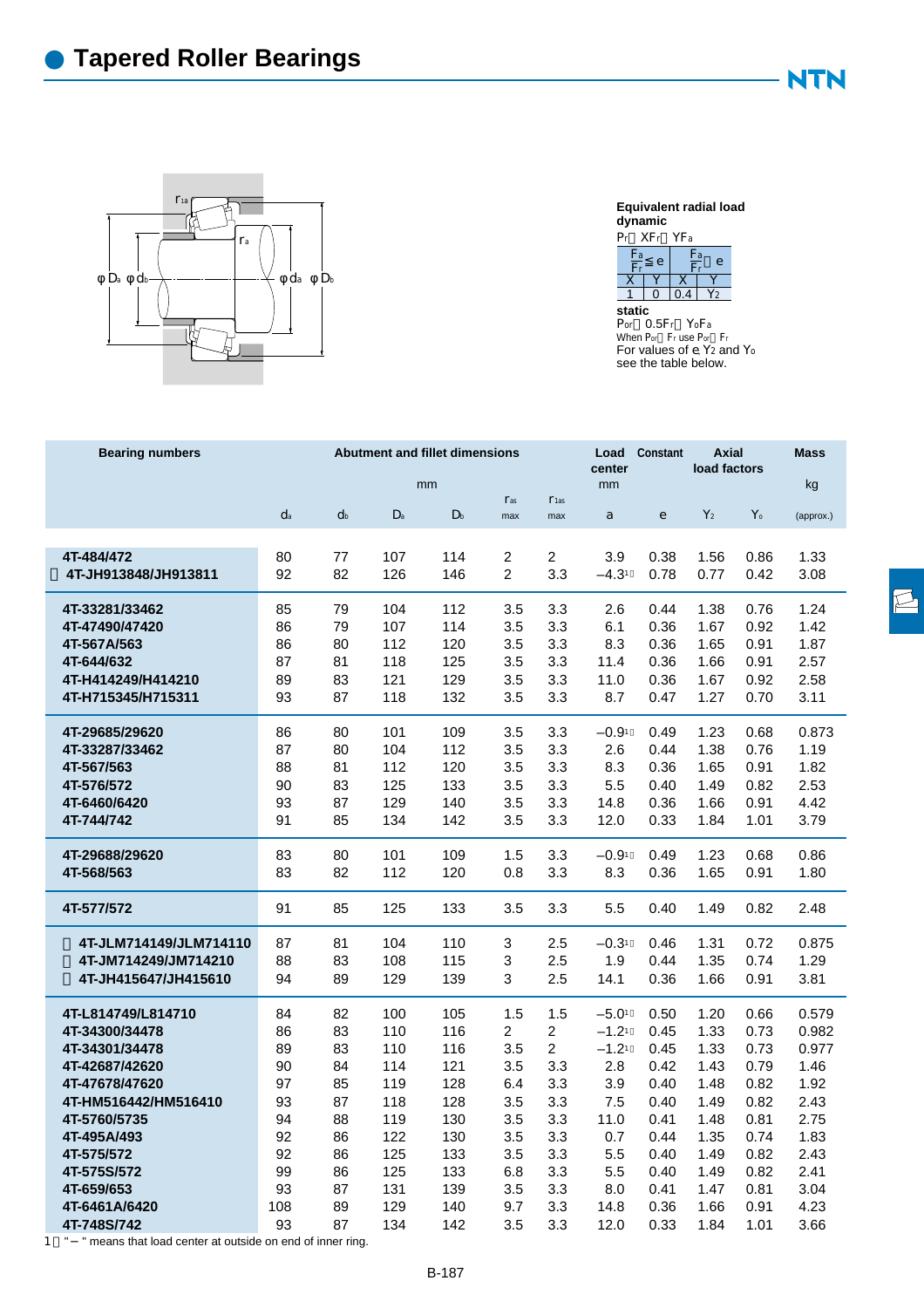





| <b>Bearing numbers</b> |                              |                                |         | <b>Abutment and fillet dimensions</b> |                |                  | Load<br>center   | <b>Constant</b>  | <b>Axial</b><br>load factors |         | <b>Mass</b> |
|------------------------|------------------------------|--------------------------------|---------|---------------------------------------|----------------|------------------|------------------|------------------|------------------------------|---------|-------------|
|                        |                              |                                |         | mm                                    |                |                  | mm               |                  |                              |         | kg          |
|                        |                              |                                |         |                                       | $r_{\rm as}$   | $r_{\text{las}}$ |                  |                  |                              |         |             |
|                        | $d_{\scriptscriptstyle\! A}$ | $d_{\rm b}$                    | $D_{a}$ | $D_{\rm b}$                           | max            | max              | $\boldsymbol{a}$ | $\boldsymbol{e}$ | $Y_2$                        | $Y_{o}$ | (approx.)   |
|                        |                              |                                |         |                                       |                |                  |                  |                  |                              |         |             |
| 4T-484/472             | 80                           | 77                             | 107     | 114                                   | $\overline{c}$ | $\overline{c}$   | 3.9              | 0.38             | 1.56                         | 0.86    | 1.33        |
| 4T-JH913848/JH913811   | 92                           | 82                             | 126     | 146                                   | $\overline{2}$ | 3.3              | $-4.3^{\circ}$   | 0.78             | 0.77                         | 0.42    | 3.08        |
| 4T-33281/33462         | 85                           | 79                             | 104     | 112                                   | 3.5            | 3.3              | 2.6              | 0.44             | 1.38                         | 0.76    | 1.24        |
| 4T-47490/47420         | 86                           | 79                             | 107     | 114                                   | 3.5            | 3.3              | 6.1              | 0.36             | 1.67                         | 0.92    | 1.42        |
| 4T-567A/563            | 86                           | 80                             | 112     | 120                                   | 3.5            | 3.3              | 8.3              | 0.36             | 1.65                         | 0.91    | 1.87        |
| 4T-644/632             | 87                           | 81                             | 118     | 125                                   | 3.5            | 3.3              | 11.4             | 0.36             | 1.66                         | 0.91    | 2.57        |
| 4T-H414249/H414210     | 89                           | 83                             | 121     | 129                                   | 3.5            | 3.3              | 11.0             | 0.36             | 1.67                         | 0.92    | 2.58        |
| 4T-H715345/H715311     | 93                           | 87                             | 118     | 132                                   | 3.5            | 3.3              | 8.7              | 0.47             | 1.27                         | 0.70    | 3.11        |
| 4T-29685/29620         | 86                           | 80                             | 101     | 109                                   | 3.5            | 3.3              | $-0.91$          | 0.49             | 1.23                         | 0.68    | 0.873       |
| 4T-33287/33462         | 87                           | 80                             | 104     | 112                                   | 3.5            | 3.3              | 2.6              | 0.44             | 1.38                         | 0.76    | 1.19        |
| 4T-567/563             | 88                           | 81                             | 112     | 120                                   | 3.5            | 3.3              | 8.3              | 0.36             | 1.65                         | 0.91    | 1.82        |
| 4T-576/572             | 90                           | 83                             | 125     | 133                                   | 3.5            | 3.3              | 5.5              | 0.40             | 1.49                         | 0.82    | 2.53        |
| 4T-6460/6420           | 93                           | 87                             | 129     | 140                                   | 3.5            | 3.3              | 14.8             | 0.36             | 1.66                         | 0.91    | 4.42        |
| 4T-744/742             | 91                           | 85                             | 134     | 142                                   | 3.5            | 3.3              | 12.0             | 0.33             | 1.84                         | 1.01    | 3.79        |
| 4T-29688/29620         | 83                           | 80                             | 101     | 109                                   | 1.5            | 3.3              | $-0.91$          | 0.49             | 1.23                         | 0.68    | 0.86        |
| 4T-568/563             | 83                           | 82                             | 112     | 120                                   | 0.8            | 3.3              | 8.3              | 0.36             | 1.65                         | 0.91    | 1.80        |
| 4T-577/572             | 91                           | 85                             | 125     | 133                                   | 3.5            | 3.3              | 5.5              | 0.40             | 1.49                         | 0.82    | 2.48        |
| 4T-JLM714149/JLM714110 | 87                           | 81                             | 104     | 110                                   | 3              | 2.5              | $-0.3^{\circ}$   | 0.46             | 1.31                         | 0.72    | 0.875       |
| 4T-JM714249/JM714210   | 88                           | 83                             | 108     | 115                                   | 3              | 2.5              | 1.9              | 0.44             | 1.35                         | 0.74    | 1.29        |
| 4T-JH415647/JH415610   | 94                           | 89                             | 129     | 139                                   | 3              | 2.5              | 14.1             | 0.36             | 1.66                         | 0.91    | 3.81        |
| 4T-L814749/L814710     | 84                           | 82                             | 100     | 105                                   | 1.5            | 1.5              | $-5.0^{\circ}$   | 0.50             | 1.20                         | 0.66    | 0.579       |
| 4T-34300/34478         | 86                           | 83                             | 110     | 116                                   | $\overline{2}$ | $\overline{2}$   | $-1.2^{\circ}$   | 0.45             | 1.33                         | 0.73    | 0.982       |
| 4T-34301/34478         | 89                           | 83                             | 110     | 116                                   | 3.5            | $\overline{c}$   | $-1.21$          | 0.45             | 1.33                         | 0.73    | 0.977       |
| 4T-42687/42620         | 90                           | 84                             | 114     | 121                                   | 3.5            | 3.3              | 2.8              | 0.42             | 1.43                         | 0.79    | 1.46        |
| 4T-47678/47620         | 97                           | 85                             | 119     | 128                                   | 6.4            | 3.3              | 3.9              | 0.40             | 1.48                         | 0.82    | 1.92        |
| 4T-HM516442/HM516410   | 93                           | 87                             | 118     | 128                                   | 3.5            | 3.3              | 7.5              | 0.40             | 1.49                         | 0.82    | 2.43        |
| 4T-5760/5735           | 94                           | 88                             | 119     | 130                                   | 3.5            | 3.3              | 11.0             | 0.41             | 1.48                         | 0.81    | 2.75        |
| 4T-495A/493            | 92                           | 86                             | 122     | 130                                   | 3.5            | 3.3              | 0.7              | 0.44             | 1.35                         | 0.74    | 1.83        |
| 4T-575/572             | 92                           | 86                             | 125     | 133                                   | 3.5            | 3.3              | 5.5              | 0.40             | 1.49                         | 0.82    | 2.43        |
| 4T-575S/572            | 99                           | 86                             | 125     | 133                                   | 6.8            | 3.3              | 5.5              | 0.40             | 1.49                         | 0.82    | 2.41        |
| 4T-659/653             | 93                           | 131<br>139<br>87<br>3.5<br>3.3 |         |                                       |                | 8.0              | 0.41             | 1.47             | 0.81                         | 3.04    |             |
| 4T-6461A/6420          | 108                          | 89                             | 129     | 140                                   | 9.7            | 3.3              | 14.8             | 0.36             | 1.66                         | 0.91    | 4.23        |
| 4T-748S/742            | 93                           | 87                             | 134     | 142                                   | 3.5            | 3.3              | 12.0             | 0.33             | 1.84                         | 1.01    | 3.66        |

1) " " means that load center at outside on end of inner ring.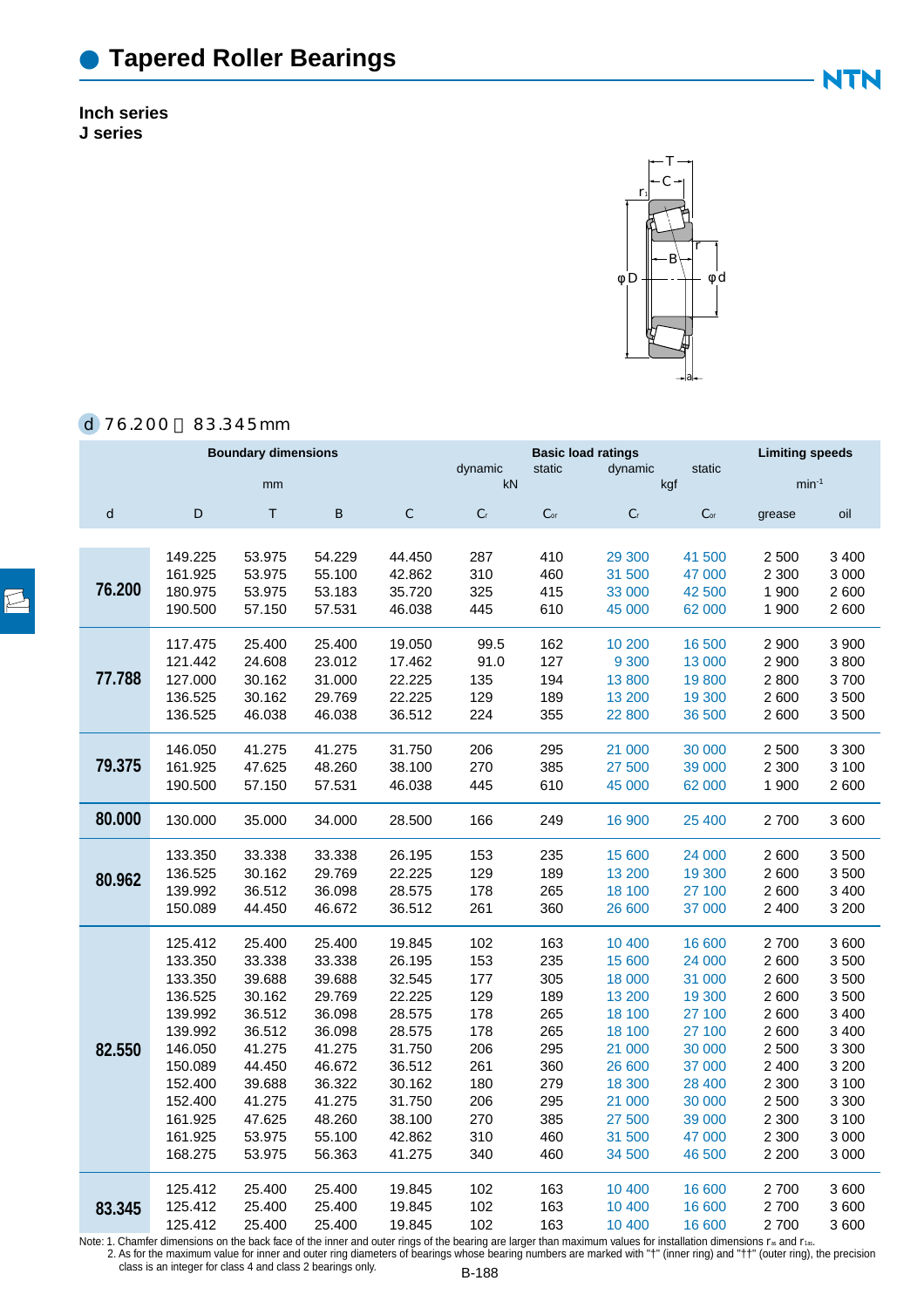

NTN

## *d* 76.200 ~ 83.345mm

|                  | <b>Boundary dimensions</b> |                  |                  |                  |               |                 | <b>Basic load ratings</b> |                  | <b>Limiting speeds</b> |                    |
|------------------|----------------------------|------------------|------------------|------------------|---------------|-----------------|---------------------------|------------------|------------------------|--------------------|
|                  |                            | mm               |                  |                  | dynamic<br>kN | static          | dynamic                   | static<br>kgf    | $min-1$                |                    |
| $\boldsymbol{d}$ | $\cal D$                   | $\cal T$         | $\boldsymbol{B}$ | $\cal C$         | $C_{\rm r}$   | $C_{\text{or}}$ | $C_{\rm r}$               | $C_{\text{or}}$  | grease                 | oil                |
|                  | 149.225                    | 53.975           | 54.229           | 44.450           | 287           | 410             | 29 300                    | 41 500           | 2 500                  | 3 4 0 0            |
|                  | 161.925                    | 53.975           | 55.100           | 42.862           | 310           | 460             | 31 500                    | 47 000           | 2 300                  | 3 000              |
| 76.200           | 180.975                    | 53.975           | 53.183           | 35.720           | 325           | 415             | 33 000                    | 42 500           | 1 900                  | 2 600              |
|                  | 190.500                    | 57.150           | 57.531           | 46.038           | 445           | 610             | 45 000                    | 62 000           | 1 900                  | 2 600              |
|                  | 117.475                    | 25.400           | 25.400           | 19.050           | 99.5          | 162             | 10 200                    | 16 500           | 2 900                  | 3 900              |
|                  | 121.442                    | 24.608           | 23.012           | 17.462           | 91.0          | 127             | 9 3 0 0                   | 13 000           | 2 900                  | 3800               |
| 77.788           | 127.000                    | 30.162           | 31.000           | 22.225           | 135           | 194             | 13 800                    | 19800            | 2800                   | 3700               |
|                  | 136.525<br>136.525         | 30.162<br>46.038 | 29.769<br>46.038 | 22.225<br>36.512 | 129           | 189<br>355      | 13 200<br>22 800          | 19 300<br>36 500 | 2600<br>2600           | 3500<br>3500       |
|                  |                            |                  |                  |                  | 224           |                 |                           |                  |                        |                    |
|                  | 146.050                    | 41.275           | 41.275           | 31.750           | 206           | 295             | 21 000                    | 30 000           | 2 500                  | 3 3 0 0            |
| 79.375           | 161.925                    | 47.625           | 48.260           | 38.100           | 270           | 385             | 27 500                    | 39 000           | 2 3 0 0                | 3 100              |
|                  | 190.500                    | 57.150           | 57.531           | 46.038           | 445           | 610             | 45 000                    | 62 000           | 1 900                  | 2 600              |
| 80.000           | 130.000                    | 35.000           | 34.000           | 28.500           | 166           | 249             | 16 900                    | 25 400           | 2700                   | 3 600              |
|                  | 133.350                    | 33.338           | 33.338           | 26.195           | 153           | 235             | 15 600                    | 24 000           | 2600                   | 3500               |
| 80.962           | 136.525                    | 30.162           | 29.769           | 22.225           | 129           | 189             | 13 200                    | 19 300           | 2600                   | 3500               |
|                  | 139.992                    | 36.512           | 36.098           | 28.575           | 178           | 265             | 18 100                    | 27 100           | 2 600                  | 3 4 0 0            |
|                  | 150.089                    | 44.450           | 46.672           | 36.512           | 261           | 360             | 26 600                    | 37 000           | 2 4 0 0                | 3 200              |
|                  | 125.412                    | 25.400           | 25.400           | 19.845           | 102           | 163             | 10 400                    | 16 600           | 2700                   | 3 600              |
|                  | 133.350                    | 33.338           | 33.338           | 26.195           | 153           | 235             | 15 600                    | 24 000           | 2600                   | 3500               |
|                  | 133.350                    | 39.688           | 39.688           | 32.545           | 177           | 305             | 18 000                    | 31 000           | 2600                   | 3500               |
|                  | 136.525                    | 30.162           | 29.769           | 22.225           | 129           | 189             | 13 200                    | 19 300           | 2600                   | 3500               |
|                  | 139.992<br>139.992         | 36.512<br>36.512 | 36.098<br>36.098 | 28.575<br>28.575 | 178<br>178    | 265<br>265      | 18 100<br>18 100          | 27 100           | 2 600<br>2600          | 3 4 0 0<br>3 4 0 0 |
| 82.550           | 146.050                    | 41.275           | 41.275           | 31.750           | 206           | 295             | 21 000                    | 27 100<br>30 000 | 2 500                  | 3 3 0 0            |
|                  | 150.089                    | 44.450           | 46.672           | 36.512           | 261           | 360             | 26 600                    | 37 000           | 2 4 0 0                | 3 200              |
|                  | 152.400                    | 39.688           | 36.322           | 30.162           | 180           | 279             | 18 300                    | 28 400           | 2 3 0 0                | 3 100              |
|                  | 152.400                    | 41.275           | 41.275           | 31.750           | 206           | 295             | 21 000                    | 30 000           | 2 500                  | 3 3 0 0            |
|                  | 161.925                    | 47.625           | 48.260           | 38.100           | 270           | 385             | 27 500                    | 39 000           | 2 3 0 0                | 3 100              |
|                  | 161.925                    | 53.975           | 55.100           | 42.862           | 310           | 460             | 31 500                    | 47 000           | 2 3 0 0                | 3 000              |
|                  | 168.275                    | 53.975           | 56.363           | 41.275           | 340           | 460             | 34 500                    | 46 500           | 2 2 0 0                | 3 0 0 0            |
|                  | 125.412                    | 25.400           | 25.400           | 19.845           | 102           | 163             | 10 400                    | 16 600           | 2700                   | 3 600              |
| 83.345           | 125.412                    | 25.400           | 25.400           | 19.845           | 102           | 163             | 10 400                    | 16 600           | 2700                   | 3 600              |
|                  | 125.412                    | 25.400           | 25.400           | 19.845           | 102           | 163             | 10 400                    | 16 600           | 2700                   | 3600               |

Note: 1. Chamfer dimensions on the back face of the inner and outer rings of the bearing are larger than maximum values for installation dimensions r‱ and n‱.<br>2. As for the maximum value for inner and outer ring diameters class is an integer for class 4 and class 2 bearings only.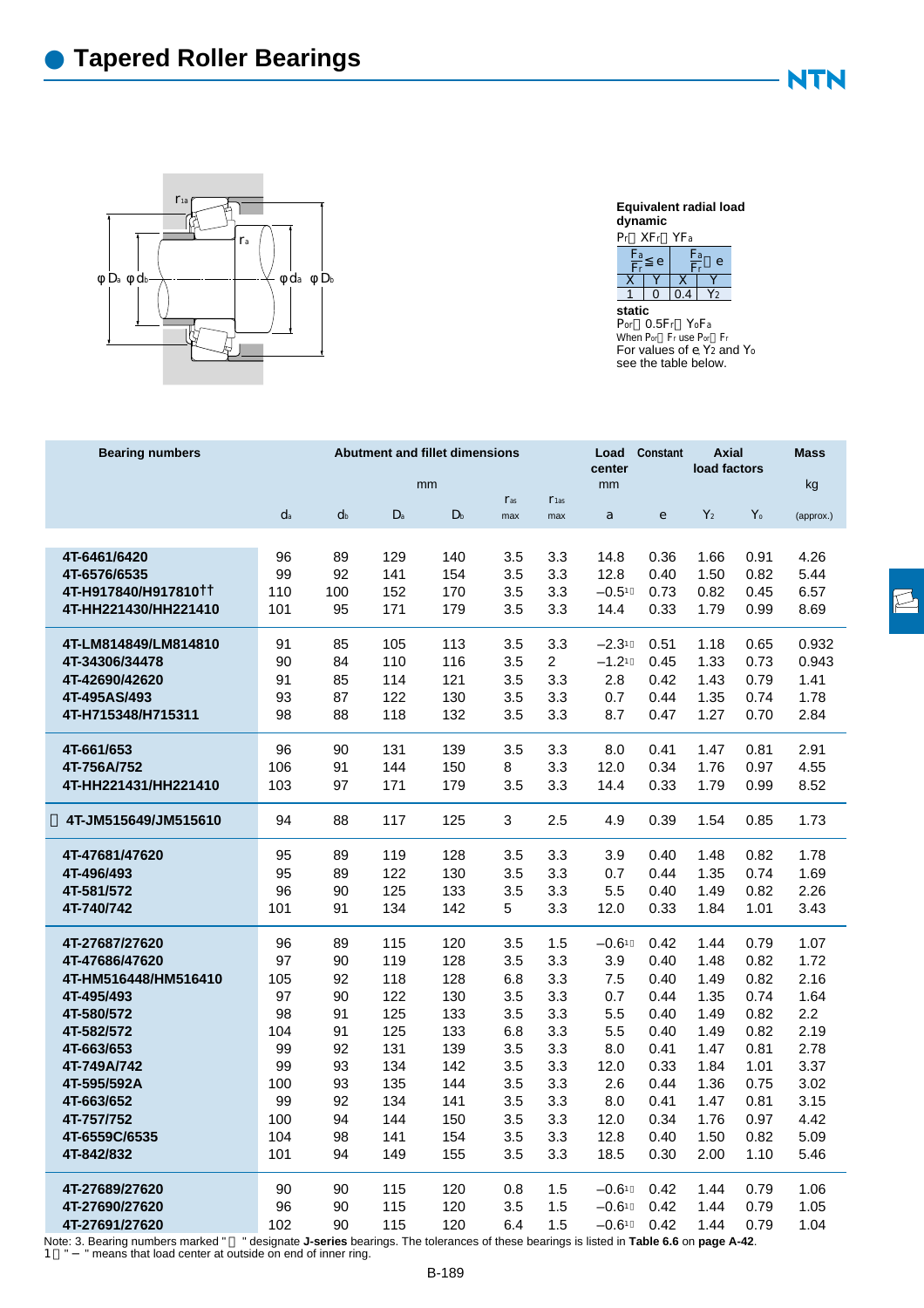





| <b>Bearing numbers</b>                                                                                                                                                                             |                                       |             |                                        | <b>Abutment and fillet dimensions</b> |                     | Load<br>center      | <b>Constant</b>  | <b>Axial</b><br>load factors |       | <b>Mass</b> |           |
|----------------------------------------------------------------------------------------------------------------------------------------------------------------------------------------------------|---------------------------------------|-------------|----------------------------------------|---------------------------------------|---------------------|---------------------|------------------|------------------------------|-------|-------------|-----------|
|                                                                                                                                                                                                    |                                       |             |                                        | mm                                    |                     |                     | mm               |                              |       |             | kg        |
|                                                                                                                                                                                                    | $d_{\scriptscriptstyle{\theta}}$      | $d_{\rm b}$ | $D_{\scriptscriptstyle{\overline{a}}}$ | $D_{\rm b}$                           | $r_{\rm as}$<br>max | $\Gamma$ las<br>max | $\boldsymbol{a}$ | $\boldsymbol{e}$             | $Y_2$ | $Y_{o}$     | (approx.) |
|                                                                                                                                                                                                    |                                       |             |                                        |                                       |                     |                     |                  |                              |       |             |           |
| 4T-6461/6420                                                                                                                                                                                       | 96                                    | 89          | 129                                    | 140                                   | 3.5                 | 3.3                 | 14.8             | 0.36                         | 1.66  | 0.91        | 4.26      |
| 4T-6576/6535                                                                                                                                                                                       | 99                                    | 92          | 141                                    | 154                                   | 3.5                 | 3.3                 | 12.8             | 0.40                         | 1.50  | 0.82        | 5.44      |
| 4T-H917840/H917810TT                                                                                                                                                                               | 110                                   | 100         | 152                                    | 170                                   | 3.5                 | 3.3                 | $-0.5^{\circ}$   | 0.73                         | 0.82  | 0.45        | 6.57      |
| 4T-HH221430/HH221410                                                                                                                                                                               | 101                                   | 95          | 171                                    | 179                                   | 3.5                 | 3.3                 | 14.4             | 0.33                         | 1.79  | 0.99        | 8.69      |
| 4T-LM814849/LM814810                                                                                                                                                                               | 91                                    | 85          | 105                                    | 113                                   | 3.5                 | 3.3                 | $-2.3^{\circ}$   | 0.51                         | 1.18  | 0.65        | 0.932     |
| 4T-34306/34478                                                                                                                                                                                     | 90                                    | 84          | 110                                    | 116                                   | 3.5                 | $\overline{c}$      | $-1.21$          | 0.45                         | 1.33  | 0.73        | 0.943     |
| 4T-42690/42620                                                                                                                                                                                     | 91                                    | 85          | 114                                    | 121                                   | 3.5                 | 3.3                 | 2.8              | 0.42                         | 1.43  | 0.79        | 1.41      |
| 4T-495AS/493                                                                                                                                                                                       | 93                                    | 87          | 122                                    | 130                                   | 3.5                 | 3.3                 | 0.7              | 0.44                         | 1.35  | 0.74        | 1.78      |
| 4T-H715348/H715311                                                                                                                                                                                 | 98                                    | 88          | 118                                    | 132                                   | 3.5                 | 3.3                 | 8.7              | 0.47                         | 1.27  | 0.70        | 2.84      |
| 4T-661/653                                                                                                                                                                                         | 96                                    | 90          | 131                                    | 139                                   | 3.5                 | 3.3                 | 8.0              | 0.41                         | 1.47  | 0.81        | 2.91      |
| 4T-756A/752                                                                                                                                                                                        | 106                                   | 91          | 144                                    | 150                                   | 8                   | 3.3                 | 12.0             | 0.34                         | 1.76  | 0.97        | 4.55      |
| 4T-HH221431/HH221410                                                                                                                                                                               | 103                                   | 97          | 171                                    | 179                                   | 3.5                 | 3.3                 | 14.4             | 0.33                         | 1.79  | 0.99        | 8.52      |
| 4T-JM515649/JM515610                                                                                                                                                                               | 94                                    | 88          | 117                                    | 125                                   | $\mathbf{3}$        | 2.5                 | 4.9              | 0.39                         | 1.54  | 0.85        | 1.73      |
| 4T-47681/47620                                                                                                                                                                                     | 95                                    | 89          | 119                                    | 128                                   | 3.5                 | 3.3                 | 3.9              | 0.40                         | 1.48  | 0.82        | 1.78      |
| 4T-496/493                                                                                                                                                                                         | 95                                    | 89          | 122                                    | 130                                   | 3.5                 | 3.3                 | 0.7              | 0.44                         | 1.35  | 0.74        | 1.69      |
| 4T-581/572                                                                                                                                                                                         | 96                                    | 90          | 125                                    | 133                                   | 3.5                 | 3.3                 | 5.5              | 0.40                         | 1.49  | 0.82        | 2.26      |
| 4T-740/742                                                                                                                                                                                         | 101                                   | 91          | 134                                    | 142                                   | 5                   | 3.3                 | 12.0             | 0.33                         | 1.84  | 1.01        | 3.43      |
| 4T-27687/27620                                                                                                                                                                                     | 96                                    | 89          | 115                                    | 120                                   | 3.5                 | 1.5                 | $-0.61$          | 0.42                         | 1.44  | 0.79        | 1.07      |
| 4T-47686/47620                                                                                                                                                                                     | 97                                    | 90          | 119                                    | 128                                   | 3.5                 | 3.3                 | 3.9              | 0.40                         | 1.48  | 0.82        | 1.72      |
| 4T-HM516448/HM516410                                                                                                                                                                               | 105                                   | 92          | 118                                    | 128                                   | 6.8                 | 3.3                 | 7.5              | 0.40                         | 1.49  | 0.82        | 2.16      |
| 4T-495/493                                                                                                                                                                                         | 97                                    | 90          | 122                                    | 130                                   | 3.5                 | 3.3                 | 0.7              | 0.44                         | 1.35  | 0.74        | 1.64      |
| 4T-580/572                                                                                                                                                                                         | 98                                    | 91          | 125                                    | 133                                   | 3.5                 | 3.3                 | 5.5              | 0.40                         | 1.49  | 0.82        | 2.2       |
| 4T-582/572                                                                                                                                                                                         | 104                                   | 91          | 125                                    | 133                                   | 6.8                 | 3.3                 | 5.5              | 0.40                         | 1.49  | 0.82        | 2.19      |
| 4T-663/653                                                                                                                                                                                         | 99                                    | 92          | 131                                    | 139                                   | 3.5                 | 3.3                 | 8.0              | 0.41                         | 1.47  | 0.81        | 2.78      |
| 4T-749A/742                                                                                                                                                                                        | 99                                    | 93          | 134                                    | 142                                   | 3.5                 | 3.3                 | 12.0             | 0.33                         | 1.84  | 1.01        | 3.37      |
| 4T-595/592A                                                                                                                                                                                        | 100                                   | 93          | 135                                    | 144                                   | 3.5                 | 3.3                 | 2.6              | 0.44                         | 1.36  | 0.75        | 3.02      |
| 4T-663/652                                                                                                                                                                                         | 99                                    | 92          | 134                                    | 141                                   | 3.5                 | 3.3                 | 8.0              | 0.41                         | 1.47  | 0.81        | 3.15      |
| 4T-757/752                                                                                                                                                                                         | 100                                   | 94          | 144                                    | 150                                   | 3.5                 | 3.3                 | 12.0             | 0.34                         | 1.76  | 0.97        | 4.42      |
| 4T-6559C/6535                                                                                                                                                                                      | 104                                   | 98          | 141                                    | 154                                   | 3.5                 | 3.3                 | 12.8             | 0.40                         | 1.50  | 0.82        | 5.09      |
| 4T-842/832                                                                                                                                                                                         | 101<br>94<br>149<br>155<br>3.5<br>3.3 |             |                                        |                                       |                     |                     | 18.5             | 0.30                         | 2.00  | 1.10        | 5.46      |
| 4T-27689/27620                                                                                                                                                                                     | 90<br>90<br>115<br>120<br>0.8         |             |                                        |                                       |                     | 1.5                 | $-0.61$          | 0.42                         | 1.44  | 0.79        | 1.06      |
| 4T-27690/27620                                                                                                                                                                                     | 96                                    | 90          | 115                                    | 120                                   | 3.5                 | 1.5                 | $-0.6^{\circ}$   | 0.42                         | 1.44  | 0.79        | 1.05      |
| 4T-27691/27620                                                                                                                                                                                     | 102                                   | 90          | 115                                    | 120                                   | 6.4                 | 1.5                 | $-0.61$          | 0.42                         | 1.44  | 0.79        | 1.04      |
| Note: 3. Bearing numbers marked " "designate J-series bearings. The tolerances of these bearings is listed in Table 6.6 on page A-42.<br>" means that load center at outside on end of inner ring. |                                       |             |                                        |                                       |                     |                     |                  |                              |       |             |           |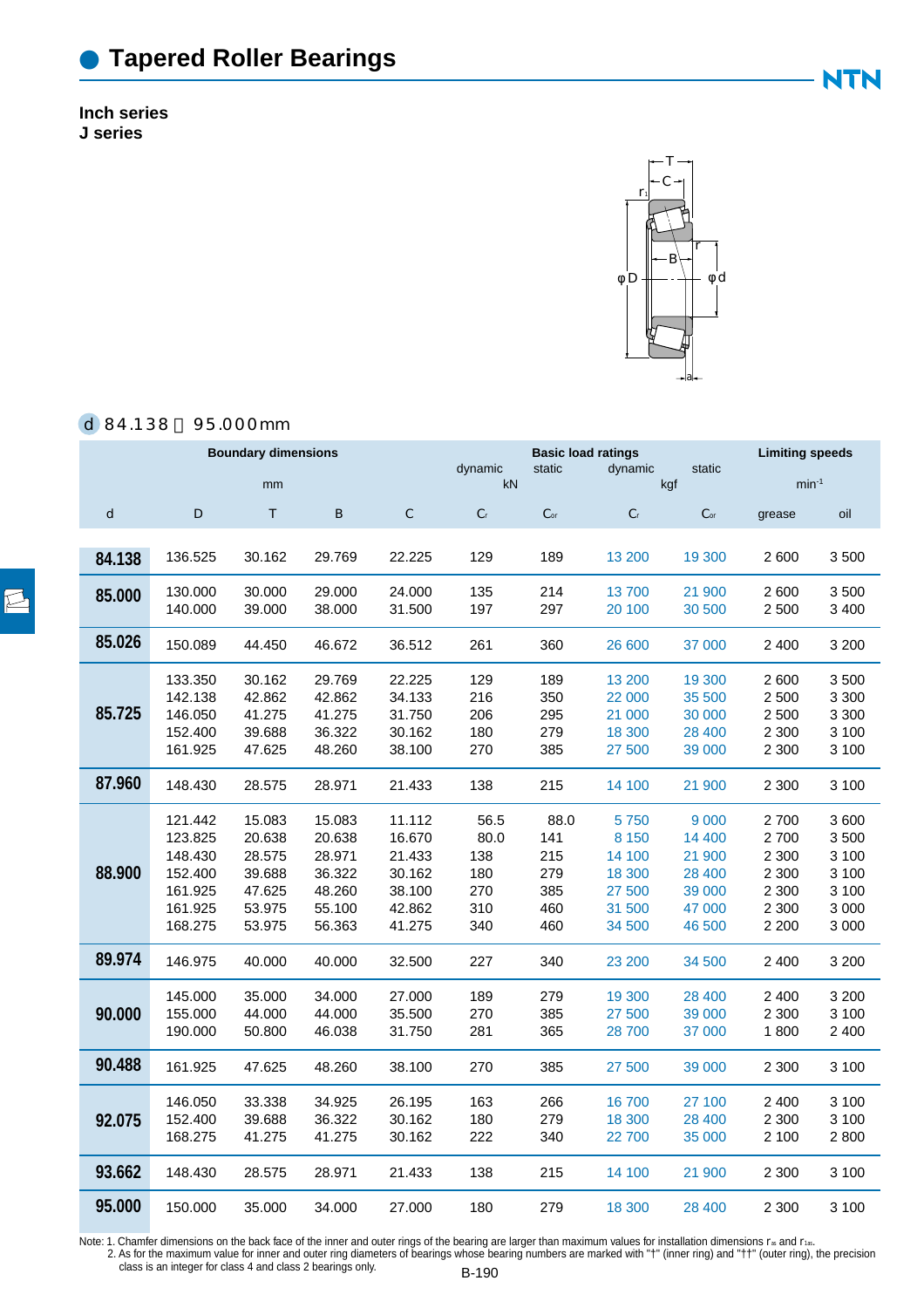

NTN

## *d* 84.138 ~ 95.000mm

|                  | <b>Boundary dimensions</b>                                                |                                                                    |                                                                    |                                                                    |                                                 | <b>Basic load ratings</b>                      |                                                                   |                                                                     | <b>Limiting speeds</b>                                              |                                                               |
|------------------|---------------------------------------------------------------------------|--------------------------------------------------------------------|--------------------------------------------------------------------|--------------------------------------------------------------------|-------------------------------------------------|------------------------------------------------|-------------------------------------------------------------------|---------------------------------------------------------------------|---------------------------------------------------------------------|---------------------------------------------------------------|
|                  |                                                                           | mm                                                                 |                                                                    |                                                                    | dynamic<br>kN                                   | static                                         | dynamic                                                           | static<br>kgf                                                       | $min-1$                                                             |                                                               |
| $\boldsymbol{d}$ | $\boldsymbol{D}$                                                          | $\cal T$                                                           | $\boldsymbol{B}$                                                   | $\mathcal{C}$                                                      | $C_{\rm r}$                                     | $C_{\text{or}}$                                | $C_{\rm r}$                                                       | $C_{or}$                                                            | grease                                                              | oil                                                           |
| 84.138           | 136.525                                                                   | 30.162                                                             | 29.769                                                             | 22.225                                                             | 129                                             | 189                                            | 13 200                                                            | 19 300                                                              | 2600                                                                | 3500                                                          |
| 85.000           | 130.000<br>140.000                                                        | 30.000<br>39.000                                                   | 29.000<br>38.000                                                   | 24.000<br>31.500                                                   | 135<br>197                                      | 214<br>297                                     | 13700<br>20 100                                                   | 21 900<br>30 500                                                    | 2600<br>2 500                                                       | 3500<br>3 4 0 0                                               |
| 85.026           | 150.089                                                                   | 44.450                                                             | 46.672                                                             | 36.512                                                             | 261                                             | 360                                            | 26 600                                                            | 37 000                                                              | 2 4 0 0                                                             | 3 200                                                         |
| 85.725           | 133.350<br>142.138<br>146.050<br>152.400<br>161.925                       | 30.162<br>42.862<br>41.275<br>39.688<br>47.625                     | 29.769<br>42.862<br>41.275<br>36.322<br>48.260                     | 22.225<br>34.133<br>31.750<br>30.162<br>38.100                     | 129<br>216<br>206<br>180<br>270                 | 189<br>350<br>295<br>279<br>385                | 13 200<br>22 000<br>21 000<br>18 300<br>27 500                    | 19 300<br>35 500<br>30 000<br>28 400<br>39 000                      | 2600<br>2 500<br>2 500<br>2 3 0 0<br>2 3 0 0                        | 3500<br>3 3 0 0<br>3 3 0 0<br>3 100<br>3 100                  |
| 87.960           | 148.430                                                                   | 28.575                                                             | 28.971                                                             | 21.433                                                             | 138                                             | 215                                            | 14 100                                                            | 21 900                                                              | 2 3 0 0                                                             | 3 100                                                         |
| 88.900           | 121.442<br>123.825<br>148.430<br>152.400<br>161.925<br>161.925<br>168.275 | 15.083<br>20.638<br>28.575<br>39.688<br>47.625<br>53.975<br>53.975 | 15.083<br>20.638<br>28.971<br>36.322<br>48.260<br>55.100<br>56.363 | 11.112<br>16.670<br>21.433<br>30.162<br>38.100<br>42.862<br>41.275 | 56.5<br>80.0<br>138<br>180<br>270<br>310<br>340 | 88.0<br>141<br>215<br>279<br>385<br>460<br>460 | 5750<br>8 1 5 0<br>14 100<br>18 300<br>27 500<br>31 500<br>34 500 | 9 0 0 0<br>14 400<br>21 900<br>28 400<br>39 000<br>47 000<br>46 500 | 2700<br>2700<br>2 3 0 0<br>2 3 0 0<br>2 3 0 0<br>2 3 0 0<br>2 2 0 0 | 3600<br>3500<br>3 100<br>3 100<br>3 100<br>3 0 0 0<br>3 0 0 0 |
| 89.974           | 146.975                                                                   | 40.000                                                             | 40.000                                                             | 32.500                                                             | 227                                             | 340                                            | 23 200                                                            | 34 500                                                              | 2 4 0 0                                                             | 3 2 0 0                                                       |
| 90.000           | 145.000<br>155.000<br>190.000                                             | 35.000<br>44.000<br>50.800                                         | 34.000<br>44.000<br>46.038                                         | 27.000<br>35.500<br>31.750                                         | 189<br>270<br>281                               | 279<br>385<br>365                              | 19 300<br>27 500<br>28700                                         | 28 400<br>39 000<br>37 000                                          | 2 4 0 0<br>2 3 0 0<br>1800                                          | 3 200<br>3 100<br>2 4 0 0                                     |
| 90.488           | 161.925                                                                   | 47.625                                                             | 48.260                                                             | 38.100                                                             | 270                                             | 385                                            | 27 500                                                            | 39 000                                                              | 2 3 0 0                                                             | 3 100                                                         |
| 92.075           | 146.050<br>152.400<br>168.275                                             | 33.338<br>39.688<br>41.275                                         | 34.925<br>36.322<br>41.275                                         | 26.195<br>30.162<br>30.162                                         | 163<br>180<br>222                               | 266<br>279<br>340                              | 16700<br>18 300<br>22700                                          | 27 100<br>28 400<br>35 000                                          | 2 4 0 0<br>2 3 0 0<br>2 100                                         | 3 100<br>3 100<br>2800                                        |
| 93.662           | 148.430                                                                   | 28.575                                                             | 28.971                                                             | 21.433                                                             | 138                                             | 215                                            | 14 100                                                            | 21 900                                                              | 2 3 0 0                                                             | 3 100                                                         |
| 95.000           | 150.000                                                                   | 35.000                                                             | 34.000                                                             | 27.000                                                             | 180                                             | 279                                            | 18 300                                                            | 28 400                                                              | 2 3 0 0                                                             | 3 100                                                         |

Note: 1. Chamfer dimensions on the back face of the inner and outer rings of the bearing are larger than maximum values for installation dimensions r‱ and n‱.<br>2. As for the maximum value for inner and outer ring diameters class is an integer for class 4 and class 2 bearings only.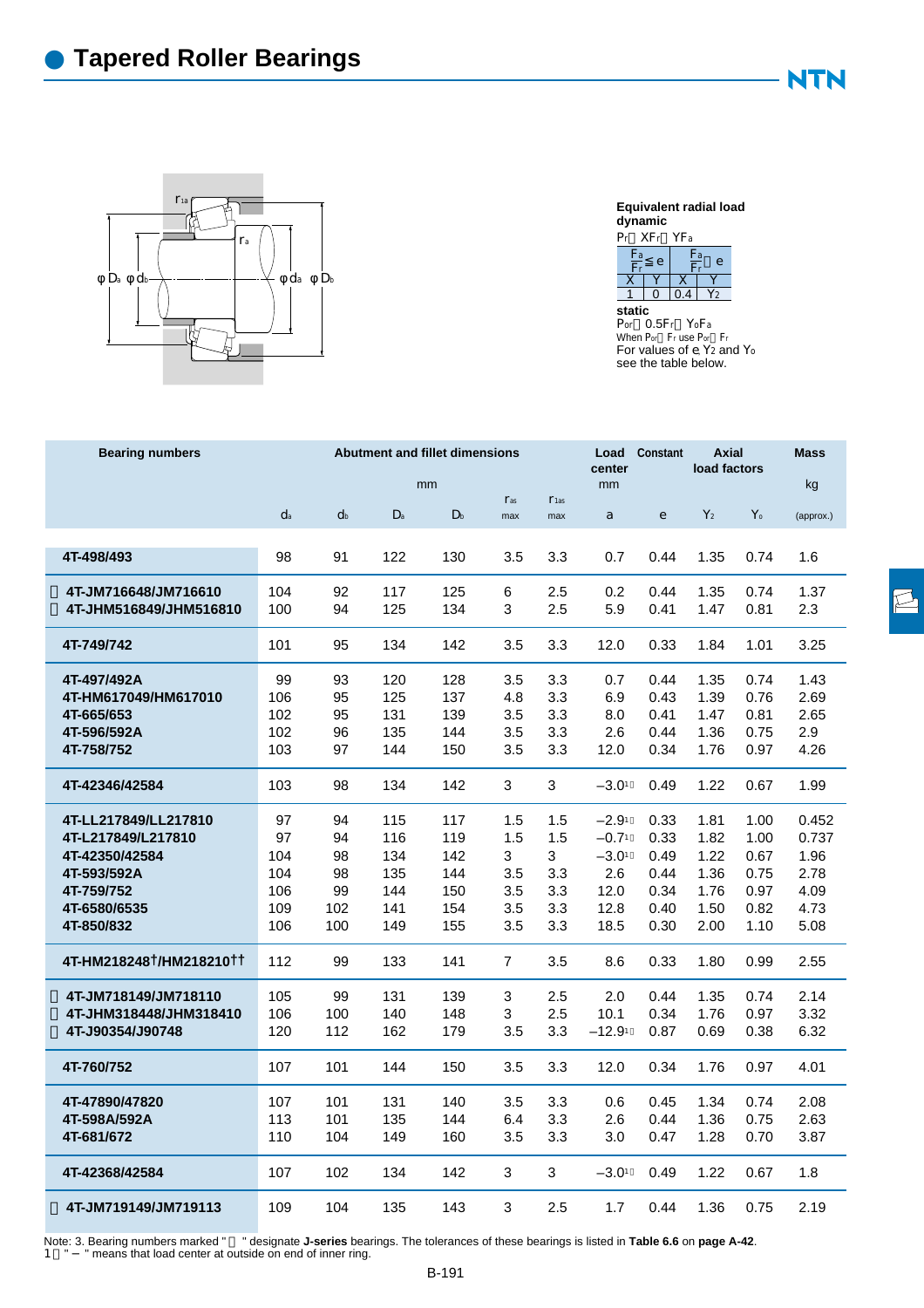

#### **Equivalent radial load dynamic**



**static** *P*or 0.5*F*r *Y*o*F*a When *P*or *F*<sup>r</sup> use *P*or *F*<sup>r</sup> For values of *e*, *Y*2 and *Y*o see the table below.

| <b>Bearing numbers</b>                                                                                                  | <b>Abutment and fillet dimensions</b><br>mm |                                          |                                               |                                               |                                             |                                             | Load<br>center                                              | <b>Constant</b>                                      | <b>Axial</b><br>load factors                         |                                                      | <b>Mass</b>                                            |
|-------------------------------------------------------------------------------------------------------------------------|---------------------------------------------|------------------------------------------|-----------------------------------------------|-----------------------------------------------|---------------------------------------------|---------------------------------------------|-------------------------------------------------------------|------------------------------------------------------|------------------------------------------------------|------------------------------------------------------|--------------------------------------------------------|
|                                                                                                                         |                                             |                                          |                                               |                                               | $\mathcal{T}\mathrm{as}$                    | $\mathcal{r}_{\text{las}}$                  | mm                                                          |                                                      |                                                      |                                                      | kg                                                     |
|                                                                                                                         | $d_{\scriptscriptstyle{\theta}}$            | $d_{\rm b}$                              | $D_{a}$                                       | $D_{\rm b}$                                   | max                                         | max                                         | a                                                           | $\boldsymbol{e}$                                     | $Y_2$                                                | $Y_0$                                                | (approx.)                                              |
| 4T-498/493                                                                                                              | 98                                          | 91                                       | 122                                           | 130                                           | 3.5                                         | 3.3                                         | 0.7                                                         | 0.44                                                 | 1.35                                                 | 0.74                                                 | 1.6                                                    |
| 4T-JM716648/JM716610<br>4T-JHM516849/JHM516810                                                                          | 104<br>100                                  | 92<br>94                                 | 117<br>125                                    | 125<br>134                                    | 6<br>3                                      | 2.5<br>2.5                                  | 0.2<br>5.9                                                  | 0.44<br>0.41                                         | 1.35<br>1.47                                         | 0.74<br>0.81                                         | 1.37<br>2.3                                            |
| 4T-749/742                                                                                                              | 101                                         | 95                                       | 134                                           | 142                                           | 3.5                                         | 3.3                                         | 12.0                                                        | 0.33                                                 | 1.84                                                 | 1.01                                                 | 3.25                                                   |
| 4T-497/492A<br>4T-HM617049/HM617010<br>4T-665/653<br>4T-596/592A<br>4T-758/752                                          | 99<br>106<br>102<br>102<br>103              | 93<br>95<br>95<br>96<br>97               | 120<br>125<br>131<br>135<br>144               | 128<br>137<br>139<br>144<br>150               | 3.5<br>4.8<br>3.5<br>3.5<br>3.5             | 3.3<br>3.3<br>3.3<br>3.3<br>3.3             | 0.7<br>6.9<br>8.0<br>2.6<br>12.0                            | 0.44<br>0.43<br>0.41<br>0.44<br>0.34                 | 1.35<br>1.39<br>1.47<br>1.36<br>1.76                 | 0.74<br>0.76<br>0.81<br>0.75<br>0.97                 | 1.43<br>2.69<br>2.65<br>2.9<br>4.26                    |
| 4T-42346/42584                                                                                                          | 103                                         | 98                                       | 134                                           | 142                                           | 3                                           | 3                                           | $-3.01$                                                     | 0.49                                                 | 1.22                                                 | 0.67                                                 | 1.99                                                   |
| 4T-LL217849/LL217810<br>4T-L217849/L217810<br>4T-42350/42584<br>4T-593/592A<br>4T-759/752<br>4T-6580/6535<br>4T-850/832 | 97<br>97<br>104<br>104<br>106<br>109<br>106 | 94<br>94<br>98<br>98<br>99<br>102<br>100 | 115<br>116<br>134<br>135<br>144<br>141<br>149 | 117<br>119<br>142<br>144<br>150<br>154<br>155 | 1.5<br>1.5<br>3<br>3.5<br>3.5<br>3.5<br>3.5 | 1.5<br>1.5<br>3<br>3.3<br>3.3<br>3.3<br>3.3 | $-2.91$<br>$-0.71$<br>$-3.0$<br>2.6<br>12.0<br>12.8<br>18.5 | 0.33<br>0.33<br>0.49<br>0.44<br>0.34<br>0.40<br>0.30 | 1.81<br>1.82<br>1.22<br>1.36<br>1.76<br>1.50<br>2.00 | 1.00<br>1.00<br>0.67<br>0.75<br>0.97<br>0.82<br>1.10 | 0.452<br>0.737<br>1.96<br>2.78<br>4.09<br>4.73<br>5.08 |
| 4T-HM218248†/HM218210††                                                                                                 | 112                                         | 99                                       | 133                                           | 141                                           | $\overline{7}$                              | 3.5                                         | 8.6                                                         | 0.33                                                 | 1.80                                                 | 0.99                                                 | 2.55                                                   |
| 4T-JM718149/JM718110<br>4T-JHM318448/JHM318410<br>4T-J90354/J90748                                                      | 105<br>106<br>120                           | 99<br>100<br>112                         | 131<br>140<br>162                             | 139<br>148<br>179                             | 3<br>3<br>3.5                               | 2.5<br>2.5<br>3.3                           | 2.0<br>10.1<br>$-12.91$                                     | 0.44<br>0.34<br>0.87                                 | 1.35<br>1.76<br>0.69                                 | 0.74<br>0.97<br>0.38                                 | 2.14<br>3.32<br>6.32                                   |
| 4T-760/752                                                                                                              | 107                                         | 101                                      | 144                                           | 150                                           | 3.5                                         | 3.3                                         | 12.0                                                        | 0.34                                                 | 1.76                                                 | 0.97                                                 | 4.01                                                   |
| 4T-47890/47820<br>4T-598A/592A<br>4T-681/672                                                                            | 107<br>113<br>110                           | 101<br>101<br>104                        | 131<br>135<br>149                             | 140<br>144<br>160                             | 3.5<br>6.4<br>3.5                           | 3.3<br>3.3<br>3.3                           | 0.6<br>2.6<br>3.0                                           | 0.45<br>0.44<br>0.47                                 | 1.34<br>1.36<br>1.28                                 | 0.74<br>0.75<br>0.70                                 | 2.08<br>2.63<br>3.87                                   |
| 4T-42368/42584                                                                                                          | 107                                         | 102                                      | 134                                           | 142                                           | 3                                           | 3                                           | $-3.01$                                                     | 0.49                                                 | 1.22                                                 | 0.67                                                 | 1.8                                                    |
| 4T-JM719149/JM719113                                                                                                    | 109                                         | 104                                      | 135                                           | 143                                           | 3                                           | 2.5                                         | 1.7                                                         | 0.44                                                 | 1.36                                                 | 0.75                                                 | 2.19                                                   |

Note: 3. Bearing numbers marked " " designate **J-series** bearings. The tolerances of these bearings is listed in **Table 6.6** on **page A-42**. 1)" " means that load center at outside on end of inner ring.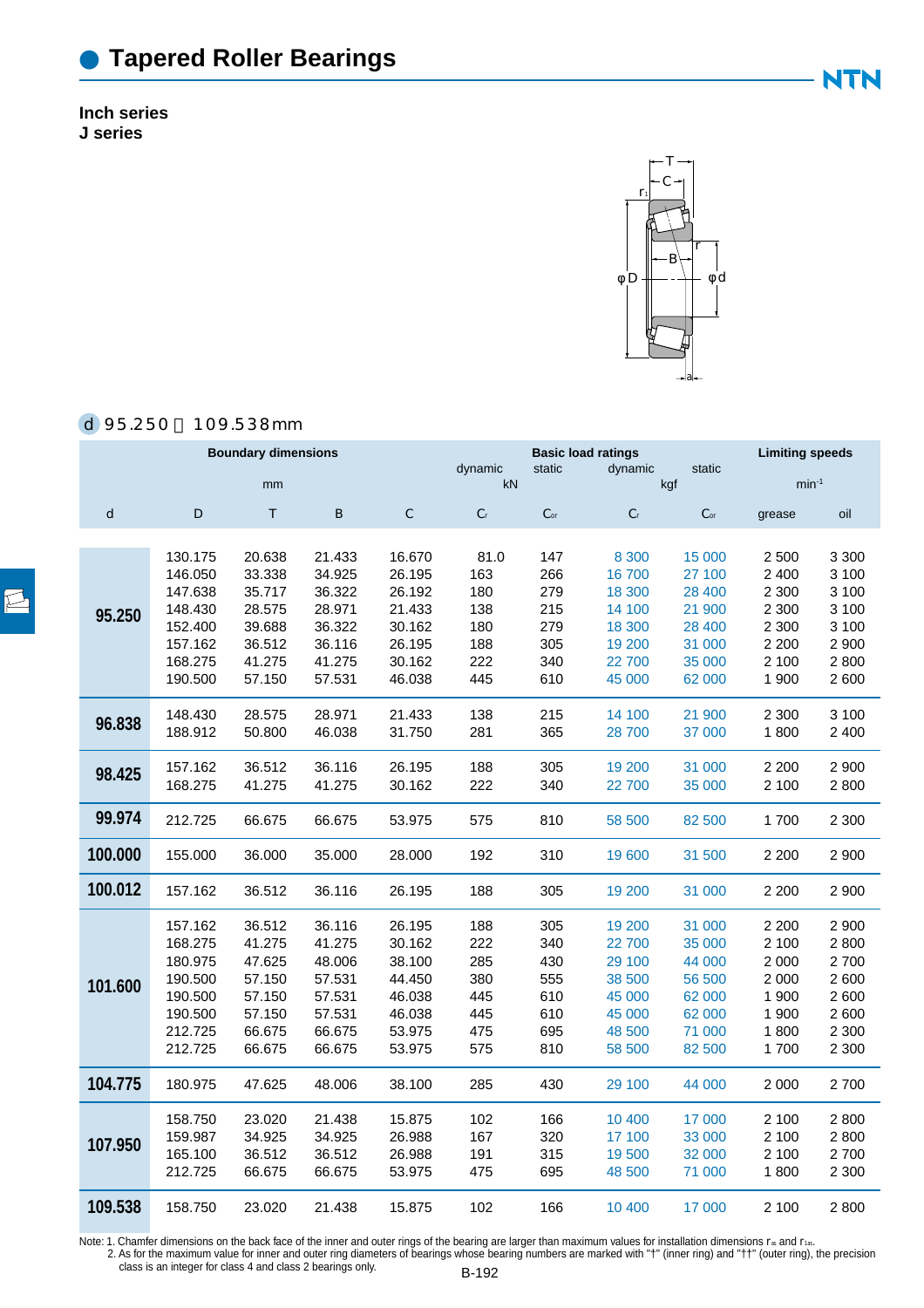

NTN

E

## *d* 95.250 ~ 109.538mm

|                  |          | <b>Boundary dimensions</b> |          |              |               |              | <b>Basic load ratings</b> |              | <b>Limiting speeds</b> |         |
|------------------|----------|----------------------------|----------|--------------|---------------|--------------|---------------------------|--------------|------------------------|---------|
|                  |          | mm                         |          |              | dynamic<br>kN | static       | dynamic<br>kgf            | static       | $min-1$                |         |
| $\boldsymbol{d}$ | $\cal D$ | $\boldsymbol{T}$           | $\cal B$ | $\mathcal C$ | $C_{\rm r}$   | $C_{\rm or}$ | $C_{\rm r}$               | $C_{\rm or}$ | grease                 | oil     |
|                  | 130.175  | 20.638                     | 21.433   | 16.670       | 81.0          | 147          | 8 3 0 0                   | 15 000       | 2 500                  | 3 300   |
|                  | 146.050  | 33.338                     | 34.925   | 26.195       | 163           | 266          | 16700                     | 27 100       | 2 4 0 0                | 3 100   |
|                  | 147.638  | 35.717                     | 36.322   | 26.192       | 180           | 279          | 18 300                    | 28 400       | 2 300                  | 3 100   |
|                  | 148.430  | 28.575                     | 28.971   | 21.433       | 138           | 215          | 14 100                    | 21 900       | 2 3 0 0                | 3 100   |
| 95.250           | 152.400  | 39.688                     | 36.322   | 30.162       | 180           | 279          | 18 300                    | 28 400       | 2 300                  | 3 100   |
|                  | 157.162  | 36.512                     | 36.116   | 26.195       | 188           | 305          | 19 200                    | 31 000       | 2 2 0 0                | 2 900   |
|                  | 168.275  | 41.275                     | 41.275   | 30.162       | 222           | 340          | 22 700                    | 35 000       | 2 100                  | 2800    |
|                  | 190.500  | 57.150                     | 57.531   | 46.038       | 445           | 610          | 45 000                    | 62 000       | 1 900                  | 2600    |
|                  | 148.430  | 28.575                     | 28.971   | 21.433       | 138           | 215          | 14 100                    | 21 900       | 2 3 0 0                | 3 100   |
| 96.838           | 188.912  | 50.800                     | 46.038   | 31.750       | 281           | 365          | 28700                     | 37 000       | 1800                   | 2 400   |
|                  | 157.162  | 36.512                     | 36.116   | 26.195       | 188           | 305          | 19 200                    | 31 000       | 2 2 0 0                | 2 900   |
| 98.425           | 168.275  | 41.275                     | 41.275   | 30.162       | 222           | 340          | 22 700                    | 35 000       | 2 100                  | 2800    |
| 99.974           | 212.725  | 66.675                     | 66.675   | 53.975       | 575           | 810          | 58 500                    | 82 500       | 1700                   | 2 3 0 0 |
| 100.000          | 155.000  | 36.000                     | 35.000   | 28.000       | 192           | 310          | 19 600                    | 31 500       | 2 200                  | 2 900   |
| 100.012          | 157.162  | 36.512                     | 36.116   | 26.195       | 188           | 305          | 19 200                    | 31 000       | 2 2 0 0                | 2 900   |
|                  | 157.162  | 36.512                     | 36.116   | 26.195       | 188           | 305          | 19 200                    | 31 000       | 2 2 0 0                | 2 900   |
|                  | 168.275  | 41.275                     | 41.275   | 30.162       | 222           | 340          | 22 700                    | 35 000       | 2 100                  | 2800    |
|                  | 180.975  | 47.625                     | 48.006   | 38.100       | 285           | 430          | 29 100                    | 44 000       | 2 0 0 0                | 2700    |
| 101.600          | 190.500  | 57.150                     | 57.531   | 44.450       | 380           | 555          | 38 500                    | 56 500       | 2 0 0 0                | 2600    |
|                  | 190.500  | 57.150                     | 57.531   | 46.038       | 445           | 610          | 45 000                    | 62 000       | 1 900                  | 2600    |
|                  | 190.500  | 57.150                     | 57.531   | 46.038       | 445           | 610          | 45 000                    | 62 000       | 1 900                  | 2600    |
|                  | 212.725  | 66.675                     | 66.675   | 53.975       | 475           | 695          | 48 500                    | 71 000       | 1800                   | 2 3 0 0 |
|                  | 212.725  | 66.675                     | 66.675   | 53.975       | 575           | 810          | 58 500                    | 82 500       | 1700                   | 2 3 0 0 |
| 104.775          | 180.975  | 47.625                     | 48.006   | 38.100       | 285           | 430          | 29 100                    | 44 000       | 2 0 0 0                | 2700    |
|                  | 158.750  | 23.020                     | 21.438   | 15.875       | 102           | 166          | 10 400                    | 17 000       | 2 100                  | 2800    |
| 107.950          | 159.987  | 34.925                     | 34.925   | 26.988       | 167           | 320          | 17 100                    | 33 000       | 2 100                  | 2800    |
|                  | 165.100  | 36.512                     | 36.512   | 26.988       | 191           | 315          | 19500                     | 32 000       | 2 100                  | 2700    |
|                  | 212.725  | 66.675                     | 66.675   | 53.975       | 475           | 695          | 48 500                    | 71 000       | 1800                   | 2 3 0 0 |
| 109.538          | 158.750  | 23.020                     | 21.438   | 15.875       | 102           | 166          | 10 400                    | 17 000       | 2 100                  | 2800    |

Note: 1. Chamfer dimensions on the back face of the inner and outer rings of the bearing are larger than maximum values for installation dimensions r‱ and n‱.<br>2. As for the maximum value for inner and outer ring diameters class is an integer for class 4 and class 2 bearings only.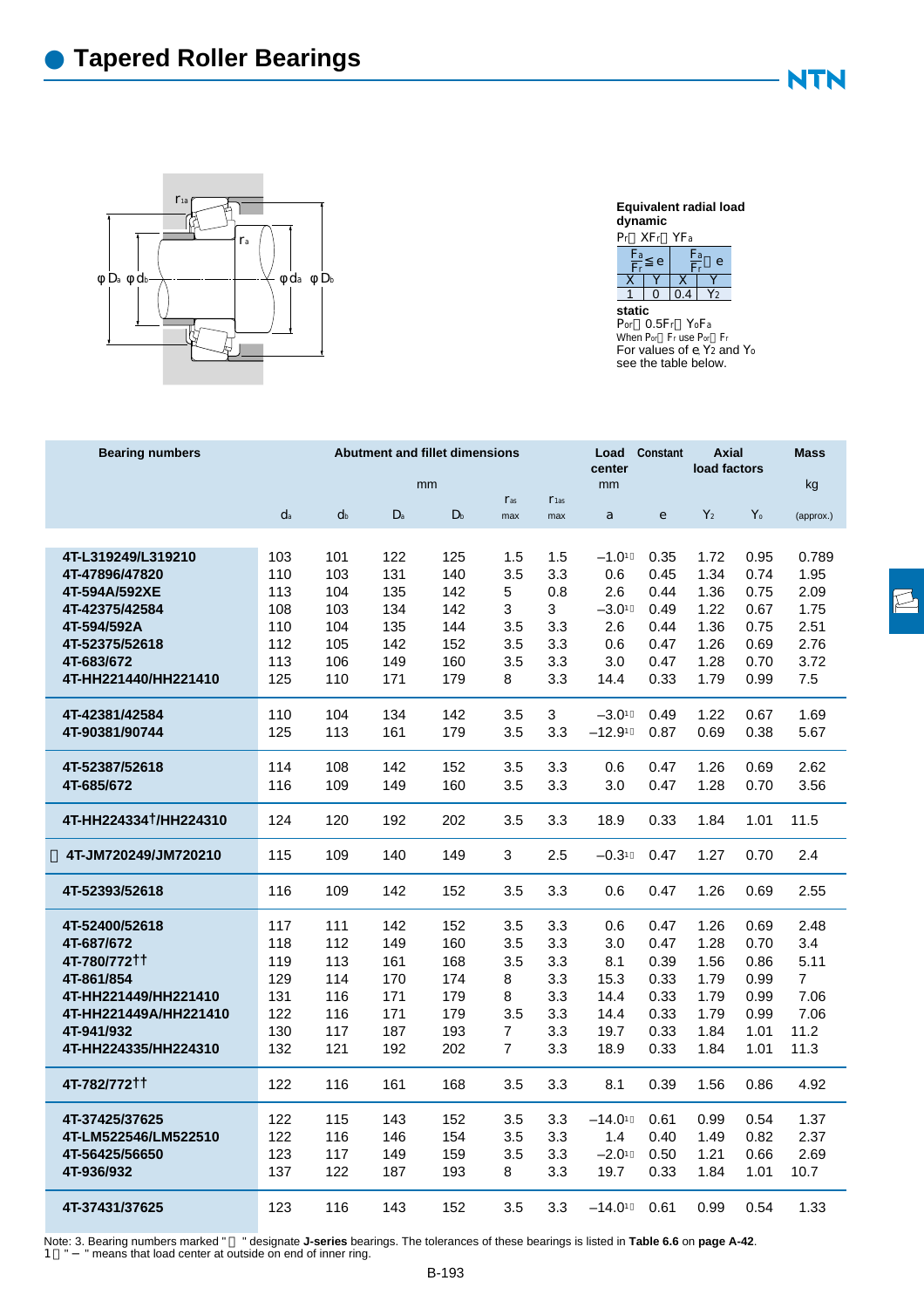





| <b>Bearing numbers</b> |                                    |             | <b>Abutment and fillet dimensions</b> |             |                | Load<br>center             | <b>Constant</b> | <b>Axial</b><br>load factors |       | <b>Mass</b> |                |
|------------------------|------------------------------------|-------------|---------------------------------------|-------------|----------------|----------------------------|-----------------|------------------------------|-------|-------------|----------------|
|                        |                                    |             |                                       | mm          |                |                            | mm              |                              |       |             | kg             |
|                        |                                    |             |                                       |             | $r_{\rm as}$   | $\mathcal{r}_{\text{las}}$ |                 |                              |       |             |                |
|                        | $d_{\scriptscriptstyle{\text{a}}}$ | $d_{\rm b}$ | $D_{a}$                               | $D_{\rm b}$ | max            | max                        | a               | $\boldsymbol{e}$             | $Y_2$ | $Y_0$       | (approx.)      |
|                        |                                    |             |                                       |             |                |                            |                 |                              |       |             |                |
| 4T-L319249/L319210     | 103                                | 101         | 122                                   | 125         | 1.5            | 1.5                        | $-1.01$         | 0.35                         | 1.72  | 0.95        | 0.789          |
| 4T-47896/47820         | 110                                | 103         | 131                                   | 140         | 3.5            | 3.3                        | 0.6             | 0.45                         | 1.34  | 0.74        | 1.95           |
| 4T-594A/592XE          | 113                                | 104         | 135                                   | 142         | 5              | 0.8                        | 2.6             | 0.44                         | 1.36  | 0.75        | 2.09           |
| 4T-42375/42584         | 108                                | 103         | 134                                   | 142         | 3              | 3                          | $-3.0^{\circ}$  | 0.49                         | 1.22  | 0.67        | 1.75           |
| 4T-594/592A            | 110                                | 104         | 135                                   | 144         | 3.5            | 3.3                        | 2.6             | 0.44                         | 1.36  | 0.75        | 2.51           |
| 4T-52375/52618         | 112                                | 105         | 142                                   | 152         | 3.5            | 3.3                        | 0.6             | 0.47                         | 1.26  | 0.69        | 2.76           |
| 4T-683/672             | 113                                | 106         | 149                                   | 160         | 3.5            | 3.3                        | 3.0             | 0.47                         | 1.28  | 0.70        | 3.72           |
| 4T-HH221440/HH221410   | 125                                | 110         | 171                                   | 179         | 8              | 3.3                        | 14.4            | 0.33                         | 1.79  | 0.99        | 7.5            |
| 4T-42381/42584         | 110                                | 104         | 134                                   | 142         | 3.5            | 3                          | $-3.01$         | 0.49                         | 1.22  | 0.67        | 1.69           |
| 4T-90381/90744         | 125                                | 113         | 161                                   | 179         | 3.5            | 3.3                        | $-12.91$        | 0.87                         | 0.69  | 0.38        | 5.67           |
|                        |                                    |             |                                       |             |                |                            |                 |                              |       |             |                |
| 4T-52387/52618         | 114                                | 108         | 142                                   | 152         | 3.5            | 3.3                        | 0.6             | 0.47                         | 1.26  | 0.69        | 2.62           |
| 4T-685/672             | 116                                | 109         | 149                                   | 160         | 3.5            | 3.3                        | 3.0             | 0.47                         | 1.28  | 0.70        | 3.56           |
| 4T-HH224334†/HH224310  | 124                                | 120         | 192                                   | 202         | 3.5            | 3.3                        | 18.9            | 0.33                         | 1.84  | 1.01        | 11.5           |
| 4T-JM720249/JM720210   | 115                                | 109         | 140                                   | 149         | 3              | 2.5                        | $-0.31$         | 0.47                         | 1.27  | 0.70        | 2.4            |
| 4T-52393/52618         | 116                                | 109         | 142                                   | 152         | 3.5            | 3.3                        | 0.6             | 0.47                         | 1.26  | 0.69        | 2.55           |
| 4T-52400/52618         | 117                                | 111         | 142                                   | 152         | 3.5            | 3.3                        | 0.6             | 0.47                         | 1.26  | 0.69        | 2.48           |
| 4T-687/672             | 118                                | 112         | 149                                   | 160         | 3.5            | 3.3                        | 3.0             | 0.47                         | 1.28  | 0.70        | 3.4            |
| 4T-780/772††           | 119                                | 113         | 161                                   | 168         | 3.5            | 3.3                        | 8.1             | 0.39                         | 1.56  | 0.86        | 5.11           |
| 4T-861/854             | 129                                | 114         | 170                                   | 174         | 8              | 3.3                        | 15.3            | 0.33                         | 1.79  | 0.99        | $\overline{7}$ |
| 4T-HH221449/HH221410   | 131                                | 116         | 171                                   | 179         | 8              | 3.3                        | 14.4            | 0.33                         | 1.79  | 0.99        | 7.06           |
| 4T-HH221449A/HH221410  | 122                                | 116         | 171                                   | 179         | 3.5            | 3.3                        | 14.4            | 0.33                         | 1.79  | 0.99        | 7.06           |
| 4T-941/932             | 130                                | 117         | 187                                   | 193         | $\overline{7}$ | 3.3                        | 19.7            | 0.33                         | 1.84  | 1.01        | 11.2           |
| 4T-HH224335/HH224310   | 132                                | 121         | 192                                   | 202         | $\overline{7}$ | 3.3                        | 18.9            | 0.33                         | 1.84  | 1.01        | 11.3           |
| 4T-782/772††           | 122                                | 116         | 161                                   | 168         | 3.5            | 3.3                        | 8.1             | 0.39                         | 1.56  | 0.86        | 4.92           |
| 4T-37425/37625         | 122                                | 115         | 143                                   | 152         | 3.5            | 3.3                        | $-14.01$        | 0.61                         | 0.99  | 0.54        | 1.37           |
| 4T-LM522546/LM522510   | 122                                | 116         | 146                                   | 154         | 3.5            | 3.3                        | 1.4             | 0.40                         | 1.49  | 0.82        | 2.37           |
| 4T-56425/56650         | 123                                | 117         | 149                                   | 159         | 3.5            | 3.3                        | $-2.01$         | 0.50                         | 1.21  | 0.66        | 2.69           |
| 4T-936/932             | 137                                | 122         | 187                                   | 193         | 8              | 3.3                        | 19.7            | 0.33                         | 1.84  | 1.01        | 10.7           |
| 4T-37431/37625         | 123                                | 116         | 143                                   | 152         | 3.5            | 3.3                        | $-14.0^{\circ}$ | 0.61                         | 0.99  | 0.54        | 1.33           |

Note: 3. Bearing numbers marked " " designate **J-series** bearings. The tolerances of these bearings is listed in **Table 6.6** on **page A-42**. 1)" " means that load center at outside on end of inner ring.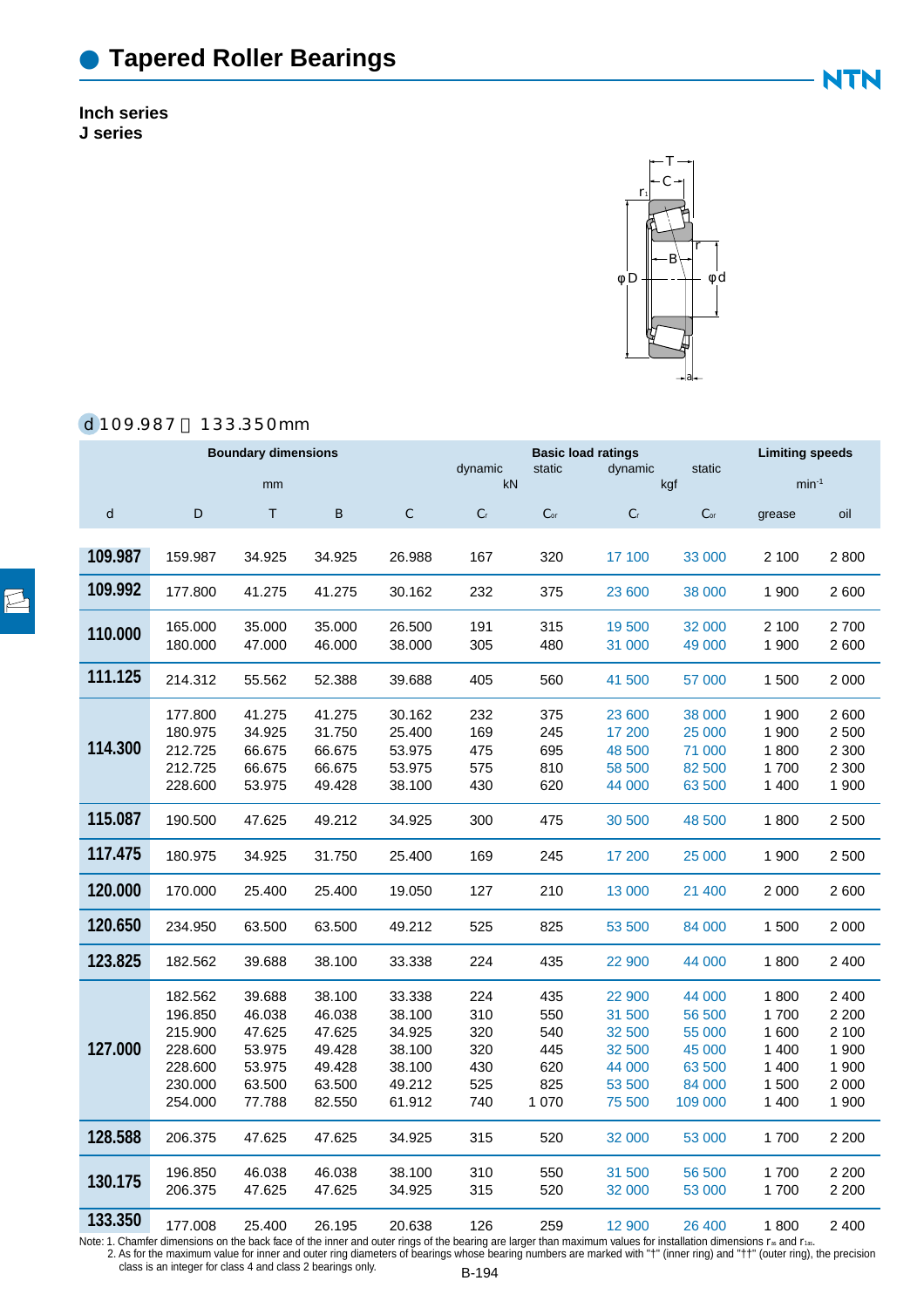

**NTN** 

| d109.987 | 133.350mm |
|----------|-----------|
|          |           |

class is an integer for class 4 and class 2 bearings only.

|                  |                                                                           | <b>Boundary dimensions</b>                                         |                                                                    |                                                                    |                                               |                                                   | <b>Basic load ratings</b>                                          |                                                                     | <b>Limiting speeds</b>                                   |                                                                   |
|------------------|---------------------------------------------------------------------------|--------------------------------------------------------------------|--------------------------------------------------------------------|--------------------------------------------------------------------|-----------------------------------------------|---------------------------------------------------|--------------------------------------------------------------------|---------------------------------------------------------------------|----------------------------------------------------------|-------------------------------------------------------------------|
|                  |                                                                           | mm                                                                 |                                                                    |                                                                    | dynamic<br>kN                                 | static                                            | dynamic                                                            | static<br>kgf                                                       | $min-1$                                                  |                                                                   |
| $\boldsymbol{d}$ | $\cal D$                                                                  | $\cal T$                                                           | $\cal B$                                                           | $\cal C$                                                           | $C_{\rm r}$                                   | $C_{\text{or}}$                                   | $C_{\rm r}$                                                        | $C_{\text{or}}$                                                     | grease                                                   | oil                                                               |
| 109.987          | 159.987                                                                   | 34.925                                                             | 34.925                                                             | 26.988                                                             | 167                                           | 320                                               | 17 100                                                             | 33 000                                                              | 2 100                                                    | 2800                                                              |
| 109.992          | 177.800                                                                   | 41.275                                                             | 41.275                                                             | 30.162                                                             | 232                                           | 375                                               | 23 600                                                             | 38 000                                                              | 1 900                                                    | 2600                                                              |
| 110.000          | 165.000<br>180.000                                                        | 35.000<br>47.000                                                   | 35.000<br>46.000                                                   | 26.500<br>38.000                                                   | 191<br>305                                    | 315<br>480                                        | 19 500<br>31 000                                                   | 32 000<br>49 000                                                    | 2 100<br>1 900                                           | 2700<br>2600                                                      |
| 111.125          | 214.312                                                                   | 55.562                                                             | 52.388                                                             | 39.688                                                             | 405                                           | 560                                               | 41 500                                                             | 57 000                                                              | 1 500                                                    | 2 000                                                             |
| 114.300          | 177.800<br>180.975<br>212.725<br>212.725<br>228.600                       | 41.275<br>34.925<br>66.675<br>66.675<br>53.975                     | 41.275<br>31.750<br>66.675<br>66.675<br>49.428                     | 30.162<br>25.400<br>53.975<br>53.975<br>38.100                     | 232<br>169<br>475<br>575<br>430               | 375<br>245<br>695<br>810<br>620                   | 23 600<br>17 200<br>48 500<br>58 500<br>44 000                     | 38 000<br>25 000<br>71 000<br>82 500<br>63 500                      | 1 900<br>1 900<br>1800<br>1700<br>1 400                  | 2 600<br>2 500<br>2 3 0 0<br>2 3 0 0<br>1 900                     |
| 115.087          | 190.500                                                                   | 47.625                                                             | 49.212                                                             | 34.925                                                             | 300                                           | 475                                               | 30 500                                                             | 48 500                                                              | 1800                                                     | 2 500                                                             |
| 117.475          | 180.975                                                                   | 34.925                                                             | 31.750                                                             | 25.400                                                             | 169                                           | 245                                               | 17 200                                                             | 25 000                                                              | 1 900                                                    | 2 500                                                             |
| 120.000          | 170.000                                                                   | 25.400                                                             | 25.400                                                             | 19.050                                                             | 127                                           | 210                                               | 13 000                                                             | 21 400                                                              | 2 0 0 0                                                  | 2600                                                              |
| 120.650          | 234.950                                                                   | 63.500                                                             | 63.500                                                             | 49.212                                                             | 525                                           | 825                                               | 53 500                                                             | 84 000                                                              | 1 500                                                    | 2 0 0 0                                                           |
| 123.825          | 182.562                                                                   | 39.688                                                             | 38.100                                                             | 33.338                                                             | 224                                           | 435                                               | 22 900                                                             | 44 000                                                              | 1800                                                     | 2 4 0 0                                                           |
| 127.000          | 182.562<br>196.850<br>215.900<br>228.600<br>228.600<br>230.000<br>254.000 | 39.688<br>46.038<br>47.625<br>53.975<br>53.975<br>63.500<br>77.788 | 38.100<br>46.038<br>47.625<br>49.428<br>49.428<br>63.500<br>82.550 | 33.338<br>38.100<br>34.925<br>38.100<br>38.100<br>49.212<br>61.912 | 224<br>310<br>320<br>320<br>430<br>525<br>740 | 435<br>550<br>540<br>445<br>620<br>825<br>1 0 7 0 | 22 900<br>31 500<br>32 500<br>32 500<br>44 000<br>53 500<br>75 500 | 44 000<br>56 500<br>55 000<br>45 000<br>63 500<br>84 000<br>109 000 | 1800<br>1700<br>1 600<br>1 400<br>1 400<br>1500<br>1 400 | 2 4 0 0<br>2 2 0 0<br>2 100<br>1 900<br>1 900<br>2 0 0 0<br>1 900 |
| 128.588          | 206.375                                                                   | 47.625                                                             | 47.625                                                             | 34.925                                                             | 315                                           | 520                                               | 32 000                                                             | 53 000                                                              | 1700                                                     | 2 2 0 0                                                           |
| 130.175          | 196.850<br>206.375                                                        | 46.038<br>47.625                                                   | 46.038<br>47.625                                                   | 38.100<br>34.925                                                   | 310<br>315                                    | 550<br>520                                        | 31 500<br>32 000                                                   | 56 500<br>53 000                                                    | 1700<br>1700                                             | 2 2 0 0<br>2 2 0 0                                                |
| 133.350          | 177.008                                                                   | 25.400                                                             | 26.195                                                             | 20.638                                                             | 126                                           | 259                                               | 12 900                                                             | 26 400                                                              | 1800                                                     | 2 400                                                             |

Note: 1. Chamfer dimensions on the back face of the inner and outer rings of the bearing are larger than maximum values for installation dimensions r‱ and n‱.<br>2. As for the maximum value for inner and outer ring diameters

 $\sum_{i=1}^{n}$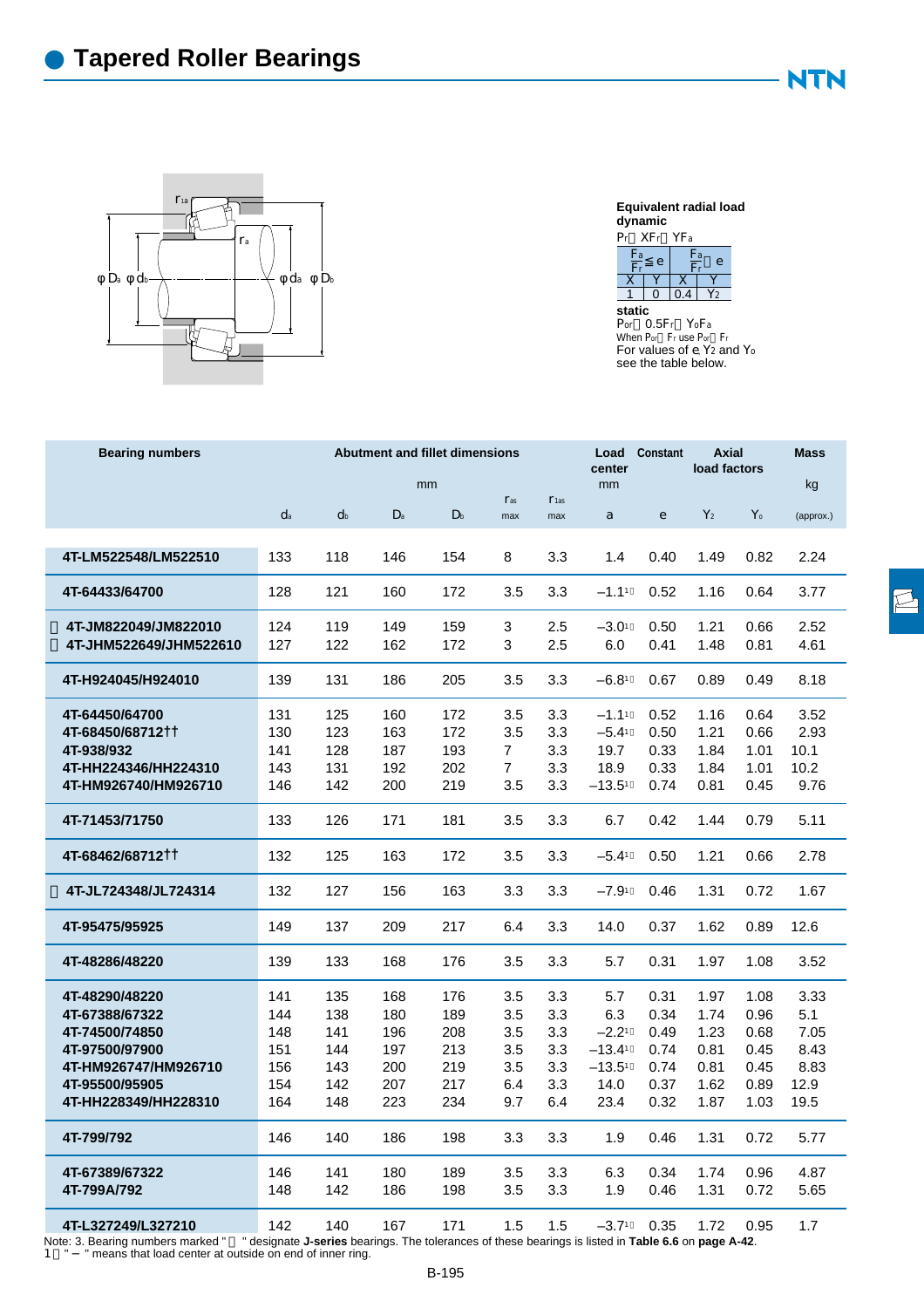

#### **Equivalent radial load dynamic**



**static** *P*or 0.5*F*r *Y*o*F*a When *P*or *F*<sup>r</sup> use *P*or *F*<sup>r</sup> For values of *e*, *Y*2 and *Y*o see the table below.

| <b>Bearing numbers</b>                                                                                                                 |                                               |                                               | <b>Abutment and fillet dimensions</b>         |                                               |                                                       | Load<br>center                                | Constant                                                                           | <b>Axial</b><br>load factors                         |                                                      | <b>Mass</b>                                          |                                                     |
|----------------------------------------------------------------------------------------------------------------------------------------|-----------------------------------------------|-----------------------------------------------|-----------------------------------------------|-----------------------------------------------|-------------------------------------------------------|-----------------------------------------------|------------------------------------------------------------------------------------|------------------------------------------------------|------------------------------------------------------|------------------------------------------------------|-----------------------------------------------------|
|                                                                                                                                        |                                               |                                               |                                               | mm                                            |                                                       |                                               | mm                                                                                 |                                                      |                                                      |                                                      | kg                                                  |
|                                                                                                                                        | $d_{\scriptscriptstyle{\text{a}}}$            | $\mathfrak{a}$                                | $D_{a}$                                       | $D_{\rm b}$                                   | $r_{\rm as}$<br>max                                   | $r_{\text{las}}$<br>max                       | a                                                                                  | $\boldsymbol{e}$                                     | $Y_2$                                                | $Y_{o}$                                              | (approx.)                                           |
| 4T-LM522548/LM522510                                                                                                                   | 133                                           | 118                                           | 146                                           | 154                                           | 8                                                     | 3.3                                           | 1.4                                                                                | 0.40                                                 | 1.49                                                 | 0.82                                                 | 2.24                                                |
| 4T-64433/64700                                                                                                                         | 128                                           | 121                                           | 160                                           | 172                                           | 3.5                                                   | 3.3                                           | $-1.11$                                                                            | 0.52                                                 | 1.16                                                 | 0.64                                                 | 3.77                                                |
| 4T-JM822049/JM822010<br>4T-JHM522649/JHM522610                                                                                         | 124<br>127                                    | 119<br>122                                    | 149<br>162                                    | 159<br>172                                    | 3<br>3                                                | 2.5<br>2.5                                    | $-3.01$<br>6.0                                                                     | 0.50<br>0.41                                         | 1.21<br>1.48                                         | 0.66<br>0.81                                         | 2.52<br>4.61                                        |
| 4T-H924045/H924010                                                                                                                     | 139                                           | 131                                           | 186                                           | 205                                           | 3.5                                                   | 3.3                                           | $-6.81$                                                                            | 0.67                                                 | 0.89                                                 | 0.49                                                 | 8.18                                                |
| 4T-64450/64700<br>4T-68450/68712††<br>4T-938/932<br>4T-HH224346/HH224310<br>4T-HM926740/HM926710                                       | 131<br>130<br>141<br>143<br>146               | 125<br>123<br>128<br>131<br>142               | 160<br>163<br>187<br>192<br>200               | 172<br>172<br>193<br>202<br>219               | 3.5<br>3.5<br>$\overline{7}$<br>$\overline{7}$<br>3.5 | 3.3<br>3.3<br>3.3<br>3.3<br>3.3               | $-1.11$<br>$-5.4^{\circ}$<br>19.7<br>18.9<br>$-13.5^{\circ}$                       | 0.52<br>0.50<br>0.33<br>0.33<br>0.74                 | 1.16<br>1.21<br>1.84<br>1.84<br>0.81                 | 0.64<br>0.66<br>1.01<br>1.01<br>0.45                 | 3.52<br>2.93<br>10.1<br>10.2<br>9.76                |
| 4T-71453/71750                                                                                                                         | 133                                           | 126                                           | 171                                           | 181                                           | 3.5                                                   | 3.3                                           | 6.7                                                                                | 0.42                                                 | 1.44                                                 | 0.79                                                 | 5.11                                                |
| 4T-68462/68712††                                                                                                                       | 132                                           | 125                                           | 163                                           | 172                                           | 3.5                                                   | 3.3                                           | $-5.4^{\circ}$                                                                     | 0.50                                                 | 1.21                                                 | 0.66                                                 | 2.78                                                |
| 4T-JL724348/JL724314                                                                                                                   | 132                                           | 127                                           | 156                                           | 163                                           | 3.3                                                   | 3.3                                           | $-7.91$                                                                            | 0.46                                                 | 1.31                                                 | 0.72                                                 | 1.67                                                |
| 4T-95475/95925                                                                                                                         | 149                                           | 137                                           | 209                                           | 217                                           | 6.4                                                   | 3.3                                           | 14.0                                                                               | 0.37                                                 | 1.62                                                 | 0.89                                                 | 12.6                                                |
| 4T-48286/48220                                                                                                                         | 139                                           | 133                                           | 168                                           | 176                                           | 3.5                                                   | 3.3                                           | 5.7                                                                                | 0.31                                                 | 1.97                                                 | 1.08                                                 | 3.52                                                |
| 4T-48290/48220<br>4T-67388/67322<br>4T-74500/74850<br>4T-97500/97900<br>4T-HM926747/HM926710<br>4T-95500/95905<br>4T-HH228349/HH228310 | 141<br>144<br>148<br>151<br>156<br>154<br>164 | 135<br>138<br>141<br>144<br>143<br>142<br>148 | 168<br>180<br>196<br>197<br>200<br>207<br>223 | 176<br>189<br>208<br>213<br>219<br>217<br>234 | 3.5<br>3.5<br>3.5<br>3.5<br>3.5<br>6.4<br>9.7         | 3.3<br>3.3<br>3.3<br>3.3<br>3.3<br>3.3<br>6.4 | 5.7<br>6.3<br>$-2.2^{\circ}$<br>$-13.4^{\circ}$<br>$-13.5^{\circ}$<br>14.0<br>23.4 | 0.31<br>0.34<br>0.49<br>0.74<br>0.74<br>0.37<br>0.32 | 1.97<br>1.74<br>1.23<br>0.81<br>0.81<br>1.62<br>1.87 | 1.08<br>0.96<br>0.68<br>0.45<br>0.45<br>0.89<br>1.03 | 3.33<br>5.1<br>7.05<br>8.43<br>8.83<br>12.9<br>19.5 |
| 4T-799/792                                                                                                                             | 146                                           | 140                                           | 186                                           | 198                                           | 3.3                                                   | 3.3                                           | 1.9                                                                                | 0.46                                                 | 1.31                                                 | 0.72                                                 | 5.77                                                |
| 4T-67389/67322<br>4T-799A/792                                                                                                          | 146<br>148                                    | 141<br>142                                    | 180<br>186                                    | 189<br>198                                    | 3.5<br>3.5                                            | 3.3<br>3.3                                    | 6.3<br>1.9                                                                         | 0.34<br>0.46                                         | 1.74<br>1.31                                         | 0.96<br>0.72                                         | 4.87<br>5.65                                        |
| 4T-L327249/L327210                                                                                                                     | 142                                           | 140                                           | 167                                           | 171                                           | 1.5                                                   | 1.5                                           | $-3.7^{\scriptscriptstyle +}$                                                      | 0.35                                                 | 1.72                                                 | 0.95                                                 | 1.7                                                 |

Note: 3. Bearing numbers marked " " designate **J-series** bearings. The tolerances of these bearings is listed in **Table 6.6** on **page A-42**. 1)" " means that load center at outside on end of inner ring.

 $\overline{\mathcal{D}}$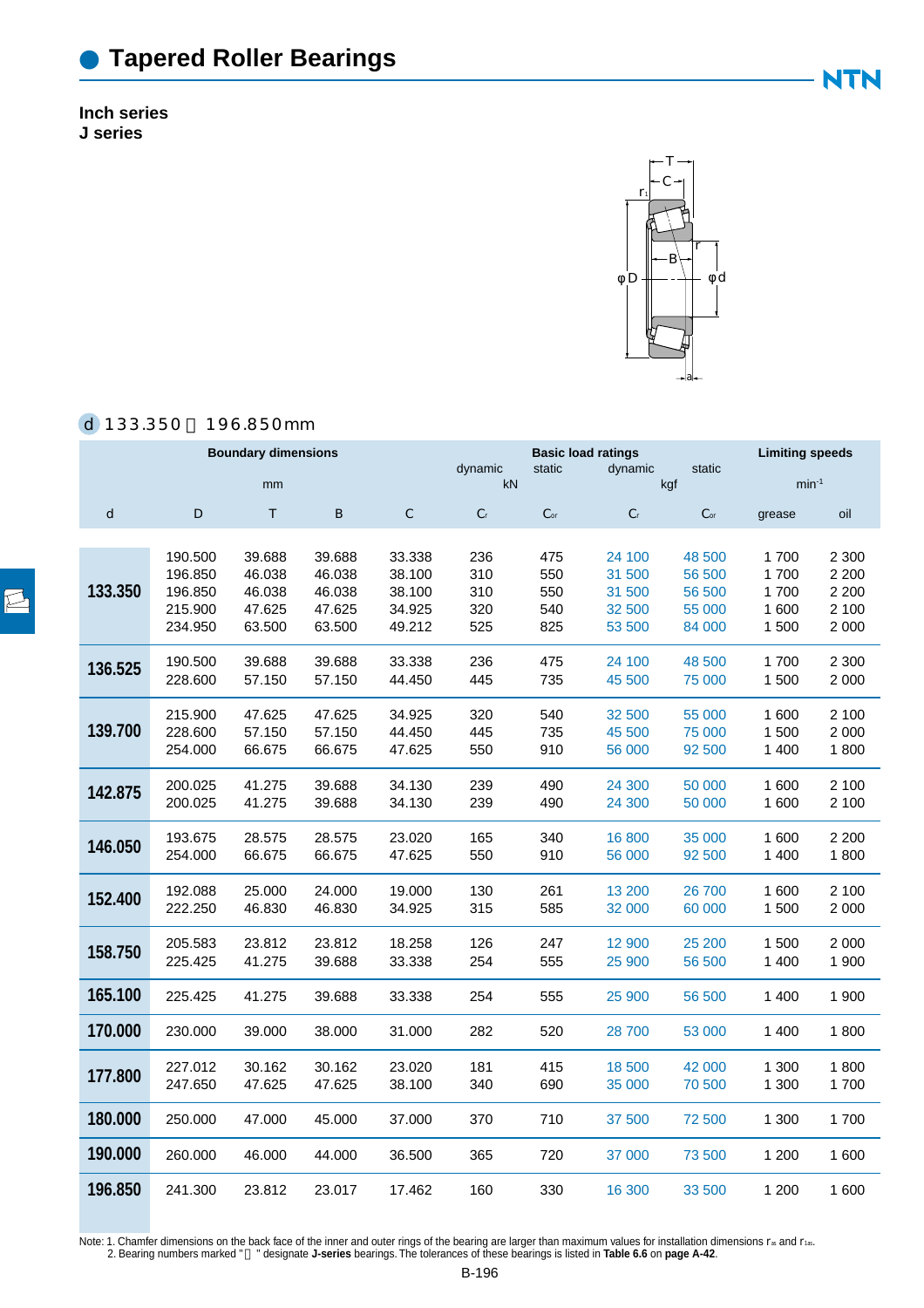

**NTN** 

P

## *d* 133.350 ~ 196.850mm

|                  |                    | <b>Boundary dimensions</b> |                  |                  |               |                 | <b>Basic load ratings</b> |                  | <b>Limiting speeds</b> |                    |
|------------------|--------------------|----------------------------|------------------|------------------|---------------|-----------------|---------------------------|------------------|------------------------|--------------------|
|                  |                    | mm                         |                  |                  | dynamic<br>kN | static          | dynamic<br>kgf            | static           | $min^{-1}$             |                    |
| $\boldsymbol{d}$ | $\cal D$           | $\cal T$                   | $\cal B$         | $\cal C$         | $C_{\rm r}$   | $C_{\text{or}}$ | $C_{\rm r}$               | $C_{\rm or}$     | grease                 | oil                |
|                  |                    |                            |                  |                  |               |                 |                           |                  |                        |                    |
|                  | 190.500            | 39.688                     | 39.688           | 33.338           | 236           | 475             | 24 100                    | 48 500           | 1700                   | 2 300              |
| 133.350          | 196.850<br>196.850 | 46.038<br>46.038           | 46.038<br>46.038 | 38.100<br>38.100 | 310<br>310    | 550<br>550      | 31 500<br>31 500          | 56 500<br>56 500 | 1700<br>1700           | 2 2 0 0<br>2 2 0 0 |
|                  | 215.900            | 47.625                     | 47.625           | 34.925           | 320           | 540             | 32 500                    | 55 000           | 1 600                  | 2 100              |
|                  | 234.950            | 63.500                     | 63.500           | 49.212           | 525           | 825             | 53 500                    | 84 000           | 1500                   | 2 0 0 0            |
| 136.525          | 190.500            | 39.688                     | 39.688           | 33.338           | 236           | 475             | 24 100                    | 48 500           | 1700                   | 2 3 0 0            |
|                  | 228.600            | 57.150                     | 57.150           | 44.450           | 445           | 735             | 45 500                    | 75 000           | 1500                   | 2 0 0 0            |
|                  | 215.900            | 47.625                     | 47.625           | 34.925           | 320           | 540             | 32 500                    | 55 000           | 1 600                  | 2 100              |
| 139.700          | 228.600            | 57.150                     | 57.150           | 44.450           | 445           | 735             | 45 500                    | 75 000           | 1500                   | 2 0 0 0            |
|                  | 254.000            | 66.675                     | 66.675           | 47.625           | 550           | 910             | 56 000                    | 92 500           | 1 400                  | 1800               |
| 142.875          | 200.025            | 41.275                     | 39.688           | 34.130           | 239           | 490             | 24 300                    | 50 000           | 1 600                  | 2 100              |
|                  | 200.025            | 41.275                     | 39.688           | 34.130           | 239           | 490             | 24 300                    | 50 000           | 1 600                  | 2 100              |
| 146.050          | 193.675            | 28.575                     | 28.575           | 23.020           | 165           | 340             | 16 800                    | 35 000           | 1 600                  | 2 2 0 0            |
|                  | 254.000            | 66.675                     | 66.675           | 47.625           | 550           | 910             | 56 000                    | 92 500           | 1 400                  | 1800               |
| 152.400          | 192.088            | 25.000                     | 24.000           | 19.000           | 130           | 261             | 13 200                    | 26 700           | 1 600                  | 2 100              |
|                  | 222.250            | 46.830                     | 46.830           | 34.925           | 315           | 585             | 32 000                    | 60 000           | 1500                   | 2 0 0 0            |
| 158.750          | 205.583            | 23.812                     | 23.812           | 18.258           | 126           | 247             | 12 900                    | 25 200           | 1500                   | 2 0 0 0            |
|                  | 225.425            | 41.275                     | 39.688           | 33.338           | 254           | 555             | 25 900                    | 56 500           | 1 4 0 0                | 1 900              |
| 165.100          | 225.425            | 41.275                     | 39.688           | 33.338           | 254           | 555             | 25 900                    | 56 500           | 1 4 0 0                | 1 900              |
| 170.000          | 230.000            | 39.000                     | 38.000           | 31.000           | 282           | 520             | 28 700                    | 53 000           | 1 400                  | 1800               |
| 177.800          | 227.012            | 30.162                     | 30.162           | 23.020           | 181           | 415             | 18 500                    | 42 000           | 1 300                  | 1800               |
|                  | 247.650            | 47.625                     | 47.625           | 38.100           | 340           | 690             | 35 000                    | 70 500           | 1 300                  | 1700               |
| 180.000          | 250.000            | 47.000                     | 45.000           | 37.000           | 370           | 710             | 37 500                    | 72 500           | 1 300                  | 1700               |
| 190.000          | 260.000            | 46.000                     | 44.000           | 36.500           | 365           | 720             | 37 000                    | 73 500           | 1 200                  | 1 600              |
| 196.850          | 241.300            | 23.812                     | 23.017           | 17.462           | 160           | 330             | 16 300                    | 33 500           | 1 200                  | 1 600              |

Note: 1. Chamfer dimensions on the back face of the inner and outer rings of the bearing are larger than maximum values for installation dimensions *r*<sub>®</sub> and *r*ı...<br>2. Bearing numbers marked " = " designate **J-series** b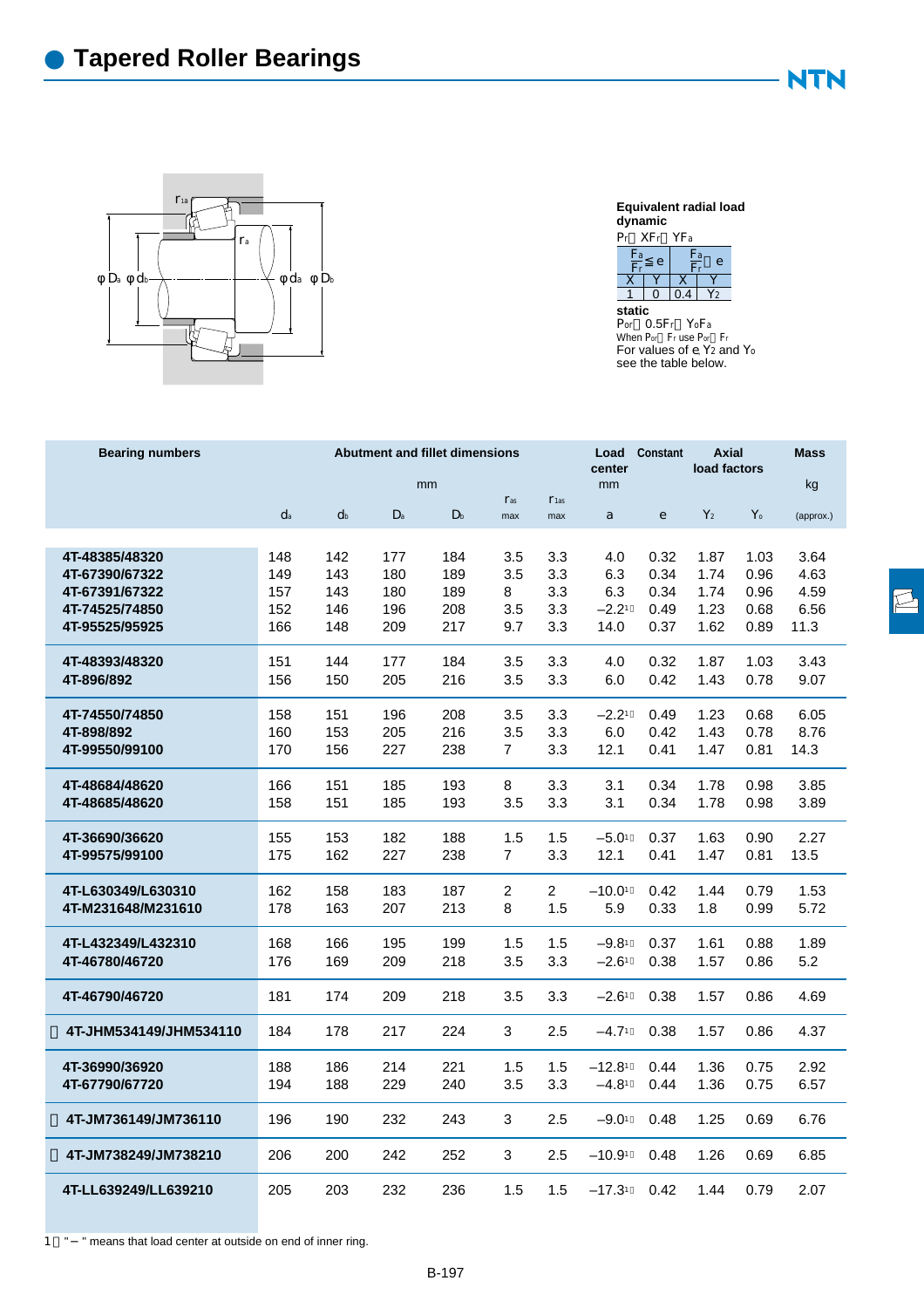





| <b>Bearing numbers</b> |                              |             | <b>Abutment and fillet dimensions</b> |             |                | Load<br>center | <b>Constant</b>     | <b>Axial</b><br>load factors |       | <b>Mass</b> |           |
|------------------------|------------------------------|-------------|---------------------------------------|-------------|----------------|----------------|---------------------|------------------------------|-------|-------------|-----------|
|                        |                              |             |                                       | mm          | $r_{\rm as}$   | $T$ las        | mm                  |                              |       |             | kg        |
|                        | $d_{\scriptscriptstyle\! A}$ | $d_{\rm b}$ | D <sub>a</sub>                        | $D_{\rm b}$ | max            | max            | $\boldsymbol{a}$    | $\boldsymbol{e}$             | $Y_2$ | $Y_{o}$     | (approx.) |
|                        |                              |             |                                       |             |                |                |                     |                              |       |             |           |
| 4T-48385/48320         | 148                          | 142         | 177                                   | 184         | 3.5            | 3.3            | 4.0                 | 0.32                         | 1.87  | 1.03        | 3.64      |
| 4T-67390/67322         | 149                          | 143         | 180                                   | 189         | 3.5            | 3.3            | 6.3                 | 0.34                         | 1.74  | 0.96        | 4.63      |
| 4T-67391/67322         | 157                          | 143         | 180                                   | 189         | 8              | 3.3            | 6.3                 | 0.34                         | 1.74  | 0.96        | 4.59      |
| 4T-74525/74850         | 152                          | 146         | 196                                   | 208         | 3.5            | 3.3            | $-2.2^{\circ}$      | 0.49                         | 1.23  | 0.68        | 6.56      |
| 4T-95525/95925         | 166                          | 148         | 209                                   | 217         | 9.7            | 3.3            | 14.0                | 0.37                         | 1.62  | 0.89        | 11.3      |
| 4T-48393/48320         | 151                          | 144         | 177                                   | 184         | 3.5            | 3.3            | 4.0                 | 0.32                         | 1.87  | 1.03        | 3.43      |
| 4T-896/892             | 156                          | 150         | 205                                   | 216         | 3.5            | 3.3            | 6.0                 | 0.42                         | 1.43  | 0.78        | 9.07      |
| 4T-74550/74850         | 158                          | 151         | 196                                   | 208         | 3.5            | 3.3            | $-2.21$             | 0.49                         | 1.23  | 0.68        | 6.05      |
| 4T-898/892             | 160                          | 153         | 205                                   | 216         | 3.5            | 3.3            | 6.0                 | 0.42                         | 1.43  | 0.78        | 8.76      |
| 4T-99550/99100         | 170                          | 156         | 227                                   | 238         | $\overline{7}$ | 3.3            | 12.1                | 0.41                         | 1.47  | 0.81        | 14.3      |
| 4T-48684/48620         | 166                          | 151         | 185                                   | 193         | 8              | 3.3            | 3.1                 | 0.34                         | 1.78  | 0.98        | 3.85      |
| 4T-48685/48620         | 158                          | 151         | 185                                   | 193         | 3.5            | 3.3            | 3.1                 | 0.34                         | 1.78  | 0.98        | 3.89      |
| 4T-36690/36620         | 155                          | 153         | 182                                   | 188         | 1.5            | 1.5            | $-5.0$ <sup>1</sup> | 0.37                         | 1.63  | 0.90        | 2.27      |
| 4T-99575/99100         | 175                          | 162         | 227                                   | 238         | $\overline{7}$ | 3.3            | 12.1                | 0.41                         | 1.47  | 0.81        | 13.5      |
| 4T-L630349/L630310     | 162                          | 158         | 183                                   | 187         | 2              | $\overline{2}$ | $-10.01$            | 0.42                         | 1.44  | 0.79        | 1.53      |
| 4T-M231648/M231610     | 178                          | 163         | 207                                   | 213         | 8              | 1.5            | 5.9                 | 0.33                         | 1.8   | 0.99        | 5.72      |
| 4T-L432349/L432310     | 168                          | 166         | 195                                   | 199         | 1.5            | 1.5            | $-9.81$             | 0.37                         | 1.61  | 0.88        | 1.89      |
| 4T-46780/46720         | 176                          | 169         | 209                                   | 218         | 3.5            | 3.3            | $-2.61$             | 0.38                         | 1.57  | 0.86        | 5.2       |
| 4T-46790/46720         | 181                          | 174         | 209                                   | 218         | 3.5            | 3.3            | $-2.6^{\circ}$      | 0.38                         | 1.57  | 0.86        | 4.69      |
| 4T-JHM534149/JHM534110 | 184                          | 178         | 217                                   | 224         | 3              | 2.5            | $-4.71$             | 0.38                         | 1.57  | 0.86        | 4.37      |
| 4T-36990/36920         | 188                          | 186         | 214                                   | 221         | 1.5            | 1.5            | $-12.81$            | 0.44                         | 1.36  | 0.75        | 2.92      |
| 4T-67790/67720         | 194                          | 188         | 229                                   | 240         | 3.5            | 3.3            | $-4.81$             | 0.44                         | 1.36  | 0.75        | 6.57      |
| 4T-JM736149/JM736110   | 196                          | 190         | 232                                   | 243         | 3              | 2.5            | $-9.0^{\circ}$      | 0.48                         | 1.25  | 0.69        | 6.76      |
| 4T-JM738249/JM738210   | 206                          | 200         | 242                                   | 252         | 3              | 2.5            | $-10.91$            | 0.48                         | 1.26  | 0.69        | 6.85      |
| 4T-LL639249/LL639210   | 205                          | 203         | 232                                   | 236         | 1.5            | 1.5            | $-17.3^{\circ}$     | 0.42                         | 1.44  | 0.79        | 2.07      |

1 " " means that load center at outside on end of inner ring.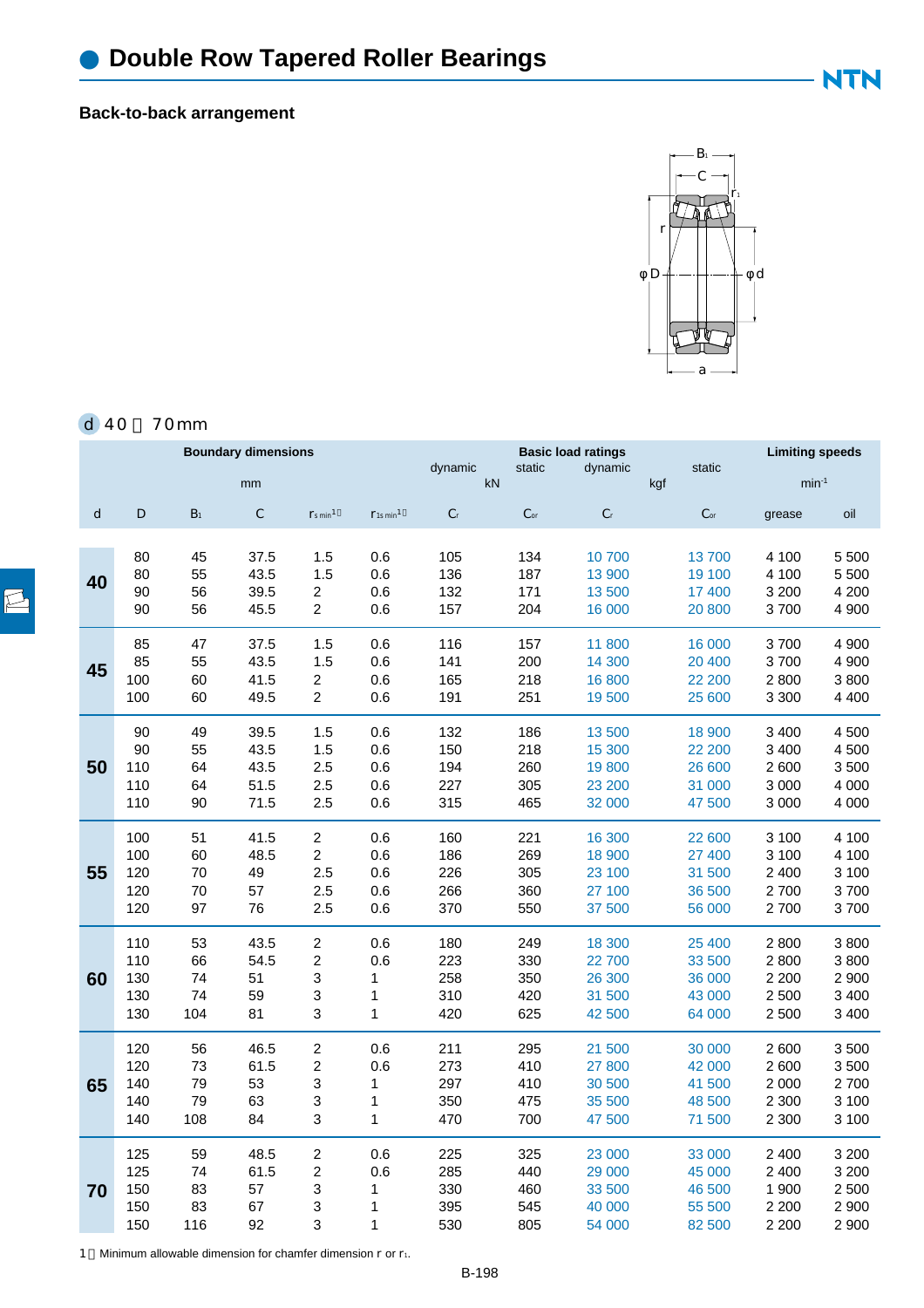# **Back-to-back arrangement**



## *d* 40 ~ 70mm

|                |          |             | <b>Boundary dimensions</b> |                               |                         |               |                 | <b>Basic load ratings</b> |               | <b>Limiting speeds</b> |         |
|----------------|----------|-------------|----------------------------|-------------------------------|-------------------------|---------------|-----------------|---------------------------|---------------|------------------------|---------|
|                |          |             | mm                         |                               |                         | dynamic<br>kN | static          | dynamic                   | static<br>kgf | $min-1$                |         |
| $\overline{d}$ | $\cal D$ | $B_{\rm 1}$ | $\cal C$                   | $r_{\rm s\,min}$ <sup>1</sup> | $T$ is min <sup>1</sup> | $C_{\rm r}$   | $C_{\text{or}}$ | $C_{\rm r}$               | $C_{or}$      | grease                 | oil     |
| 40             | 80       | 45          | 37.5                       | 1.5                           | 0.6                     | 105           | 134             | 10700                     | 13700         | 4 100                  | 5 500   |
|                | 80       | 55          | 43.5                       | 1.5                           | 0.6                     | 136           | 187             | 13 900                    | 19 100        | 4 100                  | 5 500   |
|                | 90       | 56          | 39.5                       | $\overline{c}$                | 0.6                     | 132           | 171             | 13 500                    | 17 400        | 3 200                  | 4 200   |
|                | 90       | 56          | 45.5                       | $\overline{c}$                | 0.6                     | 157           | 204             | 16 000                    | 20 800        | 3700                   | 4 900   |
| 45             | 85       | 47          | 37.5                       | 1.5                           | 0.6                     | 116           | 157             | 11 800                    | 16 000        | 3700                   | 4 900   |
|                | 85       | 55          | 43.5                       | 1.5                           | 0.6                     | 141           | 200             | 14 300                    | 20 400        | 3700                   | 4 900   |
|                | 100      | 60          | 41.5                       | $\overline{c}$                | 0.6                     | 165           | 218             | 16 800                    | 22 200        | 2800                   | 3800    |
|                | 100      | 60          | 49.5                       | $\overline{c}$                | 0.6                     | 191           | 251             | 19 500                    | 25 600        | 3 300                  | 4 4 0 0 |
| 50             | 90       | 49          | 39.5                       | 1.5                           | 0.6                     | 132           | 186             | 13 500                    | 18 900        | 3 4 0 0                | 4500    |
|                | 90       | 55          | 43.5                       | 1.5                           | 0.6                     | 150           | 218             | 15 300                    | 22 200        | 3 4 0 0                | 4 500   |
|                | 110      | 64          | 43.5                       | 2.5                           | 0.6                     | 194           | 260             | 19800                     | 26 600        | 2600                   | 3500    |
|                | 110      | 64          | 51.5                       | 2.5                           | 0.6                     | 227           | 305             | 23 200                    | 31 000        | 3 0 0 0                | 4 0 0 0 |
|                | 110      | 90          | 71.5                       | 2.5                           | 0.6                     | 315           | 465             | 32 000                    | 47 500        | 3 0 0 0                | 4 0 0 0 |
| 55             | 100      | 51          | 41.5                       | $\overline{c}$                | 0.6                     | 160           | 221             | 16 300                    | 22 600        | 3 100                  | 4 100   |
|                | 100      | 60          | 48.5                       | $\boldsymbol{2}$              | 0.6                     | 186           | 269             | 18 900                    | 27 400        | 3 100                  | 4 100   |
|                | 120      | 70          | 49                         | 2.5                           | 0.6                     | 226           | 305             | 23 100                    | 31 500        | 2 4 0 0                | 3 100   |
|                | 120      | 70          | 57                         | 2.5                           | 0.6                     | 266           | 360             | 27 100                    | 36 500        | 2700                   | 3700    |
|                | 120      | 97          | 76                         | 2.5                           | 0.6                     | 370           | 550             | 37 500                    | 56 000        | 2700                   | 3700    |
| 60             | 110      | 53          | 43.5                       | $\overline{c}$                | 0.6                     | 180           | 249             | 18 300                    | 25 400        | 2800                   | 3800    |
|                | 110      | 66          | 54.5                       | $\overline{c}$                | 0.6                     | 223           | 330             | 22700                     | 33 500        | 2800                   | 3800    |
|                | 130      | 74          | 51                         | $\mathbf 3$                   | 1                       | 258           | 350             | 26 300                    | 36 000        | 2 2 0 0                | 2 900   |
|                | 130      | 74          | 59                         | 3                             | 1                       | 310           | 420             | 31 500                    | 43 000        | 2 500                  | 3 4 0 0 |
|                | 130      | 104         | 81                         | $\mathbf 3$                   | $\mathbf 1$             | 420           | 625             | 42 500                    | 64 000        | 2 500                  | 3 4 0 0 |
| 65             | 120      | 56          | 46.5                       | $\boldsymbol{2}$              | 0.6                     | 211           | 295             | 21 500                    | 30 000        | 2 600                  | 3500    |
|                | 120      | 73          | 61.5                       | $\overline{c}$                | 0.6                     | 273           | 410             | 27 800                    | 42 000        | 2600                   | 3500    |
|                | 140      | 79          | 53                         | 3                             | 1                       | 297           | 410             | 30 500                    | 41 500        | 2 0 0 0                | 2700    |
|                | 140      | 79          | 63                         | 3                             | 1                       | 350           | 475             | 35 500                    | 48 500        | 2 3 0 0                | 3 100   |
|                | 140      | 108         | 84                         | $\mathbf 3$                   | 1                       | 470           | 700             | 47 500                    | 71 500        | 2 3 0 0                | 3 100   |
| 70             | 125      | 59          | 48.5                       | $\boldsymbol{2}$              | 0.6                     | 225           | 325             | 23 000                    | 33 000        | 2 400                  | 3 2 0 0 |
|                | 125      | 74          | 61.5                       | $\boldsymbol{2}$              | 0.6                     | 285           | 440             | 29 000                    | 45 000        | 2 400                  | 3 200   |
|                | 150      | 83          | 57                         | 3                             | 1                       | 330           | 460             | 33 500                    | 46 500        | 1 900                  | 2 500   |
|                | 150      | 83          | 67                         | 3                             | 1                       | 395           | 545             | 40 000                    | 55 500        | 2 200                  | 2 900   |
|                | 150      | 116         | 92                         | 3                             | 1                       | 530           | 805             | 54 000                    | 82 500        | 2 2 0 0                | 2 900   |

1 Minimum allowable dimension for chamfer dimension *r* or *r*<sub>1</sub>.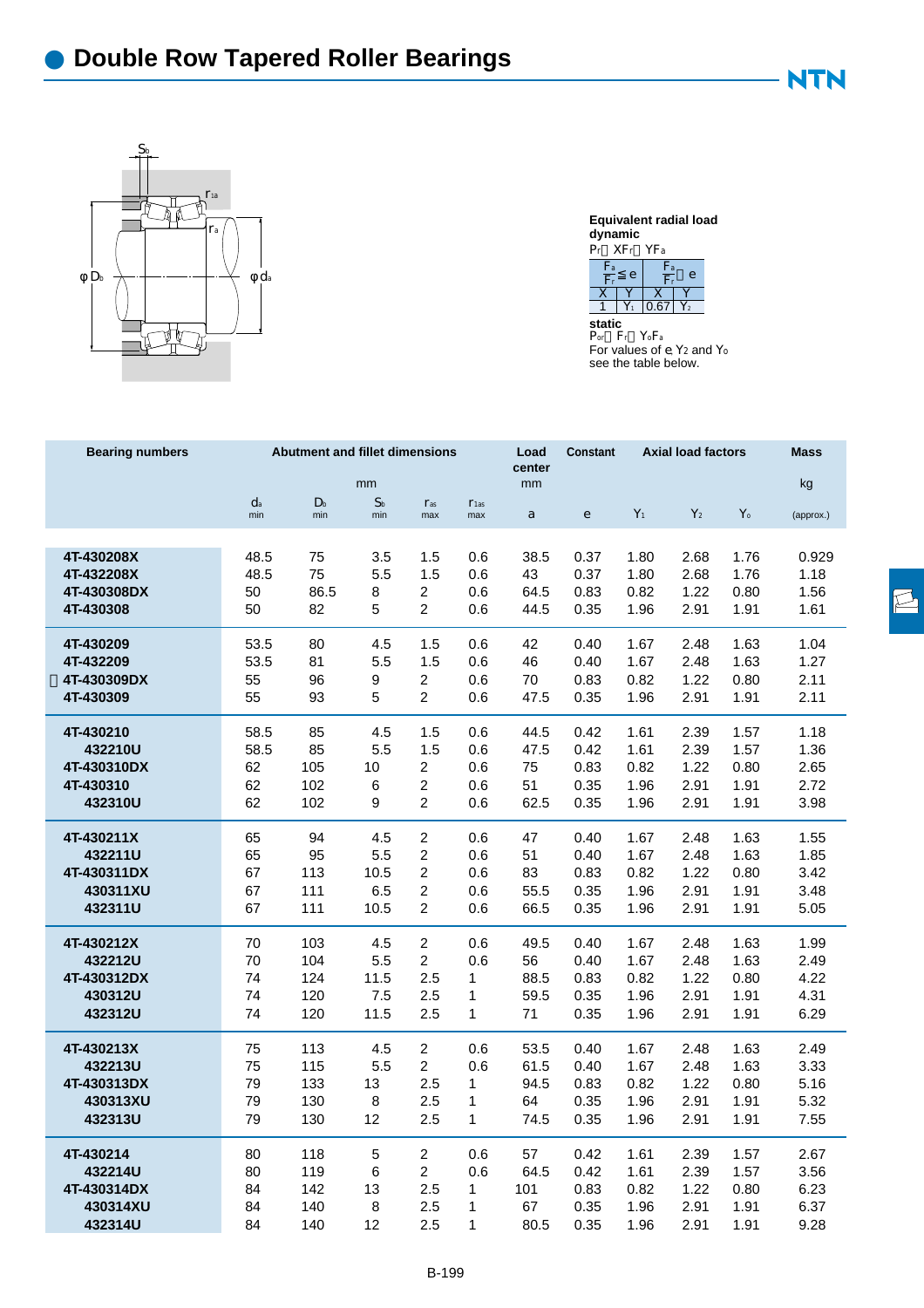



| <b>Bearing numbers</b> |                              | <b>Abutment and fillet dimensions</b> | mm          |                |                  | Load<br>center<br>mm | <b>Constant</b>  |       | <b>Axial load factors</b> |         | <b>Mass</b><br>kg |
|------------------------|------------------------------|---------------------------------------|-------------|----------------|------------------|----------------------|------------------|-------|---------------------------|---------|-------------------|
|                        | $d_{\scriptscriptstyle\! A}$ | $D_{\rm b}$                           | $S_{\rm b}$ | $r_{\rm as}$   | $r_{\text{las}}$ |                      |                  |       |                           |         |                   |
|                        | min                          | min                                   | min         | max            | max              | $\overline{a}$       | $\boldsymbol{e}$ | $Y_1$ | $Y_2$                     | $Y_{o}$ | (approx.)         |
|                        |                              |                                       |             |                |                  |                      |                  |       |                           |         |                   |
| 4T-430208X             | 48.5                         | 75                                    | 3.5         | 1.5            | 0.6              | 38.5                 | 0.37             | 1.80  | 2.68                      | 1.76    | 0.929             |
| 4T-432208X             | 48.5                         | 75                                    | 5.5         | 1.5            | 0.6              | 43                   | 0.37             | 1.80  | 2.68                      | 1.76    | 1.18              |
| 4T-430308DX            | 50                           | 86.5                                  | 8           | 2              | 0.6              | 64.5                 | 0.83             | 0.82  | 1.22                      | 0.80    | 1.56              |
| 4T-430308              | 50                           | 82                                    | 5           | $\overline{2}$ | 0.6              | 44.5                 | 0.35             | 1.96  | 2.91                      | 1.91    | 1.61              |
| 4T-430209              | 53.5                         | 80                                    | 4.5         | 1.5            | 0.6              | 42                   | 0.40             | 1.67  | 2.48                      | 1.63    | 1.04              |
| 4T-432209              | 53.5                         | 81                                    | 5.5         | 1.5            | 0.6              | 46                   | 0.40             | 1.67  | 2.48                      | 1.63    | 1.27              |
| 4T-430309DX            | 55                           | 96                                    | 9           | $\overline{c}$ | 0.6              | 70                   | 0.83             | 0.82  | 1.22                      | 0.80    | 2.11              |
| 4T-430309              | 55                           | 93                                    | 5           | $\overline{2}$ | 0.6              | 47.5                 | 0.35             | 1.96  | 2.91                      | 1.91    | 2.11              |
| 4T-430210              | 58.5                         | 85                                    | 4.5         | 1.5            | 0.6              | 44.5                 | 0.42             | 1.61  | 2.39                      | 1.57    | 1.18              |
| 432210U                | 58.5                         | 85                                    | 5.5         | 1.5            | 0.6              | 47.5                 | 0.42             | 1.61  | 2.39                      | 1.57    | 1.36              |
| 4T-430310DX            | 62                           | 105                                   | 10          | $\overline{c}$ | 0.6              | 75                   | 0.83             | 0.82  | 1.22                      | 0.80    | 2.65              |
| 4T-430310              | 62                           | 102                                   | 6           | $\overline{2}$ | 0.6              | 51                   | 0.35             | 1.96  | 2.91                      | 1.91    | 2.72              |
| 432310U                | 62                           | 102                                   | 9           | $\overline{c}$ | 0.6              | 62.5                 | 0.35             | 1.96  | 2.91                      | 1.91    | 3.98              |
| 4T-430211X             | 65                           | 94                                    | 4.5         | $\overline{c}$ | 0.6              | 47                   | 0.40             | 1.67  | 2.48                      | 1.63    | 1.55              |
| 432211U                | 65                           | 95                                    | 5.5         | $\overline{2}$ | 0.6              | 51                   | 0.40             | 1.67  | 2.48                      | 1.63    | 1.85              |
| 4T-430311DX            | 67                           | 113                                   | 10.5        | $\overline{2}$ | 0.6              | 83                   | 0.83             | 0.82  | 1.22                      | 0.80    | 3.42              |
| 430311XU               | 67                           | 111                                   | 6.5         | 2              | 0.6              | 55.5                 | 0.35             | 1.96  | 2.91                      | 1.91    | 3.48              |
| 432311U                | 67                           | 111                                   | 10.5        | 2              | 0.6              | 66.5                 | 0.35             | 1.96  | 2.91                      | 1.91    | 5.05              |
| 4T-430212X             | 70                           | 103                                   | 4.5         | $\overline{c}$ | 0.6              | 49.5                 | 0.40             | 1.67  | 2.48                      | 1.63    | 1.99              |
| 432212U                | 70                           | 104                                   | 5.5         | $\overline{2}$ | 0.6              | 56                   | 0.40             | 1.67  | 2.48                      | 1.63    | 2.49              |
| 4T-430312DX            | 74                           | 124                                   | 11.5        | 2.5            | 1                | 88.5                 | 0.83             | 0.82  | 1.22                      | 0.80    | 4.22              |
| 430312U                | 74                           | 120                                   | 7.5         | 2.5            | 1                | 59.5                 | 0.35             | 1.96  | 2.91                      | 1.91    | 4.31              |
| 432312U                | 74                           | 120                                   | 11.5        | 2.5            | 1                | 71                   | 0.35             | 1.96  | 2.91                      | 1.91    | 6.29              |
| 4T-430213X             | 75                           | 113                                   | 4.5         | $\overline{2}$ | 0.6              | 53.5                 | 0.40             | 1.67  | 2.48                      | 1.63    | 2.49              |
| 432213U                | 75                           | 115                                   | 5.5         | $\overline{2}$ | 0.6              | 61.5                 | 0.40             | 1.67  | 2.48                      | 1.63    | 3.33              |
| 4T-430313DX            | 79                           | 133                                   | 13          | 2.5            | 1                | 94.5                 | 0.83             | 0.82  | 1.22                      | 0.80    | 5.16              |
| 430313XU               | 79                           | 130                                   | 8           | 2.5            | 1                | 64                   | 0.35             | 1.96  | 2.91                      | 1.91    | 5.32              |
| 432313U                | 79                           | 130                                   | 12          | 2.5            | 1                | 74.5                 | 0.35             | 1.96  | 2.91                      | 1.91    | 7.55              |
| 4T-430214              | 80                           | 118                                   | 5           | $\overline{c}$ | 0.6              | 57                   | 0.42             | 1.61  | 2.39                      | 1.57    | 2.67              |
| 432214U                | 80                           | 119                                   | 6           | $\overline{2}$ | 0.6              | 64.5                 | 0.42             | 1.61  | 2.39                      | 1.57    | 3.56              |
| 4T-430314DX            | 84                           | 142                                   | 13          | 2.5            | 1                | 101                  | 0.83             | 0.82  | 1.22                      | 0.80    | 6.23              |
| 430314XU               | 84                           | 140                                   | 8           | 2.5            | 1                | 67                   | 0.35             | 1.96  | 2.91                      | 1.91    | 6.37              |
| 432314U                | 84                           | 140                                   | 12          | 2.5            | 1                | 80.5                 | 0.35             | 1.96  | 2.91                      | 1.91    | 9.28              |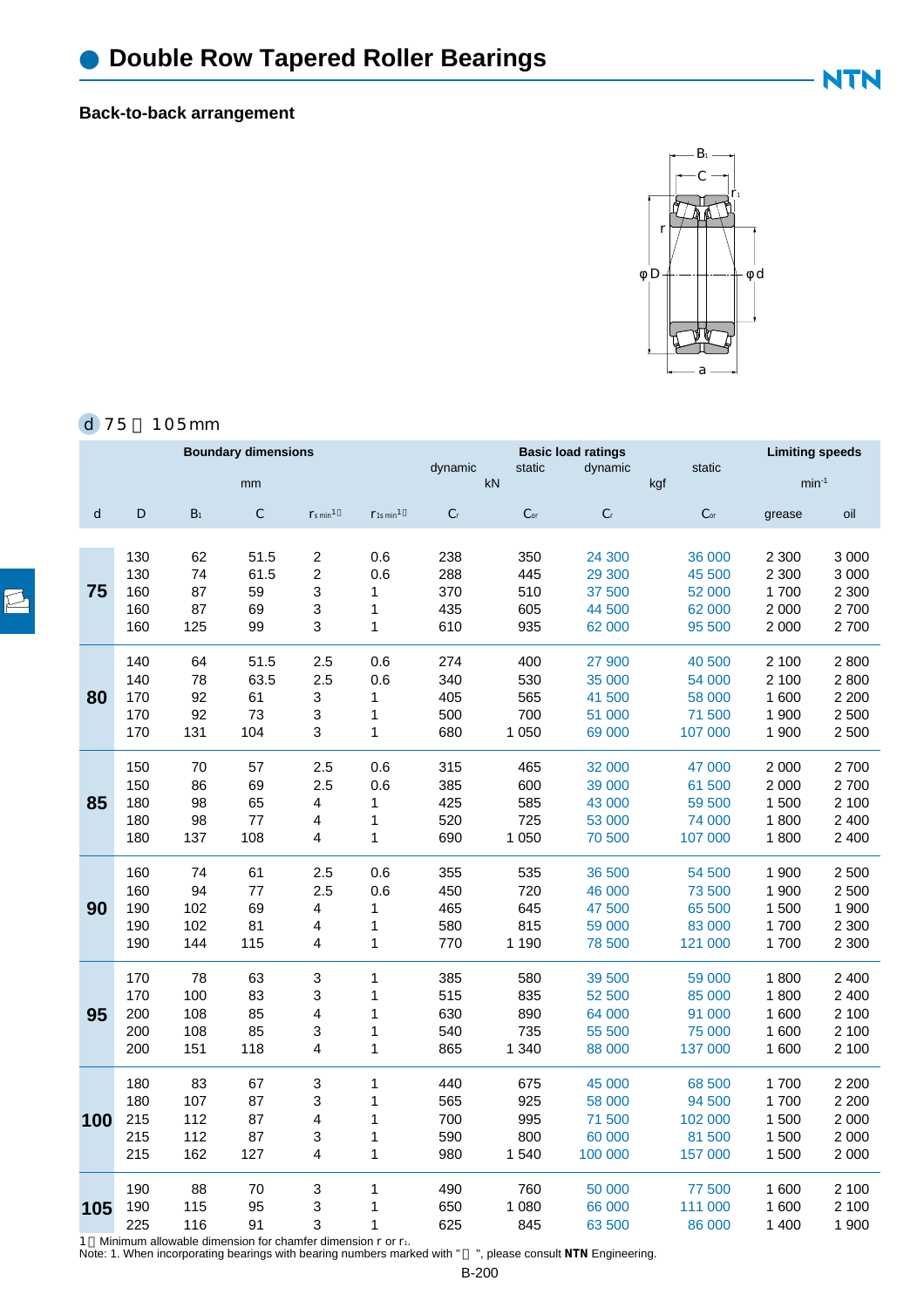# **Back-to-back arrangement**



### *d* 75 ~ 105mm

|                  | <b>Boundary dimensions</b> |                |               |                               |                              |             |                 | <b>Basic load ratings</b> |               | <b>Limiting speeds</b> |         |
|------------------|----------------------------|----------------|---------------|-------------------------------|------------------------------|-------------|-----------------|---------------------------|---------------|------------------------|---------|
|                  |                            |                | mm            |                               |                              | dynamic     | static<br>kN    | dynamic                   | static<br>kgf | $min-1$                |         |
| $\boldsymbol{d}$ | $\boldsymbol{D}$           | B <sub>1</sub> | $\mathcal{C}$ | $r_{\rm s\,min}$ <sup>1</sup> | $\Gamma$ is min <sup>1</sup> | $C_{\rm r}$ | $C_{\text{or}}$ | $C_{r}$                   | $C_{\rm or}$  | grease                 | oil     |
| 75               | 130                        | 62             | 51.5          | 2                             | 0.6                          | 238         | 350             | 24 300                    | 36 000        | 2 300                  | 3 000   |
|                  | 130                        | 74             | 61.5          | $\overline{c}$                | 0.6                          | 288         | 445             | 29 300                    | 45 500        | 2 300                  | 3 000   |
|                  | 160                        | 87             | 59            | 3                             | 1                            | 370         | 510             | 37 500                    | 52 000        | 1700                   | 2 3 0 0 |
|                  | 160                        | 87             | 69            | 3                             | 1                            | 435         | 605             | 44 500                    | 62 000        | 2 000                  | 2700    |
|                  | 160                        | 125            | 99            | 3                             | 1                            | 610         | 935             | 62 000                    | 95 500        | 2 000                  | 2700    |
| 80               | 140                        | 64             | 51.5          | 2.5                           | 0.6                          | 274         | 400             | 27 900                    | 40 500        | 2 100                  | 2800    |
|                  | 140                        | 78             | 63.5          | 2.5                           | 0.6                          | 340         | 530             | 35 000                    | 54 000        | 2 100                  | 2800    |
|                  | 170                        | 92             | 61            | 3                             | 1                            | 405         | 565             | 41 500                    | 58 000        | 1 600                  | 2 2 0 0 |
|                  | 170                        | 92             | 73            | 3                             | 1                            | 500         | 700             | 51 000                    | 71 500        | 1 900                  | 2 500   |
|                  | 170                        | 131            | 104           | 3                             | 1                            | 680         | 1 0 5 0         | 69 000                    | 107 000       | 1 900                  | 2 500   |
| 85               | 150                        | 70             | 57            | 2.5                           | 0.6                          | 315         | 465             | 32 000                    | 47 000        | 2 0 0 0                | 2700    |
|                  | 150                        | 86             | 69            | 2.5                           | 0.6                          | 385         | 600             | 39 000                    | 61 500        | 2 0 0 0                | 2700    |
|                  | 180                        | 98             | 65            | 4                             | 1                            | 425         | 585             | 43 000                    | 59 500        | 1 500                  | 2 100   |
|                  | 180                        | 98             | 77            | 4                             | $\mathbf{1}$                 | 520         | 725             | 53 000                    | 74 000        | 1800                   | 2 4 0 0 |
|                  | 180                        | 137            | 108           | 4                             | 1                            | 690         | 1 0 5 0         | 70 500                    | 107 000       | 1800                   | 2 4 0 0 |
| 90               | 160                        | 74             | 61            | 2.5                           | 0.6                          | 355         | 535             | 36 500                    | 54 500        | 1 900                  | 2 500   |
|                  | 160                        | 94             | 77            | 2.5                           | 0.6                          | 450         | 720             | 46 000                    | 73 500        | 1 900                  | 2 500   |
|                  | 190                        | 102            | 69            | 4                             | 1                            | 465         | 645             | 47 500                    | 65 500        | 1500                   | 1 900   |
|                  | 190                        | 102            | 81            | 4                             | 1                            | 580         | 815             | 59 000                    | 83 000        | 1700                   | 2 3 0 0 |
|                  | 190                        | 144            | 115           | $\overline{4}$                | 1                            | 770         | 1 1 9 0         | 78 500                    | 121 000       | 1700                   | 2 3 0 0 |
| 95               | 170                        | 78             | 63            | 3                             | 1                            | 385         | 580             | 39 500                    | 59 000        | 1800                   | 2 4 0 0 |
|                  | 170                        | 100            | 83            | 3                             | 1                            | 515         | 835             | 52 500                    | 85 000        | 1800                   | 2 4 0 0 |
|                  | 200                        | 108            | 85            | 4                             | $\mathbf 1$                  | 630         | 890             | 64 000                    | 91 000        | 1 600                  | 2 100   |
|                  | 200                        | 108            | 85            | 3                             | 1                            | 540         | 735             | 55 500                    | 75 000        | 1 600                  | 2 100   |
|                  | 200                        | 151            | 118           | 4                             | 1                            | 865         | 1 3 4 0         | 88 000                    | 137 000       | 1 600                  | 2 100   |
| 100              | 180                        | 83             | 67            | 3                             | 1                            | 440         | 675             | 45 000                    | 68 500        | 1700                   | 2 2 0 0 |
|                  | 180                        | 107            | 87            | 3                             | $\mathbf 1$                  | 565         | 925             | 58 000                    | 94 500        | 1700                   | 2 2 0 0 |
|                  | 215                        | 112            | 87            | 4                             | 1                            | 700         | 995             | 71 500                    | 102 000       | 1500                   | 2 0 0 0 |
|                  | 215                        | 112            | 87            | 3                             | 1                            | 590         | 800             | 60 000                    | 81 500        | 1 500                  | 2 0 0 0 |
|                  | 215                        | 162            | 127           | $\overline{4}$                | 1                            | 980         | 1 540           | 100 000                   | 157 000       | 1500                   | 2 0 0 0 |
| 105              | 190                        | 88             | 70            | 3                             | 1                            | 490         | 760             | 50 000                    | 77 500        | 1 600                  | 2 100   |
|                  | 190                        | 115            | 95            | 3                             | 1                            | 650         | 1 0 8 0         | 66 000                    | 111 000       | 1 600                  | 2 100   |
|                  | 225                        | 116            | 91            | 3                             | 1                            | 625         | 845             | 63 500                    | 86 000        | 1 400                  | 1 900   |

1)Minimum allowable dimension for chamfer dimension *r* or *r*1. Note: 1. When incorporating bearings with bearing numbers marked with " ", please consult **NTN** Engineering.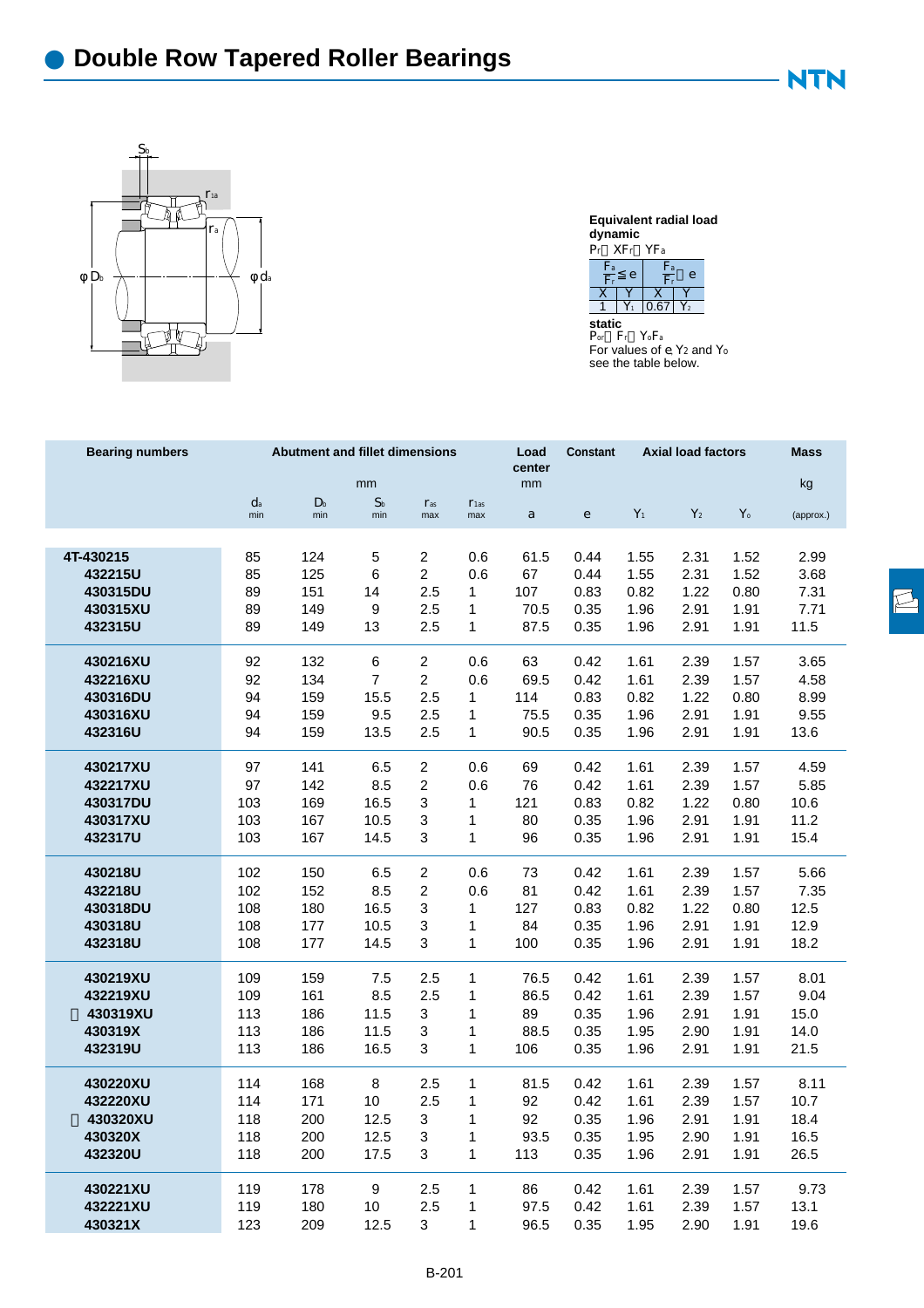



| mm<br>kg<br>mm<br>$d_{\scriptscriptstyle{\theta}}$<br>$S_{\rm b}$<br>$D_{\rm b}$<br>$\mathcal{T}\mathrm{as}$<br>$r_{\text{las}}$<br>$Y_0$<br>$Y_1$<br>$Y_2$<br>min<br>min<br>min<br>$\boldsymbol{a}$<br>$\boldsymbol{e}$<br>max<br>max<br>4T-430215<br>124<br>5<br>$\overline{c}$<br>85<br>0.6<br>61.5<br>0.44<br>1.55<br>2.31<br>1.52<br>2.99<br>$\overline{2}$<br>432215U<br>85<br>125<br>6<br>67<br>0.44<br>1.55<br>2.31<br>1.52<br>3.68<br>0.6<br>107<br>430315DU<br>89<br>151<br>14<br>2.5<br>1<br>0.83<br>1.22<br>0.80<br>7.31<br>0.82<br>149<br>9<br>2.5<br>1<br>70.5<br>2.91<br>1.91<br>7.71<br>430315XU<br>89<br>0.35<br>1.96<br>149<br>2.5<br>1<br>432315U<br>89<br>13<br>87.5<br>0.35<br>1.96<br>2.91<br>1.91<br>11.5<br>132<br>6<br>$\overline{2}$<br>63<br>430216XU<br>92<br>0.6<br>0.42<br>1.61<br>2.39<br>1.57<br>3.65<br>$\overline{7}$<br>$\overline{2}$<br>92<br>134<br>69.5<br>0.42<br>2.39<br>4.58<br>432216XU<br>0.6<br>1.61<br>1.57<br>159<br>15.5<br>1<br>1.22<br>8.99<br>430316DU<br>94<br>2.5<br>114<br>0.83<br>0.82<br>0.80<br>159<br>9.5<br>2.5<br>1<br>430316XU<br>94<br>75.5<br>0.35<br>1.96<br>2.91<br>1.91<br>9.55<br>159<br>13.5<br>0.35 | <b>Bearing numbers</b> | <b>Abutment and fillet dimensions</b> |  |  |     |   | Load<br>center | <b>Constant</b> |      | <b>Axial load factors</b> |      | <b>Mass</b> |
|--------------------------------------------------------------------------------------------------------------------------------------------------------------------------------------------------------------------------------------------------------------------------------------------------------------------------------------------------------------------------------------------------------------------------------------------------------------------------------------------------------------------------------------------------------------------------------------------------------------------------------------------------------------------------------------------------------------------------------------------------------------------------------------------------------------------------------------------------------------------------------------------------------------------------------------------------------------------------------------------------------------------------------------------------------------------------------------------------------------------------------------------------------------------------|------------------------|---------------------------------------|--|--|-----|---|----------------|-----------------|------|---------------------------|------|-------------|
|                                                                                                                                                                                                                                                                                                                                                                                                                                                                                                                                                                                                                                                                                                                                                                                                                                                                                                                                                                                                                                                                                                                                                                          |                        |                                       |  |  |     |   |                |                 |      |                           |      |             |
|                                                                                                                                                                                                                                                                                                                                                                                                                                                                                                                                                                                                                                                                                                                                                                                                                                                                                                                                                                                                                                                                                                                                                                          |                        |                                       |  |  |     |   |                |                 |      |                           |      | (approx.)   |
|                                                                                                                                                                                                                                                                                                                                                                                                                                                                                                                                                                                                                                                                                                                                                                                                                                                                                                                                                                                                                                                                                                                                                                          |                        |                                       |  |  |     |   |                |                 |      |                           |      |             |
|                                                                                                                                                                                                                                                                                                                                                                                                                                                                                                                                                                                                                                                                                                                                                                                                                                                                                                                                                                                                                                                                                                                                                                          |                        |                                       |  |  |     |   |                |                 |      |                           |      |             |
|                                                                                                                                                                                                                                                                                                                                                                                                                                                                                                                                                                                                                                                                                                                                                                                                                                                                                                                                                                                                                                                                                                                                                                          |                        |                                       |  |  |     |   |                |                 |      |                           |      |             |
|                                                                                                                                                                                                                                                                                                                                                                                                                                                                                                                                                                                                                                                                                                                                                                                                                                                                                                                                                                                                                                                                                                                                                                          |                        |                                       |  |  |     |   |                |                 |      |                           |      |             |
|                                                                                                                                                                                                                                                                                                                                                                                                                                                                                                                                                                                                                                                                                                                                                                                                                                                                                                                                                                                                                                                                                                                                                                          |                        |                                       |  |  |     |   |                |                 |      |                           |      |             |
|                                                                                                                                                                                                                                                                                                                                                                                                                                                                                                                                                                                                                                                                                                                                                                                                                                                                                                                                                                                                                                                                                                                                                                          |                        |                                       |  |  |     |   |                |                 |      |                           |      |             |
|                                                                                                                                                                                                                                                                                                                                                                                                                                                                                                                                                                                                                                                                                                                                                                                                                                                                                                                                                                                                                                                                                                                                                                          |                        |                                       |  |  |     |   |                |                 |      |                           |      |             |
|                                                                                                                                                                                                                                                                                                                                                                                                                                                                                                                                                                                                                                                                                                                                                                                                                                                                                                                                                                                                                                                                                                                                                                          |                        |                                       |  |  |     |   |                |                 |      |                           |      |             |
|                                                                                                                                                                                                                                                                                                                                                                                                                                                                                                                                                                                                                                                                                                                                                                                                                                                                                                                                                                                                                                                                                                                                                                          |                        |                                       |  |  |     |   |                |                 |      |                           |      |             |
|                                                                                                                                                                                                                                                                                                                                                                                                                                                                                                                                                                                                                                                                                                                                                                                                                                                                                                                                                                                                                                                                                                                                                                          | 432316U                | 94                                    |  |  | 2.5 | 1 | 90.5           |                 | 1.96 | 2.91                      | 1.91 | 13.6        |
| 141<br>97<br>$\overline{c}$<br>69<br>2.39<br>1.57<br>4.59<br>430217XU<br>6.5<br>0.6<br>0.42<br>1.61                                                                                                                                                                                                                                                                                                                                                                                                                                                                                                                                                                                                                                                                                                                                                                                                                                                                                                                                                                                                                                                                      |                        |                                       |  |  |     |   |                |                 |      |                           |      |             |
| 97<br>142<br>8.5<br>$\overline{c}$<br>76<br>0.42<br>2.39<br>5.85<br>432217XU<br>0.6<br>1.61<br>1.57                                                                                                                                                                                                                                                                                                                                                                                                                                                                                                                                                                                                                                                                                                                                                                                                                                                                                                                                                                                                                                                                      |                        |                                       |  |  |     |   |                |                 |      |                           |      |             |
| 169<br>121<br>430317DU<br>103<br>16.5<br>3<br>1<br>0.83<br>0.82<br>1.22<br>0.80<br>10.6                                                                                                                                                                                                                                                                                                                                                                                                                                                                                                                                                                                                                                                                                                                                                                                                                                                                                                                                                                                                                                                                                  |                        |                                       |  |  |     |   |                |                 |      |                           |      |             |
| 3<br>430317XU<br>103<br>167<br>10.5<br>1<br>80<br>0.35<br>1.96<br>2.91<br>1.91<br>11.2                                                                                                                                                                                                                                                                                                                                                                                                                                                                                                                                                                                                                                                                                                                                                                                                                                                                                                                                                                                                                                                                                   |                        |                                       |  |  |     |   |                |                 |      |                           |      |             |
| 3<br>$\mathbf 1$<br>15.4<br>432317U<br>103<br>167<br>14.5<br>96<br>0.35<br>1.96<br>2.91<br>1.91                                                                                                                                                                                                                                                                                                                                                                                                                                                                                                                                                                                                                                                                                                                                                                                                                                                                                                                                                                                                                                                                          |                        |                                       |  |  |     |   |                |                 |      |                           |      |             |
| 102<br>150<br>$\overline{c}$<br>73<br>430218U<br>6.5<br>0.6<br>0.42<br>1.61<br>2.39<br>1.57<br>5.66                                                                                                                                                                                                                                                                                                                                                                                                                                                                                                                                                                                                                                                                                                                                                                                                                                                                                                                                                                                                                                                                      |                        |                                       |  |  |     |   |                |                 |      |                           |      |             |
| 432218U<br>152<br>$\overline{2}$<br>81<br>7.35<br>102<br>8.5<br>0.6<br>0.42<br>1.61<br>2.39<br>1.57                                                                                                                                                                                                                                                                                                                                                                                                                                                                                                                                                                                                                                                                                                                                                                                                                                                                                                                                                                                                                                                                      |                        |                                       |  |  |     |   |                |                 |      |                           |      |             |
| 3<br>127<br>430318DU<br>108<br>180<br>16.5<br>1<br>0.83<br>0.82<br>1.22<br>0.80<br>12.5                                                                                                                                                                                                                                                                                                                                                                                                                                                                                                                                                                                                                                                                                                                                                                                                                                                                                                                                                                                                                                                                                  |                        |                                       |  |  |     |   |                |                 |      |                           |      |             |
| 108<br>177<br>0.35<br>12.9<br>430318U<br>10.5<br>3<br>1<br>84<br>1.96<br>2.91<br>1.91                                                                                                                                                                                                                                                                                                                                                                                                                                                                                                                                                                                                                                                                                                                                                                                                                                                                                                                                                                                                                                                                                    |                        |                                       |  |  |     |   |                |                 |      |                           |      |             |
| 177<br>432318U<br>108<br>14.5<br>3<br>1<br>100<br>0.35<br>1.96<br>2.91<br>1.91<br>18.2                                                                                                                                                                                                                                                                                                                                                                                                                                                                                                                                                                                                                                                                                                                                                                                                                                                                                                                                                                                                                                                                                   |                        |                                       |  |  |     |   |                |                 |      |                           |      |             |
| 430219XU<br>109<br>159<br>7.5<br>2.5<br>1<br>76.5<br>0.42<br>1.61<br>2.39<br>1.57<br>8.01                                                                                                                                                                                                                                                                                                                                                                                                                                                                                                                                                                                                                                                                                                                                                                                                                                                                                                                                                                                                                                                                                |                        |                                       |  |  |     |   |                |                 |      |                           |      |             |
| 161<br>2.5<br>1<br>432219XU<br>109<br>8.5<br>86.5<br>0.42<br>1.61<br>2.39<br>1.57<br>9.04                                                                                                                                                                                                                                                                                                                                                                                                                                                                                                                                                                                                                                                                                                                                                                                                                                                                                                                                                                                                                                                                                |                        |                                       |  |  |     |   |                |                 |      |                           |      |             |
| 430319XU<br>113<br>186<br>11.5<br>3<br>1<br>89<br>0.35<br>1.96<br>2.91<br>1.91<br>15.0                                                                                                                                                                                                                                                                                                                                                                                                                                                                                                                                                                                                                                                                                                                                                                                                                                                                                                                                                                                                                                                                                   |                        |                                       |  |  |     |   |                |                 |      |                           |      |             |
| 1<br>430319X<br>113<br>186<br>11.5<br>3<br>88.5<br>0.35<br>1.95<br>2.90<br>1.91<br>14.0                                                                                                                                                                                                                                                                                                                                                                                                                                                                                                                                                                                                                                                                                                                                                                                                                                                                                                                                                                                                                                                                                  |                        |                                       |  |  |     |   |                |                 |      |                           |      |             |
| 432319U<br>113<br>186<br>16.5<br>3<br>1<br>106<br>0.35<br>1.96<br>2.91<br>1.91<br>21.5                                                                                                                                                                                                                                                                                                                                                                                                                                                                                                                                                                                                                                                                                                                                                                                                                                                                                                                                                                                                                                                                                   |                        |                                       |  |  |     |   |                |                 |      |                           |      |             |
| 430220XU<br>114<br>168<br>8<br>2.5<br>1<br>81.5<br>0.42<br>1.61<br>2.39<br>1.57<br>8.11                                                                                                                                                                                                                                                                                                                                                                                                                                                                                                                                                                                                                                                                                                                                                                                                                                                                                                                                                                                                                                                                                  |                        |                                       |  |  |     |   |                |                 |      |                           |      |             |
| 114<br>171<br>10<br>2.5<br>432220XU<br>1<br>92<br>0.42<br>1.61<br>2.39<br>1.57<br>10.7                                                                                                                                                                                                                                                                                                                                                                                                                                                                                                                                                                                                                                                                                                                                                                                                                                                                                                                                                                                                                                                                                   |                        |                                       |  |  |     |   |                |                 |      |                           |      |             |
| 200<br>12.5<br>92<br>430320XU<br>118<br>3<br>1<br>0.35<br>1.96<br>2.91<br>1.91<br>18.4                                                                                                                                                                                                                                                                                                                                                                                                                                                                                                                                                                                                                                                                                                                                                                                                                                                                                                                                                                                                                                                                                   |                        |                                       |  |  |     |   |                |                 |      |                           |      |             |
| 200<br>12.5<br>3<br>1<br>93.5<br>2.90<br>16.5<br>430320X<br>118<br>0.35<br>1.95<br>1.91                                                                                                                                                                                                                                                                                                                                                                                                                                                                                                                                                                                                                                                                                                                                                                                                                                                                                                                                                                                                                                                                                  |                        |                                       |  |  |     |   |                |                 |      |                           |      |             |
| 432320U<br>118<br>200<br>17.5<br>3<br>1<br>113<br>0.35<br>1.96<br>2.91<br>26.5<br>1.91                                                                                                                                                                                                                                                                                                                                                                                                                                                                                                                                                                                                                                                                                                                                                                                                                                                                                                                                                                                                                                                                                   |                        |                                       |  |  |     |   |                |                 |      |                           |      |             |
| 430221XU<br>178<br>$\boldsymbol{9}$<br>1<br>2.39<br>119<br>2.5<br>86<br>0.42<br>1.61<br>1.57<br>9.73                                                                                                                                                                                                                                                                                                                                                                                                                                                                                                                                                                                                                                                                                                                                                                                                                                                                                                                                                                                                                                                                     |                        |                                       |  |  |     |   |                |                 |      |                           |      |             |
| 432221XU<br>119<br>180<br>10<br>2.5<br>1<br>97.5<br>0.42<br>2.39<br>13.1<br>1.61<br>1.57                                                                                                                                                                                                                                                                                                                                                                                                                                                                                                                                                                                                                                                                                                                                                                                                                                                                                                                                                                                                                                                                                 |                        |                                       |  |  |     |   |                |                 |      |                           |      |             |
| 430321X<br>123<br>209<br>12.5<br>3<br>1<br>96.5<br>0.35<br>2.90<br>19.6<br>1.95<br>1.91                                                                                                                                                                                                                                                                                                                                                                                                                                                                                                                                                                                                                                                                                                                                                                                                                                                                                                                                                                                                                                                                                  |                        |                                       |  |  |     |   |                |                 |      |                           |      |             |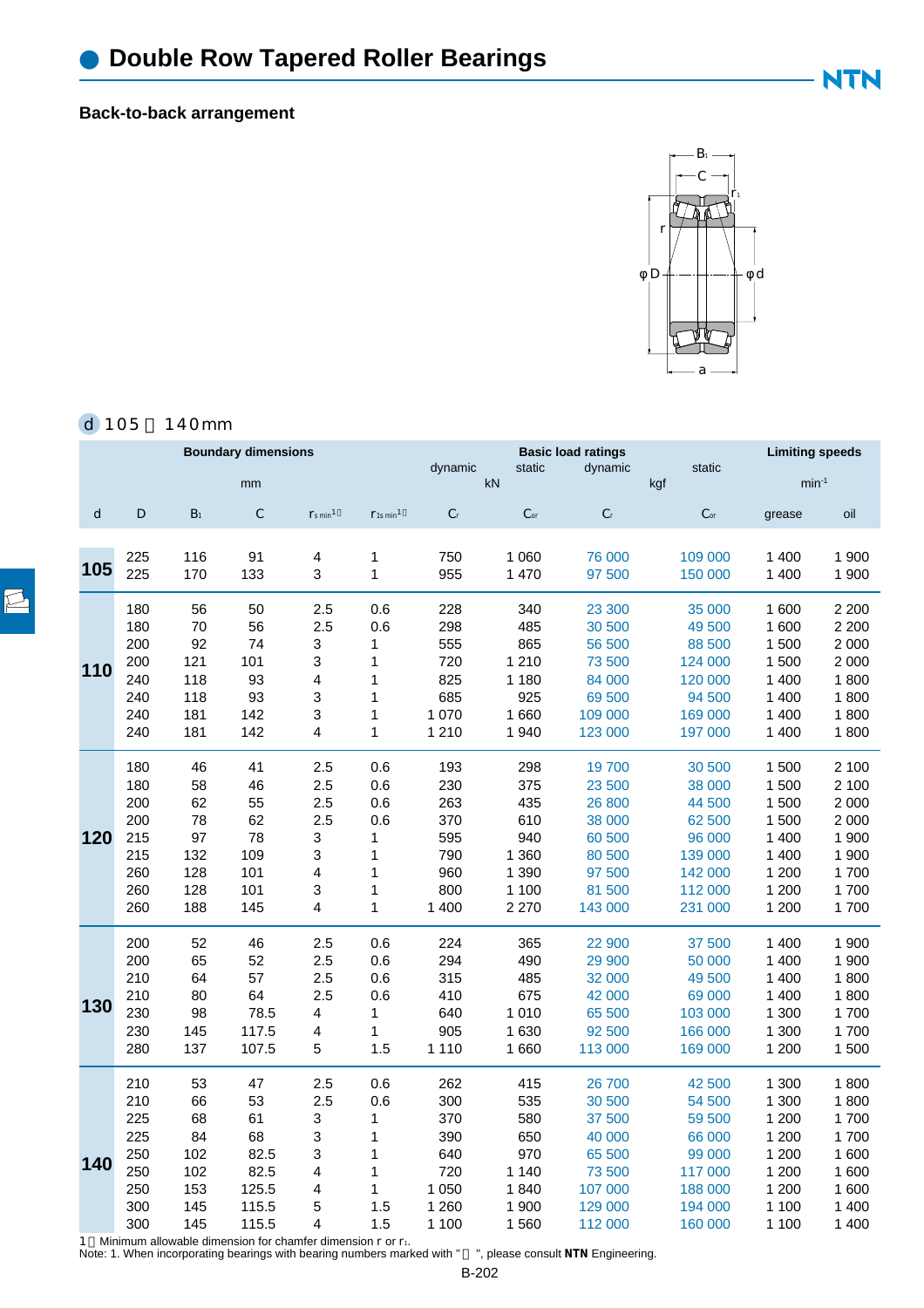# **Back-to-back arrangement**



| $d$ 105 | 140mm |
|---------|-------|
|         |       |

| <b>Boundary dimensions</b> |                  |                |                       |                               |                         | <b>Basic load ratings</b> |               |             | <b>Limiting speeds</b> |         |         |
|----------------------------|------------------|----------------|-----------------------|-------------------------------|-------------------------|---------------------------|---------------|-------------|------------------------|---------|---------|
|                            | mm               |                |                       | dynamic                       | static<br>kN            | dynamic                   | static<br>kgf |             | $min-1$                |         |         |
| $\boldsymbol{d}$           | $\boldsymbol{D}$ | B <sub>1</sub> | $\mathcal{C}_{0}^{2}$ | $r_{\rm s\,min}$ <sup>1</sup> | $T$ is min <sup>1</sup> | $C_{\rm r}$               | $C_{or}$      | $C_{\rm r}$ | $C_{or}$               | grease  | oil     |
| 105                        | 225              | 116            | 91                    | 4                             | 1                       | 750                       | 1 0 6 0       | 76 000      | 109 000                | 1 400   | 1 900   |
|                            | 225              | 170            | 133                   | 3                             | 1                       | 955                       | 1 470         | 97 500      | 150 000                | 1 400   | 1 900   |
| 110                        | 180              | 56             | 50                    | 2.5                           | 0.6                     | 228                       | 340           | 23 300      | 35 000                 | 1 600   | 2 2 0 0 |
|                            | 180              | 70             | 56                    | 2.5                           | 0.6                     | 298                       | 485           | 30 500      | 49 500                 | 1 600   | 2 2 0 0 |
|                            | 200              | 92             | 74                    | 3                             | 1                       | 555                       | 865           | 56 500      | 88 500                 | 1 500   | 2 0 0 0 |
|                            | 200              | 121            | 101                   | 3                             | 1                       | 720                       | 1 2 1 0       | 73 500      | 124 000                | 1 500   | 2 0 0 0 |
|                            | 240              | 118            | 93                    | 4                             | 1                       | 825                       | 1 1 8 0       | 84 000      | 120 000                | 1 400   | 1800    |
|                            | 240              | 118            | 93                    | 3                             | 1                       | 685                       | 925           | 69 500      | 94 500                 | 1 400   | 1800    |
|                            | 240              | 181            | 142                   | 3                             | 1                       | 1 0 7 0                   | 1660          | 109 000     | 169 000                | 1 400   | 1800    |
|                            | 240              | 181            | 142                   | 4                             | $\mathbf{1}$            | 1 2 1 0                   | 1 940         | 123 000     | 197 000                | 1 4 0 0 | 1800    |
| 120                        | 180              | 46             | 41                    | 2.5                           | 0.6                     | 193                       | 298           | 19700       | 30 500                 | 1 500   | 2 100   |
|                            | 180              | 58             | 46                    | 2.5                           | 0.6                     | 230                       | 375           | 23 500      | 38 000                 | 1500    | 2 100   |
|                            | 200              | 62             | 55                    | 2.5                           | 0.6                     | 263                       | 435           | 26 800      | 44 500                 | 1 500   | 2 0 0 0 |
|                            | 200              | 78             | 62                    | 2.5                           | 0.6                     | 370                       | 610           | 38 000      | 62 500                 | 1 500   | 2 0 0 0 |
|                            | 215              | 97             | 78                    | 3                             | 1                       | 595                       | 940           | 60 500      | 96 000                 | 1 400   | 1 900   |
|                            | 215              | 132            | 109                   | 3                             | 1                       | 790                       | 1 3 6 0       | 80 500      | 139 000                | 1 400   | 1 900   |
|                            | 260              | 128            | 101                   | $\overline{\mathbf{4}}$       | 1                       | 960                       | 1 3 9 0       | 97 500      | 142 000                | 1 200   | 1700    |
|                            | 260              | 128            | 101                   | 3                             | 1                       | 800                       | 1 100         | 81 500      | 112 000                | 1 200   | 1700    |
|                            | 260              | 188            | 145                   | 4                             | 1                       | 1 400                     | 2 2 7 0       | 143 000     | 231 000                | 1 200   | 1700    |
| 130                        | 200              | 52             | 46                    | 2.5                           | 0.6                     | 224                       | 365           | 22 900      | 37 500                 | 1 400   | 1 900   |
|                            | 200              | 65             | 52                    | 2.5                           | 0.6                     | 294                       | 490           | 29 900      | 50 000                 | 1 400   | 1 900   |
|                            | 210              | 64             | 57                    | 2.5                           | 0.6                     | 315                       | 485           | 32 000      | 49 500                 | 1 400   | 1800    |
|                            | 210              | 80             | 64                    | 2.5                           | 0.6                     | 410                       | 675           | 42 000      | 69 000                 | 1 400   | 1800    |
|                            | 230              | 98             | 78.5                  | 4                             | $\mathbf{1}$            | 640                       | 1 0 1 0       | 65 500      | 103 000                | 1 300   | 1700    |
|                            | 230              | 145            | 117.5                 | $\overline{\mathbf{4}}$       | 1                       | 905                       | 1 630         | 92 500      | 166 000                | 1 300   | 1700    |
|                            | 280              | 137            | 107.5                 | 5                             | 1.5                     | 1 1 1 0                   | 1 6 6 0       | 113 000     | 169 000                | 1 200   | 1500    |
| 140                        | 210              | 53             | 47                    | 2.5                           | 0.6                     | 262                       | 415           | 26 700      | 42 500                 | 1 300   | 1800    |
|                            | 210              | 66             | 53                    | 2.5                           | 0.6                     | 300                       | 535           | 30 500      | 54 500                 | 1 300   | 1800    |
|                            | 225              | 68             | 61                    | 3                             | 1                       | 370                       | 580           | 37 500      | 59 500                 | 1 200   | 1700    |
|                            | 225              | 84             | 68                    | 3                             | 1                       | 390                       | 650           | 40 000      | 66 000                 | 1 200   | 1700    |
|                            | 250              | 102            | 82.5                  | 3                             | 1                       | 640                       | 970           | 65 500      | 99 000                 | 1 200   | 1 600   |
|                            | 250              | 102            | 82.5                  | 4                             | 1                       | 720                       | 1 1 4 0       | 73 500      | 117 000                | 1 200   | 1 600   |
|                            | 250              | 153            | 125.5                 | 4                             | 1                       | 1 0 5 0                   | 1840          | 107 000     | 188 000                | 1 200   | 1 600   |
|                            | 300              | 145            | 115.5                 | 5                             | 1.5                     | 1 2 6 0                   | 1 900         | 129 000     | 194 000                | 1 100   | 1 400   |
|                            | 300              | 145            | 115.5                 | 4                             | 1.5                     | 1 100                     | 1560          | 112 000     | 160 000                | 1 100   | 1 400   |

1)Minimum allowable dimension for chamfer dimension *r* or *r*1. Note: 1. When incorporating bearings with bearing numbers marked with " ", please consult **NTN** Engineering.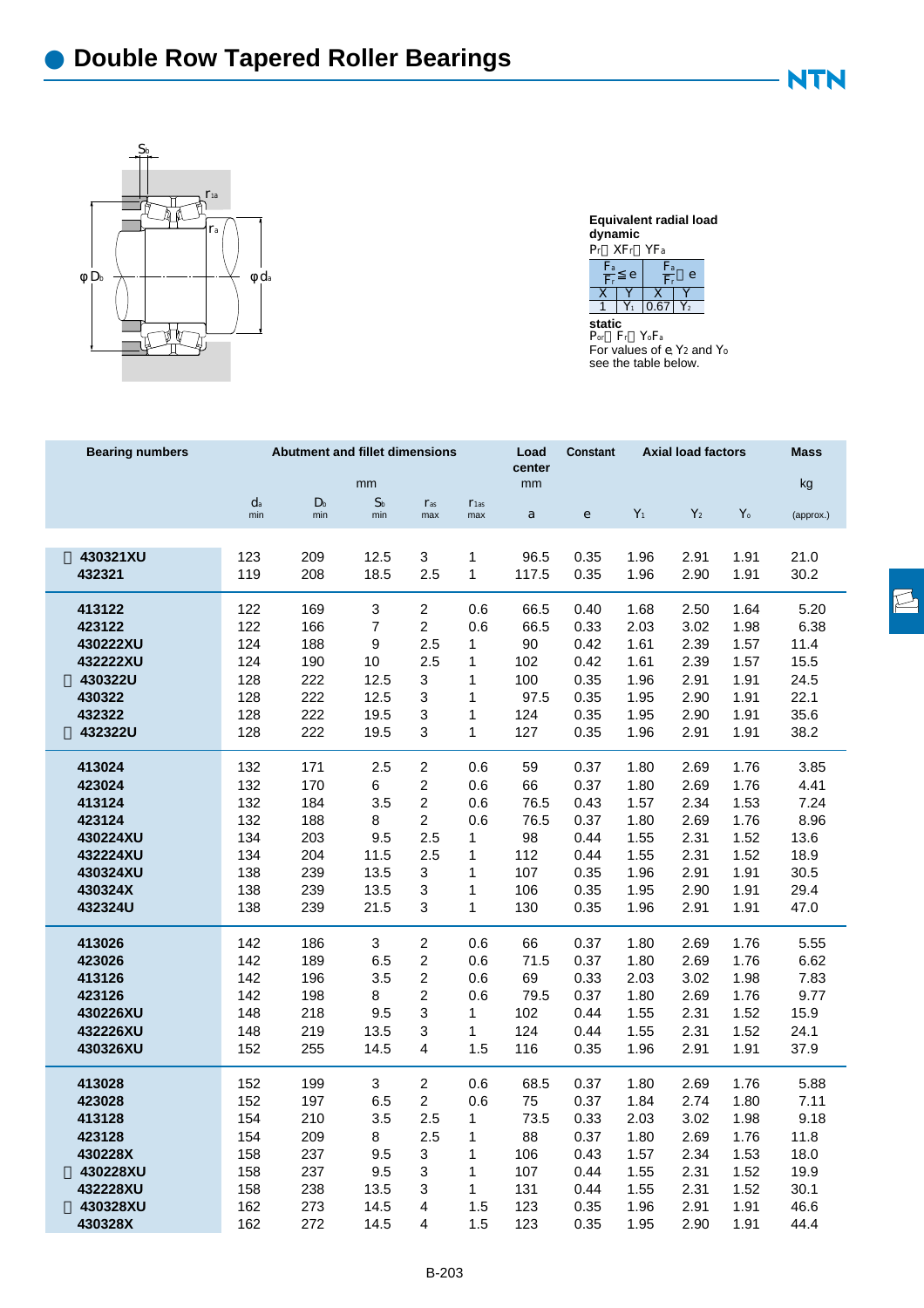



| <b>Bearing numbers</b> | <b>Abutment and fillet dimensions</b>   |                    |                    |                                 |                                   |                  | <b>Constant</b>  | <b>Axial load factors</b> |       |         | <b>Mass</b> |
|------------------------|-----------------------------------------|--------------------|--------------------|---------------------------------|-----------------------------------|------------------|------------------|---------------------------|-------|---------|-------------|
|                        |                                         | mm                 |                    |                                 | mm                                |                  |                  |                           |       | kg      |             |
|                        | $d_{\scriptscriptstyle{\theta}}$<br>min | $D_{\rm b}$<br>min | $S_{\rm b}$<br>min | $\mathcal{T}\mathrm{as}$<br>max | $\mathcal{r}_{\text{las}}$<br>max | $\boldsymbol{a}$ | $\boldsymbol{e}$ | $Y_1$                     | $Y_2$ | $Y_{o}$ | (approx.)   |
| 430321XU               | 123                                     | 209                | 12.5               | 3                               | 1                                 | 96.5             | 0.35             | 1.96                      | 2.91  | 1.91    | 21.0        |
| 432321                 | 119                                     | 208                | 18.5               | 2.5                             | 1                                 | 117.5            | 0.35             | 1.96                      | 2.90  | 1.91    | 30.2        |
| 413122                 | 122                                     | 169                | 3                  | $\overline{c}$                  | 0.6                               | 66.5             | 0.40             | 1.68                      | 2.50  | 1.64    | 5.20        |
| 423122                 | 122                                     | 166                | $\overline{7}$     | $\overline{c}$                  | 0.6                               | 66.5             | 0.33             | 2.03                      | 3.02  | 1.98    | 6.38        |
| 430222XU               | 124                                     | 188                | 9                  | 2.5                             | 1                                 | 90               | 0.42             | 1.61                      | 2.39  | 1.57    | 11.4        |
| 432222XU               | 124                                     | 190                | 10                 | 2.5                             | 1                                 | 102              | 0.42             | 1.61                      | 2.39  | 1.57    | 15.5        |
| 430322U                | 128                                     | 222                | 12.5               | 3                               | 1                                 | 100              | 0.35             | 1.96                      | 2.91  | 1.91    | 24.5        |
| 430322                 | 128                                     | 222                | 12.5               | 3                               | 1                                 | 97.5             | 0.35             | 1.95                      | 2.90  | 1.91    | 22.1        |
| 432322                 | 128                                     | 222                | 19.5               | 3                               | 1                                 | 124              | 0.35             | 1.95                      | 2.90  | 1.91    | 35.6        |
| 432322U                | 128                                     | 222                | 19.5               | 3                               | $\mathbf{1}$                      | 127              | 0.35             | 1.96                      | 2.91  | 1.91    | 38.2        |
| 413024                 | 132                                     | 171                | 2.5                | $\overline{2}$                  | 0.6                               | 59               | 0.37             | 1.80                      | 2.69  | 1.76    | 3.85        |
| 423024                 | 132                                     | 170                | 6                  | $\overline{c}$                  | 0.6                               | 66               | 0.37             | 1.80                      | 2.69  | 1.76    | 4.41        |
| 413124                 | 132                                     | 184                | 3.5                | $\overline{c}$                  | 0.6                               | 76.5             | 0.43             | 1.57                      | 2.34  | 1.53    | 7.24        |
| 423124                 | 132                                     | 188                | 8                  | $\overline{c}$                  | 0.6                               | 76.5             | 0.37             | 1.80                      | 2.69  | 1.76    | 8.96        |
| 430224XU               | 134                                     | 203                | 9.5                | 2.5                             | 1                                 | 98               | 0.44             | 1.55                      | 2.31  | 1.52    | 13.6        |
| 432224XU               | 134                                     | 204                | 11.5               | 2.5                             | $\mathbf{1}$                      | 112              | 0.44             | 1.55                      | 2.31  | 1.52    | 18.9        |
| 430324XU               | 138                                     | 239                | 13.5               | 3                               | $\mathbf{1}$                      | 107              | 0.35             | 1.96                      | 2.91  | 1.91    | 30.5        |
| 430324X                | 138                                     | 239                | 13.5               | 3                               | 1                                 | 106              | 0.35             | 1.95                      | 2.90  | 1.91    | 29.4        |
| 432324U                | 138                                     | 239                | 21.5               | 3                               | $\mathbf{1}$                      | 130              | 0.35             | 1.96                      | 2.91  | 1.91    | 47.0        |
| 413026                 | 142                                     | 186                | 3                  | $\overline{c}$                  | 0.6                               | 66               | 0.37             | 1.80                      | 2.69  | 1.76    | 5.55        |
| 423026                 | 142                                     | 189                | 6.5                | $\overline{c}$                  | 0.6                               | 71.5             | 0.37             | 1.80                      | 2.69  | 1.76    | 6.62        |
| 413126                 | 142                                     | 196                | 3.5                | $\overline{c}$                  | 0.6                               | 69               | 0.33             | 2.03                      | 3.02  | 1.98    | 7.83        |
| 423126                 | 142                                     | 198                | 8                  | $\overline{c}$                  | 0.6                               | 79.5             | 0.37             | 1.80                      | 2.69  | 1.76    | 9.77        |
| 430226XU               | 148                                     | 218                | 9.5                | 3                               | 1                                 | 102              | 0.44             | 1.55                      | 2.31  | 1.52    | 15.9        |
| 432226XU               | 148                                     | 219                | 13.5               | 3                               | 1                                 | 124              | 0.44             | 1.55                      | 2.31  | 1.52    | 24.1        |
| 430326XU               | 152                                     | 255                | 14.5               | 4                               | 1.5                               | 116              | 0.35             | 1.96                      | 2.91  | 1.91    | 37.9        |
| 413028                 | 152                                     | 199                | 3                  | $\overline{c}$                  | 0.6                               | 68.5             | 0.37             | 1.80                      | 2.69  | 1.76    | 5.88        |
| 423028                 | 152                                     | 197                | 6.5                | $\overline{2}$                  | 0.6                               | 75               | 0.37             | 1.84                      | 2.74  | 1.80    | 7.11        |
| 413128                 | 154                                     | 210                | 3.5                | 2.5                             | 1                                 | 73.5             | 0.33             | 2.03                      | 3.02  | 1.98    | 9.18        |
| 423128                 | 154                                     | 209                | 8                  | 2.5                             | 1                                 | 88               | 0.37             | 1.80                      | 2.69  | 1.76    | 11.8        |
| 430228X                | 158                                     | 237                | 9.5                | 3                               | 1                                 | 106              | 0.43             | 1.57                      | 2.34  | 1.53    | 18.0        |
| 430228XU               | 158                                     | 237                | 9.5                | 3                               | 1                                 | 107              | 0.44             | 1.55                      | 2.31  | 1.52    | 19.9        |
| 432228XU               | 158                                     | 238                | 13.5               | 3                               | 1                                 | 131              | 0.44             | 1.55                      | 2.31  | 1.52    | 30.1        |
| 430328XU               | 162                                     | 273                | 14.5               | 4                               | 1.5                               | 123              | 0.35             | 1.96                      | 2.91  | 1.91    | 46.6        |
| 430328X                | 162                                     | 272                | 14.5               | 4                               | 1.5                               | 123              | 0.35             | 1.95                      | 2.90  | 1.91    | 44.4        |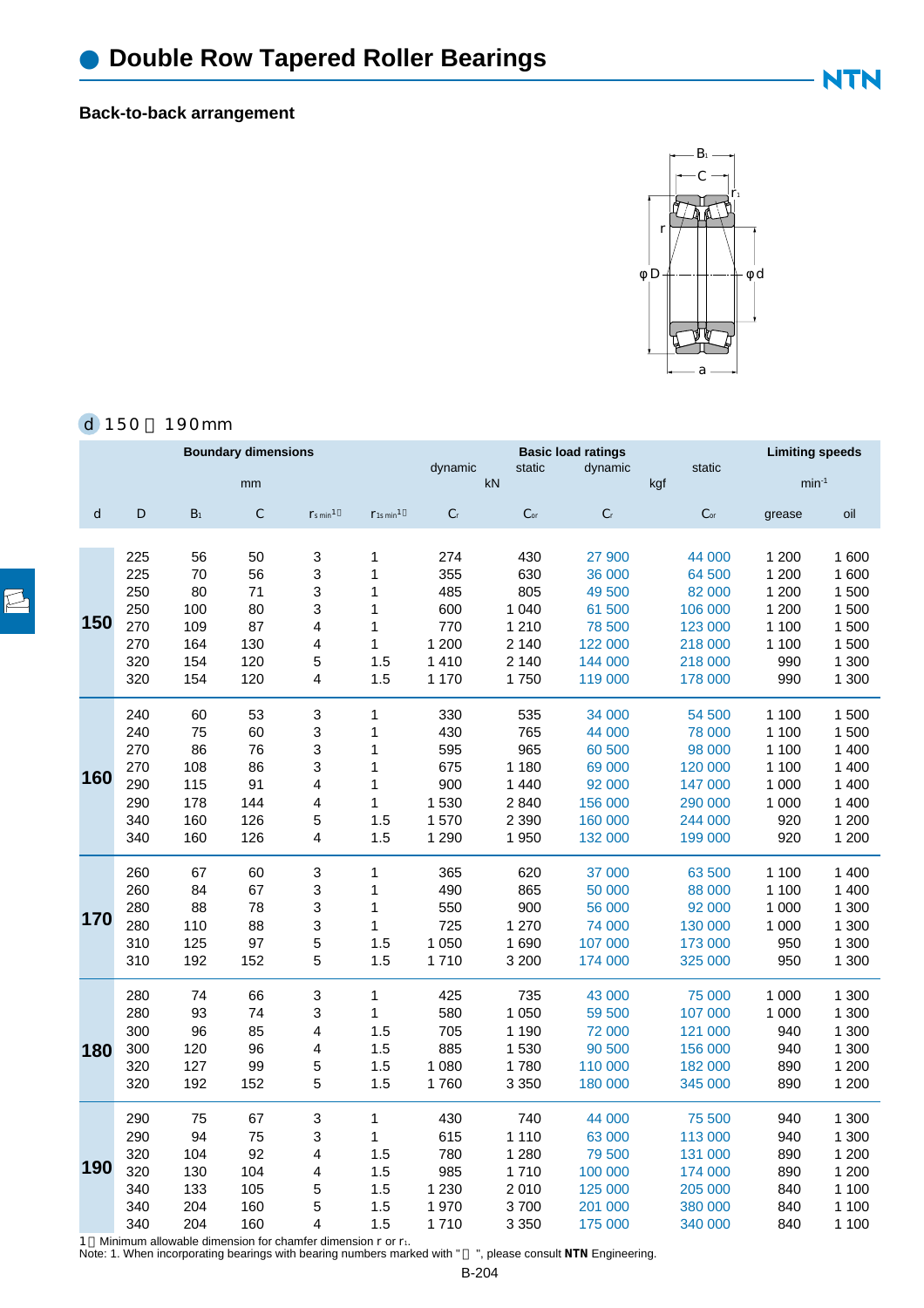

|  | $d$ 150 |  | 190mm |
|--|---------|--|-------|
|--|---------|--|-------|

|                | <b>Boundary dimensions</b> |                |                       |                               |                         |             |              | <b>Basic load ratings</b> |               |         | <b>Limiting speeds</b> |  |
|----------------|----------------------------|----------------|-----------------------|-------------------------------|-------------------------|-------------|--------------|---------------------------|---------------|---------|------------------------|--|
|                |                            |                | mm                    |                               |                         | dynamic     | static<br>kN | dynamic                   | static<br>kgf | $min-1$ |                        |  |
| $\overline{d}$ | $\boldsymbol{D}$           | B <sub>1</sub> | $\mathcal{C}_{0}^{0}$ | $r_{\rm s\,min}$ <sup>1</sup> | $T$ is min <sup>1</sup> | $C_{\rm r}$ | $C_{or}$     | $C_{r}$                   | $C_{or}$      | grease  | oil                    |  |
|                | 225                        | 56             | 50                    | 3                             | 1                       | 274         | 430          | 27 900                    | 44 000        | 1 200   | 1 600                  |  |
|                | 225                        | 70             | 56                    | 3                             | $\mathbf{1}$            | 355         | 630          | 36 000                    | 64 500        | 1 200   | 1 600                  |  |
|                | 250                        | 80             | 71                    | 3                             | 1                       | 485         | 805          | 49 500                    | 82 000        | 1 200   | 1500                   |  |
|                | 250                        | 100            | 80                    | 3                             | $\mathbf{1}$            | 600         | 1 0 4 0      | 61 500                    | 106 000       | 1 200   | 1500                   |  |
| 150            | 270                        | 109            | 87                    | 4                             | 1                       | 770         | 1 2 1 0      | 78 500                    | 123 000       | 1 100   | 1500                   |  |
|                | 270                        | 164            | 130                   | 4                             | 1                       | 1 200       | 2 140        | 122 000                   | 218 000       | 1 100   | 1500                   |  |
|                | 320                        | 154            | 120                   | 5                             | 1.5                     | 1 4 1 0     | 2 140        | 144 000                   | 218 000       | 990     | 1 300                  |  |
|                | 320                        | 154            | 120                   | 4                             | 1.5                     | 1 170       | 1750         | 119 000                   | 178 000       | 990     | 1 300                  |  |
| 160            | 240                        | 60             | 53                    | 3                             | $\mathbf{1}$            | 330         | 535          | 34 000                    | 54 500        | 1 100   | 1500                   |  |
|                | 240                        | 75             | 60                    | 3                             | $\mathbf{1}$            | 430         | 765          | 44 000                    | 78 000        | 1 100   | 1500                   |  |
|                | 270                        | 86             | 76                    | 3                             | 1                       | 595         | 965          | 60 500                    | 98 000        | 1 100   | 1 400                  |  |
|                | 270                        | 108            | 86                    | 3                             | 1                       | 675         | 1 1 8 0      | 69 000                    | 120 000       | 1 100   | 1 400                  |  |
|                | 290                        | 115            | 91                    | 4                             | 1                       | 900         | 1 4 4 0      | 92 000                    | 147 000       | 1 0 0 0 | 1 4 0 0                |  |
|                | 290                        | 178            | 144                   | 4                             | 1                       | 1 530       | 2840         | 156 000                   | 290 000       | 1 0 0 0 | 1 400                  |  |
|                | 340                        | 160            | 126                   | 5                             | 1.5                     | 1570        | 2 3 9 0      | 160 000                   | 244 000       | 920     | 1 200                  |  |
|                | 340                        | 160            | 126                   | 4                             | 1.5                     | 1 2 9 0     | 1 950        | 132 000                   | 199 000       | 920     | 1 200                  |  |
| 170            | 260                        | 67             | 60                    | 3                             | $\mathbf{1}$            | 365         | 620          | 37 000                    | 63 500        | 1 100   | 1 4 0 0                |  |
|                | 260                        | 84             | 67                    | 3                             | 1                       | 490         | 865          | 50 000                    | 88 000        | 1 100   | 1 400                  |  |
|                | 280                        | 88             | 78                    | 3                             | $\mathbf{1}$            | 550         | 900          | 56 000                    | 92 000        | 1 0 0 0 | 1 300                  |  |
|                | 280                        | 110            | 88                    | 3                             | 1                       | 725         | 1 270        | 74 000                    | 130 000       | 1 0 0 0 | 1 300                  |  |
|                | 310                        | 125            | 97                    | 5                             | 1.5                     | 1 0 5 0     | 1690         | 107 000                   | 173 000       | 950     | 1 300                  |  |
|                | 310                        | 192            | 152                   | 5                             | 1.5                     | 1710        | 3 200        | 174 000                   | 325 000       | 950     | 1 300                  |  |
| 180            | 280                        | 74             | 66                    | 3                             | $\mathbf{1}$            | 425         | 735          | 43 000                    | 75 000        | 1 000   | 1 300                  |  |
|                | 280                        | 93             | 74                    | 3                             | 1                       | 580         | 1 0 5 0      | 59 500                    | 107 000       | 1 0 0 0 | 1 300                  |  |
|                | 300                        | 96             | 85                    | 4                             | 1.5                     | 705         | 1 1 9 0      | 72 000                    | 121 000       | 940     | 1 300                  |  |
|                | 300                        | 120            | 96                    | 4                             | 1.5                     | 885         | 1 530        | 90 500                    | 156 000       | 940     | 1 300                  |  |
|                | 320                        | 127            | 99                    | 5                             | 1.5                     | 1 0 8 0     | 1780         | 110 000                   | 182 000       | 890     | 1 200                  |  |
|                | 320                        | 192            | 152                   | 5                             | 1.5                     | 1760        | 3 3 5 0      | 180 000                   | 345 000       | 890     | 1 200                  |  |
| 190            | 290                        | 75             | 67                    | 3                             | $\mathbf 1$             | 430         | 740          | 44 000                    | 75 500        | 940     | 1 300                  |  |
|                | 290                        | 94             | 75                    | 3                             | 1                       | 615         | 1 1 1 0      | 63 000                    | 113 000       | 940     | 1 300                  |  |
|                | 320                        | 104            | 92                    | 4                             | 1.5                     | 780         | 1 2 8 0      | 79 500                    | 131 000       | 890     | 1 200                  |  |
|                | 320                        | 130            | 104                   | 4                             | 1.5                     | 985         | 1710         | 100 000                   | 174 000       | 890     | 1 200                  |  |
|                | 340                        | 133            | 105                   | 5                             | 1.5                     | 1 2 3 0     | 2010         | 125 000                   | 205 000       | 840     | 1 100                  |  |
|                | 340                        | 204            | 160                   | 5                             | 1.5                     | 1970        | 3700         | 201 000                   | 380 000       | 840     | 1 100                  |  |
|                | 340                        | 204            | 160                   | 4                             | 1.5                     | 1710        | 3 3 5 0      | 175 000                   | 340 000       | 840     | 1 100                  |  |

1)Minimum allowable dimension for chamfer dimension *r* or *r*1. Note: 1. When incorporating bearings with bearing numbers marked with " ", please consult **NTN** Engineering.

NTN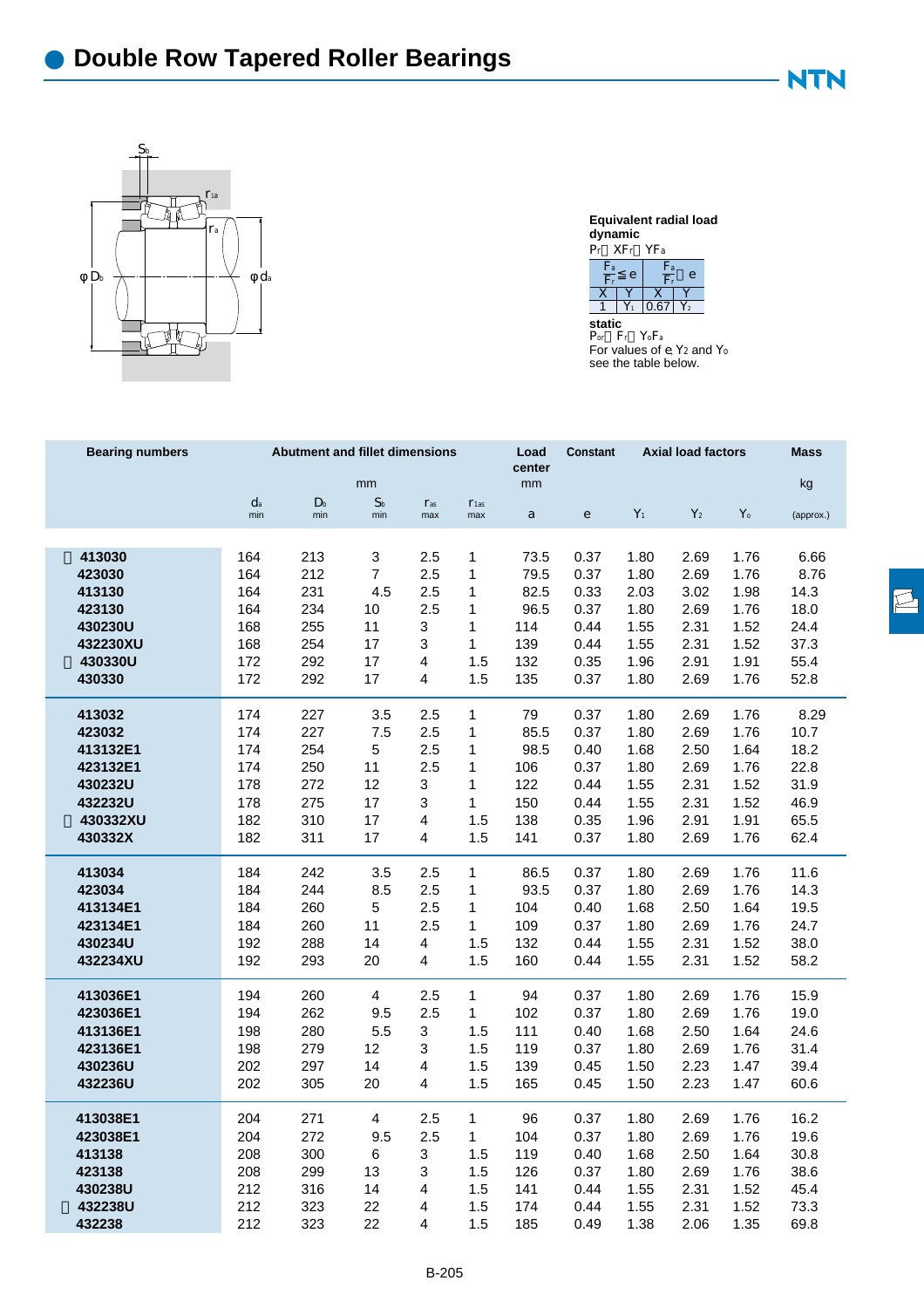



| <b>Bearing numbers</b> |                                         | <b>Abutment and fillet dimensions</b> |                    |                     |                         | Load<br>center   | <b>Constant</b><br><b>Axial load factors</b> |       |       |         | <b>Mass</b> |
|------------------------|-----------------------------------------|---------------------------------------|--------------------|---------------------|-------------------------|------------------|----------------------------------------------|-------|-------|---------|-------------|
|                        |                                         |                                       | mm                 |                     |                         | mm               |                                              |       |       |         | kg          |
|                        | $d_{\scriptscriptstyle{\theta}}$<br>min | $D_{\rm b}$<br>min                    | $S_{\rm b}$<br>min | $r_{\rm as}$<br>max | $r_{\text{las}}$<br>max | $\boldsymbol{a}$ | $\boldsymbol{e}$                             | $Y_1$ | $Y_2$ | $Y_{o}$ | (approx.)   |
| 413030                 | 164                                     | 213                                   | 3                  | 2.5                 | 1                       | 73.5             | 0.37                                         | 1.80  | 2.69  | 1.76    | 6.66        |
| 423030                 | 164                                     | 212                                   | 7                  | 2.5                 | 1                       | 79.5             | 0.37                                         | 1.80  | 2.69  | 1.76    | 8.76        |
| 413130                 | 164                                     | 231                                   | 4.5                | 2.5                 | 1                       | 82.5             | 0.33                                         | 2.03  | 3.02  | 1.98    | 14.3        |
| 423130                 | 164                                     | 234                                   | 10                 | 2.5                 | 1                       | 96.5             | 0.37                                         | 1.80  | 2.69  | 1.76    | 18.0        |
| 430230U                | 168                                     | 255                                   | 11                 | 3                   | 1                       | 114              | 0.44                                         | 1.55  | 2.31  | 1.52    | 24.4        |
| 432230XU               | 168                                     | 254                                   | 17                 | 3                   | 1                       | 139              | 0.44                                         | 1.55  | 2.31  | 1.52    | 37.3        |
| 430330U                | 172                                     | 292                                   | 17                 | 4                   | 1.5                     | 132              | 0.35                                         | 1.96  | 2.91  | 1.91    | 55.4        |
| 430330                 | 172                                     | 292                                   | 17                 | 4                   | 1.5                     | 135              | 0.37                                         | 1.80  | 2.69  | 1.76    | 52.8        |
| 413032                 | 174                                     | 227                                   | 3.5                | 2.5                 | $\mathbf{1}$            | 79               | 0.37                                         | 1.80  | 2.69  | 1.76    | 8.29        |
| 423032                 | 174                                     | 227                                   | 7.5                | 2.5                 | 1                       | 85.5             | 0.37                                         | 1.80  | 2.69  | 1.76    | 10.7        |
| 413132E1               | 174                                     | 254                                   | 5                  | 2.5                 | 1                       | 98.5             | 0.40                                         | 1.68  | 2.50  | 1.64    | 18.2        |
| 423132E1               | 174                                     | 250                                   | 11                 | 2.5                 | 1                       | 106              | 0.37                                         | 1.80  | 2.69  | 1.76    | 22.8        |
| 430232U                | 178                                     | 272                                   | 12                 | 3                   | 1                       | 122              | 0.44                                         | 1.55  | 2.31  | 1.52    | 31.9        |
| 432232U                | 178                                     | 275                                   | 17                 | 3                   | 1                       | 150              | 0.44                                         | 1.55  | 2.31  | 1.52    | 46.9        |
| 430332XU               | 182                                     | 310                                   | 17                 | 4<br>4              | 1.5                     | 138              | 0.35                                         | 1.96  | 2.91  | 1.91    | 65.5        |
| 430332X                | 182                                     | 311                                   | 17                 |                     | 1.5                     | 141              | 0.37                                         | 1.80  | 2.69  | 1.76    | 62.4        |
| 413034                 | 184                                     | 242                                   | 3.5                | 2.5                 | $\mathbf{1}$            | 86.5             | 0.37                                         | 1.80  | 2.69  | 1.76    | 11.6        |
| 423034                 | 184                                     | 244                                   | 8.5                | 2.5                 | 1                       | 93.5             | 0.37                                         | 1.80  | 2.69  | 1.76    | 14.3        |
| 413134E1               | 184                                     | 260                                   | 5                  | 2.5                 | 1                       | 104              | 0.40                                         | 1.68  | 2.50  | 1.64    | 19.5        |
| 423134E1               | 184                                     | 260                                   | 11                 | 2.5                 | $\mathbf{1}$            | 109              | 0.37                                         | 1.80  | 2.69  | 1.76    | 24.7        |
| 430234U                | 192                                     | 288                                   | 14                 | 4                   | 1.5                     | 132              | 0.44                                         | 1.55  | 2.31  | 1.52    | 38.0        |
| 432234XU               | 192                                     | 293                                   | 20                 | 4                   | 1.5                     | 160              | 0.44                                         | 1.55  | 2.31  | 1.52    | 58.2        |
| 413036E1               | 194                                     | 260                                   | $\overline{4}$     | 2.5                 | $\mathbf{1}$            | 94               | 0.37                                         | 1.80  | 2.69  | 1.76    | 15.9        |
| 423036E1               | 194                                     | 262                                   | 9.5                | 2.5                 | 1                       | 102              | 0.37                                         | 1.80  | 2.69  | 1.76    | 19.0        |
| 413136E1               | 198                                     | 280                                   | 5.5                | 3                   | 1.5                     | 111              | 0.40                                         | 1.68  | 2.50  | 1.64    | 24.6        |
| 423136E1               | 198                                     | 279                                   | 12                 | 3                   | 1.5                     | 119              | 0.37                                         | 1.80  | 2.69  | 1.76    | 31.4        |
| 430236U                | 202                                     | 297                                   | 14                 | 4                   | 1.5                     | 139              | 0.45                                         | 1.50  | 2.23  | 1.47    | 39.4        |
| 432236U                | 202                                     | 305                                   | 20                 | 4                   | 1.5                     | 165              | 0.45                                         | 1.50  | 2.23  | 1.47    | 60.6        |
| 413038E1               | 204                                     | 271                                   | 4                  | 2.5                 | $\mathbf{1}$            | 96               | 0.37                                         | 1.80  | 2.69  | 1.76    | 16.2        |
| 423038E1               | 204                                     | 272                                   | 9.5                | 2.5                 | $\mathbf{1}$            | 104              | 0.37                                         | 1.80  | 2.69  | 1.76    | 19.6        |
| 413138                 | 208                                     | 300                                   | 6                  | 3                   | 1.5                     | 119              | 0.40                                         | 1.68  | 2.50  | 1.64    | 30.8        |
| 423138                 | 208                                     | 299                                   | 13                 | 3                   | 1.5                     | 126              | 0.37                                         | 1.80  | 2.69  | 1.76    | 38.6        |
| 430238U                | 212                                     | 316                                   | 14                 | 4                   | 1.5                     | 141              | 0.44                                         | 1.55  | 2.31  | 1.52    | 45.4        |
| 432238U                | 212                                     | 323                                   | 22                 | 4                   | 1.5                     | 174              | 0.44                                         | 1.55  | 2.31  | 1.52    | 73.3        |
| 432238                 | 212                                     | 323                                   | 22                 | 4                   | 1.5                     | 185              | 0.49                                         | 1.38  | 2.06  | 1.35    | 69.8        |

 $\boxed{\mathbb{Z}}$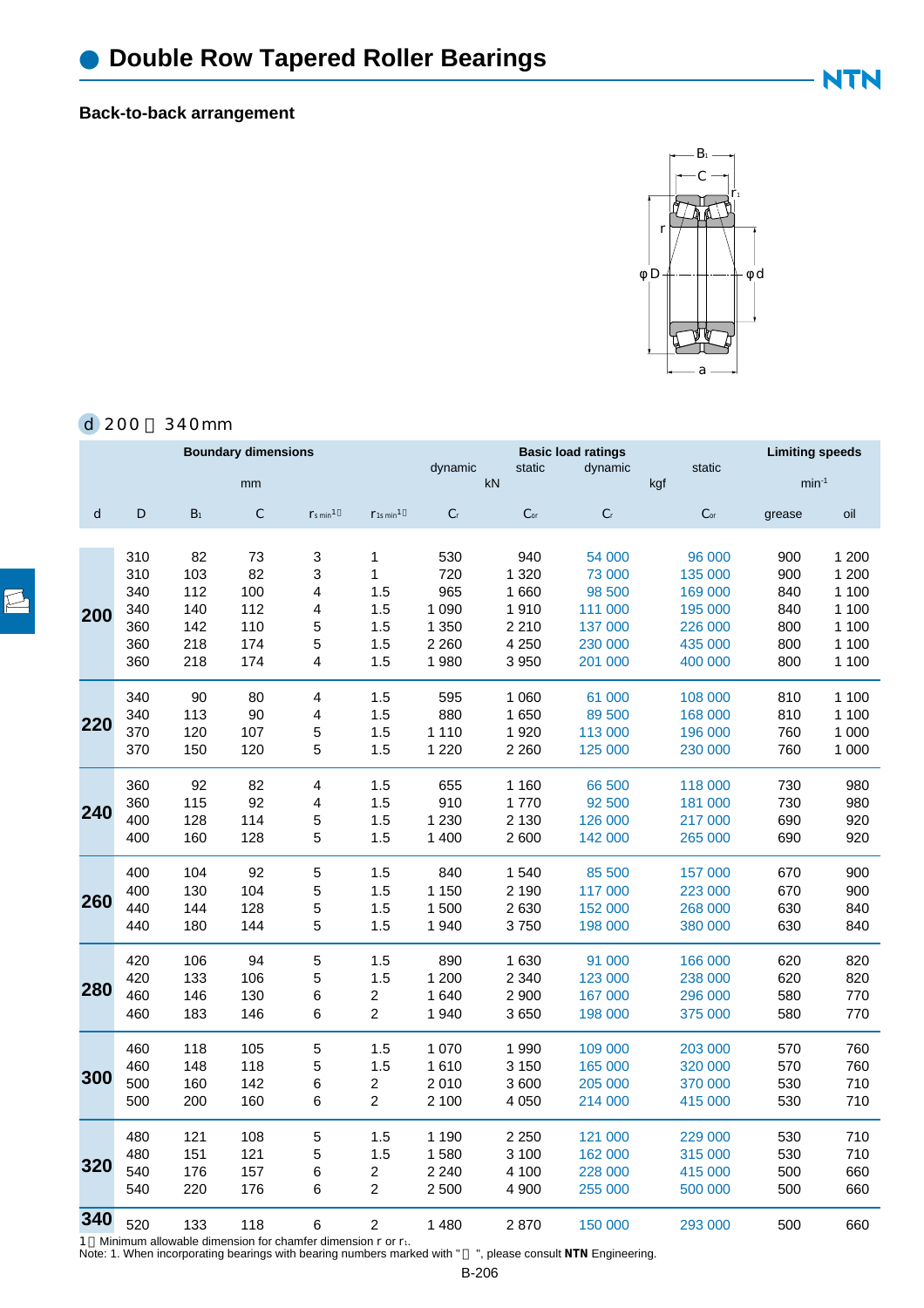

| $d$ 200<br>340mm |
|------------------|
|------------------|

|                  |          |             | <b>Boundary dimensions</b> |                             |                              |             |                 | <b>Basic load ratings</b> |                             | <b>Limiting speeds</b> |         |
|------------------|----------|-------------|----------------------------|-----------------------------|------------------------------|-------------|-----------------|---------------------------|-----------------------------|------------------------|---------|
|                  |          |             | mm                         |                             |                              | dynamic     | static<br>kN    | dynamic                   | static<br>kgf               | $min^{-1}$             |         |
| $\boldsymbol{d}$ | $\cal D$ | $B_{\rm 1}$ | $\cal C$                   | $\Gamma$ s min <sup>1</sup> | $\Gamma$ is min <sup>1</sup> | $C_{\rm r}$ | $C_{\text{or}}$ | $C_{\rm r}$               | $C_{\hbox{\scriptsize or}}$ | grease                 | oil     |
|                  | 310      | 82          | 73                         | 3                           | 1                            | 530         | 940             | 54 000                    | 96 000                      | 900                    | 1 200   |
|                  | 310      | 103         | 82                         | 3                           | 1                            | 720         | 1 3 2 0         | 73 000                    | 135 000                     | 900                    | 1 200   |
|                  | 340      | 112         | 100                        | 4                           | 1.5                          | 965         | 1660            | 98 500                    | 169 000                     | 840                    | 1 100   |
| 200              | 340      | 140         | 112                        | 4                           | 1.5                          | 1 0 9 0     | 1910            | 111 000                   | 195 000                     | 840                    | 1 100   |
|                  | 360      | 142         | 110                        | 5                           | 1.5                          | 1 350       | 2 2 1 0         | 137 000                   | 226 000                     | 800                    | 1 100   |
|                  | 360      | 218         | 174                        | 5                           | 1.5                          | 2 2 6 0     | 4 2 5 0         | 230 000                   | 435 000                     | 800                    | 1 100   |
|                  | 360      | 218         | 174                        | 4                           | 1.5                          | 1 980       | 3 9 5 0         | 201 000                   | 400 000                     | 800                    | 1 100   |
|                  | 340      | 90          | 80                         | $\overline{\mathbf{4}}$     | 1.5                          | 595         | 1 0 6 0         | 61 000                    | 108 000                     | 810                    | 1 100   |
| 220              | 340      | 113         | 90                         | 4                           | 1.5                          | 880         | 1650            | 89 500                    | 168 000                     | 810                    | 1 100   |
|                  | 370      | 120         | 107                        | 5                           | 1.5                          | 1 1 1 0     | 1920            | 113 000                   | 196 000                     | 760                    | 1 0 0 0 |
|                  | 370      | 150         | 120                        | 5                           | 1.5                          | 1 2 2 0     | 2 2 6 0         | 125 000                   | 230 000                     | 760                    | 1 0 0 0 |
|                  | 360      | 92          | 82                         | 4                           | 1.5                          | 655         | 1 1 6 0         | 66 500                    | 118 000                     | 730                    | 980     |
|                  | 360      | 115         | 92                         | 4                           | 1.5                          | 910         | 1770            | 92 500                    | 181 000                     | 730                    | 980     |
| 240              | 400      | 128         | 114                        | 5                           | 1.5                          | 1 2 3 0     | 2 1 3 0         | 126 000                   | 217 000                     | 690                    | 920     |
|                  | 400      | 160         | 128                        | 5                           | 1.5                          | 1 400       | 2600            | 142 000                   | 265 000                     | 690                    | 920     |
|                  | 400      | 104         | 92                         | 5                           | 1.5                          | 840         | 1 540           | 85 500                    | 157 000                     | 670                    | 900     |
|                  | 400      | 130         | 104                        | 5                           | 1.5                          | 1 150       | 2 1 9 0         | 117 000                   | 223 000                     | 670                    | 900     |
| 260              | 440      | 144         | 128                        | 5                           | 1.5                          | 1 500       | 2630            | 152 000                   | 268 000                     | 630                    | 840     |
|                  | 440      | 180         | 144                        | 5                           | 1.5                          | 1 940       | 3750            | 198 000                   | 380 000                     | 630                    | 840     |
|                  | 420      | 106         | 94                         | 5                           | 1.5                          | 890         | 1 6 3 0         | 91 000                    | 166 000                     | 620                    | 820     |
|                  | 420      | 133         | 106                        | 5                           | 1.5                          | 1 200       | 2 3 4 0         | 123 000                   | 238 000                     | 620                    | 820     |
| 280              | 460      | 146         | 130                        | 6                           | $\overline{\mathbf{c}}$      | 1 640       | 2 900           | 167 000                   | 296 000                     | 580                    | 770     |
|                  | 460      | 183         | 146                        | 6                           | $\overline{2}$               | 1 940       | 3650            | 198 000                   | 375 000                     | 580                    | 770     |
|                  | 460      | 118         | 105                        | 5                           | 1.5                          | 1 0 7 0     | 1 9 9 0         | 109 000                   | 203 000                     | 570                    | 760     |
|                  | 460      | 148         | 118                        | 5                           | 1.5                          | 1610        | 3 1 5 0         | 165 000                   | 320 000                     | 570                    | 760     |
| 300              | 500      | 160         | 142                        | 6                           | 2                            | 2010        | 3600            | 205 000                   | 370 000                     | 530                    | 710     |
|                  | 500      | 200         | 160                        | 6                           | $\overline{2}$               | 2 100       | 4 0 5 0         | 214 000                   | 415 000                     | 530                    | 710     |
|                  | 480      | 121         | 108                        | 5                           | 1.5                          | 1 1 9 0     | 2 2 5 0         | 121 000                   | 229 000                     | 530                    | 710     |
|                  | 480      | 151         | 121                        | 5                           | 1.5                          | 1580        | 3 100           | 162 000                   | 315 000                     | 530                    | 710     |
| 320              | 540      | 176         | 157                        | 6                           | 2                            | 2 2 4 0     | 4 100           | 228 000                   | 415 000                     | 500                    | 660     |
|                  | 540      | 220         | 176                        | 6                           | $\overline{c}$               | 2 500       | 4 900           | 255 000                   | 500 000                     | 500                    | 660     |
| 340              | 520      | 133         | 118                        | 6                           | $\overline{2}$               | 1 4 8 0     | 2870            | 150 000                   | 293 000                     | 500                    | 660     |

1)Minimum allowable dimension for chamfer dimension *r* or *r*1. Note: 1. When incorporating bearings with bearing numbers marked with " ", please consult **NTN** Engineering.

NTN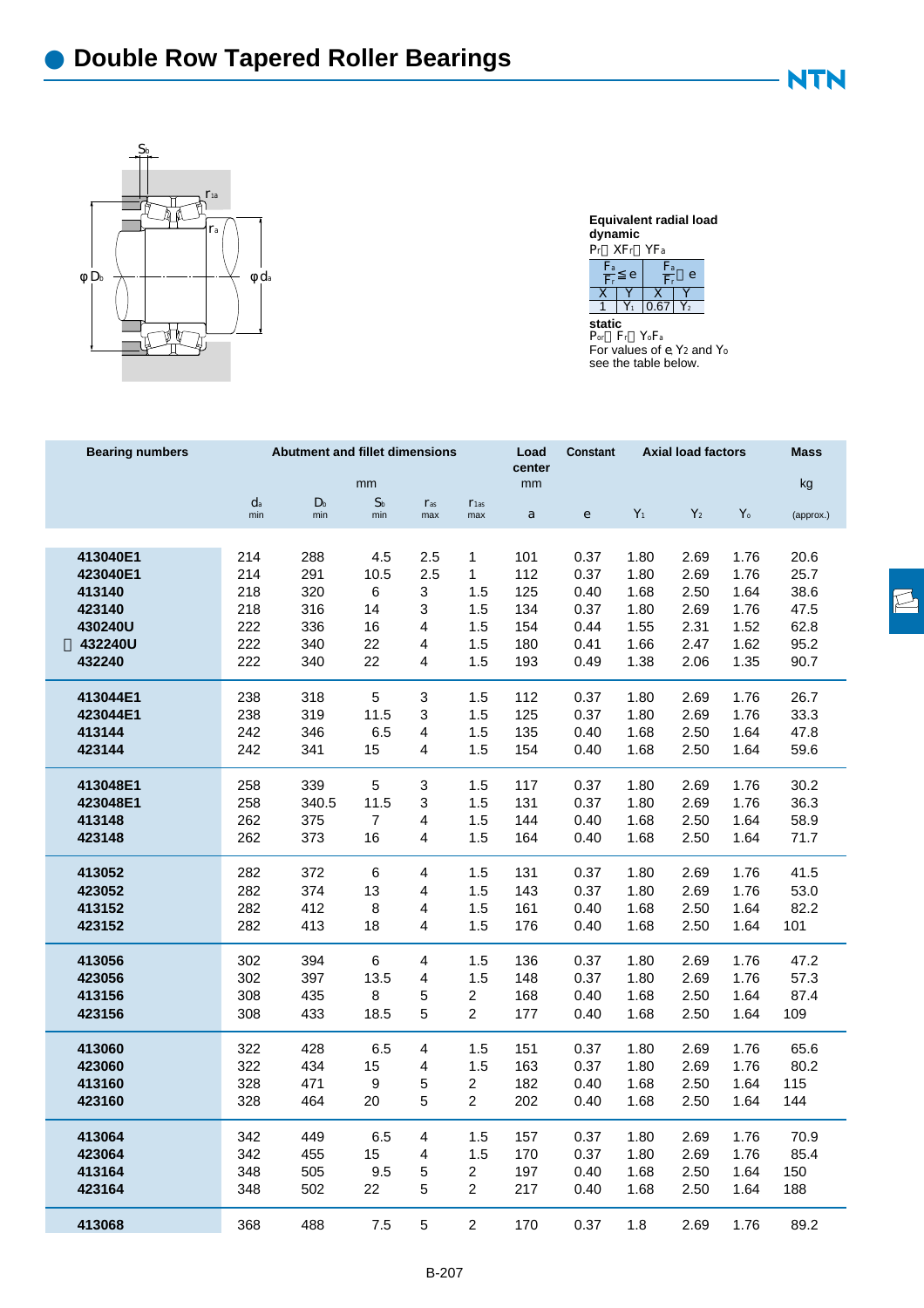



| <b>Bearing numbers</b> |                                     | <b>Abutment and fillet dimensions</b> |                    |                           |                         | Load<br>center   | <b>Constant</b>  |       | <b>Axial load factors</b> |         | <b>Mass</b> |
|------------------------|-------------------------------------|---------------------------------------|--------------------|---------------------------|-------------------------|------------------|------------------|-------|---------------------------|---------|-------------|
|                        |                                     |                                       | mm                 |                           |                         | mm               |                  |       |                           |         | kg          |
|                        | $d_{\scriptscriptstyle\! A}$<br>min | $D_{\rm b}$<br>min                    | $S_{\rm b}$<br>min | $r_{\rm as}$<br>max       | $T$ las<br>max          | $\boldsymbol{a}$ | $\boldsymbol{e}$ | $Y_1$ | $Y_2$                     | $Y_{o}$ | (approx.)   |
| 413040E1               | 214                                 | 288                                   | 4.5                | 2.5                       | 1                       | 101              | 0.37             | 1.80  | 2.69                      | 1.76    | 20.6        |
| 423040E1               | 214                                 | 291                                   | 10.5               | 2.5                       | $\mathbf{1}$            | 112              | 0.37             | 1.80  | 2.69                      | 1.76    | 25.7        |
| 413140                 | 218                                 | 320                                   | 6                  | $\ensuremath{\mathsf{3}}$ | 1.5                     | 125              | 0.40             | 1.68  | 2.50                      | 1.64    | 38.6        |
| 423140                 | 218                                 | 316                                   | 14                 | 3                         | 1.5                     | 134              | 0.37             | 1.80  | 2.69                      | 1.76    | 47.5        |
| 430240U                | 222                                 | 336                                   | 16                 | 4                         | 1.5                     | 154              | 0.44             | 1.55  | 2.31                      | 1.52    | 62.8        |
| 432240U                | 222                                 | 340                                   | 22                 | 4                         | 1.5                     | 180              | 0.41             | 1.66  | 2.47                      | 1.62    | 95.2        |
| 432240                 | 222                                 | 340                                   | 22                 | 4                         | 1.5                     | 193              | 0.49             | 1.38  | 2.06                      | 1.35    | 90.7        |
| 413044E1               | 238                                 | 318                                   | 5                  | 3                         | 1.5                     | 112              | 0.37             | 1.80  | 2.69                      | 1.76    | 26.7        |
| 423044E1               | 238                                 | 319                                   | 11.5               | 3                         | 1.5                     | 125              | 0.37             | 1.80  | 2.69                      | 1.76    | 33.3        |
| 413144                 | 242                                 | 346                                   | 6.5                | 4                         | 1.5                     | 135              | 0.40             | 1.68  | 2.50                      | 1.64    | 47.8        |
| 423144                 | 242                                 | 341                                   | 15                 | 4                         | 1.5                     | 154              | 0.40             | 1.68  | 2.50                      | 1.64    | 59.6        |
| 413048E1               | 258                                 | 339                                   | 5                  | $\mathfrak{S}$            | 1.5                     | 117              | 0.37             | 1.80  | 2.69                      | 1.76    | 30.2        |
| 423048E1               | 258                                 | 340.5                                 | 11.5               | 3                         | 1.5                     | 131              | 0.37             | 1.80  | 2.69                      | 1.76    | 36.3        |
| 413148                 | 262                                 | 375                                   | 7                  | 4                         | 1.5                     | 144              | 0.40             | 1.68  | 2.50                      | 1.64    | 58.9        |
| 423148                 | 262                                 | 373                                   | 16                 | 4                         | 1.5                     | 164              | 0.40             | 1.68  | 2.50                      | 1.64    | 71.7        |
| 413052                 | 282                                 | 372                                   | 6                  | 4                         | 1.5                     | 131              | 0.37             | 1.80  | 2.69                      | 1.76    | 41.5        |
| 423052                 | 282                                 | 374                                   | 13                 | 4                         | 1.5                     | 143              | 0.37             | 1.80  | 2.69                      | 1.76    | 53.0        |
| 413152                 | 282                                 | 412                                   | 8                  | 4                         | 1.5                     | 161              | 0.40             | 1.68  | 2.50                      | 1.64    | 82.2        |
| 423152                 | 282                                 | 413                                   | 18                 | 4                         | 1.5                     | 176              | 0.40             | 1.68  | 2.50                      | 1.64    | 101         |
| 413056                 | 302                                 | 394                                   | 6                  | 4                         | 1.5                     | 136              | 0.37             | 1.80  | 2.69                      | 1.76    | 47.2        |
| 423056                 | 302                                 | 397                                   | 13.5               | 4                         | 1.5                     | 148              | 0.37             | 1.80  | 2.69                      | 1.76    | 57.3        |
| 413156                 | 308                                 | 435                                   | 8                  | 5                         | $\boldsymbol{2}$        | 168              | 0.40             | 1.68  | 2.50                      | 1.64    | 87.4        |
| 423156                 | 308                                 | 433                                   | 18.5               | 5                         | $\overline{c}$          | 177              | 0.40             | 1.68  | 2.50                      | 1.64    | 109         |
| 413060                 | 322                                 | 428                                   | 6.5                | 4                         | 1.5                     | 151              | 0.37             | 1.80  | 2.69                      | 1.76    | 65.6        |
| 423060                 | 322                                 | 434                                   | 15                 | 4                         | 1.5                     | 163              | 0.37             | 1.80  | 2.69                      | 1.76    | 80.2        |
| 413160                 | 328                                 | 471                                   | $\boldsymbol{9}$   | 5                         | $\overline{\mathbf{c}}$ | 182              | 0.40             | 1.68  | 2.50                      | 1.64    | 115         |
| 423160                 | 328                                 | 464                                   | 20                 | 5                         | $\overline{2}$          | 202              | 0.40             | 1.68  | 2.50                      | 1.64    | 144         |
| 413064                 | 342                                 | 449                                   | 6.5                | 4                         | 1.5                     | 157              | 0.37             | 1.80  | 2.69                      | 1.76    | 70.9        |
| 423064                 | 342                                 | 455                                   | 15                 | 4                         | 1.5                     | 170              | 0.37             | 1.80  | 2.69                      | 1.76    | 85.4        |
| 413164                 | 348                                 | 505                                   | 9.5                | 5                         | $\overline{\mathbf{c}}$ | 197              | 0.40             | 1.68  | 2.50                      | 1.64    | 150         |
| 423164                 | 348                                 | 502                                   | 22                 | 5                         | $\overline{c}$          | 217              | 0.40             | 1.68  | 2.50                      | 1.64    | 188         |
| 413068                 | 368                                 | 488                                   | 7.5                | 5                         | $\overline{2}$          | 170              | 0.37             | 1.8   | 2.69                      | 1.76    | 89.2        |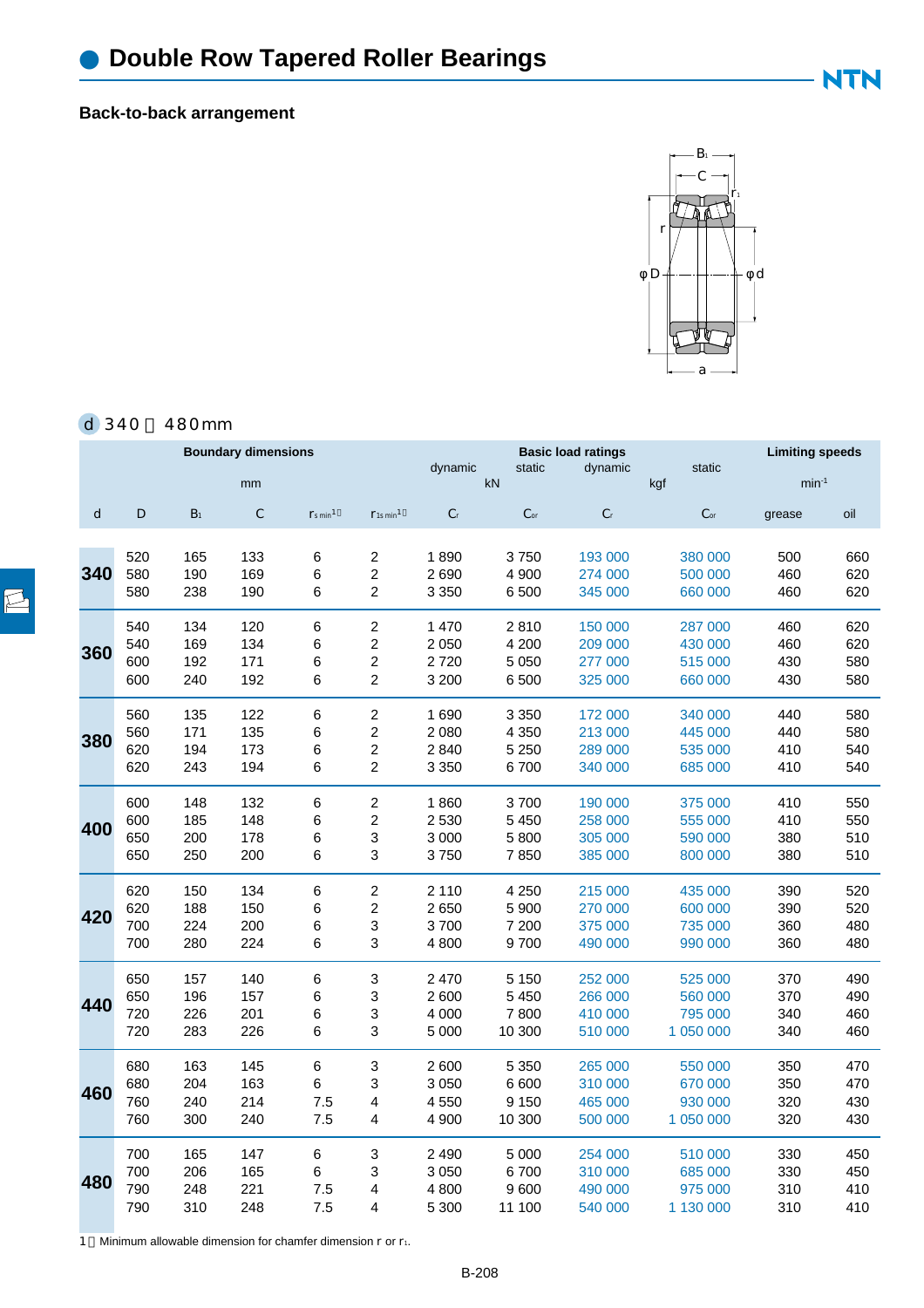

**NTN** 

| $d$ 340 | 480mm |
|---------|-------|
|         |       |

|                  | <b>Boundary dimensions</b> |                |               |                               |                        |             |                 | <b>Basic load ratings</b> |                 |         | <b>Limiting speeds</b> |  |
|------------------|----------------------------|----------------|---------------|-------------------------------|------------------------|-------------|-----------------|---------------------------|-----------------|---------|------------------------|--|
|                  |                            |                | mm            |                               |                        | dynamic     | static<br>kN    | dynamic                   | static<br>kgf   | $min-1$ |                        |  |
| $\boldsymbol{d}$ | $\boldsymbol{D}$           | B <sub>1</sub> | $\mathcal{C}$ | $r_{\rm s\,min}$ <sup>1</sup> | $T$ s min <sup>1</sup> | $C_{\rm r}$ | $C_{\text{or}}$ | $C_{\rm r}$               | $C_{\text{or}}$ | grease  | oil                    |  |
|                  | 520                        | 165            | 133           | 6                             | $\overline{c}$         | 1890        | 3750            | 193 000                   | 380 000         | 500     | 660                    |  |
| 340              | 580                        | 190            | 169           | 6                             | $\boldsymbol{2}$       | 2690        | 4 900           | 274 000                   | 500 000         | 460     | 620                    |  |
|                  | 580                        | 238            | 190           | 6                             | $\overline{c}$         | 3 3 5 0     | 6500            | 345 000                   | 660 000         | 460     | 620                    |  |
|                  | 540                        | 134            | 120           | 6                             | $\boldsymbol{2}$       | 1 470       | 2810            | 150 000                   | 287 000         | 460     | 620                    |  |
| 360              | 540                        | 169            | 134           | 6                             | $\boldsymbol{2}$       | 2 0 5 0     | 4 200           | 209 000                   | 430 000         | 460     | 620                    |  |
|                  | 600                        | 192            | 171           | 6                             | $\boldsymbol{2}$       | 2720        | 5 0 5 0         | 277 000                   | 515 000         | 430     | 580                    |  |
|                  | 600                        | 240            | 192           | 6                             | $\overline{c}$         | 3 2 0 0     | 6 500           | 325 000                   | 660 000         | 430     | 580                    |  |
|                  | 560                        | 135            | 122           | 6                             | $\boldsymbol{2}$       | 1690        | 3 3 5 0         | 172 000                   | 340 000         | 440     | 580                    |  |
| 380              | 560                        | 171            | 135           | 6                             | $\boldsymbol{2}$       | 2 0 8 0     | 4 3 5 0         | 213 000                   | 445 000         | 440     | 580                    |  |
|                  | 620                        | 194            | 173           | 6                             | $\boldsymbol{2}$       | 2840        | 5 2 5 0         | 289 000                   | 535 000         | 410     | 540                    |  |
|                  | 620                        | 243            | 194           | 6                             | $\overline{c}$         | 3 3 5 0     | 6700            | 340 000                   | 685 000         | 410     | 540                    |  |
|                  | 600                        | 148            | 132           | 6                             | $\overline{c}$         | 1860        | 3700            | 190 000                   | 375 000         | 410     | 550                    |  |
| 400              | 600                        | 185            | 148           | 6                             | $\boldsymbol{2}$       | 2 5 3 0     | 5 4 5 0         | 258 000                   | 555 000         | 410     | 550                    |  |
|                  | 650                        | 200            | 178           | 6                             | 3                      | 3 0 0 0     | 5800            | 305 000                   | 590 000         | 380     | 510                    |  |
|                  | 650                        | 250            | 200           | 6                             | 3                      | 3750        | 7850            | 385 000                   | 800 000         | 380     | 510                    |  |
|                  | 620                        | 150            | 134           | 6                             | $\overline{c}$         | 2 1 1 0     | 4 2 5 0         | 215 000                   | 435 000         | 390     | 520                    |  |
| 420              | 620                        | 188            | 150           | 6                             | $\boldsymbol{2}$       | 2650        | 5 900           | 270 000                   | 600 000         | 390     | 520                    |  |
|                  | 700                        | 224            | 200           | 6                             | 3                      | 3700        | 7 200           | 375 000                   | 735 000         | 360     | 480                    |  |
|                  | 700                        | 280            | 224           | 6                             | 3                      | 4800        | 9700            | 490 000                   | 990 000         | 360     | 480                    |  |
|                  | 650                        | 157            | 140           | 6                             | 3                      | 2 4 7 0     | 5 1 5 0         | 252 000                   | 525 000         | 370     | 490                    |  |
| 440              | 650                        | 196            | 157           | 6                             | 3                      | 2600        | 5 4 5 0         | 266 000                   | 560 000         | 370     | 490                    |  |
|                  | 720                        | 226            | 201           | 6                             | 3                      | 4 0 0 0     | 7800            | 410 000                   | 795 000         | 340     | 460                    |  |
|                  | 720                        | 283            | 226           | 6                             | 3                      | 5 0 0 0     | 10 300          | 510 000                   | 1 050 000       | 340     | 460                    |  |
|                  | 680                        | 163            | 145           | 6                             | $\mathsf 3$            | 2600        | 5 3 5 0         | 265 000                   | 550 000         | 350     | 470                    |  |
| 460              | 680                        | 204            | 163           | 6                             | 3                      | 3 0 5 0     | 6 600           | 310 000                   | 670 000         | 350     | 470                    |  |
|                  | 760                        | 240            | 214           | 7.5                           | 4                      | 4 5 5 0     | 9 1 5 0         | 465 000                   | 930 000         | 320     | 430                    |  |
|                  | 760                        | 300            | 240           | 7.5                           | 4                      | 4 900       | 10 300          | 500 000                   | 1 050 000       | 320     | 430                    |  |
|                  | 700                        | 165            | 147           | 6                             | 3                      | 2 4 9 0     | 5 0 0 0         | 254 000                   | 510 000         | 330     | 450                    |  |
| 480              | 700                        | 206            | 165           | 6                             | 3                      | 3 0 5 0     | 6700            | 310 000                   | 685 000         | 330     | 450                    |  |
|                  | 790                        | 248            | 221           | 7.5                           | 4                      | 4 800       | 9600            | 490 000                   | 975 000         | 310     | 410                    |  |
|                  | 790                        | 310            | 248           | 7.5                           | 4                      | 5 300       | 11 100          | 540 000                   | 1 130 000       | 310     | 410                    |  |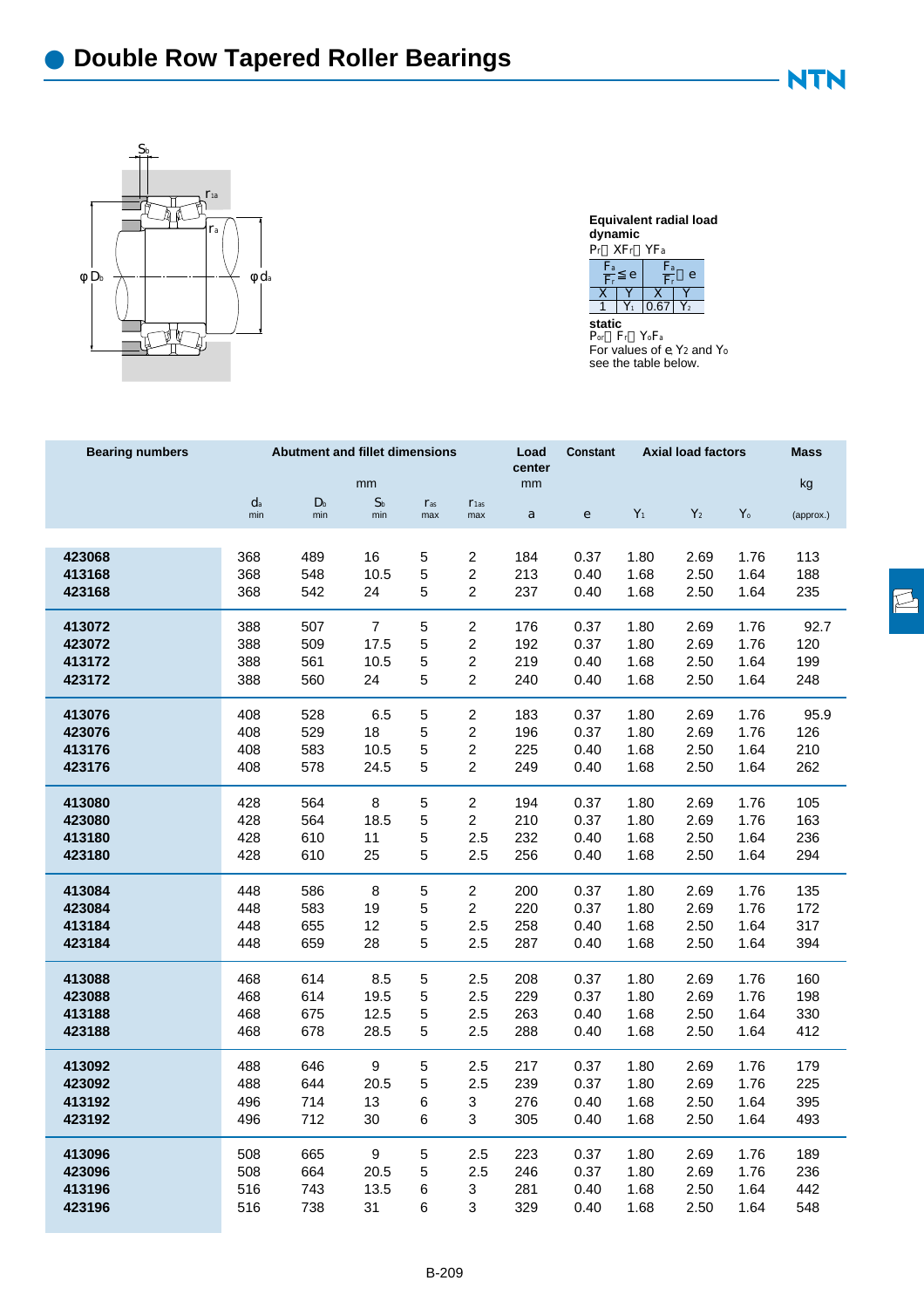



| <b>Bearing numbers</b> | <b>Abutment and fillet dimensions</b> |                    |                    |                     | Load<br>center           | <b>Axial load factors</b><br><b>Constant</b> |                  |       |       | <b>Mass</b> |           |
|------------------------|---------------------------------------|--------------------|--------------------|---------------------|--------------------------|----------------------------------------------|------------------|-------|-------|-------------|-----------|
|                        |                                       |                    | mm                 |                     |                          | mm                                           |                  |       |       |             | kg        |
|                        | $d_{\scriptscriptstyle\! A}$<br>min   | $D_{\rm b}$<br>min | $S_{\rm b}$<br>min | $r_{\rm as}$<br>max | $\mathcal{T}$ las<br>max | $\boldsymbol{a}$                             | $\boldsymbol{e}$ | $Y_1$ | $Y_2$ | $Y_{o}$     | (approx.) |
| 423068                 | 368                                   | 489                | 16                 | 5                   | 2                        | 184                                          | 0.37             | 1.80  | 2.69  | 1.76        | 113       |
| 413168                 | 368                                   | 548                | 10.5               | 5                   | $\overline{c}$           | 213                                          | 0.40             | 1.68  | 2.50  | 1.64        | 188       |
| 423168                 | 368                                   | 542                | 24                 | 5                   | $\overline{c}$           | 237                                          | 0.40             | 1.68  | 2.50  | 1.64        | 235       |
| 413072                 | 388                                   | 507                | $\overline{7}$     | 5                   | $\overline{c}$           | 176                                          | 0.37             | 1.80  | 2.69  | 1.76        | 92.7      |
| 423072                 | 388                                   | 509                | 17.5               | 5                   | $\overline{\mathbf{c}}$  | 192                                          | 0.37             | 1.80  | 2.69  | 1.76        | 120       |
| 413172                 | 388                                   | 561                | 10.5               | 5                   | $\overline{\mathbf{c}}$  | 219                                          | 0.40             | 1.68  | 2.50  | 1.64        | 199       |
| 423172                 | 388                                   | 560                | 24                 | 5                   | $\overline{c}$           | 240                                          | 0.40             | 1.68  | 2.50  | 1.64        | 248       |
| 413076                 | 408                                   | 528                | 6.5                | 5                   | $\overline{\mathbf{c}}$  | 183                                          | 0.37             | 1.80  | 2.69  | 1.76        | 95.9      |
| 423076                 | 408                                   | 529                | 18                 | 5                   | $\boldsymbol{2}$         | 196                                          | 0.37             | 1.80  | 2.69  | 1.76        | 126       |
| 413176                 | 408                                   | 583                | 10.5               | 5                   | $\overline{\mathbf{c}}$  | 225                                          | 0.40             | 1.68  | 2.50  | 1.64        | 210       |
| 423176                 | 408                                   | 578                | 24.5               | 5                   | $\mathbf 2$              | 249                                          | 0.40             | 1.68  | 2.50  | 1.64        | 262       |
| 413080                 | 428                                   | 564                | 8                  | 5                   | $\mathbf 2$              | 194                                          | 0.37             | 1.80  | 2.69  | 1.76        | 105       |
| 423080                 | 428                                   | 564                | 18.5               | 5                   | $\overline{c}$           | 210                                          | 0.37             | 1.80  | 2.69  | 1.76        | 163       |
| 413180                 | 428                                   | 610                | 11                 | 5                   | 2.5                      | 232                                          | 0.40             | 1.68  | 2.50  | 1.64        | 236       |
| 423180                 | 428                                   | 610                | 25                 | 5                   | 2.5                      | 256                                          | 0.40             | 1.68  | 2.50  | 1.64        | 294       |
| 413084                 | 448                                   | 586                | 8                  | 5                   | $\boldsymbol{2}$         | 200                                          | 0.37             | 1.80  | 2.69  | 1.76        | 135       |
| 423084                 | 448                                   | 583                | 19                 | 5                   | $\overline{c}$           | 220                                          | 0.37             | 1.80  | 2.69  | 1.76        | 172       |
| 413184                 | 448                                   | 655                | 12                 | 5                   | 2.5                      | 258                                          | 0.40             | 1.68  | 2.50  | 1.64        | 317       |
| 423184                 | 448                                   | 659                | 28                 | 5                   | 2.5                      | 287                                          | 0.40             | 1.68  | 2.50  | 1.64        | 394       |
| 413088                 | 468                                   | 614                | 8.5                | 5                   | 2.5                      | 208                                          | 0.37             | 1.80  | 2.69  | 1.76        | 160       |
| 423088                 | 468                                   | 614                | 19.5               | 5                   | 2.5                      | 229                                          | 0.37             | 1.80  | 2.69  | 1.76        | 198       |
| 413188                 | 468                                   | 675                | 12.5               | 5                   | 2.5                      | 263                                          | 0.40             | 1.68  | 2.50  | 1.64        | 330       |
| 423188                 | 468                                   | 678                | 28.5               | 5                   | 2.5                      | 288                                          | 0.40             | 1.68  | 2.50  | 1.64        | 412       |
| 413092                 | 488                                   | 646                | $\boldsymbol{9}$   | 5                   | 2.5                      | 217                                          | 0.37             | 1.80  | 2.69  | 1.76        | 179       |
| 423092                 | 488                                   | 644                | 20.5               | 5                   | 2.5                      | 239                                          | 0.37             | 1.80  | 2.69  | 1.76        | 225       |
| 413192                 | 496                                   | 714                | 13                 | 6                   | 3                        | 276                                          | 0.40             | 1.68  | 2.50  | 1.64        | 395       |
| 423192                 | 496                                   | 712                | 30                 | 6                   | 3                        | 305                                          | 0.40             | 1.68  | 2.50  | 1.64        | 493       |
| 413096                 | 508                                   | 665                | 9                  | 5                   | 2.5                      | 223                                          | 0.37             | 1.80  | 2.69  | 1.76        | 189       |
| 423096                 | 508                                   | 664                | 20.5               | 5                   | 2.5                      | 246                                          | 0.37             | 1.80  | 2.69  | 1.76        | 236       |
| 413196                 | 516                                   | 743                | 13.5               | 6                   | 3                        | 281                                          | 0.40             | 1.68  | 2.50  | 1.64        | 442       |
| 423196                 | 516                                   | 738                | 31                 | 6                   | 3                        | 329                                          | 0.40             | 1.68  | 2.50  | 1.64        | 548       |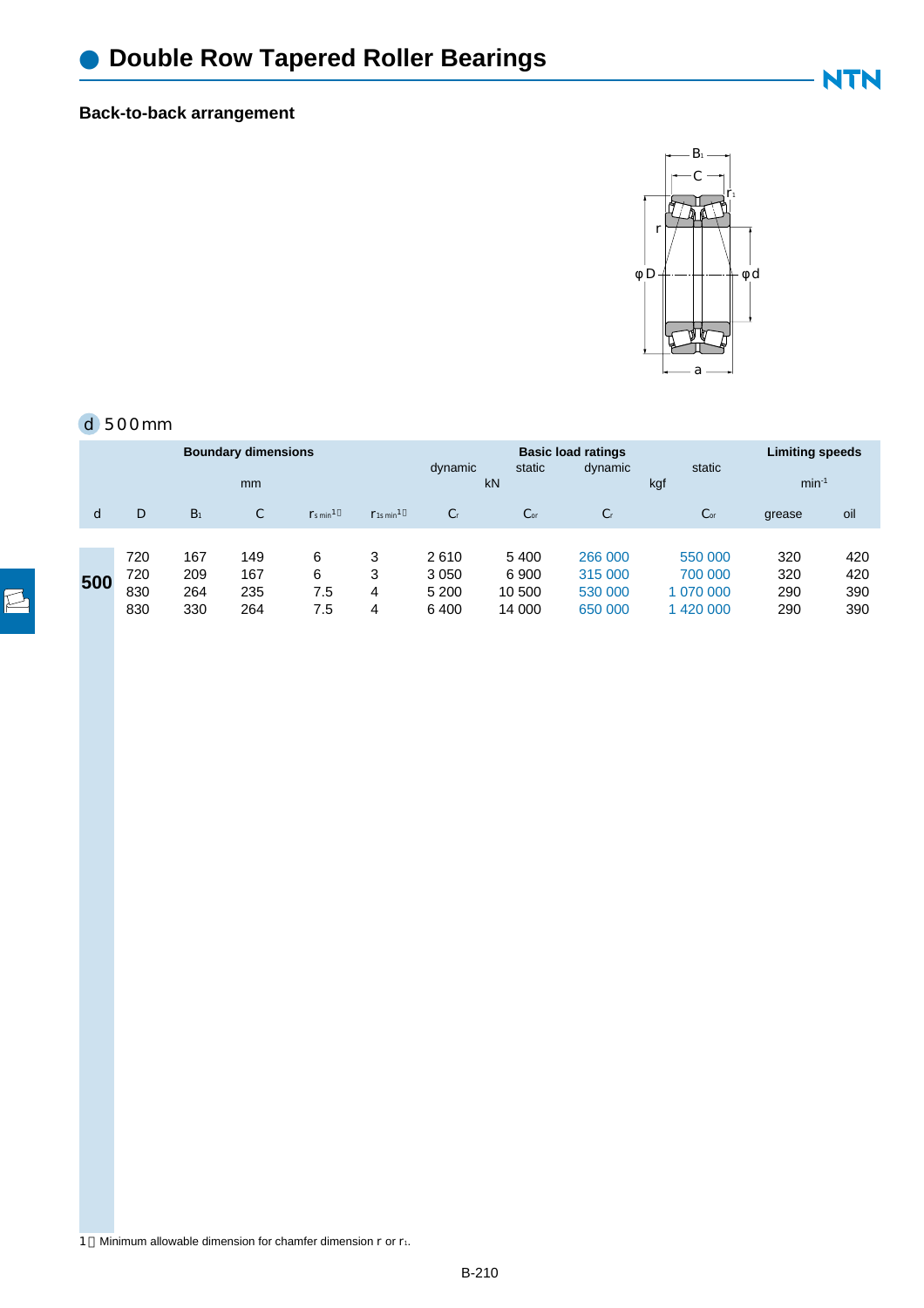

**NTN** 

# *d* 500mm

|                |                          |                          | <b>Boundary dimensions</b> |                      |                  |                                  | <b>Limiting speeds</b>                 |                                          |                                              |                          |                          |
|----------------|--------------------------|--------------------------|----------------------------|----------------------|------------------|----------------------------------|----------------------------------------|------------------------------------------|----------------------------------------------|--------------------------|--------------------------|
|                |                          |                          | <sub>mm</sub>              |                      |                  | dynamic                          | static<br>kN                           | dynamic                                  | static<br>kgf                                | $min^{-1}$               |                          |
| $\overline{d}$ | D                        | B <sub>1</sub>           | $\mathcal{C}$              | $\Gamma$ s min       | $\Gamma$ is min  | $\mathcal{C}_{\rm r}$            | $C_{\rm or}$                           | $C_{r}$                                  | $C_{\rm or}$                                 | grease                   | oil                      |
| 500            | 720<br>720<br>830<br>830 | 167<br>209<br>264<br>330 | 149<br>167<br>235<br>264   | 6<br>6<br>7.5<br>7.5 | 3<br>3<br>4<br>4 | 2610<br>3 0 5 0<br>5 200<br>6400 | 5 4 0 0<br>6 9 0 0<br>10 500<br>14 000 | 266 000<br>315 000<br>530 000<br>650 000 | 550 000<br>700 000<br>1 070 000<br>1 420 000 | 320<br>320<br>290<br>290 | 420<br>420<br>390<br>390 |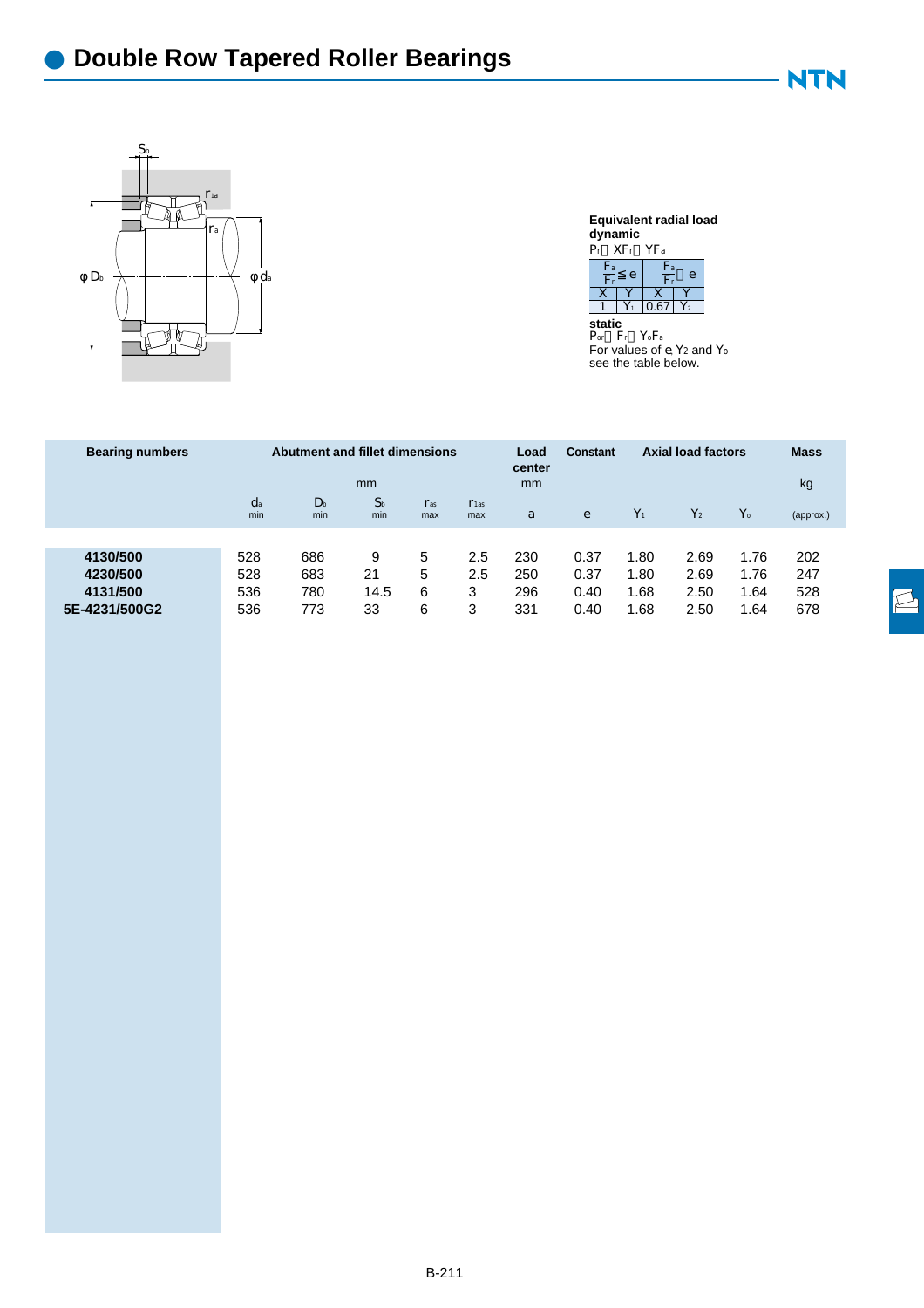



| <b>Bearing numbers</b> |                | <b>Abutment and fillet dimensions</b> |                    |                     |                | Load<br>center | Constant         |       | <b>Axial load factors</b> |         | <b>Mass</b> |
|------------------------|----------------|---------------------------------------|--------------------|---------------------|----------------|----------------|------------------|-------|---------------------------|---------|-------------|
|                        |                |                                       | mm                 |                     |                | mm             |                  |       |                           |         | kg          |
|                        | $d_{a}$<br>min | $D_{\rm b}$<br>min                    | $S_{\rm b}$<br>min | $r_{\rm as}$<br>max | $T$ las<br>max | a              | $\boldsymbol{e}$ | $Y_1$ | $Y_2$                     | $Y_{o}$ | (approx.)   |
|                        |                |                                       |                    |                     |                |                |                  |       |                           |         |             |
| 4130/500               | 528            | 686                                   | 9                  | 5                   | 2.5            | 230            | 0.37             | 1.80  | 2.69                      | 1.76    | 202         |
| 4230/500               | 528            | 683                                   | 21                 | 5                   | 2.5            | 250            | 0.37             | 1.80  | 2.69                      | 1.76    | 247         |
| 4131/500               | 536            | 780                                   | 14.5               | 6                   | 3              | 296            | 0.40             | 1.68  | 2.50                      | 1.64    | 528         |
| 5E-4231/500G2          | 536            | 773                                   | 33                 | 6                   | 3              | 331            | 0.40             | 1.68  | 2.50                      | 1.64    | 678         |

**NTN**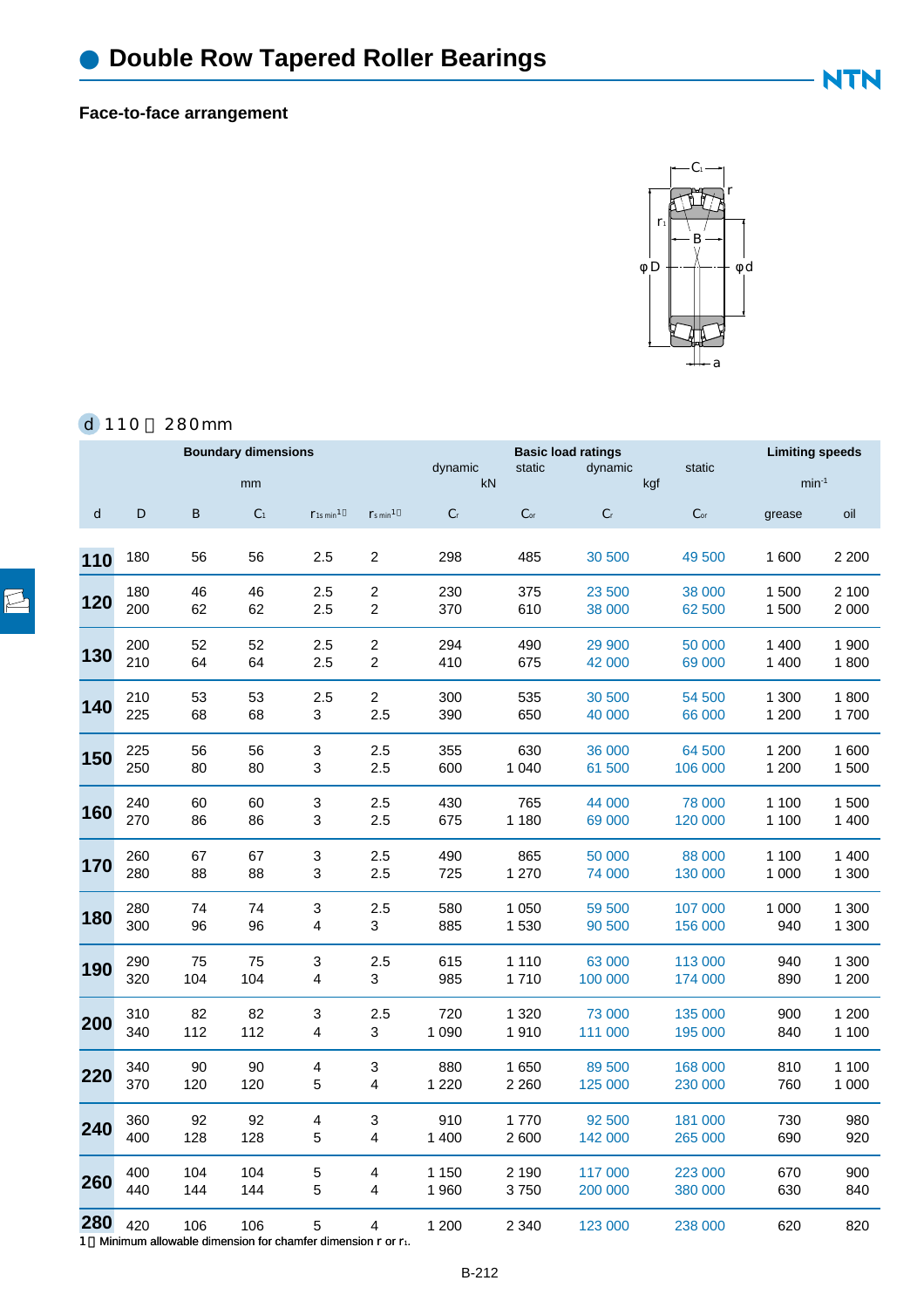# **Face-to-face arrangement**



| $d$ 110 |  |  |  | 280mm |
|---------|--|--|--|-------|
|---------|--|--|--|-------|

|                | <b>Boundary dimensions</b> |                  |                |                           |                               |             | <b>Basic load ratings</b><br>dynamic<br>static<br>dynamic |             |               | <b>Limiting speeds</b> |         |
|----------------|----------------------------|------------------|----------------|---------------------------|-------------------------------|-------------|-----------------------------------------------------------|-------------|---------------|------------------------|---------|
|                |                            |                  | mm             |                           |                               |             | kN                                                        |             | static<br>kgf | $min^{-1}$             |         |
| $\overline{d}$ | $\boldsymbol{D}$           | $\boldsymbol{B}$ | C <sub>1</sub> | $T$ s min <sup>1</sup>    | $r_{\rm s\,min}$ <sup>1</sup> | $C_{\rm r}$ | $C_{or}$                                                  | $C_{\rm r}$ | $C_{or}$      | grease                 | oil     |
| 110            | 180                        | 56               | 56             | 2.5                       | $\overline{c}$                | 298         | 485                                                       | 30 500      | 49 500        | 1 600                  | 2 2 0 0 |
| 120            | 180                        | 46               | 46             | 2.5                       | $\overline{\mathbf{c}}$       | 230         | 375                                                       | 23 500      | 38 000        | 1500                   | 2 100   |
|                | 200                        | 62               | 62             | 2.5                       | $\overline{c}$                | 370         | 610                                                       | 38 000      | 62 500        | 1500                   | 2 0 0 0 |
| 130            | 200                        | 52               | 52             | 2.5                       | $\overline{\mathbf{c}}$       | 294         | 490                                                       | 29 900      | 50 000        | 1 400                  | 1 900   |
|                | 210                        | 64               | 64             | 2.5                       | $\overline{c}$                | 410         | 675                                                       | 42 000      | 69 000        | 1 400                  | 1800    |
| 140            | 210                        | 53               | 53             | 2.5                       | $\overline{c}$                | 300         | 535                                                       | 30 500      | 54 500        | 1 300                  | 1800    |
|                | 225                        | 68               | 68             | 3                         | 2.5                           | 390         | 650                                                       | 40 000      | 66 000        | 1 200                  | 1700    |
| 150            | 225                        | 56               | 56             | 3                         | 2.5                           | 355         | 630                                                       | 36 000      | 64 500        | 1 200                  | 1 600   |
|                | 250                        | 80               | 80             | 3                         | 2.5                           | 600         | 1 040                                                     | 61 500      | 106 000       | 1 200                  | 1 500   |
| 160            | 240                        | 60               | 60             | 3                         | 2.5                           | 430         | 765                                                       | 44 000      | 78 000        | 1 100                  | 1500    |
|                | 270                        | 86               | 86             | $\ensuremath{\mathsf{3}}$ | 2.5                           | 675         | 1 1 8 0                                                   | 69 000      | 120 000       | 1 100                  | 1 400   |
| 170            | 260                        | 67               | 67             | 3                         | 2.5                           | 490         | 865                                                       | 50 000      | 88 000        | 1 100                  | 1 400   |
|                | 280                        | 88               | 88             | 3                         | 2.5                           | 725         | 1 270                                                     | 74 000      | 130 000       | 1 000                  | 1 300   |
| 180            | 280                        | 74               | 74             | 3                         | 2.5                           | 580         | 1 0 5 0                                                   | 59 500      | 107 000       | 1 0 0 0                | 1 300   |
|                | 300                        | 96               | 96             | 4                         | 3                             | 885         | 1 530                                                     | 90 500      | 156 000       | 940                    | 1 300   |
| 190            | 290                        | 75               | 75             | 3                         | 2.5                           | 615         | 1 1 1 0                                                   | 63 000      | 113 000       | 940                    | 1 300   |
|                | 320                        | 104              | 104            | 4                         | 3                             | 985         | 1710                                                      | 100 000     | 174 000       | 890                    | 1 200   |
| 200            | 310                        | 82               | 82             | 3                         | 2.5                           | 720         | 1 3 2 0                                                   | 73 000      | 135 000       | 900                    | 1 200   |
|                | 340                        | 112              | 112            | $\overline{\mathbf{4}}$   | 3                             | 1 0 9 0     | 1910                                                      | 111 000     | 195 000       | 840                    | 1 100   |
| 220            | 340                        | 90               | 90             | 4                         | 3                             | 880         | 1650                                                      | 89 500      | 168 000       | 810                    | 1 100   |
|                | 370                        | 120              | 120            | 5                         | 4                             | 1 2 2 0     | 2 2 6 0                                                   | 125 000     | 230 000       | 760                    | 1 000   |
| 240            | 360                        | 92               | 92             | 4                         | 3                             | 910         | 1770                                                      | 92 500      | 181 000       | 730                    | 980     |
|                | 400                        | 128              | 128            | 5                         | 4                             | 1 400       | 2 600                                                     | 142 000     | 265 000       | 690                    | 920     |
| 260            | 400                        | 104              | 104            | 5                         | 4                             | 1 1 5 0     | 2 190                                                     | 117 000     | 223 000       | 670                    | 900     |
|                | 440                        | 144              | 144            | 5                         | 4                             | 1 9 6 0     | 3750                                                      | 200 000     | 380 000       | 630                    | 840     |
| 280            | 420                        | 106              | 106            | 5                         | 4                             | 1 200       | 2 3 4 0                                                   | 123 000     | 238 000       | 620                    | 820     |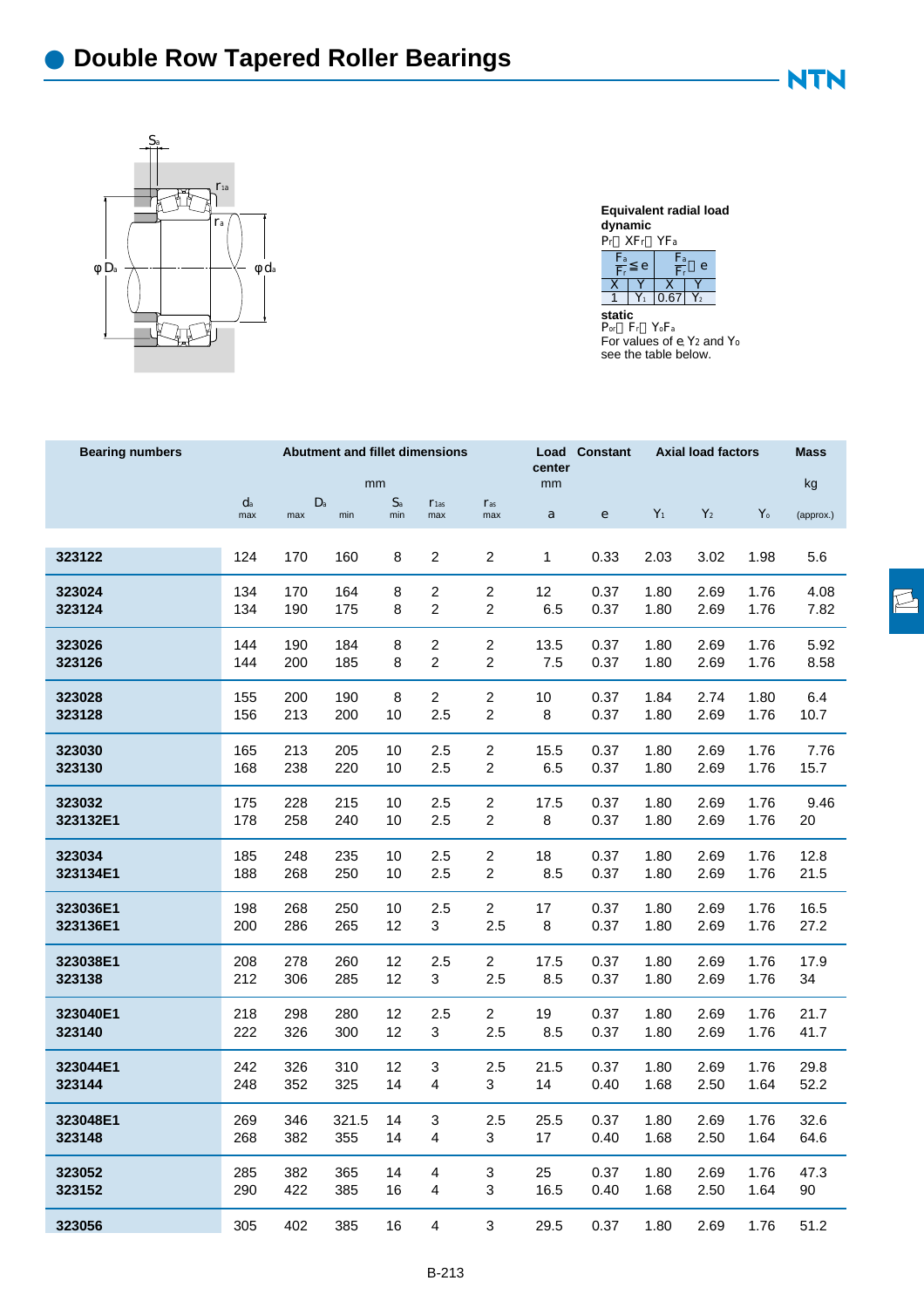



| <b>Bearing numbers</b> |                                     |                    | <b>Abutment and fillet dimensions</b> |                |                     |                                 | <b>Constant</b><br><b>Axial load factors</b><br>Load<br>center |                  |       |       | <b>Mass</b> |           |
|------------------------|-------------------------------------|--------------------|---------------------------------------|----------------|---------------------|---------------------------------|----------------------------------------------------------------|------------------|-------|-------|-------------|-----------|
|                        |                                     |                    |                                       | mm             |                     |                                 | mm                                                             |                  |       |       |             | kg        |
|                        | $d_{\scriptscriptstyle\! A}$<br>max | $D_{\rm a}$<br>max | min                                   | $S_{a}$<br>min | $\Gamma$ las<br>max | $\mathcal{T}\mathrm{as}$<br>max | $\boldsymbol{a}$                                               | $\boldsymbol{e}$ | $Y_1$ | $Y_2$ | $Y_{o}$     | (approx.) |
| 323122                 | 124                                 | 170                | 160                                   | 8              | $\overline{c}$      | $\overline{c}$                  | 1                                                              | 0.33             | 2.03  | 3.02  | 1.98        | 5.6       |
| 323024                 | 134                                 | 170                | 164                                   | 8              | 2                   | $\overline{\mathbf{c}}$         | 12                                                             | 0.37             | 1.80  | 2.69  | 1.76        | 4.08      |
| 323124                 | 134                                 | 190                | 175                                   | 8              | $\overline{c}$      | $\overline{c}$                  | 6.5                                                            | 0.37             | 1.80  | 2.69  | 1.76        | 7.82      |
| 323026                 | 144                                 | 190                | 184                                   | 8              | 2                   | $\overline{\mathbf{c}}$         | 13.5                                                           | 0.37             | 1.80  | 2.69  | 1.76        | 5.92      |
| 323126                 | 144                                 | 200                | 185                                   | 8              | $\overline{c}$      | $\overline{c}$                  | 7.5                                                            | 0.37             | 1.80  | 2.69  | 1.76        | 8.58      |
| 323028                 | 155                                 | 200                | 190                                   | 8              | 2                   | $\overline{\mathbf{c}}$         | 10                                                             | 0.37             | 1.84  | 2.74  | 1.80        | 6.4       |
| 323128                 | 156                                 | 213                | 200                                   | 10             | 2.5                 | $\overline{c}$                  | 8                                                              | 0.37             | 1.80  | 2.69  | 1.76        | 10.7      |
| 323030                 | 165                                 | 213                | 205                                   | 10             | 2.5                 | $\boldsymbol{2}$                | 15.5                                                           | 0.37             | 1.80  | 2.69  | 1.76        | 7.76      |
| 323130                 | 168                                 | 238                | 220                                   | 10             | 2.5                 | 2                               | 6.5                                                            | 0.37             | 1.80  | 2.69  | 1.76        | 15.7      |
| 323032                 | 175                                 | 228                | 215                                   | 10             | 2.5                 | $\overline{c}$                  | 17.5                                                           | 0.37             | 1.80  | 2.69  | 1.76        | 9.46      |
| 323132E1               | 178                                 | 258                | 240                                   | 10             | 2.5                 | $\overline{c}$                  | 8                                                              | 0.37             | 1.80  | 2.69  | 1.76        | 20        |
| 323034                 | 185                                 | 248                | 235                                   | 10             | 2.5                 | $\overline{c}$                  | 18                                                             | 0.37             | 1.80  | 2.69  | 1.76        | 12.8      |
| 323134E1               | 188                                 | 268                | 250                                   | 10             | 2.5                 | $\overline{c}$                  | 8.5                                                            | 0.37             | 1.80  | 2.69  | 1.76        | 21.5      |
| 323036E1               | 198                                 | 268                | 250                                   | 10             | 2.5                 | 2                               | 17                                                             | 0.37             | 1.80  | 2.69  | 1.76        | 16.5      |
| 323136E1               | 200                                 | 286                | 265                                   | 12             | 3                   | 2.5                             | 8                                                              | 0.37             | 1.80  | 2.69  | 1.76        | 27.2      |
| 323038E1               | 208                                 | 278                | 260                                   | 12             | 2.5                 | $\overline{c}$                  | 17.5                                                           | 0.37             | 1.80  | 2.69  | 1.76        | 17.9      |
| 323138                 | 212                                 | 306                | 285                                   | 12             | 3                   | 2.5                             | 8.5                                                            | 0.37             | 1.80  | 2.69  | 1.76        | 34        |
| 323040E1               | 218                                 | 298                | 280                                   | 12             | 2.5                 | $\overline{c}$                  | 19                                                             | 0.37             | 1.80  | 2.69  | 1.76        | 21.7      |
| 323140                 | 222                                 | 326                | 300                                   | 12             | 3                   | 2.5                             | 8.5                                                            | 0.37             | 1.80  | 2.69  | 1.76        | 41.7      |
| 323044E1               | 242                                 | 326                | 310                                   | 12             | 3                   | 2.5                             | 21.5                                                           | 0.37             | 1.80  | 2.69  | 1.76        | 29.8      |
| 323144                 | 248                                 | 352                | 325                                   | 14             | 4                   | 3                               | 14                                                             | 0.40             | 1.68  | 2.50  | 1.64        | 52.2      |
| 323048E1               | 269                                 | 346                | 321.5                                 | 14             | 3                   | 2.5                             | 25.5                                                           | 0.37             | 1.80  | 2.69  | 1.76        | 32.6      |
| 323148                 | 268                                 | 382                | 355                                   | 14             | 4                   | 3                               | 17                                                             | 0.40             | 1.68  | 2.50  | 1.64        | 64.6      |
| 323052                 | 285                                 | 382                | 365                                   | 14             | 4                   | 3                               | 25                                                             | 0.37             | 1.80  | 2.69  | 1.76        | 47.3      |
| 323152                 | 290                                 | 422                | 385                                   | 16             | 4                   | 3                               | 16.5                                                           | 0.40             | 1.68  | 2.50  | 1.64        | 90        |
| 323056                 | 305                                 | 402                | 385                                   | 16             | 4                   | 3                               | 29.5                                                           | 0.37             | 1.80  | 2.69  | 1.76        | 51.2      |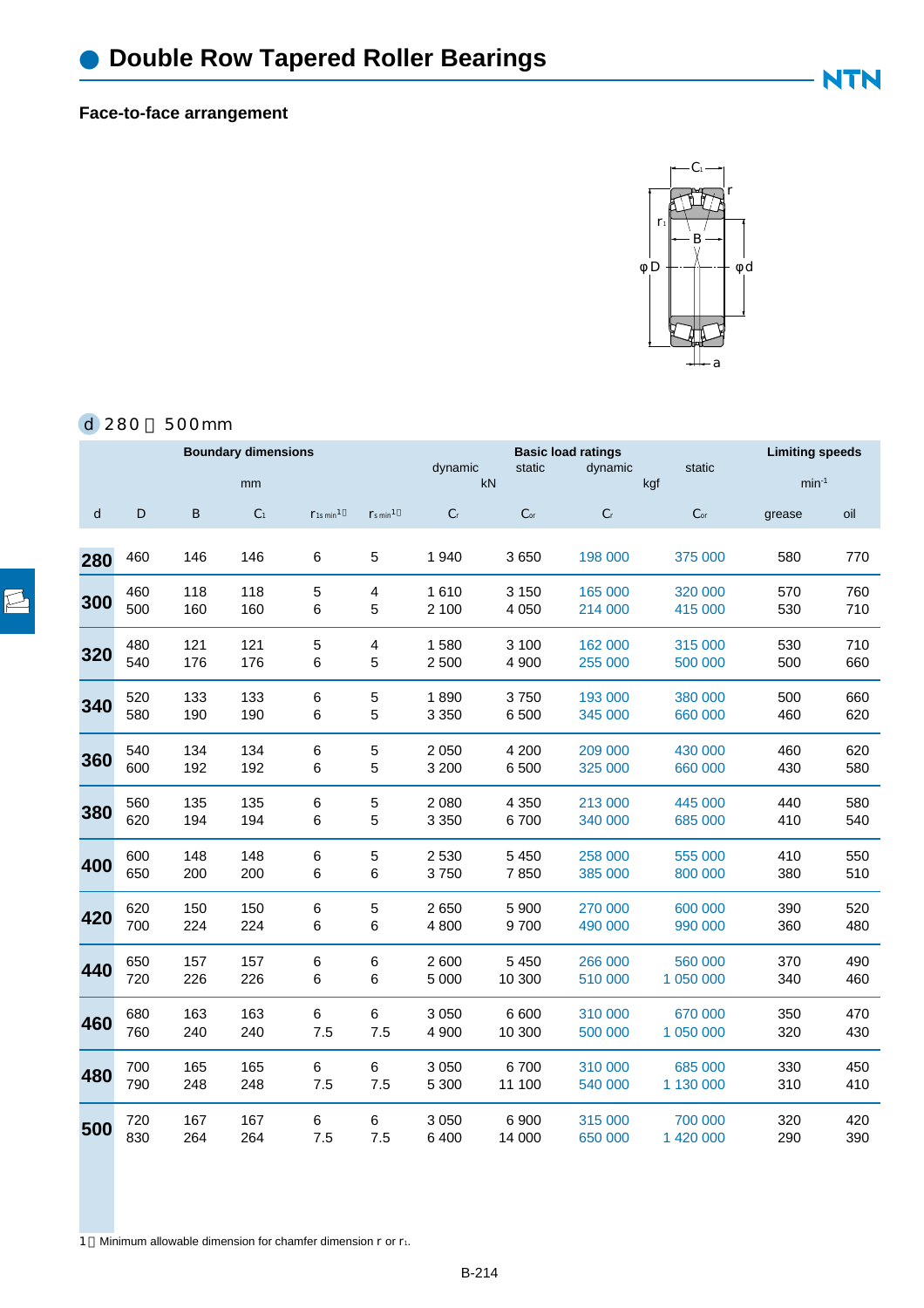# **Face-to-face arrangement**

 *d* 280 ~ 500mm



|                  | <b>Boundary dimensions</b> |          |       |                         |                               |               |                             | <b>Basic load ratings</b> |                             | <b>Limiting speeds</b> |     |
|------------------|----------------------------|----------|-------|-------------------------|-------------------------------|---------------|-----------------------------|---------------------------|-----------------------------|------------------------|-----|
|                  |                            |          | mm    |                         |                               | dynamic<br>kN | static                      | dynamic                   | static<br>kgf               | $min^{-1}$             |     |
| $\boldsymbol{d}$ | $\boldsymbol{D}$           | $\cal B$ | $C_1$ | $T$ is min <sup>1</sup> | $r_{\rm s\,min}$ <sup>1</sup> | $C_{r}$       | $C_{\hbox{\scriptsize or}}$ | $C_{\rm r}$               | $C_{\hbox{\scriptsize or}}$ | grease                 | oil |
| 280              | 460                        | 146      | 146   | 6                       | 5                             | 1 9 4 0       | 3650                        | 198 000                   | 375 000                     | 580                    | 770 |
| 300              | 460                        | 118      | 118   | 5                       | 4                             | 1610          | 3 1 5 0                     | 165 000                   | 320 000                     | 570                    | 760 |
|                  | 500                        | 160      | 160   | 6                       | 5                             | 2 100         | 4 0 5 0                     | 214 000                   | 415 000                     | 530                    | 710 |
| 320              | 480                        | 121      | 121   | 5                       | 4                             | 1580          | 3 100                       | 162 000                   | 315 000                     | 530                    | 710 |
|                  | 540                        | 176      | 176   | 6                       | 5                             | 2 500         | 4 900                       | 255 000                   | 500 000                     | 500                    | 660 |
| 340              | 520                        | 133      | 133   | 6                       | 5                             | 1890          | 3750                        | 193 000                   | 380 000                     | 500                    | 660 |
|                  | 580                        | 190      | 190   | 6                       | 5                             | 3 3 5 0       | 6500                        | 345 000                   | 660 000                     | 460                    | 620 |
| 360              | 540                        | 134      | 134   | 6                       | 5                             | 2 0 5 0       | 4 200                       | 209 000                   | 430 000                     | 460                    | 620 |
|                  | 600                        | 192      | 192   | 6                       | 5                             | 3 200         | 6500                        | 325 000                   | 660 000                     | 430                    | 580 |
| 380              | 560                        | 135      | 135   | 6                       | 5                             | 2 0 8 0       | 4 3 5 0                     | 213 000                   | 445 000                     | 440                    | 580 |
|                  | 620                        | 194      | 194   | 6                       | 5                             | 3 3 5 0       | 6700                        | 340 000                   | 685 000                     | 410                    | 540 |
| 400              | 600                        | 148      | 148   | 6                       | 5                             | 2 5 3 0       | 5 4 5 0                     | 258 000                   | 555 000                     | 410                    | 550 |
|                  | 650                        | 200      | 200   | 6                       | 6                             | 3750          | 7850                        | 385 000                   | 800 000                     | 380                    | 510 |
| 420              | 620                        | 150      | 150   | 6                       | 5                             | 2650          | 5 900                       | 270 000                   | 600 000                     | 390                    | 520 |
|                  | 700                        | 224      | 224   | 6                       | 6                             | 4 800         | 9700                        | 490 000                   | 990 000                     | 360                    | 480 |
| 440              | 650                        | 157      | 157   | 6                       | 6                             | 2 600         | 5 4 5 0                     | 266 000                   | 560 000                     | 370                    | 490 |
|                  | 720                        | 226      | 226   | 6                       | 6                             | 5 0 0 0       | 10 300                      | 510 000                   | 1 050 000                   | 340                    | 460 |
| 460              | 680                        | 163      | 163   | 6                       | 6                             | 3 0 5 0       | 6 600                       | 310 000                   | 670 000                     | 350                    | 470 |
|                  | 760                        | 240      | 240   | 7.5                     | 7.5                           | 4 900         | 10 300                      | 500 000                   | 1 050 000                   | 320                    | 430 |
| 480              | 700                        | 165      | 165   | 6                       | 6                             | 3 0 5 0       | 6700                        | 310 000                   | 685 000                     | 330                    | 450 |
|                  | 790                        | 248      | 248   | 7.5                     | 7.5                           | 5 300         | 11 100                      | 540 000                   | 1 130 000                   | 310                    | 410 |
| 500              | 720                        | 167      | 167   | 6                       | 6                             | 3 0 5 0       | 6 900                       | 315 000                   | 700 000                     | 320                    | 420 |
|                  | 830                        | 264      | 264   | 7.5                     | 7.5                           | 6400          | 14 000                      | 650 000                   | 1 420 000                   | 290                    | 390 |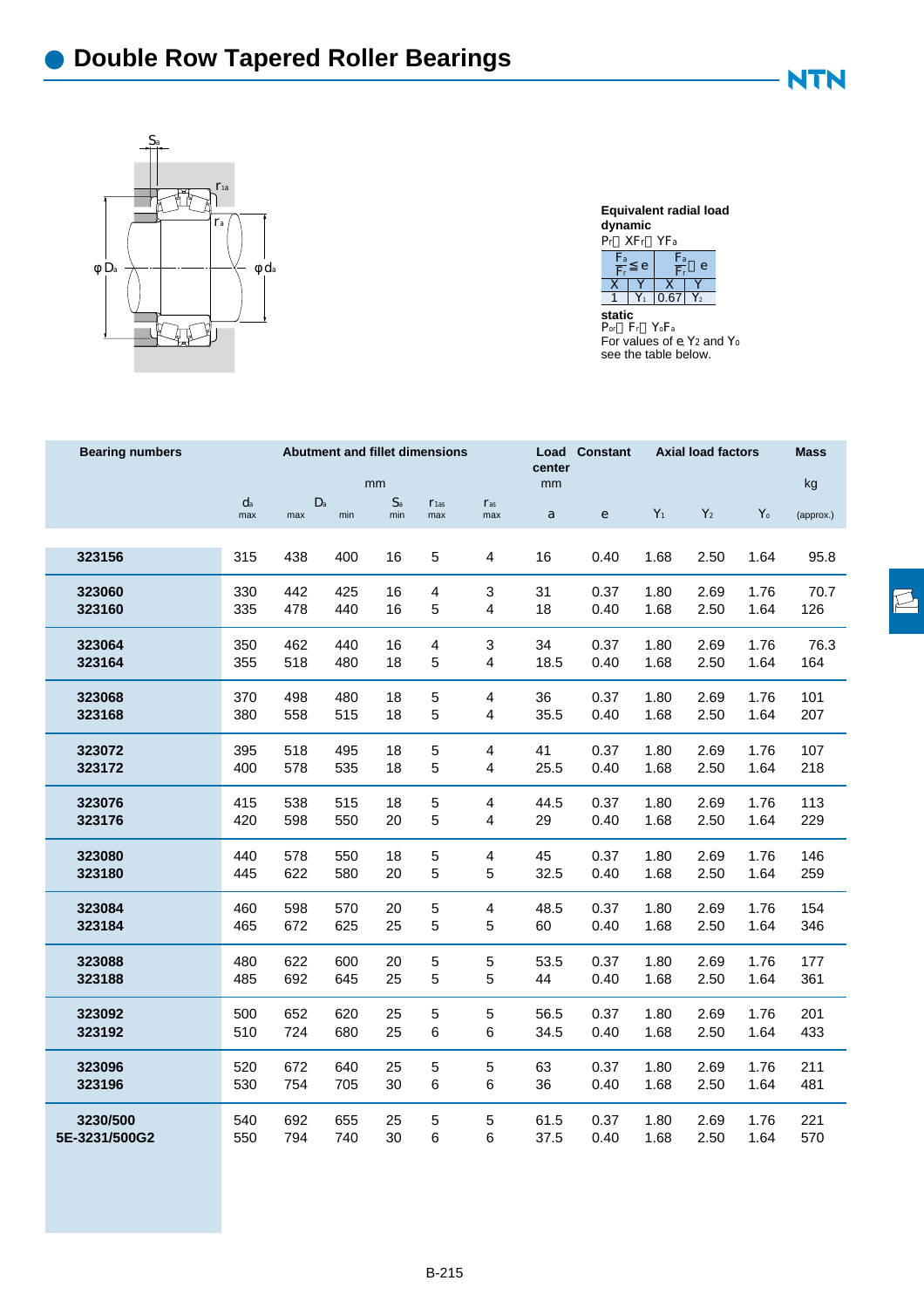



**static** *P*or *F*<sup>r</sup> *Y*o*F*<sup>a</sup> For values of *e*, *Y*2 and *Y*o see the table below.

| <b>Bearing numbers</b> |                                      |                                 | Abutment and fillet dimensions |                                 |                                   |                                 | Load Constant<br><b>Axial load factors</b><br>center |                  |       |       | <b>Mass</b> |           |
|------------------------|--------------------------------------|---------------------------------|--------------------------------|---------------------------------|-----------------------------------|---------------------------------|------------------------------------------------------|------------------|-------|-------|-------------|-----------|
|                        |                                      |                                 |                                | mm                              |                                   |                                 | mm                                                   |                  |       |       |             | kg        |
|                        | $\mathfrak{d}_\text{\tiny a}$<br>max | $\mathcal{D}_\mathrm{a}$<br>max | min                            | $\mathcal{S}_\mathrm{a}$<br>min | $\mathcal{r}_{\text{las}}$<br>max | $\mathcal{T}\mathrm{as}$<br>max | $\boldsymbol{a}$                                     | $\boldsymbol{e}$ | $Y_1$ | $Y_2$ | $Y_{\rm o}$ | (approx.) |
|                        |                                      |                                 |                                |                                 |                                   |                                 |                                                      |                  |       |       |             |           |
| 323156                 | 315                                  | 438                             | 400                            | 16                              | $\sqrt{5}$                        | 4                               | 16                                                   | 0.40             | 1.68  | 2.50  | 1.64        | 95.8      |
| 323060                 | 330                                  | 442                             | 425                            | 16                              | 4                                 | 3                               | 31                                                   | 0.37             | 1.80  | 2.69  | 1.76        | 70.7      |
| 323160                 | 335                                  | 478                             | 440                            | 16                              | 5                                 | 4                               | 18                                                   | 0.40             | 1.68  | 2.50  | 1.64        | 126       |
| 323064                 | 350                                  | 462                             | 440                            | 16                              | 4                                 | 3                               | 34                                                   | 0.37             | 1.80  | 2.69  | 1.76        | 76.3      |
| 323164                 | 355                                  | 518                             | 480                            | 18                              | 5                                 | 4                               | 18.5                                                 | 0.40             | 1.68  | 2.50  | 1.64        | 164       |
| 323068                 | 370                                  | 498                             | 480                            | 18                              | 5                                 | 4                               | 36                                                   | 0.37             | 1.80  | 2.69  | 1.76        | 101       |
| 323168                 | 380                                  | 558                             | 515                            | 18                              | 5                                 | 4                               | 35.5                                                 | 0.40             | 1.68  | 2.50  | 1.64        | 207       |
| 323072                 | 395                                  | 518                             | 495                            | 18                              | 5                                 | 4                               | 41                                                   | 0.37             | 1.80  | 2.69  | 1.76        | 107       |
| 323172                 | 400                                  | 578                             | 535                            | 18                              | 5                                 | 4                               | 25.5                                                 | 0.40             | 1.68  | 2.50  | 1.64        | 218       |
| 323076                 | 415                                  | 538                             | 515                            | 18                              | 5                                 | 4                               | 44.5                                                 | 0.37             | 1.80  | 2.69  | 1.76        | 113       |
| 323176                 | 420                                  | 598                             | 550                            | 20                              | 5                                 | 4                               | 29                                                   | 0.40             | 1.68  | 2.50  | 1.64        | 229       |
| 323080                 | 440                                  | 578                             | 550                            | 18                              | 5                                 | 4                               | 45                                                   | 0.37             | 1.80  | 2.69  | 1.76        | 146       |
| 323180                 | 445                                  | 622                             | 580                            | 20                              | 5                                 | 5                               | 32.5                                                 | 0.40             | 1.68  | 2.50  | 1.64        | 259       |
| 323084                 | 460                                  | 598                             | 570                            | 20                              | 5                                 | 4                               | 48.5                                                 | 0.37             | 1.80  | 2.69  | 1.76        | 154       |
| 323184                 | 465                                  | 672                             | 625                            | 25                              | 5                                 | 5                               | 60                                                   | 0.40             | 1.68  | 2.50  | 1.64        | 346       |
| 323088                 | 480                                  | 622                             | 600                            | 20                              | 5                                 | 5                               | 53.5                                                 | 0.37             | 1.80  | 2.69  | 1.76        | 177       |
| 323188                 | 485                                  | 692                             | 645                            | 25                              | 5                                 | 5                               | 44                                                   | 0.40             | 1.68  | 2.50  | 1.64        | 361       |
| 323092                 | 500                                  | 652                             | 620                            | 25                              | 5                                 | 5                               | 56.5                                                 | 0.37             | 1.80  | 2.69  | 1.76        | 201       |
| 323192                 | 510                                  | 724                             | 680                            | 25                              | 6                                 | 6                               | 34.5                                                 | 0.40             | 1.68  | 2.50  | 1.64        | 433       |
| 323096                 | 520                                  | 672                             | 640                            | 25                              | 5                                 | 5                               | 63                                                   | 0.37             | 1.80  | 2.69  | 1.76        | 211       |
| 323196                 | 530                                  | 754                             | 705                            | 30                              | 6                                 | 6                               | 36                                                   | 0.40             | 1.68  | 2.50  | 1.64        | 481       |
| 3230/500               | 540                                  | 692                             | 655                            | 25                              | 5                                 | 5                               | 61.5                                                 | 0.37             | 1.80  | 2.69  | 1.76        | 221       |
| 5E-3231/500G2          | 550                                  | 794                             | 740                            | 30                              | 6                                 | 6                               | 37.5                                                 | 0.40             | 1.68  | 2.50  | 1.64        | 570       |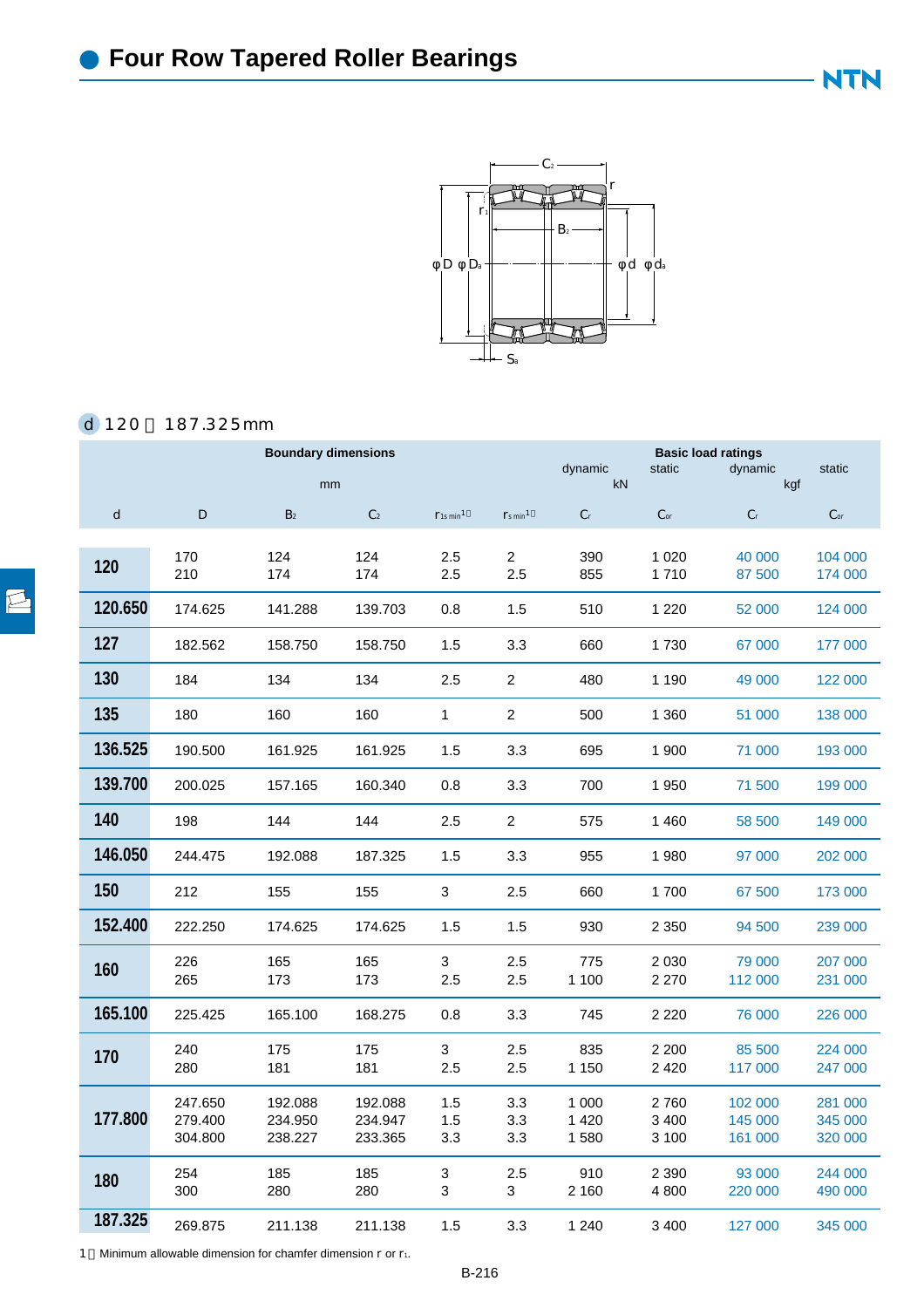

# *d* 120 ~ 187.325mm

|                  |                               | <b>Boundary dimensions</b>    |                               |                              | <b>Basic load ratings</b>     |                          |                             |                               |                               |
|------------------|-------------------------------|-------------------------------|-------------------------------|------------------------------|-------------------------------|--------------------------|-----------------------------|-------------------------------|-------------------------------|
|                  |                               | mm                            |                               |                              |                               | dynamic<br>kN            | static                      | dynamic<br>kgf                | static                        |
| $\boldsymbol{d}$ | $\cal D$                      | $\mathcal{B}_2$               | C <sub>2</sub>                | $\Gamma$ is min <sup>1</sup> | $r_{\rm s\,min}$ <sup>1</sup> | $C_{\rm r}$              | $C_{\hbox{\scriptsize or}}$ | $C_{\rm r}$                   | $C_{\rm or}$                  |
| 120              | 170<br>210                    | 124<br>174                    | 124<br>174                    | 2.5<br>2.5                   | $\overline{c}$<br>2.5         | 390<br>855               | 1 0 2 0<br>1710             | 40 000<br>87 500              | 104 000<br>174 000            |
| 120.650          | 174.625                       | 141.288                       | 139.703                       | 0.8                          | 1.5                           | 510                      | 1 2 2 0                     | 52 000                        | 124 000                       |
| 127              | 182.562                       | 158.750                       | 158.750                       | 1.5                          | 3.3                           | 660                      | 1730                        | 67 000                        | 177 000                       |
| 130              | 184                           | 134                           | 134                           | 2.5                          | $\overline{c}$                | 480                      | 1 1 9 0                     | 49 000                        | 122 000                       |
| 135              | 180                           | 160                           | 160                           | 1                            | $\overline{c}$                | 500                      | 1 3 6 0                     | 51 000                        | 138 000                       |
| 136.525          | 190.500                       | 161.925                       | 161.925                       | 1.5                          | 3.3                           | 695                      | 1 900                       | 71 000                        | 193 000                       |
| 139.700          | 200.025                       | 157.165                       | 160.340                       | 0.8                          | 3.3                           | 700                      | 1950                        | 71 500                        | 199 000                       |
| 140              | 198                           | 144                           | 144                           | 2.5                          | $\overline{2}$                | 575                      | 1 4 6 0                     | 58 500                        | 149 000                       |
| 146.050          | 244.475                       | 192.088                       | 187.325                       | 1.5                          | 3.3                           | 955                      | 1980                        | 97 000                        | 202 000                       |
| 150              | 212                           | 155                           | 155                           | $\mathbf{3}$                 | 2.5                           | 660                      | 1700                        | 67 500                        | 173 000                       |
| 152.400          | 222.250                       | 174.625                       | 174.625                       | 1.5                          | 1.5                           | 930                      | 2 3 5 0                     | 94 500                        | 239 000                       |
| 160              | 226<br>265                    | 165<br>173                    | 165<br>173                    | 3<br>2.5                     | 2.5<br>2.5                    | 775<br>1 100             | 2 0 3 0<br>2 2 7 0          | 79 000<br>112 000             | 207 000<br>231 000            |
| 165.100          | 225.425                       | 165.100                       | 168.275                       | 0.8                          | 3.3                           | 745                      | 2 2 2 0                     | 76 000                        | 226 000                       |
| 170              | 240<br>280                    | 175<br>181                    | 175<br>181                    | 3<br>2.5                     | 2.5<br>2.5                    | 835<br>1 150             | 2 2 0 0<br>2420             | 85 500<br>117 000             | 224 000<br>247 000            |
| 177.800          | 247.650<br>279.400<br>304.800 | 192.088<br>234.950<br>238.227 | 192.088<br>234.947<br>233.365 | 1.5<br>1.5<br>3.3            | 3.3<br>3.3<br>3.3             | 1 000<br>1 4 2 0<br>1580 | 2760<br>3 4 0 0<br>3 100    | 102 000<br>145 000<br>161 000 | 281 000<br>345 000<br>320 000 |
| 180              | 254<br>300                    | 185<br>280                    | 185<br>280                    | 3<br>3                       | 2.5<br>3                      | 910<br>2 160             | 2 3 9 0<br>4 800            | 93 000<br>220 000             | 244 000<br>490 000            |
| 187.325          | 269.875                       | 211.138                       | 211.138                       | 1.5                          | 3.3                           | 1 2 4 0                  | 3 4 0 0                     | 127 000                       | 345 000                       |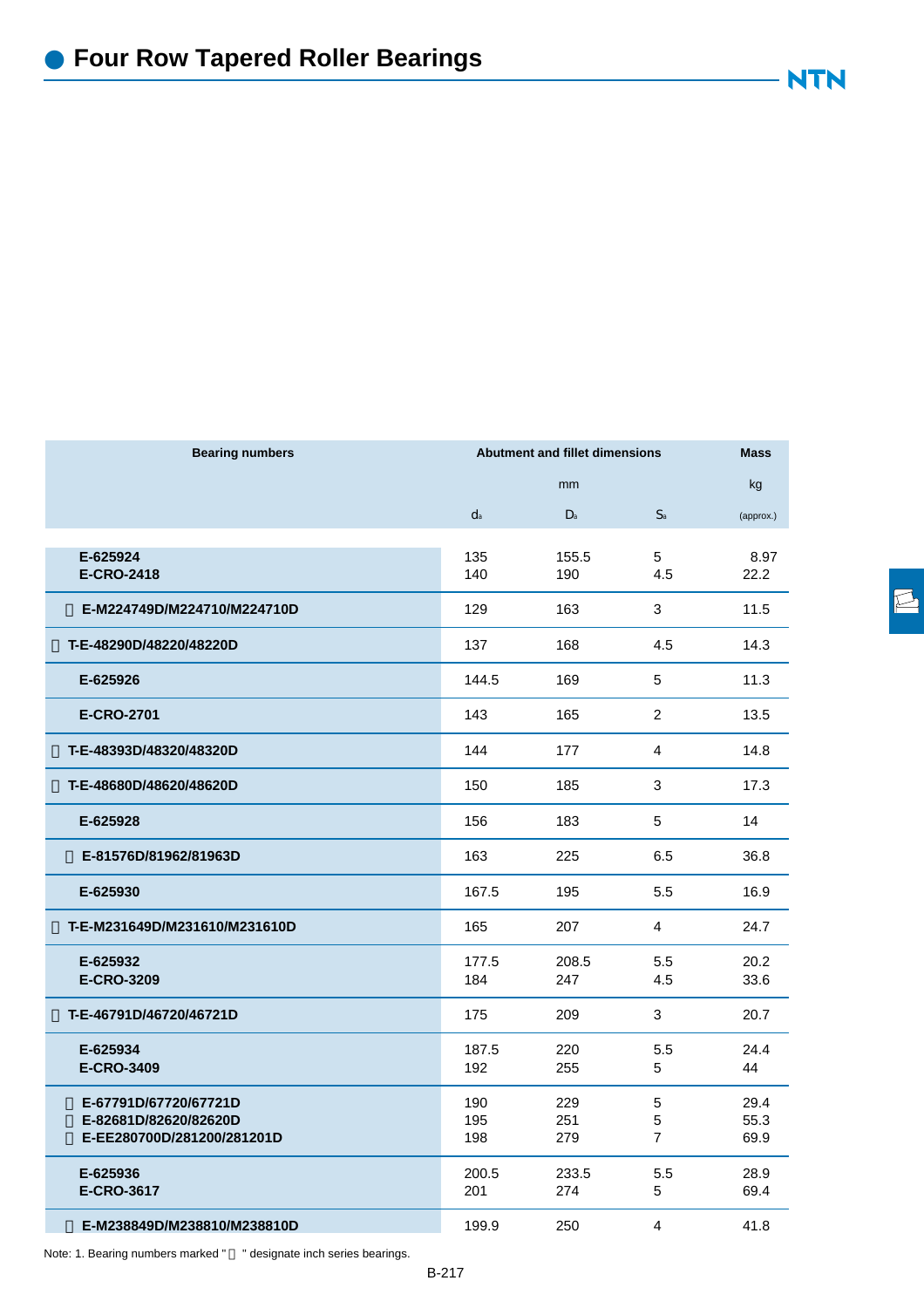| <b>Bearing numbers</b>                                                       |                              | <b>Abutment and fillet dimensions</b> |                          | <b>Mass</b>          |
|------------------------------------------------------------------------------|------------------------------|---------------------------------------|--------------------------|----------------------|
|                                                                              |                              | mm                                    |                          | kg                   |
|                                                                              | $d_{\scriptscriptstyle\! A}$ | $D_{\scriptscriptstyle{\mathrm{a}}}$  | $S_{a}$                  | (approx.)            |
| E-625924<br><b>E-CRO-2418</b>                                                | 135<br>140                   | 155.5<br>190                          | 5<br>4.5                 | 8.97<br>22.2         |
| E-M224749D/M224710/M224710D                                                  | 129                          | 163                                   | 3                        | 11.5                 |
| T-E-48290D/48220/48220D                                                      | 137                          | 168                                   | 4.5                      | 14.3                 |
| E-625926                                                                     | 144.5                        | 169                                   | 5                        | 11.3                 |
| <b>E-CRO-2701</b>                                                            | 143                          | 165                                   | $\overline{2}$           | 13.5                 |
| T-E-48393D/48320/48320D                                                      | 144                          | 177                                   | 4                        | 14.8                 |
| T-E-48680D/48620/48620D                                                      | 150                          | 185                                   | 3                        | 17.3                 |
| E-625928                                                                     | 156                          | 183                                   | 5                        | 14                   |
| E-81576D/81962/81963D                                                        | 163                          | 225                                   | 6.5                      | 36.8                 |
| E-625930                                                                     | 167.5                        | 195                                   | 5.5                      | 16.9                 |
| T-E-M231649D/M231610/M231610D                                                | 165                          | 207                                   | $\overline{4}$           | 24.7                 |
| E-625932<br>E-CRO-3209                                                       | 177.5<br>184                 | 208.5<br>247                          | 5.5<br>4.5               | 20.2<br>33.6         |
| T-E-46791D/46720/46721D                                                      | 175                          | 209                                   | 3                        | 20.7                 |
| E-625934<br><b>E-CRO-3409</b>                                                | 187.5<br>192                 | 220<br>255                            | 5.5<br>5                 | 24.4<br>44           |
| E-67791D/67720/67721D<br>E-82681D/82620/82620D<br>E-EE280700D/281200/281201D | 190<br>195<br>198            | 229<br>251<br>279                     | 5<br>5<br>$\overline{7}$ | 29.4<br>55.3<br>69.9 |
| E-625936<br><b>E-CRO-3617</b>                                                | 200.5<br>201                 | 233.5<br>274                          | 5.5<br>5                 | 28.9<br>69.4         |
| E-M238849D/M238810/M238810D                                                  | 199.9                        | 250                                   | 4                        | 41.8                 |

A

Note: 1. Bearing numbers marked " " designate inch series bearings.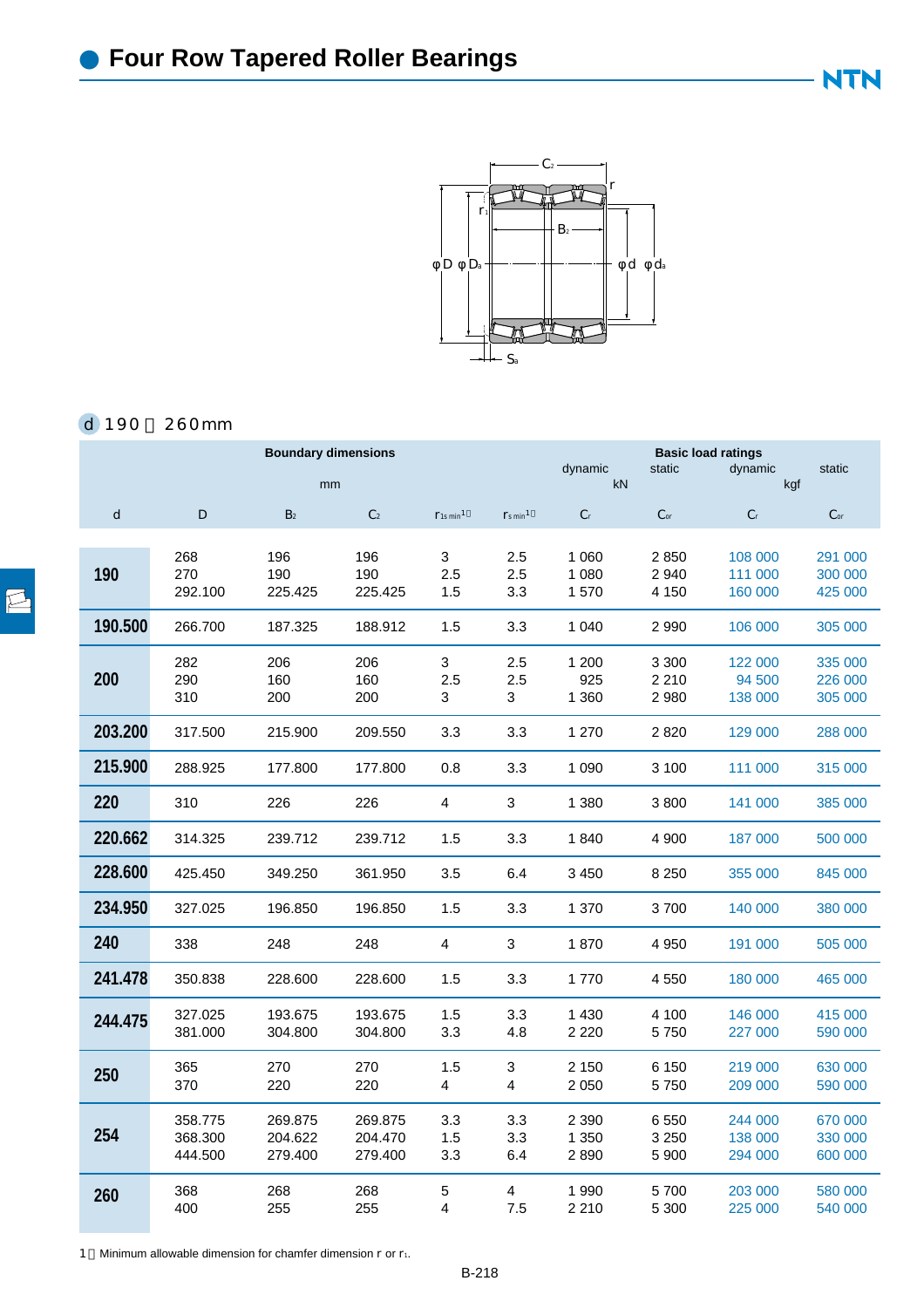

|                |                               | <b>Boundary dimensions</b>    |                               |                              | dynamic                       | static                     | <b>Basic load ratings</b><br>dynamic | static                        |                               |
|----------------|-------------------------------|-------------------------------|-------------------------------|------------------------------|-------------------------------|----------------------------|--------------------------------------|-------------------------------|-------------------------------|
|                |                               | mm                            |                               |                              |                               | kN                         |                                      | kgf                           |                               |
| $\overline{d}$ | $\boldsymbol{D}$              | B <sub>2</sub>                | C <sub>2</sub>                | $\Gamma$ is min <sup>1</sup> | $r_{\rm s\,min}$ <sup>1</sup> | $C_{\rm r}$                | $C_{\text{or}}$                      | $C_{\rm r}$                   | $C_{\text{or}}$               |
| 190            | 268<br>270<br>292.100         | 196<br>190<br>225.425         | 196<br>190<br>225.425         | 3<br>2.5<br>1.5              | 2.5<br>2.5<br>3.3             | 1 0 6 0<br>1 0 8 0<br>1570 | 2850<br>2 9 4 0<br>4 150             | 108 000<br>111 000<br>160 000 | 291 000<br>300 000<br>425 000 |
| 190.500        | 266.700                       | 187.325                       | 188.912                       | 1.5                          | 3.3                           | 1 0 4 0                    | 2990                                 | 106 000                       | 305 000                       |
| 200            | 282<br>290<br>310             | 206<br>160<br>200             | 206<br>160<br>200             | 3<br>2.5<br>3                | 2.5<br>2.5<br>3               | 1 200<br>925<br>1 3 6 0    | 3 3 0 0<br>2 2 1 0<br>2 980          | 122 000<br>94 500<br>138 000  | 335 000<br>226 000<br>305 000 |
| 203.200        | 317.500                       | 215.900                       | 209.550                       | 3.3                          | 3.3                           | 1 270                      | 2820                                 | 129 000                       | 288 000                       |
| 215.900        | 288.925                       | 177.800                       | 177.800                       | 0.8                          | 3.3                           | 1 0 9 0                    | 3 100                                | 111 000                       | 315 000                       |
| 220            | 310                           | 226                           | 226                           | 4                            | 3                             | 1 3 8 0                    | 3800                                 | 141 000                       | 385 000                       |
| 220.662        | 314.325                       | 239.712                       | 239.712                       | 1.5                          | 3.3                           | 1840                       | 4 900                                | 187 000                       | 500 000                       |
| 228.600        | 425.450                       | 349.250                       | 361.950                       | 3.5                          | 6.4                           | 3 4 5 0                    | 8 2 5 0                              | 355 000                       | 845 000                       |
| 234.950        | 327.025                       | 196.850                       | 196.850                       | 1.5                          | 3.3                           | 1 370                      | 3700                                 | 140 000                       | 380 000                       |
| 240            | 338                           | 248                           | 248                           | $\overline{4}$               | $\mathbf{3}$                  | 1870                       | 4 9 5 0                              | 191 000                       | 505 000                       |
| 241.478        | 350.838                       | 228.600                       | 228.600                       | 1.5                          | 3.3                           | 1770                       | 4 5 5 0                              | 180 000                       | 465 000                       |
| 244.475        | 327.025<br>381.000            | 193.675<br>304.800            | 193.675<br>304.800            | 1.5<br>3.3                   | 3.3<br>4.8                    | 1 4 3 0<br>2 2 2 0         | 4 100<br>5750                        | 146 000<br>227 000            | 415 000<br>590 000            |
| 250            | 365<br>370                    | 270<br>220                    | 270<br>220                    | 1.5<br>4                     | 3<br>4                        | 2 150<br>2 0 5 0           | 6 150<br>5750                        | 219 000<br>209 000            | 630 000<br>590 000            |
| 254            | 358.775<br>368.300<br>444.500 | 269.875<br>204.622<br>279.400 | 269.875<br>204.470<br>279.400 | 3.3<br>1.5<br>3.3            | 3.3<br>3.3<br>6.4             | 2 3 9 0<br>1 350<br>2890   | 6 550<br>3 2 5 0<br>5 900            | 244 000<br>138 000<br>294 000 | 670 000<br>330 000<br>600 000 |
| 260            | 368<br>400                    | 268<br>255                    | 268<br>255                    | 5<br>4                       | 4<br>7.5                      | 1 9 9 0<br>2 2 1 0         | 5700<br>5 300                        | 203 000<br>225 000            | 580 000<br>540 000            |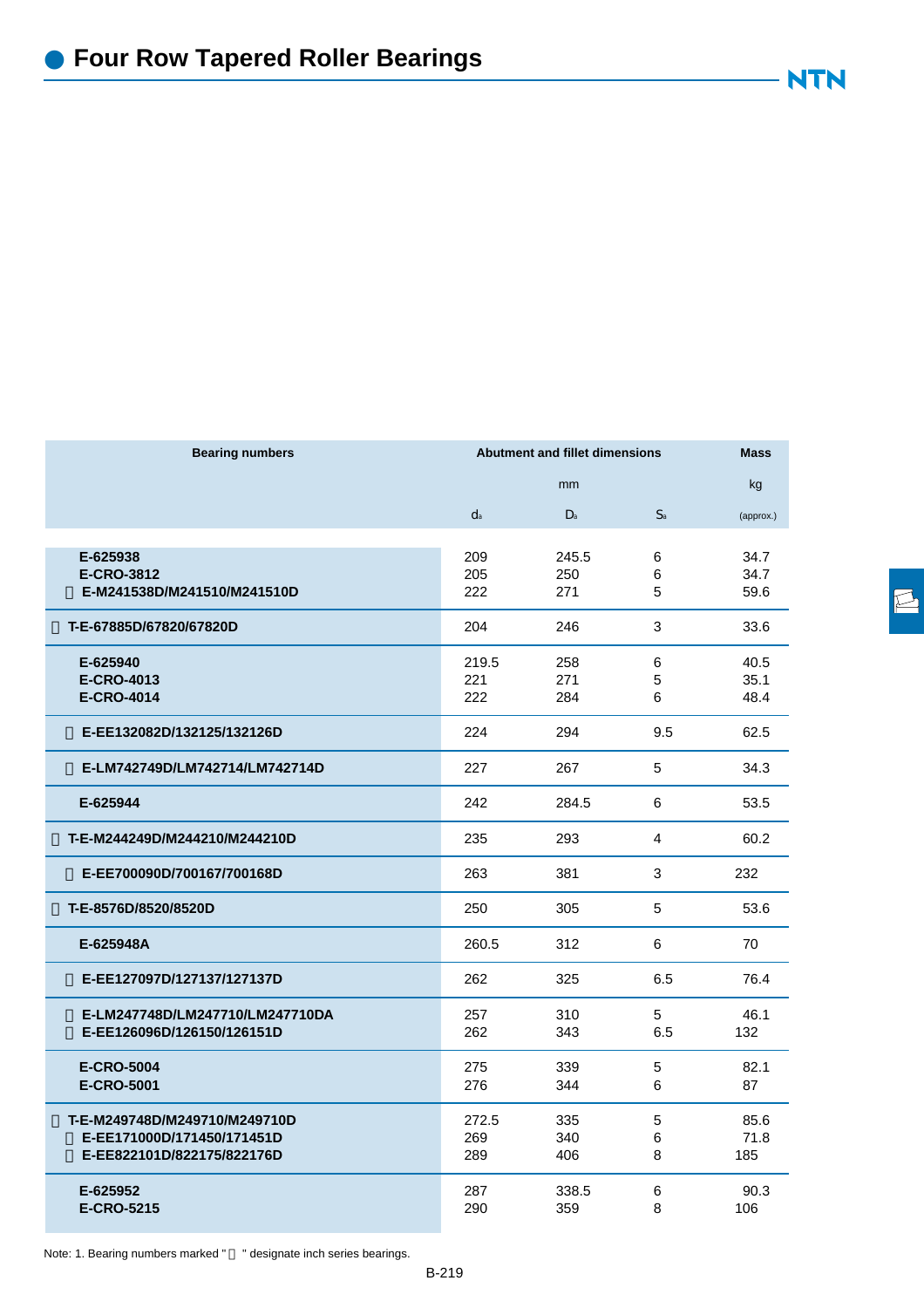| <b>Bearing numbers</b>          |                              | <b>Abutment and fillet dimensions</b> |                |           |  |  |
|---------------------------------|------------------------------|---------------------------------------|----------------|-----------|--|--|
|                                 |                              | mm                                    |                | kg        |  |  |
|                                 | $d_{\scriptscriptstyle\! A}$ | $D_{\rm a}$                           | $S_{a}$        | (approx.) |  |  |
|                                 |                              |                                       |                | 34.7      |  |  |
| E-625938<br><b>E-CRO-3812</b>   | 209<br>205                   | 245.5<br>250                          | 6<br>6         | 34.7      |  |  |
| E-M241538D/M241510/M241510D     | 222                          | 271                                   | 5              | 59.6      |  |  |
|                                 |                              |                                       |                |           |  |  |
| T-E-67885D/67820/67820D         | 204                          | 246                                   | 3              | 33.6      |  |  |
| E-625940                        | 219.5                        | 258                                   | 6              | 40.5      |  |  |
| <b>E-CRO-4013</b>               | 221                          | 271                                   | 5              | 35.1      |  |  |
| <b>E-CRO-4014</b>               | 222                          | 284                                   | 6              | 48.4      |  |  |
| E-EE132082D/132125/132126D      | 224                          | 294                                   | 9.5            | 62.5      |  |  |
| E-LM742749D/LM742714/LM742714D  | 227                          | 267                                   | 5              | 34.3      |  |  |
| E-625944                        | 242                          | 284.5                                 | 6              | 53.5      |  |  |
| T-E-M244249D/M244210/M244210D   | 235                          | 293                                   | $\overline{4}$ | 60.2      |  |  |
| E-EE700090D/700167/700168D      | 263                          | 381                                   | 3              | 232       |  |  |
| T-E-8576D/8520/8520D            | 250                          | 305                                   | $\overline{5}$ | 53.6      |  |  |
| E-625948A                       | 260.5                        | 312                                   | 6              | 70        |  |  |
| E-EE127097D/127137/127137D      | 262                          | 325                                   | 6.5            | 76.4      |  |  |
| E-LM247748D/LM247710/LM247710DA | 257                          | 310                                   | 5              | 46.1      |  |  |
| E-EE126096D/126150/126151D      | 262                          | 343                                   | 6.5            | 132       |  |  |
| <b>E-CRO-5004</b>               | 275                          | 339                                   | 5              | 82.1      |  |  |
| <b>E-CRO-5001</b>               | 276                          | 344                                   | 6              | 87        |  |  |
| T-E-M249748D/M249710/M249710D   | 272.5                        | 335                                   | $\overline{5}$ | 85.6      |  |  |
| E-EE171000D/171450/171451D      | 269                          | 340                                   | 6              | 71.8      |  |  |
| E-EE822101D/822175/822176D      | 289                          | 406                                   | 8              | 185       |  |  |
| E-625952                        | 287                          | 338.5                                 | 6              | 90.3      |  |  |
| <b>E-CRO-5215</b>               | 290                          | 359                                   | 8              | 106       |  |  |
|                                 |                              |                                       |                |           |  |  |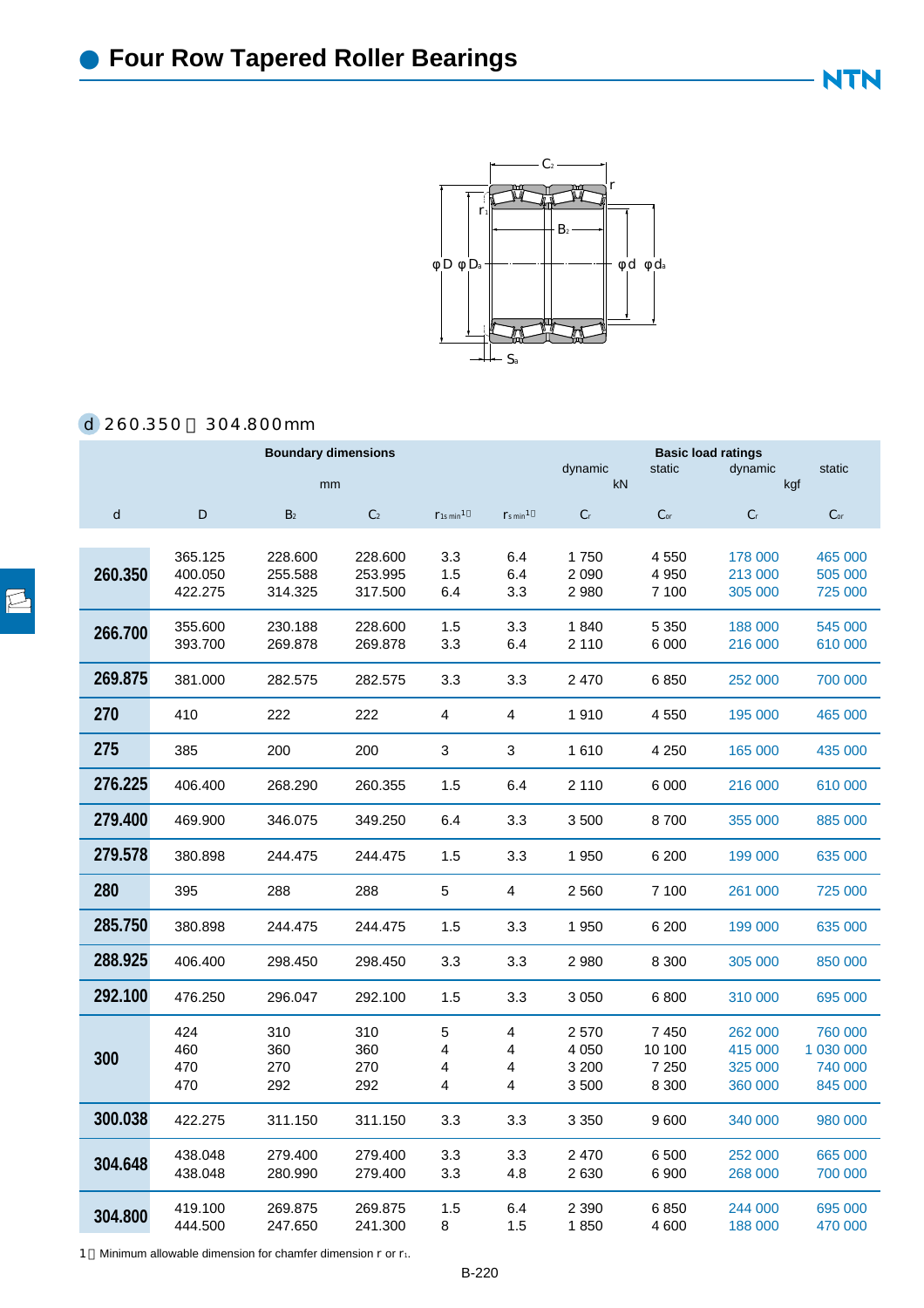



|                  |                               | <b>Boundary dimensions</b>    |                               |                              |                        |                                  | <b>Basic load ratings</b>          |                                          |                                            |
|------------------|-------------------------------|-------------------------------|-------------------------------|------------------------------|------------------------|----------------------------------|------------------------------------|------------------------------------------|--------------------------------------------|
|                  |                               | mm                            |                               |                              |                        | dynamic<br>kN                    | static                             | dynamic<br>kgf                           | static                                     |
| $\boldsymbol{d}$ | $\cal D$                      | B <sub>2</sub>                | C <sub>2</sub>                | $\Gamma$ is min <sup>1</sup> | $T$ s min <sup>1</sup> | $C_{\rm r}$                      | $C_{\rm or}$                       | $C_{\rm r}$                              | $C_{\text{or}}$                            |
| 260.350          | 365.125<br>400.050<br>422.275 | 228,600<br>255.588<br>314.325 | 228.600<br>253.995<br>317.500 | 3.3<br>1.5<br>6.4            | 6.4<br>6.4<br>3.3      | 1750<br>2 0 9 0<br>2980          | 4550<br>4 9 5 0<br>7 100           | 178 000<br>213 000<br>305 000            | 465 000<br>505 000<br>725 000              |
| 266.700          | 355.600<br>393.700            | 230.188<br>269.878            | 228.600<br>269.878            | 1.5<br>3.3                   | 3.3<br>6.4             | 1840<br>2 1 1 0                  | 5 3 5 0<br>6 0 0 0                 | 188 000<br>216 000                       | 545 000<br>610 000                         |
| 269.875          | 381.000                       | 282.575                       | 282.575                       | 3.3                          | 3.3                    | 2 4 7 0                          | 6850                               | 252 000                                  | 700 000                                    |
| 270              | 410                           | 222                           | 222                           | 4                            | 4                      | 1910                             | 4 5 5 0                            | 195 000                                  | 465 000                                    |
| 275              | 385                           | 200                           | 200                           | 3                            | 3                      | 1610                             | 4 2 5 0                            | 165 000                                  | 435 000                                    |
| 276.225          | 406.400                       | 268.290                       | 260.355                       | 1.5                          | 6.4                    | 2 1 1 0                          | 6 0 0 0                            | 216 000                                  | 610 000                                    |
| 279.400          | 469.900                       | 346.075                       | 349.250                       | 6.4                          | 3.3                    | 3500                             | 8700                               | 355 000                                  | 885 000                                    |
| 279.578          | 380.898                       | 244.475                       | 244.475                       | 1.5                          | 3.3                    | 1 950                            | 6 200                              | 199 000                                  | 635 000                                    |
| 280              | 395                           | 288                           | 288                           | 5                            | 4                      | 2 5 6 0                          | 7 100                              | 261 000                                  | 725 000                                    |
| 285.750          | 380.898                       | 244.475                       | 244.475                       | 1.5                          | 3.3                    | 1950                             | 6 200                              | 199 000                                  | 635 000                                    |
| 288.925          | 406.400                       | 298.450                       | 298.450                       | 3.3                          | 3.3                    | 2 9 8 0                          | 8 3 0 0                            | 305 000                                  | 850 000                                    |
| 292.100          | 476.250                       | 296.047                       | 292.100                       | 1.5                          | 3.3                    | 3 0 5 0                          | 6800                               | 310 000                                  | 695 000                                    |
| 300              | 424<br>460<br>470<br>470      | 310<br>360<br>270<br>292      | 310<br>360<br>270<br>292      | 5<br>4<br>4<br>4             | 4<br>4<br>4<br>4       | 2570<br>4 0 5 0<br>3 200<br>3500 | 7450<br>10 100<br>7 250<br>8 3 0 0 | 262 000<br>415 000<br>325 000<br>360 000 | 760 000<br>1 030 000<br>740 000<br>845 000 |
| 300.038          | 422.275                       | 311.150                       | 311.150                       | 3.3                          | 3.3                    | 3 3 5 0                          | 9600                               | 340 000                                  | 980 000                                    |
| 304.648          | 438.048<br>438.048            | 279.400<br>280.990            | 279.400<br>279.400            | 3.3<br>3.3                   | 3.3<br>4.8             | 2 4 7 0<br>2630                  | 6 500<br>6 900                     | 252 000<br>268 000                       | 665 000<br>700 000                         |
| 304.800          | 419.100<br>444.500            | 269.875<br>247.650            | 269.875<br>241.300            | 1.5<br>8                     | 6.4<br>1.5             | 2 3 9 0<br>1850                  | 6850<br>4 600                      | 244 000<br>188 000                       | 695 000<br>470 000                         |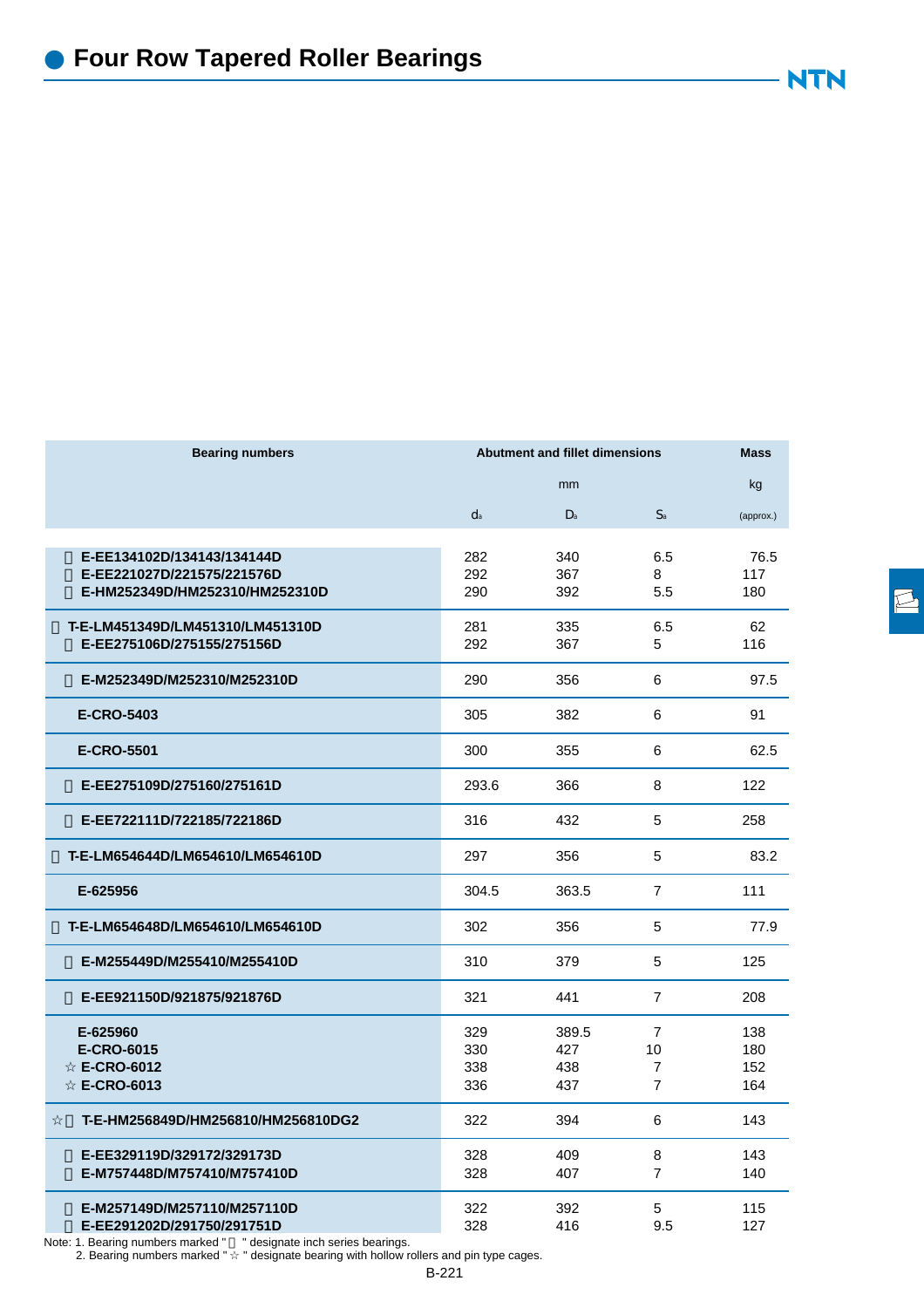| <b>Bearing numbers</b>             | <b>Abutment and fillet dimensions</b> |             | <b>Mass</b>    |           |
|------------------------------------|---------------------------------------|-------------|----------------|-----------|
|                                    |                                       | mm          |                | kg        |
|                                    | $d_{\scriptscriptstyle{\text{a}}}$    | $D_{\rm a}$ | $S_{a}$        | (approx.) |
| E-EE134102D/134143/134144D         | 282                                   | 340         | 6.5            | 76.5      |
| E-EE221027D/221575/221576D         | 292                                   | 367         | 8              | 117       |
| E-HM252349D/HM252310/HM252310D     | 290                                   | 392         | 5.5            | 180       |
| T-E-LM451349D/LM451310/LM451310D   | 281                                   | 335         | 6.5            | 62        |
| E-EE275106D/275155/275156D         | 292                                   | 367         | 5              | 116       |
| E-M252349D/M252310/M252310D        | 290                                   | 356         | 6              | 97.5      |
| <b>E-CRO-5403</b>                  | 305                                   | 382         | 6              | 91        |
| <b>E-CRO-5501</b>                  | 300                                   | 355         | 6              | 62.5      |
| E-EE275109D/275160/275161D         | 293.6                                 | 366         | 8              | 122       |
| E-EE722111D/722185/722186D         | 316                                   | 432         | 5              | 258       |
| T-E-LM654644D/LM654610/LM654610D   | 297                                   | 356         | 5              | 83.2      |
| E-625956                           | 304.5                                 | 363.5       | $\overline{7}$ | 111       |
| T-E-LM654648D/LM654610/LM654610D   | 302                                   | 356         | 5              | 77.9      |
| E-M255449D/M255410/M255410D        | 310                                   | 379         | 5              | 125       |
| E-EE921150D/921875/921876D         | 321                                   | 441         | $\overline{7}$ | 208       |
| E-625960                           | 329                                   | 389.5       | $\overline{7}$ | 138       |
| E-CRO-6015                         | 330                                   | 427         | 10             | 180       |
| <b>E-CRO-6012</b>                  | 338                                   | 438         | 7              | 152       |
| <b>E-CRO-6013</b>                  | 336                                   | 437         | $\overline{7}$ | 164       |
| T-E-HM256849D/HM256810/HM256810DG2 | 322                                   | 394         | 6              | 143       |
| E-EE329119D/329172/329173D         | 328                                   | 409         | 8              | 143       |
| E-M757448D/M757410/M757410D        | 328                                   | 407         | $\overline{7}$ | 140       |
| E-M257149D/M257110/M257110D        | 322                                   | 392         | 5              | 115       |
| E-EE291202D/291750/291751D         | 328                                   | 416         | 9.5            | 127       |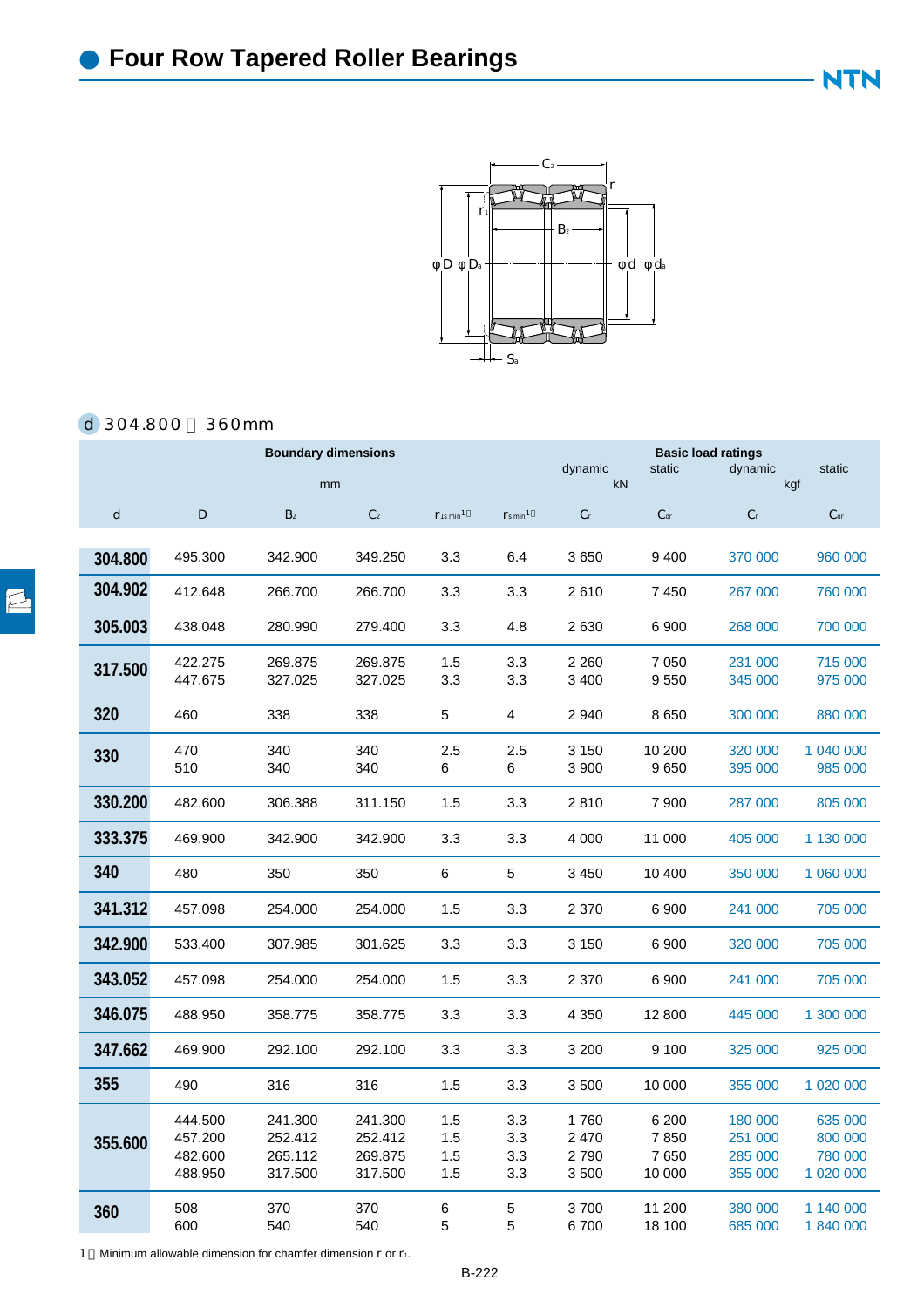

# *d* 304.800 ~ 360mm

|                |                                          | <b>Boundary dimensions</b>               |                                          |                              | <b>Basic load ratings</b>     |                              |                                 |                                          |                                            |
|----------------|------------------------------------------|------------------------------------------|------------------------------------------|------------------------------|-------------------------------|------------------------------|---------------------------------|------------------------------------------|--------------------------------------------|
|                |                                          | mm                                       |                                          |                              |                               | dynamic<br>kN                | static                          | dynamic                                  | static<br>kgf                              |
|                |                                          |                                          |                                          |                              |                               |                              |                                 |                                          |                                            |
| $\overline{d}$ | $\cal D$                                 | B <sub>2</sub>                           | C <sub>2</sub>                           | $\Gamma$ ls min <sup>1</sup> | $r_{\rm s\,min}$ <sup>1</sup> | $C_{r}$                      | $C_{\rm or}$                    | $C_{\rm r}$                              | $C_{\rm or}$                               |
| 304.800        | 495.300                                  | 342.900                                  | 349.250                                  | 3.3                          | 6.4                           | 3650                         | 9400                            | 370 000                                  | 960 000                                    |
| 304.902        | 412.648                                  | 266.700                                  | 266.700                                  | 3.3                          | 3.3                           | 2610                         | 7450                            | 267 000                                  | 760 000                                    |
| 305.003        | 438.048                                  | 280.990                                  | 279.400                                  | 3.3                          | 4.8                           | 2630                         | 6 900                           | 268 000                                  | 700 000                                    |
| 317.500        | 422.275<br>447.675                       | 269.875<br>327.025                       | 269.875<br>327.025                       | 1.5<br>3.3                   | 3.3<br>3.3                    | 2 2 6 0<br>3 4 0 0           | 7 0 5 0<br>9550                 | 231 000<br>345 000                       | 715 000<br>975 000                         |
| 320            | 460                                      | 338                                      | 338                                      | $\,$ 5 $\,$                  | 4                             | 2940                         | 8650                            | 300 000                                  | 880 000                                    |
| 330            | 470<br>510                               | 340<br>340                               | 340<br>340                               | 2.5<br>6                     | 2.5<br>6                      | 3 1 5 0<br>3 900             | 10 200<br>9650                  | 320 000<br>395 000                       | 1 040 000<br>985 000                       |
| 330.200        | 482.600                                  | 306.388                                  | 311.150                                  | 1.5                          | 3.3                           | 2810                         | 7 900                           | 287 000                                  | 805 000                                    |
| 333.375        | 469.900                                  | 342.900                                  | 342.900                                  | 3.3                          | 3.3                           | 4 000                        | 11 000                          | 405 000                                  | 1 130 000                                  |
| 340            | 480                                      | 350                                      | 350                                      | $\,6\,$                      | 5                             | 3 4 5 0                      | 10 400                          | 350 000                                  | 1 060 000                                  |
| 341.312        | 457.098                                  | 254.000                                  | 254.000                                  | 1.5                          | 3.3                           | 2 3 7 0                      | 6 900                           | 241 000                                  | 705 000                                    |
| 342.900        | 533.400                                  | 307.985                                  | 301.625                                  | 3.3                          | 3.3                           | 3 150                        | 6 900                           | 320 000                                  | 705 000                                    |
| 343.052        | 457.098                                  | 254.000                                  | 254.000                                  | 1.5                          | 3.3                           | 2 3 7 0                      | 6 900                           | 241 000                                  | 705 000                                    |
| 346.075        | 488.950                                  | 358.775                                  | 358.775                                  | 3.3                          | 3.3                           | 4 3 5 0                      | 12 800                          | 445 000                                  | 1 300 000                                  |
| 347.662        | 469.900                                  | 292.100                                  | 292.100                                  | 3.3                          | 3.3                           | 3 200                        | 9 100                           | 325 000                                  | 925 000                                    |
| 355            | 490                                      | 316                                      | 316                                      | 1.5                          | 3.3                           | 3500                         | 10 000                          | 355 000                                  | 1 020 000                                  |
| 355.600        | 444.500<br>457.200<br>482.600<br>488.950 | 241.300<br>252.412<br>265.112<br>317.500 | 241.300<br>252.412<br>269.875<br>317.500 | 1.5<br>1.5<br>1.5<br>1.5     | 3.3<br>3.3<br>3.3<br>3.3      | 1760<br>2470<br>2790<br>3500 | 6 200<br>7850<br>7650<br>10 000 | 180 000<br>251 000<br>285 000<br>355 000 | 635 000<br>800 000<br>780 000<br>1 020 000 |
| 360            | 508<br>600                               | 370<br>540                               | 370<br>540                               | 6<br>5                       | 5<br>5                        | 3700<br>6700                 | 11 200<br>18 100                | 380 000<br>685 000                       | 1 140 000<br>1840000                       |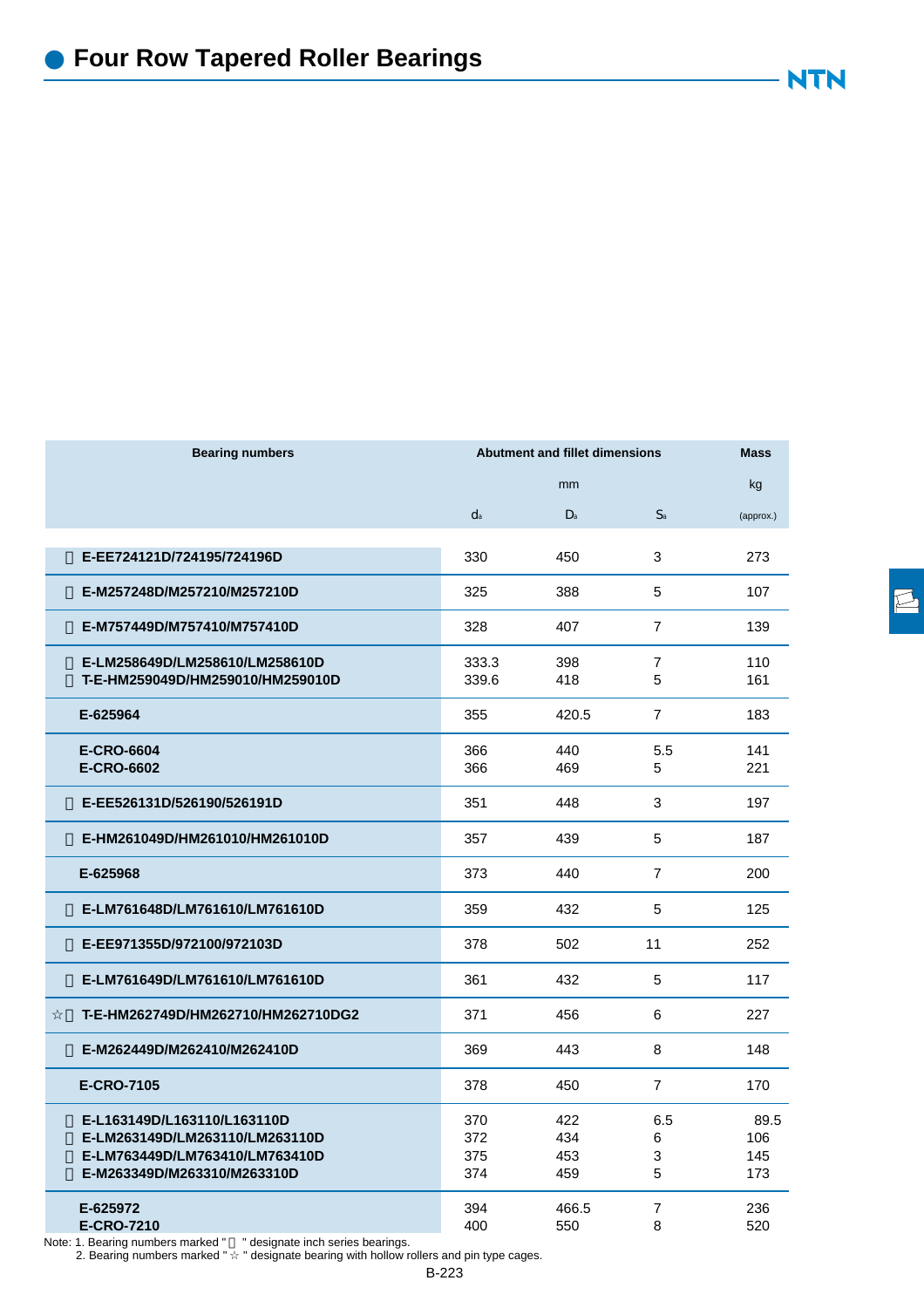| <b>Bearing numbers</b>                                                                                                         | <b>Abutment and fillet dimensions</b> | <b>Mass</b>              |                    |                           |
|--------------------------------------------------------------------------------------------------------------------------------|---------------------------------------|--------------------------|--------------------|---------------------------|
|                                                                                                                                |                                       | mm                       |                    | kg                        |
|                                                                                                                                | $d_{\scriptscriptstyle\! A}$          | $D_{\rm a}$              | $S_{a}$            | (approx.)                 |
| E-EE724121D/724195/724196D                                                                                                     | 330                                   | 450                      | 3                  | 273                       |
| E-M257248D/M257210/M257210D                                                                                                    | 325                                   | 388                      | 5                  | 107                       |
| E-M757449D/M757410/M757410D                                                                                                    | 328                                   | 407                      | $\overline{7}$     | 139                       |
| E-LM258649D/LM258610/LM258610D<br>T-E-HM259049D/HM259010/HM259010D                                                             | 333.3<br>339.6                        | 398<br>418               | 7<br>5             | 110<br>161                |
| E-625964                                                                                                                       | 355                                   | 420.5                    | $\overline{7}$     | 183                       |
| <b>E-CRO-6604</b><br><b>E-CRO-6602</b>                                                                                         | 366<br>366                            | 440<br>469               | 5.5<br>5           | 141<br>221                |
| E-EE526131D/526190/526191D                                                                                                     | 351                                   | 448                      | 3                  | 197                       |
| E-HM261049D/HM261010/HM261010D                                                                                                 | 357                                   | 439                      | 5                  | 187                       |
| E-625968                                                                                                                       | 373                                   | 440                      | 7                  | 200                       |
| E-LM761648D/LM761610/LM761610D                                                                                                 | 359                                   | 432                      | 5                  | 125                       |
| E-EE971355D/972100/972103D                                                                                                     | 378                                   | 502                      | 11                 | 252                       |
| E-LM761649D/LM761610/LM761610D                                                                                                 | 361                                   | 432                      | 5                  | 117                       |
| T-E-HM262749D/HM262710/HM262710DG2                                                                                             | 371                                   | 456                      | 6                  | 227                       |
| E-M262449D/M262410/M262410D                                                                                                    | 369                                   | 443                      | 8                  | 148                       |
| <b>E-CRO-7105</b>                                                                                                              | 378                                   | 450                      | $\overline{7}$     | 170                       |
| E-L163149D/L163110/L163110D<br>E-LM263149D/LM263110/LM263110D<br>E-LM763449D/LM763410/LM763410D<br>E-M263349D/M263310/M263310D | 370<br>372<br>375<br>374              | 422<br>434<br>453<br>459 | 6.5<br>6<br>3<br>5 | 89.5<br>106<br>145<br>173 |
| E-625972<br><b>E-CRO-7210</b>                                                                                                  | 394<br>400                            | 466.5<br>550             | 7<br>8             | 236<br>520                |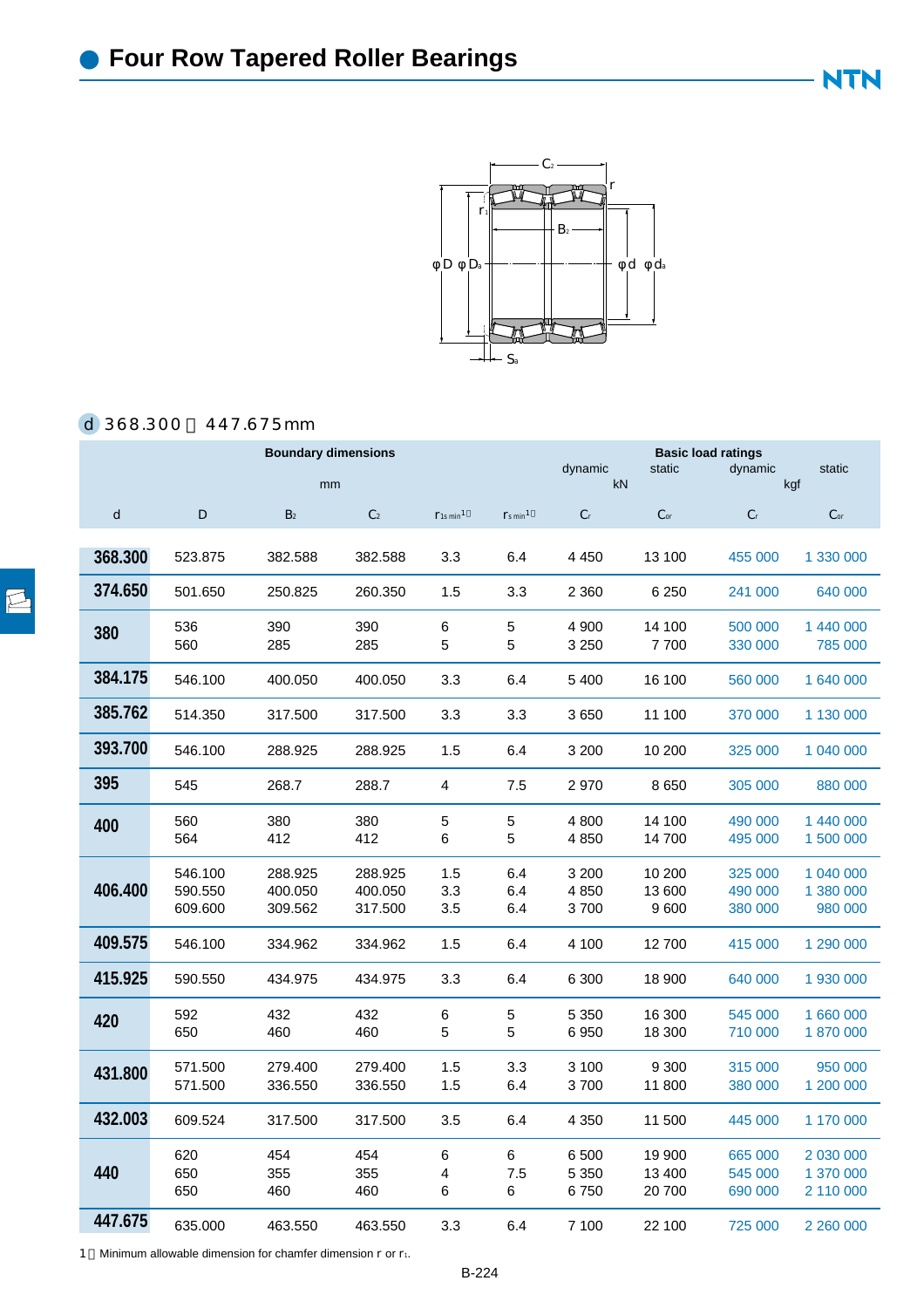

# *d* 368.300 ~ 447.675mm

|                  | <b>Boundary dimensions</b>    |                               |                               |                                   |                               |                          |                            | <b>Basic load ratings</b>     |                                     |  |
|------------------|-------------------------------|-------------------------------|-------------------------------|-----------------------------------|-------------------------------|--------------------------|----------------------------|-------------------------------|-------------------------------------|--|
|                  | mm                            |                               |                               |                                   |                               | dynamic<br>static<br>kN  |                            |                               | dynamic<br>static<br>kgf            |  |
|                  |                               |                               |                               |                                   |                               |                          |                            |                               |                                     |  |
| $\boldsymbol{d}$ | $\cal D$                      | B <sub>2</sub>                | C <sub>2</sub>                | $\Gamma$ is min <sup>1</sup>      | $r_{\rm s\,min}$ <sup>1</sup> | $C_{\rm r}$              | $C_{or}$                   | $C_{\rm r}$                   | $C_{\rm or}$                        |  |
| 368.300          | 523.875                       | 382.588                       | 382.588                       | 3.3                               | 6.4                           | 4 450                    | 13 100                     | 455 000                       | 1 330 000                           |  |
| 374.650          | 501.650                       | 250.825                       | 260.350                       | 1.5                               | 3.3                           | 2 3 6 0                  | 6 2 5 0                    | 241 000                       | 640 000                             |  |
| 380              | 536<br>560                    | 390<br>285                    | 390<br>285                    | $\,6$<br>5                        | 5<br>5                        | 4 900<br>3 2 5 0         | 14 100<br>7700             | 500 000<br>330 000            | 1 440 000<br>785 000                |  |
| 384.175          | 546.100                       | 400.050                       | 400.050                       | 3.3                               | 6.4                           | 5 4 0 0                  | 16 100                     | 560 000                       | 1 640 000                           |  |
| 385.762          | 514.350                       | 317.500                       | 317.500                       | 3.3                               | 3.3                           | 3650                     | 11 100                     | 370 000                       | 1 130 000                           |  |
| 393.700          | 546.100                       | 288.925                       | 288.925                       | 1.5                               | 6.4                           | 3 200                    | 10 200                     | 325 000                       | 1 040 000                           |  |
| 395              | 545                           | 268.7                         | 288.7                         | 4                                 | 7.5                           | 2970                     | 8650                       | 305 000                       | 880 000                             |  |
| 400              | 560<br>564                    | 380<br>412                    | 380<br>412                    | $\sqrt{5}$<br>6                   | 5<br>5                        | 4800<br>4850             | 14 100<br>14700            | 490 000<br>495 000            | 1 440 000<br>1 500 000              |  |
| 406.400          | 546.100<br>590.550<br>609.600 | 288.925<br>400.050<br>309.562 | 288.925<br>400.050<br>317.500 | 1.5<br>3.3<br>3.5                 | 6.4<br>6.4<br>6.4             | 3 2 0 0<br>4850<br>3700  | 10 200<br>13 600<br>9600   | 325 000<br>490 000<br>380 000 | 1 040 000<br>1 380 000<br>980 000   |  |
| 409.575          | 546.100                       | 334.962                       | 334.962                       | 1.5                               | 6.4                           | 4 100                    | 12700                      | 415 000                       | 1 290 000                           |  |
| 415.925          | 590.550                       | 434.975                       | 434.975                       | 3.3                               | 6.4                           | 6 300                    | 18 900                     | 640 000                       | 1 930 000                           |  |
| 420              | 592<br>650                    | 432<br>460                    | 432<br>460                    | $\,6\,$<br>$\sqrt{5}$             | 5<br>5                        | 5 3 5 0<br>6950          | 16 300<br>18 300           | 545 000<br>710 000            | 1 660 000<br>1870000                |  |
| 431.800          | 571.500<br>571.500            | 279.400<br>336.550            | 279.400<br>336.550            | 1.5<br>1.5                        | 3.3<br>6.4                    | 3 100<br>3700            | 9 3 0 0<br>11 800          | 315 000<br>380 000            | 950 000<br>1 200 000                |  |
| 432.003          | 609.524                       | 317.500                       | 317.500                       | 3.5                               | 6.4                           | 4 3 5 0                  | 11 500                     | 445 000                       | 1 170 000                           |  |
| 440              | 620<br>650<br>650             | 454<br>355<br>460             | 454<br>355<br>460             | 6<br>$\overline{\mathbf{4}}$<br>6 | 6<br>7.5<br>6                 | 6 500<br>5 3 5 0<br>6750 | 19 900<br>13 400<br>20 700 | 665 000<br>545 000<br>690 000 | 2 030 000<br>1 370 000<br>2 110 000 |  |
| 447.675          | 635.000                       | 463.550                       | 463.550                       | 3.3                               | 6.4                           | 7 100                    | 22 100                     | 725 000                       | 2 260 000                           |  |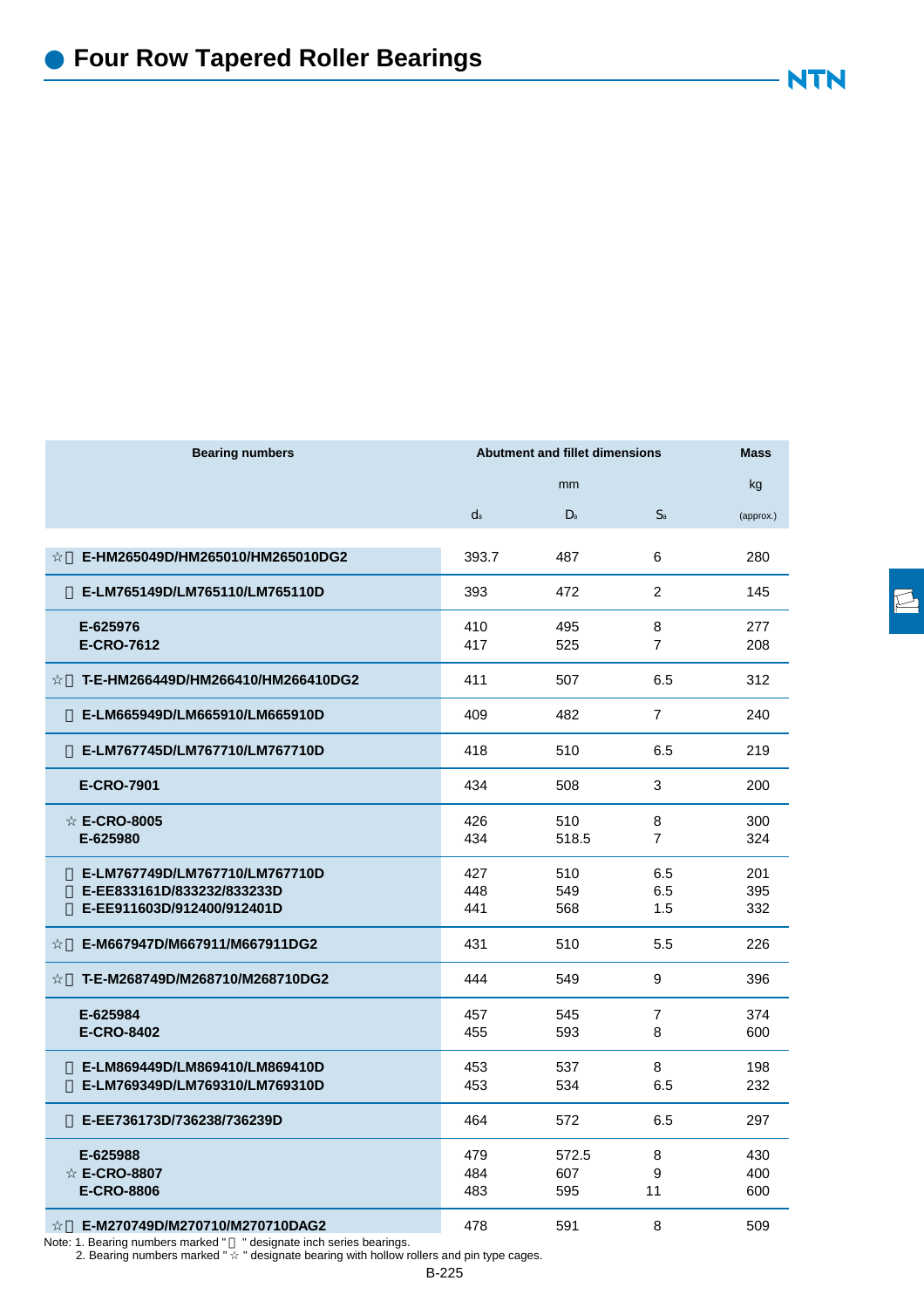| <b>Bearing numbers</b>                                                                     | <b>Abutment and fillet dimensions</b> | <b>Mass</b>         |                                   |                   |
|--------------------------------------------------------------------------------------------|---------------------------------------|---------------------|-----------------------------------|-------------------|
|                                                                                            |                                       | mm                  |                                   | kg                |
|                                                                                            | $d_{\rm a}$                           | $D_{a}$             | $S_{\!\scriptscriptstyle \alpha}$ | (approx.)         |
| E-HM265049D/HM265010/HM265010DG2                                                           | 393.7                                 | 487                 | 6                                 | 280               |
| E-LM765149D/LM765110/LM765110D                                                             | 393                                   | 472                 | $\overline{2}$                    | 145               |
| E-625976<br><b>E-CRO-7612</b>                                                              | 410<br>417                            | 495<br>525          | 8<br>$\overline{7}$               | 277<br>208        |
| T-E-HM266449D/HM266410/HM266410DG2                                                         | 411                                   | 507                 | 6.5                               | 312               |
| E-LM665949D/LM665910/LM665910D                                                             | 409                                   | 482                 | $\overline{7}$                    | 240               |
| E-LM767745D/LM767710/LM767710D                                                             | 418                                   | 510                 | 6.5                               | 219               |
| <b>E-CRO-7901</b>                                                                          | 434                                   | 508                 | 3                                 | 200               |
| <b>E-CRO-8005</b><br>E-625980                                                              | 426<br>434                            | 510<br>518.5        | 8<br>$\overline{7}$               | 300<br>324        |
| E-LM767749D/LM767710/LM767710D<br>E-EE833161D/833232/833233D<br>E-EE911603D/912400/912401D | 427<br>448<br>441                     | 510<br>549<br>568   | 6.5<br>6.5<br>1.5                 | 201<br>395<br>332 |
| E-M667947D/M667911/M667911DG2                                                              | 431                                   | 510                 | 5.5                               | 226               |
| T-E-M268749D/M268710/M268710DG2                                                            | 444                                   | 549                 | 9                                 | 396               |
| E-625984<br><b>E-CRO-8402</b>                                                              | 457<br>455                            | 545<br>593          | 7<br>8                            | 374<br>600        |
| E-LM869449D/LM869410/LM869410D<br>E-LM769349D/LM769310/LM769310D                           | 453<br>453                            | 537<br>534          | 8<br>6.5                          | 198<br>232        |
| E-EE736173D/736238/736239D                                                                 | 464                                   | 572                 | 6.5                               | 297               |
| E-625988<br><b>E-CRO-8807</b><br><b>E-CRO-8806</b>                                         | 479<br>484<br>483                     | 572.5<br>607<br>595 | 8<br>9<br>11                      | 430<br>400<br>600 |
| E-M270749D/M270710/M270710DAG2                                                             | 478                                   | 591                 | 8                                 | 509               |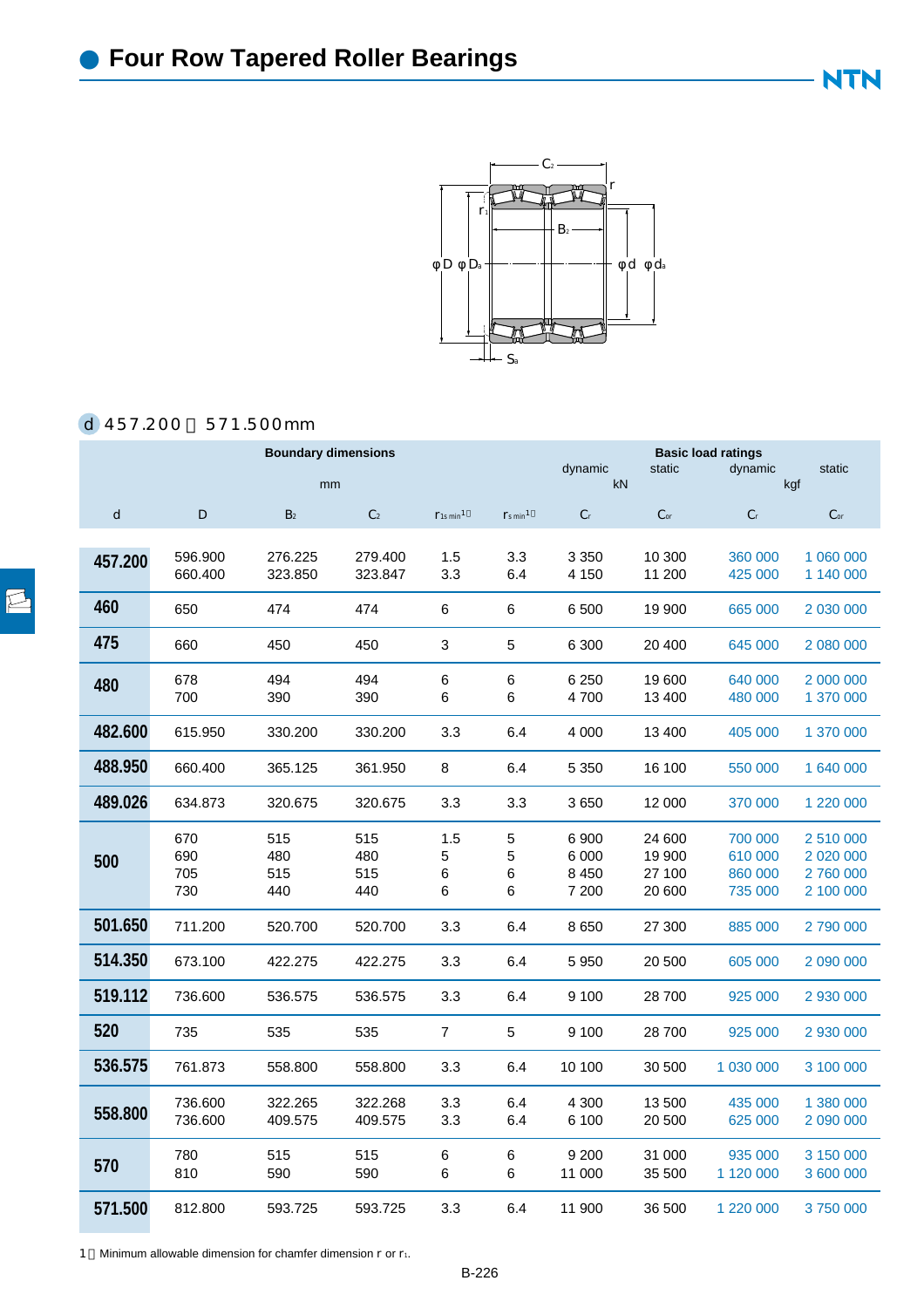

# *d* 457.200 ~ 571.500mm

|                  | <b>Boundary dimensions</b> |                          |                          |                        |                             |                                     |                                      | <b>Basic load ratings</b>                |                                                |  |
|------------------|----------------------------|--------------------------|--------------------------|------------------------|-----------------------------|-------------------------------------|--------------------------------------|------------------------------------------|------------------------------------------------|--|
|                  |                            | mm                       |                          |                        |                             | dynamic<br>static<br>kN             |                                      |                                          | dynamic<br>static<br>kgf                       |  |
|                  |                            |                          |                          |                        |                             |                                     |                                      |                                          |                                                |  |
| $\boldsymbol{d}$ | $\cal D$                   | B <sub>2</sub>           | C <sub>2</sub>           | $n_s$ min <sup>1</sup> | $\Gamma$ s min <sup>1</sup> | $C_{\mathrm{r}}$                    | $C_{or}$                             | $C_{\rm r}$                              | $C_{or}$                                       |  |
| 457.200          | 596.900<br>660.400         | 276.225<br>323.850       | 279.400<br>323.847       | 1.5<br>3.3             | 3.3<br>6.4                  | 3 3 5 0<br>4 150                    | 10 300<br>11 200                     | 360 000<br>425 000                       | 1 060 000<br>1 140 000                         |  |
| 460              | 650                        | 474                      | 474                      | 6                      | 6                           | 6 500                               | 19 900                               | 665 000                                  | 2 030 000                                      |  |
| 475              | 660                        | 450                      | 450                      | 3                      | 5                           | 6 300                               | 20 400                               | 645 000                                  | 2 080 000                                      |  |
| 480              | 678<br>700                 | 494<br>390               | 494<br>390               | 6<br>6                 | 6<br>6                      | 6 2 5 0<br>4700                     | 19 600<br>13 400                     | 640 000<br>480 000                       | 2 000 000<br>1 370 000                         |  |
| 482.600          | 615.950                    | 330.200                  | 330.200                  | 3.3                    | 6.4                         | 4 0 0 0                             | 13 400                               | 405 000                                  | 1 370 000                                      |  |
| 488.950          | 660.400                    | 365.125                  | 361.950                  | 8                      | 6.4                         | 5 3 5 0                             | 16 100                               | 550 000                                  | 1 640 000                                      |  |
| 489.026          | 634.873                    | 320.675                  | 320.675                  | 3.3                    | 3.3                         | 3650                                | 12 000                               | 370 000                                  | 1 220 000                                      |  |
| 500              | 670<br>690<br>705<br>730   | 515<br>480<br>515<br>440 | 515<br>480<br>515<br>440 | 1.5<br>5<br>6<br>6     | 5<br>5<br>6<br>6            | 6900<br>6 0 0 0<br>8 4 5 0<br>7 200 | 24 600<br>19 900<br>27 100<br>20 600 | 700 000<br>610 000<br>860 000<br>735 000 | 2 510 000<br>2 020 000<br>2760000<br>2 100 000 |  |
| 501.650          | 711.200                    | 520.700                  | 520.700                  | 3.3                    | 6.4                         | 8650                                | 27 300                               | 885 000                                  | 2790000                                        |  |
| 514.350          | 673.100                    | 422.275                  | 422.275                  | 3.3                    | 6.4                         | 5 9 5 0                             | 20 500                               | 605 000                                  | 2 090 000                                      |  |
| 519.112          | 736.600                    | 536.575                  | 536.575                  | 3.3                    | 6.4                         | 9 100                               | 28 700                               | 925 000                                  | 2 930 000                                      |  |
| 520              | 735                        | 535                      | 535                      | $\overline{7}$         | 5                           | 9 100                               | 28 700                               | 925 000                                  | 2 930 000                                      |  |
| 536.575          | 761.873                    | 558.800                  | 558.800                  | 3.3                    | 6.4                         | 10 100                              | 30 500                               | 1 030 000                                | 3 100 000                                      |  |
| 558.800          | 736.600<br>736.600         | 322.265<br>409.575       | 322.268<br>409.575       | 3.3<br>3.3             | 6.4<br>6.4                  | 4 300<br>6 100                      | 13 500<br>20 500                     | 435 000<br>625 000                       | 1 380 000<br>2 090 000                         |  |
| 570              | 780<br>810                 | 515<br>590               | 515<br>590               | 6<br>6                 | 6<br>6                      | 9 200<br>11 000                     | 31 000<br>35 500                     | 935 000<br>1 120 000                     | 3 150 000<br>3 600 000                         |  |
| 571.500          | 812.800                    | 593.725                  | 593.725                  | 3.3                    | 6.4                         | 11 900                              | 36 500                               | 1 220 000                                | 3750000                                        |  |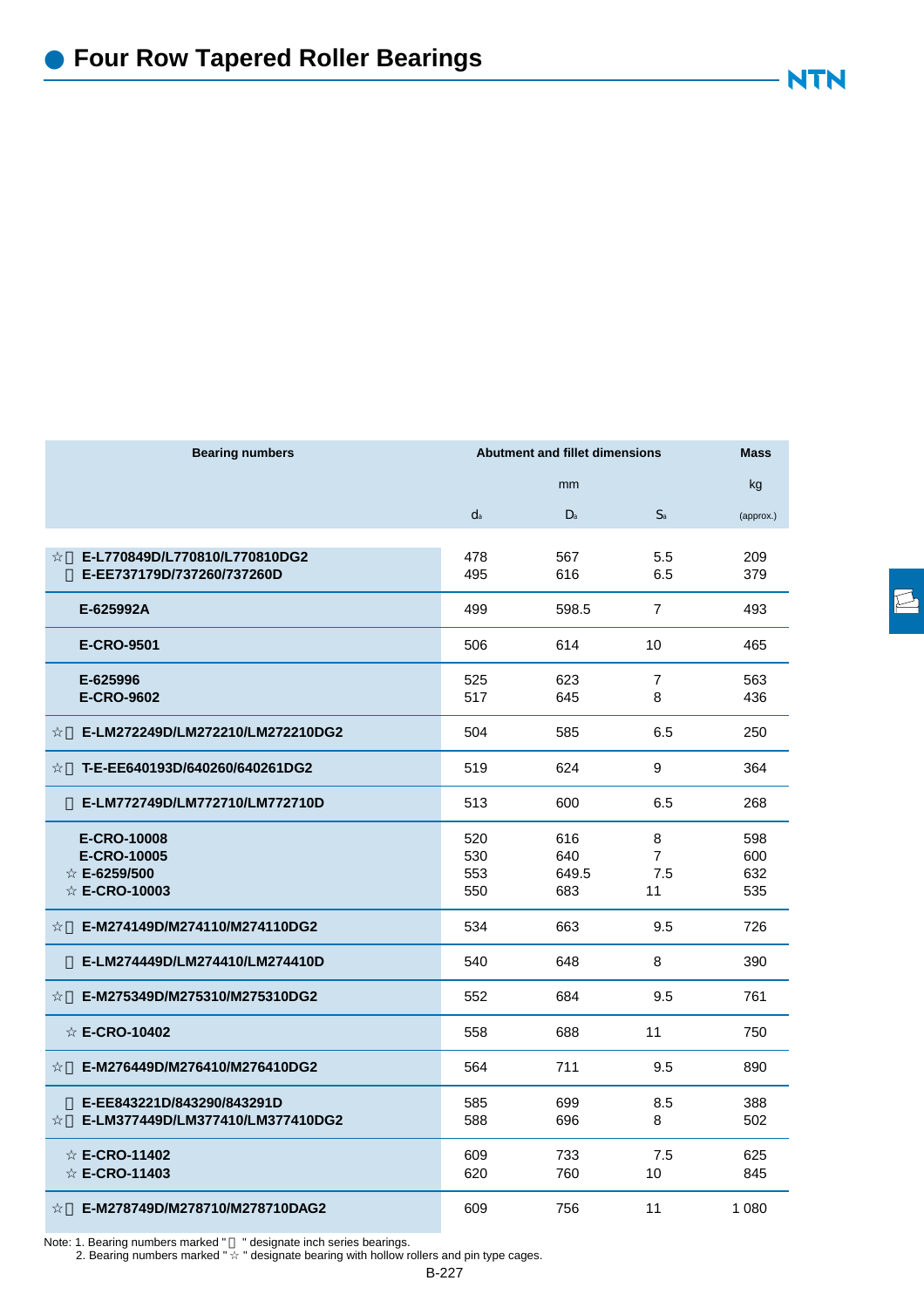| <b>Bearing numbers</b>           | <b>Abutment and fillet dimensions</b> | <b>Mass</b> |                |           |
|----------------------------------|---------------------------------------|-------------|----------------|-----------|
|                                  |                                       | mm          |                | kg        |
|                                  | $d_{\scriptscriptstyle{\text{a}}}$    | $D_{a}$     | $S_{a}$        | (approx.) |
| E-L770849D/L770810/L770810DG2    | 478                                   | 567         | 5.5            | 209       |
| E-EE737179D/737260/737260D       | 495                                   | 616         | 6.5            | 379       |
| E-625992A                        | 499                                   | 598.5       | $\overline{7}$ | 493       |
| <b>E-CRO-9501</b>                | 506                                   | 614         | 10             | 465       |
| E-625996                         | 525                                   | 623         | $\overline{7}$ | 563       |
| <b>E-CRO-9602</b>                | 517                                   | 645         | 8              | 436       |
| E-LM272249D/LM272210/LM272210DG2 | 504                                   | 585         | 6.5            | 250       |
| T-E-EE640193D/640260/640261DG2   | 519                                   | 624         | 9              | 364       |
| E-LM772749D/LM772710/LM772710D   | 513                                   | 600         | 6.5            | 268       |
| <b>E-CRO-10008</b>               | 520                                   | 616         | 8              | 598       |
| E-CRO-10005                      | 530                                   | 640         | $\overline{7}$ | 600       |
| E-6259/500                       | 553                                   | 649.5       | 7.5            | 632       |
| E-CRO-10003                      | 550                                   | 683         | 11             | 535       |
| E-M274149D/M274110/M274110DG2    | 534                                   | 663         | 9.5            | 726       |
| E-LM274449D/LM274410/LM274410D   | 540                                   | 648         | 8              | 390       |
| E-M275349D/M275310/M275310DG2    | 552                                   | 684         | 9.5            | 761       |
| <b>E-CRO-10402</b>               | 558                                   | 688         | 11             | 750       |
| E-M276449D/M276410/M276410DG2    | 564                                   | 711         | 9.5            | 890       |
| E-EE843221D/843290/843291D       | 585                                   | 699         | 8.5            | 388       |
| E-LM377449D/LM377410/LM377410DG2 | 588                                   | 696         | 8              | 502       |
| E-CRO-11402                      | 609                                   | 733         | 7.5            | 625       |
| E-CRO-11403                      | 620                                   | 760         | 10             | 845       |
| E-M278749D/M278710/M278710DAG2   | 609                                   | 756         | 11             | 1 0 8 0   |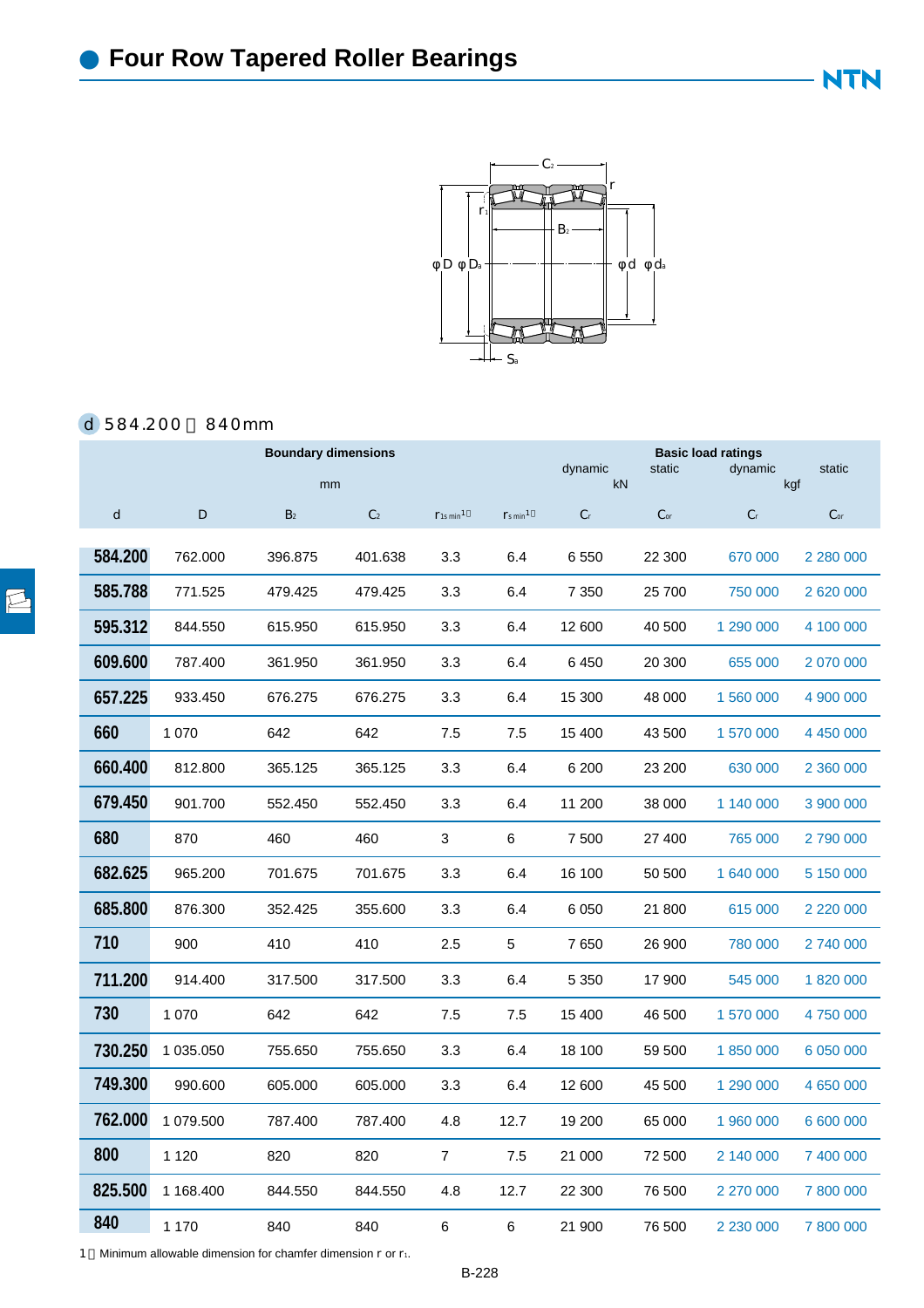

# *d* 584.200 ~ 840mm

| <b>Boundary dimensions</b> |                  |                |                |                              |                               | dynamic     | static                      | <b>Basic load ratings</b><br>dynamic | static          |
|----------------------------|------------------|----------------|----------------|------------------------------|-------------------------------|-------------|-----------------------------|--------------------------------------|-----------------|
|                            |                  | mm             |                |                              |                               | kN          |                             | kgf                                  |                 |
| $\overline{d}$             | $\boldsymbol{D}$ | B <sub>2</sub> | C <sub>2</sub> | $\Gamma$ is min <sup>1</sup> | $r_{\rm s\,min}$ <sup>1</sup> | $C_{\rm r}$ | $C_{\hbox{\scriptsize or}}$ | $C_{\rm r}$                          | $C_{\text{or}}$ |
| 584.200                    | 762.000          | 396.875        | 401.638        | 3.3                          | 6.4                           | 6 5 5 0     | 22 300                      | 670 000                              | 2 280 000       |
| 585.788                    | 771.525          | 479.425        | 479.425        | 3.3                          | 6.4                           | 7 3 5 0     | 25 700                      | 750 000                              | 2 620 000       |
| 595.312                    | 844.550          | 615.950        | 615.950        | 3.3                          | 6.4                           | 12 600      | 40 500                      | 1 290 000                            | 4 100 000       |
| 609.600                    | 787.400          | 361.950        | 361.950        | 3.3                          | 6.4                           | 6450        | 20 300                      | 655 000                              | 2 070 000       |
| 657.225                    | 933.450          | 676.275        | 676.275        | 3.3                          | 6.4                           | 15 300      | 48 000                      | 1 560 000                            | 4 900 000       |
| 660                        | 1 0 7 0          | 642            | 642            | 7.5                          | 7.5                           | 15 400      | 43 500                      | 1 570 000                            | 4 450 000       |
| 660.400                    | 812.800          | 365.125        | 365.125        | 3.3                          | 6.4                           | 6 200       | 23 200                      | 630 000                              | 2 360 000       |
| 679.450                    | 901.700          | 552.450        | 552.450        | 3.3                          | 6.4                           | 11 200      | 38 000                      | 1 140 000                            | 3 900 000       |
| 680                        | 870              | 460            | 460            | 3                            | 6                             | 7 500       | 27 400                      | 765 000                              | 2790000         |
| 682.625                    | 965.200          | 701.675        | 701.675        | 3.3                          | 6.4                           | 16 100      | 50 500                      | 1 640 000                            | 5 150 000       |
| 685.800                    | 876.300          | 352.425        | 355.600        | 3.3                          | 6.4                           | 6 0 5 0     | 21 800                      | 615 000                              | 2 2 2 0 0 0 0   |
| 710                        | 900              | 410            | 410            | 2.5                          | 5                             | 7650        | 26 900                      | 780 000                              | 2740 000        |
| 711.200                    | 914.400          | 317.500        | 317.500        | 3.3                          | 6.4                           | 5 3 5 0     | 17 900                      | 545 000                              | 1820000         |
| 730                        | 1 0 7 0          | 642            | 642            | 7.5                          | 7.5                           | 15 400      | 46 500                      | 1 570 000                            | 4750000         |
| 730.250                    | 1 035.050        | 755.650        | 755.650        | 3.3                          | 6.4                           | 18 100      | 59 500                      | 1850000                              | 6 050 000       |
| 749.300                    | 990.600          | 605.000        | 605.000        | 3.3                          | 6.4                           | 12 600      | 45 500                      | 1 290 000                            | 4 650 000       |
| 762.000                    | 1 079.500        | 787.400        | 787.400        | 4.8                          | 12.7                          | 19 200      | 65 000                      | 1 960 000                            | 6 600 000       |
| 800                        | 1 1 2 0          | 820            | 820            | 7                            | 7.5                           | 21 000      | 72 500                      | 2 140 000                            | 7 400 000       |
| 825.500                    | 1 168.400        | 844.550        | 844.550        | 4.8                          | 12.7                          | 22 300      | 76 500                      | 2 270 000                            | 7 800 000       |
| 840                        | 1 170            | 840            | 840            | 6                            | 6                             | 21 900      | 76 500                      | 2 230 000                            | 7 800 000       |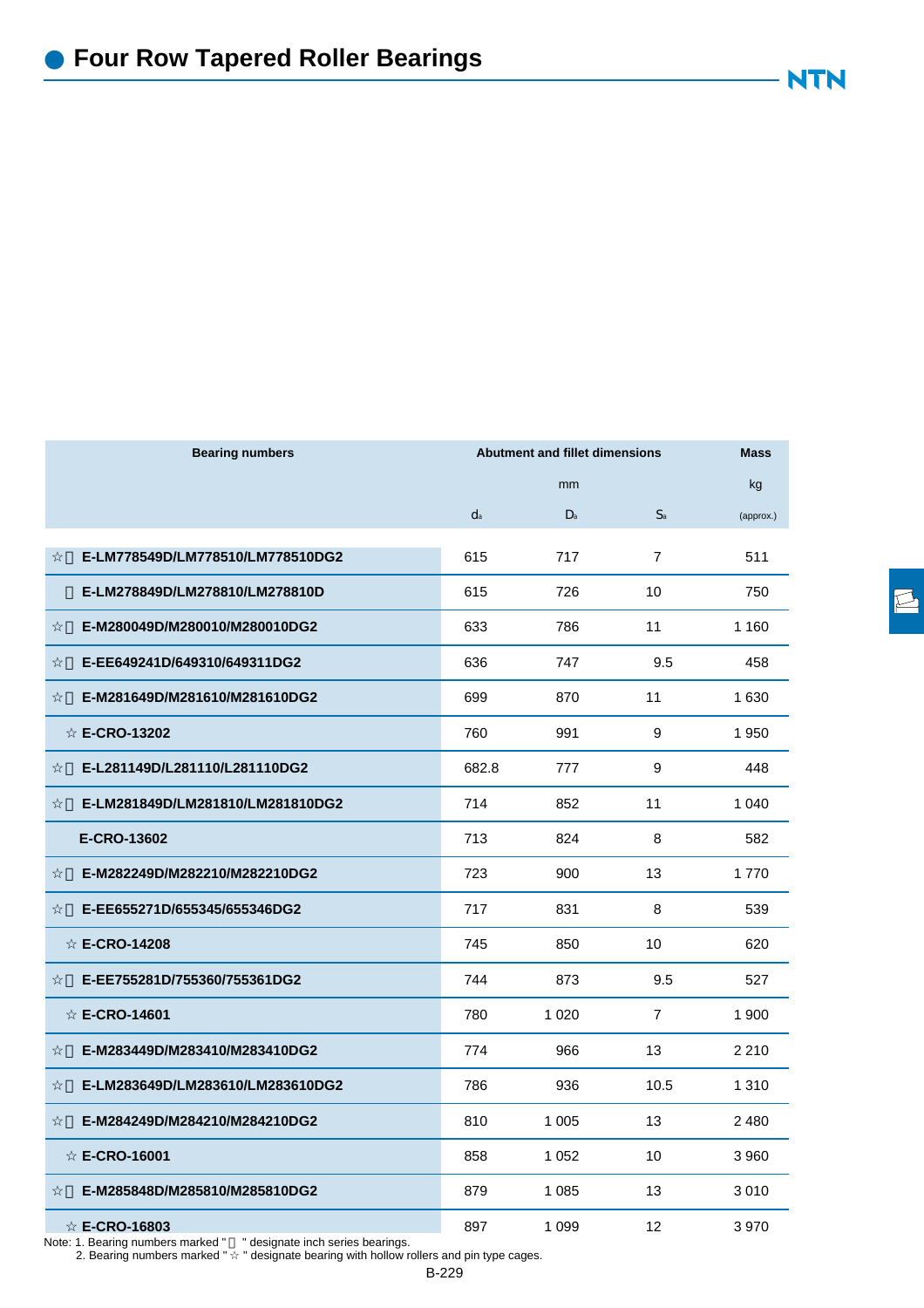| <b>Bearing numbers</b>           | <b>Abutment and fillet dimensions</b> | <b>Mass</b>                          |                |           |
|----------------------------------|---------------------------------------|--------------------------------------|----------------|-----------|
|                                  |                                       | mm                                   |                | kg        |
|                                  | $d_{\scriptscriptstyle\! A}$          | $D_{\scriptscriptstyle{\mathrm{a}}}$ | $S_{a}$        | (approx.) |
| E-LM778549D/LM778510/LM778510DG2 | 615                                   | 717                                  | $\overline{7}$ | 511       |
| E-LM278849D/LM278810/LM278810D   | 615                                   | 726                                  | 10             | 750       |
| E-M280049D/M280010/M280010DG2    | 633                                   | 786                                  | 11             | 1 1 6 0   |
| E-EE649241D/649310/649311DG2     | 636                                   | 747                                  | 9.5            | 458       |
| E-M281649D/M281610/M281610DG2    | 699                                   | 870                                  | 11             | 1 630     |
| E-CRO-13202                      | 760                                   | 991                                  | 9              | 1 950     |
| E-L281149D/L281110/L281110DG2    | 682.8                                 | 777                                  | 9              | 448       |
| E-LM281849D/LM281810/LM281810DG2 | 714                                   | 852                                  | 11             | 1 0 4 0   |
| E-CRO-13602                      | 713                                   | 824                                  | 8              | 582       |
| E-M282249D/M282210/M282210DG2    | 723                                   | 900                                  | 13             | 1 7 7 0   |
| E-EE655271D/655345/655346DG2     | 717                                   | 831                                  | 8              | 539       |
| <b>E-CRO-14208</b>               | 745                                   | 850                                  | 10             | 620       |
| E-EE755281D/755360/755361DG2     | 744                                   | 873                                  | 9.5            | 527       |
| E-CRO-14601                      | 780                                   | 1 0 2 0                              | $\overline{7}$ | 1 900     |
| E-M283449D/M283410/M283410DG2    | 774                                   | 966                                  | 13             | 2 2 1 0   |
| E-LM283649D/LM283610/LM283610DG2 | 786                                   | 936                                  | 10.5           | 1 3 1 0   |
| E-M284249D/M284210/M284210DG2    | 810                                   | 1 0 0 5                              | 13             | 2 4 8 0   |
| E-CRO-16001                      | 858                                   | 1 0 5 2                              | 10             | 3 9 6 0   |
| E-M285848D/M285810/M285810DG2    | 879                                   | 1 0 8 5                              | 13             | 3010      |
| E-CRO-16803                      | 897                                   | 1 0 9 9                              | 12             | 3970      |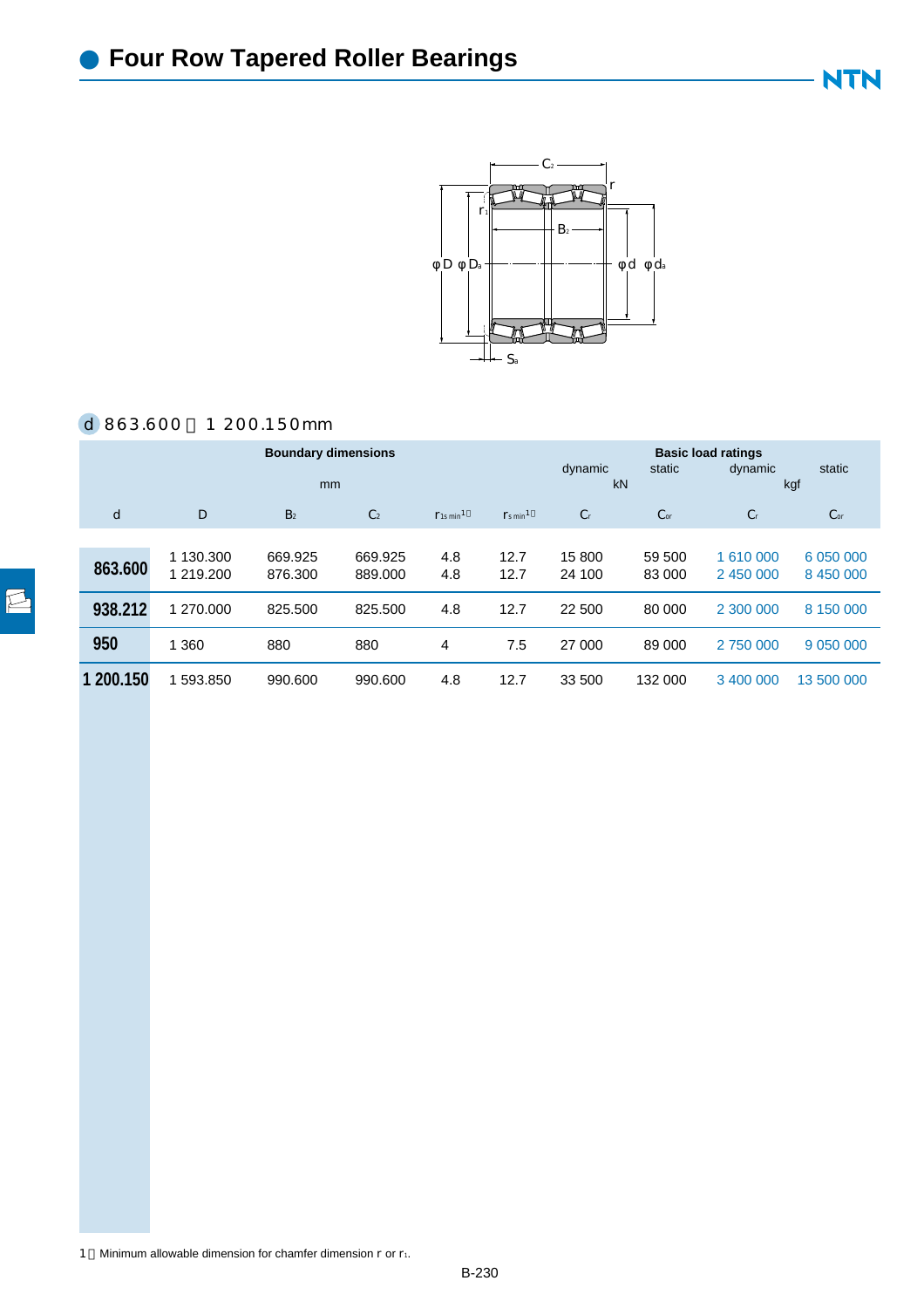

# *d* 863.600 ~ 1 200.150mm

|                | <b>Boundary dimensions</b><br><sub>mm</sub> |                    |                    |                              |                | <b>Basic load ratings</b><br>dynamic<br>dynamic<br>static<br>kN |                  |                        | static<br>kgf          |  |
|----------------|---------------------------------------------|--------------------|--------------------|------------------------------|----------------|-----------------------------------------------------------------|------------------|------------------------|------------------------|--|
| $\overline{d}$ | $\boldsymbol{D}$                            | B <sub>2</sub>     | C <sub>2</sub>     | $\Gamma$ is min <sup>1</sup> | $\Gamma$ s min | $C_{r}$                                                         | $C_{\rm or}$     | $C_{\rm r}$            | $C_{\rm or}$           |  |
| 863,600        | 1 130.300<br>1 219,200                      | 669.925<br>876.300 | 669.925<br>889,000 | 4.8<br>4.8                   | 12.7<br>12.7   | 15 800<br>24 100                                                | 59 500<br>83 000 | 1 610 000<br>2 450 000 | 6 050 000<br>8 450 000 |  |
| 938.212        | 1 270,000                                   | 825.500            | 825,500            | 4.8                          | 12.7           | 22 500                                                          | 80 000           | 2 300 000              | 8 150 000              |  |
| 950            | 1 3 6 0                                     | 880                | 880                | 4                            | 7.5            | 27 000                                                          | 89 000           | 2 750 000              | 9 0 50 0 0 0           |  |
| 1 200.150      | 1 593.850                                   | 990,600            | 990.600            | 4.8                          | 12.7           | 33 500                                                          | 132 000          | 3 400 000              | 13 500 000             |  |